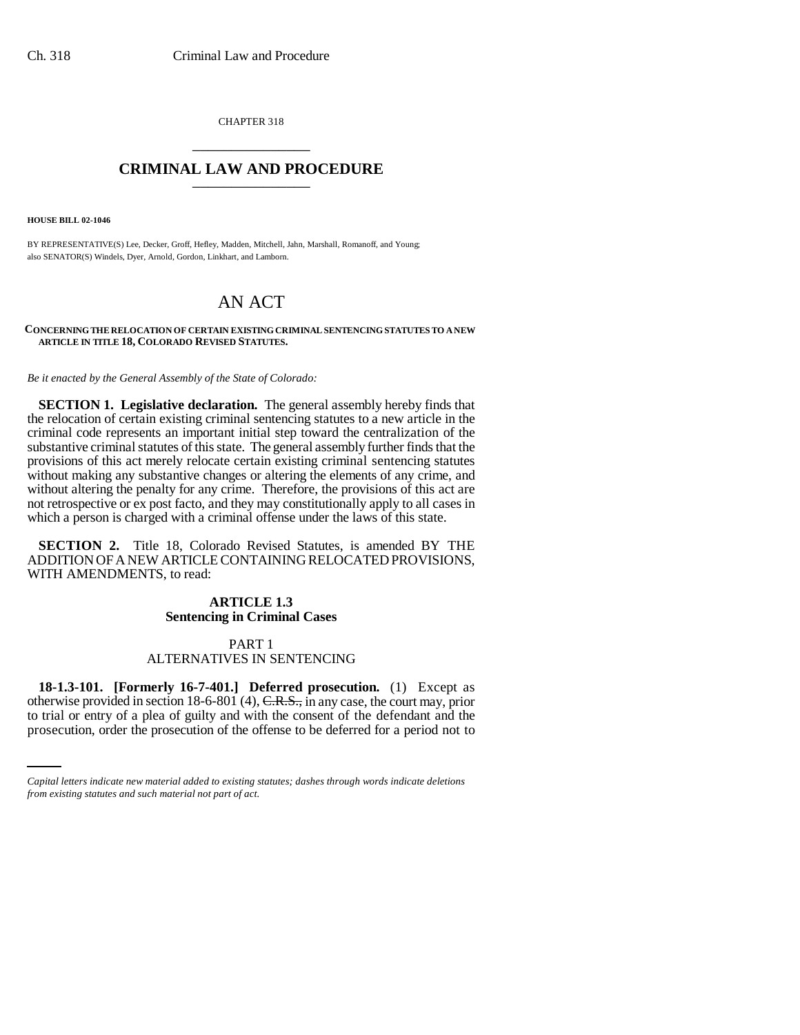CHAPTER 318 \_\_\_\_\_\_\_\_\_\_\_\_\_\_\_

## **CRIMINAL LAW AND PROCEDURE** \_\_\_\_\_\_\_\_\_\_\_\_\_\_\_

**HOUSE BILL 02-1046**

BY REPRESENTATIVE(S) Lee, Decker, Groff, Hefley, Madden, Mitchell, Jahn, Marshall, Romanoff, and Young; also SENATOR(S) Windels, Dyer, Arnold, Gordon, Linkhart, and Lamborn.

# AN ACT

#### **CONCERNING THE RELOCATION OF CERTAIN EXISTING CRIMINAL SENTENCING STATUTES TO A NEW ARTICLE IN TITLE 18, COLORADO REVISED STATUTES.**

#### *Be it enacted by the General Assembly of the State of Colorado:*

**SECTION 1. Legislative declaration.** The general assembly hereby finds that the relocation of certain existing criminal sentencing statutes to a new article in the criminal code represents an important initial step toward the centralization of the substantive criminal statutes of this state. The general assembly further finds that the provisions of this act merely relocate certain existing criminal sentencing statutes without making any substantive changes or altering the elements of any crime, and without altering the penalty for any crime. Therefore, the provisions of this act are not retrospective or ex post facto, and they may constitutionally apply to all cases in which a person is charged with a criminal offense under the laws of this state.

**SECTION 2.** Title 18, Colorado Revised Statutes, is amended BY THE ADDITION OF A NEW ARTICLE CONTAINING RELOCATED PROVISIONS, WITH AMENDMENTS, to read:

### **ARTICLE 1.3 Sentencing in Criminal Cases**

### PART 1 ALTERNATIVES IN SENTENCING

otherwise provided in section 18-6-801 (4), C.R.S., in any case, the court may, prior **18-1.3-101. [Formerly 16-7-401.] Deferred prosecution.** (1) Except as to trial or entry of a plea of guilty and with the consent of the defendant and the prosecution, order the prosecution of the offense to be deferred for a period not to

*Capital letters indicate new material added to existing statutes; dashes through words indicate deletions from existing statutes and such material not part of act.*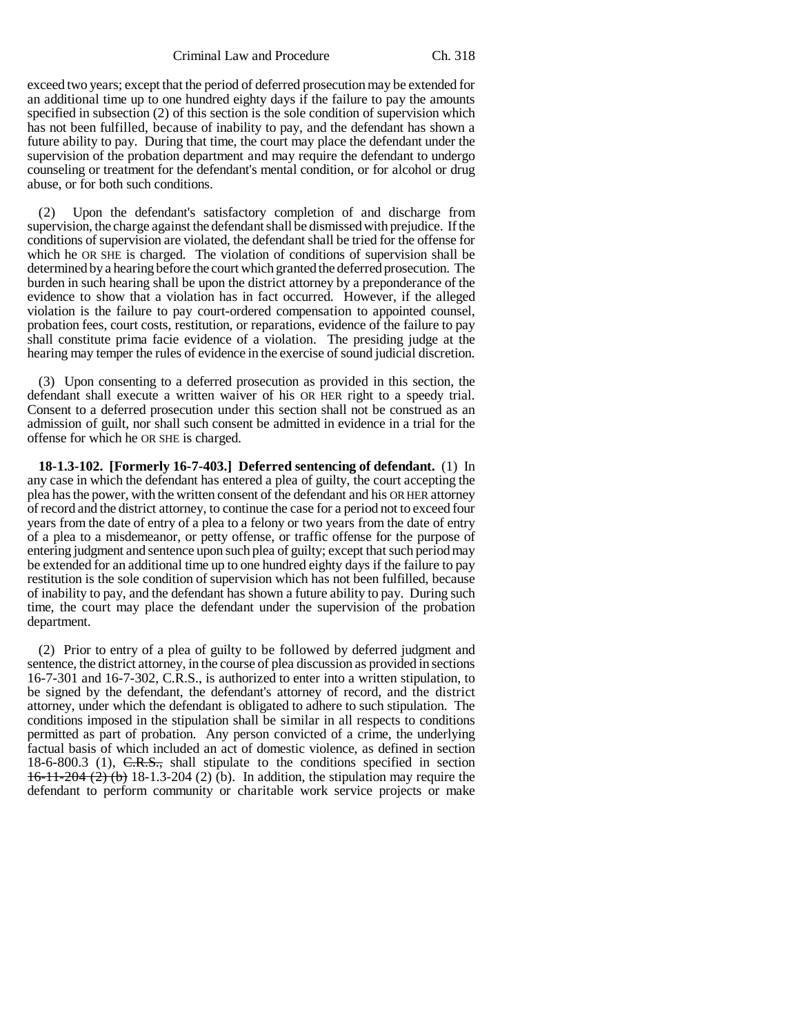exceed two years; except that the period of deferred prosecution may be extended for an additional time up to one hundred eighty days if the failure to pay the amounts specified in subsection (2) of this section is the sole condition of supervision which has not been fulfilled, because of inability to pay, and the defendant has shown a future ability to pay. During that time, the court may place the defendant under the supervision of the probation department and may require the defendant to undergo counseling or treatment for the defendant's mental condition, or for alcohol or drug abuse, or for both such conditions.

(2) Upon the defendant's satisfactory completion of and discharge from supervision, the charge against the defendant shall be dismissed with prejudice. If the conditions of supervision are violated, the defendant shall be tried for the offense for which he OR SHE is charged. The violation of conditions of supervision shall be determined by a hearing before the court which granted the deferred prosecution. The burden in such hearing shall be upon the district attorney by a preponderance of the evidence to show that a violation has in fact occurred. However, if the alleged violation is the failure to pay court-ordered compensation to appointed counsel, probation fees, court costs, restitution, or reparations, evidence of the failure to pay shall constitute prima facie evidence of a violation. The presiding judge at the hearing may temper the rules of evidence in the exercise of sound judicial discretion.

(3) Upon consenting to a deferred prosecution as provided in this section, the defendant shall execute a written waiver of his OR HER right to a speedy trial. Consent to a deferred prosecution under this section shall not be construed as an admission of guilt, nor shall such consent be admitted in evidence in a trial for the offense for which he OR SHE is charged.

**18-1.3-102. [Formerly 16-7-403.] Deferred sentencing of defendant.** (1) In any case in which the defendant has entered a plea of guilty, the court accepting the plea has the power, with the written consent of the defendant and his OR HER attorney of record and the district attorney, to continue the case for a period not to exceed four years from the date of entry of a plea to a felony or two years from the date of entry of a plea to a misdemeanor, or petty offense, or traffic offense for the purpose of entering judgment and sentence upon such plea of guilty; except that such period may be extended for an additional time up to one hundred eighty days if the failure to pay restitution is the sole condition of supervision which has not been fulfilled, because of inability to pay, and the defendant has shown a future ability to pay. During such time, the court may place the defendant under the supervision of the probation department.

(2) Prior to entry of a plea of guilty to be followed by deferred judgment and sentence, the district attorney, in the course of plea discussion as provided in sections 16-7-301 and 16-7-302, C.R.S., is authorized to enter into a written stipulation, to be signed by the defendant, the defendant's attorney of record, and the district attorney, under which the defendant is obligated to adhere to such stipulation. The conditions imposed in the stipulation shall be similar in all respects to conditions permitted as part of probation. Any person convicted of a crime, the underlying factual basis of which included an act of domestic violence, as defined in section 18-6-800.3 (1), C.R.S., shall stipulate to the conditions specified in section 16-11-204 (2) (b) 18-1.3-204 (2) (b). In addition, the stipulation may require the defendant to perform community or charitable work service projects or make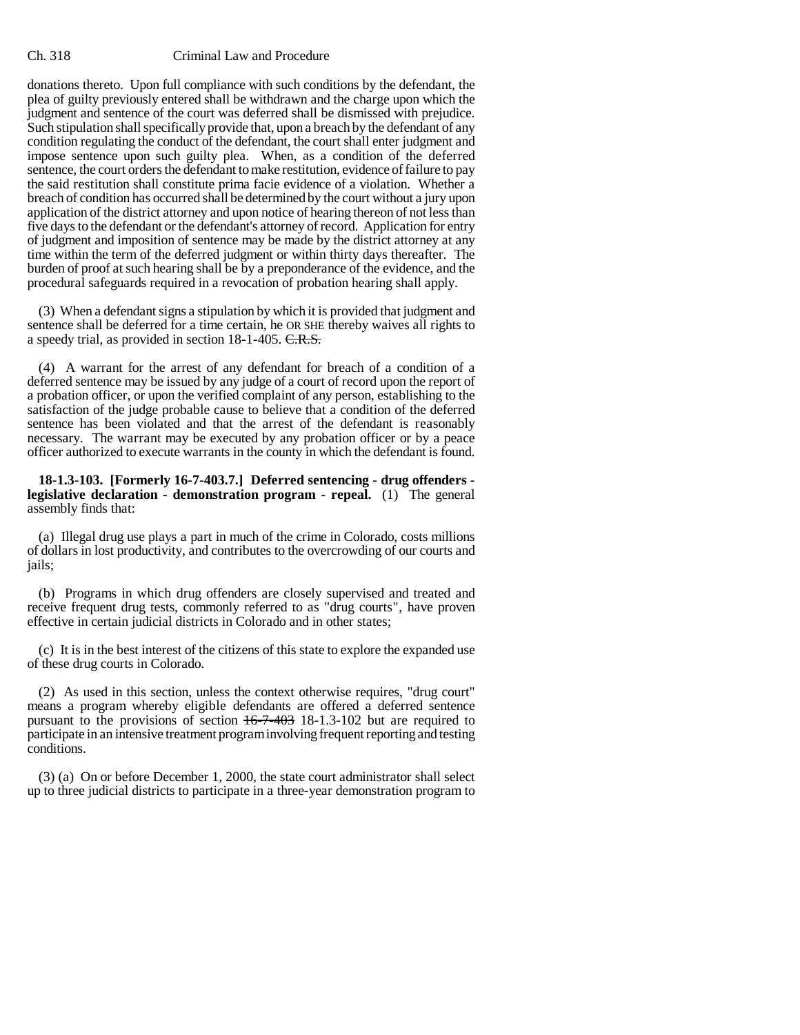donations thereto. Upon full compliance with such conditions by the defendant, the plea of guilty previously entered shall be withdrawn and the charge upon which the judgment and sentence of the court was deferred shall be dismissed with prejudice. Such stipulation shall specifically provide that, upon a breach by the defendant of any condition regulating the conduct of the defendant, the court shall enter judgment and impose sentence upon such guilty plea. When, as a condition of the deferred sentence, the court orders the defendant to make restitution, evidence of failure to pay the said restitution shall constitute prima facie evidence of a violation. Whether a breach of condition has occurred shall be determined by the court without a jury upon application of the district attorney and upon notice of hearing thereon of not less than five days to the defendant or the defendant's attorney of record. Application for entry of judgment and imposition of sentence may be made by the district attorney at any time within the term of the deferred judgment or within thirty days thereafter. The burden of proof at such hearing shall be by a preponderance of the evidence, and the procedural safeguards required in a revocation of probation hearing shall apply.

(3) When a defendant signs a stipulation by which it is provided that judgment and sentence shall be deferred for a time certain, he OR SHE thereby waives all rights to a speedy trial, as provided in section 18-1-405. C.R.S.

(4) A warrant for the arrest of any defendant for breach of a condition of a deferred sentence may be issued by any judge of a court of record upon the report of a probation officer, or upon the verified complaint of any person, establishing to the satisfaction of the judge probable cause to believe that a condition of the deferred sentence has been violated and that the arrest of the defendant is reasonably necessary. The warrant may be executed by any probation officer or by a peace officer authorized to execute warrants in the county in which the defendant is found.

**18-1.3-103. [Formerly 16-7-403.7.] Deferred sentencing - drug offenders legislative declaration - demonstration program - repeal.** (1) The general assembly finds that:

(a) Illegal drug use plays a part in much of the crime in Colorado, costs millions of dollars in lost productivity, and contributes to the overcrowding of our courts and jails;

(b) Programs in which drug offenders are closely supervised and treated and receive frequent drug tests, commonly referred to as "drug courts", have proven effective in certain judicial districts in Colorado and in other states;

(c) It is in the best interest of the citizens of this state to explore the expanded use of these drug courts in Colorado.

(2) As used in this section, unless the context otherwise requires, "drug court" means a program whereby eligible defendants are offered a deferred sentence pursuant to the provisions of section  $16-7-403$  18-1.3-102 but are required to participate in an intensive treatment program involving frequent reporting and testing conditions.

(3) (a) On or before December 1, 2000, the state court administrator shall select up to three judicial districts to participate in a three-year demonstration program to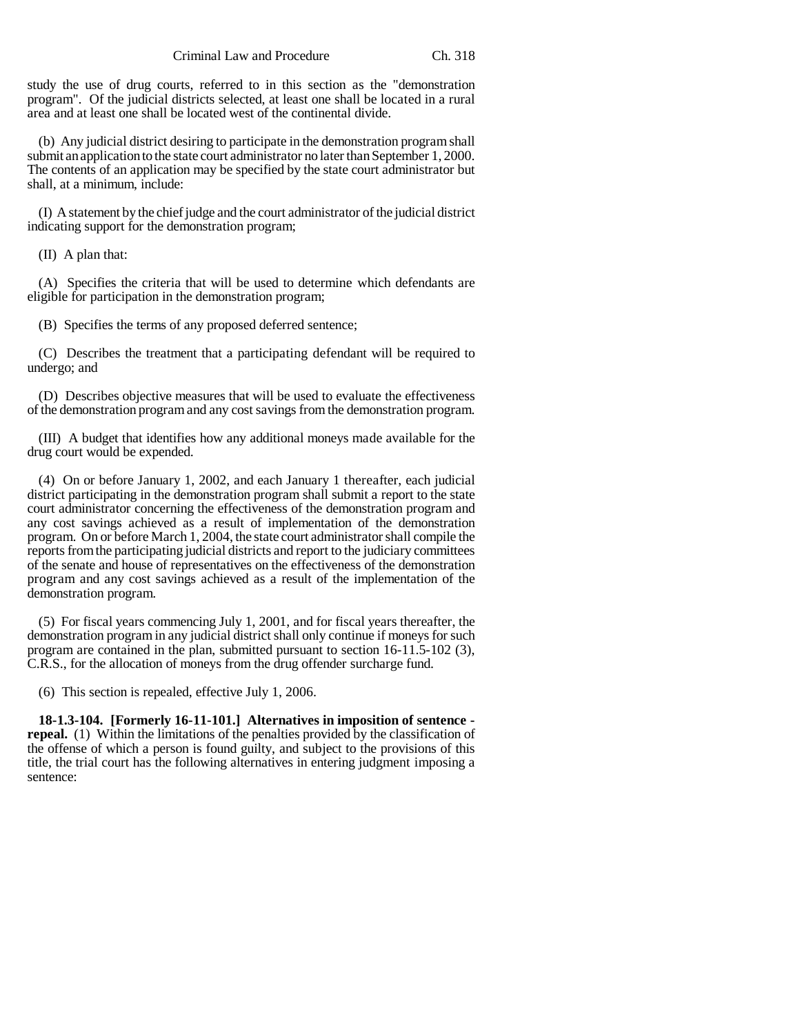study the use of drug courts, referred to in this section as the "demonstration program". Of the judicial districts selected, at least one shall be located in a rural area and at least one shall be located west of the continental divide.

(b) Any judicial district desiring to participate in the demonstration program shall submit an application to the state court administrator no later than September 1, 2000. The contents of an application may be specified by the state court administrator but shall, at a minimum, include:

(I) A statement by the chief judge and the court administrator of the judicial district indicating support for the demonstration program;

(II) A plan that:

(A) Specifies the criteria that will be used to determine which defendants are eligible for participation in the demonstration program;

(B) Specifies the terms of any proposed deferred sentence;

(C) Describes the treatment that a participating defendant will be required to undergo; and

(D) Describes objective measures that will be used to evaluate the effectiveness of the demonstration program and any cost savings from the demonstration program.

(III) A budget that identifies how any additional moneys made available for the drug court would be expended.

(4) On or before January 1, 2002, and each January 1 thereafter, each judicial district participating in the demonstration program shall submit a report to the state court administrator concerning the effectiveness of the demonstration program and any cost savings achieved as a result of implementation of the demonstration program. On or before March 1, 2004, the state court administrator shall compile the reports from the participating judicial districts and report to the judiciary committees of the senate and house of representatives on the effectiveness of the demonstration program and any cost savings achieved as a result of the implementation of the demonstration program.

(5) For fiscal years commencing July 1, 2001, and for fiscal years thereafter, the demonstration program in any judicial district shall only continue if moneys for such program are contained in the plan, submitted pursuant to section 16-11.5-102 (3), C.R.S., for the allocation of moneys from the drug offender surcharge fund.

(6) This section is repealed, effective July 1, 2006.

**18-1.3-104. [Formerly 16-11-101.] Alternatives in imposition of sentence repeal.** (1) Within the limitations of the penalties provided by the classification of the offense of which a person is found guilty, and subject to the provisions of this title, the trial court has the following alternatives in entering judgment imposing a sentence: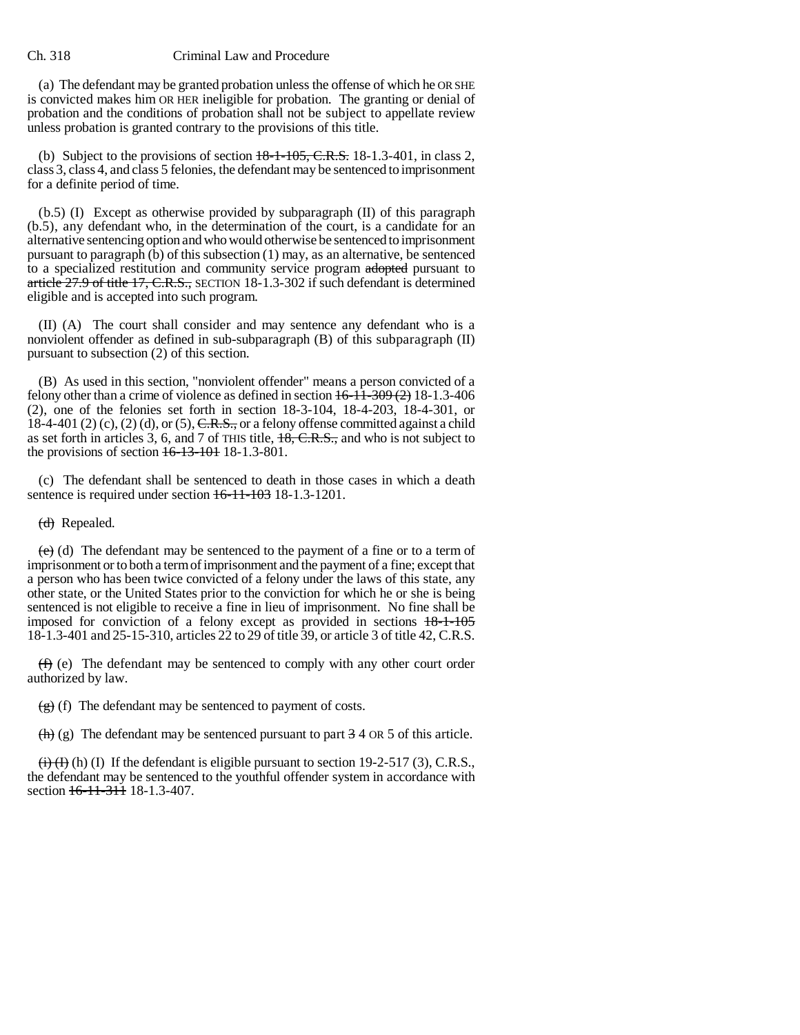(a) The defendant may be granted probation unless the offense of which he OR SHE is convicted makes him OR HER ineligible for probation. The granting or denial of probation and the conditions of probation shall not be subject to appellate review unless probation is granted contrary to the provisions of this title.

(b) Subject to the provisions of section  $18-1-105$ , C.R.S. 18-1.3-401, in class 2, class 3, class 4, and class 5 felonies, the defendant may be sentenced to imprisonment for a definite period of time.

(b.5) (I) Except as otherwise provided by subparagraph (II) of this paragraph (b.5), any defendant who, in the determination of the court, is a candidate for an alternative sentencing option and who would otherwise be sentenced to imprisonment pursuant to paragraph (b) of this subsection (1) may, as an alternative, be sentenced to a specialized restitution and community service program adopted pursuant to article 27.9 of title 17, C.R.S., SECTION 18-1.3-302 if such defendant is determined eligible and is accepted into such program.

(II) (A) The court shall consider and may sentence any defendant who is a nonviolent offender as defined in sub-subparagraph (B) of this subparagraph (II) pursuant to subsection (2) of this section.

(B) As used in this section, "nonviolent offender" means a person convicted of a felony other than a crime of violence as defined in section  $16-11-309(2)$  18-1.3-406 (2), one of the felonies set forth in section 18-3-104, 18-4-203, 18-4-301, or 18-4-401 (2) (c), (2) (d), or (5),  $C.R.S.,$  or a felony offense committed against a child as set forth in articles 3, 6, and 7 of THIS title, 18, C.R.S., and who is not subject to the provisions of section 16-13-101 18-1.3-801.

(c) The defendant shall be sentenced to death in those cases in which a death sentence is required under section  $16-11-103$  18-1.3-1201.

### (d) Repealed.

 $(e)$  (d) The defendant may be sentenced to the payment of a fine or to a term of imprisonment or to both a term of imprisonment and the payment of a fine; except that a person who has been twice convicted of a felony under the laws of this state, any other state, or the United States prior to the conviction for which he or she is being sentenced is not eligible to receive a fine in lieu of imprisonment. No fine shall be imposed for conviction of a felony except as provided in sections  $18-1-105$ 18-1.3-401 and 25-15-310, articles 22 to 29 of title 39, or article 3 of title 42, C.R.S.

 $(f)$  (e) The defendant may be sentenced to comply with any other court order authorized by law.

 $\left(\frac{g}{g}\right)$  (f) The defendant may be sentenced to payment of costs.

 $\left(\frac{h}{h}\right)$  (g) The defendant may be sentenced pursuant to part 3.4 OR 5 of this article.

 $\overline{(i)}$  (h) (I) If the defendant is eligible pursuant to section 19-2-517 (3), C.R.S., the defendant may be sentenced to the youthful offender system in accordance with section 16-11-311 18-1.3-407.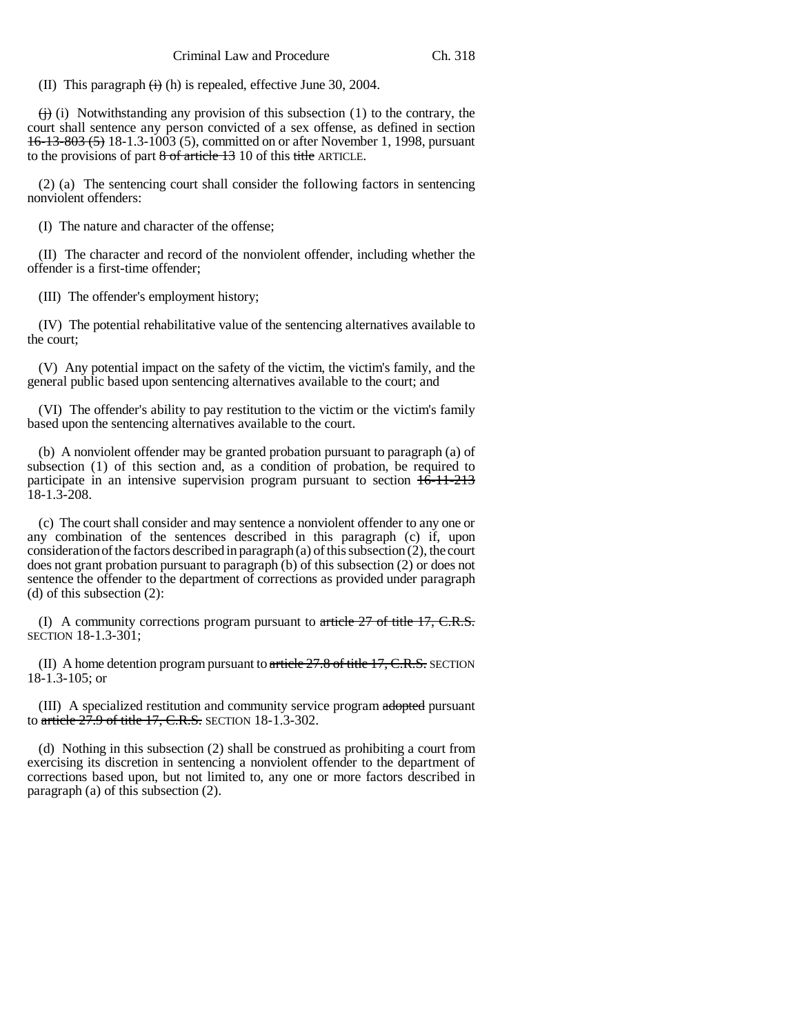(II) This paragraph  $\leftrightarrow$  (h) is repealed, effective June 30, 2004.

 $\overleftrightarrow{H}$  (i) Notwithstanding any provision of this subsection (1) to the contrary, the court shall sentence any person convicted of a sex offense, as defined in section 16-13-803 (5) 18-1.3-1003 (5), committed on or after November 1, 1998, pursuant to the provisions of part  $8 \text{ of article } 1310$  of this title ARTICLE.

(2) (a) The sentencing court shall consider the following factors in sentencing nonviolent offenders:

(I) The nature and character of the offense;

(II) The character and record of the nonviolent offender, including whether the offender is a first-time offender;

(III) The offender's employment history;

(IV) The potential rehabilitative value of the sentencing alternatives available to the court;

(V) Any potential impact on the safety of the victim, the victim's family, and the general public based upon sentencing alternatives available to the court; and

(VI) The offender's ability to pay restitution to the victim or the victim's family based upon the sentencing alternatives available to the court.

(b) A nonviolent offender may be granted probation pursuant to paragraph (a) of subsection (1) of this section and, as a condition of probation, be required to participate in an intensive supervision program pursuant to section  $16-11-213$ 18-1.3-208.

(c) The court shall consider and may sentence a nonviolent offender to any one or any combination of the sentences described in this paragraph (c) if, upon consideration of the factors described in paragraph (a) of this subsection (2), the court does not grant probation pursuant to paragraph (b) of this subsection (2) or does not sentence the offender to the department of corrections as provided under paragraph (d) of this subsection (2):

(I) A community corrections program pursuant to article 27 of title 17, C.R.S. SECTION 18-1.3-301;

(II) A home detention program pursuant to  $\pi$  title 27.8 of title 17, C.R.S. SECTION 18-1.3-105; or

(III) A specialized restitution and community service program adopted pursuant to article 27.9 of title 17, C.R.S. SECTION 18-1.3-302.

(d) Nothing in this subsection (2) shall be construed as prohibiting a court from exercising its discretion in sentencing a nonviolent offender to the department of corrections based upon, but not limited to, any one or more factors described in paragraph (a) of this subsection (2).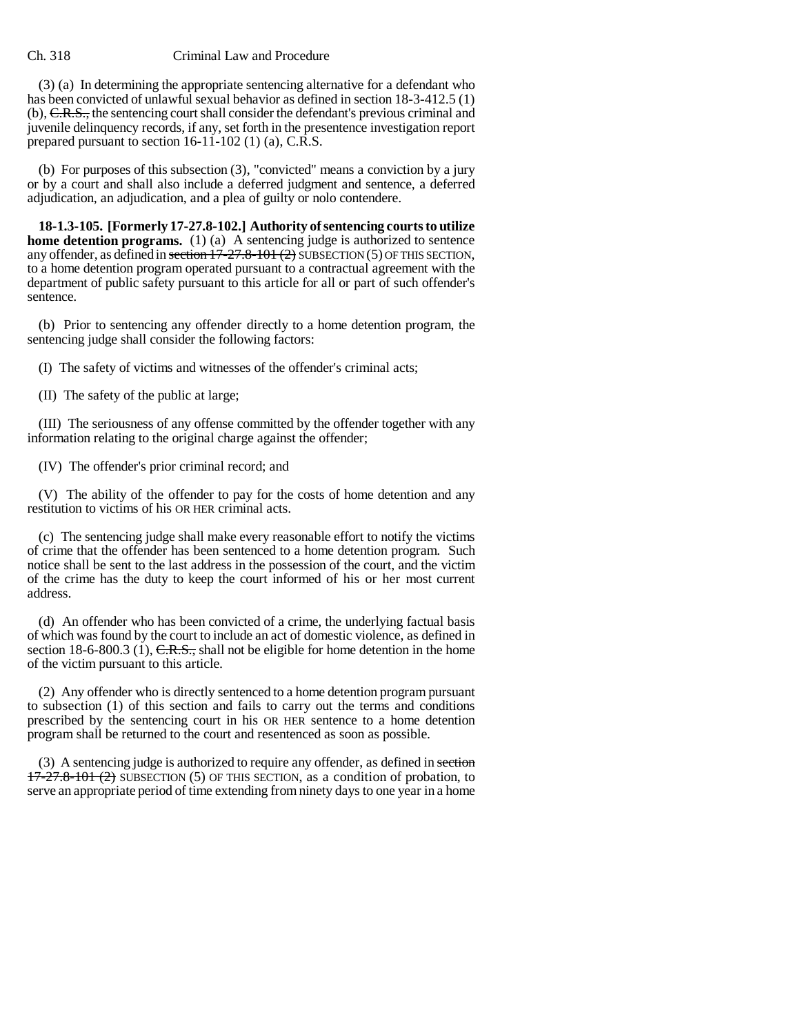(3) (a) In determining the appropriate sentencing alternative for a defendant who has been convicted of unlawful sexual behavior as defined in section 18-3-412.5 (1) (b), C.R.S., the sentencing court shall consider the defendant's previous criminal and juvenile delinquency records, if any, set forth in the presentence investigation report prepared pursuant to section 16-11-102 (1) (a), C.R.S.

(b) For purposes of this subsection (3), "convicted" means a conviction by a jury or by a court and shall also include a deferred judgment and sentence, a deferred adjudication, an adjudication, and a plea of guilty or nolo contendere.

**18-1.3-105. [Formerly 17-27.8-102.] Authority of sentencing courts to utilize home detention programs.** (1) (a) A sentencing judge is authorized to sentence any offender, as defined in section  $17-27.8-101(2)$  SUBSECTION (5) OF THIS SECTION, to a home detention program operated pursuant to a contractual agreement with the department of public safety pursuant to this article for all or part of such offender's sentence.

(b) Prior to sentencing any offender directly to a home detention program, the sentencing judge shall consider the following factors:

(I) The safety of victims and witnesses of the offender's criminal acts;

(II) The safety of the public at large;

(III) The seriousness of any offense committed by the offender together with any information relating to the original charge against the offender;

(IV) The offender's prior criminal record; and

(V) The ability of the offender to pay for the costs of home detention and any restitution to victims of his OR HER criminal acts.

(c) The sentencing judge shall make every reasonable effort to notify the victims of crime that the offender has been sentenced to a home detention program. Such notice shall be sent to the last address in the possession of the court, and the victim of the crime has the duty to keep the court informed of his or her most current address.

(d) An offender who has been convicted of a crime, the underlying factual basis of which was found by the court to include an act of domestic violence, as defined in section 18-6-800.3 (1),  $C.R.S.,$  shall not be eligible for home detention in the home of the victim pursuant to this article.

(2) Any offender who is directly sentenced to a home detention program pursuant to subsection (1) of this section and fails to carry out the terms and conditions prescribed by the sentencing court in his OR HER sentence to a home detention program shall be returned to the court and resentenced as soon as possible.

(3) A sentencing judge is authorized to require any offender, as defined in section 17-27.8-101 (2) SUBSECTION (5) OF THIS SECTION, as a condition of probation, to serve an appropriate period of time extending from ninety days to one year in a home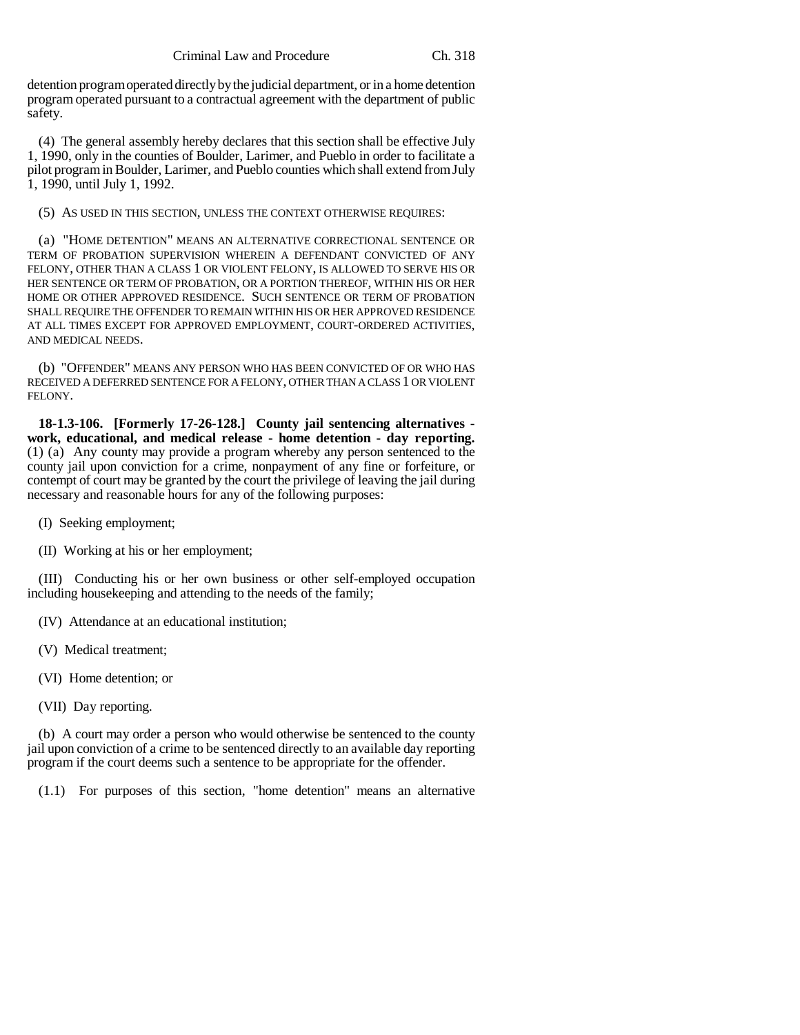detention program operated directly by the judicial department, or in a home detention program operated pursuant to a contractual agreement with the department of public safety.

(4) The general assembly hereby declares that this section shall be effective July 1, 1990, only in the counties of Boulder, Larimer, and Pueblo in order to facilitate a pilot program in Boulder, Larimer, and Pueblo counties which shall extend from July 1, 1990, until July 1, 1992.

(5) AS USED IN THIS SECTION, UNLESS THE CONTEXT OTHERWISE REQUIRES:

(a) "HOME DETENTION" MEANS AN ALTERNATIVE CORRECTIONAL SENTENCE OR TERM OF PROBATION SUPERVISION WHEREIN A DEFENDANT CONVICTED OF ANY FELONY, OTHER THAN A CLASS 1 OR VIOLENT FELONY, IS ALLOWED TO SERVE HIS OR HER SENTENCE OR TERM OF PROBATION, OR A PORTION THEREOF, WITHIN HIS OR HER HOME OR OTHER APPROVED RESIDENCE. SUCH SENTENCE OR TERM OF PROBATION SHALL REQUIRE THE OFFENDER TO REMAIN WITHIN HIS OR HER APPROVED RESIDENCE AT ALL TIMES EXCEPT FOR APPROVED EMPLOYMENT, COURT-ORDERED ACTIVITIES, AND MEDICAL NEEDS.

(b) "OFFENDER" MEANS ANY PERSON WHO HAS BEEN CONVICTED OF OR WHO HAS RECEIVED A DEFERRED SENTENCE FOR A FELONY, OTHER THAN A CLASS 1 OR VIOLENT FELONY.

**18-1.3-106. [Formerly 17-26-128.] County jail sentencing alternatives work, educational, and medical release - home detention - day reporting.** (1) (a) Any county may provide a program whereby any person sentenced to the county jail upon conviction for a crime, nonpayment of any fine or forfeiture, or contempt of court may be granted by the court the privilege of leaving the jail during necessary and reasonable hours for any of the following purposes:

(I) Seeking employment;

(II) Working at his or her employment;

(III) Conducting his or her own business or other self-employed occupation including housekeeping and attending to the needs of the family;

(IV) Attendance at an educational institution;

(V) Medical treatment;

(VI) Home detention; or

(VII) Day reporting.

(b) A court may order a person who would otherwise be sentenced to the county jail upon conviction of a crime to be sentenced directly to an available day reporting program if the court deems such a sentence to be appropriate for the offender.

(1.1) For purposes of this section, "home detention" means an alternative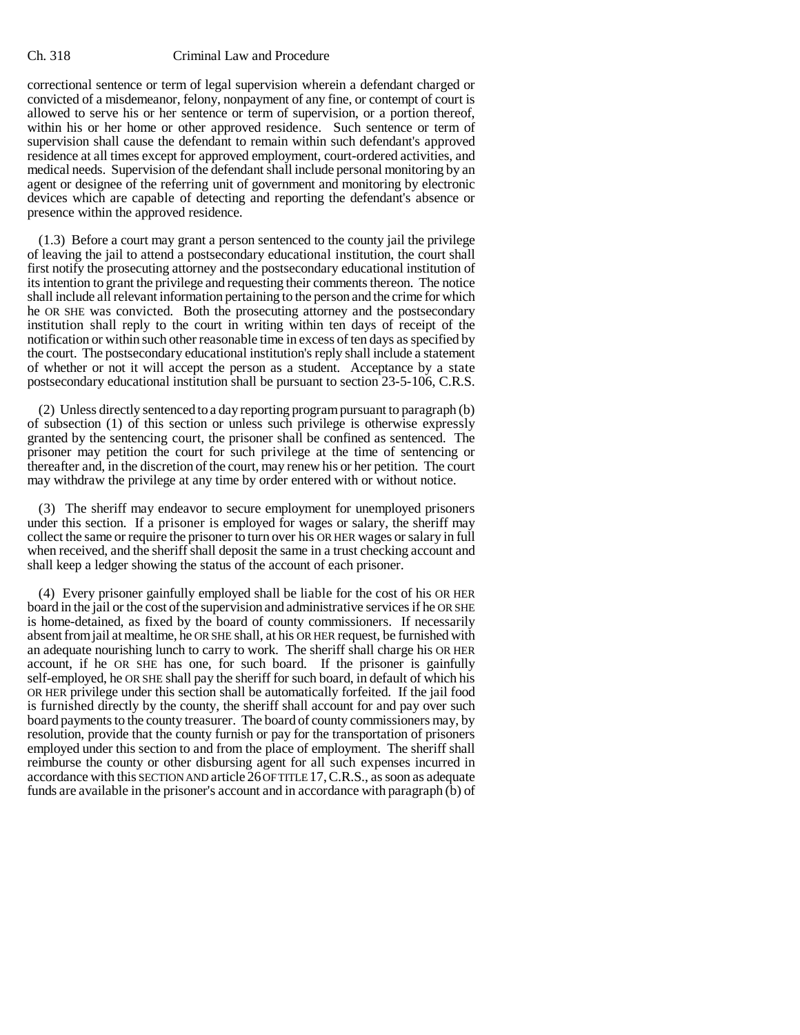correctional sentence or term of legal supervision wherein a defendant charged or convicted of a misdemeanor, felony, nonpayment of any fine, or contempt of court is allowed to serve his or her sentence or term of supervision, or a portion thereof, within his or her home or other approved residence. Such sentence or term of supervision shall cause the defendant to remain within such defendant's approved residence at all times except for approved employment, court-ordered activities, and medical needs. Supervision of the defendant shall include personal monitoring by an agent or designee of the referring unit of government and monitoring by electronic devices which are capable of detecting and reporting the defendant's absence or presence within the approved residence.

(1.3) Before a court may grant a person sentenced to the county jail the privilege of leaving the jail to attend a postsecondary educational institution, the court shall first notify the prosecuting attorney and the postsecondary educational institution of its intention to grant the privilege and requesting their comments thereon. The notice shall include all relevant information pertaining to the person and the crime for which he OR SHE was convicted. Both the prosecuting attorney and the postsecondary institution shall reply to the court in writing within ten days of receipt of the notification or within such other reasonable time in excess of ten days as specified by the court. The postsecondary educational institution's reply shall include a statement of whether or not it will accept the person as a student. Acceptance by a state postsecondary educational institution shall be pursuant to section 23-5-106, C.R.S.

(2) Unless directly sentenced to a day reporting program pursuant to paragraph (b) of subsection (1) of this section or unless such privilege is otherwise expressly granted by the sentencing court, the prisoner shall be confined as sentenced. The prisoner may petition the court for such privilege at the time of sentencing or thereafter and, in the discretion of the court, may renew his or her petition. The court may withdraw the privilege at any time by order entered with or without notice.

(3) The sheriff may endeavor to secure employment for unemployed prisoners under this section. If a prisoner is employed for wages or salary, the sheriff may collect the same or require the prisoner to turn over his OR HER wages or salary in full when received, and the sheriff shall deposit the same in a trust checking account and shall keep a ledger showing the status of the account of each prisoner.

(4) Every prisoner gainfully employed shall be liable for the cost of his OR HER board in the jail or the cost of the supervision and administrative services if he OR SHE is home-detained, as fixed by the board of county commissioners. If necessarily absent from jail at mealtime, he OR SHE shall, at his OR HER request, be furnished with an adequate nourishing lunch to carry to work. The sheriff shall charge his OR HER account, if he OR SHE has one, for such board. If the prisoner is gainfully self-employed, he OR SHE shall pay the sheriff for such board, in default of which his OR HER privilege under this section shall be automatically forfeited. If the jail food is furnished directly by the county, the sheriff shall account for and pay over such board payments to the county treasurer. The board of county commissioners may, by resolution, provide that the county furnish or pay for the transportation of prisoners employed under this section to and from the place of employment. The sheriff shall reimburse the county or other disbursing agent for all such expenses incurred in accordance with this SECTION AND article 26 OF TITLE 17,C.R.S., as soon as adequate funds are available in the prisoner's account and in accordance with paragraph (b) of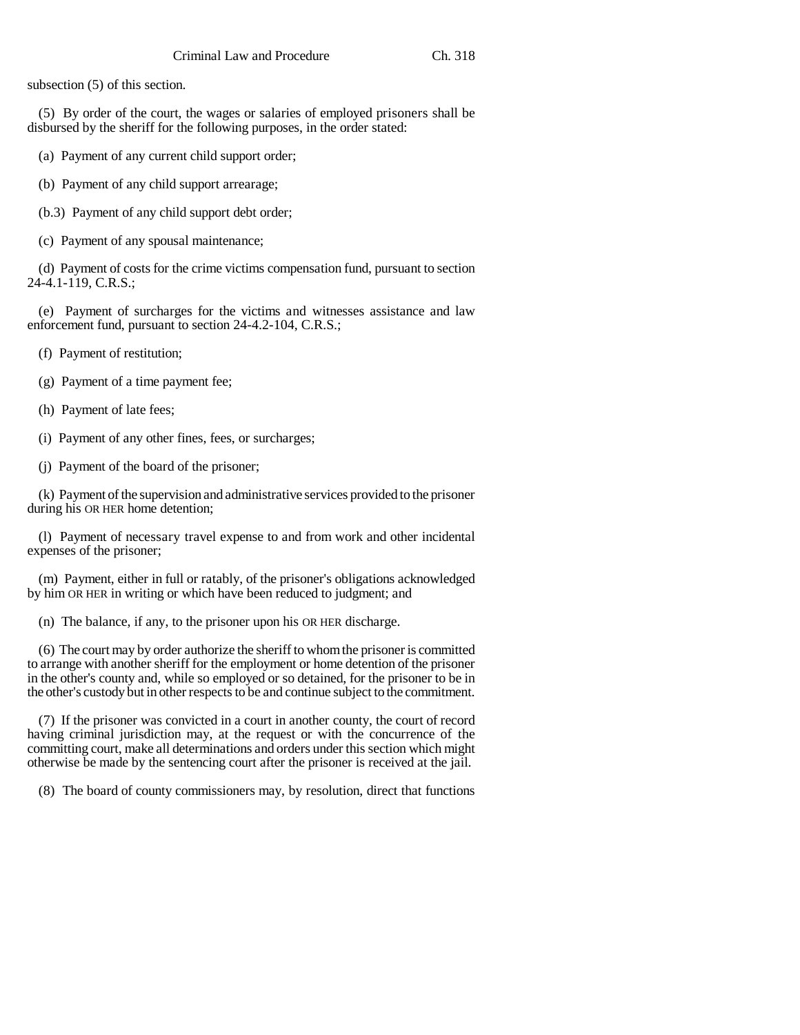subsection (5) of this section.

(5) By order of the court, the wages or salaries of employed prisoners shall be disbursed by the sheriff for the following purposes, in the order stated:

- (a) Payment of any current child support order;
- (b) Payment of any child support arrearage;
- (b.3) Payment of any child support debt order;
- (c) Payment of any spousal maintenance;

(d) Payment of costs for the crime victims compensation fund, pursuant to section 24-4.1-119, C.R.S.;

(e) Payment of surcharges for the victims and witnesses assistance and law enforcement fund, pursuant to section 24-4.2-104, C.R.S.;

- (f) Payment of restitution;
- (g) Payment of a time payment fee;
- (h) Payment of late fees;
- (i) Payment of any other fines, fees, or surcharges;
- (j) Payment of the board of the prisoner;

(k) Payment of the supervision and administrative services provided to the prisoner during his OR HER home detention;

(l) Payment of necessary travel expense to and from work and other incidental expenses of the prisoner;

(m) Payment, either in full or ratably, of the prisoner's obligations acknowledged by him OR HER in writing or which have been reduced to judgment; and

(n) The balance, if any, to the prisoner upon his OR HER discharge.

(6) The court may by order authorize the sheriff to whom the prisoner is committed to arrange with another sheriff for the employment or home detention of the prisoner in the other's county and, while so employed or so detained, for the prisoner to be in the other's custody but in other respects to be and continue subject to the commitment.

(7) If the prisoner was convicted in a court in another county, the court of record having criminal jurisdiction may, at the request or with the concurrence of the committing court, make all determinations and orders under this section which might otherwise be made by the sentencing court after the prisoner is received at the jail.

(8) The board of county commissioners may, by resolution, direct that functions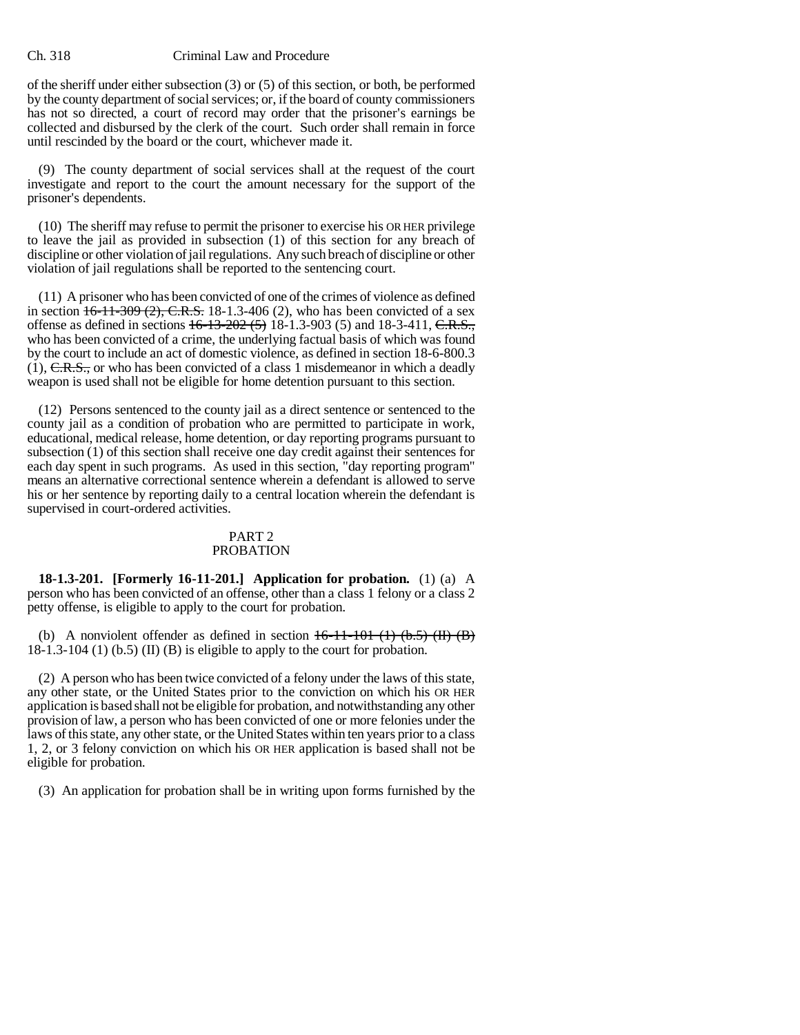of the sheriff under either subsection (3) or (5) of this section, or both, be performed by the county department of social services; or, if the board of county commissioners has not so directed, a court of record may order that the prisoner's earnings be collected and disbursed by the clerk of the court. Such order shall remain in force until rescinded by the board or the court, whichever made it.

(9) The county department of social services shall at the request of the court investigate and report to the court the amount necessary for the support of the prisoner's dependents.

(10) The sheriff may refuse to permit the prisoner to exercise his OR HER privilege to leave the jail as provided in subsection (1) of this section for any breach of discipline or other violation of jail regulations. Any such breach of discipline or other violation of jail regulations shall be reported to the sentencing court.

(11) A prisoner who has been convicted of one of the crimes of violence as defined in section  $16-11-309$  (2), C.R.S. 18-1.3-406 (2), who has been convicted of a sex offense as defined in sections  $16-13-202(5)$  18-1.3-903 (5) and 18-3-411, C.R.S., who has been convicted of a crime, the underlying factual basis of which was found by the court to include an act of domestic violence, as defined in section 18-6-800.3 (1), C.R.S., or who has been convicted of a class 1 misdemeanor in which a deadly weapon is used shall not be eligible for home detention pursuant to this section.

(12) Persons sentenced to the county jail as a direct sentence or sentenced to the county jail as a condition of probation who are permitted to participate in work, educational, medical release, home detention, or day reporting programs pursuant to subsection (1) of this section shall receive one day credit against their sentences for each day spent in such programs. As used in this section, "day reporting program" means an alternative correctional sentence wherein a defendant is allowed to serve his or her sentence by reporting daily to a central location wherein the defendant is supervised in court-ordered activities.

#### PART 2 PROBATION

**18-1.3-201. [Formerly 16-11-201.] Application for probation.** (1) (a) A person who has been convicted of an offense, other than a class 1 felony or a class 2 petty offense, is eligible to apply to the court for probation.

(b) A nonviolent offender as defined in section  $16-11-101$  (1)  $(b.5)$  (II) (B) 18-1.3-104 (1) (b.5) (II) (B) is eligible to apply to the court for probation.

(2) A person who has been twice convicted of a felony under the laws of this state, any other state, or the United States prior to the conviction on which his OR HER application is based shall not be eligible for probation, and notwithstanding any other provision of law, a person who has been convicted of one or more felonies under the laws of this state, any other state, or the United States within ten years prior to a class 1, 2, or 3 felony conviction on which his OR HER application is based shall not be eligible for probation.

(3) An application for probation shall be in writing upon forms furnished by the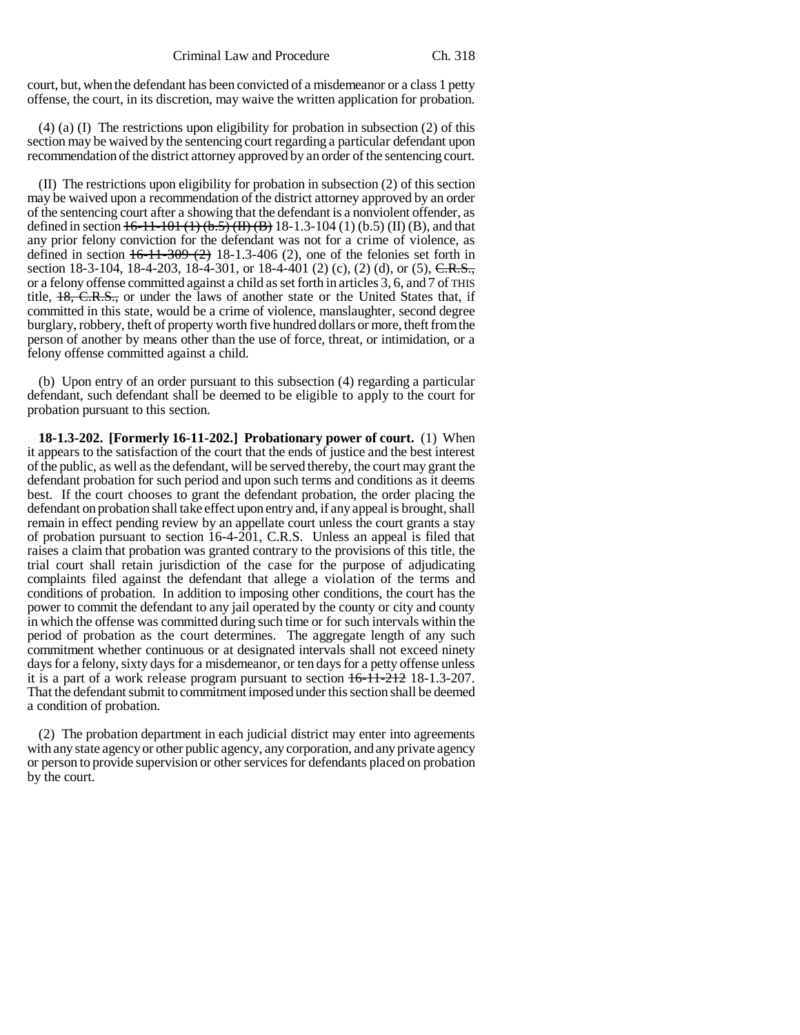court, but, when the defendant has been convicted of a misdemeanor or a class 1 petty offense, the court, in its discretion, may waive the written application for probation.

(4) (a) (I) The restrictions upon eligibility for probation in subsection (2) of this section may be waived by the sentencing court regarding a particular defendant upon recommendation of the district attorney approved by an order of the sentencing court.

(II) The restrictions upon eligibility for probation in subsection (2) of this section may be waived upon a recommendation of the district attorney approved by an order of the sentencing court after a showing that the defendant is a nonviolent offender, as defined in section  $16-11-101 (1) (b.5) (H) (B) 18-1.3-104 (1) (b.5) (II) (B)$ , and that any prior felony conviction for the defendant was not for a crime of violence, as defined in section  $16-11-309(2)$  18-1.3-406 (2), one of the felonies set forth in section 18-3-104, 18-4-203, 18-4-301, or 18-4-401 (2) (c), (2) (d), or (5),  $\overline{C.R.S.,}$ or a felony offense committed against a child as set forth in articles 3, 6, and 7 of THIS title, 18, C.R.S., or under the laws of another state or the United States that, if committed in this state, would be a crime of violence, manslaughter, second degree burglary, robbery, theft of property worth five hundred dollars or more, theft from the person of another by means other than the use of force, threat, or intimidation, or a felony offense committed against a child.

(b) Upon entry of an order pursuant to this subsection (4) regarding a particular defendant, such defendant shall be deemed to be eligible to apply to the court for probation pursuant to this section.

**18-1.3-202. [Formerly 16-11-202.] Probationary power of court.** (1) When it appears to the satisfaction of the court that the ends of justice and the best interest of the public, as well as the defendant, will be served thereby, the court may grant the defendant probation for such period and upon such terms and conditions as it deems best. If the court chooses to grant the defendant probation, the order placing the defendant on probation shall take effect upon entry and, if any appeal is brought, shall remain in effect pending review by an appellate court unless the court grants a stay of probation pursuant to section 16-4-201, C.R.S. Unless an appeal is filed that raises a claim that probation was granted contrary to the provisions of this title, the trial court shall retain jurisdiction of the case for the purpose of adjudicating complaints filed against the defendant that allege a violation of the terms and conditions of probation. In addition to imposing other conditions, the court has the power to commit the defendant to any jail operated by the county or city and county in which the offense was committed during such time or for such intervals within the period of probation as the court determines. The aggregate length of any such commitment whether continuous or at designated intervals shall not exceed ninety days for a felony, sixty days for a misdemeanor, or ten days for a petty offense unless it is a part of a work release program pursuant to section 16-11-212 18-1.3-207. That the defendant submit to commitment imposed under this section shall be deemed a condition of probation.

(2) The probation department in each judicial district may enter into agreements with any state agency or other public agency, any corporation, and any private agency or person to provide supervision or other services for defendants placed on probation by the court.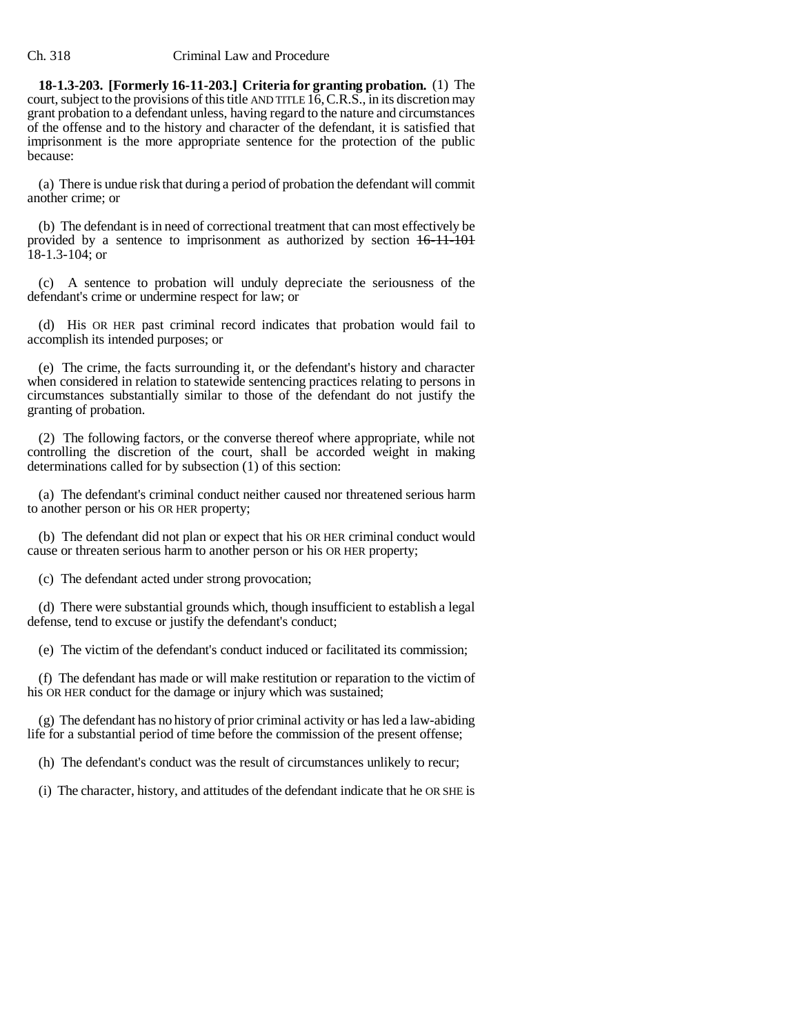**18-1.3-203. [Formerly 16-11-203.] Criteria for granting probation.** (1) The court, subject to the provisions of this title AND TITLE  $16$ , C.R.S., in its discretion may grant probation to a defendant unless, having regard to the nature and circumstances of the offense and to the history and character of the defendant, it is satisfied that imprisonment is the more appropriate sentence for the protection of the public because:

(a) There is undue risk that during a period of probation the defendant will commit another crime; or

(b) The defendant is in need of correctional treatment that can most effectively be provided by a sentence to imprisonment as authorized by section  $16-11-101$ 18-1.3-104; or

(c) A sentence to probation will unduly depreciate the seriousness of the defendant's crime or undermine respect for law; or

(d) His OR HER past criminal record indicates that probation would fail to accomplish its intended purposes; or

(e) The crime, the facts surrounding it, or the defendant's history and character when considered in relation to statewide sentencing practices relating to persons in circumstances substantially similar to those of the defendant do not justify the granting of probation.

(2) The following factors, or the converse thereof where appropriate, while not controlling the discretion of the court, shall be accorded weight in making determinations called for by subsection (1) of this section:

(a) The defendant's criminal conduct neither caused nor threatened serious harm to another person or his OR HER property;

(b) The defendant did not plan or expect that his OR HER criminal conduct would cause or threaten serious harm to another person or his OR HER property;

(c) The defendant acted under strong provocation;

(d) There were substantial grounds which, though insufficient to establish a legal defense, tend to excuse or justify the defendant's conduct;

(e) The victim of the defendant's conduct induced or facilitated its commission;

(f) The defendant has made or will make restitution or reparation to the victim of his OR HER conduct for the damage or injury which was sustained;

(g) The defendant has no history of prior criminal activity or has led a law-abiding life for a substantial period of time before the commission of the present offense;

(h) The defendant's conduct was the result of circumstances unlikely to recur;

(i) The character, history, and attitudes of the defendant indicate that he OR SHE is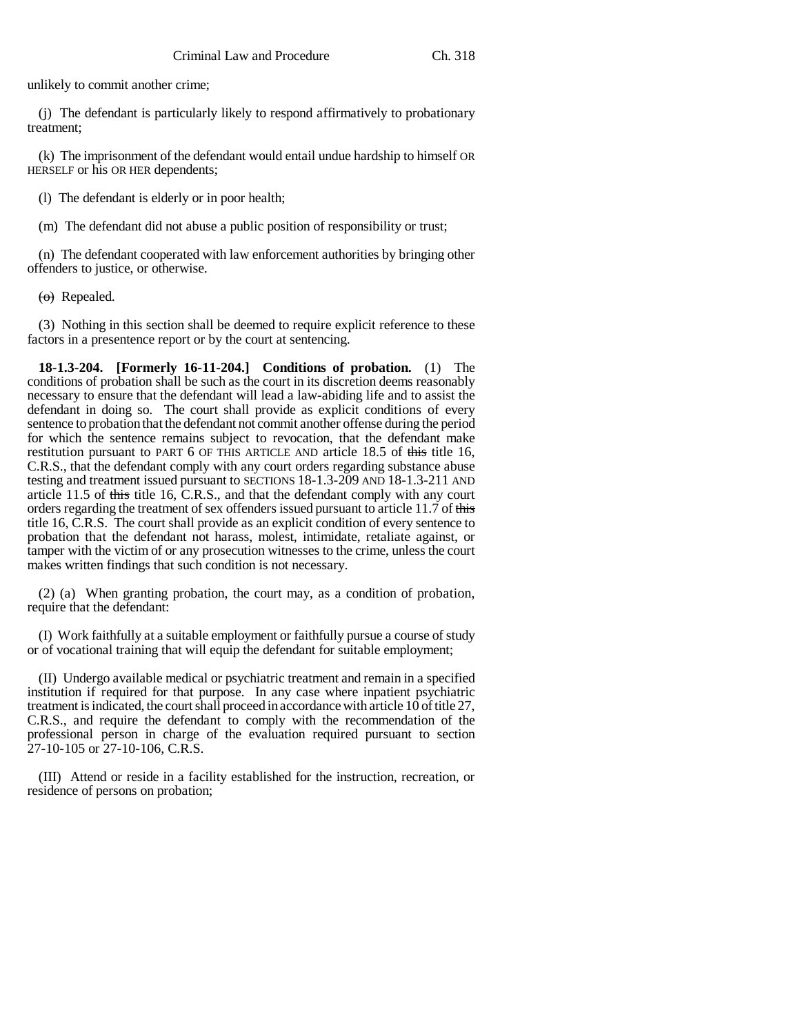unlikely to commit another crime;

(j) The defendant is particularly likely to respond affirmatively to probationary treatment;

(k) The imprisonment of the defendant would entail undue hardship to himself OR HERSELF or his OR HER dependents;

(l) The defendant is elderly or in poor health;

(m) The defendant did not abuse a public position of responsibility or trust;

(n) The defendant cooperated with law enforcement authorities by bringing other offenders to justice, or otherwise.

 $\leftrightarrow$  Repealed.

(3) Nothing in this section shall be deemed to require explicit reference to these factors in a presentence report or by the court at sentencing.

**18-1.3-204. [Formerly 16-11-204.] Conditions of probation.** (1) The conditions of probation shall be such as the court in its discretion deems reasonably necessary to ensure that the defendant will lead a law-abiding life and to assist the defendant in doing so. The court shall provide as explicit conditions of every sentence to probation that the defendant not commit another offense during the period for which the sentence remains subject to revocation, that the defendant make restitution pursuant to PART 6 OF THIS ARTICLE AND article 18.5 of this title 16, C.R.S., that the defendant comply with any court orders regarding substance abuse testing and treatment issued pursuant to SECTIONS 18-1.3-209 AND 18-1.3-211 AND article 11.5 of this title 16, C.R.S., and that the defendant comply with any court orders regarding the treatment of sex offenders issued pursuant to article 11.7 of this title 16, C.R.S. The court shall provide as an explicit condition of every sentence to probation that the defendant not harass, molest, intimidate, retaliate against, or tamper with the victim of or any prosecution witnesses to the crime, unless the court makes written findings that such condition is not necessary.

(2) (a) When granting probation, the court may, as a condition of probation, require that the defendant:

(I) Work faithfully at a suitable employment or faithfully pursue a course of study or of vocational training that will equip the defendant for suitable employment;

(II) Undergo available medical or psychiatric treatment and remain in a specified institution if required for that purpose. In any case where inpatient psychiatric treatment is indicated, the court shall proceed in accordance with article 10 of title 27, C.R.S., and require the defendant to comply with the recommendation of the professional person in charge of the evaluation required pursuant to section 27-10-105 or 27-10-106, C.R.S.

(III) Attend or reside in a facility established for the instruction, recreation, or residence of persons on probation;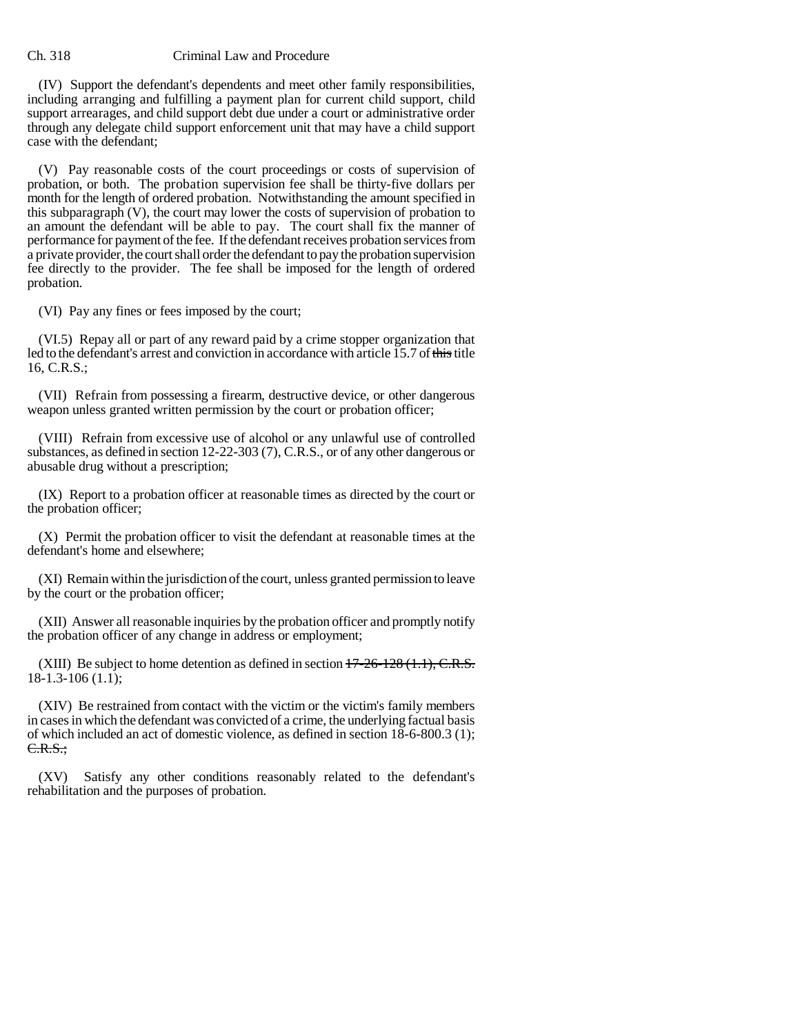(IV) Support the defendant's dependents and meet other family responsibilities, including arranging and fulfilling a payment plan for current child support, child support arrearages, and child support debt due under a court or administrative order through any delegate child support enforcement unit that may have a child support case with the defendant;

(V) Pay reasonable costs of the court proceedings or costs of supervision of probation, or both. The probation supervision fee shall be thirty-five dollars per month for the length of ordered probation. Notwithstanding the amount specified in this subparagraph (V), the court may lower the costs of supervision of probation to an amount the defendant will be able to pay. The court shall fix the manner of performance for payment of the fee. If the defendant receives probation services from a private provider, the court shall order the defendant to pay the probation supervision fee directly to the provider. The fee shall be imposed for the length of ordered probation.

(VI) Pay any fines or fees imposed by the court;

(VI.5) Repay all or part of any reward paid by a crime stopper organization that led to the defendant's arrest and conviction in accordance with article 15.7 of this title 16, C.R.S.;

(VII) Refrain from possessing a firearm, destructive device, or other dangerous weapon unless granted written permission by the court or probation officer;

(VIII) Refrain from excessive use of alcohol or any unlawful use of controlled substances, as defined in section 12-22-303 (7), C.R.S., or of any other dangerous or abusable drug without a prescription;

(IX) Report to a probation officer at reasonable times as directed by the court or the probation officer;

(X) Permit the probation officer to visit the defendant at reasonable times at the defendant's home and elsewhere;

(XI) Remain within the jurisdiction of the court, unless granted permission to leave by the court or the probation officer;

(XII) Answer all reasonable inquiries by the probation officer and promptly notify the probation officer of any change in address or employment;

(XIII) Be subject to home detention as defined in section  $17-26-128$  (1.1), C.R.S.  $18-1.3-106(1.1)$ ;

(XIV) Be restrained from contact with the victim or the victim's family members in cases in which the defendant was convicted of a crime, the underlying factual basis of which included an act of domestic violence, as defined in section 18-6-800.3 (1);  $C.R.S.:$ 

(XV) Satisfy any other conditions reasonably related to the defendant's rehabilitation and the purposes of probation.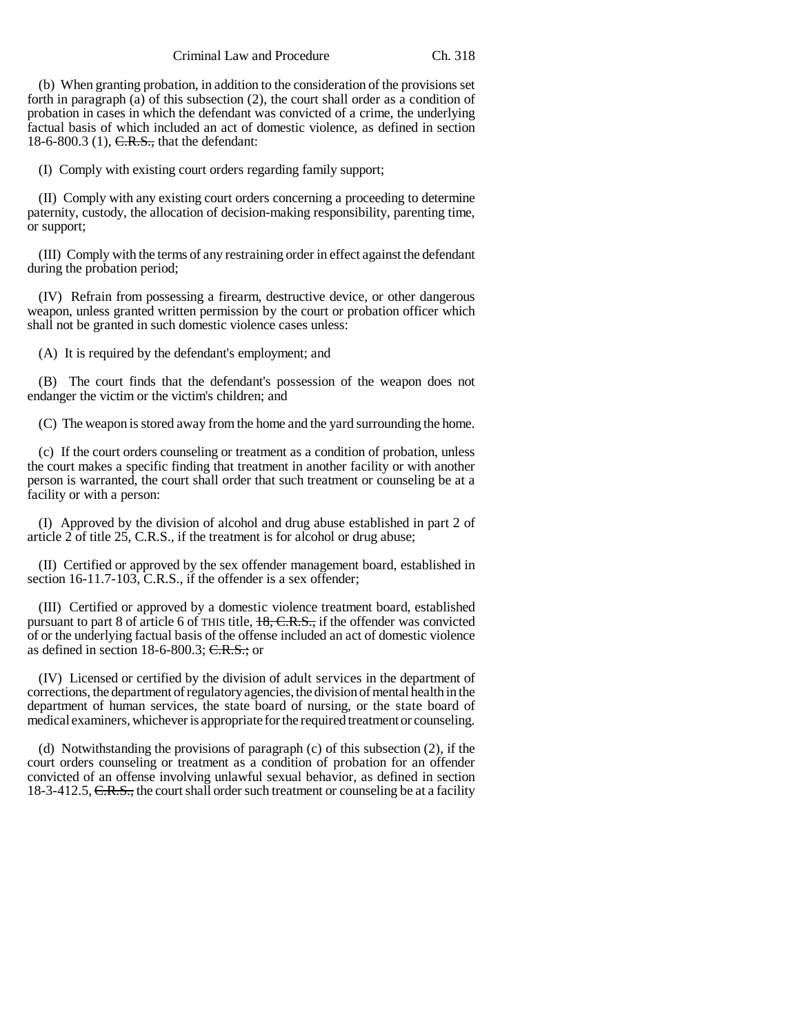(b) When granting probation, in addition to the consideration of the provisions set forth in paragraph (a) of this subsection (2), the court shall order as a condition of probation in cases in which the defendant was convicted of a crime, the underlying factual basis of which included an act of domestic violence, as defined in section 18-6-800.3 (1), C.R.S., that the defendant:

(I) Comply with existing court orders regarding family support;

(II) Comply with any existing court orders concerning a proceeding to determine paternity, custody, the allocation of decision-making responsibility, parenting time, or support;

(III) Comply with the terms of any restraining order in effect against the defendant during the probation period;

(IV) Refrain from possessing a firearm, destructive device, or other dangerous weapon, unless granted written permission by the court or probation officer which shall not be granted in such domestic violence cases unless:

(A) It is required by the defendant's employment; and

(B) The court finds that the defendant's possession of the weapon does not endanger the victim or the victim's children; and

(C) The weapon is stored away from the home and the yard surrounding the home.

(c) If the court orders counseling or treatment as a condition of probation, unless the court makes a specific finding that treatment in another facility or with another person is warranted, the court shall order that such treatment or counseling be at a facility or with a person:

(I) Approved by the division of alcohol and drug abuse established in part 2 of article 2 of title 25, C.R.S., if the treatment is for alcohol or drug abuse;

(II) Certified or approved by the sex offender management board, established in section 16-11.7-103, C.R.S., if the offender is a sex offender;

(III) Certified or approved by a domestic violence treatment board, established pursuant to part 8 of article 6 of THIS title,  $18, C.R.S.,$  if the offender was convicted of or the underlying factual basis of the offense included an act of domestic violence as defined in section 18-6-800.3; C.R.S.; or

(IV) Licensed or certified by the division of adult services in the department of corrections, the department of regulatory agencies, the division of mental health in the department of human services, the state board of nursing, or the state board of medical examiners, whichever is appropriate for the required treatment or counseling.

(d) Notwithstanding the provisions of paragraph (c) of this subsection (2), if the court orders counseling or treatment as a condition of probation for an offender convicted of an offense involving unlawful sexual behavior, as defined in section 18-3-412.5, C.R.S., the court shall order such treatment or counseling be at a facility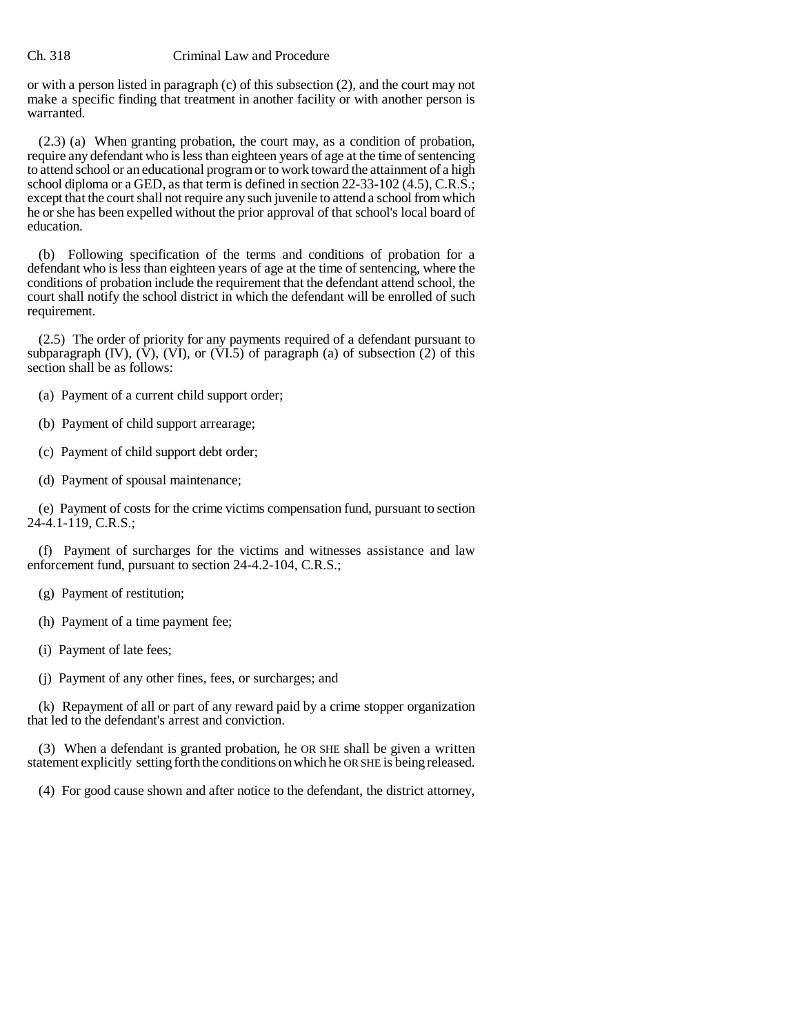or with a person listed in paragraph (c) of this subsection (2), and the court may not make a specific finding that treatment in another facility or with another person is warranted.

(2.3) (a) When granting probation, the court may, as a condition of probation, require any defendant who is less than eighteen years of age at the time of sentencing to attend school or an educational program or to work toward the attainment of a high school diploma or a GED, as that term is defined in section 22-33-102 (4.5), C.R.S.; except that the court shall not require any such juvenile to attend a school from which he or she has been expelled without the prior approval of that school's local board of education.

(b) Following specification of the terms and conditions of probation for a defendant who is less than eighteen years of age at the time of sentencing, where the conditions of probation include the requirement that the defendant attend school, the court shall notify the school district in which the defendant will be enrolled of such requirement.

(2.5) The order of priority for any payments required of a defendant pursuant to subparagraph (IV),  $(\dot{V})$ ,  $(\dot{V})$ , or  $(\dot{V}I.5)$  of paragraph (a) of subsection (2) of this section shall be as follows:

- (a) Payment of a current child support order;
- (b) Payment of child support arrearage;
- (c) Payment of child support debt order;
- (d) Payment of spousal maintenance;

(e) Payment of costs for the crime victims compensation fund, pursuant to section 24-4.1-119, C.R.S.;

(f) Payment of surcharges for the victims and witnesses assistance and law enforcement fund, pursuant to section 24-4.2-104, C.R.S.;

(g) Payment of restitution;

- (h) Payment of a time payment fee;
- (i) Payment of late fees;
- (j) Payment of any other fines, fees, or surcharges; and

(k) Repayment of all or part of any reward paid by a crime stopper organization that led to the defendant's arrest and conviction.

(3) When a defendant is granted probation, he OR SHE shall be given a written statement explicitly setting forth the conditions on which he OR SHE is being released.

(4) For good cause shown and after notice to the defendant, the district attorney,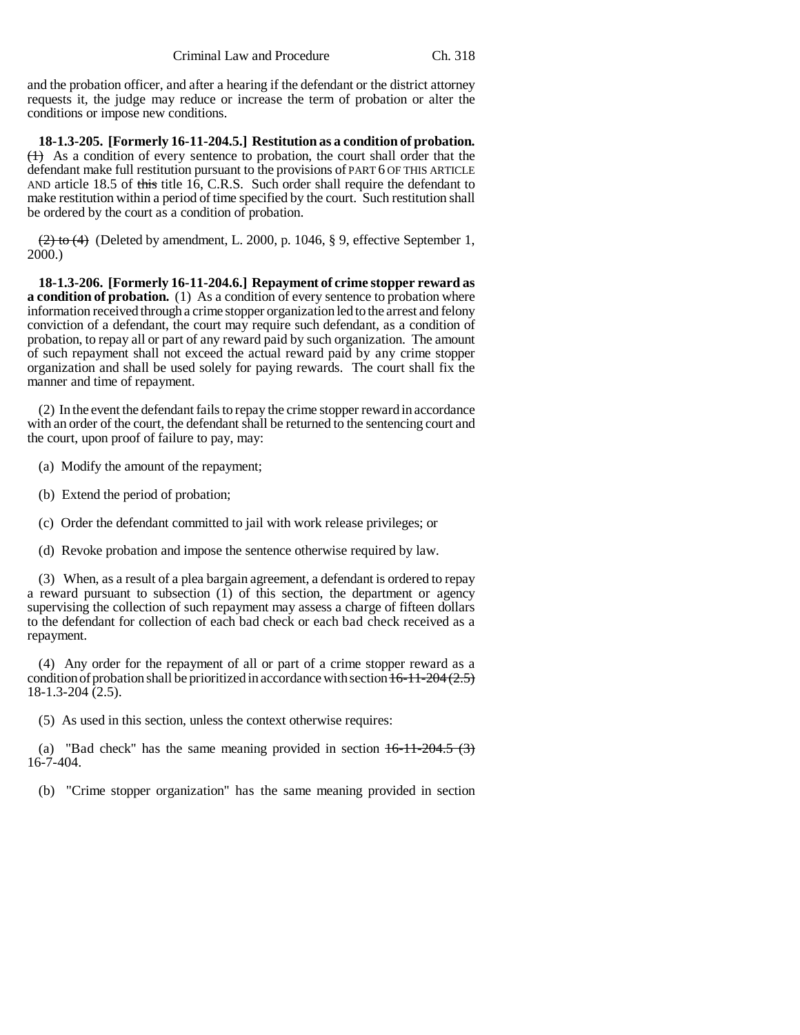and the probation officer, and after a hearing if the defendant or the district attorney requests it, the judge may reduce or increase the term of probation or alter the conditions or impose new conditions.

**18-1.3-205. [Formerly 16-11-204.5.] Restitution as a condition of probation.** (1) As a condition of every sentence to probation, the court shall order that the defendant make full restitution pursuant to the provisions of PART 6 OF THIS ARTICLE AND article 18.5 of this title 16, C.R.S. Such order shall require the defendant to make restitution within a period of time specified by the court. Such restitution shall be ordered by the court as a condition of probation.

 $(2)$  to  $(4)$  (Deleted by amendment, L. 2000, p. 1046, § 9, effective September 1, 2000.)

**18-1.3-206. [Formerly 16-11-204.6.] Repayment of crime stopper reward as a condition of probation.** (1) As a condition of every sentence to probation where information received through a crime stopper organization led to the arrest and felony conviction of a defendant, the court may require such defendant, as a condition of probation, to repay all or part of any reward paid by such organization. The amount of such repayment shall not exceed the actual reward paid by any crime stopper organization and shall be used solely for paying rewards. The court shall fix the manner and time of repayment.

(2) In the event the defendant fails to repay the crime stopper reward in accordance with an order of the court, the defendant shall be returned to the sentencing court and the court, upon proof of failure to pay, may:

(a) Modify the amount of the repayment;

(b) Extend the period of probation;

(c) Order the defendant committed to jail with work release privileges; or

(d) Revoke probation and impose the sentence otherwise required by law.

(3) When, as a result of a plea bargain agreement, a defendant is ordered to repay a reward pursuant to subsection  $(1)$  of this section, the department or agency supervising the collection of such repayment may assess a charge of fifteen dollars to the defendant for collection of each bad check or each bad check received as a repayment.

(4) Any order for the repayment of all or part of a crime stopper reward as a condition of probation shall be prioritized in accordance with section  $\overline{16-11-204(2.5)}$  $18-1.3-204(2.5)$ .

(5) As used in this section, unless the context otherwise requires:

(a) "Bad check" has the same meaning provided in section  $16-11-204.5$  (3) 16-7-404.

(b) "Crime stopper organization" has the same meaning provided in section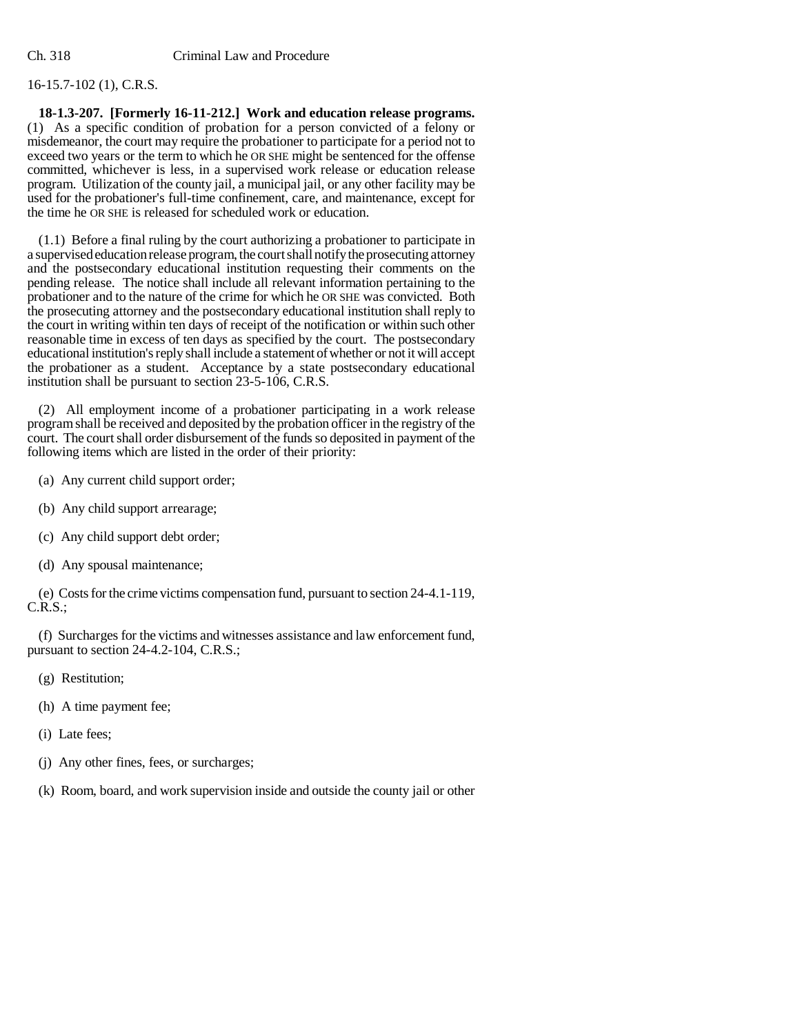### 16-15.7-102 (1), C.R.S.

**18-1.3-207. [Formerly 16-11-212.] Work and education release programs.** (1) As a specific condition of probation for a person convicted of a felony or misdemeanor, the court may require the probationer to participate for a period not to exceed two years or the term to which he OR SHE might be sentenced for the offense committed, whichever is less, in a supervised work release or education release program. Utilization of the county jail, a municipal jail, or any other facility may be used for the probationer's full-time confinement, care, and maintenance, except for the time he OR SHE is released for scheduled work or education.

(1.1) Before a final ruling by the court authorizing a probationer to participate in a supervised education release program, the court shall notify the prosecuting attorney and the postsecondary educational institution requesting their comments on the pending release. The notice shall include all relevant information pertaining to the probationer and to the nature of the crime for which he OR SHE was convicted. Both the prosecuting attorney and the postsecondary educational institution shall reply to the court in writing within ten days of receipt of the notification or within such other reasonable time in excess of ten days as specified by the court. The postsecondary educational institution's reply shall include a statement of whether or not it will accept the probationer as a student. Acceptance by a state postsecondary educational institution shall be pursuant to section 23-5-106, C.R.S.

(2) All employment income of a probationer participating in a work release program shall be received and deposited by the probation officer in the registry of the court. The court shall order disbursement of the funds so deposited in payment of the following items which are listed in the order of their priority:

- (a) Any current child support order;
- (b) Any child support arrearage;
- (c) Any child support debt order;
- (d) Any spousal maintenance;

(e) Costs for the crime victims compensation fund, pursuant to section 24-4.1-119,  $C.R.S.:$ 

(f) Surcharges for the victims and witnesses assistance and law enforcement fund, pursuant to section 24-4.2-104, C.R.S.;

- (g) Restitution;
- (h) A time payment fee;
- (i) Late fees;
- (j) Any other fines, fees, or surcharges;
- (k) Room, board, and work supervision inside and outside the county jail or other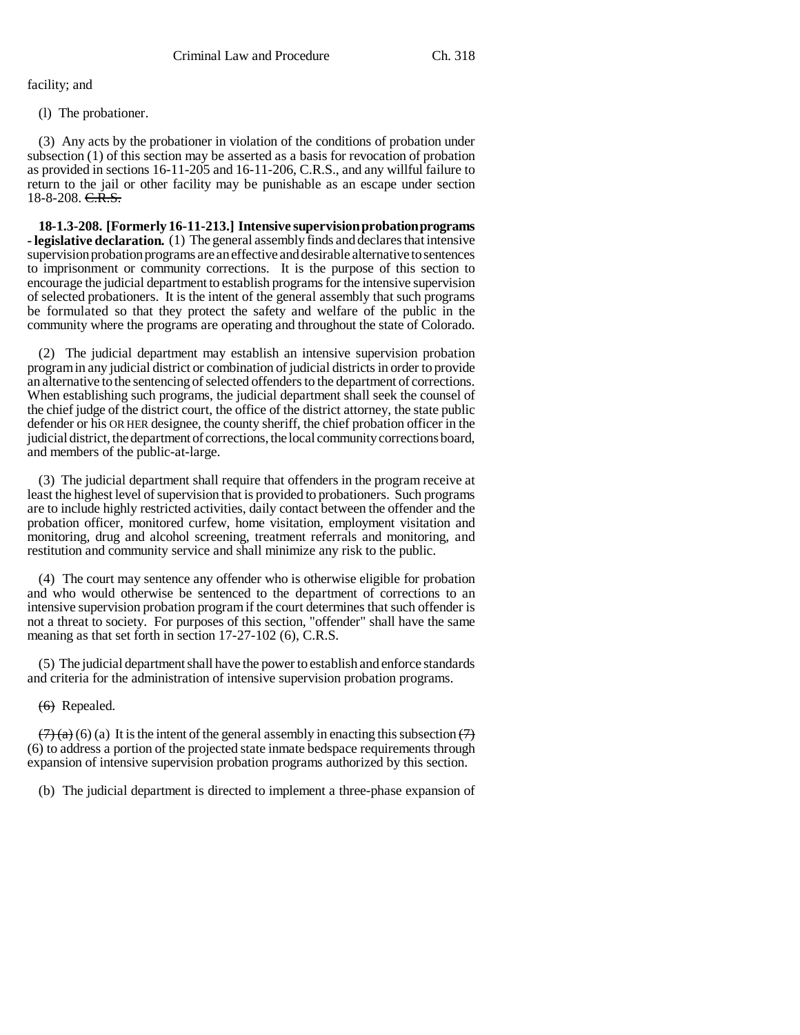### facility; and

### (l) The probationer.

(3) Any acts by the probationer in violation of the conditions of probation under subsection (1) of this section may be asserted as a basis for revocation of probation as provided in sections 16-11-205 and 16-11-206, C.R.S., and any willful failure to return to the jail or other facility may be punishable as an escape under section  $18-8-208.$  C.R.S.

**18-1.3-208. [Formerly 16-11-213.] Intensive supervision probation programs - legislative declaration.** (1) The general assembly finds and declares that intensive supervision probation programs are an effective and desirable alternative to sentences to imprisonment or community corrections. It is the purpose of this section to encourage the judicial department to establish programs for the intensive supervision of selected probationers. It is the intent of the general assembly that such programs be formulated so that they protect the safety and welfare of the public in the community where the programs are operating and throughout the state of Colorado.

(2) The judicial department may establish an intensive supervision probation program in any judicial district or combination of judicial districts in order to provide an alternative to the sentencing of selected offenders to the department of corrections. When establishing such programs, the judicial department shall seek the counsel of the chief judge of the district court, the office of the district attorney, the state public defender or his OR HER designee, the county sheriff, the chief probation officer in the judicial district, the department of corrections, the local community corrections board, and members of the public-at-large.

(3) The judicial department shall require that offenders in the program receive at least the highest level of supervision that is provided to probationers. Such programs are to include highly restricted activities, daily contact between the offender and the probation officer, monitored curfew, home visitation, employment visitation and monitoring, drug and alcohol screening, treatment referrals and monitoring, and restitution and community service and shall minimize any risk to the public.

(4) The court may sentence any offender who is otherwise eligible for probation and who would otherwise be sentenced to the department of corrections to an intensive supervision probation program if the court determines that such offender is not a threat to society. For purposes of this section, "offender" shall have the same meaning as that set forth in section 17-27-102 (6), C.R.S.

(5) The judicial department shall have the power to establish and enforce standards and criteria for the administration of intensive supervision probation programs.

### (6) Repealed.

 $(7)$  (a) (6) (a) It is the intent of the general assembly in enacting this subsection  $(7)$ (6) to address a portion of the projected state inmate bedspace requirements through expansion of intensive supervision probation programs authorized by this section.

(b) The judicial department is directed to implement a three-phase expansion of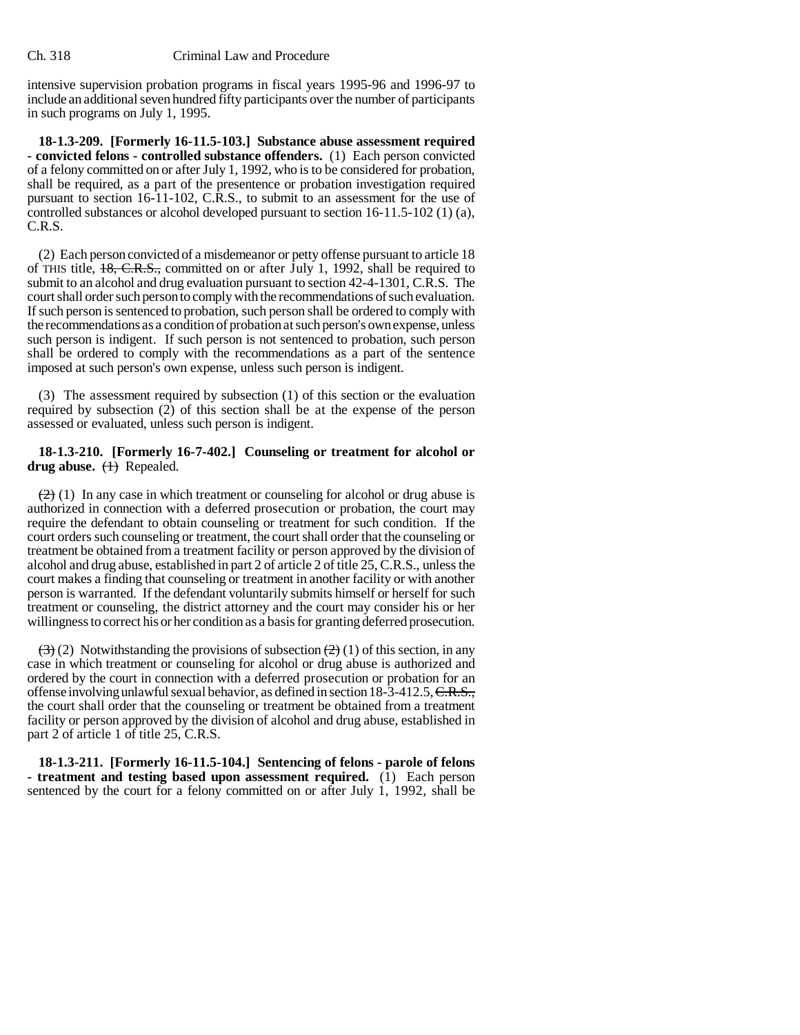intensive supervision probation programs in fiscal years 1995-96 and 1996-97 to include an additional seven hundred fifty participants over the number of participants in such programs on July 1, 1995.

**18-1.3-209. [Formerly 16-11.5-103.] Substance abuse assessment required - convicted felons - controlled substance offenders.** (1) Each person convicted of a felony committed on or after July 1, 1992, who is to be considered for probation, shall be required, as a part of the presentence or probation investigation required pursuant to section 16-11-102, C.R.S., to submit to an assessment for the use of controlled substances or alcohol developed pursuant to section 16-11.5-102 (1) (a), C.R.S.

(2) Each person convicted of a misdemeanor or petty offense pursuant to article 18 of THIS title,  $18, \text{C.R.S.}$ , committed on or after July 1, 1992, shall be required to submit to an alcohol and drug evaluation pursuant to section 42-4-1301, C.R.S. The court shall order such person to comply with the recommendations of such evaluation. If such person is sentenced to probation, such person shall be ordered to comply with the recommendations as a condition of probation at such person's own expense, unless such person is indigent. If such person is not sentenced to probation, such person shall be ordered to comply with the recommendations as a part of the sentence imposed at such person's own expense, unless such person is indigent.

(3) The assessment required by subsection (1) of this section or the evaluation required by subsection  $(2)$  of this section shall be at the expense of the person assessed or evaluated, unless such person is indigent.

### **18-1.3-210. [Formerly 16-7-402.] Counseling or treatment for alcohol or** drug abuse. (<del>1)</del> Repealed.

 $(2)$  (1) In any case in which treatment or counseling for alcohol or drug abuse is authorized in connection with a deferred prosecution or probation, the court may require the defendant to obtain counseling or treatment for such condition. If the court orders such counseling or treatment, the court shall order that the counseling or treatment be obtained from a treatment facility or person approved by the division of alcohol and drug abuse, established in part 2 of article 2 of title 25, C.R.S., unless the court makes a finding that counseling or treatment in another facility or with another person is warranted. If the defendant voluntarily submits himself or herself for such treatment or counseling, the district attorney and the court may consider his or her willingness to correct his or her condition as a basis for granting deferred prosecution.

 $(3)(2)$  Notwithstanding the provisions of subsection  $(2)(1)$  of this section, in any case in which treatment or counseling for alcohol or drug abuse is authorized and ordered by the court in connection with a deferred prosecution or probation for an offense involving unlawful sexual behavior, as defined in section  $18-3-412.5$ ,  $\epsilon$ -R.S., the court shall order that the counseling or treatment be obtained from a treatment facility or person approved by the division of alcohol and drug abuse, established in part 2 of article 1 of title 25, C.R.S.

**18-1.3-211. [Formerly 16-11.5-104.] Sentencing of felons - parole of felons - treatment and testing based upon assessment required.** (1) Each person sentenced by the court for a felony committed on or after July 1, 1992, shall be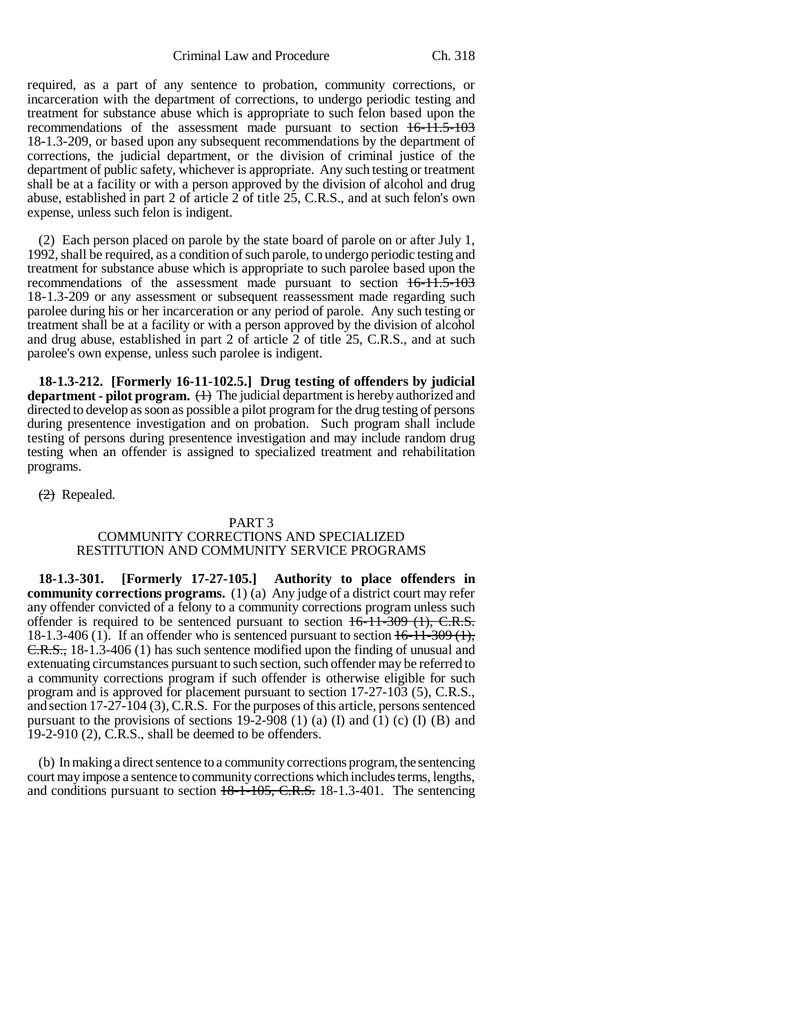required, as a part of any sentence to probation, community corrections, or incarceration with the department of corrections, to undergo periodic testing and treatment for substance abuse which is appropriate to such felon based upon the recommendations of the assessment made pursuant to section  $16-11.5-103$ 18-1.3-209, or based upon any subsequent recommendations by the department of corrections, the judicial department, or the division of criminal justice of the department of public safety, whichever is appropriate. Any such testing or treatment shall be at a facility or with a person approved by the division of alcohol and drug abuse, established in part 2 of article 2 of title 25, C.R.S., and at such felon's own expense, unless such felon is indigent.

(2) Each person placed on parole by the state board of parole on or after July 1, 1992, shall be required, as a condition of such parole, to undergo periodic testing and treatment for substance abuse which is appropriate to such parolee based upon the recommendations of the assessment made pursuant to section  $16-11.5-103$ 18-1.3-209 or any assessment or subsequent reassessment made regarding such parolee during his or her incarceration or any period of parole. Any such testing or treatment shall be at a facility or with a person approved by the division of alcohol and drug abuse, established in part  $2$  of article  $\overline{2}$  of title  $\overline{25}$ , C.R.S., and at such parolee's own expense, unless such parolee is indigent.

**18-1.3-212. [Formerly 16-11-102.5.] Drug testing of offenders by judicial department - pilot program.** (1) The judicial department is hereby authorized and directed to develop as soon as possible a pilot program for the drug testing of persons during presentence investigation and on probation. Such program shall include testing of persons during presentence investigation and may include random drug testing when an offender is assigned to specialized treatment and rehabilitation programs.

(2) Repealed.

### PART 3

### COMMUNITY CORRECTIONS AND SPECIALIZED RESTITUTION AND COMMUNITY SERVICE PROGRAMS

**18-1.3-301. [Formerly 17-27-105.] Authority to place offenders in community corrections programs.** (1) (a) Any judge of a district court may refer any offender convicted of a felony to a community corrections program unless such offender is required to be sentenced pursuant to section  $16-11-309$  (1), C.R.S. 18-1.3-406 (1). If an offender who is sentenced pursuant to section  $16-11-309(1)$ , C.R.S., 18-1.3-406 (1) has such sentence modified upon the finding of unusual and extenuating circumstances pursuant to such section, such offender may be referred to a community corrections program if such offender is otherwise eligible for such program and is approved for placement pursuant to section 17-27-103 (5), C.R.S., and section 17-27-104 (3), C.R.S. For the purposes of this article, persons sentenced pursuant to the provisions of sections  $19-2-908$  (1) (a) (I) and (1) (c) (I) (B) and 19-2-910 (2), C.R.S., shall be deemed to be offenders.

(b) In making a direct sentence to a community corrections program, the sentencing court may impose a sentence to community corrections which includes terms, lengths, and conditions pursuant to section 18-1-105, C.R.S. 18-1.3-401. The sentencing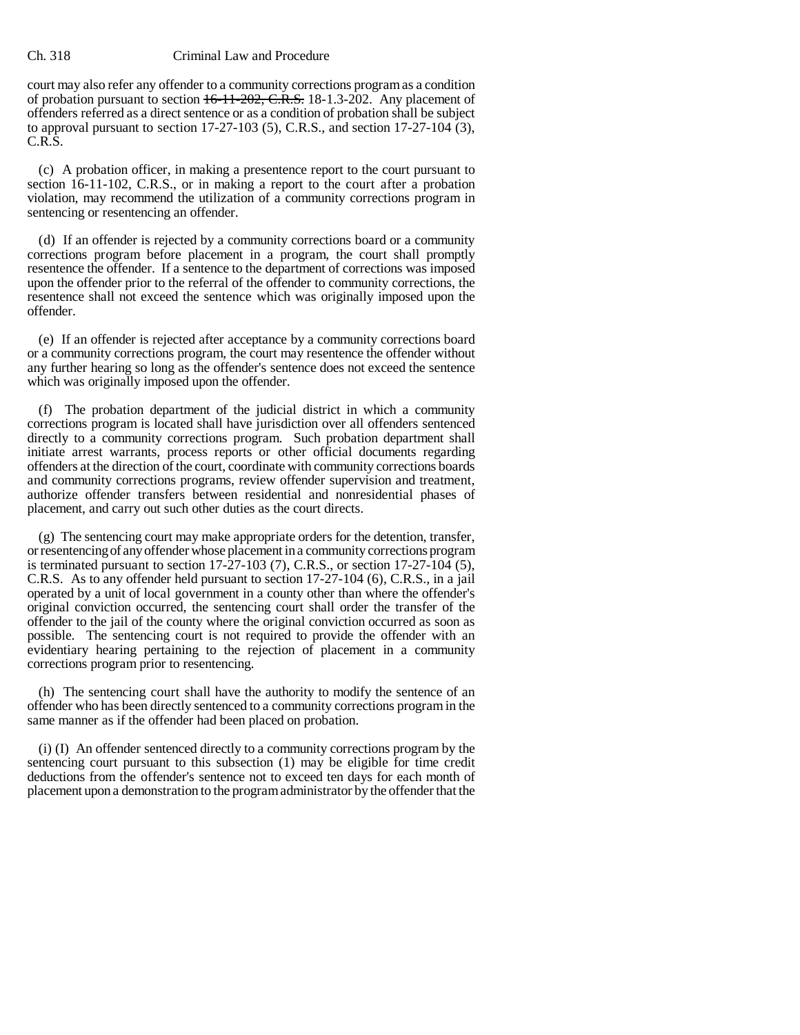court may also refer any offender to a community corrections program as a condition of probation pursuant to section  $16-11-202$ , C.R.S. 18-1.3-202. Any placement of offenders referred as a direct sentence or as a condition of probation shall be subject to approval pursuant to section 17-27-103 (5), C.R.S., and section 17-27-104 (3), C.R.S.

(c) A probation officer, in making a presentence report to the court pursuant to section 16-11-102, C.R.S., or in making a report to the court after a probation violation, may recommend the utilization of a community corrections program in sentencing or resentencing an offender.

(d) If an offender is rejected by a community corrections board or a community corrections program before placement in a program, the court shall promptly resentence the offender. If a sentence to the department of corrections was imposed upon the offender prior to the referral of the offender to community corrections, the resentence shall not exceed the sentence which was originally imposed upon the offender.

(e) If an offender is rejected after acceptance by a community corrections board or a community corrections program, the court may resentence the offender without any further hearing so long as the offender's sentence does not exceed the sentence which was originally imposed upon the offender.

(f) The probation department of the judicial district in which a community corrections program is located shall have jurisdiction over all offenders sentenced directly to a community corrections program. Such probation department shall initiate arrest warrants, process reports or other official documents regarding offenders at the direction of the court, coordinate with community corrections boards and community corrections programs, review offender supervision and treatment, authorize offender transfers between residential and nonresidential phases of placement, and carry out such other duties as the court directs.

(g) The sentencing court may make appropriate orders for the detention, transfer, or resentencing of any offender whose placement in a community corrections program is terminated pursuant to section 17-27-103 (7), C.R.S., or section 17-27-104 (5), C.R.S. As to any offender held pursuant to section 17-27-104 (6), C.R.S., in a jail operated by a unit of local government in a county other than where the offender's original conviction occurred, the sentencing court shall order the transfer of the offender to the jail of the county where the original conviction occurred as soon as possible. The sentencing court is not required to provide the offender with an evidentiary hearing pertaining to the rejection of placement in a community corrections program prior to resentencing.

(h) The sentencing court shall have the authority to modify the sentence of an offender who has been directly sentenced to a community corrections program in the same manner as if the offender had been placed on probation.

(i) (I) An offender sentenced directly to a community corrections program by the sentencing court pursuant to this subsection (1) may be eligible for time credit deductions from the offender's sentence not to exceed ten days for each month of placement upon a demonstration to the program administrator by the offender that the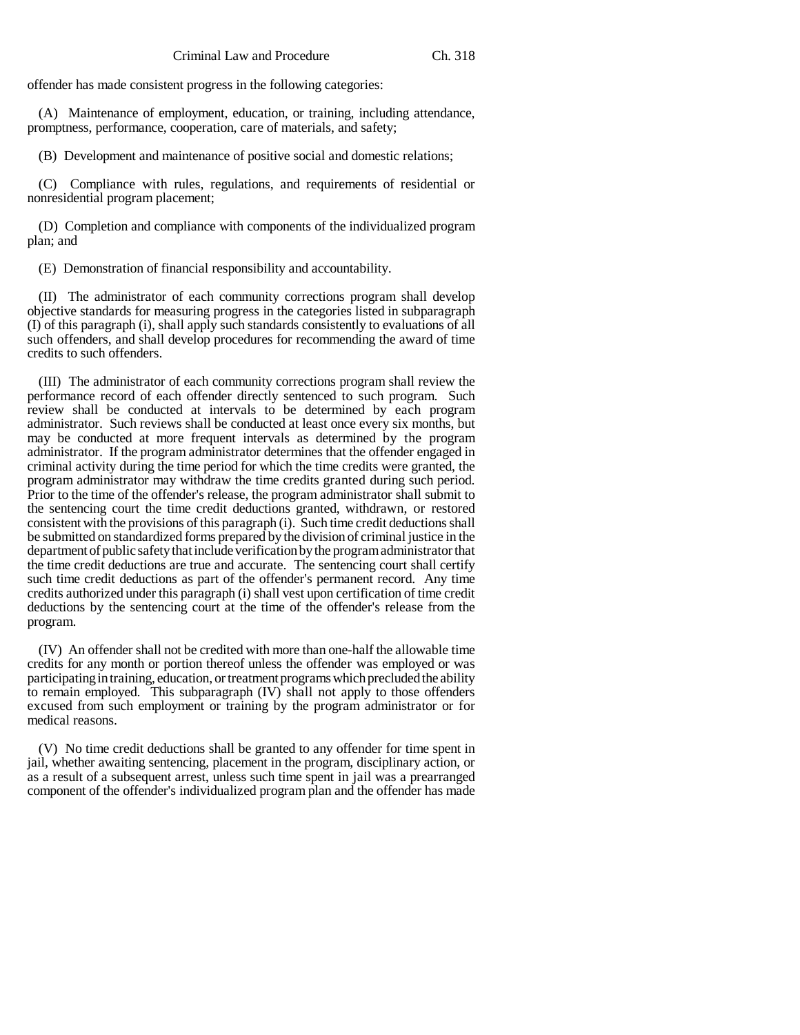offender has made consistent progress in the following categories:

(A) Maintenance of employment, education, or training, including attendance, promptness, performance, cooperation, care of materials, and safety;

(B) Development and maintenance of positive social and domestic relations;

(C) Compliance with rules, regulations, and requirements of residential or nonresidential program placement;

(D) Completion and compliance with components of the individualized program plan; and

(E) Demonstration of financial responsibility and accountability.

(II) The administrator of each community corrections program shall develop objective standards for measuring progress in the categories listed in subparagraph (I) of this paragraph (i), shall apply such standards consistently to evaluations of all such offenders, and shall develop procedures for recommending the award of time credits to such offenders.

(III) The administrator of each community corrections program shall review the performance record of each offender directly sentenced to such program. Such review shall be conducted at intervals to be determined by each program administrator. Such reviews shall be conducted at least once every six months, but may be conducted at more frequent intervals as determined by the program administrator. If the program administrator determines that the offender engaged in criminal activity during the time period for which the time credits were granted, the program administrator may withdraw the time credits granted during such period. Prior to the time of the offender's release, the program administrator shall submit to the sentencing court the time credit deductions granted, withdrawn, or restored consistent with the provisions of this paragraph (i). Such time credit deductions shall be submitted on standardized forms prepared by the division of criminal justice in the department of public safety that include verification by the program administrator that the time credit deductions are true and accurate. The sentencing court shall certify such time credit deductions as part of the offender's permanent record. Any time credits authorized under this paragraph (i) shall vest upon certification of time credit deductions by the sentencing court at the time of the offender's release from the program.

(IV) An offender shall not be credited with more than one-half the allowable time credits for any month or portion thereof unless the offender was employed or was participating in training, education, or treatment programs which precluded the ability to remain employed. This subparagraph (IV) shall not apply to those offenders excused from such employment or training by the program administrator or for medical reasons.

(V) No time credit deductions shall be granted to any offender for time spent in jail, whether awaiting sentencing, placement in the program, disciplinary action, or as a result of a subsequent arrest, unless such time spent in jail was a prearranged component of the offender's individualized program plan and the offender has made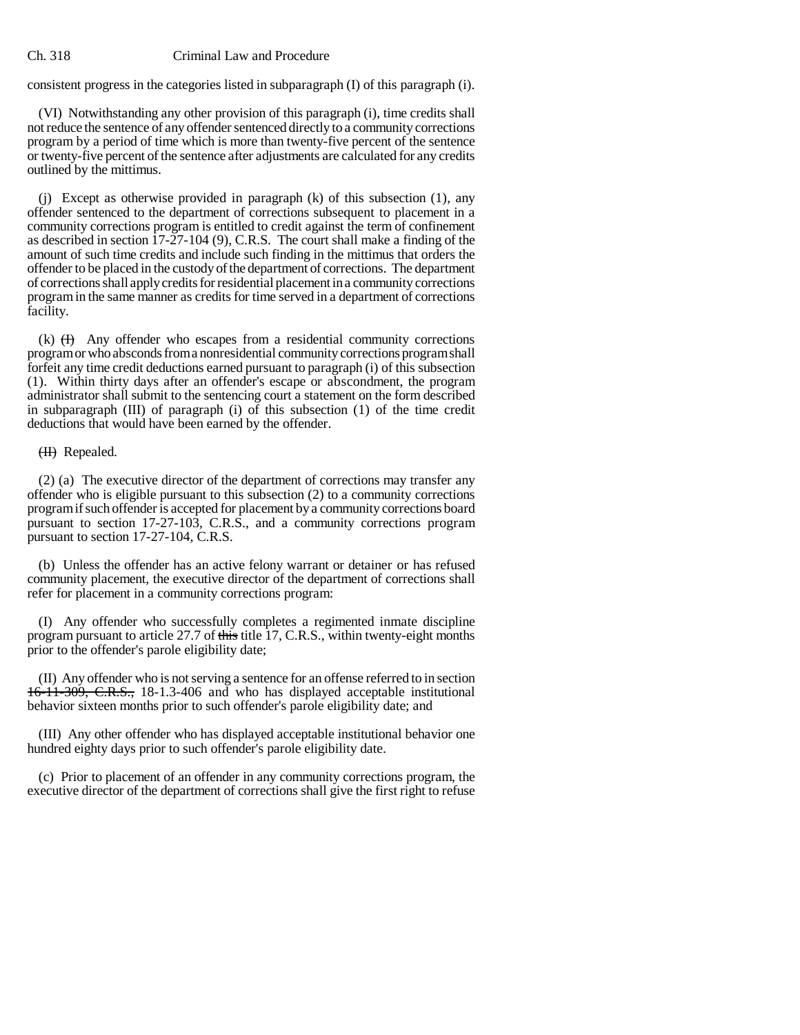consistent progress in the categories listed in subparagraph (I) of this paragraph (i).

(VI) Notwithstanding any other provision of this paragraph (i), time credits shall not reduce the sentence of any offender sentenced directly to a community corrections program by a period of time which is more than twenty-five percent of the sentence or twenty-five percent of the sentence after adjustments are calculated for any credits outlined by the mittimus.

(j) Except as otherwise provided in paragraph (k) of this subsection (1), any offender sentenced to the department of corrections subsequent to placement in a community corrections program is entitled to credit against the term of confinement as described in section  $17-27-104$  (9), C.R.S. The court shall make a finding of the amount of such time credits and include such finding in the mittimus that orders the offender to be placed in the custody of the department of corrections. The department of corrections shall apply credits for residential placement in a community corrections program in the same manner as credits for time served in a department of corrections facility.

(k)  $(H)$  Any offender who escapes from a residential community corrections program or who absconds from a nonresidential community corrections program shall forfeit any time credit deductions earned pursuant to paragraph (i) of this subsection (1). Within thirty days after an offender's escape or abscondment, the program administrator shall submit to the sentencing court a statement on the form described in subparagraph (III) of paragraph (i) of this subsection (1) of the time credit deductions that would have been earned by the offender.

### (II) Repealed.

(2) (a) The executive director of the department of corrections may transfer any offender who is eligible pursuant to this subsection (2) to a community corrections program if such offender is accepted for placement by a community corrections board pursuant to section 17-27-103, C.R.S., and a community corrections program pursuant to section 17-27-104, C.R.S.

(b) Unless the offender has an active felony warrant or detainer or has refused community placement, the executive director of the department of corrections shall refer for placement in a community corrections program:

(I) Any offender who successfully completes a regimented inmate discipline program pursuant to article 27.7 of this title 17, C.R.S., within twenty-eight months prior to the offender's parole eligibility date;

(II) Any offender who is not serving a sentence for an offense referred to in section 16-11-309, C.R.S., 18-1.3-406 and who has displayed acceptable institutional behavior sixteen months prior to such offender's parole eligibility date; and

(III) Any other offender who has displayed acceptable institutional behavior one hundred eighty days prior to such offender's parole eligibility date.

(c) Prior to placement of an offender in any community corrections program, the executive director of the department of corrections shall give the first right to refuse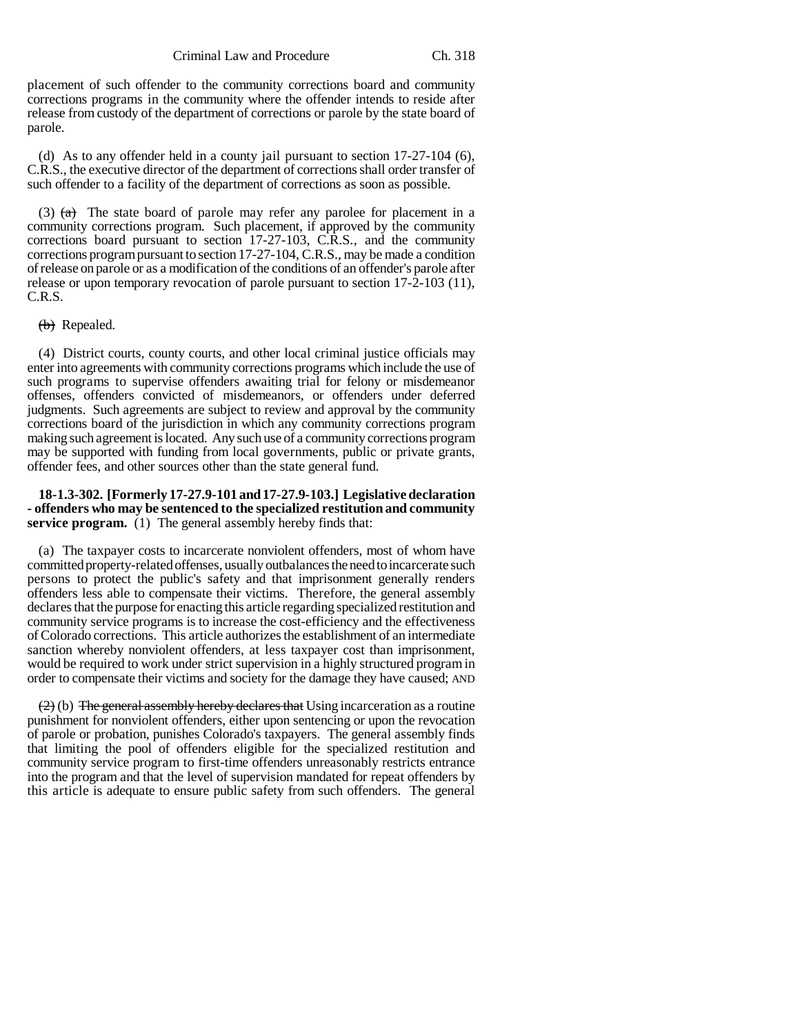placement of such offender to the community corrections board and community corrections programs in the community where the offender intends to reside after release from custody of the department of corrections or parole by the state board of parole.

(d) As to any offender held in a county jail pursuant to section 17-27-104 (6), C.R.S., the executive director of the department of corrections shall order transfer of such offender to a facility of the department of corrections as soon as possible.

(3)  $(a)$  The state board of parole may refer any parolee for placement in a community corrections program. Such placement, if approved by the community corrections board pursuant to section 17-27-103, C.R.S., and the community corrections program pursuant to section 17-27-104, C.R.S., may be made a condition of release on parole or as a modification of the conditions of an offender's parole after release or upon temporary revocation of parole pursuant to section 17-2-103 (11), C.R.S.

(b) Repealed.

(4) District courts, county courts, and other local criminal justice officials may enter into agreements with community corrections programs which include the use of such programs to supervise offenders awaiting trial for felony or misdemeanor offenses, offenders convicted of misdemeanors, or offenders under deferred judgments. Such agreements are subject to review and approval by the community corrections board of the jurisdiction in which any community corrections program making such agreement is located. Any such use of a community corrections program may be supported with funding from local governments, public or private grants, offender fees, and other sources other than the state general fund.

**18-1.3-302. [Formerly 17-27.9-101 and 17-27.9-103.] Legislative declaration - offenders who may be sentenced to the specialized restitution and community service program.** (1) The general assembly hereby finds that:

(a) The taxpayer costs to incarcerate nonviolent offenders, most of whom have committed property-related offenses, usually outbalances the need to incarcerate such persons to protect the public's safety and that imprisonment generally renders offenders less able to compensate their victims. Therefore, the general assembly declares that the purpose for enacting this article regarding specialized restitution and community service programs is to increase the cost-efficiency and the effectiveness of Colorado corrections. This article authorizes the establishment of an intermediate sanction whereby nonviolent offenders, at less taxpayer cost than imprisonment, would be required to work under strict supervision in a highly structured program in order to compensate their victims and society for the damage they have caused; AND

 $(2)$  (b) The general assembly hereby declares that Using incarceration as a routine punishment for nonviolent offenders, either upon sentencing or upon the revocation of parole or probation, punishes Colorado's taxpayers. The general assembly finds that limiting the pool of offenders eligible for the specialized restitution and community service program to first-time offenders unreasonably restricts entrance into the program and that the level of supervision mandated for repeat offenders by this article is adequate to ensure public safety from such offenders. The general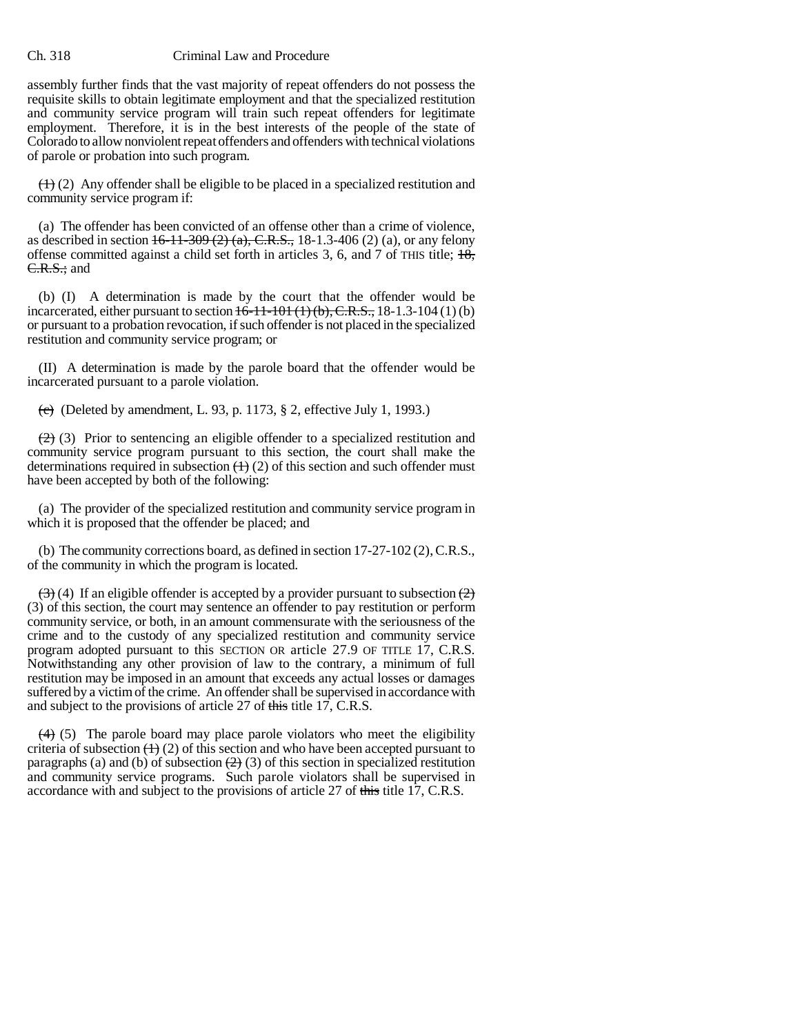assembly further finds that the vast majority of repeat offenders do not possess the requisite skills to obtain legitimate employment and that the specialized restitution and community service program will train such repeat offenders for legitimate employment. Therefore, it is in the best interests of the people of the state of Colorado to allow nonviolent repeat offenders and offenders with technical violations of parole or probation into such program.

 $(1)$  (2) Any offender shall be eligible to be placed in a specialized restitution and community service program if:

(a) The offender has been convicted of an offense other than a crime of violence, as described in section  $16-11-309(2)$  (a), C.R.S., 18-1.3-406 (2) (a), or any felony offense committed against a child set forth in articles 3, 6, and 7 of THIS title;  $18$ , C.R.S.; and

(b) (I) A determination is made by the court that the offender would be incarcerated, either pursuant to section  $16-11-101 (1)(b)$ , C.R.S., 18-1.3-104 (1) (b) or pursuant to a probation revocation, if such offender is not placed in the specialized restitution and community service program; or

(II) A determination is made by the parole board that the offender would be incarcerated pursuant to a parole violation.

(c) (Deleted by amendment, L. 93, p. 1173,  $\S$  2, effective July 1, 1993.)

 $(2)$  (3) Prior to sentencing an eligible offender to a specialized restitution and community service program pursuant to this section, the court shall make the determinations required in subsection  $(1)(2)$  of this section and such offender must have been accepted by both of the following:

(a) The provider of the specialized restitution and community service program in which it is proposed that the offender be placed; and

(b) The community corrections board, as defined in section 17-27-102 (2), C.R.S., of the community in which the program is located.

 $(3)$  (4) If an eligible offender is accepted by a provider pursuant to subsection  $(2)$ (3) of this section, the court may sentence an offender to pay restitution or perform community service, or both, in an amount commensurate with the seriousness of the crime and to the custody of any specialized restitution and community service program adopted pursuant to this SECTION OR article 27.9 OF TITLE 17, C.R.S. Notwithstanding any other provision of law to the contrary, a minimum of full restitution may be imposed in an amount that exceeds any actual losses or damages suffered by a victim of the crime. An offender shall be supervised in accordance with and subject to the provisions of article 27 of this title 17, C.R.S.

 $(4)$  (5) The parole board may place parole violators who meet the eligibility criteria of subsection  $(1)(2)$  of this section and who have been accepted pursuant to paragraphs (a) and (b) of subsection  $(2)$  (3) of this section in specialized restitution and community service programs. Such parole violators shall be supervised in accordance with and subject to the provisions of article 27 of this title 17, C.R.S.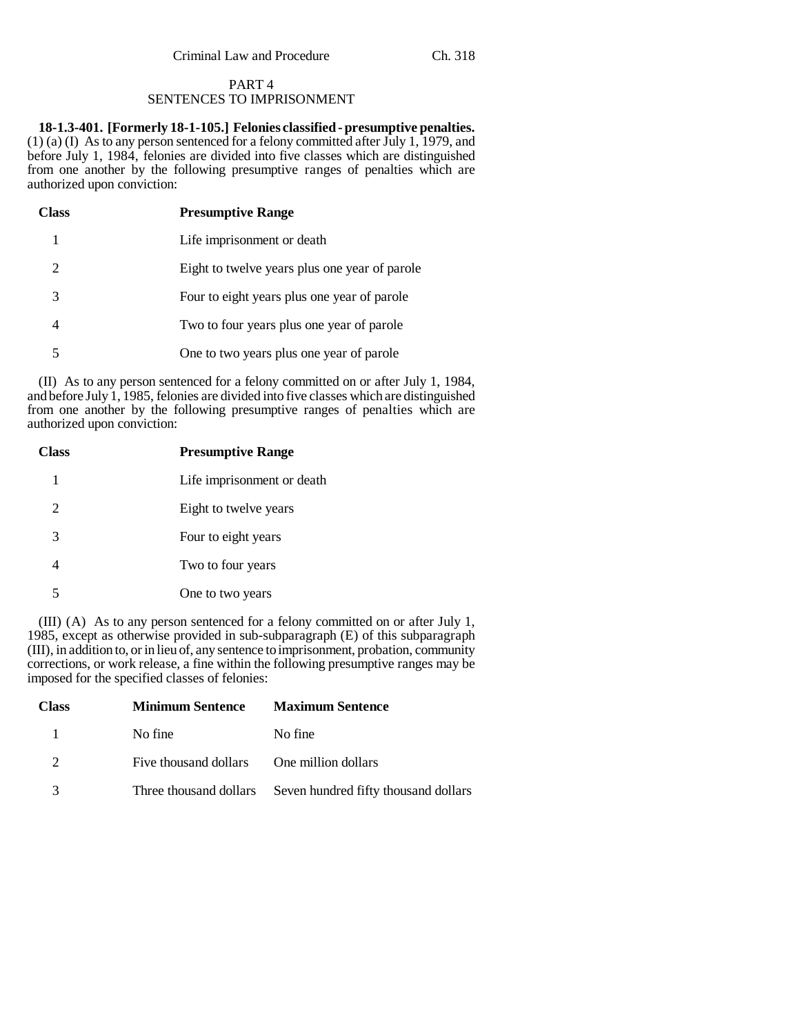### PART 4 SENTENCES TO IMPRISONMENT

**18-1.3-401. [Formerly 18-1-105.] Felonies classified - presumptive penalties.** (1) (a) (I) As to any person sentenced for a felony committed after July 1, 1979, and before July 1, 1984, felonies are divided into five classes which are distinguished from one another by the following presumptive ranges of penalties which are authorized upon conviction:

| Class                       | <b>Presumptive Range</b>                      |
|-----------------------------|-----------------------------------------------|
|                             | Life imprisonment or death.                   |
| $\mathcal{D}_{\mathcal{L}}$ | Eight to twelve years plus one year of parole |
| 3                           | Four to eight years plus one year of parole   |
| 4                           | Two to four years plus one year of parole     |
|                             | One to two years plus one year of parole      |

(II) As to any person sentenced for a felony committed on or after July 1, 1984, and before July 1, 1985, felonies are divided into five classes which are distinguished from one another by the following presumptive ranges of penalties which are authorized upon conviction:

| <b>Class</b> | <b>Presumptive Range</b>   |
|--------------|----------------------------|
| 1            | Life imprisonment or death |
| 2            | Eight to twelve years      |
| 3            | Four to eight years        |
| 4            | Two to four years          |
|              | One to two years           |

(III) (A) As to any person sentenced for a felony committed on or after July 1, 1985, except as otherwise provided in sub-subparagraph (E) of this subparagraph (III), in addition to, or in lieu of, any sentence to imprisonment, probation, community corrections, or work release, a fine within the following presumptive ranges may be imposed for the specified classes of felonies:

| <b>Class</b> | <b>Minimum Sentence Maximum Sentence</b>  |                                                             |
|--------------|-------------------------------------------|-------------------------------------------------------------|
| $\sim$ 1     | No fine                                   | No fine                                                     |
|              | Five thousand dollars One million dollars |                                                             |
|              |                                           | Three thousand dollars Seven hundred fifty thousand dollars |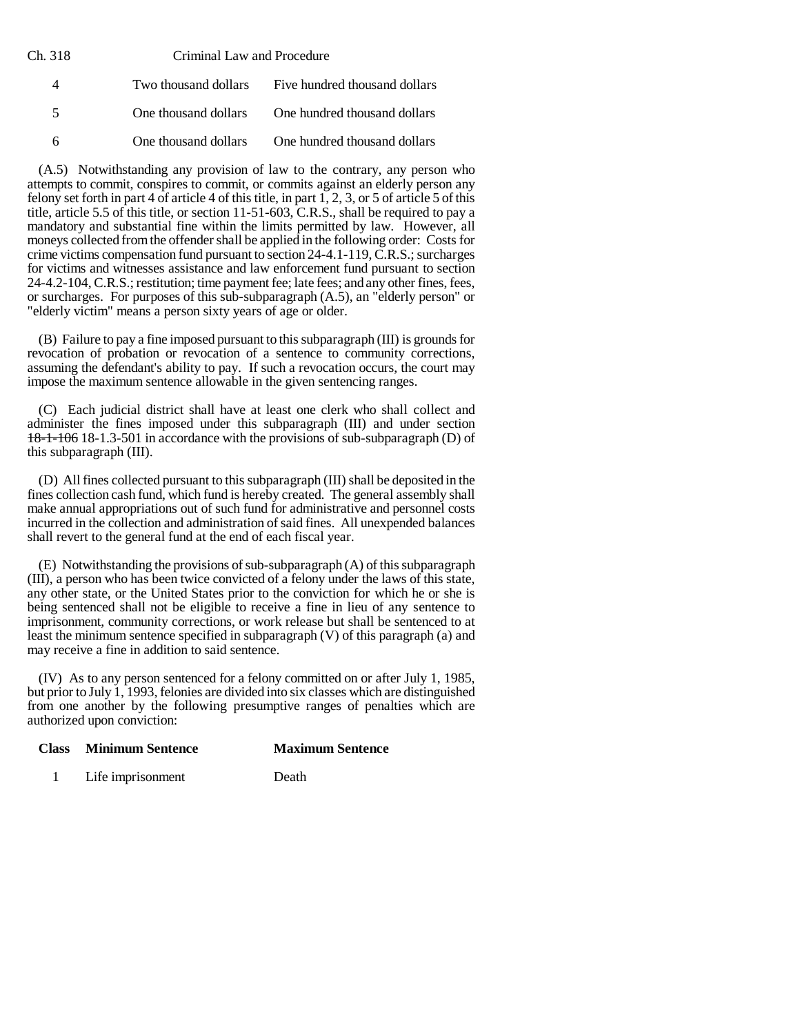| Ch. 318<br>Criminal Law and Procedure |  |                                                    |  |
|---------------------------------------|--|----------------------------------------------------|--|
| 4                                     |  | Two thousand dollars Five hundred thousand dollars |  |
| 5                                     |  | One thousand dollars One hundred thousand dollars  |  |
|                                       |  | One thousand dollars One hundred thousand dollars  |  |

(A.5) Notwithstanding any provision of law to the contrary, any person who attempts to commit, conspires to commit, or commits against an elderly person any felony set forth in part 4 of article 4 of this title, in part 1, 2, 3, or 5 of article 5 of this title, article 5.5 of this title, or section 11-51-603, C.R.S., shall be required to pay a mandatory and substantial fine within the limits permitted by law. However, all moneys collected from the offender shall be applied in the following order: Costs for crime victims compensation fund pursuant to section 24-4.1-119, C.R.S.; surcharges for victims and witnesses assistance and law enforcement fund pursuant to section 24-4.2-104, C.R.S.; restitution; time payment fee; late fees; and any other fines, fees, or surcharges. For purposes of this sub-subparagraph (A.5), an "elderly person" or "elderly victim" means a person sixty years of age or older.

(B) Failure to pay a fine imposed pursuant to this subparagraph (III) is grounds for revocation of probation or revocation of a sentence to community corrections, assuming the defendant's ability to pay. If such a revocation occurs, the court may impose the maximum sentence allowable in the given sentencing ranges.

(C) Each judicial district shall have at least one clerk who shall collect and administer the fines imposed under this subparagraph (III) and under section 18-1-106 18-1.3-501 in accordance with the provisions of sub-subparagraph (D) of this subparagraph (III).

(D) All fines collected pursuant to this subparagraph (III) shall be deposited in the fines collection cash fund, which fund is hereby created. The general assembly shall make annual appropriations out of such fund for administrative and personnel costs incurred in the collection and administration of said fines. All unexpended balances shall revert to the general fund at the end of each fiscal year.

(E) Notwithstanding the provisions of sub-subparagraph (A) of this subparagraph (III), a person who has been twice convicted of a felony under the laws of this state, any other state, or the United States prior to the conviction for which he or she is being sentenced shall not be eligible to receive a fine in lieu of any sentence to imprisonment, community corrections, or work release but shall be sentenced to at least the minimum sentence specified in subparagraph (V) of this paragraph (a) and may receive a fine in addition to said sentence.

(IV) As to any person sentenced for a felony committed on or after July 1, 1985, but prior to July 1, 1993, felonies are divided into six classes which are distinguished from one another by the following presumptive ranges of penalties which are authorized upon conviction:

1 Life imprisonment Death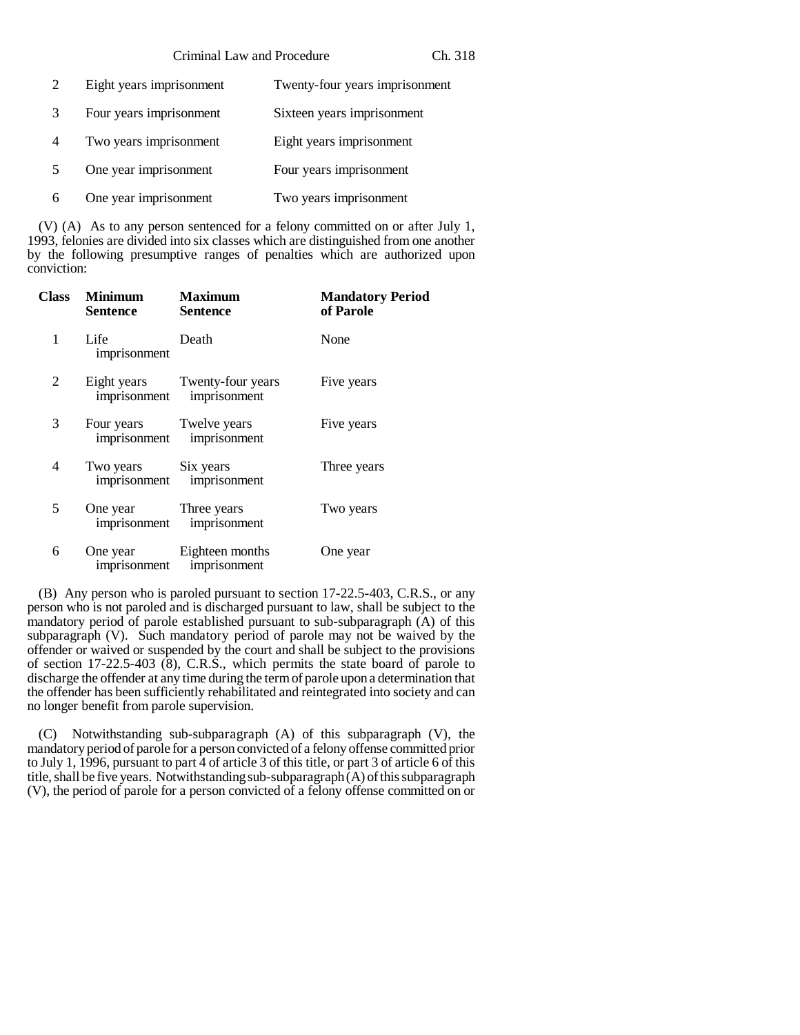|                | Eight years imprisonment | Twenty-four years imprisonment |
|----------------|--------------------------|--------------------------------|
|                | Four years imprisonment  | Sixteen years imprisonment     |
| $\overline{4}$ | Two years imprisonment   | Eight years imprisonment       |
|                | One year imprisonment    | Four years imprisonment        |
|                | One year imprisonment    | Two years imprisonment         |

(V) (A) As to any person sentenced for a felony committed on or after July 1, 1993, felonies are divided into six classes which are distinguished from one another by the following presumptive ranges of penalties which are authorized upon conviction:

| <b>Class</b> | <b>Minimum</b><br>Sentence  | <b>Maximum</b><br><b>Sentence</b> | <b>Mandatory Period</b><br>of Parole |
|--------------|-----------------------------|-----------------------------------|--------------------------------------|
| 1            | Life<br>imprisonment        | Death                             | None                                 |
| 2            | Eight years<br>imprisonment | Twenty-four years<br>imprisonment | Five years                           |
| 3            | Four years<br>imprisonment  | Twelve years<br>imprisonment      | Five years                           |
| 4            | Two years<br>imprisonment   | Six years<br>imprisonment         | Three years                          |
| 5            | One year<br>imprisonment    | Three years<br>imprisonment       | Two years                            |
| 6            | One year<br>imprisonment    | Eighteen months<br>imprisonment   | One year                             |

(B) Any person who is paroled pursuant to section 17-22.5-403, C.R.S., or any person who is not paroled and is discharged pursuant to law, shall be subject to the mandatory period of parole established pursuant to sub-subparagraph (A) of this subparagraph (V). Such mandatory period of parole may not be waived by the offender or waived or suspended by the court and shall be subject to the provisions of section  $17-22.5-403$  (8), C.R.S., which permits the state board of parole to discharge the offender at any time during the term of parole upon a determination that the offender has been sufficiently rehabilitated and reintegrated into society and can no longer benefit from parole supervision.

(C) Notwithstanding sub-subparagraph (A) of this subparagraph (V), the mandatory period of parole for a person convicted of a felony offense committed prior to July 1, 1996, pursuant to part 4 of article 3 of this title, or part 3 of article 6 of this title, shall be five years. Notwithstanding sub-subparagraph  $(A)$  of this subparagraph (V), the period of parole for a person convicted of a felony offense committed on or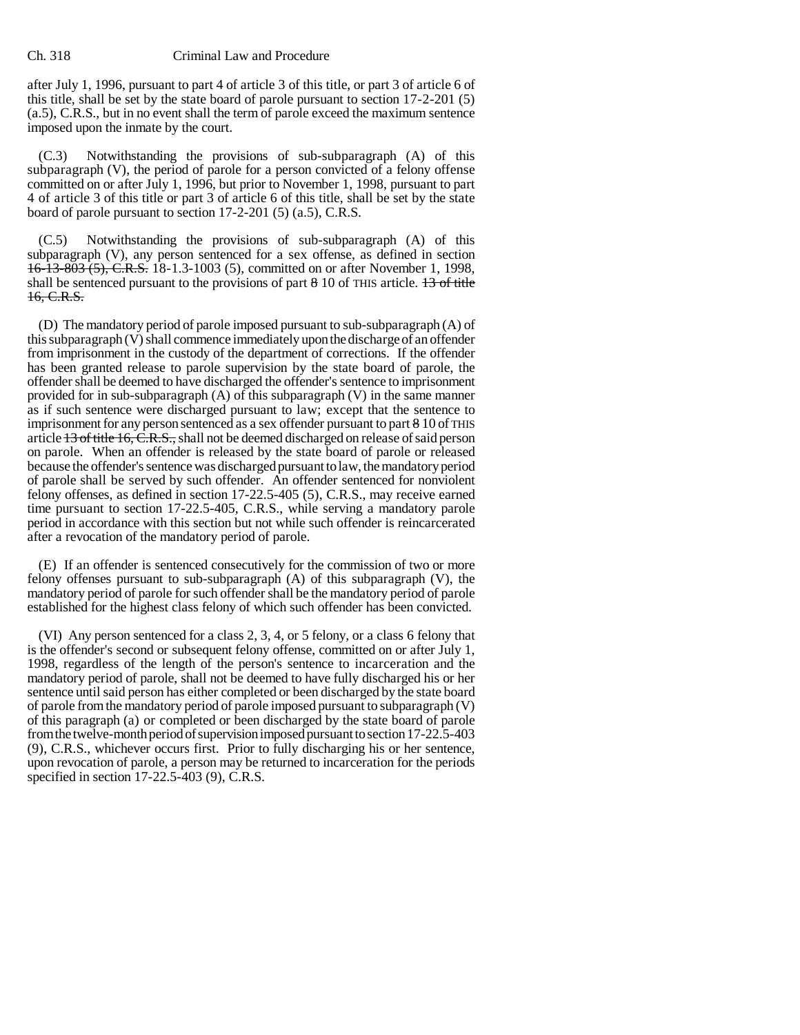after July 1, 1996, pursuant to part 4 of article 3 of this title, or part 3 of article 6 of this title, shall be set by the state board of parole pursuant to section 17-2-201 (5) (a.5), C.R.S., but in no event shall the term of parole exceed the maximum sentence imposed upon the inmate by the court.

(C.3) Notwithstanding the provisions of sub-subparagraph (A) of this subparagraph (V), the period of parole for a person convicted of a felony offense committed on or after July 1, 1996, but prior to November 1, 1998, pursuant to part 4 of article 3 of this title or part 3 of article 6 of this title, shall be set by the state board of parole pursuant to section 17-2-201 (5) (a.5), C.R.S.

(C.5) Notwithstanding the provisions of sub-subparagraph (A) of this subparagraph (V), any person sentenced for a sex offense, as defined in section 16-13-803 (5), C.R.S. 18-1.3-1003 (5), committed on or after November 1, 1998, shall be sentenced pursuant to the provisions of part  $\frac{8}{10}$  of THIS article.  $\frac{13}{13}$  of title 16, C.R.S.

(D) The mandatory period of parole imposed pursuant to sub-subparagraph (A) of this subparagraph (V) shall commence immediately upon the discharge of an offender from imprisonment in the custody of the department of corrections. If the offender has been granted release to parole supervision by the state board of parole, the offender shall be deemed to have discharged the offender's sentence to imprisonment provided for in sub-subparagraph (A) of this subparagraph (V) in the same manner as if such sentence were discharged pursuant to law; except that the sentence to imprisonment for any person sentenced as a sex offender pursuant to part 8 10 of THIS article 13 of title 16, C.R.S., shall not be deemed discharged on release of said person on parole. When an offender is released by the state board of parole or released because the offender's sentence was discharged pursuant to law, the mandatory period of parole shall be served by such offender. An offender sentenced for nonviolent felony offenses, as defined in section 17-22.5-405 (5), C.R.S., may receive earned time pursuant to section 17-22.5-405, C.R.S., while serving a mandatory parole period in accordance with this section but not while such offender is reincarcerated after a revocation of the mandatory period of parole.

(E) If an offender is sentenced consecutively for the commission of two or more felony offenses pursuant to sub-subparagraph (A) of this subparagraph (V), the mandatory period of parole for such offender shall be the mandatory period of parole established for the highest class felony of which such offender has been convicted.

(VI) Any person sentenced for a class 2, 3, 4, or 5 felony, or a class 6 felony that is the offender's second or subsequent felony offense, committed on or after July 1, 1998, regardless of the length of the person's sentence to incarceration and the mandatory period of parole, shall not be deemed to have fully discharged his or her sentence until said person has either completed or been discharged by the state board of parole from the mandatory period of parole imposed pursuant to subparagraph (V) of this paragraph (a) or completed or been discharged by the state board of parole from the twelve-month period of supervision imposed pursuant to section 17-22.5-403 (9), C.R.S., whichever occurs first. Prior to fully discharging his or her sentence, upon revocation of parole, a person may be returned to incarceration for the periods specified in section 17-22.5-403 (9), C.R.S.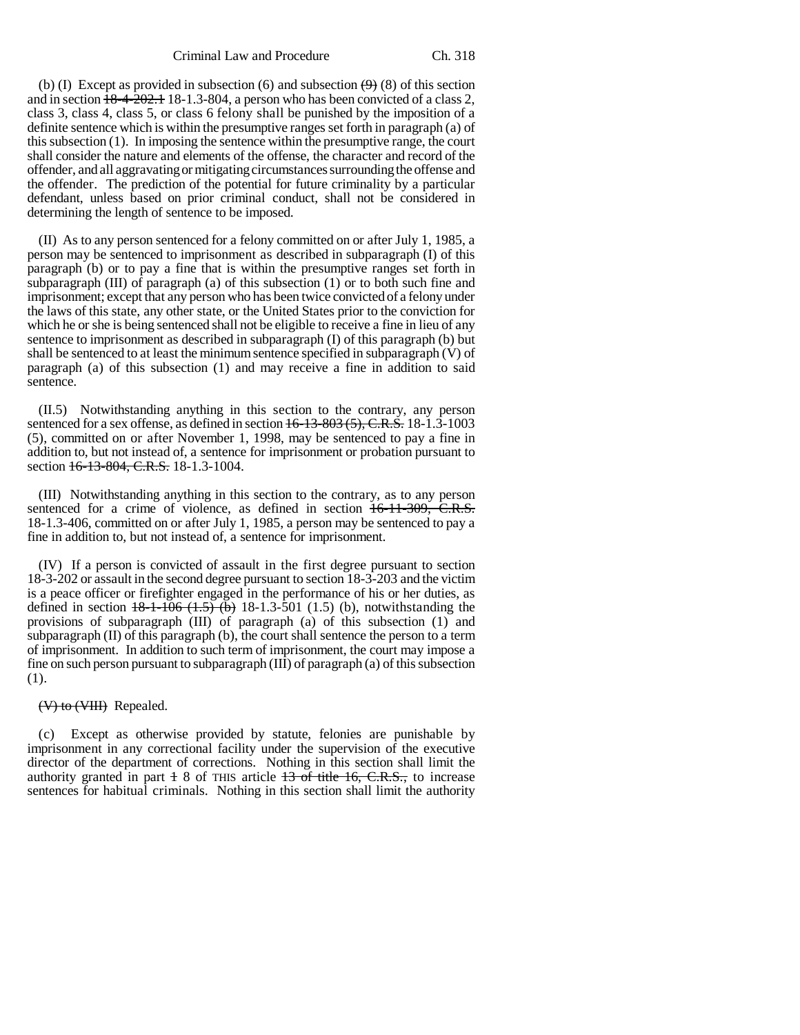#### Criminal Law and Procedure Ch. 318

(b) (I) Except as provided in subsection (6) and subsection  $(9)$  (8) of this section and in section  $18-4-202.118-1.3-804$ , a person who has been convicted of a class 2, class 3, class 4, class 5, or class 6 felony shall be punished by the imposition of a definite sentence which is within the presumptive ranges set forth in paragraph (a) of this subsection (1). In imposing the sentence within the presumptive range, the court shall consider the nature and elements of the offense, the character and record of the offender, and all aggravating or mitigating circumstances surrounding the offense and the offender. The prediction of the potential for future criminality by a particular defendant, unless based on prior criminal conduct, shall not be considered in determining the length of sentence to be imposed.

(II) As to any person sentenced for a felony committed on or after July 1, 1985, a person may be sentenced to imprisonment as described in subparagraph (I) of this paragraph (b) or to pay a fine that is within the presumptive ranges set forth in subparagraph (III) of paragraph (a) of this subsection (1) or to both such fine and imprisonment; except that any person who has been twice convicted of a felony under the laws of this state, any other state, or the United States prior to the conviction for which he or she is being sentenced shall not be eligible to receive a fine in lieu of any sentence to imprisonment as described in subparagraph (I) of this paragraph (b) but shall be sentenced to at least the minimum sentence specified in subparagraph (V) of paragraph (a) of this subsection (1) and may receive a fine in addition to said sentence.

(II.5) Notwithstanding anything in this section to the contrary, any person sentenced for a sex offense, as defined in section  $16-13-803$   $(5)$ , C.R.S. 18-1.3-1003 (5), committed on or after November 1, 1998, may be sentenced to pay a fine in addition to, but not instead of, a sentence for imprisonment or probation pursuant to section 16-13-804, C.R.S. 18-1.3-1004.

(III) Notwithstanding anything in this section to the contrary, as to any person sentenced for a crime of violence, as defined in section  $16-11-309$ , C.R.S. 18-1.3-406, committed on or after July 1, 1985, a person may be sentenced to pay a fine in addition to, but not instead of, a sentence for imprisonment.

(IV) If a person is convicted of assault in the first degree pursuant to section 18-3-202 or assault in the second degree pursuant to section 18-3-203 and the victim is a peace officer or firefighter engaged in the performance of his or her duties, as defined in section  $18-1-106(1.5)$  (b) 18-1.3-501 (1.5) (b), notwithstanding the provisions of subparagraph (III) of paragraph (a) of this subsection (1) and subparagraph (II) of this paragraph (b), the court shall sentence the person to a term of imprisonment. In addition to such term of imprisonment, the court may impose a fine on such person pursuant to subparagraph (III) of paragraph (a) of this subsection (1).

### (V) to (VIII) Repealed.

(c) Except as otherwise provided by statute, felonies are punishable by imprisonment in any correctional facility under the supervision of the executive director of the department of corrections. Nothing in this section shall limit the authority granted in part  $\pm 8$  of THIS article  $\pm 3$  of title 16, C.R.S., to increase sentences for habitual criminals. Nothing in this section shall limit the authority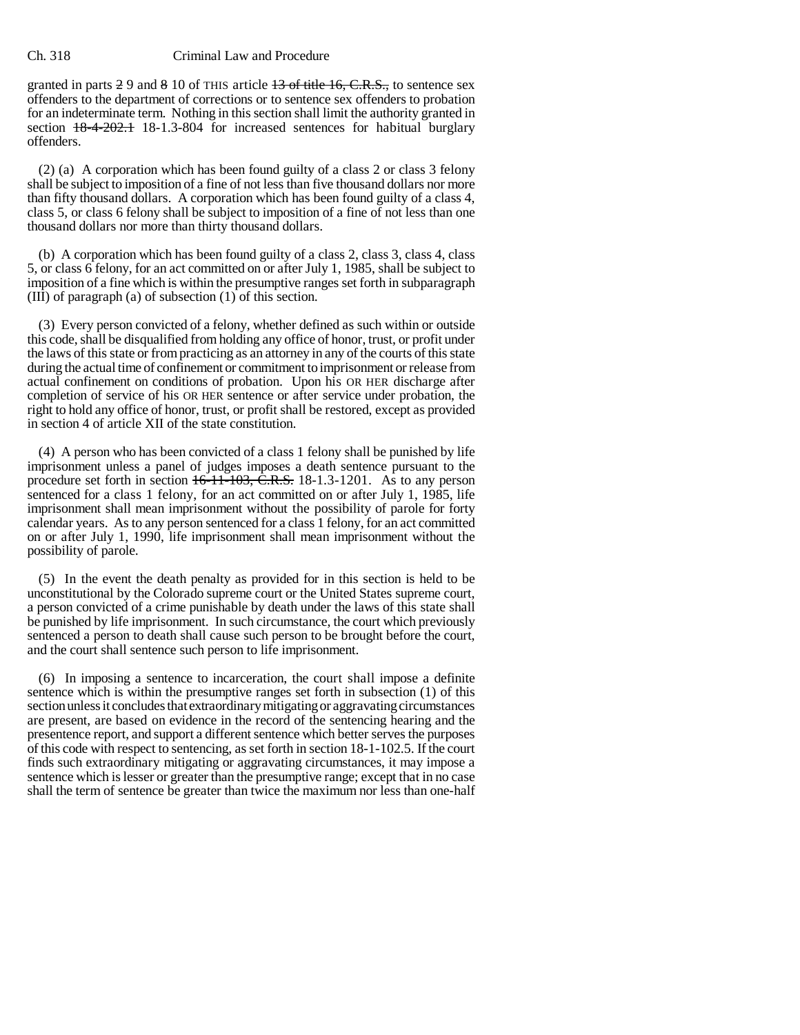granted in parts  $29$  and  $810$  of THIS article  $13$  of title 16, C.R.S., to sentence sex offenders to the department of corrections or to sentence sex offenders to probation for an indeterminate term. Nothing in this section shall limit the authority granted in section  $18-4-202.1$  18-1.3-804 for increased sentences for habitual burglary offenders.

(2) (a) A corporation which has been found guilty of a class 2 or class 3 felony shall be subject to imposition of a fine of not less than five thousand dollars nor more than fifty thousand dollars. A corporation which has been found guilty of a class 4, class 5, or class 6 felony shall be subject to imposition of a fine of not less than one thousand dollars nor more than thirty thousand dollars.

(b) A corporation which has been found guilty of a class 2, class 3, class 4, class 5, or class 6 felony, for an act committed on or after July 1, 1985, shall be subject to imposition of a fine which is within the presumptive ranges set forth in subparagraph (III) of paragraph (a) of subsection (1) of this section.

(3) Every person convicted of a felony, whether defined as such within or outside this code, shall be disqualified from holding any office of honor, trust, or profit under the laws of this state or from practicing as an attorney in any of the courts of this state during the actual time of confinement or commitment to imprisonment or release from actual confinement on conditions of probation. Upon his OR HER discharge after completion of service of his OR HER sentence or after service under probation, the right to hold any office of honor, trust, or profit shall be restored, except as provided in section 4 of article XII of the state constitution.

(4) A person who has been convicted of a class 1 felony shall be punished by life imprisonment unless a panel of judges imposes a death sentence pursuant to the procedure set forth in section  $16-11-103$ , C.R.S. 18-1.3-1201. As to any person sentenced for a class 1 felony, for an act committed on or after July 1, 1985, life imprisonment shall mean imprisonment without the possibility of parole for forty calendar years. As to any person sentenced for a class 1 felony, for an act committed on or after July 1, 1990, life imprisonment shall mean imprisonment without the possibility of parole.

(5) In the event the death penalty as provided for in this section is held to be unconstitutional by the Colorado supreme court or the United States supreme court, a person convicted of a crime punishable by death under the laws of this state shall be punished by life imprisonment. In such circumstance, the court which previously sentenced a person to death shall cause such person to be brought before the court, and the court shall sentence such person to life imprisonment.

(6) In imposing a sentence to incarceration, the court shall impose a definite sentence which is within the presumptive ranges set forth in subsection (1) of this section unless it concludes that extraordinary mitigating or aggravating circumstances are present, are based on evidence in the record of the sentencing hearing and the presentence report, and support a different sentence which better serves the purposes of this code with respect to sentencing, as set forth in section 18-1-102.5. If the court finds such extraordinary mitigating or aggravating circumstances, it may impose a sentence which is lesser or greater than the presumptive range; except that in no case shall the term of sentence be greater than twice the maximum nor less than one-half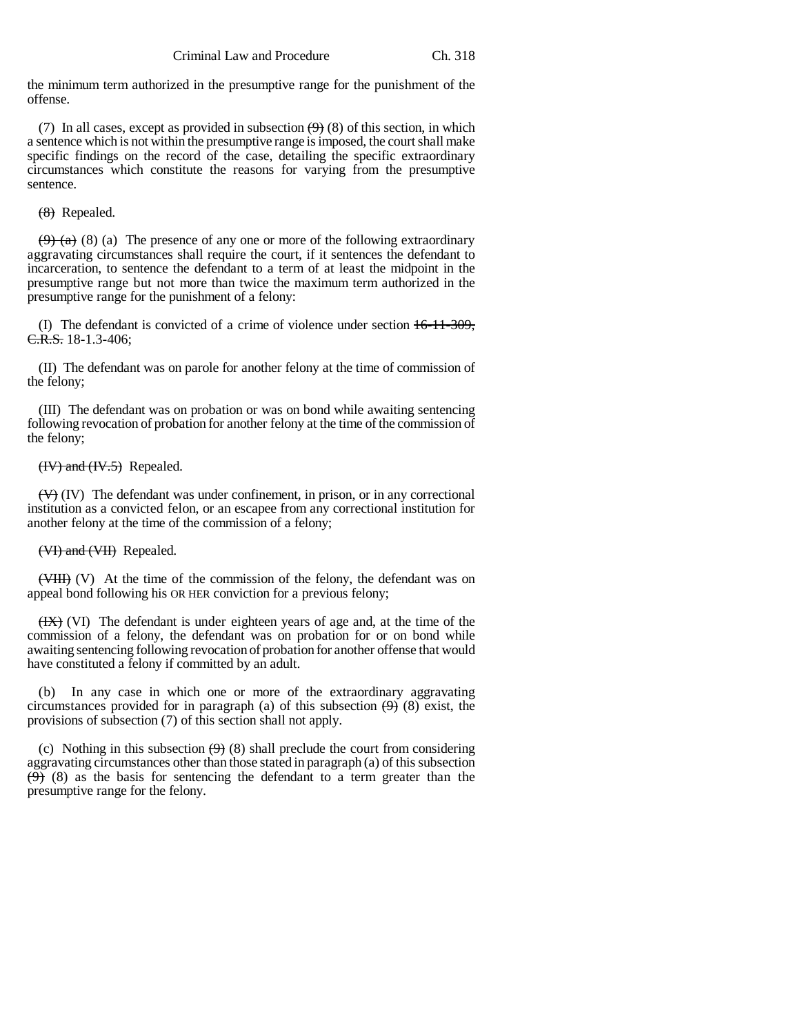the minimum term authorized in the presumptive range for the punishment of the offense.

(7) In all cases, except as provided in subsection  $(9)$  (8) of this section, in which a sentence which is not within the presumptive range is imposed, the court shall make specific findings on the record of the case, detailing the specific extraordinary circumstances which constitute the reasons for varying from the presumptive sentence.

### (8) Repealed.

 $(9)$  (a) (a) The presence of any one or more of the following extraordinary aggravating circumstances shall require the court, if it sentences the defendant to incarceration, to sentence the defendant to a term of at least the midpoint in the presumptive range but not more than twice the maximum term authorized in the presumptive range for the punishment of a felony:

(I) The defendant is convicted of a crime of violence under section  $16-11-309$ , C.R.S. 18-1.3-406;

(II) The defendant was on parole for another felony at the time of commission of the felony;

(III) The defendant was on probation or was on bond while awaiting sentencing following revocation of probation for another felony at the time of the commission of the felony;

### $(HV)$  and  $(HV.5)$  Repealed.

 $(V)$  (IV) The defendant was under confinement, in prison, or in any correctional institution as a convicted felon, or an escapee from any correctional institution for another felony at the time of the commission of a felony;

### $(\forall f)$  and  $(\forall f)$  Repealed.

(VIII) (V) At the time of the commission of the felony, the defendant was on appeal bond following his OR HER conviction for a previous felony;

(HX) (VI) The defendant is under eighteen years of age and, at the time of the commission of a felony, the defendant was on probation for or on bond while awaiting sentencing following revocation of probation for another offense that would have constituted a felony if committed by an adult.

(b) In any case in which one or more of the extraordinary aggravating circumstances provided for in paragraph (a) of this subsection  $(9)$  (8) exist, the provisions of subsection (7) of this section shall not apply.

(c) Nothing in this subsection  $(9)$  (8) shall preclude the court from considering aggravating circumstances other than those stated in paragraph (a) of this subsection  $\overline{(9)}$  (8) as the basis for sentencing the defendant to a term greater than the presumptive range for the felony.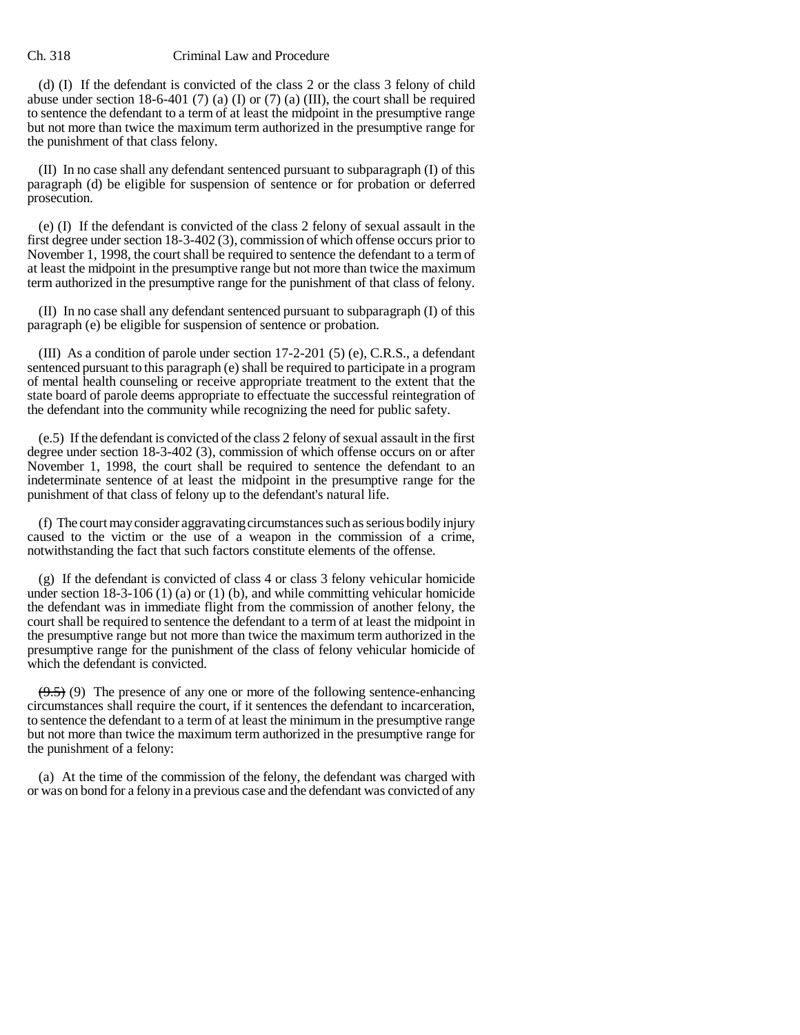(d) (I) If the defendant is convicted of the class 2 or the class 3 felony of child abuse under section 18-6-401 (7) (a) (I) or (7) (a) (III), the court shall be required to sentence the defendant to a term of at least the midpoint in the presumptive range but not more than twice the maximum term authorized in the presumptive range for the punishment of that class felony.

(II) In no case shall any defendant sentenced pursuant to subparagraph (I) of this paragraph (d) be eligible for suspension of sentence or for probation or deferred prosecution.

(e) (I) If the defendant is convicted of the class 2 felony of sexual assault in the first degree under section 18-3-402 (3), commission of which offense occurs prior to November 1, 1998, the court shall be required to sentence the defendant to a term of at least the midpoint in the presumptive range but not more than twice the maximum term authorized in the presumptive range for the punishment of that class of felony.

(II) In no case shall any defendant sentenced pursuant to subparagraph (I) of this paragraph (e) be eligible for suspension of sentence or probation.

(III) As a condition of parole under section 17-2-201 (5) (e), C.R.S., a defendant sentenced pursuant to this paragraph (e) shall be required to participate in a program of mental health counseling or receive appropriate treatment to the extent that the state board of parole deems appropriate to effectuate the successful reintegration of the defendant into the community while recognizing the need for public safety.

(e.5) If the defendant is convicted of the class 2 felony of sexual assault in the first degree under section 18-3-402 (3), commission of which offense occurs on or after November 1, 1998, the court shall be required to sentence the defendant to an indeterminate sentence of at least the midpoint in the presumptive range for the punishment of that class of felony up to the defendant's natural life.

(f) The court may consider aggravating circumstances such as serious bodily injury caused to the victim or the use of a weapon in the commission of a crime, notwithstanding the fact that such factors constitute elements of the offense.

 $(g)$  If the defendant is convicted of class 4 or class 3 felony vehicular homicide under section 18-3-106 (1) (a) or (1) (b), and while committing vehicular homicide the defendant was in immediate flight from the commission of another felony, the court shall be required to sentence the defendant to a term of at least the midpoint in the presumptive range but not more than twice the maximum term authorized in the presumptive range for the punishment of the class of felony vehicular homicide of which the defendant is convicted.

 $(9.5)$  (9) The presence of any one or more of the following sentence-enhancing circumstances shall require the court, if it sentences the defendant to incarceration, to sentence the defendant to a term of at least the minimum in the presumptive range but not more than twice the maximum term authorized in the presumptive range for the punishment of a felony:

(a) At the time of the commission of the felony, the defendant was charged with or was on bond for a felony in a previous case and the defendant was convicted of any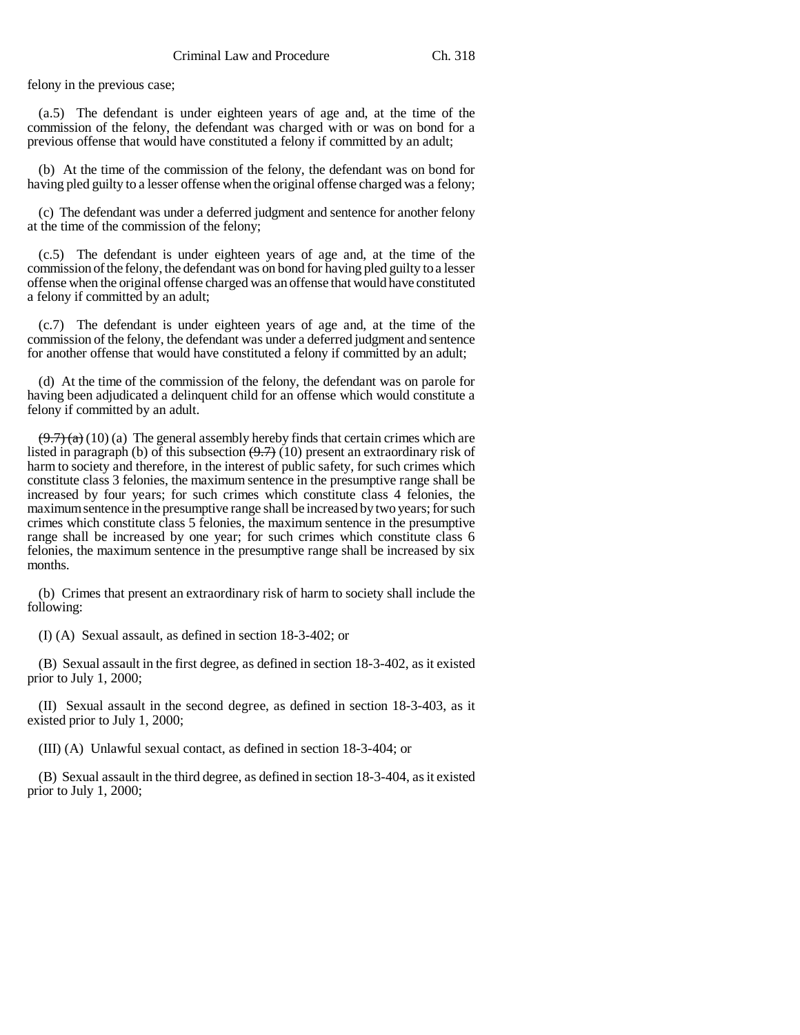felony in the previous case;

(a.5) The defendant is under eighteen years of age and, at the time of the commission of the felony, the defendant was charged with or was on bond for a previous offense that would have constituted a felony if committed by an adult;

(b) At the time of the commission of the felony, the defendant was on bond for having pled guilty to a lesser offense when the original offense charged was a felony;

(c) The defendant was under a deferred judgment and sentence for another felony at the time of the commission of the felony;

(c.5) The defendant is under eighteen years of age and, at the time of the commission of the felony, the defendant was on bond for having pled guilty to a lesser offense when the original offense charged was an offense that would have constituted a felony if committed by an adult;

(c.7) The defendant is under eighteen years of age and, at the time of the commission of the felony, the defendant was under a deferred judgment and sentence for another offense that would have constituted a felony if committed by an adult;

(d) At the time of the commission of the felony, the defendant was on parole for having been adjudicated a delinquent child for an offense which would constitute a felony if committed by an adult.

 $(9.7)$  (a) (10) (a) The general assembly hereby finds that certain crimes which are listed in paragraph (b) of this subsection  $(9.7)$  (10) present an extraordinary risk of harm to society and therefore, in the interest of public safety, for such crimes which constitute class 3 felonies, the maximum sentence in the presumptive range shall be increased by four years; for such crimes which constitute class 4 felonies, the maximum sentence in the presumptive range shall be increased by two years; for such crimes which constitute class 5 felonies, the maximum sentence in the presumptive range shall be increased by one year; for such crimes which constitute class 6 felonies, the maximum sentence in the presumptive range shall be increased by six months.

(b) Crimes that present an extraordinary risk of harm to society shall include the following:

(I) (A) Sexual assault, as defined in section 18-3-402; or

(B) Sexual assault in the first degree, as defined in section 18-3-402, as it existed prior to July 1, 2000;

(II) Sexual assault in the second degree, as defined in section 18-3-403, as it existed prior to July 1, 2000;

(III) (A) Unlawful sexual contact, as defined in section 18-3-404; or

(B) Sexual assault in the third degree, as defined in section 18-3-404, as it existed prior to July 1, 2000;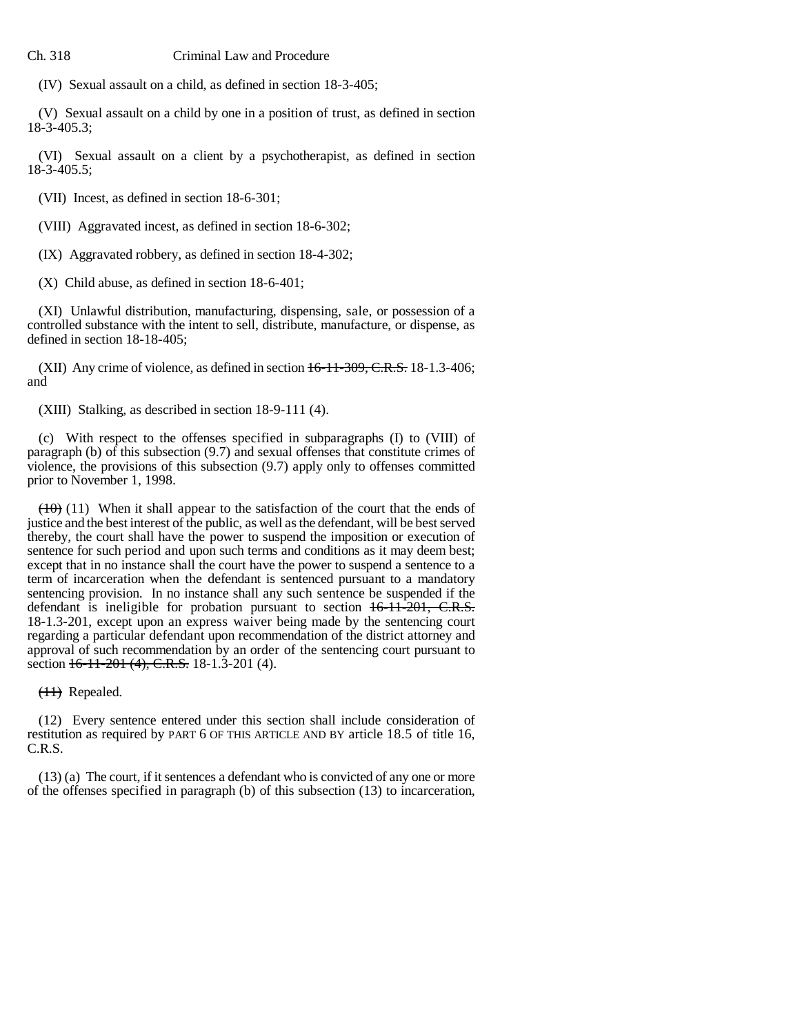(IV) Sexual assault on a child, as defined in section 18-3-405;

(V) Sexual assault on a child by one in a position of trust, as defined in section 18-3-405.3;

(VI) Sexual assault on a client by a psychotherapist, as defined in section 18-3-405.5;

(VII) Incest, as defined in section 18-6-301;

(VIII) Aggravated incest, as defined in section 18-6-302;

(IX) Aggravated robbery, as defined in section 18-4-302;

(X) Child abuse, as defined in section 18-6-401;

(XI) Unlawful distribution, manufacturing, dispensing, sale, or possession of a controlled substance with the intent to sell, distribute, manufacture, or dispense, as defined in section 18-18-405;

(XII) Any crime of violence, as defined in section  $16-11-309$ , C.R.S. 18-1.3-406; and

(XIII) Stalking, as described in section 18-9-111 (4).

(c) With respect to the offenses specified in subparagraphs (I) to (VIII) of paragraph (b) of this subsection (9.7) and sexual offenses that constitute crimes of violence, the provisions of this subsection (9.7) apply only to offenses committed prior to November 1, 1998.

 $(10)$  (11) When it shall appear to the satisfaction of the court that the ends of justice and the best interest of the public, as well as the defendant, will be best served thereby, the court shall have the power to suspend the imposition or execution of sentence for such period and upon such terms and conditions as it may deem best; except that in no instance shall the court have the power to suspend a sentence to a term of incarceration when the defendant is sentenced pursuant to a mandatory sentencing provision. In no instance shall any such sentence be suspended if the defendant is ineligible for probation pursuant to section  $16-11-201$ , C.R.S. 18-1.3-201, except upon an express waiver being made by the sentencing court regarding a particular defendant upon recommendation of the district attorney and approval of such recommendation by an order of the sentencing court pursuant to section  $16-11-201$  (4), C.R.S. 18-1.3-201 (4).

(11) Repealed.

(12) Every sentence entered under this section shall include consideration of restitution as required by PART 6 OF THIS ARTICLE AND BY article 18.5 of title 16, C.R.S.

(13) (a) The court, if it sentences a defendant who is convicted of any one or more of the offenses specified in paragraph (b) of this subsection (13) to incarceration,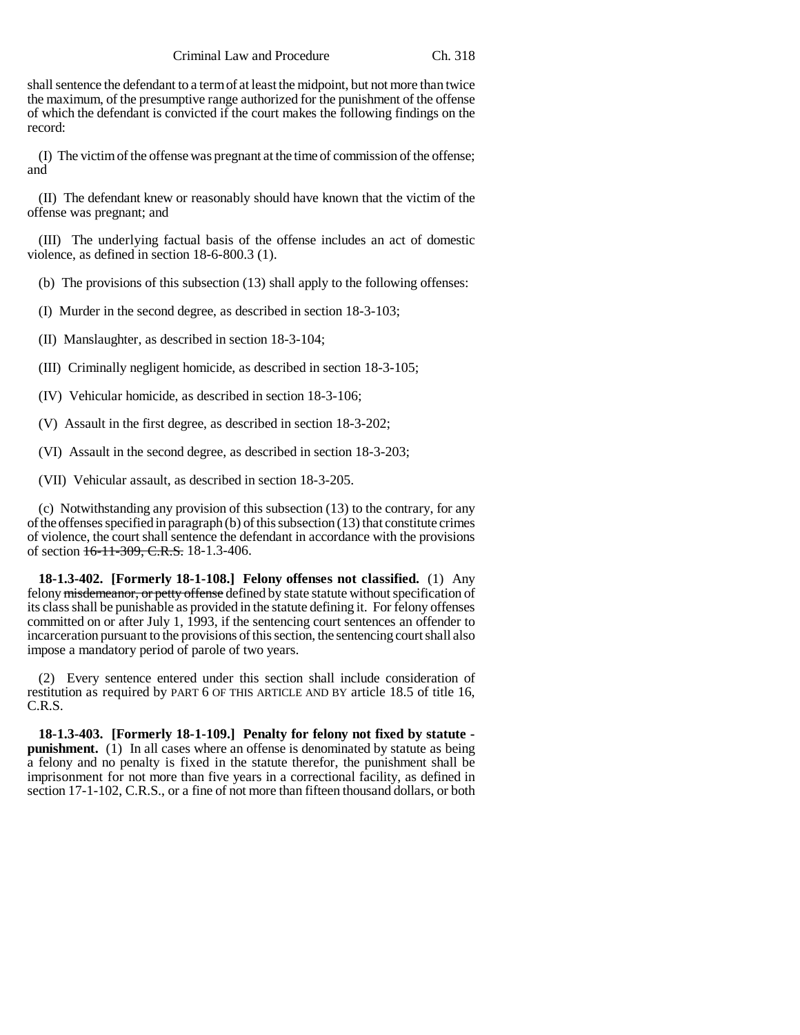shall sentence the defendant to a term of at least the midpoint, but not more than twice the maximum, of the presumptive range authorized for the punishment of the offense of which the defendant is convicted if the court makes the following findings on the record:

(I) The victim of the offense was pregnant at the time of commission of the offense; and

(II) The defendant knew or reasonably should have known that the victim of the offense was pregnant; and

(III) The underlying factual basis of the offense includes an act of domestic violence, as defined in section 18-6-800.3 (1).

(b) The provisions of this subsection (13) shall apply to the following offenses:

(I) Murder in the second degree, as described in section 18-3-103;

(II) Manslaughter, as described in section 18-3-104;

(III) Criminally negligent homicide, as described in section 18-3-105;

(IV) Vehicular homicide, as described in section 18-3-106;

(V) Assault in the first degree, as described in section 18-3-202;

(VI) Assault in the second degree, as described in section 18-3-203;

(VII) Vehicular assault, as described in section 18-3-205.

(c) Notwithstanding any provision of this subsection (13) to the contrary, for any of the offenses specified in paragraph (b) of this subsection (13) that constitute crimes of violence, the court shall sentence the defendant in accordance with the provisions of section 16-11-309, C.R.S. 18-1.3-406.

**18-1.3-402. [Formerly 18-1-108.] Felony offenses not classified.** (1) Any felony misdemeanor, or petty offense defined by state statute without specification of its class shall be punishable as provided in the statute defining it. For felony offenses committed on or after July 1, 1993, if the sentencing court sentences an offender to incarceration pursuant to the provisions of this section, the sentencing court shall also impose a mandatory period of parole of two years.

(2) Every sentence entered under this section shall include consideration of restitution as required by PART 6 OF THIS ARTICLE AND BY article 18.5 of title 16, C.R.S.

**18-1.3-403. [Formerly 18-1-109.] Penalty for felony not fixed by statute punishment.** (1) In all cases where an offense is denominated by statute as being a felony and no penalty is fixed in the statute therefor, the punishment shall be imprisonment for not more than five years in a correctional facility, as defined in section 17-1-102, C.R.S., or a fine of not more than fifteen thousand dollars, or both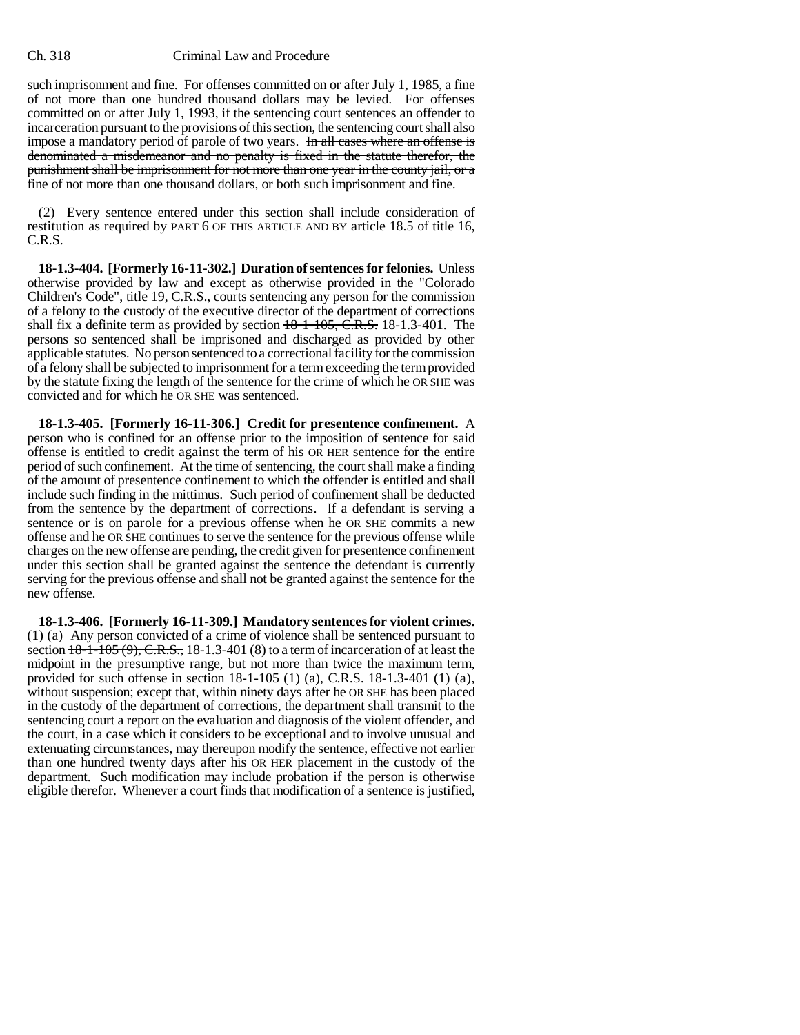such imprisonment and fine. For offenses committed on or after July 1, 1985, a fine of not more than one hundred thousand dollars may be levied. For offenses committed on or after July 1, 1993, if the sentencing court sentences an offender to incarceration pursuant to the provisions of this section, the sentencing court shall also impose a mandatory period of parole of two years. In all cases where an offense is denominated a misdemeanor and no penalty is fixed in the statute therefor, the punishment shall be imprisonment for not more than one year in the county jail, or a fine of not more than one thousand dollars, or both such imprisonment and fine.

(2) Every sentence entered under this section shall include consideration of restitution as required by PART 6 OF THIS ARTICLE AND BY article 18.5 of title 16, C.R.S.

**18-1.3-404. [Formerly 16-11-302.] Duration of sentences for felonies.** Unless otherwise provided by law and except as otherwise provided in the "Colorado Children's Code", title 19, C.R.S., courts sentencing any person for the commission of a felony to the custody of the executive director of the department of corrections shall fix a definite term as provided by section  $18-1-105$ , C.R.S. 18-1.3-401. The persons so sentenced shall be imprisoned and discharged as provided by other applicable statutes. No person sentenced to a correctional facility for the commission of a felony shall be subjected to imprisonment for a term exceeding the term provided by the statute fixing the length of the sentence for the crime of which he OR SHE was convicted and for which he OR SHE was sentenced.

**18-1.3-405. [Formerly 16-11-306.] Credit for presentence confinement.** A person who is confined for an offense prior to the imposition of sentence for said offense is entitled to credit against the term of his OR HER sentence for the entire period of such confinement. At the time of sentencing, the court shall make a finding of the amount of presentence confinement to which the offender is entitled and shall include such finding in the mittimus. Such period of confinement shall be deducted from the sentence by the department of corrections. If a defendant is serving a sentence or is on parole for a previous offense when he OR SHE commits a new offense and he OR SHE continues to serve the sentence for the previous offense while charges on the new offense are pending, the credit given for presentence confinement under this section shall be granted against the sentence the defendant is currently serving for the previous offense and shall not be granted against the sentence for the new offense.

**18-1.3-406. [Formerly 16-11-309.] Mandatory sentences for violent crimes.** (1) (a) Any person convicted of a crime of violence shall be sentenced pursuant to section  $18-1-105 (9)$ , C.R.S., 18-1.3-401 (8) to a term of incarceration of at least the midpoint in the presumptive range, but not more than twice the maximum term, provided for such offense in section  $18-1-105$  (1) (a), C.R.S. 18-1.3-401 (1) (a), without suspension; except that, within ninety days after he OR SHE has been placed in the custody of the department of corrections, the department shall transmit to the sentencing court a report on the evaluation and diagnosis of the violent offender, and the court, in a case which it considers to be exceptional and to involve unusual and extenuating circumstances, may thereupon modify the sentence, effective not earlier than one hundred twenty days after his OR HER placement in the custody of the department. Such modification may include probation if the person is otherwise eligible therefor. Whenever a court finds that modification of a sentence is justified,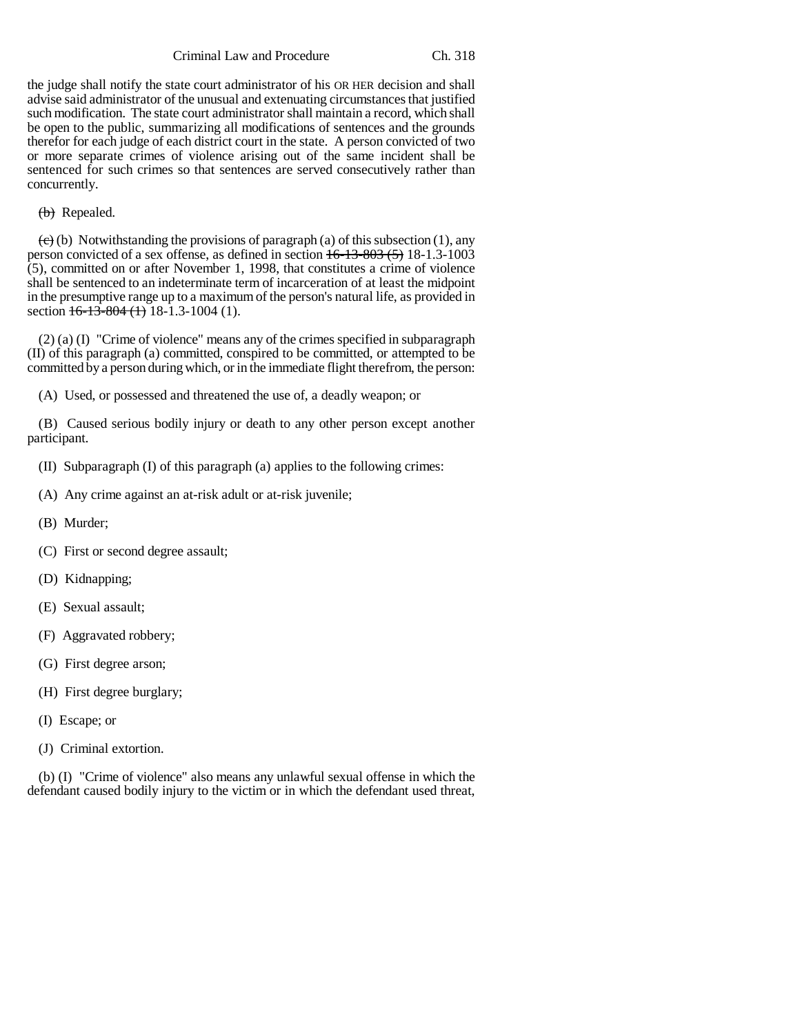Criminal Law and Procedure Ch. 318

the judge shall notify the state court administrator of his OR HER decision and shall advise said administrator of the unusual and extenuating circumstances that justified such modification. The state court administrator shall maintain a record, which shall be open to the public, summarizing all modifications of sentences and the grounds therefor for each judge of each district court in the state. A person convicted of two or more separate crimes of violence arising out of the same incident shall be sentenced for such crimes so that sentences are served consecutively rather than concurrently.

## (b) Repealed.

 $\left(\frac{e}{c}\right)$  (b) Notwithstanding the provisions of paragraph (a) of this subsection (1), any person convicted of a sex offense, as defined in section  $16-13-803(5)$  18-1.3-1003  $(5)$ , committed on or after November 1, 1998, that constitutes a crime of violence shall be sentenced to an indeterminate term of incarceration of at least the midpoint in the presumptive range up to a maximum of the person's natural life, as provided in section  $16-13-804$  (1) 18-1.3-1004 (1).

(2) (a) (I) "Crime of violence" means any of the crimes specified in subparagraph (II) of this paragraph (a) committed, conspired to be committed, or attempted to be committed by a person during which, or in the immediate flight therefrom, the person:

(A) Used, or possessed and threatened the use of, a deadly weapon; or

(B) Caused serious bodily injury or death to any other person except another participant.

- (II) Subparagraph (I) of this paragraph (a) applies to the following crimes:
- (A) Any crime against an at-risk adult or at-risk juvenile;
- (B) Murder;
- (C) First or second degree assault;
- (D) Kidnapping;
- (E) Sexual assault;
- (F) Aggravated robbery;
- (G) First degree arson;
- (H) First degree burglary;
- (I) Escape; or
- (J) Criminal extortion.

(b) (I) "Crime of violence" also means any unlawful sexual offense in which the defendant caused bodily injury to the victim or in which the defendant used threat,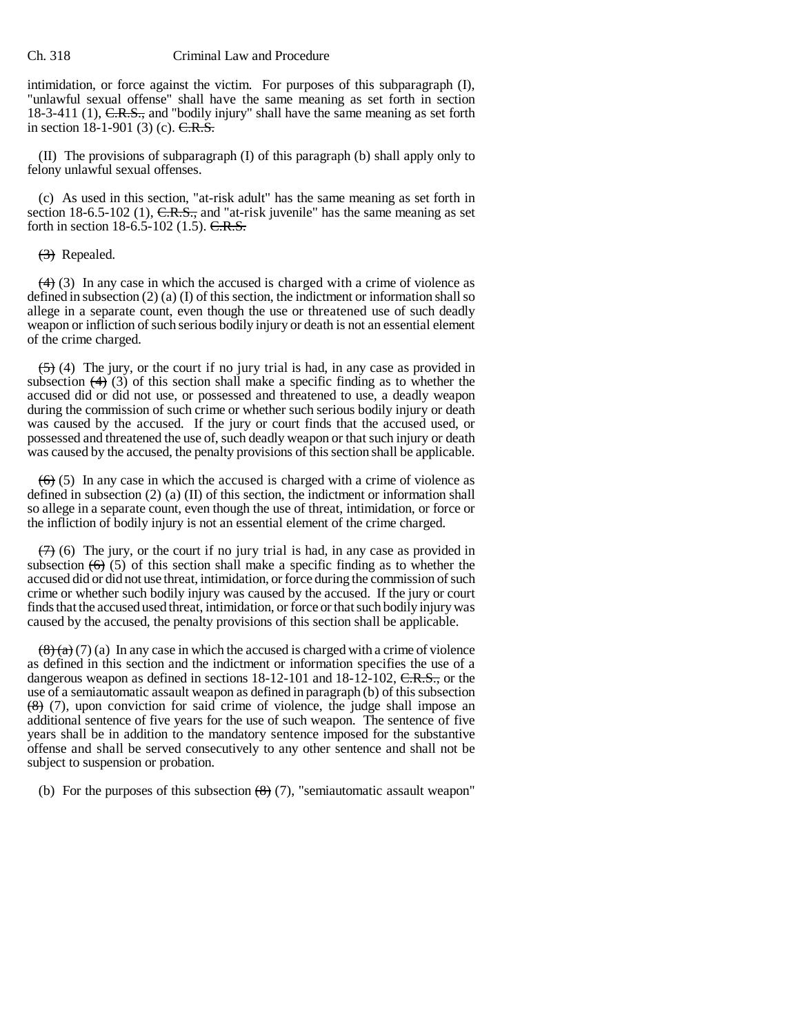intimidation, or force against the victim. For purposes of this subparagraph (I), "unlawful sexual offense" shall have the same meaning as set forth in section 18-3-411 (1), C.R.S., and "bodily injury" shall have the same meaning as set forth in section 18-1-901 (3) (c).  $C.R.S.$ 

(II) The provisions of subparagraph (I) of this paragraph (b) shall apply only to felony unlawful sexual offenses.

(c) As used in this section, "at-risk adult" has the same meaning as set forth in section  $18-6.5-102$  (1), C.R.S., and "at-risk juvenile" has the same meaning as set forth in section  $18-6.5-102$  (1.5). C.R.S.

#### (3) Repealed.

 $(4)$  (3) In any case in which the accused is charged with a crime of violence as defined in subsection (2) (a) (I) of this section, the indictment or information shall so allege in a separate count, even though the use or threatened use of such deadly weapon or infliction of such serious bodily injury or death is not an essential element of the crime charged.

 $(5)$  (4) The jury, or the court if no jury trial is had, in any case as provided in subsection  $\left(4\right)$  (3) of this section shall make a specific finding as to whether the accused did or did not use, or possessed and threatened to use, a deadly weapon during the commission of such crime or whether such serious bodily injury or death was caused by the accused. If the jury or court finds that the accused used, or possessed and threatened the use of, such deadly weapon or that such injury or death was caused by the accused, the penalty provisions of this section shall be applicable.

 $(6)$  (5) In any case in which the accused is charged with a crime of violence as defined in subsection (2) (a) (II) of this section, the indictment or information shall so allege in a separate count, even though the use of threat, intimidation, or force or the infliction of bodily injury is not an essential element of the crime charged.

 $(7)$  (6) The jury, or the court if no jury trial is had, in any case as provided in subsection  $(6)$  (5) of this section shall make a specific finding as to whether the accused did or did not use threat, intimidation, or force during the commission of such crime or whether such bodily injury was caused by the accused. If the jury or court finds that the accused used threat, intimidation, or force or that such bodily injury was caused by the accused, the penalty provisions of this section shall be applicable.

 $\left(\frac{8}{2}(a)\right)$  (7) (a) In any case in which the accused is charged with a crime of violence as defined in this section and the indictment or information specifies the use of a dangerous weapon as defined in sections  $18-12-101$  and  $18-12-102$ , C.R.S., or the use of a semiautomatic assault weapon as defined in paragraph (b) of this subsection  $(8)$  (7), upon conviction for said crime of violence, the judge shall impose an additional sentence of five years for the use of such weapon. The sentence of five years shall be in addition to the mandatory sentence imposed for the substantive offense and shall be served consecutively to any other sentence and shall not be subject to suspension or probation.

(b) For the purposes of this subsection  $(8)$  (7), "semiautomatic assault weapon"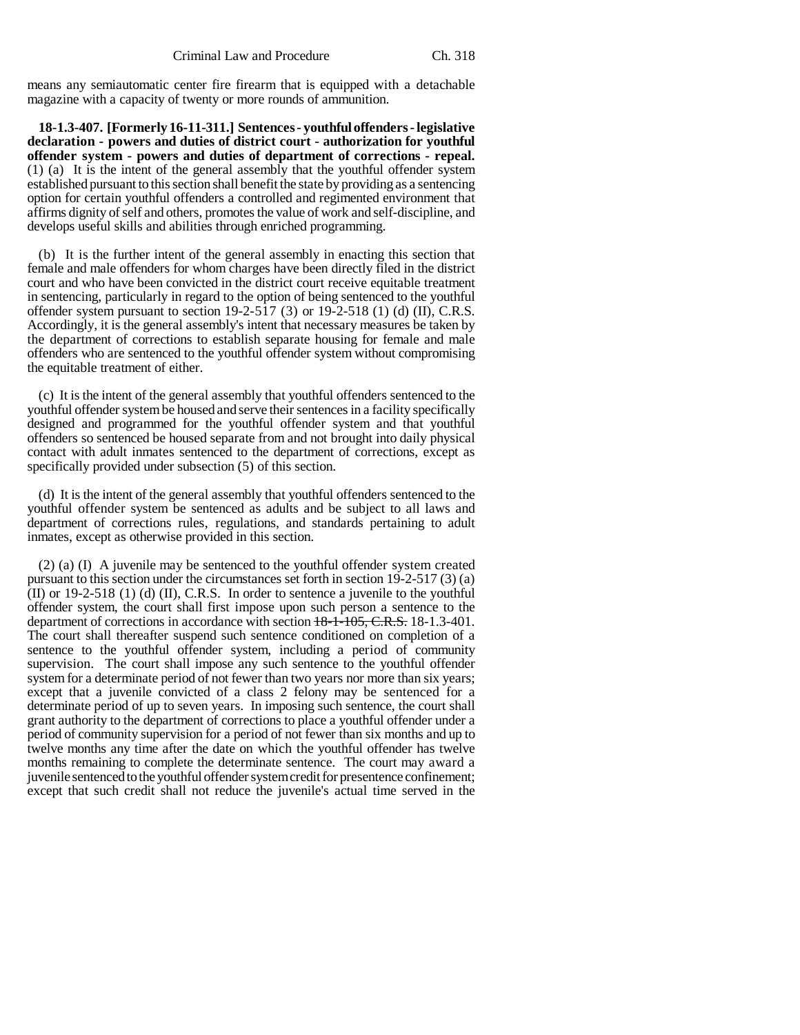means any semiautomatic center fire firearm that is equipped with a detachable magazine with a capacity of twenty or more rounds of ammunition.

**18-1.3-407. [Formerly 16-11-311.] Sentences - youthful offenders - legislative declaration - powers and duties of district court - authorization for youthful offender system - powers and duties of department of corrections - repeal.** (1) (a) It is the intent of the general assembly that the youthful offender system established pursuant to this section shall benefit the state by providing as a sentencing option for certain youthful offenders a controlled and regimented environment that affirms dignity of self and others, promotes the value of work and self-discipline, and develops useful skills and abilities through enriched programming.

(b) It is the further intent of the general assembly in enacting this section that female and male offenders for whom charges have been directly filed in the district court and who have been convicted in the district court receive equitable treatment in sentencing, particularly in regard to the option of being sentenced to the youthful offender system pursuant to section  $19-2-517$  (3) or  $19-2-518$  (1) (d) (II), C.R.S. Accordingly, it is the general assembly's intent that necessary measures be taken by the department of corrections to establish separate housing for female and male offenders who are sentenced to the youthful offender system without compromising the equitable treatment of either.

(c) It is the intent of the general assembly that youthful offenders sentenced to the youthful offender system be housed and serve their sentences in a facility specifically designed and programmed for the youthful offender system and that youthful offenders so sentenced be housed separate from and not brought into daily physical contact with adult inmates sentenced to the department of corrections, except as specifically provided under subsection (5) of this section.

(d) It is the intent of the general assembly that youthful offenders sentenced to the youthful offender system be sentenced as adults and be subject to all laws and department of corrections rules, regulations, and standards pertaining to adult inmates, except as otherwise provided in this section.

(2) (a) (I) A juvenile may be sentenced to the youthful offender system created pursuant to this section under the circumstances set forth in section 19-2-517 (3) (a) (II) or 19-2-518 (1) (d) (II), C.R.S. In order to sentence a juvenile to the youthful offender system, the court shall first impose upon such person a sentence to the department of corrections in accordance with section 18-1-105, C.R.S. 18-1.3-401. The court shall thereafter suspend such sentence conditioned on completion of a sentence to the youthful offender system, including a period of community supervision. The court shall impose any such sentence to the youthful offender system for a determinate period of not fewer than two years nor more than six years; except that a juvenile convicted of a class 2 felony may be sentenced for a determinate period of up to seven years. In imposing such sentence, the court shall grant authority to the department of corrections to place a youthful offender under a period of community supervision for a period of not fewer than six months and up to twelve months any time after the date on which the youthful offender has twelve months remaining to complete the determinate sentence. The court may award a juvenile sentenced to the youthful offender system credit for presentence confinement; except that such credit shall not reduce the juvenile's actual time served in the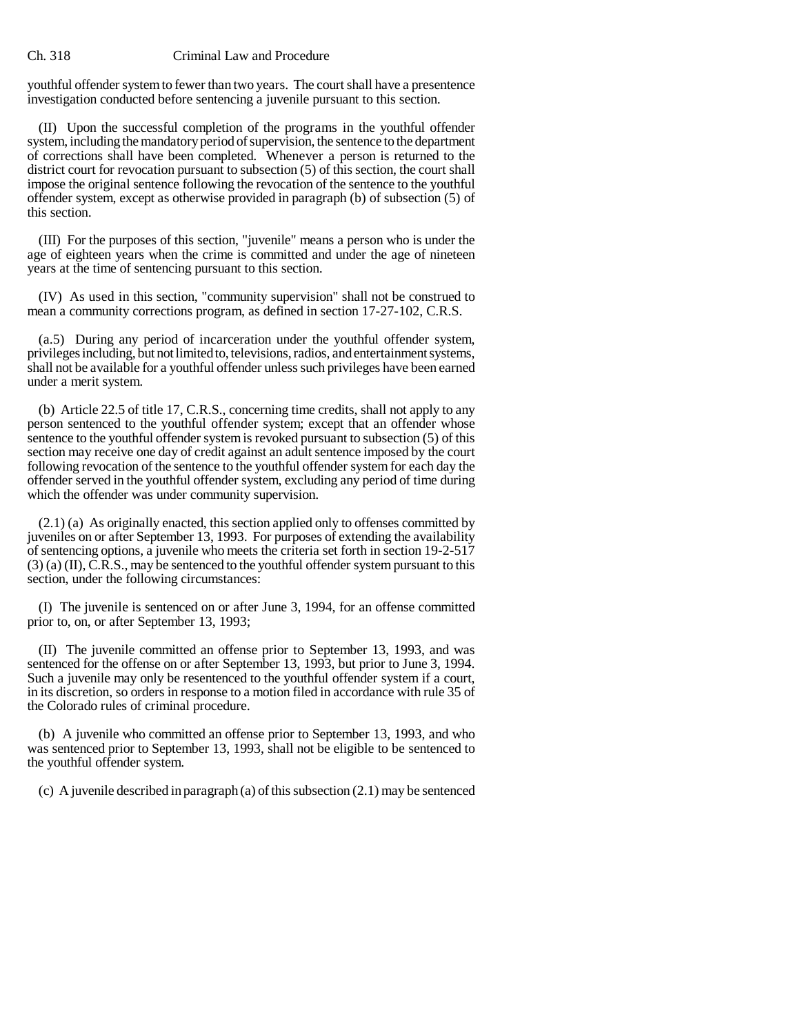youthful offender system to fewer than two years. The court shall have a presentence investigation conducted before sentencing a juvenile pursuant to this section.

(II) Upon the successful completion of the programs in the youthful offender system, including the mandatory period of supervision, the sentence to the department of corrections shall have been completed. Whenever a person is returned to the district court for revocation pursuant to subsection (5) of this section, the court shall impose the original sentence following the revocation of the sentence to the youthful offender system, except as otherwise provided in paragraph (b) of subsection (5) of this section.

(III) For the purposes of this section, "juvenile" means a person who is under the age of eighteen years when the crime is committed and under the age of nineteen years at the time of sentencing pursuant to this section.

(IV) As used in this section, "community supervision" shall not be construed to mean a community corrections program, as defined in section 17-27-102, C.R.S.

(a.5) During any period of incarceration under the youthful offender system, privileges including, but not limited to, televisions, radios, and entertainment systems, shall not be available for a youthful offender unless such privileges have been earned under a merit system.

(b) Article 22.5 of title 17, C.R.S., concerning time credits, shall not apply to any person sentenced to the youthful offender system; except that an offender whose sentence to the youthful offender system is revoked pursuant to subsection (5) of this section may receive one day of credit against an adult sentence imposed by the court following revocation of the sentence to the youthful offender system for each day the offender served in the youthful offender system, excluding any period of time during which the offender was under community supervision.

(2.1) (a) As originally enacted, this section applied only to offenses committed by juveniles on or after September 13, 1993. For purposes of extending the availability of sentencing options, a juvenile who meets the criteria set forth in section 19-2-517 (3) (a) (II), C.R.S., may be sentenced to the youthful offender system pursuant to this section, under the following circumstances:

(I) The juvenile is sentenced on or after June 3, 1994, for an offense committed prior to, on, or after September 13, 1993;

(II) The juvenile committed an offense prior to September 13, 1993, and was sentenced for the offense on or after September 13, 1993, but prior to June 3, 1994. Such a juvenile may only be resentenced to the youthful offender system if a court, in its discretion, so orders in response to a motion filed in accordance with rule 35 of the Colorado rules of criminal procedure.

(b) A juvenile who committed an offense prior to September 13, 1993, and who was sentenced prior to September 13, 1993, shall not be eligible to be sentenced to the youthful offender system.

(c) A juvenile described in paragraph (a) of this subsection (2.1) may be sentenced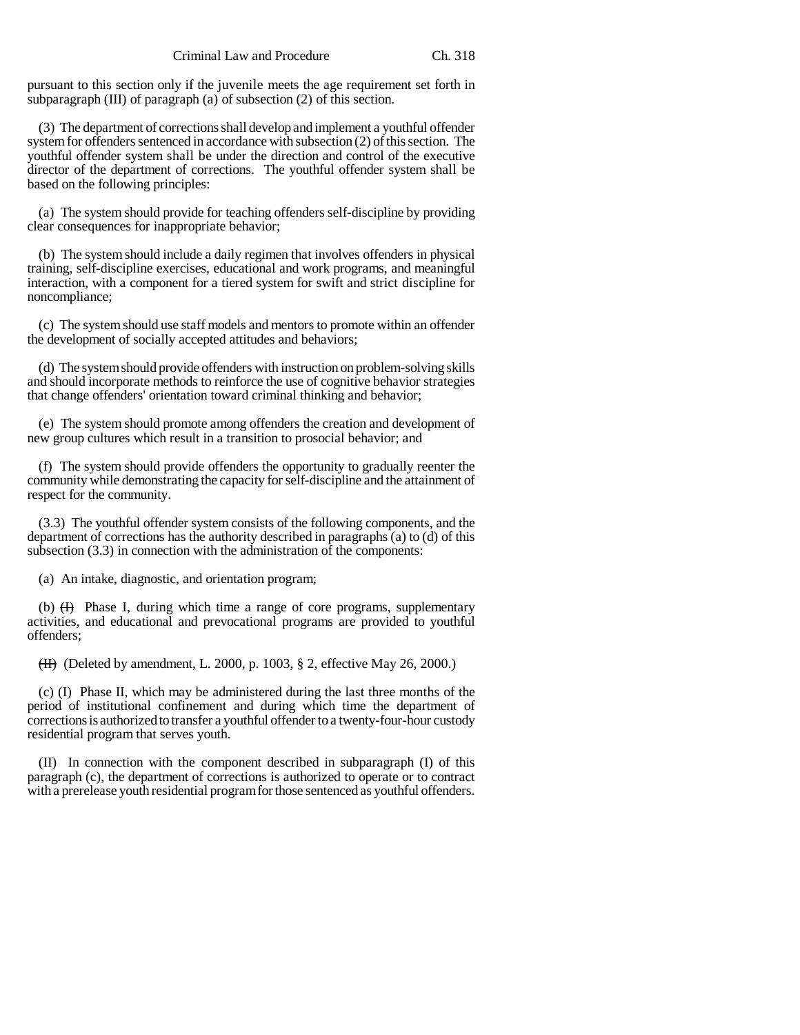pursuant to this section only if the juvenile meets the age requirement set forth in subparagraph (III) of paragraph (a) of subsection (2) of this section.

(3) The department of corrections shall develop and implement a youthful offender system for offenders sentenced in accordance with subsection (2) of this section. The youthful offender system shall be under the direction and control of the executive director of the department of corrections. The youthful offender system shall be based on the following principles:

(a) The system should provide for teaching offenders self-discipline by providing clear consequences for inappropriate behavior;

(b) The system should include a daily regimen that involves offenders in physical training, self-discipline exercises, educational and work programs, and meaningful interaction, with a component for a tiered system for swift and strict discipline for noncompliance;

(c) The system should use staff models and mentors to promote within an offender the development of socially accepted attitudes and behaviors;

(d) The system should provide offenders with instruction on problem-solving skills and should incorporate methods to reinforce the use of cognitive behavior strategies that change offenders' orientation toward criminal thinking and behavior;

(e) The system should promote among offenders the creation and development of new group cultures which result in a transition to prosocial behavior; and

(f) The system should provide offenders the opportunity to gradually reenter the community while demonstrating the capacity for self-discipline and the attainment of respect for the community.

(3.3) The youthful offender system consists of the following components, and the department of corrections has the authority described in paragraphs (a) to (d) of this subsection (3.3) in connection with the administration of the components:

(a) An intake, diagnostic, and orientation program;

(b)  $(H)$  Phase I, during which time a range of core programs, supplementary activities, and educational and prevocational programs are provided to youthful offenders;

 $(H)$  (Deleted by amendment, L. 2000, p. 1003, § 2, effective May 26, 2000.)

(c) (I) Phase II, which may be administered during the last three months of the period of institutional confinement and during which time the department of corrections is authorized to transfer a youthful offender to a twenty-four-hour custody residential program that serves youth.

(II) In connection with the component described in subparagraph (I) of this paragraph (c), the department of corrections is authorized to operate or to contract with a prerelease youth residential program for those sentenced as youthful offenders.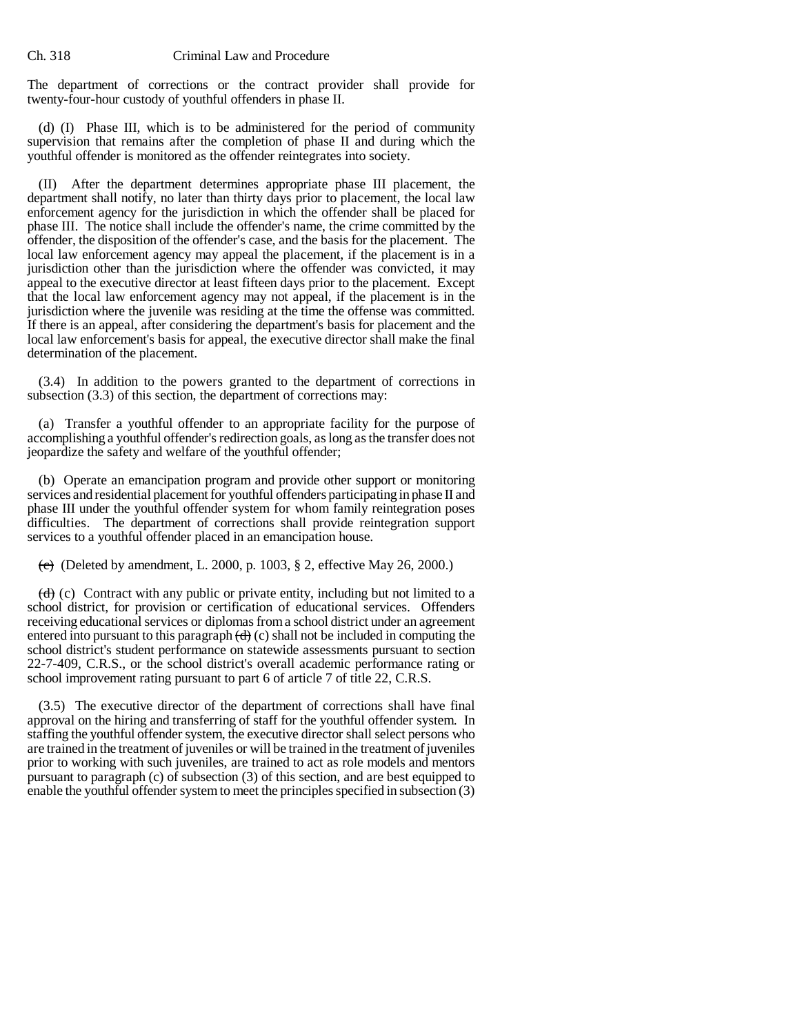The department of corrections or the contract provider shall provide for twenty-four-hour custody of youthful offenders in phase II.

(d) (I) Phase III, which is to be administered for the period of community supervision that remains after the completion of phase II and during which the youthful offender is monitored as the offender reintegrates into society.

(II) After the department determines appropriate phase III placement, the department shall notify, no later than thirty days prior to placement, the local law enforcement agency for the jurisdiction in which the offender shall be placed for phase III. The notice shall include the offender's name, the crime committed by the offender, the disposition of the offender's case, and the basis for the placement. The local law enforcement agency may appeal the placement, if the placement is in a jurisdiction other than the jurisdiction where the offender was convicted, it may appeal to the executive director at least fifteen days prior to the placement. Except that the local law enforcement agency may not appeal, if the placement is in the jurisdiction where the juvenile was residing at the time the offense was committed. If there is an appeal, after considering the department's basis for placement and the local law enforcement's basis for appeal, the executive director shall make the final determination of the placement.

(3.4) In addition to the powers granted to the department of corrections in subsection (3.3) of this section, the department of corrections may:

(a) Transfer a youthful offender to an appropriate facility for the purpose of accomplishing a youthful offender's redirection goals, as long as the transfer does not jeopardize the safety and welfare of the youthful offender;

(b) Operate an emancipation program and provide other support or monitoring services and residential placement for youthful offenders participating in phase II and phase III under the youthful offender system for whom family reintegration poses difficulties. The department of corrections shall provide reintegration support services to a youthful offender placed in an emancipation house.

(c) (Deleted by amendment, L. 2000, p. 1003,  $\S$  2, effective May 26, 2000.)

 $(d)$  (c) Contract with any public or private entity, including but not limited to a school district, for provision or certification of educational services. Offenders receiving educational services or diplomas from a school district under an agreement entered into pursuant to this paragraph  $(d)$  (c) shall not be included in computing the school district's student performance on statewide assessments pursuant to section 22-7-409, C.R.S., or the school district's overall academic performance rating or school improvement rating pursuant to part 6 of article 7 of title 22, C.R.S.

(3.5) The executive director of the department of corrections shall have final approval on the hiring and transferring of staff for the youthful offender system. In staffing the youthful offender system, the executive director shall select persons who are trained in the treatment of juveniles or will be trained in the treatment of juveniles prior to working with such juveniles, are trained to act as role models and mentors pursuant to paragraph (c) of subsection (3) of this section, and are best equipped to enable the youthful offender system to meet the principles specified in subsection (3)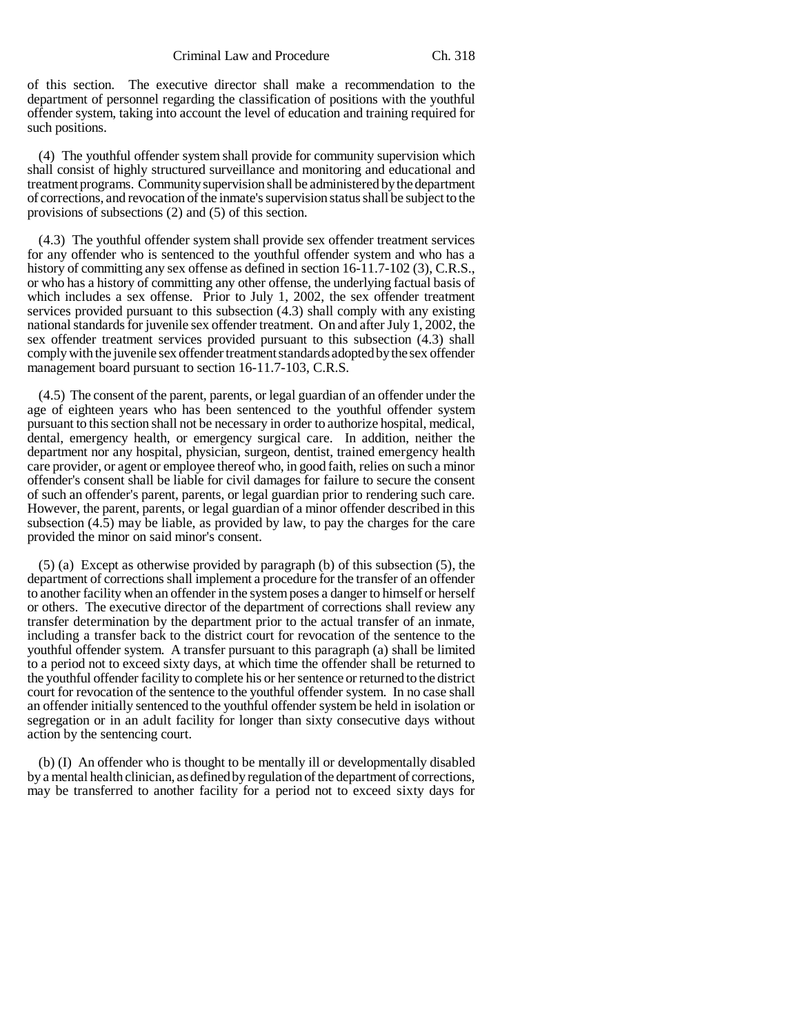of this section. The executive director shall make a recommendation to the department of personnel regarding the classification of positions with the youthful offender system, taking into account the level of education and training required for such positions.

(4) The youthful offender system shall provide for community supervision which shall consist of highly structured surveillance and monitoring and educational and treatment programs. Community supervision shall be administered by the department of corrections, and revocation of the inmate's supervision status shall be subject to the provisions of subsections (2) and (5) of this section.

(4.3) The youthful offender system shall provide sex offender treatment services for any offender who is sentenced to the youthful offender system and who has a history of committing any sex offense as defined in section 16-11.7-102 (3), C.R.S., or who has a history of committing any other offense, the underlying factual basis of which includes a sex offense. Prior to July 1, 2002, the sex offender treatment services provided pursuant to this subsection (4.3) shall comply with any existing national standards for juvenile sex offender treatment. On and after July 1, 2002, the sex offender treatment services provided pursuant to this subsection (4.3) shall comply with the juvenile sex offender treatment standards adopted by the sex offender management board pursuant to section 16-11.7-103, C.R.S.

(4.5) The consent of the parent, parents, or legal guardian of an offender under the age of eighteen years who has been sentenced to the youthful offender system pursuant to this section shall not be necessary in order to authorize hospital, medical, dental, emergency health, or emergency surgical care. In addition, neither the department nor any hospital, physician, surgeon, dentist, trained emergency health care provider, or agent or employee thereof who, in good faith, relies on such a minor offender's consent shall be liable for civil damages for failure to secure the consent of such an offender's parent, parents, or legal guardian prior to rendering such care. However, the parent, parents, or legal guardian of a minor offender described in this subsection (4.5) may be liable, as provided by law, to pay the charges for the care provided the minor on said minor's consent.

(5) (a) Except as otherwise provided by paragraph (b) of this subsection (5), the department of corrections shall implement a procedure for the transfer of an offender to another facility when an offender in the system poses a danger to himself or herself or others. The executive director of the department of corrections shall review any transfer determination by the department prior to the actual transfer of an inmate, including a transfer back to the district court for revocation of the sentence to the youthful offender system. A transfer pursuant to this paragraph (a) shall be limited to a period not to exceed sixty days, at which time the offender shall be returned to the youthful offender facility to complete his or her sentence or returned to the district court for revocation of the sentence to the youthful offender system. In no case shall an offender initially sentenced to the youthful offender system be held in isolation or segregation or in an adult facility for longer than sixty consecutive days without action by the sentencing court.

(b) (I) An offender who is thought to be mentally ill or developmentally disabled by a mental health clinician, as defined by regulation of the department of corrections, may be transferred to another facility for a period not to exceed sixty days for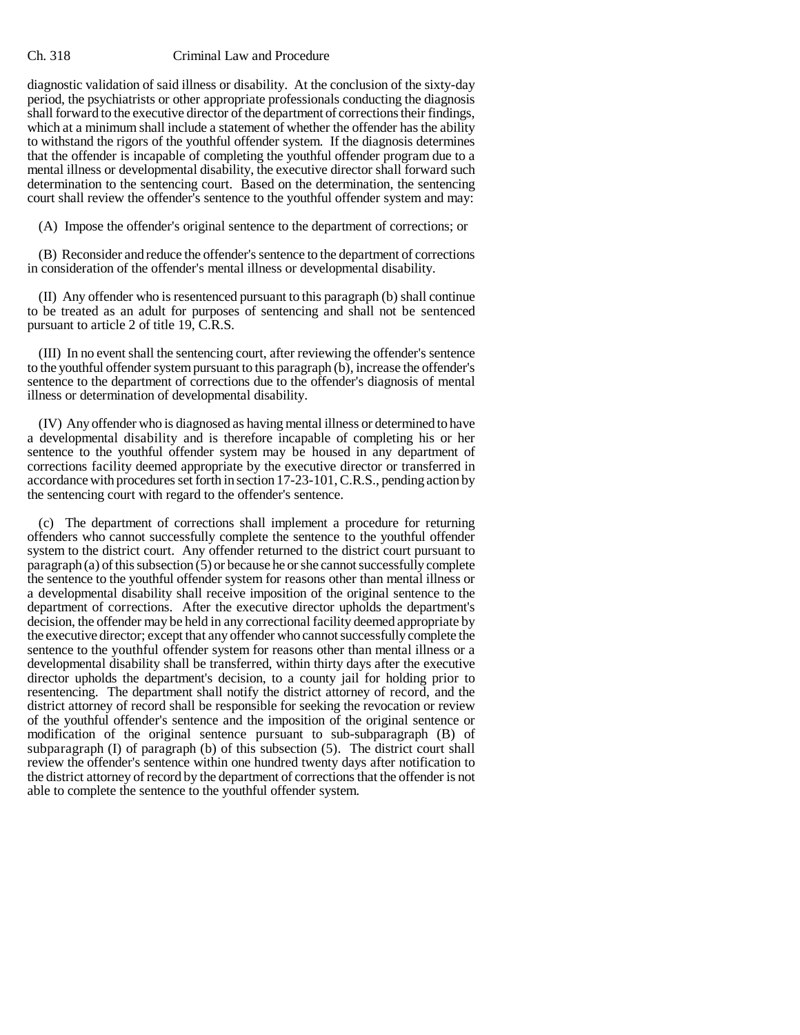diagnostic validation of said illness or disability. At the conclusion of the sixty-day period, the psychiatrists or other appropriate professionals conducting the diagnosis shall forward to the executive director of the department of corrections their findings, which at a minimum shall include a statement of whether the offender has the ability to withstand the rigors of the youthful offender system. If the diagnosis determines that the offender is incapable of completing the youthful offender program due to a mental illness or developmental disability, the executive director shall forward such determination to the sentencing court. Based on the determination, the sentencing court shall review the offender's sentence to the youthful offender system and may:

(A) Impose the offender's original sentence to the department of corrections; or

(B) Reconsider and reduce the offender's sentence to the department of corrections in consideration of the offender's mental illness or developmental disability.

(II) Any offender who is resentenced pursuant to this paragraph (b) shall continue to be treated as an adult for purposes of sentencing and shall not be sentenced pursuant to article 2 of title 19, C.R.S.

(III) In no event shall the sentencing court, after reviewing the offender's sentence to the youthful offender system pursuant to this paragraph (b), increase the offender's sentence to the department of corrections due to the offender's diagnosis of mental illness or determination of developmental disability.

(IV) Any offender who is diagnosed as having mental illness or determined to have a developmental disability and is therefore incapable of completing his or her sentence to the youthful offender system may be housed in any department of corrections facility deemed appropriate by the executive director or transferred in accordance with procedures set forth in section 17-23-101, C.R.S., pending action by the sentencing court with regard to the offender's sentence.

(c) The department of corrections shall implement a procedure for returning offenders who cannot successfully complete the sentence to the youthful offender system to the district court. Any offender returned to the district court pursuant to paragraph (a) of this subsection (5) or because he or she cannot successfully complete the sentence to the youthful offender system for reasons other than mental illness or a developmental disability shall receive imposition of the original sentence to the department of corrections. After the executive director upholds the department's decision, the offender may be held in any correctional facility deemed appropriate by the executive director; except that any offender who cannot successfully complete the sentence to the youthful offender system for reasons other than mental illness or a developmental disability shall be transferred, within thirty days after the executive director upholds the department's decision, to a county jail for holding prior to resentencing. The department shall notify the district attorney of record, and the district attorney of record shall be responsible for seeking the revocation or review of the youthful offender's sentence and the imposition of the original sentence or modification of the original sentence pursuant to sub-subparagraph (B) of subparagraph (I) of paragraph (b) of this subsection (5). The district court shall review the offender's sentence within one hundred twenty days after notification to the district attorney of record by the department of corrections that the offender is not able to complete the sentence to the youthful offender system.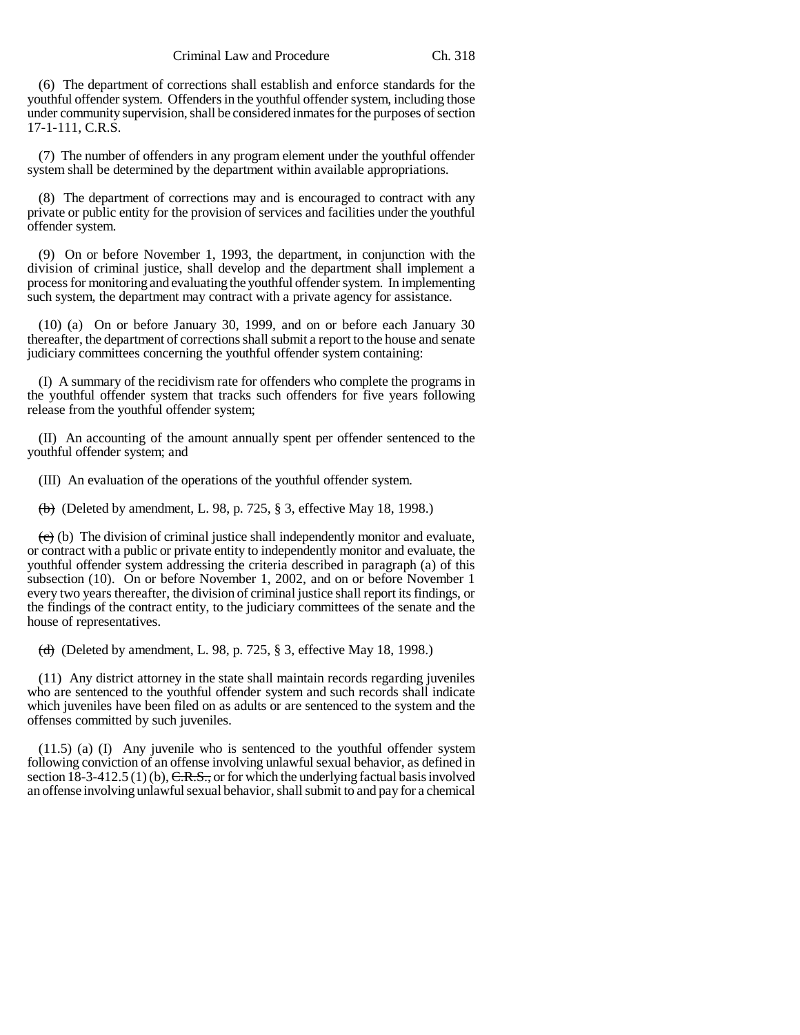(6) The department of corrections shall establish and enforce standards for the youthful offender system. Offenders in the youthful offender system, including those under community supervision, shall be considered inmates for the purposes of section 17-1-111, C.R.S.

(7) The number of offenders in any program element under the youthful offender system shall be determined by the department within available appropriations.

(8) The department of corrections may and is encouraged to contract with any private or public entity for the provision of services and facilities under the youthful offender system.

(9) On or before November 1, 1993, the department, in conjunction with the division of criminal justice, shall develop and the department shall implement a process for monitoring and evaluating the youthful offender system. In implementing such system, the department may contract with a private agency for assistance.

(10) (a) On or before January 30, 1999, and on or before each January 30 thereafter, the department of corrections shall submit a report to the house and senate judiciary committees concerning the youthful offender system containing:

(I) A summary of the recidivism rate for offenders who complete the programs in the youthful offender system that tracks such offenders for five years following release from the youthful offender system;

(II) An accounting of the amount annually spent per offender sentenced to the youthful offender system; and

(III) An evaluation of the operations of the youthful offender system.

(b) (Deleted by amendment, L. 98, p. 725,  $\S$  3, effective May 18, 1998.)

 $\left(\epsilon\right)$  (b) The division of criminal justice shall independently monitor and evaluate, or contract with a public or private entity to independently monitor and evaluate, the youthful offender system addressing the criteria described in paragraph (a) of this subsection (10). On or before November 1, 2002, and on or before November 1 every two years thereafter, the division of criminal justice shall report its findings, or the findings of the contract entity, to the judiciary committees of the senate and the house of representatives.

(d) (Deleted by amendment, L. 98, p. 725,  $\S$  3, effective May 18, 1998.)

(11) Any district attorney in the state shall maintain records regarding juveniles who are sentenced to the youthful offender system and such records shall indicate which juveniles have been filed on as adults or are sentenced to the system and the offenses committed by such juveniles.

(11.5) (a) (I) Any juvenile who is sentenced to the youthful offender system following conviction of an offense involving unlawful sexual behavior, as defined in section  $18-3-412.5(1)(b)$ , C.R.S., or for which the underlying factual basis involved an offense involving unlawful sexual behavior, shall submit to and pay for a chemical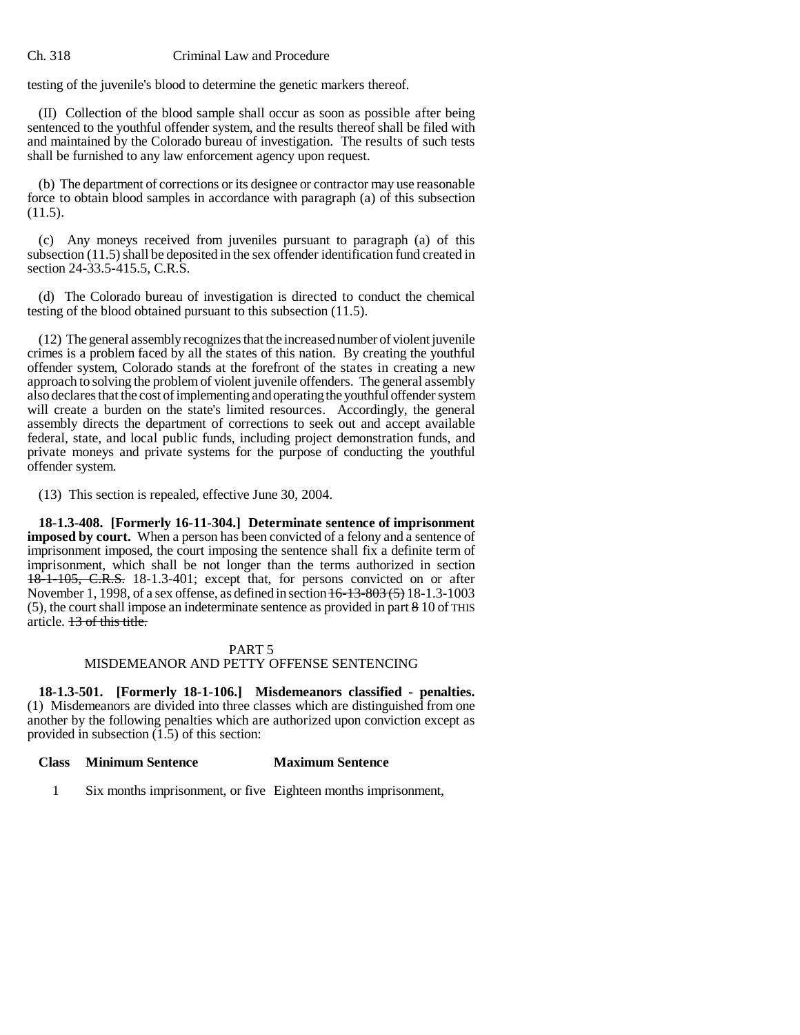testing of the juvenile's blood to determine the genetic markers thereof.

(II) Collection of the blood sample shall occur as soon as possible after being sentenced to the youthful offender system, and the results thereof shall be filed with and maintained by the Colorado bureau of investigation. The results of such tests shall be furnished to any law enforcement agency upon request.

(b) The department of corrections or its designee or contractor may use reasonable force to obtain blood samples in accordance with paragraph (a) of this subsection  $(11.5).$ 

(c) Any moneys received from juveniles pursuant to paragraph (a) of this subsection (11.5) shall be deposited in the sex offender identification fund created in section 24-33.5-415.5, C.R.S.

(d) The Colorado bureau of investigation is directed to conduct the chemical testing of the blood obtained pursuant to this subsection (11.5).

(12) The general assembly recognizes that the increased number of violent juvenile crimes is a problem faced by all the states of this nation. By creating the youthful offender system, Colorado stands at the forefront of the states in creating a new approach to solving the problem of violent juvenile offenders. The general assembly also declares that the cost of implementing and operating the youthful offender system will create a burden on the state's limited resources. Accordingly, the general assembly directs the department of corrections to seek out and accept available federal, state, and local public funds, including project demonstration funds, and private moneys and private systems for the purpose of conducting the youthful offender system.

(13) This section is repealed, effective June 30, 2004.

**18-1.3-408. [Formerly 16-11-304.] Determinate sentence of imprisonment imposed by court.** When a person has been convicted of a felony and a sentence of imprisonment imposed, the court imposing the sentence shall fix a definite term of imprisonment, which shall be not longer than the terms authorized in section 18-1-105, C.R.S. 18-1.3-401; except that, for persons convicted on or after November 1, 1998, of a sex offense, as defined in section 16-13-803 (5) 18-1.3-1003  $(5)$ , the court shall impose an indeterminate sentence as provided in part  $810$  of THIS article. 13 of this title.

# PART 5

## MISDEMEANOR AND PETTY OFFENSE SENTENCING

**18-1.3-501. [Formerly 18-1-106.] Misdemeanors classified - penalties.** (1) Misdemeanors are divided into three classes which are distinguished from one another by the following penalties which are authorized upon conviction except as provided in subsection (1.5) of this section:

**Class Minimum Sentence Maximum Sentence**

1 Six months imprisonment, or five Eighteen months imprisonment,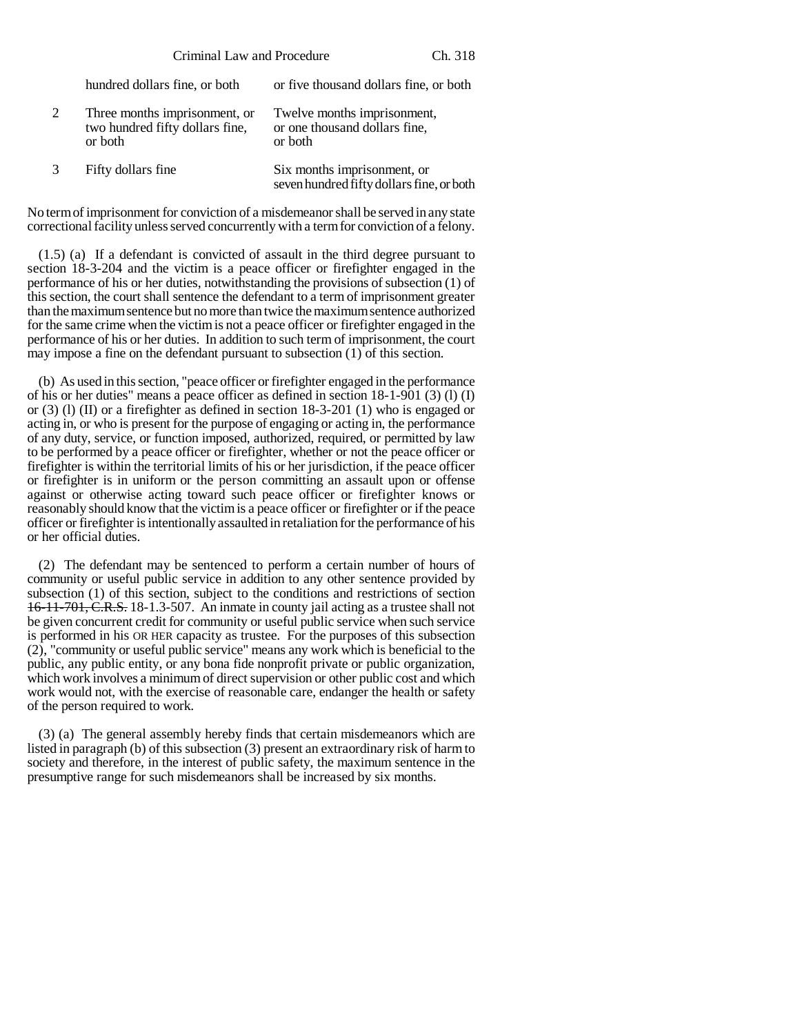seven hundred fifty dollars fine, or both

| hundred dollars fine, or both                                               | or five thousand dollars fine, or both                                  |
|-----------------------------------------------------------------------------|-------------------------------------------------------------------------|
| Three months imprisonment, or<br>two hundred fifty dollars fine,<br>or both | Twelve months imprisonment,<br>or one thousand dollars fine,<br>or both |
| Fifty dollars fine                                                          | Six months imprisonment, or                                             |

No term of imprisonment for conviction of a misdemeanor shall be served in any state correctional facility unless served concurrently with a term for conviction of a felony.

(1.5) (a) If a defendant is convicted of assault in the third degree pursuant to section 18-3-204 and the victim is a peace officer or firefighter engaged in the performance of his or her duties, notwithstanding the provisions of subsection (1) of this section, the court shall sentence the defendant to a term of imprisonment greater than the maximum sentence but no more than twice the maximum sentence authorized for the same crime when the victim is not a peace officer or firefighter engaged in the performance of his or her duties. In addition to such term of imprisonment, the court may impose a fine on the defendant pursuant to subsection (1) of this section.

(b) As used in this section, "peace officer or firefighter engaged in the performance of his or her duties" means a peace officer as defined in section 18-1-901 (3) (l) (I) or (3) (l) (II) or a firefighter as defined in section 18-3-201 (1) who is engaged or acting in, or who is present for the purpose of engaging or acting in, the performance of any duty, service, or function imposed, authorized, required, or permitted by law to be performed by a peace officer or firefighter, whether or not the peace officer or firefighter is within the territorial limits of his or her jurisdiction, if the peace officer or firefighter is in uniform or the person committing an assault upon or offense against or otherwise acting toward such peace officer or firefighter knows or reasonably should know that the victim is a peace officer or firefighter or if the peace officer or firefighter is intentionally assaulted in retaliation for the performance of his or her official duties.

(2) The defendant may be sentenced to perform a certain number of hours of community or useful public service in addition to any other sentence provided by subsection (1) of this section, subject to the conditions and restrictions of section 16-11-701, C.R.S. 18-1.3-507. An inmate in county jail acting as a trustee shall not be given concurrent credit for community or useful public service when such service is performed in his OR HER capacity as trustee. For the purposes of this subsection (2), "community or useful public service" means any work which is beneficial to the public, any public entity, or any bona fide nonprofit private or public organization, which work involves a minimum of direct supervision or other public cost and which work would not, with the exercise of reasonable care, endanger the health or safety of the person required to work.

(3) (a) The general assembly hereby finds that certain misdemeanors which are listed in paragraph (b) of this subsection (3) present an extraordinary risk of harm to society and therefore, in the interest of public safety, the maximum sentence in the presumptive range for such misdemeanors shall be increased by six months.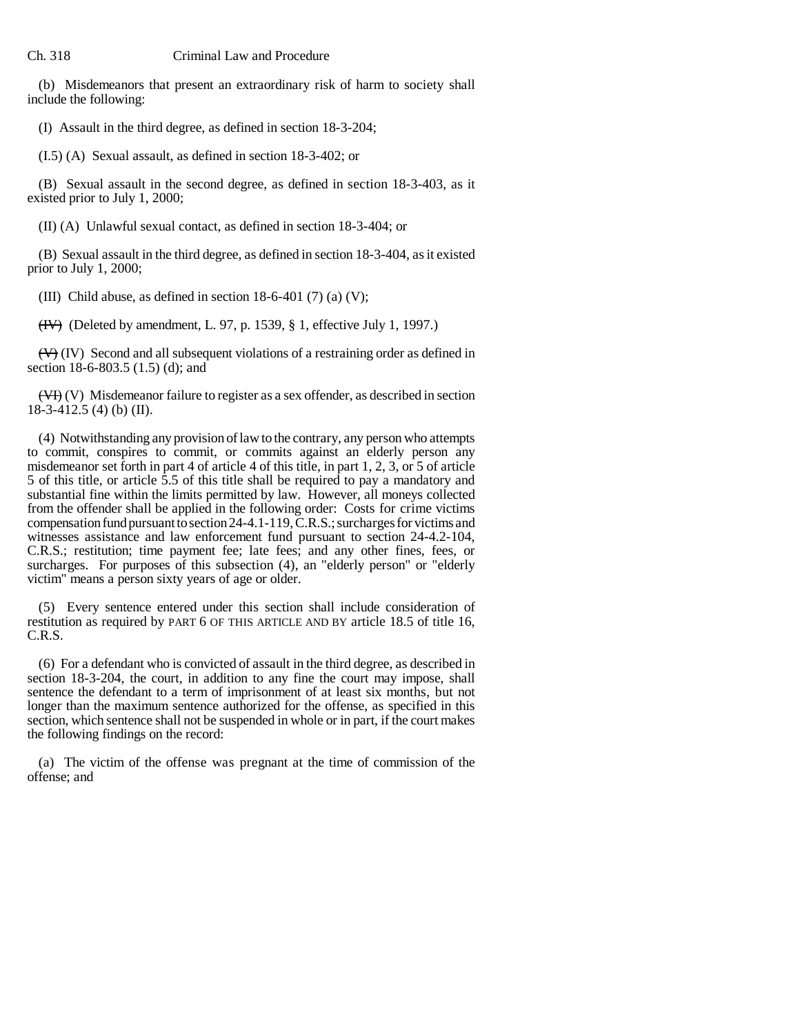(b) Misdemeanors that present an extraordinary risk of harm to society shall include the following:

(I) Assault in the third degree, as defined in section 18-3-204;

(I.5) (A) Sexual assault, as defined in section 18-3-402; or

(B) Sexual assault in the second degree, as defined in section 18-3-403, as it existed prior to July 1, 2000;

(II) (A) Unlawful sexual contact, as defined in section 18-3-404; or

(B) Sexual assault in the third degree, as defined in section 18-3-404, as it existed prior to July 1, 2000;

(III) Child abuse, as defined in section  $18-6-401$  (7) (a) (V);

 $(HV)$  (Deleted by amendment, L. 97, p. 1539, § 1, effective July 1, 1997.)

(V) (IV) Second and all subsequent violations of a restraining order as defined in section 18-6-803.5 (1.5) (d); and

(VI) (V) Misdemeanor failure to register as a sex offender, as described in section 18-3-412.5 (4) (b) (II).

(4) Notwithstanding any provision of law to the contrary, any person who attempts to commit, conspires to commit, or commits against an elderly person any misdemeanor set forth in part 4 of article 4 of this title, in part 1, 2, 3, or 5 of article 5 of this title, or article 5.5 of this title shall be required to pay a mandatory and substantial fine within the limits permitted by law. However, all moneys collected from the offender shall be applied in the following order: Costs for crime victims compensation fund pursuant to section 24-4.1-119, C.R.S.; surcharges for victims and witnesses assistance and law enforcement fund pursuant to section 24-4.2-104, C.R.S.; restitution; time payment fee; late fees; and any other fines, fees, or surcharges. For purposes of this subsection (4), an "elderly person" or "elderly victim" means a person sixty years of age or older.

(5) Every sentence entered under this section shall include consideration of restitution as required by PART 6 OF THIS ARTICLE AND BY article 18.5 of title 16, C.R.S.

(6) For a defendant who is convicted of assault in the third degree, as described in section 18-3-204, the court, in addition to any fine the court may impose, shall sentence the defendant to a term of imprisonment of at least six months, but not longer than the maximum sentence authorized for the offense, as specified in this section, which sentence shall not be suspended in whole or in part, if the court makes the following findings on the record:

(a) The victim of the offense was pregnant at the time of commission of the offense; and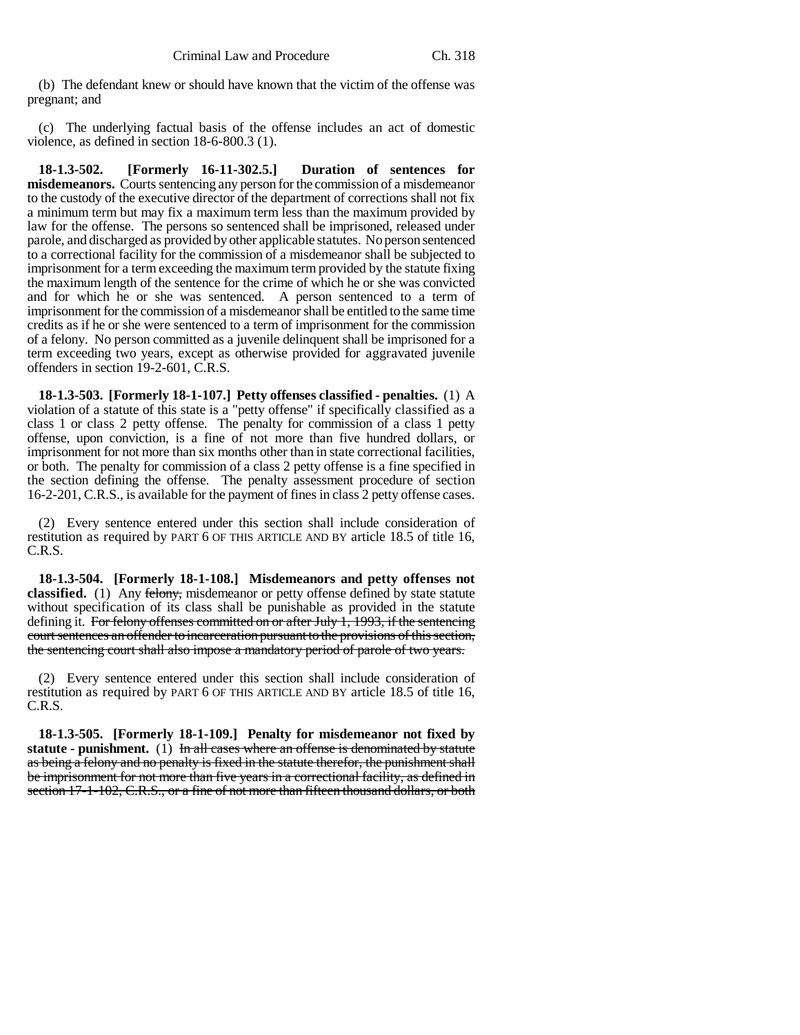(b) The defendant knew or should have known that the victim of the offense was pregnant; and

(c) The underlying factual basis of the offense includes an act of domestic violence, as defined in section 18-6-800.3 (1).

**18-1.3-502. [Formerly 16-11-302.5.] Duration of sentences for misdemeanors.** Courts sentencing any person for the commission of a misdemeanor to the custody of the executive director of the department of corrections shall not fix a minimum term but may fix a maximum term less than the maximum provided by law for the offense. The persons so sentenced shall be imprisoned, released under parole, and discharged as provided by other applicable statutes. No person sentenced to a correctional facility for the commission of a misdemeanor shall be subjected to imprisonment for a term exceeding the maximum term provided by the statute fixing the maximum length of the sentence for the crime of which he or she was convicted and for which he or she was sentenced. A person sentenced to a term of imprisonment for the commission of a misdemeanor shall be entitled to the same time credits as if he or she were sentenced to a term of imprisonment for the commission of a felony. No person committed as a juvenile delinquent shall be imprisoned for a term exceeding two years, except as otherwise provided for aggravated juvenile offenders in section 19-2-601, C.R.S.

**18-1.3-503. [Formerly 18-1-107.] Petty offenses classified - penalties.** (1) A violation of a statute of this state is a "petty offense" if specifically classified as a class 1 or class 2 petty offense. The penalty for commission of a class 1 petty offense, upon conviction, is a fine of not more than five hundred dollars, or imprisonment for not more than six months other than in state correctional facilities, or both. The penalty for commission of a class 2 petty offense is a fine specified in the section defining the offense. The penalty assessment procedure of section 16-2-201, C.R.S., is available for the payment of fines in class 2 petty offense cases.

(2) Every sentence entered under this section shall include consideration of restitution as required by PART 6 OF THIS ARTICLE AND BY article 18.5 of title 16, C.R.S.

**18-1.3-504. [Formerly 18-1-108.] Misdemeanors and petty offenses not classified.** (1) Any felony, misdemeanor or petty offense defined by state statute without specification of its class shall be punishable as provided in the statute defining it. For felony offenses committed on or after July 1, 1993, if the sentencing court sentences an offender to incarceration pursuant to the provisions of this section, the sentencing court shall also impose a mandatory period of parole of two years.

(2) Every sentence entered under this section shall include consideration of restitution as required by PART 6 OF THIS ARTICLE AND BY article 18.5 of title 16, C.R.S.

**18-1.3-505. [Formerly 18-1-109.] Penalty for misdemeanor not fixed by** statute - punishment. (1) In all cases where an offense is denominated by statute as being a felony and no penalty is fixed in the statute therefor, the punishment shall be imprisonment for not more than five years in a correctional facility, as defined in section  $17-1-102$ , C.R.S., or a fine of not more than fifteen thousand dollars, or both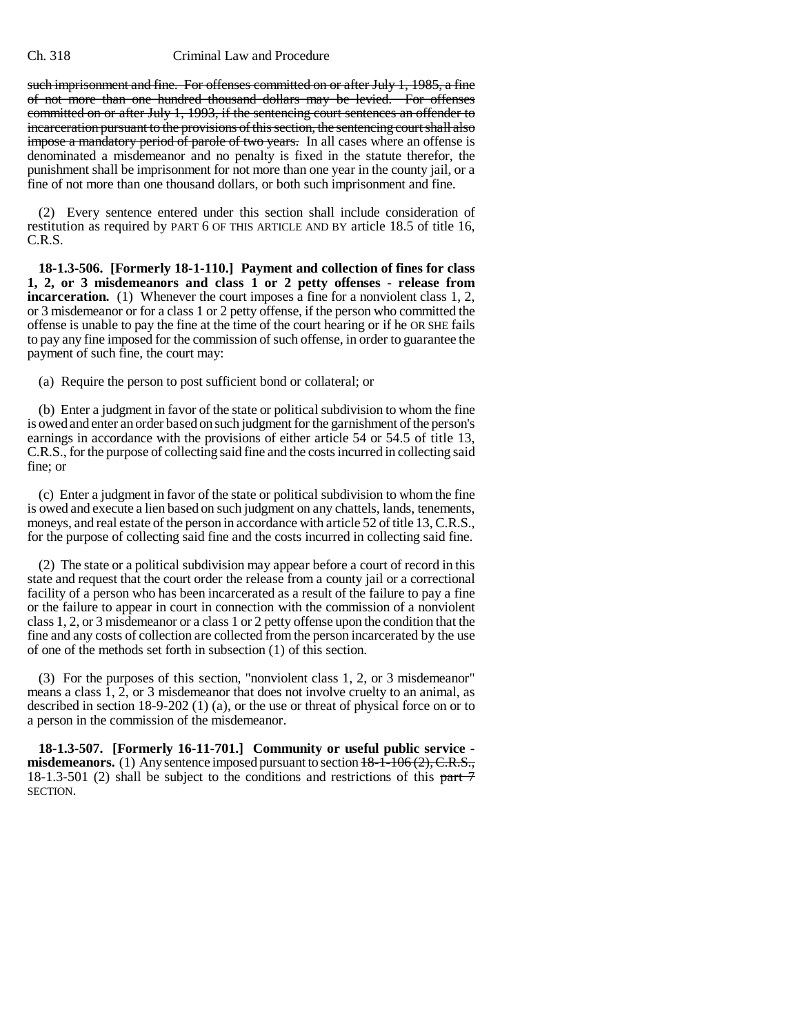such imprisonment and fine. For offenses committed on or after July 1, 1985, a fine of not more than one hundred thousand dollars may be levied. For offenses committed on or after July 1, 1993, if the sentencing court sentences an offender to incarceration pursuant to the provisions of this section, the sentencing court shall also impose a mandatory period of parole of two years. In all cases where an offense is denominated a misdemeanor and no penalty is fixed in the statute therefor, the punishment shall be imprisonment for not more than one year in the county jail, or a fine of not more than one thousand dollars, or both such imprisonment and fine.

(2) Every sentence entered under this section shall include consideration of restitution as required by PART 6 OF THIS ARTICLE AND BY article 18.5 of title 16, C.R.S.

**18-1.3-506. [Formerly 18-1-110.] Payment and collection of fines for class 1, 2, or 3 misdemeanors and class 1 or 2 petty offenses - release from incarceration.** (1) Whenever the court imposes a fine for a nonviolent class 1, 2, or 3 misdemeanor or for a class 1 or 2 petty offense, if the person who committed the offense is unable to pay the fine at the time of the court hearing or if he OR SHE fails to pay any fine imposed for the commission of such offense, in order to guarantee the payment of such fine, the court may:

(a) Require the person to post sufficient bond or collateral; or

(b) Enter a judgment in favor of the state or political subdivision to whom the fine is owed and enter an order based on such judgment for the garnishment of the person's earnings in accordance with the provisions of either article 54 or 54.5 of title 13, C.R.S., for the purpose of collecting said fine and the costs incurred in collecting said fine; or

(c) Enter a judgment in favor of the state or political subdivision to whom the fine is owed and execute a lien based on such judgment on any chattels, lands, tenements, moneys, and real estate of the person in accordance with article 52 of title 13, C.R.S., for the purpose of collecting said fine and the costs incurred in collecting said fine.

(2) The state or a political subdivision may appear before a court of record in this state and request that the court order the release from a county jail or a correctional facility of a person who has been incarcerated as a result of the failure to pay a fine or the failure to appear in court in connection with the commission of a nonviolent class 1, 2, or 3 misdemeanor or a class 1 or 2 petty offense upon the condition that the fine and any costs of collection are collected from the person incarcerated by the use of one of the methods set forth in subsection (1) of this section.

(3) For the purposes of this section, "nonviolent class 1, 2, or 3 misdemeanor" means a class  $\overline{1}$ ,  $\overline{2}$ , or 3 misdemeanor that does not involve cruelty to an animal, as described in section 18-9-202 (1) (a), or the use or threat of physical force on or to a person in the commission of the misdemeanor.

**18-1.3-507. [Formerly 16-11-701.] Community or useful public service misdemeanors.** (1) Any sentence imposed pursuant to section  $18-1-106(2)$ , C.R.S., 18-1.3-501 (2) shall be subject to the conditions and restrictions of this part 7 SECTION.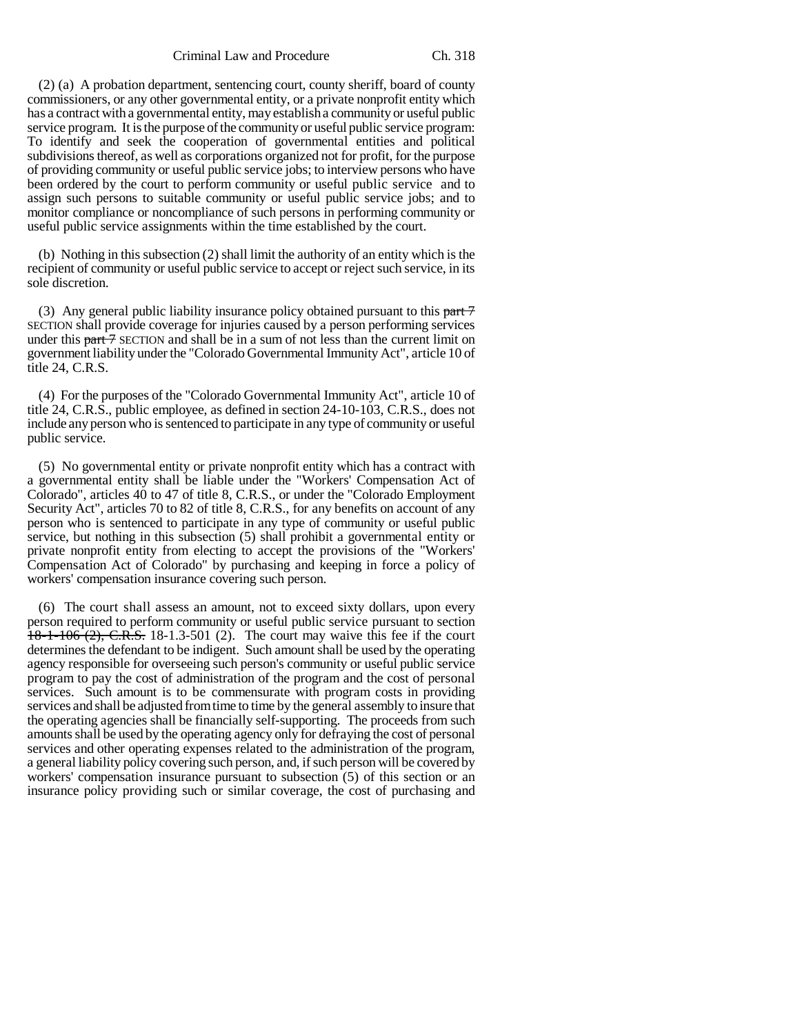#### Criminal Law and Procedure Ch. 318

(2) (a) A probation department, sentencing court, county sheriff, board of county commissioners, or any other governmental entity, or a private nonprofit entity which has a contract with a governmental entity, may establish a community or useful public service program. It is the purpose of the community or useful public service program: To identify and seek the cooperation of governmental entities and political subdivisions thereof, as well as corporations organized not for profit, for the purpose of providing community or useful public service jobs; to interview persons who have been ordered by the court to perform community or useful public service and to assign such persons to suitable community or useful public service jobs; and to monitor compliance or noncompliance of such persons in performing community or useful public service assignments within the time established by the court.

(b) Nothing in this subsection (2) shall limit the authority of an entity which is the recipient of community or useful public service to accept or reject such service, in its sole discretion.

(3) Any general public liability insurance policy obtained pursuant to this part  $\frac{7}{2}$ SECTION shall provide coverage for injuries caused by a person performing services under this  $part 7$  SECTION and shall be in a sum of not less than the current limit on government liability under the "Colorado Governmental Immunity Act", article 10 of title 24, C.R.S.

(4) For the purposes of the "Colorado Governmental Immunity Act", article 10 of title 24, C.R.S., public employee, as defined in section 24-10-103, C.R.S., does not include any person who is sentenced to participate in any type of community or useful public service.

(5) No governmental entity or private nonprofit entity which has a contract with a governmental entity shall be liable under the "Workers' Compensation Act of Colorado", articles 40 to 47 of title 8, C.R.S., or under the "Colorado Employment Security Act", articles 70 to 82 of title 8, C.R.S., for any benefits on account of any person who is sentenced to participate in any type of community or useful public service, but nothing in this subsection (5) shall prohibit a governmental entity or private nonprofit entity from electing to accept the provisions of the "Workers' Compensation Act of Colorado" by purchasing and keeping in force a policy of workers' compensation insurance covering such person.

(6) The court shall assess an amount, not to exceed sixty dollars, upon every person required to perform community or useful public service pursuant to section  $18-1-106$  (2), C.R.S. 18-1.3-501 (2). The court may waive this fee if the court determines the defendant to be indigent. Such amount shall be used by the operating agency responsible for overseeing such person's community or useful public service program to pay the cost of administration of the program and the cost of personal services. Such amount is to be commensurate with program costs in providing services and shall be adjusted from time to time by the general assembly to insure that the operating agencies shall be financially self-supporting. The proceeds from such amounts shall be used by the operating agency only for defraying the cost of personal services and other operating expenses related to the administration of the program, a general liability policy covering such person, and, if such person will be covered by workers' compensation insurance pursuant to subsection (5) of this section or an insurance policy providing such or similar coverage, the cost of purchasing and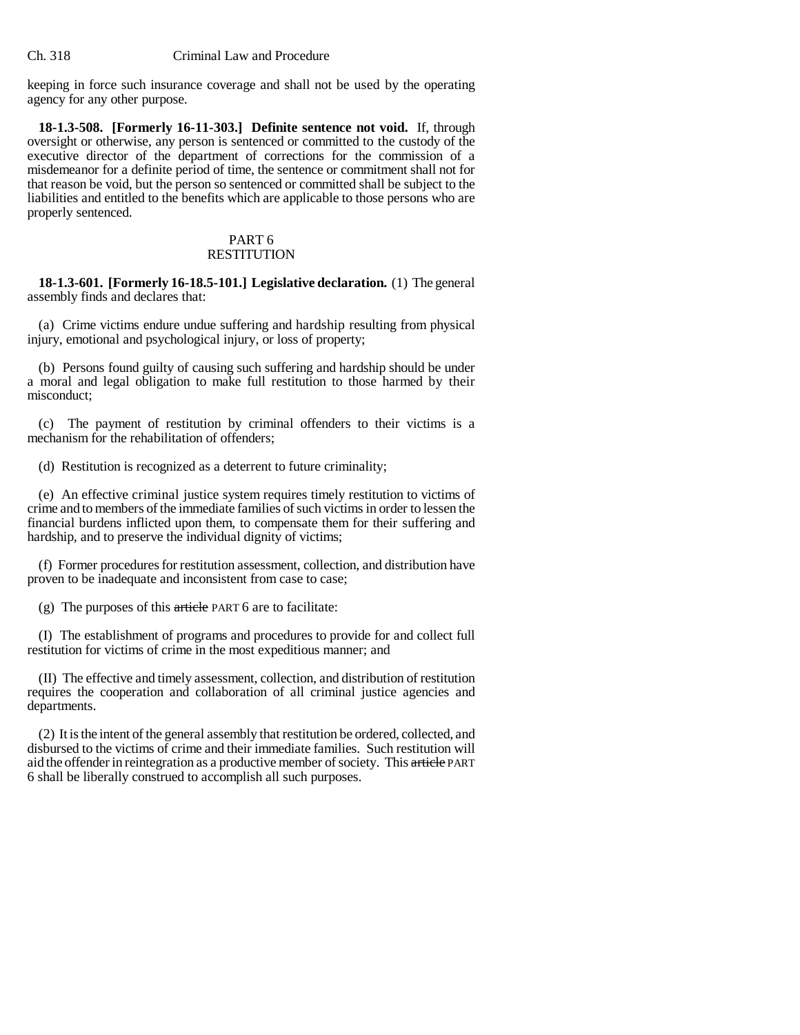keeping in force such insurance coverage and shall not be used by the operating agency for any other purpose.

**18-1.3-508. [Formerly 16-11-303.] Definite sentence not void.** If, through oversight or otherwise, any person is sentenced or committed to the custody of the executive director of the department of corrections for the commission of a misdemeanor for a definite period of time, the sentence or commitment shall not for that reason be void, but the person so sentenced or committed shall be subject to the liabilities and entitled to the benefits which are applicable to those persons who are properly sentenced.

#### PART 6 **RESTITUTION**

**18-1.3-601. [Formerly 16-18.5-101.] Legislative declaration.** (1) The general assembly finds and declares that:

(a) Crime victims endure undue suffering and hardship resulting from physical injury, emotional and psychological injury, or loss of property;

(b) Persons found guilty of causing such suffering and hardship should be under a moral and legal obligation to make full restitution to those harmed by their misconduct;

(c) The payment of restitution by criminal offenders to their victims is a mechanism for the rehabilitation of offenders;

(d) Restitution is recognized as a deterrent to future criminality;

(e) An effective criminal justice system requires timely restitution to victims of crime and to members of the immediate families of such victims in order to lessen the financial burdens inflicted upon them, to compensate them for their suffering and hardship, and to preserve the individual dignity of victims;

(f) Former procedures for restitution assessment, collection, and distribution have proven to be inadequate and inconsistent from case to case;

(g) The purposes of this  $\frac{artele}{}$  PART 6 are to facilitate:

(I) The establishment of programs and procedures to provide for and collect full restitution for victims of crime in the most expeditious manner; and

(II) The effective and timely assessment, collection, and distribution of restitution requires the cooperation and collaboration of all criminal justice agencies and departments.

(2) It is the intent of the general assembly that restitution be ordered, collected, and disbursed to the victims of crime and their immediate families. Such restitution will aid the offender in reintegration as a productive member of society. This article PART 6 shall be liberally construed to accomplish all such purposes.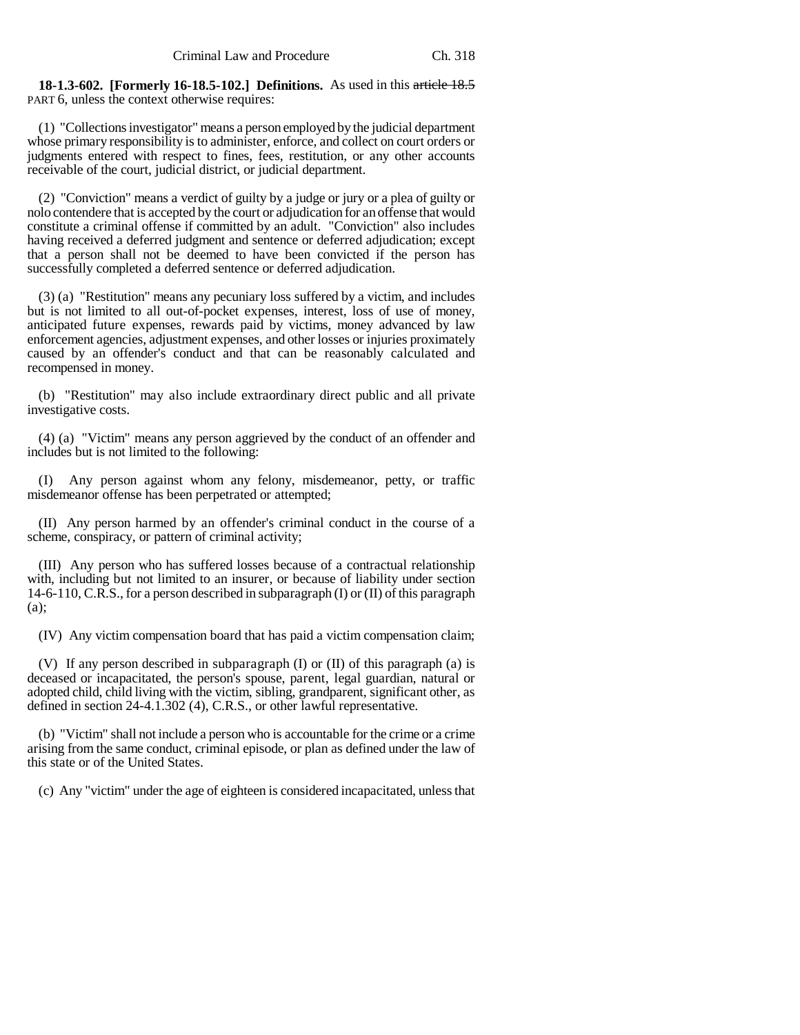**18-1.3-602. [Formerly 16-18.5-102.] Definitions.** As used in this article 18.5 PART 6, unless the context otherwise requires:

(1) "Collections investigator" means a person employed by the judicial department whose primary responsibility is to administer, enforce, and collect on court orders or judgments entered with respect to fines, fees, restitution, or any other accounts receivable of the court, judicial district, or judicial department.

(2) "Conviction" means a verdict of guilty by a judge or jury or a plea of guilty or nolo contendere that is accepted by the court or adjudication for an offense that would constitute a criminal offense if committed by an adult. "Conviction" also includes having received a deferred judgment and sentence or deferred adjudication; except that a person shall not be deemed to have been convicted if the person has successfully completed a deferred sentence or deferred adjudication.

(3) (a) "Restitution" means any pecuniary loss suffered by a victim, and includes but is not limited to all out-of-pocket expenses, interest, loss of use of money, anticipated future expenses, rewards paid by victims, money advanced by law enforcement agencies, adjustment expenses, and other losses or injuries proximately caused by an offender's conduct and that can be reasonably calculated and recompensed in money.

(b) "Restitution" may also include extraordinary direct public and all private investigative costs.

(4) (a) "Victim" means any person aggrieved by the conduct of an offender and includes but is not limited to the following:

(I) Any person against whom any felony, misdemeanor, petty, or traffic misdemeanor offense has been perpetrated or attempted;

(II) Any person harmed by an offender's criminal conduct in the course of a scheme, conspiracy, or pattern of criminal activity;

(III) Any person who has suffered losses because of a contractual relationship with, including but not limited to an insurer, or because of liability under section 14-6-110, C.R.S., for a person described in subparagraph (I) or (II) of this paragraph (a);

(IV) Any victim compensation board that has paid a victim compensation claim;

(V) If any person described in subparagraph (I) or (II) of this paragraph (a) is deceased or incapacitated, the person's spouse, parent, legal guardian, natural or adopted child, child living with the victim, sibling, grandparent, significant other, as defined in section 24-4.1.302 (4), C.R.S., or other lawful representative.

(b) "Victim" shall not include a person who is accountable for the crime or a crime arising from the same conduct, criminal episode, or plan as defined under the law of this state or of the United States.

(c) Any "victim" under the age of eighteen is considered incapacitated, unless that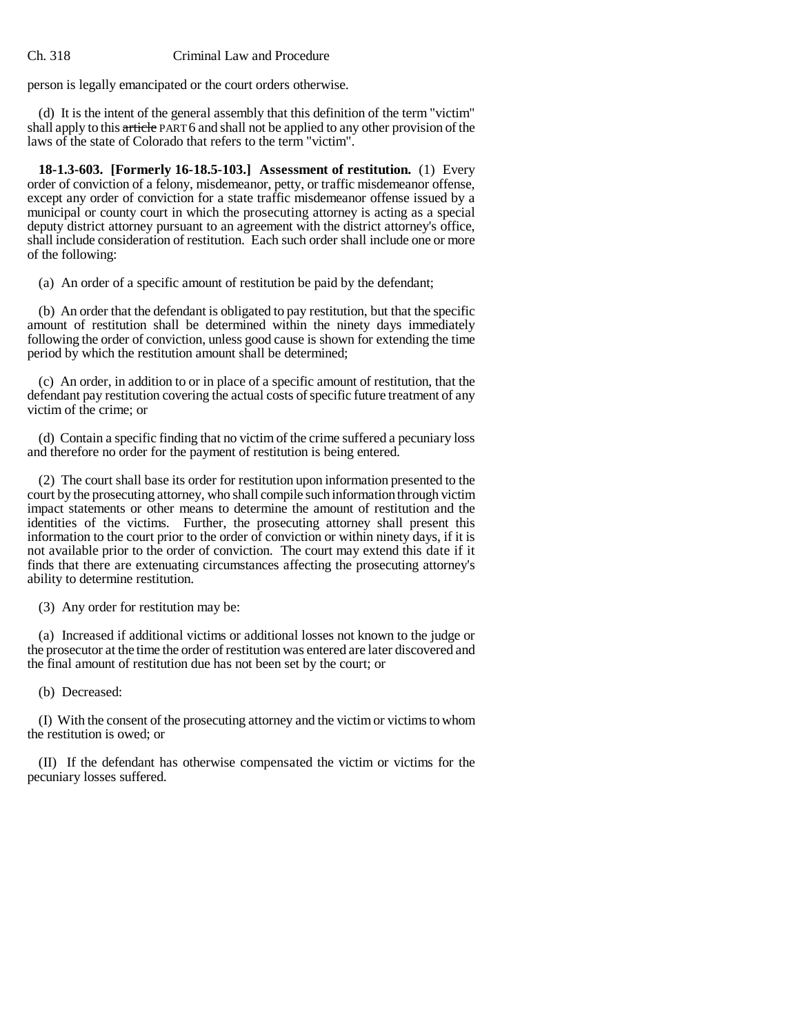person is legally emancipated or the court orders otherwise.

(d) It is the intent of the general assembly that this definition of the term "victim" shall apply to this article PART 6 and shall not be applied to any other provision of the laws of the state of Colorado that refers to the term "victim".

**18-1.3-603. [Formerly 16-18.5-103.] Assessment of restitution.** (1) Every order of conviction of a felony, misdemeanor, petty, or traffic misdemeanor offense, except any order of conviction for a state traffic misdemeanor offense issued by a municipal or county court in which the prosecuting attorney is acting as a special deputy district attorney pursuant to an agreement with the district attorney's office, shall include consideration of restitution. Each such order shall include one or more of the following:

(a) An order of a specific amount of restitution be paid by the defendant;

(b) An order that the defendant is obligated to pay restitution, but that the specific amount of restitution shall be determined within the ninety days immediately following the order of conviction, unless good cause is shown for extending the time period by which the restitution amount shall be determined;

(c) An order, in addition to or in place of a specific amount of restitution, that the defendant pay restitution covering the actual costs of specific future treatment of any victim of the crime; or

(d) Contain a specific finding that no victim of the crime suffered a pecuniary loss and therefore no order for the payment of restitution is being entered.

(2) The court shall base its order for restitution upon information presented to the court by the prosecuting attorney, who shall compile such information through victim impact statements or other means to determine the amount of restitution and the identities of the victims. Further, the prosecuting attorney shall present this information to the court prior to the order of conviction or within ninety days, if it is not available prior to the order of conviction. The court may extend this date if it finds that there are extenuating circumstances affecting the prosecuting attorney's ability to determine restitution.

(3) Any order for restitution may be:

(a) Increased if additional victims or additional losses not known to the judge or the prosecutor at the time the order of restitution was entered are later discovered and the final amount of restitution due has not been set by the court; or

(b) Decreased:

(I) With the consent of the prosecuting attorney and the victim or victims to whom the restitution is owed; or

(II) If the defendant has otherwise compensated the victim or victims for the pecuniary losses suffered.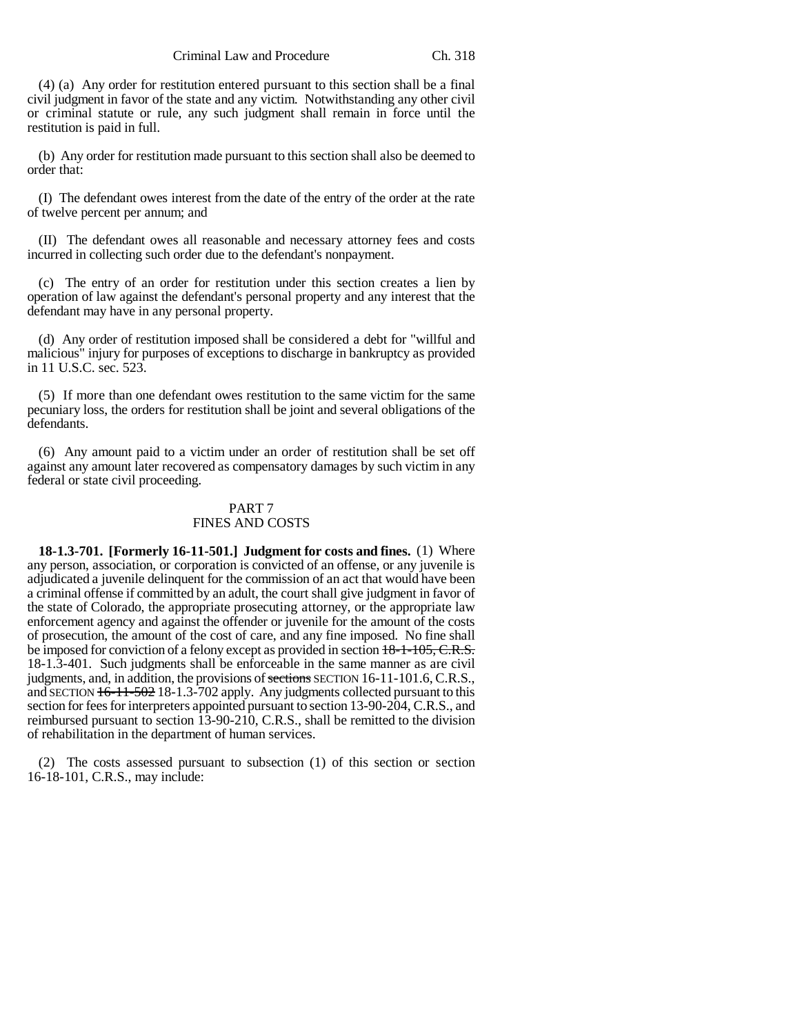(4) (a) Any order for restitution entered pursuant to this section shall be a final civil judgment in favor of the state and any victim. Notwithstanding any other civil or criminal statute or rule, any such judgment shall remain in force until the restitution is paid in full.

(b) Any order for restitution made pursuant to this section shall also be deemed to order that:

(I) The defendant owes interest from the date of the entry of the order at the rate of twelve percent per annum; and

(II) The defendant owes all reasonable and necessary attorney fees and costs incurred in collecting such order due to the defendant's nonpayment.

(c) The entry of an order for restitution under this section creates a lien by operation of law against the defendant's personal property and any interest that the defendant may have in any personal property.

(d) Any order of restitution imposed shall be considered a debt for "willful and malicious" injury for purposes of exceptions to discharge in bankruptcy as provided in 11 U.S.C. sec. 523.

(5) If more than one defendant owes restitution to the same victim for the same pecuniary loss, the orders for restitution shall be joint and several obligations of the defendants.

(6) Any amount paid to a victim under an order of restitution shall be set off against any amount later recovered as compensatory damages by such victim in any federal or state civil proceeding.

### PART 7 FINES AND COSTS

**18-1.3-701. [Formerly 16-11-501.] Judgment for costs and fines.** (1) Where any person, association, or corporation is convicted of an offense, or any juvenile is adjudicated a juvenile delinquent for the commission of an act that would have been a criminal offense if committed by an adult, the court shall give judgment in favor of the state of Colorado, the appropriate prosecuting attorney, or the appropriate law enforcement agency and against the offender or juvenile for the amount of the costs of prosecution, the amount of the cost of care, and any fine imposed. No fine shall be imposed for conviction of a felony except as provided in section  $18-1-105$ , C.R.S. 18-1.3-401. Such judgments shall be enforceable in the same manner as are civil judgments, and, in addition, the provisions of sections SECTION 16-11-101.6, C.R.S., and SECTION  $16-11-502$  18-1.3-702 apply. Any judgments collected pursuant to this section for fees for interpreters appointed pursuant to section 13-90-204, C.R.S., and reimbursed pursuant to section 13-90-210, C.R.S., shall be remitted to the division of rehabilitation in the department of human services.

(2) The costs assessed pursuant to subsection (1) of this section or section 16-18-101, C.R.S., may include: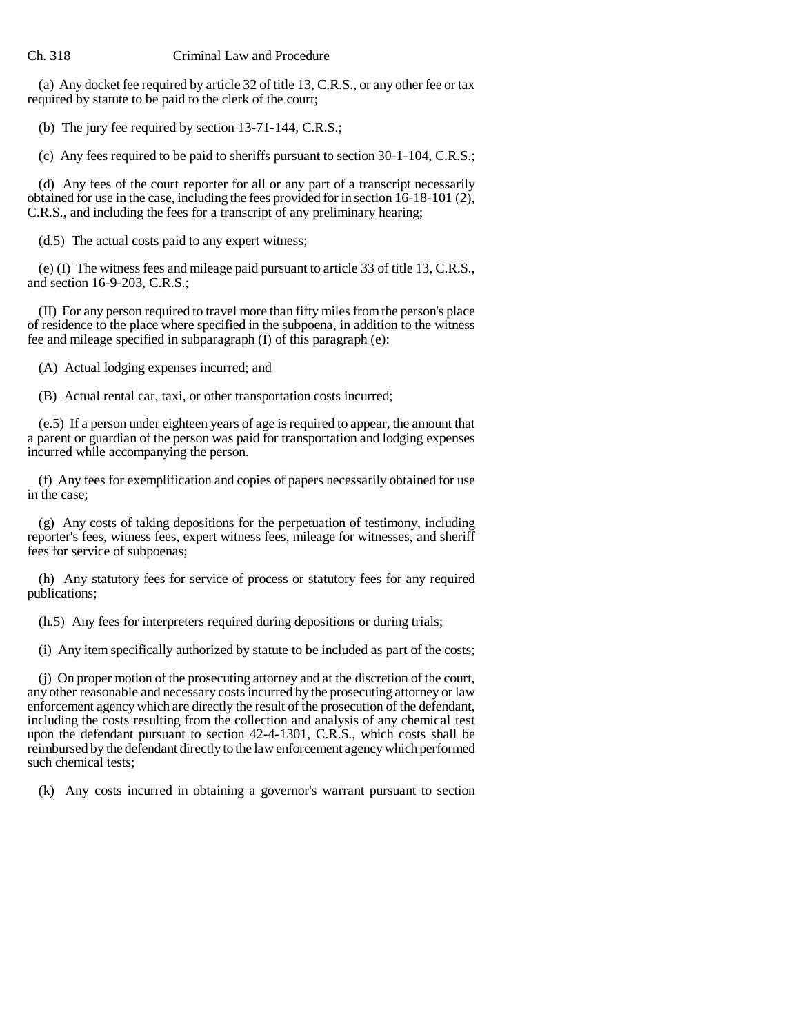(a) Any docket fee required by article 32 of title 13, C.R.S., or any other fee or tax required by statute to be paid to the clerk of the court;

(b) The jury fee required by section 13-71-144, C.R.S.;

(c) Any fees required to be paid to sheriffs pursuant to section 30-1-104, C.R.S.;

(d) Any fees of the court reporter for all or any part of a transcript necessarily obtained for use in the case, including the fees provided for in section 16-18-101 (2), C.R.S., and including the fees for a transcript of any preliminary hearing;

(d.5) The actual costs paid to any expert witness;

(e) (I) The witness fees and mileage paid pursuant to article 33 of title 13, C.R.S., and section 16-9-203, C.R.S.;

(II) For any person required to travel more than fifty miles from the person's place of residence to the place where specified in the subpoena, in addition to the witness fee and mileage specified in subparagraph (I) of this paragraph (e):

(A) Actual lodging expenses incurred; and

(B) Actual rental car, taxi, or other transportation costs incurred;

(e.5) If a person under eighteen years of age is required to appear, the amount that a parent or guardian of the person was paid for transportation and lodging expenses incurred while accompanying the person.

(f) Any fees for exemplification and copies of papers necessarily obtained for use in the case;

(g) Any costs of taking depositions for the perpetuation of testimony, including reporter's fees, witness fees, expert witness fees, mileage for witnesses, and sheriff fees for service of subpoenas;

(h) Any statutory fees for service of process or statutory fees for any required publications;

(h.5) Any fees for interpreters required during depositions or during trials;

(i) Any item specifically authorized by statute to be included as part of the costs;

(j) On proper motion of the prosecuting attorney and at the discretion of the court, any other reasonable and necessary costs incurred by the prosecuting attorney or law enforcement agency which are directly the result of the prosecution of the defendant, including the costs resulting from the collection and analysis of any chemical test upon the defendant pursuant to section 42-4-1301, C.R.S., which costs shall be reimbursed by the defendant directly to the law enforcement agency which performed such chemical tests;

(k) Any costs incurred in obtaining a governor's warrant pursuant to section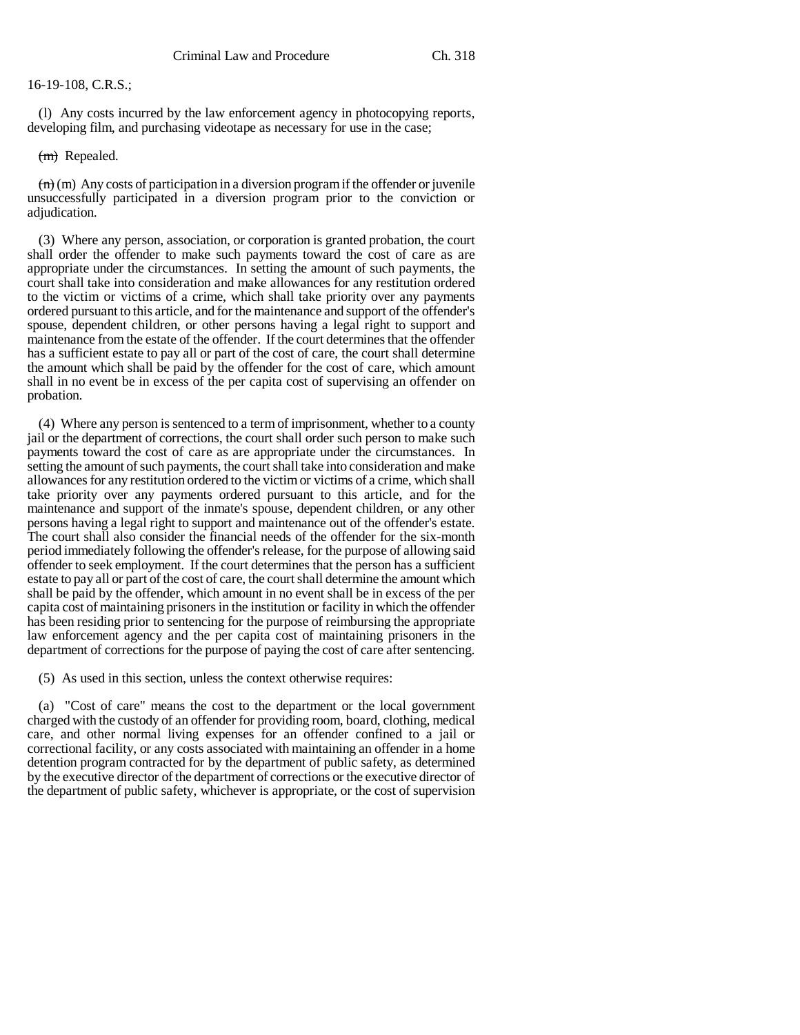### 16-19-108, C.R.S.;

(l) Any costs incurred by the law enforcement agency in photocopying reports, developing film, and purchasing videotape as necessary for use in the case;

#### (m) Repealed.

 $\left(\mathbf{n}\right)$  (m) Any costs of participation in a diversion program if the offender or juvenile unsuccessfully participated in a diversion program prior to the conviction or adjudication.

(3) Where any person, association, or corporation is granted probation, the court shall order the offender to make such payments toward the cost of care as are appropriate under the circumstances. In setting the amount of such payments, the court shall take into consideration and make allowances for any restitution ordered to the victim or victims of a crime, which shall take priority over any payments ordered pursuant to this article, and for the maintenance and support of the offender's spouse, dependent children, or other persons having a legal right to support and maintenance from the estate of the offender. If the court determines that the offender has a sufficient estate to pay all or part of the cost of care, the court shall determine the amount which shall be paid by the offender for the cost of care, which amount shall in no event be in excess of the per capita cost of supervising an offender on probation.

(4) Where any person is sentenced to a term of imprisonment, whether to a county jail or the department of corrections, the court shall order such person to make such payments toward the cost of care as are appropriate under the circumstances. In setting the amount of such payments, the court shall take into consideration and make allowances for any restitution ordered to the victim or victims of a crime, which shall take priority over any payments ordered pursuant to this article, and for the maintenance and support of the inmate's spouse, dependent children, or any other persons having a legal right to support and maintenance out of the offender's estate. The court shall also consider the financial needs of the offender for the six-month period immediately following the offender's release, for the purpose of allowing said offender to seek employment. If the court determines that the person has a sufficient estate to pay all or part of the cost of care, the court shall determine the amount which shall be paid by the offender, which amount in no event shall be in excess of the per capita cost of maintaining prisoners in the institution or facility in which the offender has been residing prior to sentencing for the purpose of reimbursing the appropriate law enforcement agency and the per capita cost of maintaining prisoners in the department of corrections for the purpose of paying the cost of care after sentencing.

(5) As used in this section, unless the context otherwise requires:

(a) "Cost of care" means the cost to the department or the local government charged with the custody of an offender for providing room, board, clothing, medical care, and other normal living expenses for an offender confined to a jail or correctional facility, or any costs associated with maintaining an offender in a home detention program contracted for by the department of public safety, as determined by the executive director of the department of corrections or the executive director of the department of public safety, whichever is appropriate, or the cost of supervision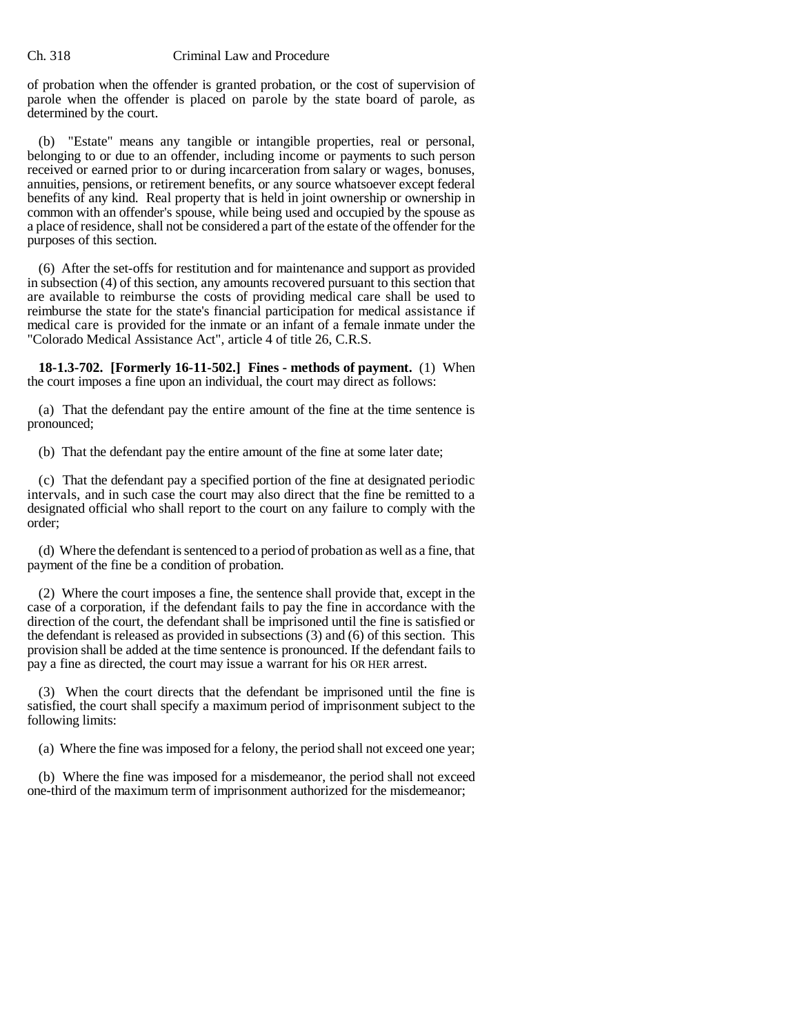of probation when the offender is granted probation, or the cost of supervision of parole when the offender is placed on parole by the state board of parole, as determined by the court.

(b) "Estate" means any tangible or intangible properties, real or personal, belonging to or due to an offender, including income or payments to such person received or earned prior to or during incarceration from salary or wages, bonuses, annuities, pensions, or retirement benefits, or any source whatsoever except federal benefits of any kind. Real property that is held in joint ownership or ownership in common with an offender's spouse, while being used and occupied by the spouse as a place of residence, shall not be considered a part of the estate of the offender for the purposes of this section.

(6) After the set-offs for restitution and for maintenance and support as provided in subsection (4) of this section, any amounts recovered pursuant to this section that are available to reimburse the costs of providing medical care shall be used to reimburse the state for the state's financial participation for medical assistance if medical care is provided for the inmate or an infant of a female inmate under the "Colorado Medical Assistance Act", article 4 of title 26, C.R.S.

**18-1.3-702. [Formerly 16-11-502.] Fines - methods of payment.** (1) When the court imposes a fine upon an individual, the court may direct as follows:

(a) That the defendant pay the entire amount of the fine at the time sentence is pronounced;

(b) That the defendant pay the entire amount of the fine at some later date;

(c) That the defendant pay a specified portion of the fine at designated periodic intervals, and in such case the court may also direct that the fine be remitted to a designated official who shall report to the court on any failure to comply with the order;

(d) Where the defendant is sentenced to a period of probation as well as a fine, that payment of the fine be a condition of probation.

(2) Where the court imposes a fine, the sentence shall provide that, except in the case of a corporation, if the defendant fails to pay the fine in accordance with the direction of the court, the defendant shall be imprisoned until the fine is satisfied or the defendant is released as provided in subsections (3) and (6) of this section. This provision shall be added at the time sentence is pronounced. If the defendant fails to pay a fine as directed, the court may issue a warrant for his OR HER arrest.

(3) When the court directs that the defendant be imprisoned until the fine is satisfied, the court shall specify a maximum period of imprisonment subject to the following limits:

(a) Where the fine was imposed for a felony, the period shall not exceed one year;

(b) Where the fine was imposed for a misdemeanor, the period shall not exceed one-third of the maximum term of imprisonment authorized for the misdemeanor;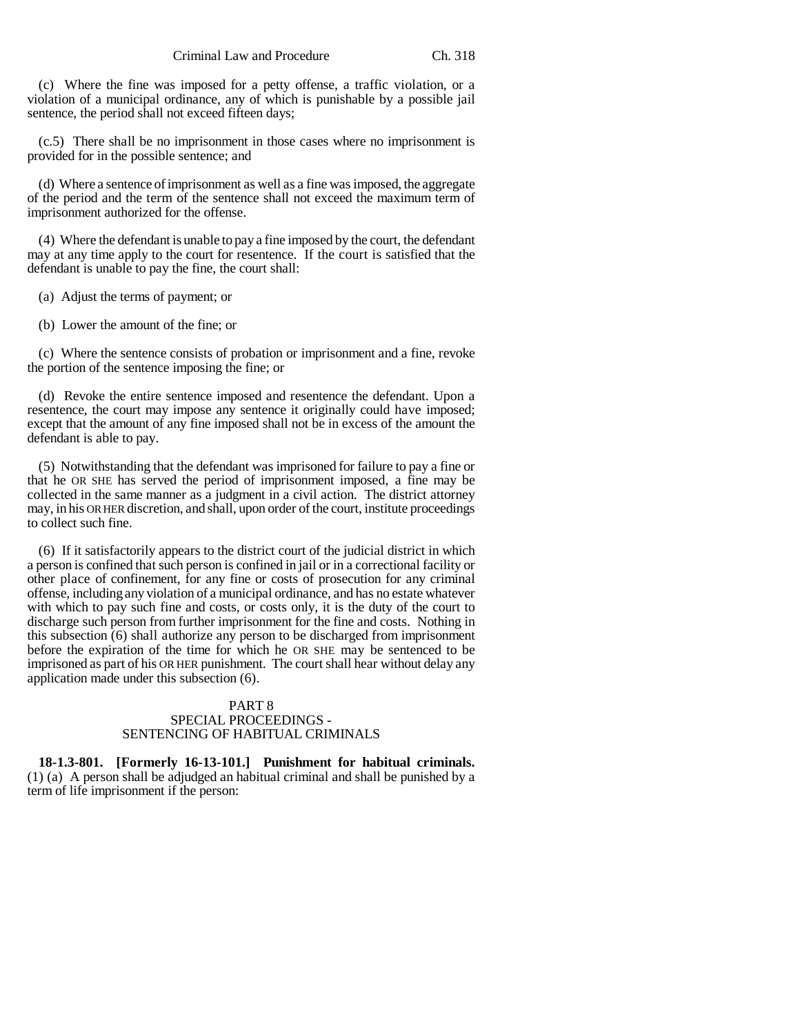(c) Where the fine was imposed for a petty offense, a traffic violation, or a violation of a municipal ordinance, any of which is punishable by a possible jail sentence, the period shall not exceed fifteen days;

(c.5) There shall be no imprisonment in those cases where no imprisonment is provided for in the possible sentence; and

(d) Where a sentence of imprisonment as well as a fine was imposed, the aggregate of the period and the term of the sentence shall not exceed the maximum term of imprisonment authorized for the offense.

(4) Where the defendant is unable to pay a fine imposed by the court, the defendant may at any time apply to the court for resentence. If the court is satisfied that the defendant is unable to pay the fine, the court shall:

(a) Adjust the terms of payment; or

(b) Lower the amount of the fine; or

(c) Where the sentence consists of probation or imprisonment and a fine, revoke the portion of the sentence imposing the fine; or

(d) Revoke the entire sentence imposed and resentence the defendant. Upon a resentence, the court may impose any sentence it originally could have imposed; except that the amount of any fine imposed shall not be in excess of the amount the defendant is able to pay.

(5) Notwithstanding that the defendant was imprisoned for failure to pay a fine or that he OR SHE has served the period of imprisonment imposed, a fine may be collected in the same manner as a judgment in a civil action. The district attorney may, in his OR HER discretion, and shall, upon order of the court, institute proceedings to collect such fine.

(6) If it satisfactorily appears to the district court of the judicial district in which a person is confined that such person is confined in jail or in a correctional facility or other place of confinement, for any fine or costs of prosecution for any criminal offense, including any violation of a municipal ordinance, and has no estate whatever with which to pay such fine and costs, or costs only, it is the duty of the court to discharge such person from further imprisonment for the fine and costs. Nothing in this subsection (6) shall authorize any person to be discharged from imprisonment before the expiration of the time for which he OR SHE may be sentenced to be imprisoned as part of his OR HER punishment. The court shall hear without delay any application made under this subsection (6).

### PART 8 SPECIAL PROCEEDINGS - SENTENCING OF HABITUAL CRIMINALS

**18-1.3-801. [Formerly 16-13-101.] Punishment for habitual criminals.** (1) (a) A person shall be adjudged an habitual criminal and shall be punished by a term of life imprisonment if the person: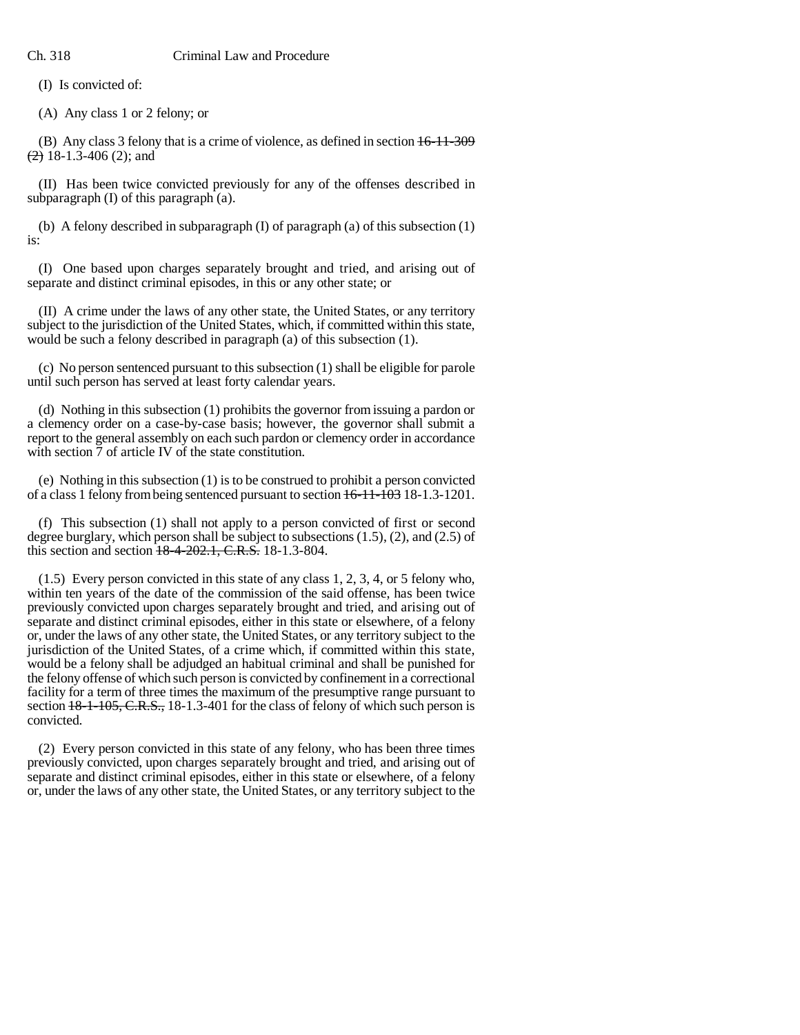(I) Is convicted of:

(A) Any class 1 or 2 felony; or

(B) Any class 3 felony that is a crime of violence, as defined in section  $16-11-309$  $(2)$  18-1.3-406 (2); and

(II) Has been twice convicted previously for any of the offenses described in subparagraph  $(I)$  of this paragraph  $(a)$ .

(b) A felony described in subparagraph (I) of paragraph (a) of this subsection (1) is:

(I) One based upon charges separately brought and tried, and arising out of separate and distinct criminal episodes, in this or any other state; or

(II) A crime under the laws of any other state, the United States, or any territory subject to the jurisdiction of the United States, which, if committed within this state, would be such a felony described in paragraph (a) of this subsection (1).

(c) No person sentenced pursuant to this subsection (1) shall be eligible for parole until such person has served at least forty calendar years.

(d) Nothing in this subsection (1) prohibits the governor from issuing a pardon or a clemency order on a case-by-case basis; however, the governor shall submit a report to the general assembly on each such pardon or clemency order in accordance with section 7 of article IV of the state constitution.

(e) Nothing in this subsection (1) is to be construed to prohibit a person convicted of a class 1 felony from being sentenced pursuant to section 16-11-103 18-1.3-1201.

(f) This subsection (1) shall not apply to a person convicted of first or second degree burglary, which person shall be subject to subsections (1.5), (2), and (2.5) of this section and section  $18-4-202.1$ , C.R.S. 18-1.3-804.

(1.5) Every person convicted in this state of any class 1, 2, 3, 4, or 5 felony who, within ten years of the date of the commission of the said offense, has been twice previously convicted upon charges separately brought and tried, and arising out of separate and distinct criminal episodes, either in this state or elsewhere, of a felony or, under the laws of any other state, the United States, or any territory subject to the jurisdiction of the United States, of a crime which, if committed within this state, would be a felony shall be adjudged an habitual criminal and shall be punished for the felony offense of which such person is convicted by confinement in a correctional facility for a term of three times the maximum of the presumptive range pursuant to section  $18-1-105$ , C.R.S., 18-1.3-401 for the class of felony of which such person is convicted.

(2) Every person convicted in this state of any felony, who has been three times previously convicted, upon charges separately brought and tried, and arising out of separate and distinct criminal episodes, either in this state or elsewhere, of a felony or, under the laws of any other state, the United States, or any territory subject to the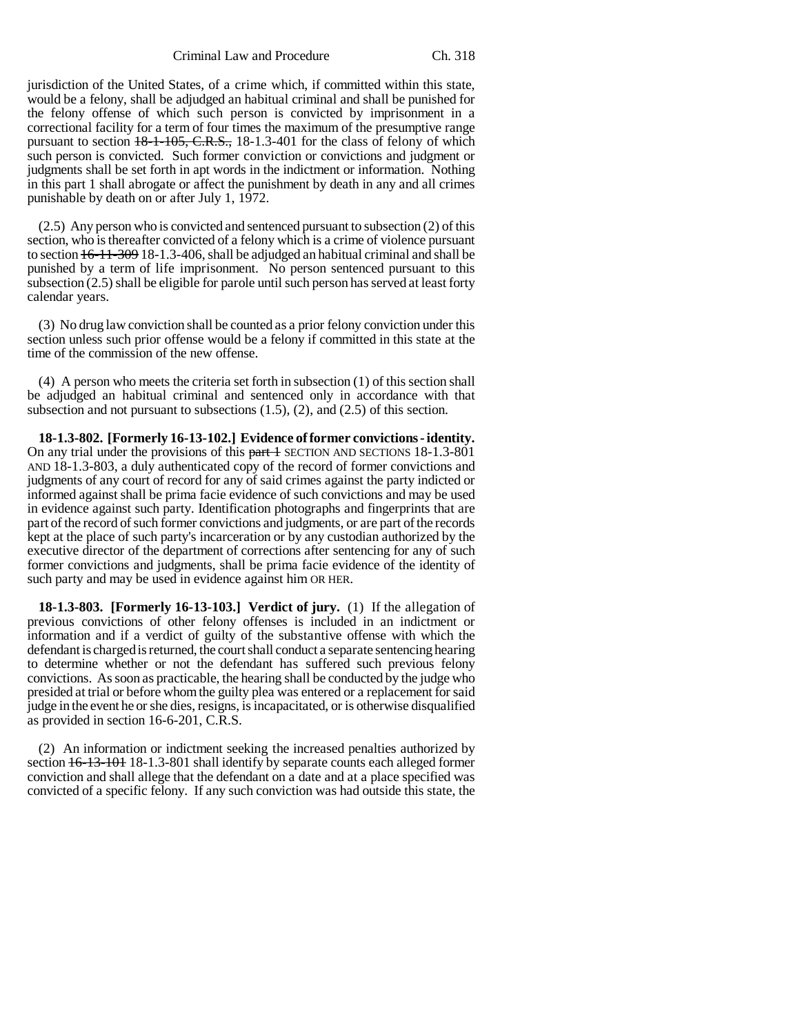Criminal Law and Procedure Ch. 318

jurisdiction of the United States, of a crime which, if committed within this state, would be a felony, shall be adjudged an habitual criminal and shall be punished for the felony offense of which such person is convicted by imprisonment in a correctional facility for a term of four times the maximum of the presumptive range pursuant to section  $18-1-105$ , C.R.S., 18-1.3-401 for the class of felony of which such person is convicted. Such former conviction or convictions and judgment or judgments shall be set forth in apt words in the indictment or information. Nothing in this part 1 shall abrogate or affect the punishment by death in any and all crimes punishable by death on or after July 1, 1972.

(2.5) Any person who is convicted and sentenced pursuant to subsection (2) of this section, who is thereafter convicted of a felony which is a crime of violence pursuant to section 16-11-309 18-1.3-406, shall be adjudged an habitual criminal and shall be punished by a term of life imprisonment. No person sentenced pursuant to this subsection (2.5) shall be eligible for parole until such person has served at least forty calendar years.

(3) No drug law conviction shall be counted as a prior felony conviction under this section unless such prior offense would be a felony if committed in this state at the time of the commission of the new offense.

(4) A person who meets the criteria set forth in subsection (1) of this section shall be adjudged an habitual criminal and sentenced only in accordance with that subsection and not pursuant to subsections (1.5), (2), and (2.5) of this section.

**18-1.3-802. [Formerly 16-13-102.] Evidence of former convictions - identity.** On any trial under the provisions of this part + SECTION AND SECTIONS 18-1.3-801 AND 18-1.3-803, a duly authenticated copy of the record of former convictions and judgments of any court of record for any of said crimes against the party indicted or informed against shall be prima facie evidence of such convictions and may be used in evidence against such party. Identification photographs and fingerprints that are part of the record of such former convictions and judgments, or are part of the records kept at the place of such party's incarceration or by any custodian authorized by the executive director of the department of corrections after sentencing for any of such former convictions and judgments, shall be prima facie evidence of the identity of such party and may be used in evidence against him OR HER.

**18-1.3-803. [Formerly 16-13-103.] Verdict of jury.** (1) If the allegation of previous convictions of other felony offenses is included in an indictment or information and if a verdict of guilty of the substantive offense with which the defendant is charged is returned, the court shall conduct a separate sentencing hearing to determine whether or not the defendant has suffered such previous felony convictions. As soon as practicable, the hearing shall be conducted by the judge who presided at trial or before whom the guilty plea was entered or a replacement for said judge in the event he or she dies, resigns, is incapacitated, or is otherwise disqualified as provided in section 16-6-201, C.R.S.

(2) An information or indictment seeking the increased penalties authorized by section  $16-13-101$  18-1.3-801 shall identify by separate counts each alleged former conviction and shall allege that the defendant on a date and at a place specified was convicted of a specific felony. If any such conviction was had outside this state, the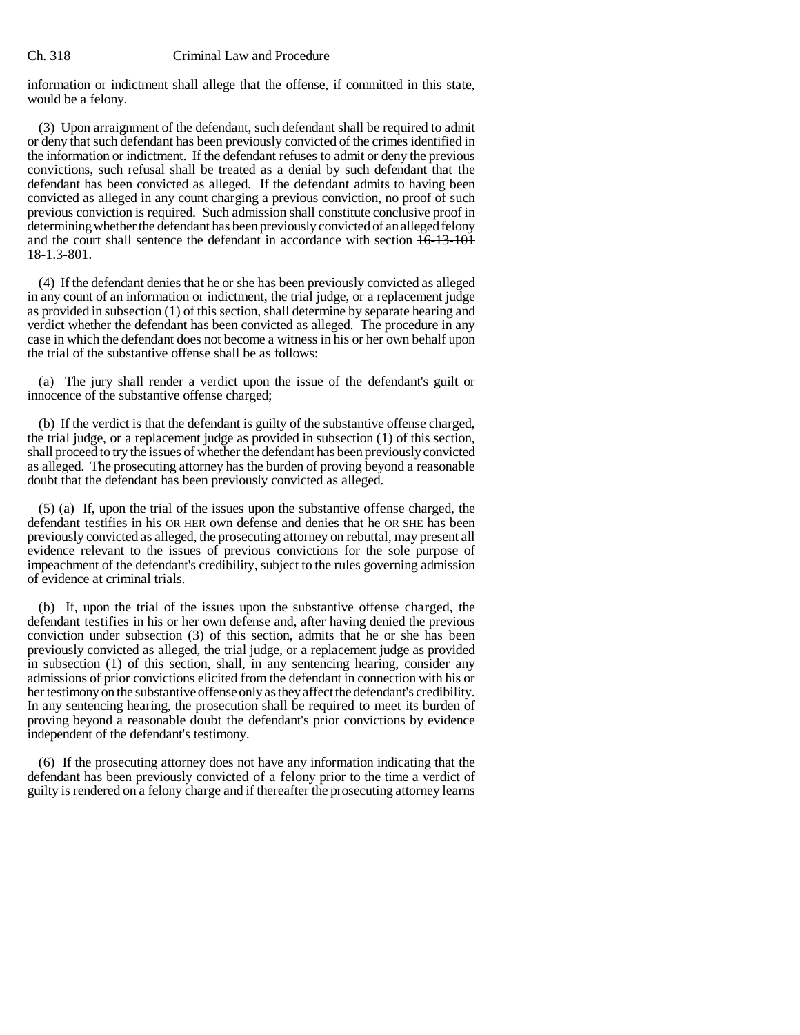information or indictment shall allege that the offense, if committed in this state, would be a felony.

(3) Upon arraignment of the defendant, such defendant shall be required to admit or deny that such defendant has been previously convicted of the crimes identified in the information or indictment. If the defendant refuses to admit or deny the previous convictions, such refusal shall be treated as a denial by such defendant that the defendant has been convicted as alleged. If the defendant admits to having been convicted as alleged in any count charging a previous conviction, no proof of such previous conviction is required. Such admission shall constitute conclusive proof in determining whether the defendant has been previously convicted of an alleged felony and the court shall sentence the defendant in accordance with section 16-13-101 18-1.3-801.

(4) If the defendant denies that he or she has been previously convicted as alleged in any count of an information or indictment, the trial judge, or a replacement judge as provided in subsection (1) of this section, shall determine by separate hearing and verdict whether the defendant has been convicted as alleged. The procedure in any case in which the defendant does not become a witness in his or her own behalf upon the trial of the substantive offense shall be as follows:

(a) The jury shall render a verdict upon the issue of the defendant's guilt or innocence of the substantive offense charged;

(b) If the verdict is that the defendant is guilty of the substantive offense charged, the trial judge, or a replacement judge as provided in subsection (1) of this section, shall proceed to try the issues of whether the defendant has been previously convicted as alleged. The prosecuting attorney has the burden of proving beyond a reasonable doubt that the defendant has been previously convicted as alleged.

(5) (a) If, upon the trial of the issues upon the substantive offense charged, the defendant testifies in his OR HER own defense and denies that he OR SHE has been previously convicted as alleged, the prosecuting attorney on rebuttal, may present all evidence relevant to the issues of previous convictions for the sole purpose of impeachment of the defendant's credibility, subject to the rules governing admission of evidence at criminal trials.

(b) If, upon the trial of the issues upon the substantive offense charged, the defendant testifies in his or her own defense and, after having denied the previous conviction under subsection (3) of this section, admits that he or she has been previously convicted as alleged, the trial judge, or a replacement judge as provided in subsection (1) of this section, shall, in any sentencing hearing, consider any admissions of prior convictions elicited from the defendant in connection with his or her testimony on the substantive offense only as they affect the defendant's credibility. In any sentencing hearing, the prosecution shall be required to meet its burden of proving beyond a reasonable doubt the defendant's prior convictions by evidence independent of the defendant's testimony.

(6) If the prosecuting attorney does not have any information indicating that the defendant has been previously convicted of a felony prior to the time a verdict of guilty is rendered on a felony charge and if thereafter the prosecuting attorney learns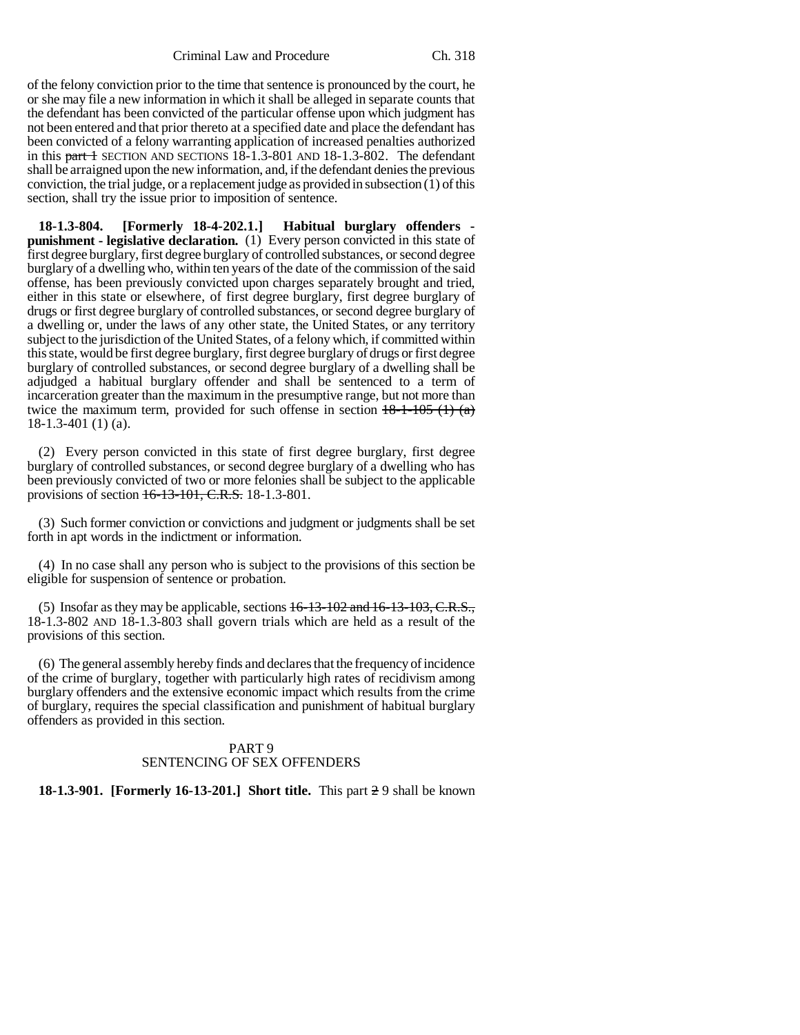Criminal Law and Procedure Ch. 318

of the felony conviction prior to the time that sentence is pronounced by the court, he or she may file a new information in which it shall be alleged in separate counts that the defendant has been convicted of the particular offense upon which judgment has not been entered and that prior thereto at a specified date and place the defendant has been convicted of a felony warranting application of increased penalties authorized in this  $part 1$  SECTION AND SECTIONS 18-1.3-801 AND 18-1.3-802. The defendant shall be arraigned upon the new information, and, if the defendant denies the previous conviction, the trial judge, or a replacement judge as provided in subsection  $(1)$  of this section, shall try the issue prior to imposition of sentence.

**18-1.3-804. [Formerly 18-4-202.1.] Habitual burglary offenders punishment - legislative declaration.** (1) Every person convicted in this state of first degree burglary, first degree burglary of controlled substances, or second degree burglary of a dwelling who, within ten years of the date of the commission of the said offense, has been previously convicted upon charges separately brought and tried, either in this state or elsewhere, of first degree burglary, first degree burglary of drugs or first degree burglary of controlled substances, or second degree burglary of a dwelling or, under the laws of any other state, the United States, or any territory subject to the jurisdiction of the United States, of a felony which, if committed within this state, would be first degree burglary, first degree burglary of drugs or first degree burglary of controlled substances, or second degree burglary of a dwelling shall be adjudged a habitual burglary offender and shall be sentenced to a term of incarceration greater than the maximum in the presumptive range, but not more than twice the maximum term, provided for such offense in section  $18-1-105$  (1) (a) 18-1.3-401 (1) (a).

(2) Every person convicted in this state of first degree burglary, first degree burglary of controlled substances, or second degree burglary of a dwelling who has been previously convicted of two or more felonies shall be subject to the applicable provisions of section 16-13-101, C.R.S. 18-1.3-801.

(3) Such former conviction or convictions and judgment or judgments shall be set forth in apt words in the indictment or information.

(4) In no case shall any person who is subject to the provisions of this section be eligible for suspension of sentence or probation.

(5) Insofar as they may be applicable, sections  $16-13-102$  and  $16-13-103$ , C.R.S., 18-1.3-802 AND 18-1.3-803 shall govern trials which are held as a result of the provisions of this section.

(6) The general assembly hereby finds and declares that the frequency of incidence of the crime of burglary, together with particularly high rates of recidivism among burglary offenders and the extensive economic impact which results from the crime of burglary, requires the special classification and punishment of habitual burglary offenders as provided in this section.

## PART 9 SENTENCING OF SEX OFFENDERS

# **18-1.3-901. [Formerly 16-13-201.] Short title.** This part 2 9 shall be known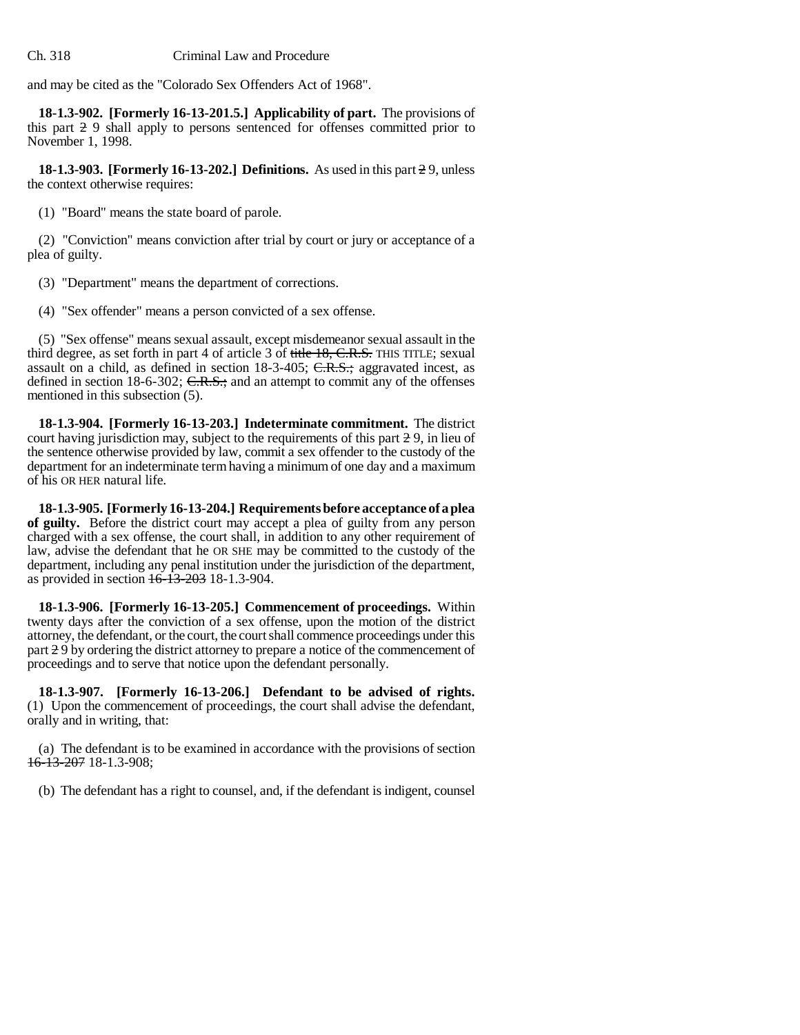and may be cited as the "Colorado Sex Offenders Act of 1968".

**18-1.3-902. [Formerly 16-13-201.5.] Applicability of part.** The provisions of this part 2 9 shall apply to persons sentenced for offenses committed prior to November 1, 1998.

**18-1.3-903. [Formerly 16-13-202.] Definitions.** As used in this part 2 9, unless the context otherwise requires:

(1) "Board" means the state board of parole.

(2) "Conviction" means conviction after trial by court or jury or acceptance of a plea of guilty.

(3) "Department" means the department of corrections.

(4) "Sex offender" means a person convicted of a sex offense.

(5) "Sex offense" means sexual assault, except misdemeanor sexual assault in the third degree, as set forth in part 4 of article 3 of title 18, C.R.S. THIS TITLE; sexual assault on a child, as defined in section 18-3-405; C.R.S.; aggravated incest, as defined in section 18-6-302;  $C.R.S.;$  and an attempt to commit any of the offenses mentioned in this subsection (5).

**18-1.3-904. [Formerly 16-13-203.] Indeterminate commitment.** The district court having jurisdiction may, subject to the requirements of this part 2 9, in lieu of the sentence otherwise provided by law, commit a sex offender to the custody of the department for an indeterminate term having a minimum of one day and a maximum of his OR HER natural life.

**18-1.3-905. [Formerly 16-13-204.] Requirements before acceptance of a plea of guilty.** Before the district court may accept a plea of guilty from any person charged with a sex offense, the court shall, in addition to any other requirement of law, advise the defendant that he OR SHE may be committed to the custody of the department, including any penal institution under the jurisdiction of the department, as provided in section 16-13-203 18-1.3-904.

**18-1.3-906. [Formerly 16-13-205.] Commencement of proceedings.** Within twenty days after the conviction of a sex offense, upon the motion of the district attorney, the defendant, or the court, the court shall commence proceedings under this part 2 9 by ordering the district attorney to prepare a notice of the commencement of proceedings and to serve that notice upon the defendant personally.

**18-1.3-907. [Formerly 16-13-206.] Defendant to be advised of rights.** (1) Upon the commencement of proceedings, the court shall advise the defendant, orally and in writing, that:

(a) The defendant is to be examined in accordance with the provisions of section 16-13-207 18-1.3-908;

(b) The defendant has a right to counsel, and, if the defendant is indigent, counsel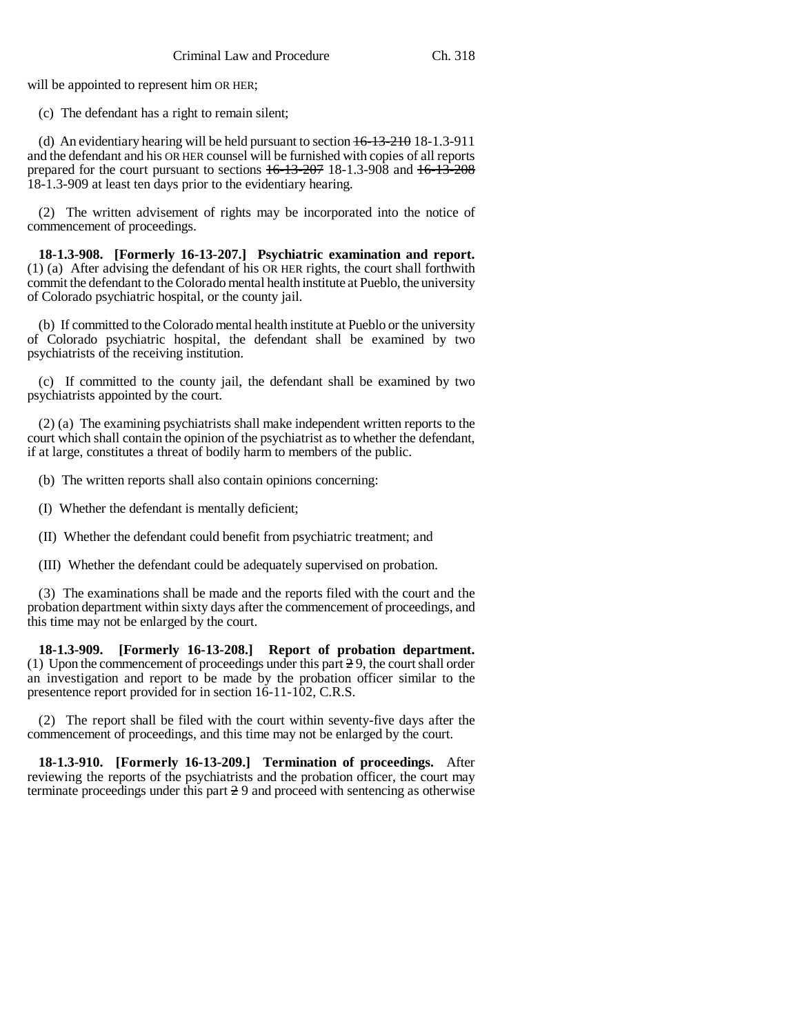will be appointed to represent him OR HER;

(c) The defendant has a right to remain silent;

(d) An evidentiary hearing will be held pursuant to section  $16-13-210$  18-1.3-911 and the defendant and his OR HER counsel will be furnished with copies of all reports prepared for the court pursuant to sections 16-13-207 18-1.3-908 and 16-13-208 18-1.3-909 at least ten days prior to the evidentiary hearing.

(2) The written advisement of rights may be incorporated into the notice of commencement of proceedings.

**18-1.3-908. [Formerly 16-13-207.] Psychiatric examination and report.** (1) (a) After advising the defendant of his OR HER rights, the court shall forthwith commit the defendant to the Colorado mental health institute at Pueblo, the university of Colorado psychiatric hospital, or the county jail.

(b) If committed to the Colorado mental health institute at Pueblo or the university of Colorado psychiatric hospital, the defendant shall be examined by two psychiatrists of the receiving institution.

(c) If committed to the county jail, the defendant shall be examined by two psychiatrists appointed by the court.

(2) (a) The examining psychiatrists shall make independent written reports to the court which shall contain the opinion of the psychiatrist as to whether the defendant, if at large, constitutes a threat of bodily harm to members of the public.

(b) The written reports shall also contain opinions concerning:

(I) Whether the defendant is mentally deficient;

(II) Whether the defendant could benefit from psychiatric treatment; and

(III) Whether the defendant could be adequately supervised on probation.

(3) The examinations shall be made and the reports filed with the court and the probation department within sixty days after the commencement of proceedings, and this time may not be enlarged by the court.

**18-1.3-909. [Formerly 16-13-208.] Report of probation department.** (1) Upon the commencement of proceedings under this part 2 9, the court shall order an investigation and report to be made by the probation officer similar to the presentence report provided for in section 16-11-102, C.R.S.

(2) The report shall be filed with the court within seventy-five days after the commencement of proceedings, and this time may not be enlarged by the court.

**18-1.3-910. [Formerly 16-13-209.] Termination of proceedings.** After reviewing the reports of the psychiatrists and the probation officer, the court may terminate proceedings under this part 2 9 and proceed with sentencing as otherwise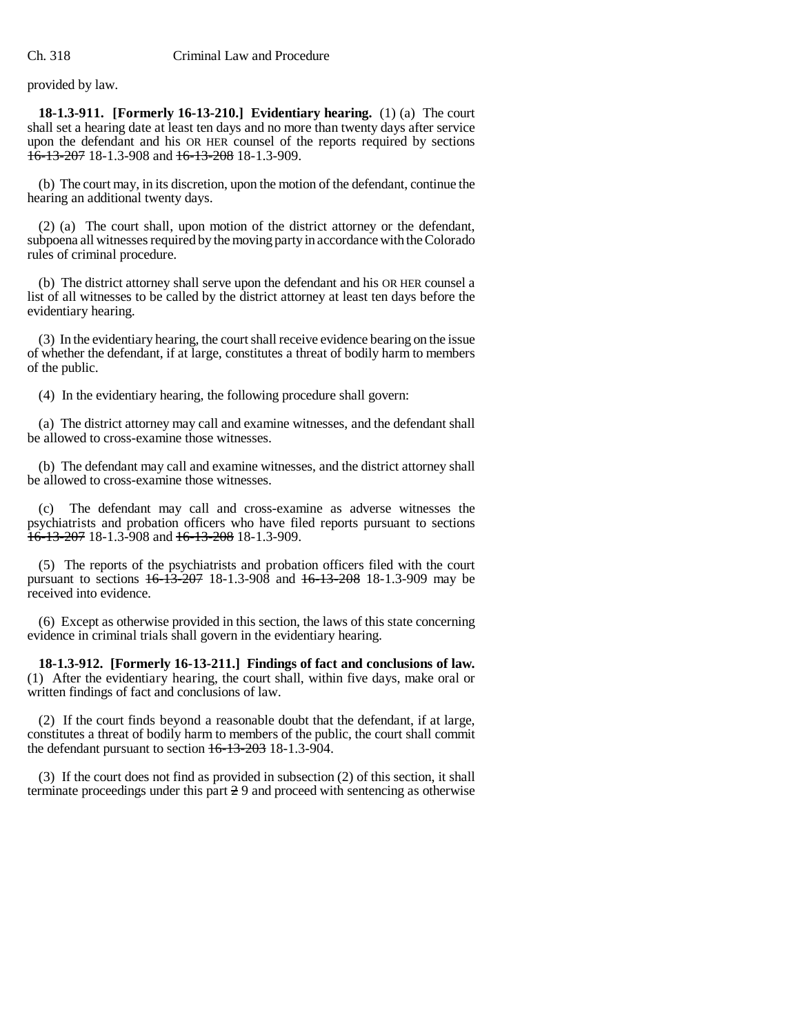provided by law.

**18-1.3-911. [Formerly 16-13-210.] Evidentiary hearing.** (1) (a) The court shall set a hearing date at least ten days and no more than twenty days after service upon the defendant and his OR HER counsel of the reports required by sections 16-13-207 18-1.3-908 and 16-13-208 18-1.3-909.

(b) The court may, in its discretion, upon the motion of the defendant, continue the hearing an additional twenty days.

(2) (a) The court shall, upon motion of the district attorney or the defendant, subpoena all witnesses required by the moving party in accordance with the Colorado rules of criminal procedure.

(b) The district attorney shall serve upon the defendant and his OR HER counsel a list of all witnesses to be called by the district attorney at least ten days before the evidentiary hearing.

(3) In the evidentiary hearing, the court shall receive evidence bearing on the issue of whether the defendant, if at large, constitutes a threat of bodily harm to members of the public.

(4) In the evidentiary hearing, the following procedure shall govern:

(a) The district attorney may call and examine witnesses, and the defendant shall be allowed to cross-examine those witnesses.

(b) The defendant may call and examine witnesses, and the district attorney shall be allowed to cross-examine those witnesses.

(c) The defendant may call and cross-examine as adverse witnesses the psychiatrists and probation officers who have filed reports pursuant to sections  $\frac{16-13-207}{18-1.3-908}$  and  $\frac{16-13-208}{18-1.3-909}$ .

(5) The reports of the psychiatrists and probation officers filed with the court pursuant to sections 16-13-207 18-1.3-908 and 16-13-208 18-1.3-909 may be received into evidence.

(6) Except as otherwise provided in this section, the laws of this state concerning evidence in criminal trials shall govern in the evidentiary hearing.

**18-1.3-912. [Formerly 16-13-211.] Findings of fact and conclusions of law.** (1) After the evidentiary hearing, the court shall, within five days, make oral or written findings of fact and conclusions of law.

(2) If the court finds beyond a reasonable doubt that the defendant, if at large, constitutes a threat of bodily harm to members of the public, the court shall commit the defendant pursuant to section  $16-13-203$  18-1.3-904.

(3) If the court does not find as provided in subsection (2) of this section, it shall terminate proceedings under this part 2 9 and proceed with sentencing as otherwise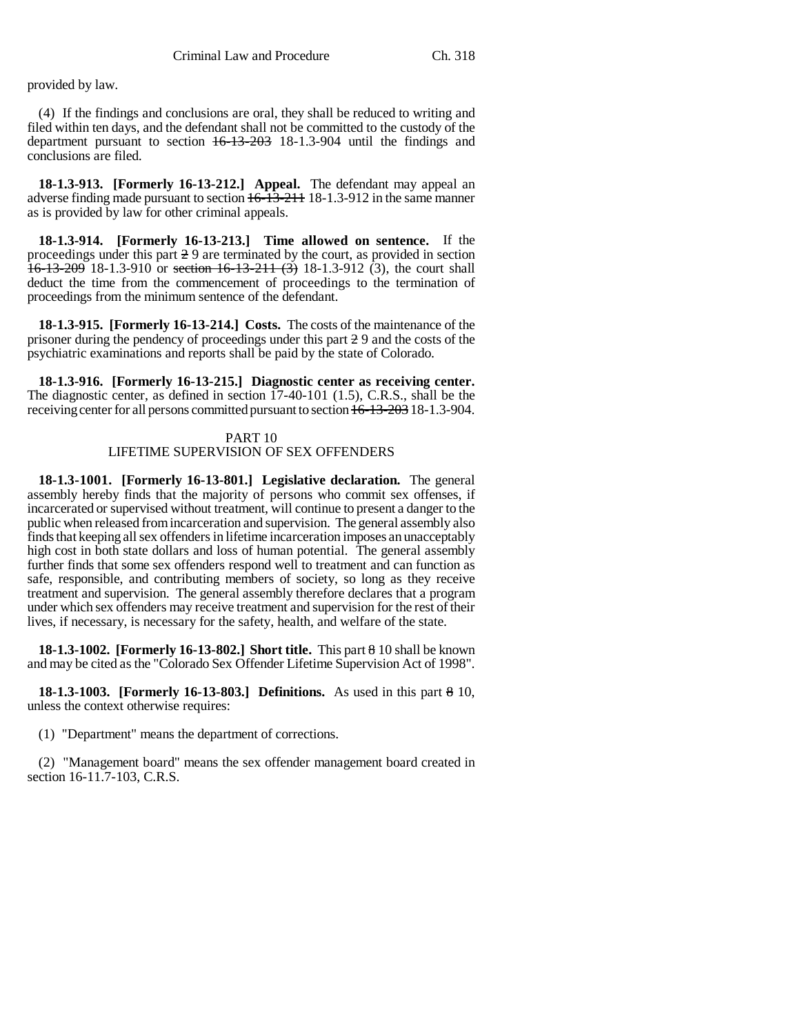provided by law.

(4) If the findings and conclusions are oral, they shall be reduced to writing and filed within ten days, and the defendant shall not be committed to the custody of the department pursuant to section 16-13-203 18-1.3-904 until the findings and conclusions are filed.

**18-1.3-913. [Formerly 16-13-212.] Appeal.** The defendant may appeal an adverse finding made pursuant to section 16-13-211 18-1.3-912 in the same manner as is provided by law for other criminal appeals.

**18-1.3-914. [Formerly 16-13-213.] Time allowed on sentence.** If the proceedings under this part 2 9 are terminated by the court, as provided in section  $16-13-209$  18-1.3-910 or section  $16-13-211$  (3) 18-1.3-912 (3), the court shall deduct the time from the commencement of proceedings to the termination of proceedings from the minimum sentence of the defendant.

**18-1.3-915. [Formerly 16-13-214.] Costs.** The costs of the maintenance of the prisoner during the pendency of proceedings under this part 2 9 and the costs of the psychiatric examinations and reports shall be paid by the state of Colorado.

**18-1.3-916. [Formerly 16-13-215.] Diagnostic center as receiving center.** The diagnostic center, as defined in section 17-40-101 (1.5), C.R.S., shall be the receiving center for all persons committed pursuant to section 16-13-203 18-1.3-904.

## PART 10 LIFETIME SUPERVISION OF SEX OFFENDERS

**18-1.3-1001. [Formerly 16-13-801.] Legislative declaration.** The general assembly hereby finds that the majority of persons who commit sex offenses, if incarcerated or supervised without treatment, will continue to present a danger to the public when released from incarceration and supervision. The general assembly also finds that keeping all sex offenders in lifetime incarceration imposes an unacceptably high cost in both state dollars and loss of human potential. The general assembly further finds that some sex offenders respond well to treatment and can function as safe, responsible, and contributing members of society, so long as they receive treatment and supervision. The general assembly therefore declares that a program under which sex offenders may receive treatment and supervision for the rest of their lives, if necessary, is necessary for the safety, health, and welfare of the state.

**18-1.3-1002. [Formerly 16-13-802.] Short title.** This part 8 10 shall be known and may be cited as the "Colorado Sex Offender Lifetime Supervision Act of 1998".

**18-1.3-1003. [Formerly 16-13-803.] Definitions.** As used in this part 8 10, unless the context otherwise requires:

(1) "Department" means the department of corrections.

(2) "Management board" means the sex offender management board created in section 16-11.7-103, C.R.S.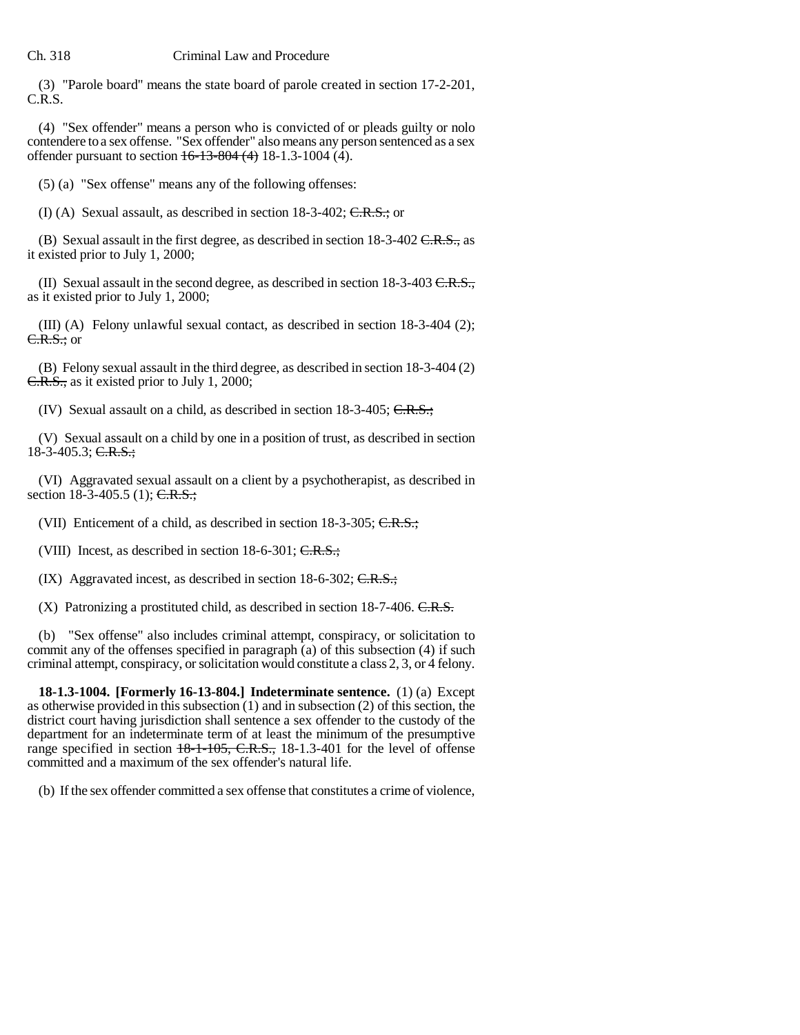(3) "Parole board" means the state board of parole created in section 17-2-201, C.R.S.

(4) "Sex offender" means a person who is convicted of or pleads guilty or nolo contendere to a sex offense. "Sex offender" also means any person sentenced as a sex offender pursuant to section 16-13-804 (4) 18-1.3-1004 (4).

(5) (a) "Sex offense" means any of the following offenses:

(I) (A) Sexual assault, as described in section 18-3-402; C.R.S.; or

(B) Sexual assault in the first degree, as described in section  $18-3-402$  C.R.S., as it existed prior to July 1, 2000;

(II) Sexual assault in the second degree, as described in section  $18-3-403$  C.R.S., as it existed prior to July 1, 2000;

(III) (A) Felony unlawful sexual contact, as described in section 18-3-404 (2); C.R.S.; or

(B) Felony sexual assault in the third degree, as described in section 18-3-404 (2) C.R.S., as it existed prior to July 1, 2000;

(IV) Sexual assault on a child, as described in section 18-3-405; C.R.S.;

(V) Sexual assault on a child by one in a position of trust, as described in section 18-3-405.3; C.R.S.;

(VI) Aggravated sexual assault on a client by a psychotherapist, as described in section 18-3-405.5 (1); C.R.S.;

(VII) Enticement of a child, as described in section 18-3-305; C.R.S.;

(VIII) Incest, as described in section  $18-6-301$ ; C.R.S.;

(IX) Aggravated incest, as described in section  $18-6-302$ ; C.R.S.;

(X) Patronizing a prostituted child, as described in section 18-7-406.  $C.R.S.$ 

(b) "Sex offense" also includes criminal attempt, conspiracy, or solicitation to commit any of the offenses specified in paragraph (a) of this subsection (4) if such criminal attempt, conspiracy, or solicitation would constitute a class 2, 3, or 4 felony.

**18-1.3-1004. [Formerly 16-13-804.] Indeterminate sentence.** (1) (a) Except as otherwise provided in this subsection (1) and in subsection (2) of this section, the district court having jurisdiction shall sentence a sex offender to the custody of the department for an indeterminate term of at least the minimum of the presumptive range specified in section  $18-1-105$ , C.R.S., 18-1.3-401 for the level of offense committed and a maximum of the sex offender's natural life.

(b) If the sex offender committed a sex offense that constitutes a crime of violence,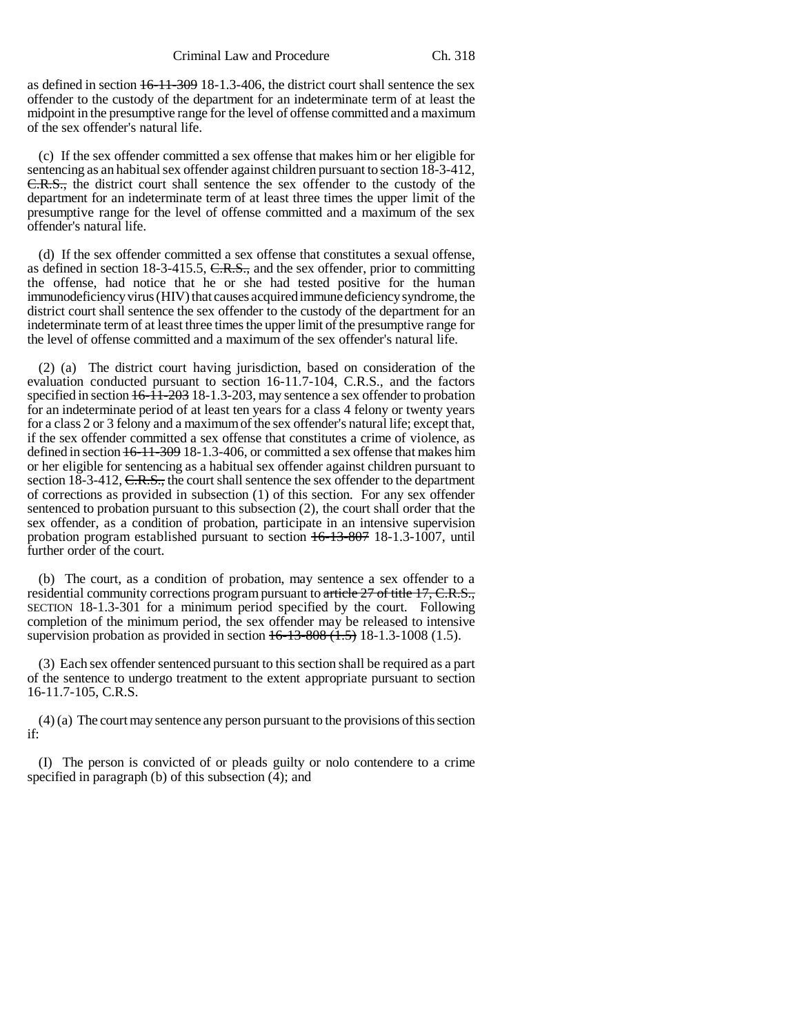as defined in section 16-11-309 18-1.3-406, the district court shall sentence the sex offender to the custody of the department for an indeterminate term of at least the midpoint in the presumptive range for the level of offense committed and a maximum of the sex offender's natural life.

(c) If the sex offender committed a sex offense that makes him or her eligible for sentencing as an habitual sex offender against children pursuant to section 18-3-412, C.R.S., the district court shall sentence the sex offender to the custody of the department for an indeterminate term of at least three times the upper limit of the presumptive range for the level of offense committed and a maximum of the sex offender's natural life.

(d) If the sex offender committed a sex offense that constitutes a sexual offense, as defined in section 18-3-415.5, C.R.S., and the sex offender, prior to committing the offense, had notice that he or she had tested positive for the human immunodeficiency virus (HIV) that causes acquired immune deficiency syndrome, the district court shall sentence the sex offender to the custody of the department for an indeterminate term of at least three times the upper limit of the presumptive range for the level of offense committed and a maximum of the sex offender's natural life.

(2) (a) The district court having jurisdiction, based on consideration of the evaluation conducted pursuant to section 16-11.7-104, C.R.S., and the factors specified in section  $16$ -11-203 18-1.3-203, may sentence a sex offender to probation for an indeterminate period of at least ten years for a class 4 felony or twenty years for a class 2 or 3 felony and a maximum of the sex offender's natural life; except that, if the sex offender committed a sex offense that constitutes a crime of violence, as defined in section 16-11-309 18-1.3-406, or committed a sex offense that makes him or her eligible for sentencing as a habitual sex offender against children pursuant to section  $18-3-412$ , C.R.S., the court shall sentence the sex offender to the department of corrections as provided in subsection (1) of this section. For any sex offender sentenced to probation pursuant to this subsection (2), the court shall order that the sex offender, as a condition of probation, participate in an intensive supervision probation program established pursuant to section  $16-13-807$  18-1.3-1007, until further order of the court.

(b) The court, as a condition of probation, may sentence a sex offender to a residential community corrections program pursuant to article 27 of title 17, C.R.S., SECTION 18-1.3-301 for a minimum period specified by the court. Following completion of the minimum period, the sex offender may be released to intensive supervision probation as provided in section  $16-13-808$   $(1.5)$  18-1.3-1008 (1.5).

(3) Each sex offender sentenced pursuant to this section shall be required as a part of the sentence to undergo treatment to the extent appropriate pursuant to section 16-11.7-105, C.R.S.

(4) (a) The court may sentence any person pursuant to the provisions of this section if:

(I) The person is convicted of or pleads guilty or nolo contendere to a crime specified in paragraph (b) of this subsection (4); and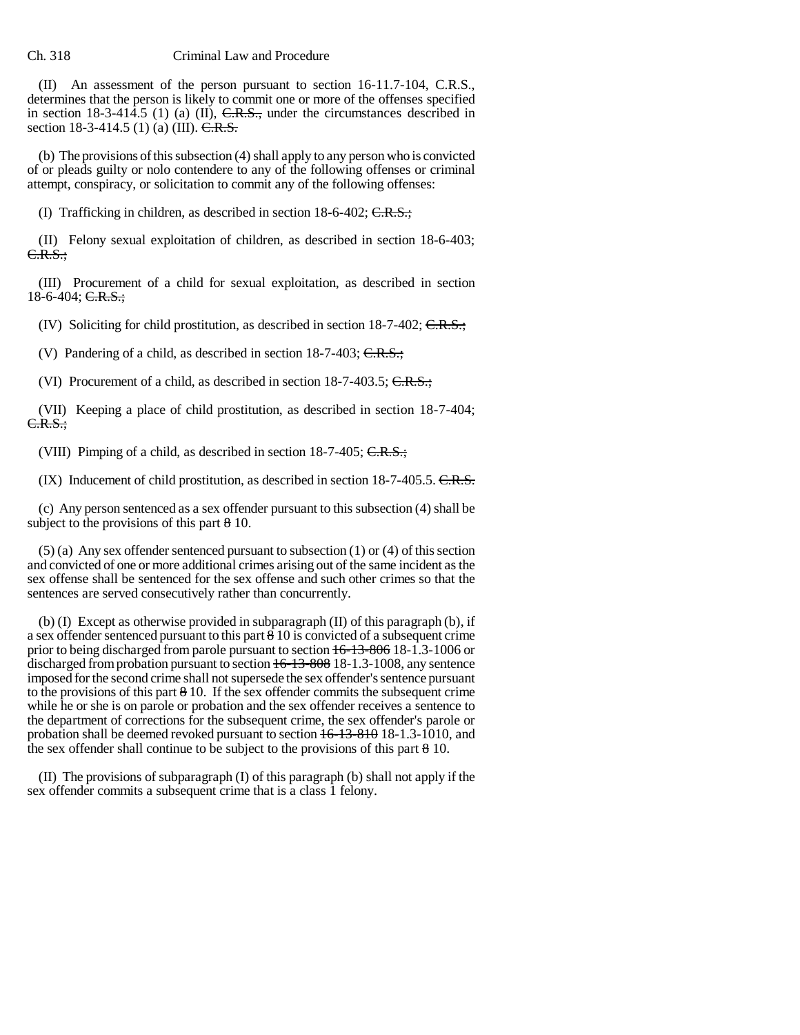(II) An assessment of the person pursuant to section 16-11.7-104, C.R.S., determines that the person is likely to commit one or more of the offenses specified in section 18-3-414.5 (1) (a) (II),  $C.R.S.,$  under the circumstances described in section 18-3-414.5 (1) (a) (III).  $C.R.S.$ 

(b) The provisions of this subsection (4) shall apply to any person who is convicted of or pleads guilty or nolo contendere to any of the following offenses or criminal attempt, conspiracy, or solicitation to commit any of the following offenses:

(I) Trafficking in children, as described in section  $18-6-402$ ; C.R.S.;

(II) Felony sexual exploitation of children, as described in section 18-6-403; C.R.S.;

(III) Procurement of a child for sexual exploitation, as described in section 18-6-404; C.R.S.;

(IV) Soliciting for child prostitution, as described in section  $18-7-402$ ; C.R.S.;

(V) Pandering of a child, as described in section 18-7-403; C.R.S.;

(VI) Procurement of a child, as described in section  $18-7-403.5$ ; C.R.S.;

(VII) Keeping a place of child prostitution, as described in section 18-7-404; C.R.S.;

(VIII) Pimping of a child, as described in section 18-7-405; C.R.S.;

(IX) Inducement of child prostitution, as described in section 18-7-405.5. C.R.S.

(c) Any person sentenced as a sex offender pursuant to this subsection (4) shall be subject to the provisions of this part  $8\,10$ .

 $(5)$  (a) Any sex offender sentenced pursuant to subsection  $(1)$  or  $(4)$  of this section and convicted of one or more additional crimes arising out of the same incident as the sex offense shall be sentenced for the sex offense and such other crimes so that the sentences are served consecutively rather than concurrently.

(b) (I) Except as otherwise provided in subparagraph (II) of this paragraph (b), if a sex offender sentenced pursuant to this part  $\frac{8}{10}$  is convicted of a subsequent crime prior to being discharged from parole pursuant to section  $16-13-806$  18-1.3-1006 or discharged from probation pursuant to section  $16-13-808$  18-1.3-1008, any sentence imposed for the second crime shall not supersede the sex offender's sentence pursuant to the provisions of this part  $8\,10$ . If the sex offender commits the subsequent crime while he or she is on parole or probation and the sex offender receives a sentence to the department of corrections for the subsequent crime, the sex offender's parole or probation shall be deemed revoked pursuant to section 16-13-810 18-1.3-1010, and the sex offender shall continue to be subject to the provisions of this part  $\frac{8}{10}$ .

(II) The provisions of subparagraph (I) of this paragraph (b) shall not apply if the sex offender commits a subsequent crime that is a class 1 felony.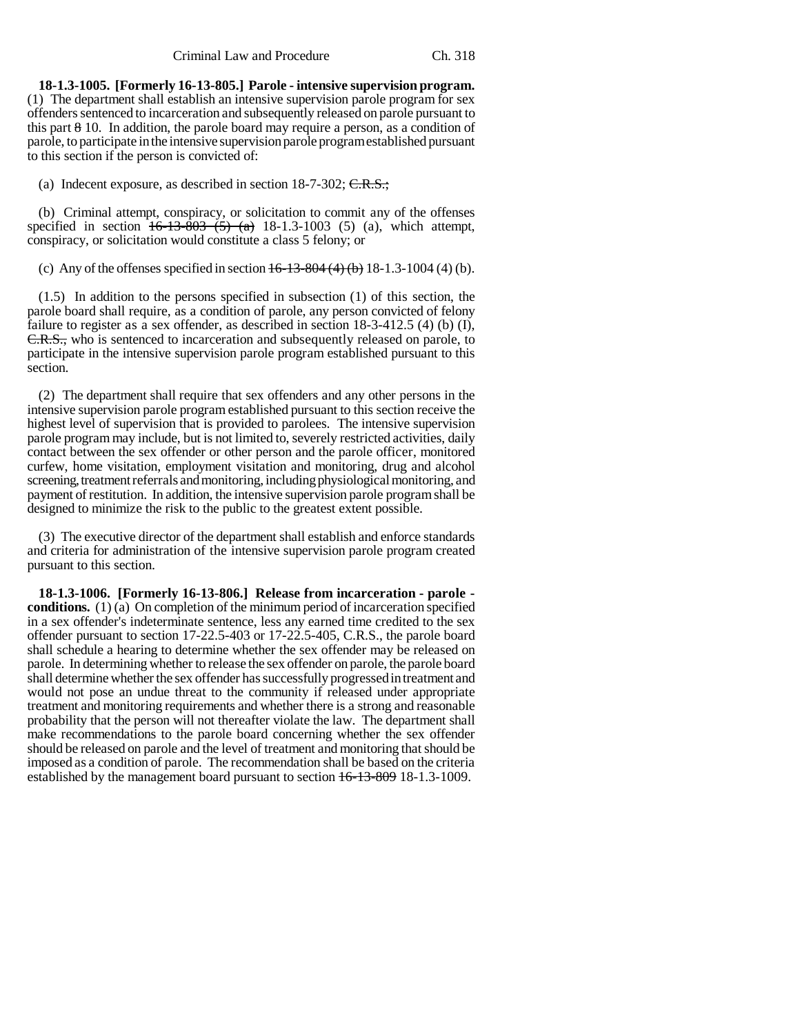**18-1.3-1005. [Formerly 16-13-805.] Parole - intensive supervision program.** (1) The department shall establish an intensive supervision parole program for sex offenders sentenced to incarceration and subsequently released on parole pursuant to this part  $8$  10. In addition, the parole board may require a person, as a condition of parole, to participate in the intensive supervision parole program established pursuant to this section if the person is convicted of:

(a) Indecent exposure, as described in section 18-7-302; C.R.S.;

(b) Criminal attempt, conspiracy, or solicitation to commit any of the offenses specified in section  $16-13-803(5)$  (a) 18-1.3-1003 (5) (a), which attempt, conspiracy, or solicitation would constitute a class 5 felony; or

(c) Any of the offenses specified in section  $16-13-804$  (4) (b) 18-1.3-1004 (4) (b).

(1.5) In addition to the persons specified in subsection (1) of this section, the parole board shall require, as a condition of parole, any person convicted of felony failure to register as a sex offender, as described in section 18-3-412.5 (4) (b) (I), C.R.S., who is sentenced to incarceration and subsequently released on parole, to participate in the intensive supervision parole program established pursuant to this section.

(2) The department shall require that sex offenders and any other persons in the intensive supervision parole program established pursuant to this section receive the highest level of supervision that is provided to parolees. The intensive supervision parole program may include, but is not limited to, severely restricted activities, daily contact between the sex offender or other person and the parole officer, monitored curfew, home visitation, employment visitation and monitoring, drug and alcohol screening, treatment referrals and monitoring, including physiological monitoring, and payment of restitution. In addition, the intensive supervision parole program shall be designed to minimize the risk to the public to the greatest extent possible.

(3) The executive director of the department shall establish and enforce standards and criteria for administration of the intensive supervision parole program created pursuant to this section.

**18-1.3-1006. [Formerly 16-13-806.] Release from incarceration - parole conditions.** (1) (a) On completion of the minimum period of incarceration specified in a sex offender's indeterminate sentence, less any earned time credited to the sex offender pursuant to section 17-22.5-403 or 17-22.5-405, C.R.S., the parole board shall schedule a hearing to determine whether the sex offender may be released on parole. In determining whether to release the sex offender on parole, the parole board shall determine whether the sex offender has successfully progressed in treatment and would not pose an undue threat to the community if released under appropriate treatment and monitoring requirements and whether there is a strong and reasonable probability that the person will not thereafter violate the law. The department shall make recommendations to the parole board concerning whether the sex offender should be released on parole and the level of treatment and monitoring that should be imposed as a condition of parole. The recommendation shall be based on the criteria established by the management board pursuant to section 16-13-809 18-1.3-1009.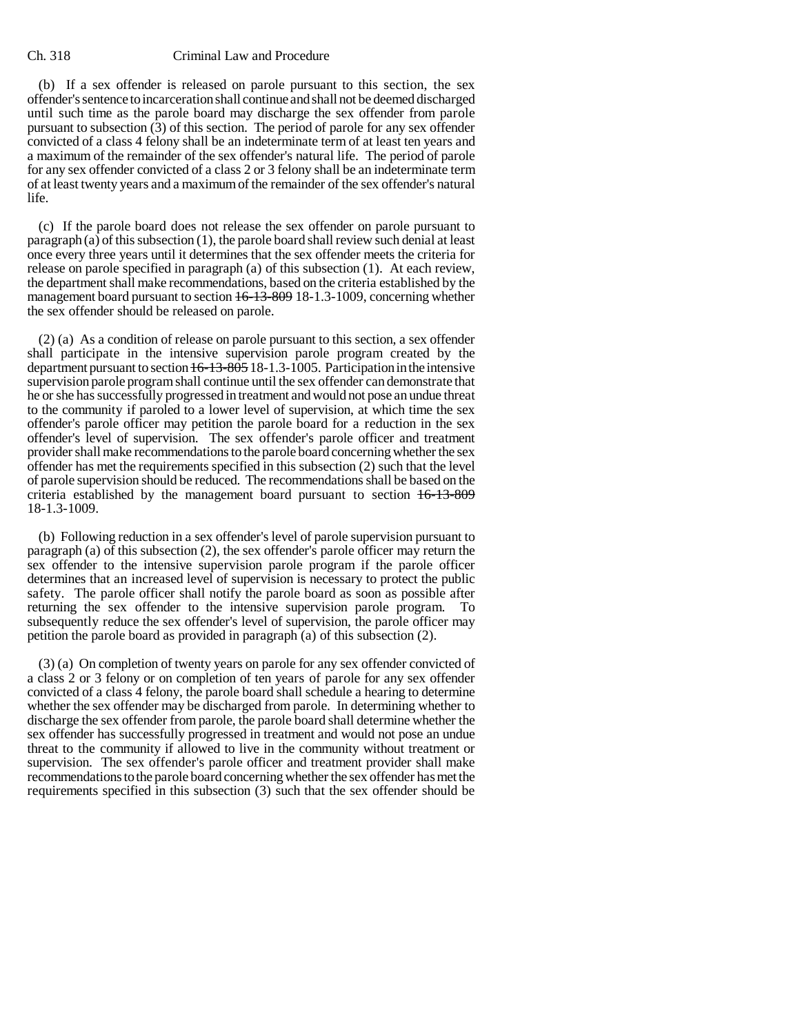(b) If a sex offender is released on parole pursuant to this section, the sex offender's sentence to incarceration shall continue and shall not be deemed discharged until such time as the parole board may discharge the sex offender from parole pursuant to subsection (3) of this section. The period of parole for any sex offender convicted of a class 4 felony shall be an indeterminate term of at least ten years and a maximum of the remainder of the sex offender's natural life. The period of parole for any sex offender convicted of a class 2 or 3 felony shall be an indeterminate term of at least twenty years and a maximum of the remainder of the sex offender's natural life.

(c) If the parole board does not release the sex offender on parole pursuant to paragraph (a) of this subsection (1), the parole board shall review such denial at least once every three years until it determines that the sex offender meets the criteria for release on parole specified in paragraph (a) of this subsection (1). At each review, the department shall make recommendations, based on the criteria established by the management board pursuant to section  $16-13-809$  18-1.3-1009, concerning whether the sex offender should be released on parole.

(2) (a) As a condition of release on parole pursuant to this section, a sex offender shall participate in the intensive supervision parole program created by the department pursuant to section 16-13-805 18-1.3-1005. Participation in the intensive supervision parole program shall continue until the sex offender can demonstrate that he or she has successfully progressed in treatment and would not pose an undue threat to the community if paroled to a lower level of supervision, at which time the sex offender's parole officer may petition the parole board for a reduction in the sex offender's level of supervision. The sex offender's parole officer and treatment provider shall make recommendations to the parole board concerning whether the sex offender has met the requirements specified in this subsection (2) such that the level of parole supervision should be reduced. The recommendations shall be based on the criteria established by the management board pursuant to section 16-13-809 18-1.3-1009.

(b) Following reduction in a sex offender's level of parole supervision pursuant to paragraph (a) of this subsection (2), the sex offender's parole officer may return the sex offender to the intensive supervision parole program if the parole officer determines that an increased level of supervision is necessary to protect the public safety. The parole officer shall notify the parole board as soon as possible after returning the sex offender to the intensive supervision parole program. To subsequently reduce the sex offender's level of supervision, the parole officer may petition the parole board as provided in paragraph (a) of this subsection (2).

(3) (a) On completion of twenty years on parole for any sex offender convicted of a class 2 or 3 felony or on completion of ten years of parole for any sex offender convicted of a class 4 felony, the parole board shall schedule a hearing to determine whether the sex offender may be discharged from parole. In determining whether to discharge the sex offender from parole, the parole board shall determine whether the sex offender has successfully progressed in treatment and would not pose an undue threat to the community if allowed to live in the community without treatment or supervision. The sex offender's parole officer and treatment provider shall make recommendations to the parole board concerning whether the sex offender has met the requirements specified in this subsection (3) such that the sex offender should be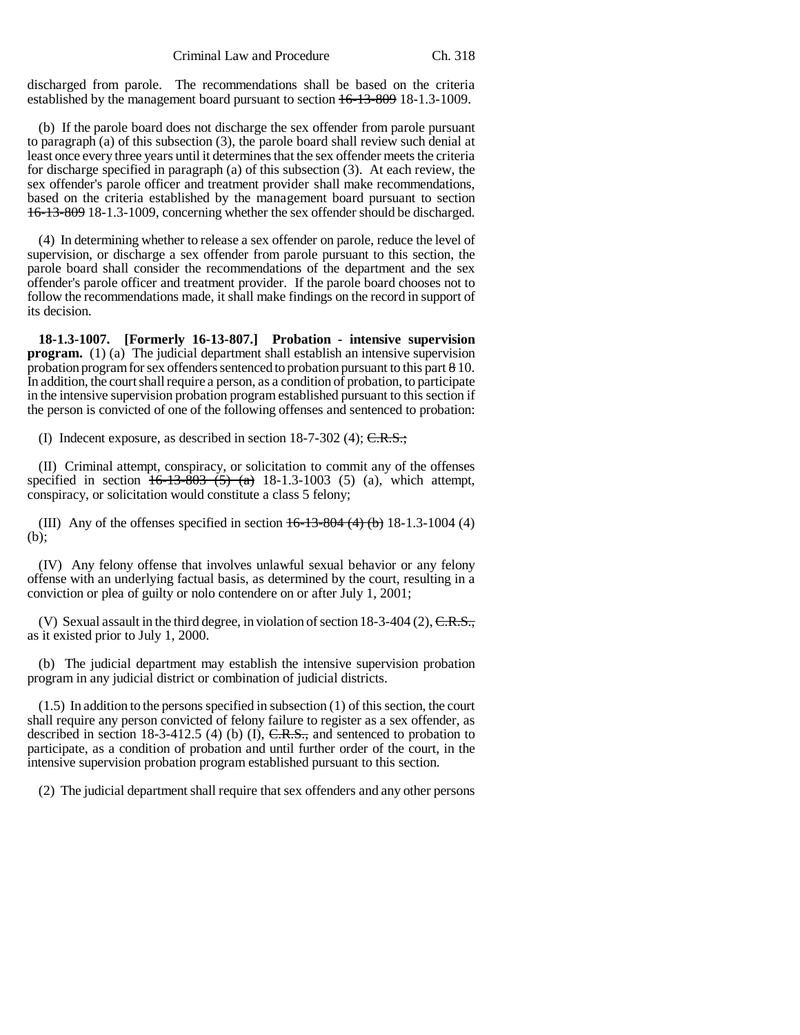discharged from parole. The recommendations shall be based on the criteria established by the management board pursuant to section 16-13-809 18-1.3-1009.

(b) If the parole board does not discharge the sex offender from parole pursuant to paragraph (a) of this subsection (3), the parole board shall review such denial at least once every three years until it determines that the sex offender meets the criteria for discharge specified in paragraph (a) of this subsection (3). At each review, the sex offender's parole officer and treatment provider shall make recommendations, based on the criteria established by the management board pursuant to section 16-13-809 18-1.3-1009, concerning whether the sex offender should be discharged.

(4) In determining whether to release a sex offender on parole, reduce the level of supervision, or discharge a sex offender from parole pursuant to this section, the parole board shall consider the recommendations of the department and the sex offender's parole officer and treatment provider. If the parole board chooses not to follow the recommendations made, it shall make findings on the record in support of its decision.

**18-1.3-1007. [Formerly 16-13-807.] Probation - intensive supervision program.** (1) (a) The judicial department shall establish an intensive supervision probation program for sex offenders sentenced to probation pursuant to this part 8 10. In addition, the court shall require a person, as a condition of probation, to participate in the intensive supervision probation program established pursuant to this section if the person is convicted of one of the following offenses and sentenced to probation:

(I) Indecent exposure, as described in section 18-7-302 (4); C.R.S.;

(II) Criminal attempt, conspiracy, or solicitation to commit any of the offenses specified in section  $16-13-803(5)$  (a) 18-1.3-1003 (5) (a), which attempt, conspiracy, or solicitation would constitute a class 5 felony;

(III) Any of the offenses specified in section  $16-13-804$  (4) (b) 18-1.3-1004 (4) (b);

(IV) Any felony offense that involves unlawful sexual behavior or any felony offense with an underlying factual basis, as determined by the court, resulting in a conviction or plea of guilty or nolo contendere on or after July 1, 2001;

(V) Sexual assault in the third degree, in violation of section 18-3-404 (2), C.R.S., as it existed prior to July 1, 2000.

(b) The judicial department may establish the intensive supervision probation program in any judicial district or combination of judicial districts.

(1.5) In addition to the persons specified in subsection (1) of this section, the court shall require any person convicted of felony failure to register as a sex offender, as described in section 18-3-412.5 (4) (b)  $(I)$ ,  $C.R.S.,$  and sentenced to probation to participate, as a condition of probation and until further order of the court, in the intensive supervision probation program established pursuant to this section.

(2) The judicial department shall require that sex offenders and any other persons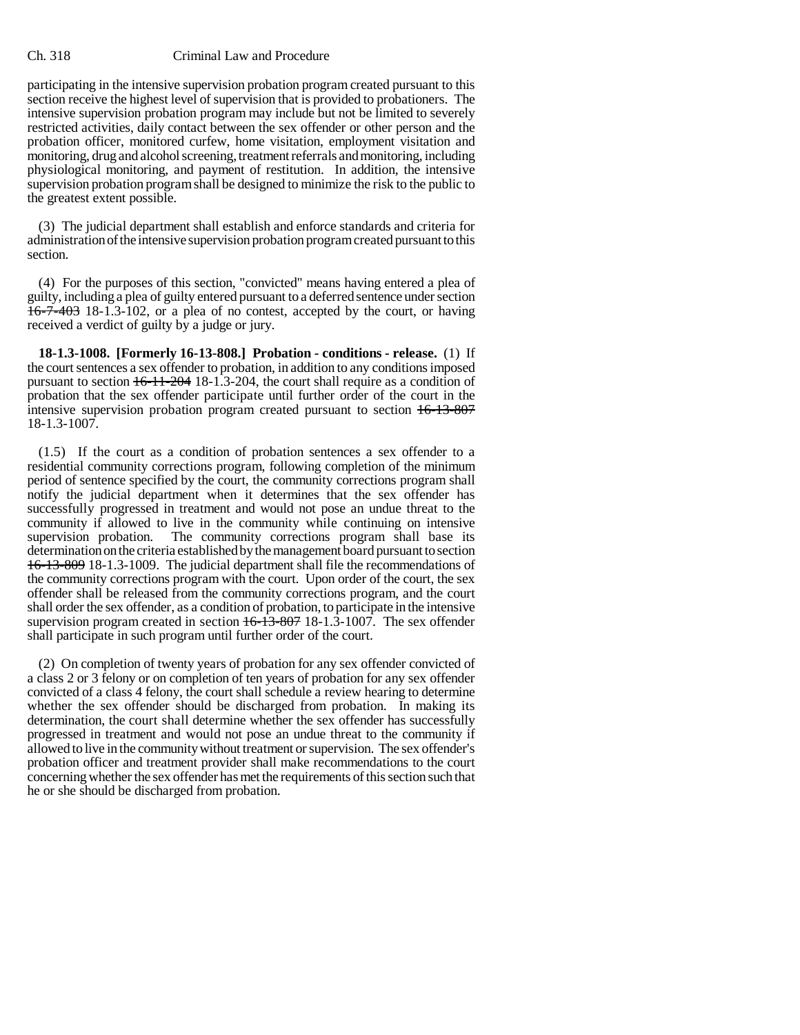participating in the intensive supervision probation program created pursuant to this section receive the highest level of supervision that is provided to probationers. The intensive supervision probation program may include but not be limited to severely restricted activities, daily contact between the sex offender or other person and the probation officer, monitored curfew, home visitation, employment visitation and monitoring, drug and alcohol screening, treatment referrals and monitoring, including physiological monitoring, and payment of restitution. In addition, the intensive supervision probation program shall be designed to minimize the risk to the public to the greatest extent possible.

(3) The judicial department shall establish and enforce standards and criteria for administration of the intensive supervision probation program created pursuant to this section.

(4) For the purposes of this section, "convicted" means having entered a plea of guilty, including a plea of guilty entered pursuant to a deferred sentence under section  $16-7-403$  18-1.3-102, or a plea of no contest, accepted by the court, or having received a verdict of guilty by a judge or jury.

**18-1.3-1008. [Formerly 16-13-808.] Probation - conditions - release.** (1) If the court sentences a sex offender to probation, in addition to any conditions imposed pursuant to section 16-11-204 18-1.3-204, the court shall require as a condition of probation that the sex offender participate until further order of the court in the intensive supervision probation program created pursuant to section 16-13-807 18-1.3-1007.

(1.5) If the court as a condition of probation sentences a sex offender to a residential community corrections program, following completion of the minimum period of sentence specified by the court, the community corrections program shall notify the judicial department when it determines that the sex offender has successfully progressed in treatment and would not pose an undue threat to the community if allowed to live in the community while continuing on intensive supervision probation. The community corrections program shall base its determination on the criteria established by the management board pursuant to section 16-13-809 18-1.3-1009. The judicial department shall file the recommendations of the community corrections program with the court. Upon order of the court, the sex offender shall be released from the community corrections program, and the court shall order the sex offender, as a condition of probation, to participate in the intensive supervision program created in section  $16-\overline{13}-807$  18-1.3-1007. The sex offender shall participate in such program until further order of the court.

(2) On completion of twenty years of probation for any sex offender convicted of a class 2 or 3 felony or on completion of ten years of probation for any sex offender convicted of a class 4 felony, the court shall schedule a review hearing to determine whether the sex offender should be discharged from probation. In making its determination, the court shall determine whether the sex offender has successfully progressed in treatment and would not pose an undue threat to the community if allowed to live in the community without treatment or supervision. The sex offender's probation officer and treatment provider shall make recommendations to the court concerning whether the sex offender has met the requirements of this section such that he or she should be discharged from probation.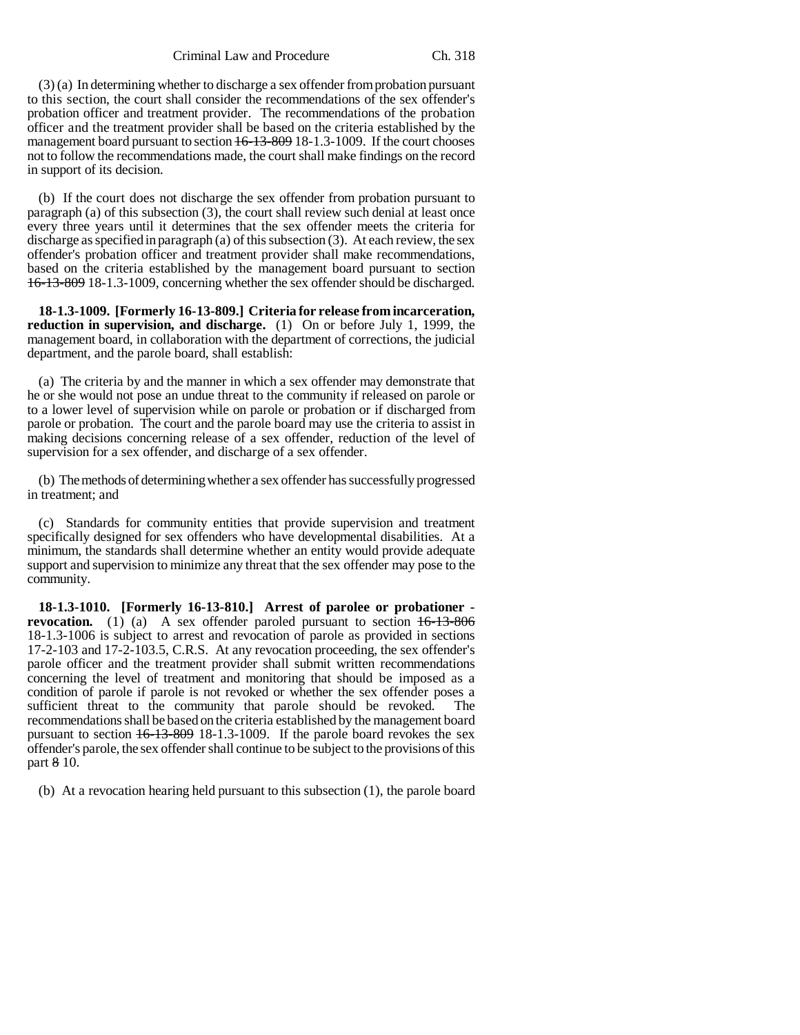Criminal Law and Procedure Ch. 318

(3) (a) In determining whether to discharge a sex offender from probation pursuant to this section, the court shall consider the recommendations of the sex offender's probation officer and treatment provider. The recommendations of the probation officer and the treatment provider shall be based on the criteria established by the management board pursuant to section  $16-13-809$  18-1.3-1009. If the court chooses not to follow the recommendations made, the court shall make findings on the record in support of its decision.

(b) If the court does not discharge the sex offender from probation pursuant to paragraph (a) of this subsection (3), the court shall review such denial at least once every three years until it determines that the sex offender meets the criteria for discharge as specified in paragraph (a) of this subsection (3). At each review, the sex offender's probation officer and treatment provider shall make recommendations, based on the criteria established by the management board pursuant to section 16-13-809 18-1.3-1009, concerning whether the sex offender should be discharged.

**18-1.3-1009. [Formerly 16-13-809.] Criteria for release from incarceration, reduction in supervision, and discharge.** (1) On or before July 1, 1999, the management board, in collaboration with the department of corrections, the judicial department, and the parole board, shall establish:

(a) The criteria by and the manner in which a sex offender may demonstrate that he or she would not pose an undue threat to the community if released on parole or to a lower level of supervision while on parole or probation or if discharged from parole or probation. The court and the parole board may use the criteria to assist in making decisions concerning release of a sex offender, reduction of the level of supervision for a sex offender, and discharge of a sex offender.

(b) The methods of determining whether a sex offender has successfully progressed in treatment; and

(c) Standards for community entities that provide supervision and treatment specifically designed for sex offenders who have developmental disabilities. At a minimum, the standards shall determine whether an entity would provide adequate support and supervision to minimize any threat that the sex offender may pose to the community.

**18-1.3-1010. [Formerly 16-13-810.] Arrest of parolee or probationer revocation.** (1) (a) A sex offender paroled pursuant to section  $16-13-806$ 18-1.3-1006 is subject to arrest and revocation of parole as provided in sections 17-2-103 and 17-2-103.5, C.R.S. At any revocation proceeding, the sex offender's parole officer and the treatment provider shall submit written recommendations concerning the level of treatment and monitoring that should be imposed as a condition of parole if parole is not revoked or whether the sex offender poses a sufficient threat to the community that parole should be revoked. The recommendations shall be based on the criteria established by the management board pursuant to section  $16-13-809$  18-1.3-1009. If the parole board revokes the sex offender's parole, the sex offender shall continue to be subject to the provisions of this part 8 10.

(b) At a revocation hearing held pursuant to this subsection (1), the parole board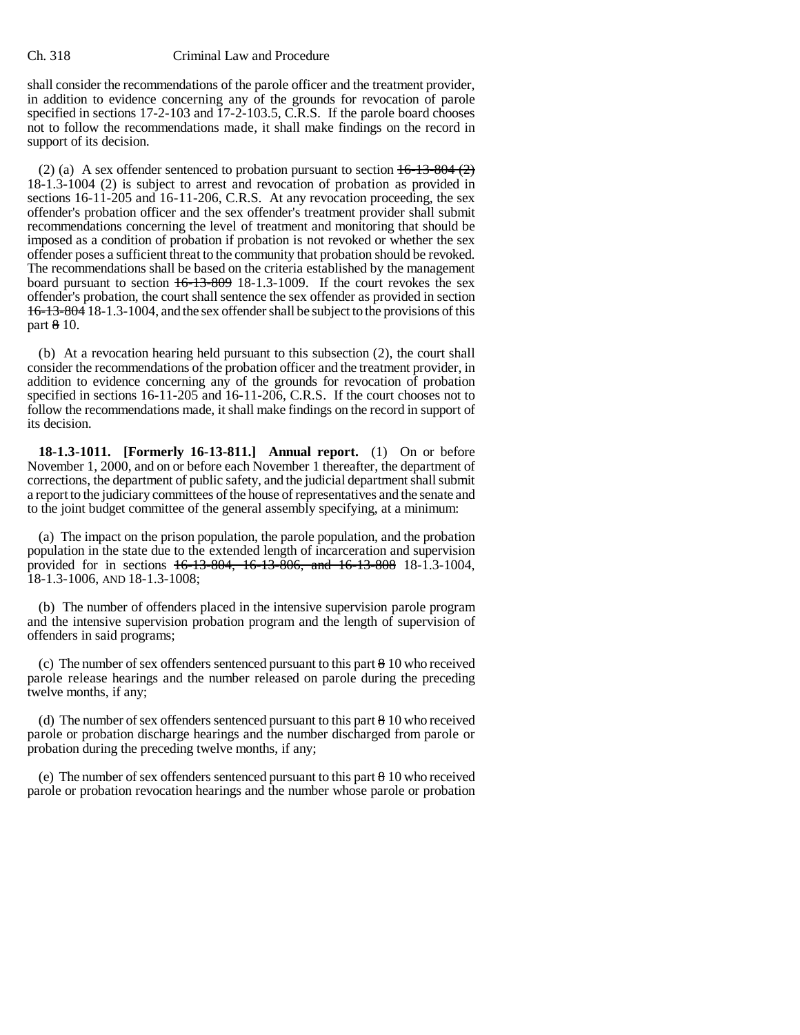shall consider the recommendations of the parole officer and the treatment provider, in addition to evidence concerning any of the grounds for revocation of parole specified in sections 17-2-103 and 17-2-103.5, C.R.S. If the parole board chooses not to follow the recommendations made, it shall make findings on the record in support of its decision.

(2) (a) A sex offender sentenced to probation pursuant to section  $16-13-804$  (2) 18-1.3-1004 (2) is subject to arrest and revocation of probation as provided in sections 16-11-205 and 16-11-206, C.R.S. At any revocation proceeding, the sex offender's probation officer and the sex offender's treatment provider shall submit recommendations concerning the level of treatment and monitoring that should be imposed as a condition of probation if probation is not revoked or whether the sex offender poses a sufficient threat to the community that probation should be revoked. The recommendations shall be based on the criteria established by the management board pursuant to section 16-13-809 18-1.3-1009. If the court revokes the sex offender's probation, the court shall sentence the sex offender as provided in section 16-13-804 18-1.3-1004, and the sex offender shall be subject to the provisions of this part 8 10.

(b) At a revocation hearing held pursuant to this subsection (2), the court shall consider the recommendations of the probation officer and the treatment provider, in addition to evidence concerning any of the grounds for revocation of probation specified in sections 16-11-205 and 16-11-206, C.R.S. If the court chooses not to follow the recommendations made, it shall make findings on the record in support of its decision.

**18-1.3-1011. [Formerly 16-13-811.] Annual report.** (1) On or before November 1, 2000, and on or before each November 1 thereafter, the department of corrections, the department of public safety, and the judicial department shall submit a report to the judiciary committees of the house of representatives and the senate and to the joint budget committee of the general assembly specifying, at a minimum:

(a) The impact on the prison population, the parole population, and the probation population in the state due to the extended length of incarceration and supervision provided for in sections 16-13-804, 16-13-806, and 16-13-808 18-1.3-1004, 18-1.3-1006, AND 18-1.3-1008;

(b) The number of offenders placed in the intensive supervision parole program and the intensive supervision probation program and the length of supervision of offenders in said programs;

(c) The number of sex offenders sentenced pursuant to this part  $8\,10$  who received parole release hearings and the number released on parole during the preceding twelve months, if any;

(d) The number of sex offenders sentenced pursuant to this part  $\frac{8}{10}$  who received parole or probation discharge hearings and the number discharged from parole or probation during the preceding twelve months, if any;

(e) The number of sex offenders sentenced pursuant to this part 8 10 who received parole or probation revocation hearings and the number whose parole or probation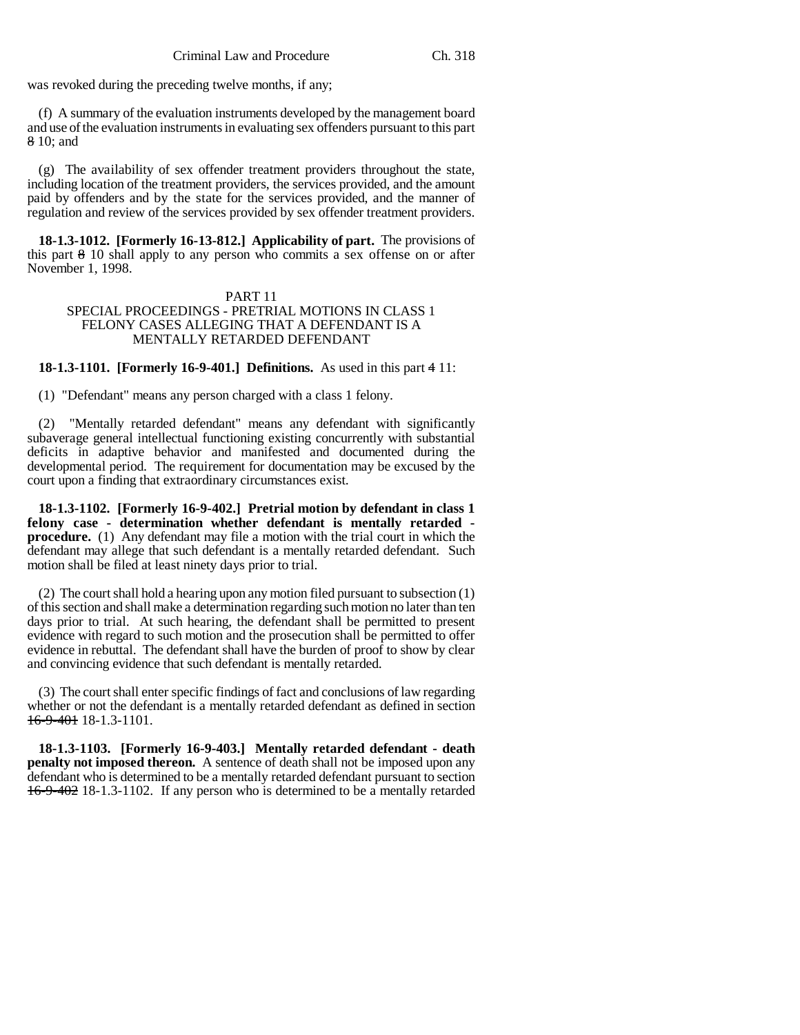was revoked during the preceding twelve months, if any;

(f) A summary of the evaluation instruments developed by the management board and use of the evaluation instruments in evaluating sex offenders pursuant to this part 8 10; and

(g) The availability of sex offender treatment providers throughout the state, including location of the treatment providers, the services provided, and the amount paid by offenders and by the state for the services provided, and the manner of regulation and review of the services provided by sex offender treatment providers.

**18-1.3-1012. [Formerly 16-13-812.] Applicability of part.** The provisions of this part  $\frac{8}{3}$  10 shall apply to any person who commits a sex offense on or after November 1, 1998.

# PART 11 SPECIAL PROCEEDINGS - PRETRIAL MOTIONS IN CLASS 1 FELONY CASES ALLEGING THAT A DEFENDANT IS A MENTALLY RETARDED DEFENDANT

**18-1.3-1101. [Formerly 16-9-401.] Definitions.** As used in this part 4 11:

(1) "Defendant" means any person charged with a class 1 felony.

(2) "Mentally retarded defendant" means any defendant with significantly subaverage general intellectual functioning existing concurrently with substantial deficits in adaptive behavior and manifested and documented during the developmental period. The requirement for documentation may be excused by the court upon a finding that extraordinary circumstances exist.

**18-1.3-1102. [Formerly 16-9-402.] Pretrial motion by defendant in class 1 felony case - determination whether defendant is mentally retarded procedure.** (1) Any defendant may file a motion with the trial court in which the defendant may allege that such defendant is a mentally retarded defendant. Such motion shall be filed at least ninety days prior to trial.

(2) The court shall hold a hearing upon any motion filed pursuant to subsection (1) of this section and shall make a determination regarding such motion no later than ten days prior to trial. At such hearing, the defendant shall be permitted to present evidence with regard to such motion and the prosecution shall be permitted to offer evidence in rebuttal. The defendant shall have the burden of proof to show by clear and convincing evidence that such defendant is mentally retarded.

(3) The court shall enter specific findings of fact and conclusions of law regarding whether or not the defendant is a mentally retarded defendant as defined in section 16-9-401 18-1.3-1101.

**18-1.3-1103. [Formerly 16-9-403.] Mentally retarded defendant - death penalty not imposed thereon.** A sentence of death shall not be imposed upon any defendant who is determined to be a mentally retarded defendant pursuant to section 16-9-402 18-1.3-1102. If any person who is determined to be a mentally retarded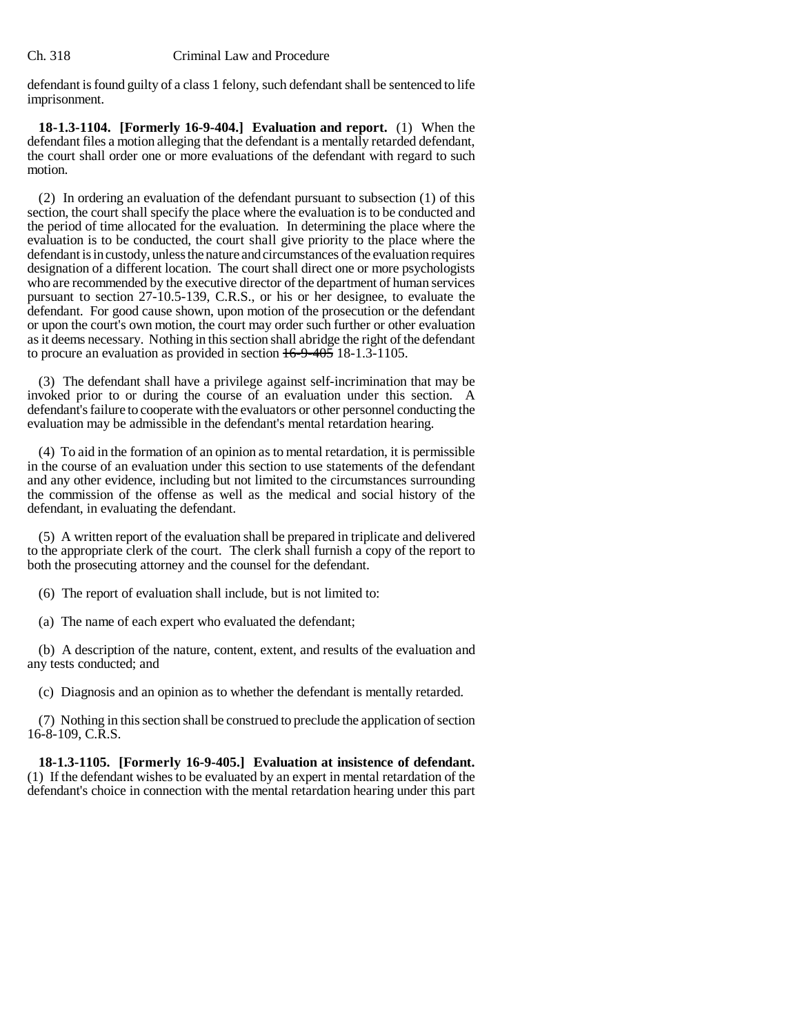defendant is found guilty of a class 1 felony, such defendant shall be sentenced to life imprisonment.

**18-1.3-1104. [Formerly 16-9-404.] Evaluation and report.** (1) When the defendant files a motion alleging that the defendant is a mentally retarded defendant, the court shall order one or more evaluations of the defendant with regard to such motion.

(2) In ordering an evaluation of the defendant pursuant to subsection (1) of this section, the court shall specify the place where the evaluation is to be conducted and the period of time allocated for the evaluation. In determining the place where the evaluation is to be conducted, the court shall give priority to the place where the defendant is in custody, unless the nature and circumstances of the evaluation requires designation of a different location. The court shall direct one or more psychologists who are recommended by the executive director of the department of human services pursuant to section 27-10.5-139, C.R.S., or his or her designee, to evaluate the defendant. For good cause shown, upon motion of the prosecution or the defendant or upon the court's own motion, the court may order such further or other evaluation as it deems necessary. Nothing in this section shall abridge the right of the defendant to procure an evaluation as provided in section  $16-9-405$  18-1.3-1105.

(3) The defendant shall have a privilege against self-incrimination that may be invoked prior to or during the course of an evaluation under this section. A defendant's failure to cooperate with the evaluators or other personnel conducting the evaluation may be admissible in the defendant's mental retardation hearing.

(4) To aid in the formation of an opinion as to mental retardation, it is permissible in the course of an evaluation under this section to use statements of the defendant and any other evidence, including but not limited to the circumstances surrounding the commission of the offense as well as the medical and social history of the defendant, in evaluating the defendant.

(5) A written report of the evaluation shall be prepared in triplicate and delivered to the appropriate clerk of the court. The clerk shall furnish a copy of the report to both the prosecuting attorney and the counsel for the defendant.

(6) The report of evaluation shall include, but is not limited to:

(a) The name of each expert who evaluated the defendant;

(b) A description of the nature, content, extent, and results of the evaluation and any tests conducted; and

(c) Diagnosis and an opinion as to whether the defendant is mentally retarded.

(7) Nothing in this section shall be construed to preclude the application of section 16-8-109, C.R.S.

**18-1.3-1105. [Formerly 16-9-405.] Evaluation at insistence of defendant.** (1) If the defendant wishes to be evaluated by an expert in mental retardation of the defendant's choice in connection with the mental retardation hearing under this part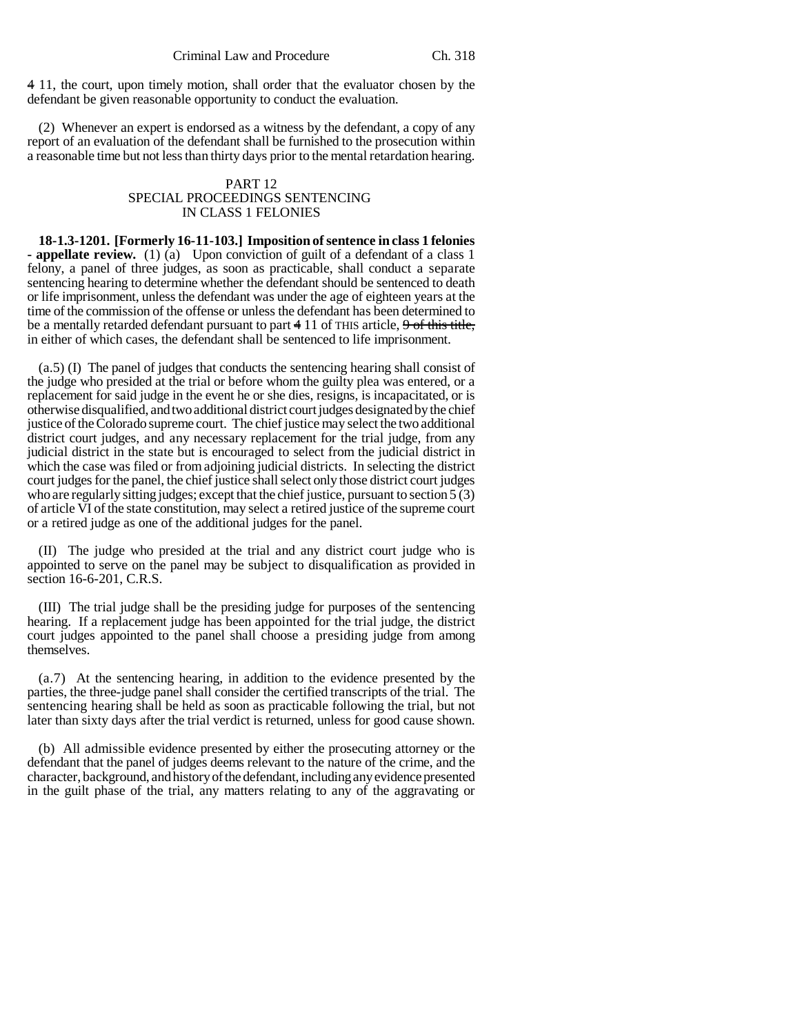4 11, the court, upon timely motion, shall order that the evaluator chosen by the defendant be given reasonable opportunity to conduct the evaluation.

(2) Whenever an expert is endorsed as a witness by the defendant, a copy of any report of an evaluation of the defendant shall be furnished to the prosecution within a reasonable time but not less than thirty days prior to the mental retardation hearing.

# PART 12 SPECIAL PROCEEDINGS SENTENCING IN CLASS 1 FELONIES

**18-1.3-1201. [Formerly 16-11-103.] Imposition of sentence in class 1 felonies - appellate review.** (1) (a) Upon conviction of guilt of a defendant of a class 1 felony, a panel of three judges, as soon as practicable, shall conduct a separate sentencing hearing to determine whether the defendant should be sentenced to death or life imprisonment, unless the defendant was under the age of eighteen years at the time of the commission of the offense or unless the defendant has been determined to be a mentally retarded defendant pursuant to part 4 11 of THIS article, 9 of this title, in either of which cases, the defendant shall be sentenced to life imprisonment.

(a.5) (I) The panel of judges that conducts the sentencing hearing shall consist of the judge who presided at the trial or before whom the guilty plea was entered, or a replacement for said judge in the event he or she dies, resigns, is incapacitated, or is otherwise disqualified, and two additional district court judges designated by the chief justice of the Colorado supreme court. The chief justice may select the two additional district court judges, and any necessary replacement for the trial judge, from any judicial district in the state but is encouraged to select from the judicial district in which the case was filed or from adjoining judicial districts. In selecting the district court judges for the panel, the chief justice shall select only those district court judges who are regularly sitting judges; except that the chief justice, pursuant to section  $5(3)$ of article VI of the state constitution, may select a retired justice of the supreme court or a retired judge as one of the additional judges for the panel.

(II) The judge who presided at the trial and any district court judge who is appointed to serve on the panel may be subject to disqualification as provided in section 16-6-201, C.R.S.

(III) The trial judge shall be the presiding judge for purposes of the sentencing hearing. If a replacement judge has been appointed for the trial judge, the district court judges appointed to the panel shall choose a presiding judge from among themselves.

(a.7) At the sentencing hearing, in addition to the evidence presented by the parties, the three-judge panel shall consider the certified transcripts of the trial. The sentencing hearing shall be held as soon as practicable following the trial, but not later than sixty days after the trial verdict is returned, unless for good cause shown.

(b) All admissible evidence presented by either the prosecuting attorney or the defendant that the panel of judges deems relevant to the nature of the crime, and the character, background, and history of the defendant, including any evidence presented in the guilt phase of the trial, any matters relating to any of the aggravating or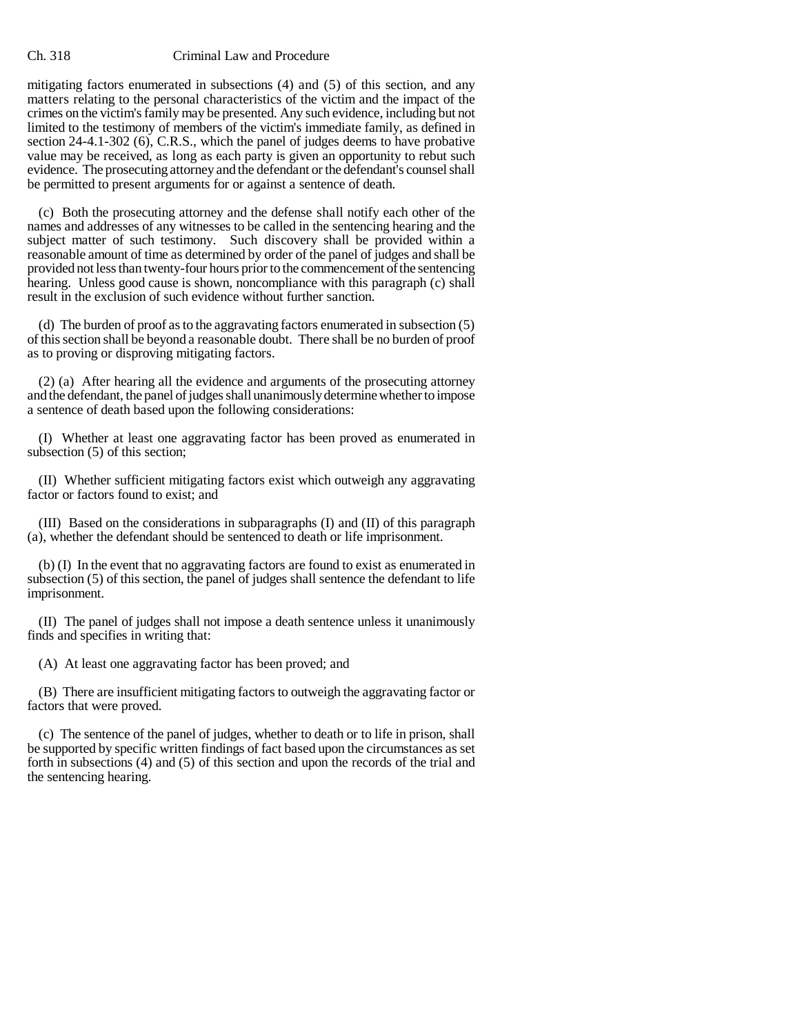mitigating factors enumerated in subsections (4) and (5) of this section, and any matters relating to the personal characteristics of the victim and the impact of the crimes on the victim's family may be presented. Any such evidence, including but not limited to the testimony of members of the victim's immediate family, as defined in section 24-4.1-302 (6), C.R.S., which the panel of judges deems to have probative value may be received, as long as each party is given an opportunity to rebut such evidence. The prosecuting attorney and the defendant or the defendant's counsel shall be permitted to present arguments for or against a sentence of death.

(c) Both the prosecuting attorney and the defense shall notify each other of the names and addresses of any witnesses to be called in the sentencing hearing and the subject matter of such testimony. Such discovery shall be provided within a reasonable amount of time as determined by order of the panel of judges and shall be provided not less than twenty-four hours prior to the commencement of the sentencing hearing. Unless good cause is shown, noncompliance with this paragraph (c) shall result in the exclusion of such evidence without further sanction.

(d) The burden of proof as to the aggravating factors enumerated in subsection (5) of this section shall be beyond a reasonable doubt. There shall be no burden of proof as to proving or disproving mitigating factors.

(2) (a) After hearing all the evidence and arguments of the prosecuting attorney and the defendant, the panel of judges shall unanimously determine whether to impose a sentence of death based upon the following considerations:

(I) Whether at least one aggravating factor has been proved as enumerated in subsection (5) of this section;

(II) Whether sufficient mitigating factors exist which outweigh any aggravating factor or factors found to exist; and

(III) Based on the considerations in subparagraphs (I) and (II) of this paragraph (a), whether the defendant should be sentenced to death or life imprisonment.

(b) (I) In the event that no aggravating factors are found to exist as enumerated in subsection (5) of this section, the panel of judges shall sentence the defendant to life imprisonment.

(II) The panel of judges shall not impose a death sentence unless it unanimously finds and specifies in writing that:

(A) At least one aggravating factor has been proved; and

(B) There are insufficient mitigating factors to outweigh the aggravating factor or factors that were proved.

(c) The sentence of the panel of judges, whether to death or to life in prison, shall be supported by specific written findings of fact based upon the circumstances as set forth in subsections (4) and (5) of this section and upon the records of the trial and the sentencing hearing.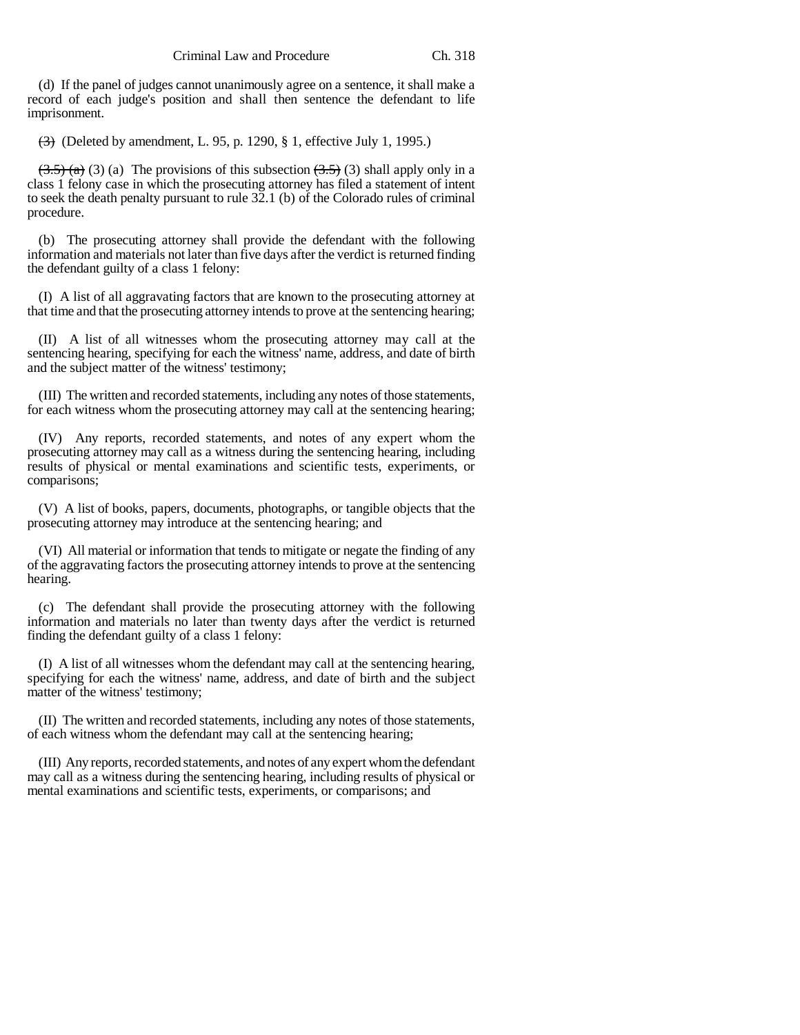(d) If the panel of judges cannot unanimously agree on a sentence, it shall make a record of each judge's position and shall then sentence the defendant to life imprisonment.

 $\left(\frac{1}{2}\right)$  (Deleted by amendment, L. 95, p. 1290, § 1, effective July 1, 1995.)

 $(3.5)$  (a) (3) (a) The provisions of this subsection  $(3.5)$  (3) shall apply only in a class 1 felony case in which the prosecuting attorney has filed a statement of intent to seek the death penalty pursuant to rule 32.1 (b) of the Colorado rules of criminal procedure.

(b) The prosecuting attorney shall provide the defendant with the following information and materials not later than five days after the verdict is returned finding the defendant guilty of a class 1 felony:

(I) A list of all aggravating factors that are known to the prosecuting attorney at that time and that the prosecuting attorney intends to prove at the sentencing hearing;

(II) A list of all witnesses whom the prosecuting attorney may call at the sentencing hearing, specifying for each the witness' name, address, and date of birth and the subject matter of the witness' testimony;

(III) The written and recorded statements, including any notes of those statements, for each witness whom the prosecuting attorney may call at the sentencing hearing;

(IV) Any reports, recorded statements, and notes of any expert whom the prosecuting attorney may call as a witness during the sentencing hearing, including results of physical or mental examinations and scientific tests, experiments, or comparisons;

(V) A list of books, papers, documents, photographs, or tangible objects that the prosecuting attorney may introduce at the sentencing hearing; and

(VI) All material or information that tends to mitigate or negate the finding of any of the aggravating factors the prosecuting attorney intends to prove at the sentencing hearing.

(c) The defendant shall provide the prosecuting attorney with the following information and materials no later than twenty days after the verdict is returned finding the defendant guilty of a class 1 felony:

(I) A list of all witnesses whom the defendant may call at the sentencing hearing, specifying for each the witness' name, address, and date of birth and the subject matter of the witness' testimony;

(II) The written and recorded statements, including any notes of those statements, of each witness whom the defendant may call at the sentencing hearing;

(III) Any reports, recorded statements, and notes of any expert whom the defendant may call as a witness during the sentencing hearing, including results of physical or mental examinations and scientific tests, experiments, or comparisons; and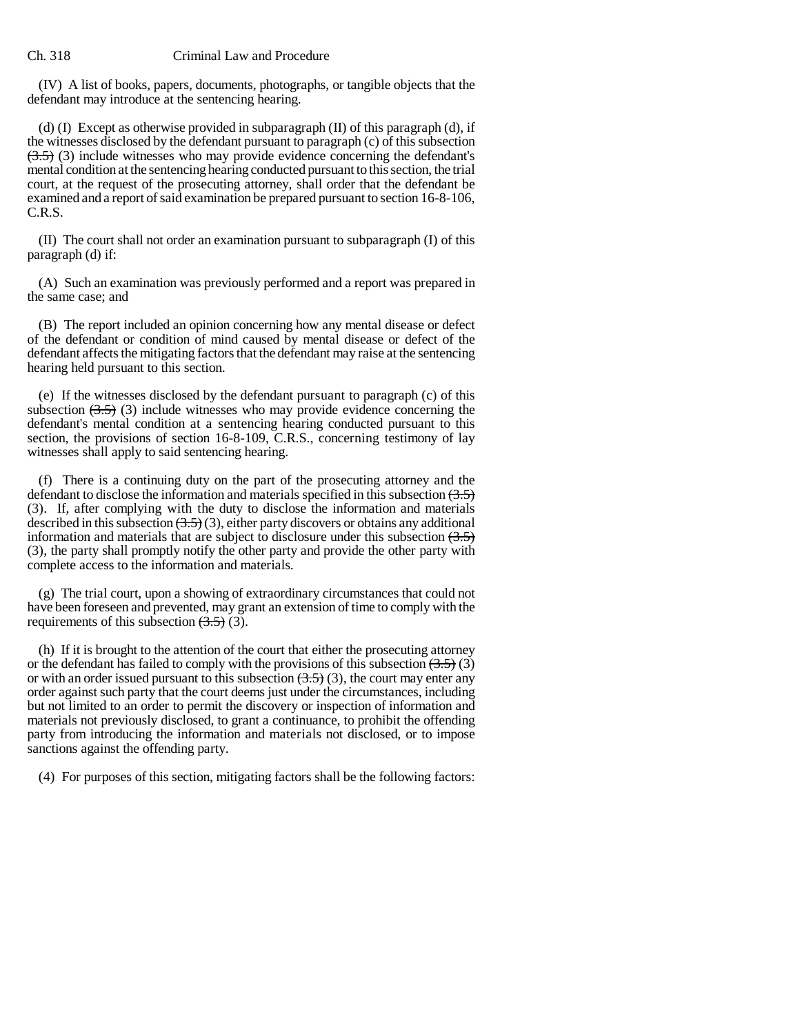(IV) A list of books, papers, documents, photographs, or tangible objects that the defendant may introduce at the sentencing hearing.

(d) (I) Except as otherwise provided in subparagraph (II) of this paragraph (d), if the witnesses disclosed by the defendant pursuant to paragraph (c) of this subsection  $(3.5)$  (3) include witnesses who may provide evidence concerning the defendant's mental condition at the sentencing hearing conducted pursuant to this section, the trial court, at the request of the prosecuting attorney, shall order that the defendant be examined and a report of said examination be prepared pursuant to section 16-8-106, C.R.S.

(II) The court shall not order an examination pursuant to subparagraph (I) of this paragraph (d) if:

(A) Such an examination was previously performed and a report was prepared in the same case; and

(B) The report included an opinion concerning how any mental disease or defect of the defendant or condition of mind caused by mental disease or defect of the defendant affects the mitigating factors that the defendant may raise at the sentencing hearing held pursuant to this section.

(e) If the witnesses disclosed by the defendant pursuant to paragraph (c) of this subsection  $(3.5)$  (3) include witnesses who may provide evidence concerning the defendant's mental condition at a sentencing hearing conducted pursuant to this section, the provisions of section 16-8-109, C.R.S., concerning testimony of lay witnesses shall apply to said sentencing hearing.

(f) There is a continuing duty on the part of the prosecuting attorney and the defendant to disclose the information and materials specified in this subsection  $(3.5)$ (3). If, after complying with the duty to disclose the information and materials described in this subsection  $(3.5)(3)$ , either party discovers or obtains any additional information and materials that are subject to disclosure under this subsection  $(3.5)$ (3), the party shall promptly notify the other party and provide the other party with complete access to the information and materials.

(g) The trial court, upon a showing of extraordinary circumstances that could not have been foreseen and prevented, may grant an extension of time to comply with the requirements of this subsection  $(3.5)$   $(3)$ .

(h) If it is brought to the attention of the court that either the prosecuting attorney or the defendant has failed to comply with the provisions of this subsection  $(3.5)$  (3) or with an order issued pursuant to this subsection  $(3.5)$  (3), the court may enter any order against such party that the court deems just under the circumstances, including but not limited to an order to permit the discovery or inspection of information and materials not previously disclosed, to grant a continuance, to prohibit the offending party from introducing the information and materials not disclosed, or to impose sanctions against the offending party.

(4) For purposes of this section, mitigating factors shall be the following factors: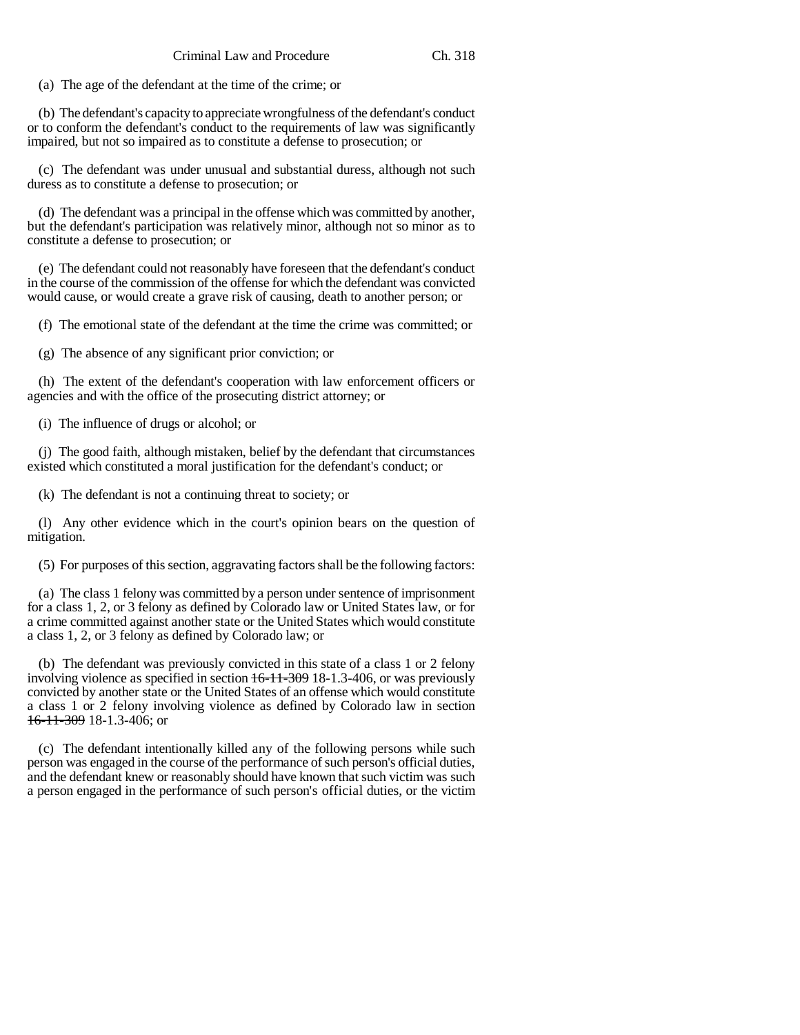(a) The age of the defendant at the time of the crime; or

(b) The defendant's capacity to appreciate wrongfulness of the defendant's conduct or to conform the defendant's conduct to the requirements of law was significantly impaired, but not so impaired as to constitute a defense to prosecution; or

(c) The defendant was under unusual and substantial duress, although not such duress as to constitute a defense to prosecution; or

(d) The defendant was a principal in the offense which was committed by another, but the defendant's participation was relatively minor, although not so minor as to constitute a defense to prosecution; or

(e) The defendant could not reasonably have foreseen that the defendant's conduct in the course of the commission of the offense for which the defendant was convicted would cause, or would create a grave risk of causing, death to another person; or

(f) The emotional state of the defendant at the time the crime was committed; or

(g) The absence of any significant prior conviction; or

(h) The extent of the defendant's cooperation with law enforcement officers or agencies and with the office of the prosecuting district attorney; or

(i) The influence of drugs or alcohol; or

(j) The good faith, although mistaken, belief by the defendant that circumstances existed which constituted a moral justification for the defendant's conduct; or

(k) The defendant is not a continuing threat to society; or

(l) Any other evidence which in the court's opinion bears on the question of mitigation.

(5) For purposes of this section, aggravating factors shall be the following factors:

(a) The class 1 felony was committed by a person under sentence of imprisonment for a class 1, 2, or 3 felony as defined by Colorado law or United States law, or for a crime committed against another state or the United States which would constitute a class 1, 2, or 3 felony as defined by Colorado law; or

(b) The defendant was previously convicted in this state of a class 1 or 2 felony involving violence as specified in section 16-11-309 18-1.3-406, or was previously convicted by another state or the United States of an offense which would constitute a class 1 or 2 felony involving violence as defined by Colorado law in section 16-11-309 18-1.3-406; or

(c) The defendant intentionally killed any of the following persons while such person was engaged in the course of the performance of such person's official duties, and the defendant knew or reasonably should have known that such victim was such a person engaged in the performance of such person's official duties, or the victim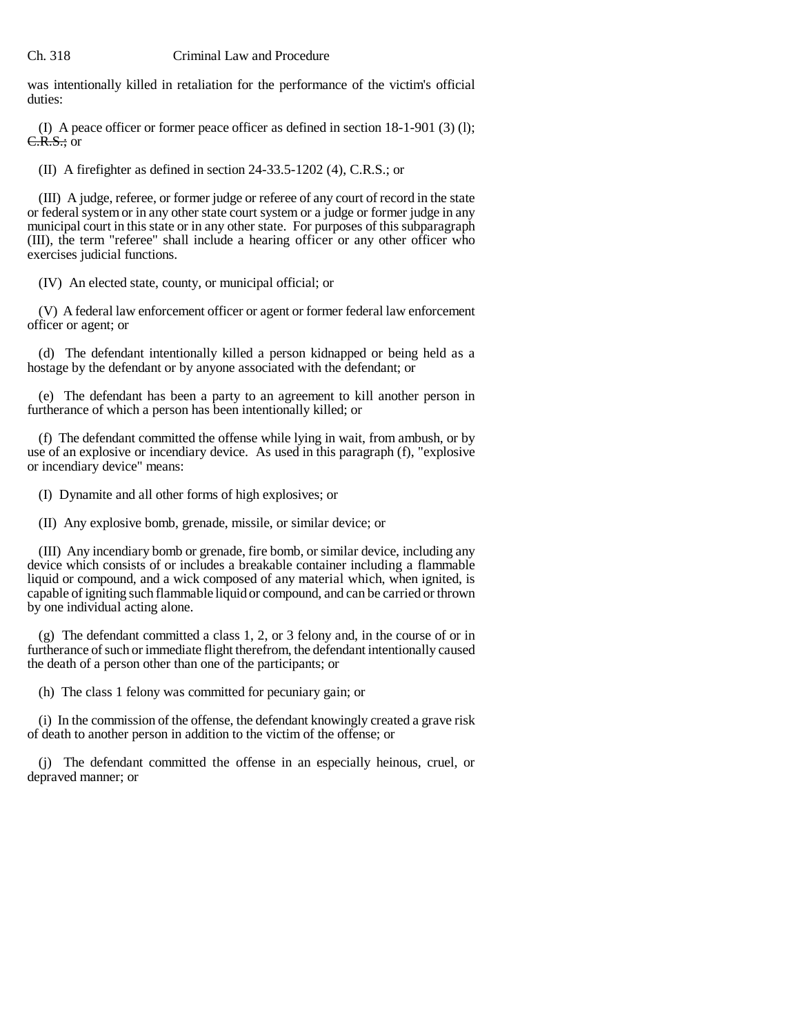was intentionally killed in retaliation for the performance of the victim's official duties:

(I) A peace officer or former peace officer as defined in section 18-1-901 (3) (l); C.R.S.; or

(II) A firefighter as defined in section 24-33.5-1202 (4), C.R.S.; or

(III) A judge, referee, or former judge or referee of any court of record in the state or federal system or in any other state court system or a judge or former judge in any municipal court in this state or in any other state. For purposes of this subparagraph (III), the term "referee" shall include a hearing officer or any other officer who exercises judicial functions.

(IV) An elected state, county, or municipal official; or

(V) A federal law enforcement officer or agent or former federal law enforcement officer or agent; or

(d) The defendant intentionally killed a person kidnapped or being held as a hostage by the defendant or by anyone associated with the defendant; or

(e) The defendant has been a party to an agreement to kill another person in furtherance of which a person has been intentionally killed; or

(f) The defendant committed the offense while lying in wait, from ambush, or by use of an explosive or incendiary device. As used in this paragraph (f), "explosive or incendiary device" means:

(I) Dynamite and all other forms of high explosives; or

(II) Any explosive bomb, grenade, missile, or similar device; or

(III) Any incendiary bomb or grenade, fire bomb, or similar device, including any device which consists of or includes a breakable container including a flammable liquid or compound, and a wick composed of any material which, when ignited, is capable of igniting such flammable liquid or compound, and can be carried or thrown by one individual acting alone.

(g) The defendant committed a class 1, 2, or 3 felony and, in the course of or in furtherance of such or immediate flight therefrom, the defendant intentionally caused the death of a person other than one of the participants; or

(h) The class 1 felony was committed for pecuniary gain; or

(i) In the commission of the offense, the defendant knowingly created a grave risk of death to another person in addition to the victim of the offense; or

(j) The defendant committed the offense in an especially heinous, cruel, or depraved manner; or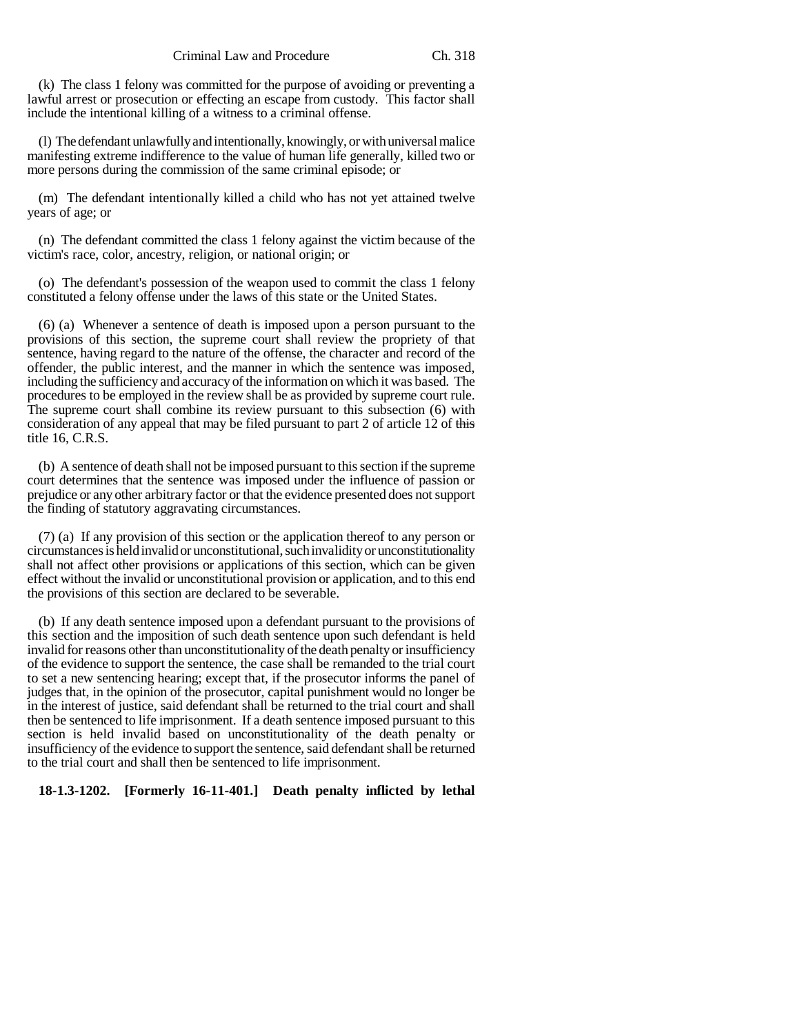(k) The class 1 felony was committed for the purpose of avoiding or preventing a lawful arrest or prosecution or effecting an escape from custody. This factor shall include the intentional killing of a witness to a criminal offense.

(l) The defendant unlawfully and intentionally, knowingly, or with universal malice manifesting extreme indifference to the value of human life generally, killed two or more persons during the commission of the same criminal episode; or

(m) The defendant intentionally killed a child who has not yet attained twelve years of age; or

(n) The defendant committed the class 1 felony against the victim because of the victim's race, color, ancestry, religion, or national origin; or

(o) The defendant's possession of the weapon used to commit the class 1 felony constituted a felony offense under the laws of this state or the United States.

(6) (a) Whenever a sentence of death is imposed upon a person pursuant to the provisions of this section, the supreme court shall review the propriety of that sentence, having regard to the nature of the offense, the character and record of the offender, the public interest, and the manner in which the sentence was imposed, including the sufficiency and accuracy of the information on which it was based. The procedures to be employed in the review shall be as provided by supreme court rule. The supreme court shall combine its review pursuant to this subsection (6) with consideration of any appeal that may be filed pursuant to part 2 of article 12 of this title 16, C.R.S.

(b) A sentence of death shall not be imposed pursuant to this section if the supreme court determines that the sentence was imposed under the influence of passion or prejudice or any other arbitrary factor or that the evidence presented does not support the finding of statutory aggravating circumstances.

(7) (a) If any provision of this section or the application thereof to any person or circumstances is held invalid or unconstitutional, such invalidity or unconstitutionality shall not affect other provisions or applications of this section, which can be given effect without the invalid or unconstitutional provision or application, and to this end the provisions of this section are declared to be severable.

(b) If any death sentence imposed upon a defendant pursuant to the provisions of this section and the imposition of such death sentence upon such defendant is held invalid for reasons other than unconstitutionality of the death penalty or insufficiency of the evidence to support the sentence, the case shall be remanded to the trial court to set a new sentencing hearing; except that, if the prosecutor informs the panel of judges that, in the opinion of the prosecutor, capital punishment would no longer be in the interest of justice, said defendant shall be returned to the trial court and shall then be sentenced to life imprisonment. If a death sentence imposed pursuant to this section is held invalid based on unconstitutionality of the death penalty or insufficiency of the evidence to support the sentence, said defendant shall be returned to the trial court and shall then be sentenced to life imprisonment.

# **18-1.3-1202. [Formerly 16-11-401.] Death penalty inflicted by lethal**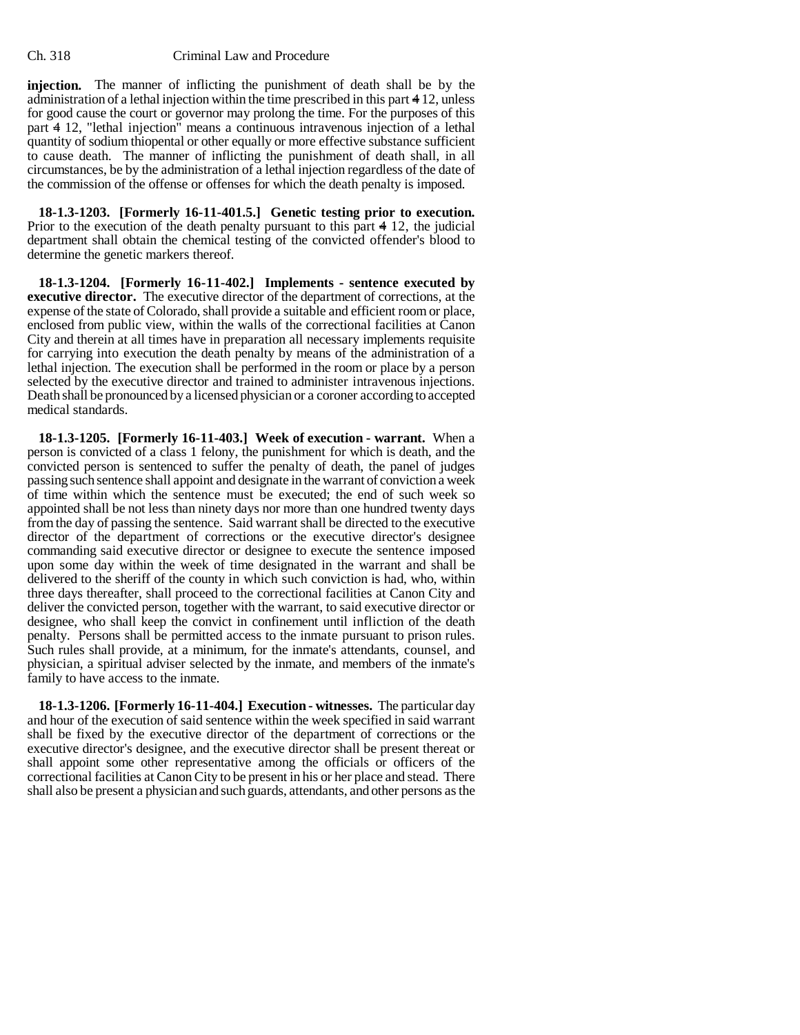**injection.** The manner of inflicting the punishment of death shall be by the administration of a lethal injection within the time prescribed in this part 4 12, unless for good cause the court or governor may prolong the time. For the purposes of this part 4 12, "lethal injection" means a continuous intravenous injection of a lethal quantity of sodium thiopental or other equally or more effective substance sufficient to cause death. The manner of inflicting the punishment of death shall, in all circumstances, be by the administration of a lethal injection regardless of the date of the commission of the offense or offenses for which the death penalty is imposed.

**18-1.3-1203. [Formerly 16-11-401.5.] Genetic testing prior to execution.** Prior to the execution of the death penalty pursuant to this part 4 12, the judicial department shall obtain the chemical testing of the convicted offender's blood to determine the genetic markers thereof.

**18-1.3-1204. [Formerly 16-11-402.] Implements - sentence executed by executive director.** The executive director of the department of corrections, at the expense of the state of Colorado, shall provide a suitable and efficient room or place, enclosed from public view, within the walls of the correctional facilities at Canon City and therein at all times have in preparation all necessary implements requisite for carrying into execution the death penalty by means of the administration of a lethal injection. The execution shall be performed in the room or place by a person selected by the executive director and trained to administer intravenous injections. Death shall be pronounced by a licensed physician or a coroner according to accepted medical standards.

**18-1.3-1205. [Formerly 16-11-403.] Week of execution - warrant.** When a person is convicted of a class 1 felony, the punishment for which is death, and the convicted person is sentenced to suffer the penalty of death, the panel of judges passing such sentence shall appoint and designate in the warrant of conviction a week of time within which the sentence must be executed; the end of such week so appointed shall be not less than ninety days nor more than one hundred twenty days from the day of passing the sentence. Said warrant shall be directed to the executive director of the department of corrections or the executive director's designee commanding said executive director or designee to execute the sentence imposed upon some day within the week of time designated in the warrant and shall be delivered to the sheriff of the county in which such conviction is had, who, within three days thereafter, shall proceed to the correctional facilities at Canon City and deliver the convicted person, together with the warrant, to said executive director or designee, who shall keep the convict in confinement until infliction of the death penalty. Persons shall be permitted access to the inmate pursuant to prison rules. Such rules shall provide, at a minimum, for the inmate's attendants, counsel, and physician, a spiritual adviser selected by the inmate, and members of the inmate's family to have access to the inmate.

**18-1.3-1206. [Formerly 16-11-404.] Execution - witnesses.** The particular day and hour of the execution of said sentence within the week specified in said warrant shall be fixed by the executive director of the department of corrections or the executive director's designee, and the executive director shall be present thereat or shall appoint some other representative among the officials or officers of the correctional facilities at Canon City to be present in his or her place and stead. There shall also be present a physician and such guards, attendants, and other persons as the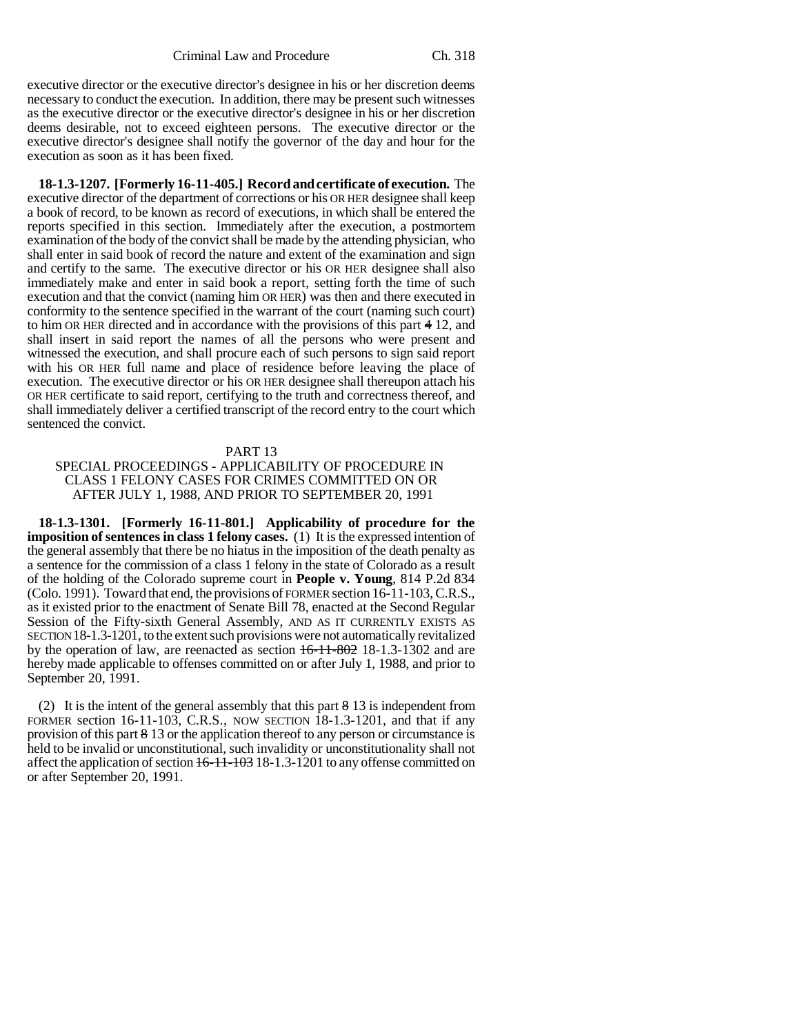executive director or the executive director's designee in his or her discretion deems necessary to conduct the execution. In addition, there may be present such witnesses as the executive director or the executive director's designee in his or her discretion deems desirable, not to exceed eighteen persons. The executive director or the executive director's designee shall notify the governor of the day and hour for the execution as soon as it has been fixed.

**18-1.3-1207. [Formerly 16-11-405.] Record and certificate of execution.** The executive director of the department of corrections or his OR HER designee shall keep a book of record, to be known as record of executions, in which shall be entered the reports specified in this section. Immediately after the execution, a postmortem examination of the body of the convict shall be made by the attending physician, who shall enter in said book of record the nature and extent of the examination and sign and certify to the same. The executive director or his OR HER designee shall also immediately make and enter in said book a report, setting forth the time of such execution and that the convict (naming him OR HER) was then and there executed in conformity to the sentence specified in the warrant of the court (naming such court) to him OR HER directed and in accordance with the provisions of this part 4 12, and shall insert in said report the names of all the persons who were present and witnessed the execution, and shall procure each of such persons to sign said report with his OR HER full name and place of residence before leaving the place of execution. The executive director or his OR HER designee shall thereupon attach his OR HER certificate to said report, certifying to the truth and correctness thereof, and shall immediately deliver a certified transcript of the record entry to the court which sentenced the convict.

#### PART 13

SPECIAL PROCEEDINGS - APPLICABILITY OF PROCEDURE IN CLASS 1 FELONY CASES FOR CRIMES COMMITTED ON OR AFTER JULY 1, 1988, AND PRIOR TO SEPTEMBER 20, 1991

**18-1.3-1301. [Formerly 16-11-801.] Applicability of procedure for the imposition of sentences in class 1 felony cases.** (1) It is the expressed intention of the general assembly that there be no hiatus in the imposition of the death penalty as a sentence for the commission of a class 1 felony in the state of Colorado as a result of the holding of the Colorado supreme court in **People v. Young**, 814 P.2d 834 (Colo. 1991). Toward that end, the provisions of FORMER section 16-11-103, C.R.S., as it existed prior to the enactment of Senate Bill 78, enacted at the Second Regular Session of the Fifty-sixth General Assembly, AND AS IT CURRENTLY EXISTS AS SECTION 18-1.3-1201, to the extent such provisions were not automatically revitalized by the operation of law, are reenacted as section 16-11-802 18-1.3-1302 and are hereby made applicable to offenses committed on or after July 1, 1988, and prior to September 20, 1991.

(2) It is the intent of the general assembly that this part  $\frac{8}{3}$  is independent from FORMER section 16-11-103, C.R.S., NOW SECTION 18-1.3-1201, and that if any provision of this part 8 13 or the application thereof to any person or circumstance is held to be invalid or unconstitutional, such invalidity or unconstitutionality shall not affect the application of section  $16-11-103$  18-1.3-1201 to any offense committed on or after September 20, 1991.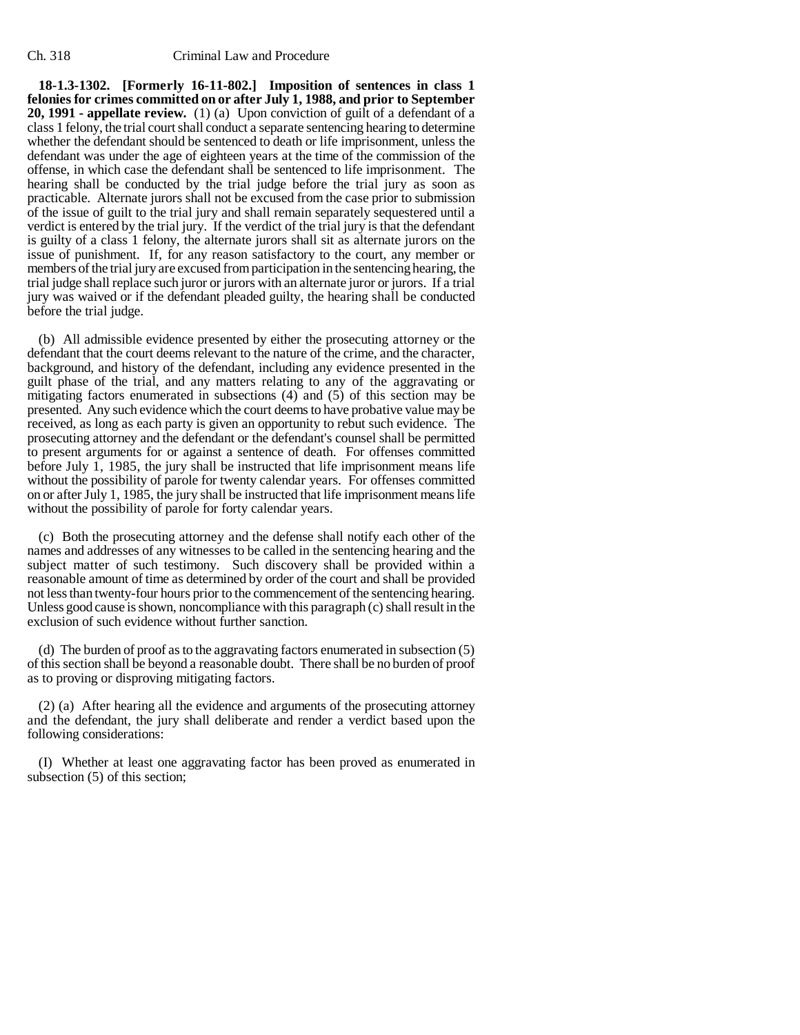**18-1.3-1302. [Formerly 16-11-802.] Imposition of sentences in class 1 felonies for crimes committed on or after July 1, 1988, and prior to September 20, 1991 - appellate review.** (1) (a) Upon conviction of guilt of a defendant of a class 1 felony, the trial court shall conduct a separate sentencing hearing to determine whether the defendant should be sentenced to death or life imprisonment, unless the defendant was under the age of eighteen years at the time of the commission of the offense, in which case the defendant shall be sentenced to life imprisonment. The hearing shall be conducted by the trial judge before the trial jury as soon as practicable. Alternate jurors shall not be excused from the case prior to submission of the issue of guilt to the trial jury and shall remain separately sequestered until a verdict is entered by the trial jury. If the verdict of the trial jury is that the defendant is guilty of a class 1 felony, the alternate jurors shall sit as alternate jurors on the issue of punishment. If, for any reason satisfactory to the court, any member or members of the trial jury are excused from participation in the sentencing hearing, the trial judge shall replace such juror or jurors with an alternate juror or jurors. If a trial jury was waived or if the defendant pleaded guilty, the hearing shall be conducted before the trial judge.

(b) All admissible evidence presented by either the prosecuting attorney or the defendant that the court deems relevant to the nature of the crime, and the character, background, and history of the defendant, including any evidence presented in the guilt phase of the trial, and any matters relating to any of the aggravating or mitigating factors enumerated in subsections (4) and (5) of this section may be presented. Any such evidence which the court deems to have probative value may be received, as long as each party is given an opportunity to rebut such evidence. The prosecuting attorney and the defendant or the defendant's counsel shall be permitted to present arguments for or against a sentence of death. For offenses committed before July 1, 1985, the jury shall be instructed that life imprisonment means life without the possibility of parole for twenty calendar years. For offenses committed on or after July 1, 1985, the jury shall be instructed that life imprisonment means life without the possibility of parole for forty calendar years.

(c) Both the prosecuting attorney and the defense shall notify each other of the names and addresses of any witnesses to be called in the sentencing hearing and the subject matter of such testimony. Such discovery shall be provided within a reasonable amount of time as determined by order of the court and shall be provided not less than twenty-four hours prior to the commencement of the sentencing hearing. Unless good cause is shown, noncompliance with this paragraph (c) shall result in the exclusion of such evidence without further sanction.

(d) The burden of proof as to the aggravating factors enumerated in subsection (5) of this section shall be beyond a reasonable doubt. There shall be no burden of proof as to proving or disproving mitigating factors.

(2) (a) After hearing all the evidence and arguments of the prosecuting attorney and the defendant, the jury shall deliberate and render a verdict based upon the following considerations:

(I) Whether at least one aggravating factor has been proved as enumerated in subsection (5) of this section;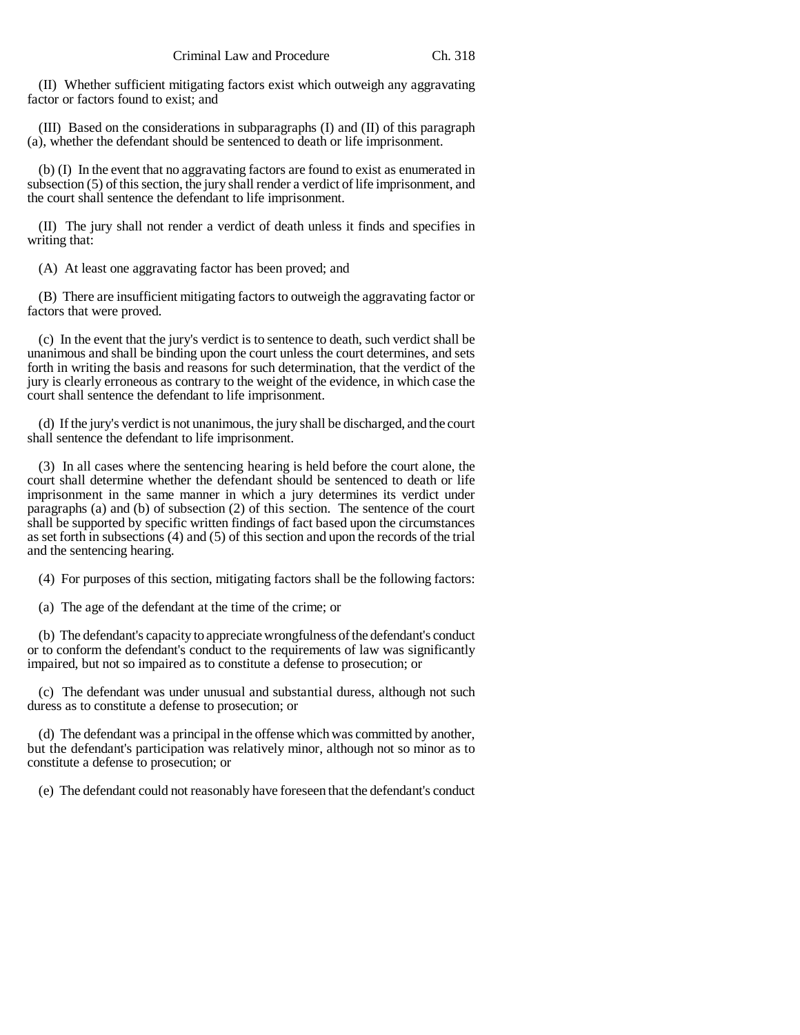(II) Whether sufficient mitigating factors exist which outweigh any aggravating factor or factors found to exist; and

(III) Based on the considerations in subparagraphs (I) and (II) of this paragraph (a), whether the defendant should be sentenced to death or life imprisonment.

(b) (I) In the event that no aggravating factors are found to exist as enumerated in subsection (5) of this section, the jury shall render a verdict of life imprisonment, and the court shall sentence the defendant to life imprisonment.

(II) The jury shall not render a verdict of death unless it finds and specifies in writing that:

(A) At least one aggravating factor has been proved; and

(B) There are insufficient mitigating factors to outweigh the aggravating factor or factors that were proved.

(c) In the event that the jury's verdict is to sentence to death, such verdict shall be unanimous and shall be binding upon the court unless the court determines, and sets forth in writing the basis and reasons for such determination, that the verdict of the jury is clearly erroneous as contrary to the weight of the evidence, in which case the court shall sentence the defendant to life imprisonment.

(d) If the jury's verdict is not unanimous, the jury shall be discharged, and the court shall sentence the defendant to life imprisonment.

(3) In all cases where the sentencing hearing is held before the court alone, the court shall determine whether the defendant should be sentenced to death or life imprisonment in the same manner in which a jury determines its verdict under paragraphs (a) and (b) of subsection (2) of this section. The sentence of the court shall be supported by specific written findings of fact based upon the circumstances as set forth in subsections (4) and (5) of this section and upon the records of the trial and the sentencing hearing.

(4) For purposes of this section, mitigating factors shall be the following factors:

(a) The age of the defendant at the time of the crime; or

(b) The defendant's capacity to appreciate wrongfulness of the defendant's conduct or to conform the defendant's conduct to the requirements of law was significantly impaired, but not so impaired as to constitute a defense to prosecution; or

(c) The defendant was under unusual and substantial duress, although not such duress as to constitute a defense to prosecution; or

(d) The defendant was a principal in the offense which was committed by another, but the defendant's participation was relatively minor, although not so minor as to constitute a defense to prosecution; or

(e) The defendant could not reasonably have foreseen that the defendant's conduct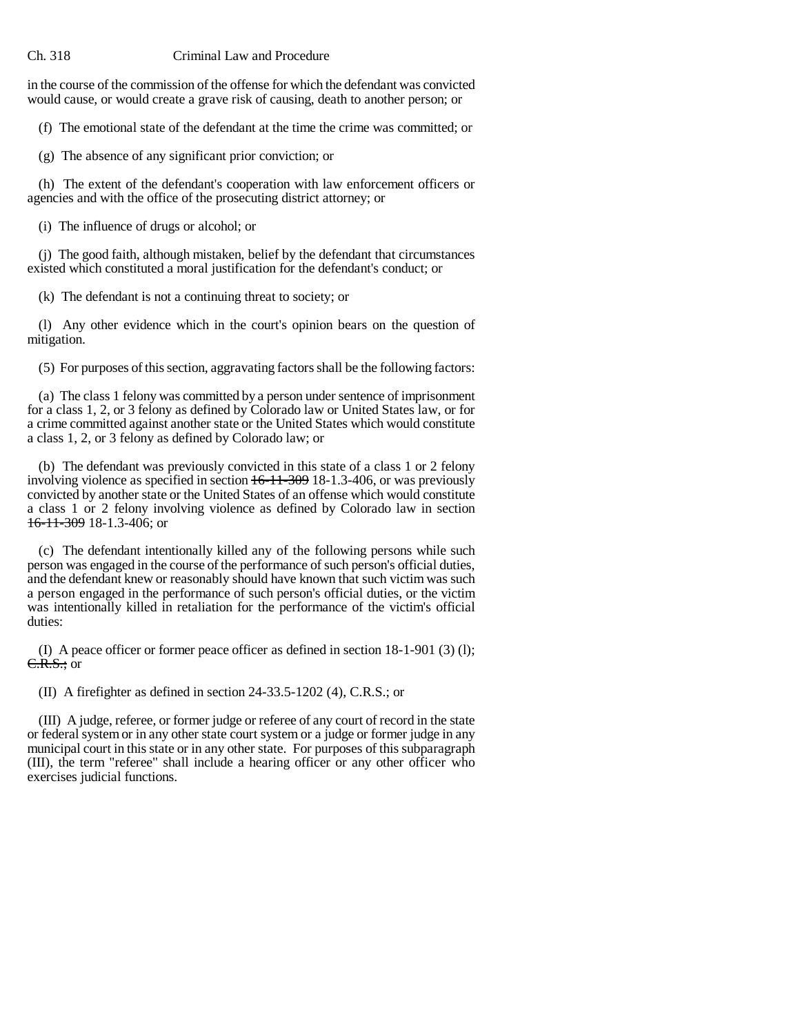in the course of the commission of the offense for which the defendant was convicted would cause, or would create a grave risk of causing, death to another person; or

(f) The emotional state of the defendant at the time the crime was committed; or

(g) The absence of any significant prior conviction; or

(h) The extent of the defendant's cooperation with law enforcement officers or agencies and with the office of the prosecuting district attorney; or

(i) The influence of drugs or alcohol; or

(j) The good faith, although mistaken, belief by the defendant that circumstances existed which constituted a moral justification for the defendant's conduct; or

(k) The defendant is not a continuing threat to society; or

(l) Any other evidence which in the court's opinion bears on the question of mitigation.

(5) For purposes of this section, aggravating factors shall be the following factors:

(a) The class 1 felony was committed by a person under sentence of imprisonment for a class 1, 2, or 3 felony as defined by Colorado law or United States law, or for a crime committed against another state or the United States which would constitute a class 1, 2, or 3 felony as defined by Colorado law; or

(b) The defendant was previously convicted in this state of a class 1 or 2 felony involving violence as specified in section 16-11-309 18-1.3-406, or was previously convicted by another state or the United States of an offense which would constitute a class 1 or 2 felony involving violence as defined by Colorado law in section 16-11-309 18-1.3-406; or

(c) The defendant intentionally killed any of the following persons while such person was engaged in the course of the performance of such person's official duties, and the defendant knew or reasonably should have known that such victim was such a person engaged in the performance of such person's official duties, or the victim was intentionally killed in retaliation for the performance of the victim's official duties:

(I) A peace officer or former peace officer as defined in section 18-1-901 (3) (l);  $C.R.S.:$  or

(II) A firefighter as defined in section 24-33.5-1202 (4), C.R.S.; or

(III) A judge, referee, or former judge or referee of any court of record in the state or federal system or in any other state court system or a judge or former judge in any municipal court in this state or in any other state. For purposes of this subparagraph (III), the term "referee" shall include a hearing officer or any other officer who exercises judicial functions.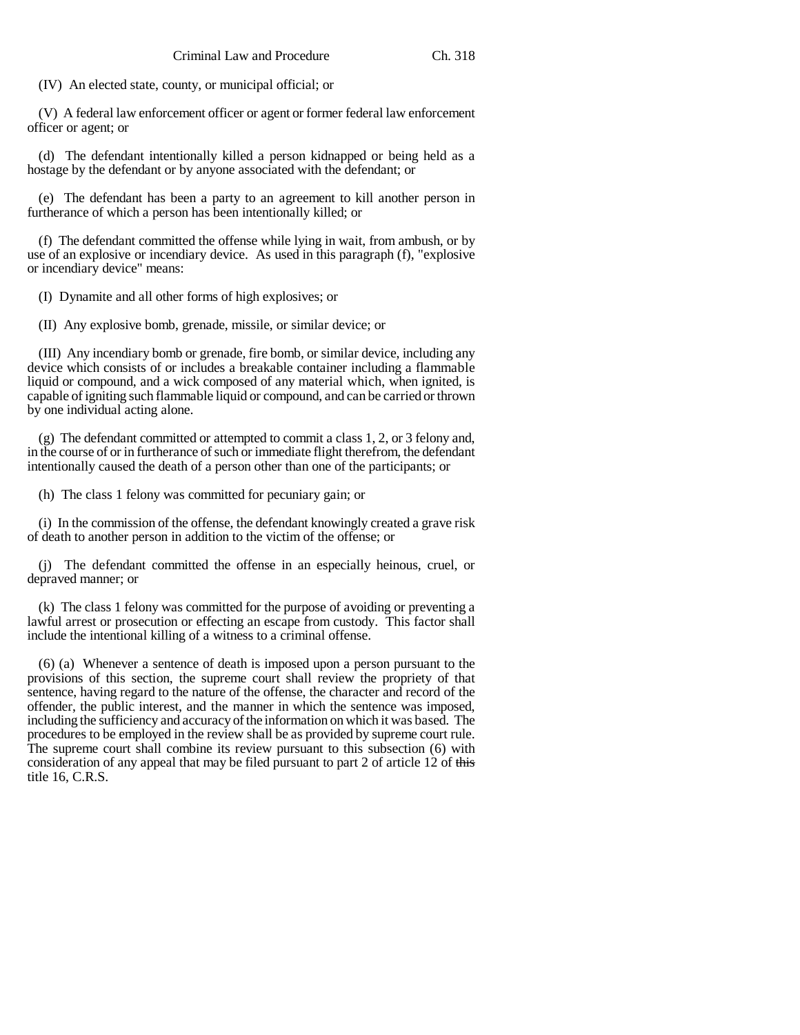(IV) An elected state, county, or municipal official; or

(V) A federal law enforcement officer or agent or former federal law enforcement officer or agent; or

(d) The defendant intentionally killed a person kidnapped or being held as a hostage by the defendant or by anyone associated with the defendant; or

(e) The defendant has been a party to an agreement to kill another person in furtherance of which a person has been intentionally killed; or

(f) The defendant committed the offense while lying in wait, from ambush, or by use of an explosive or incendiary device. As used in this paragraph (f), "explosive or incendiary device" means:

(I) Dynamite and all other forms of high explosives; or

(II) Any explosive bomb, grenade, missile, or similar device; or

(III) Any incendiary bomb or grenade, fire bomb, or similar device, including any device which consists of or includes a breakable container including a flammable liquid or compound, and a wick composed of any material which, when ignited, is capable of igniting such flammable liquid or compound, and can be carried or thrown by one individual acting alone.

(g) The defendant committed or attempted to commit a class 1, 2, or 3 felony and, in the course of or in furtherance of such or immediate flight therefrom, the defendant intentionally caused the death of a person other than one of the participants; or

(h) The class 1 felony was committed for pecuniary gain; or

(i) In the commission of the offense, the defendant knowingly created a grave risk of death to another person in addition to the victim of the offense; or

(j) The defendant committed the offense in an especially heinous, cruel, or depraved manner; or

(k) The class 1 felony was committed for the purpose of avoiding or preventing a lawful arrest or prosecution or effecting an escape from custody. This factor shall include the intentional killing of a witness to a criminal offense.

(6) (a) Whenever a sentence of death is imposed upon a person pursuant to the provisions of this section, the supreme court shall review the propriety of that sentence, having regard to the nature of the offense, the character and record of the offender, the public interest, and the manner in which the sentence was imposed, including the sufficiency and accuracy of the information on which it was based. The procedures to be employed in the review shall be as provided by supreme court rule. The supreme court shall combine its review pursuant to this subsection (6) with consideration of any appeal that may be filed pursuant to part 2 of article 12 of this title 16, C.R.S.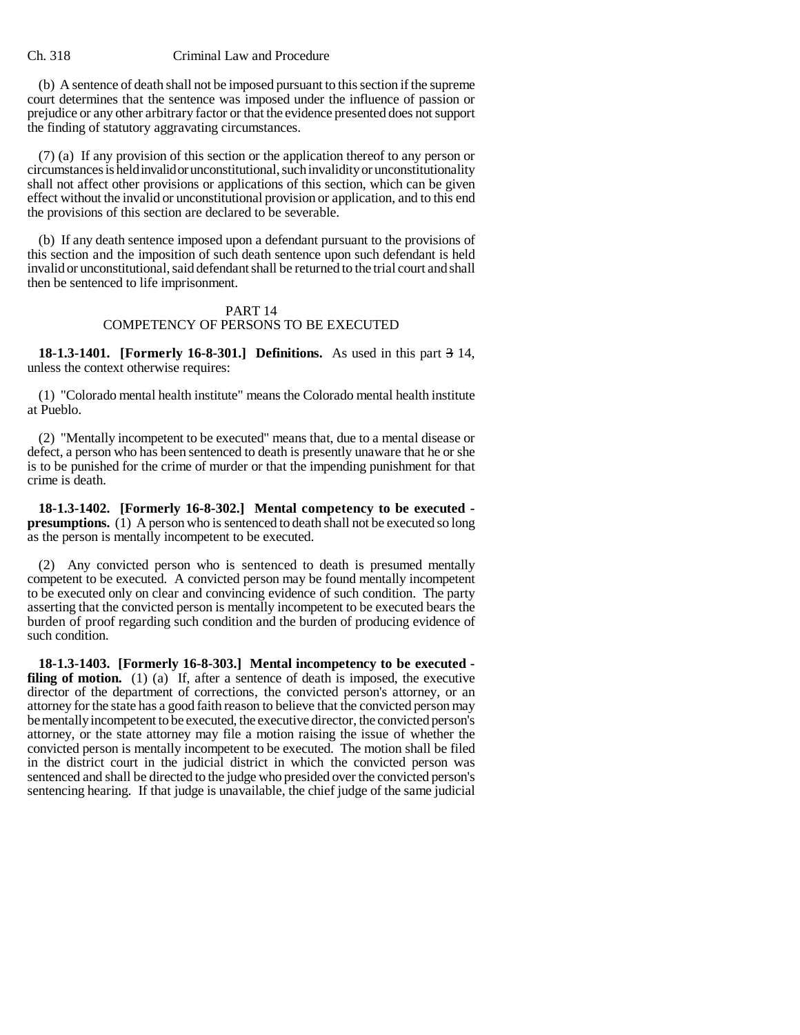(b) A sentence of death shall not be imposed pursuant to this section if the supreme court determines that the sentence was imposed under the influence of passion or prejudice or any other arbitrary factor or that the evidence presented does not support the finding of statutory aggravating circumstances.

(7) (a) If any provision of this section or the application thereof to any person or circumstances is held invalid or unconstitutional, such invalidity or unconstitutionality shall not affect other provisions or applications of this section, which can be given effect without the invalid or unconstitutional provision or application, and to this end the provisions of this section are declared to be severable.

(b) If any death sentence imposed upon a defendant pursuant to the provisions of this section and the imposition of such death sentence upon such defendant is held invalid or unconstitutional, said defendant shall be returned to the trial court and shall then be sentenced to life imprisonment.

# PART 14 COMPETENCY OF PERSONS TO BE EXECUTED

**18-1.3-1401.** [Formerly 16-8-301.] Definitions. As used in this part  $\frac{3}{7}$  14, unless the context otherwise requires:

(1) "Colorado mental health institute" means the Colorado mental health institute at Pueblo.

(2) "Mentally incompetent to be executed" means that, due to a mental disease or defect, a person who has been sentenced to death is presently unaware that he or she is to be punished for the crime of murder or that the impending punishment for that crime is death.

**18-1.3-1402. [Formerly 16-8-302.] Mental competency to be executed presumptions.** (1) A person who is sentenced to death shall not be executed so long as the person is mentally incompetent to be executed.

(2) Any convicted person who is sentenced to death is presumed mentally competent to be executed. A convicted person may be found mentally incompetent to be executed only on clear and convincing evidence of such condition. The party asserting that the convicted person is mentally incompetent to be executed bears the burden of proof regarding such condition and the burden of producing evidence of such condition.

**18-1.3-1403. [Formerly 16-8-303.] Mental incompetency to be executed filing of motion.** (1) (a) If, after a sentence of death is imposed, the executive director of the department of corrections, the convicted person's attorney, or an attorney for the state has a good faith reason to believe that the convicted person may be mentally incompetent to be executed, the executive director, the convicted person's attorney, or the state attorney may file a motion raising the issue of whether the convicted person is mentally incompetent to be executed. The motion shall be filed in the district court in the judicial district in which the convicted person was sentenced and shall be directed to the judge who presided over the convicted person's sentencing hearing. If that judge is unavailable, the chief judge of the same judicial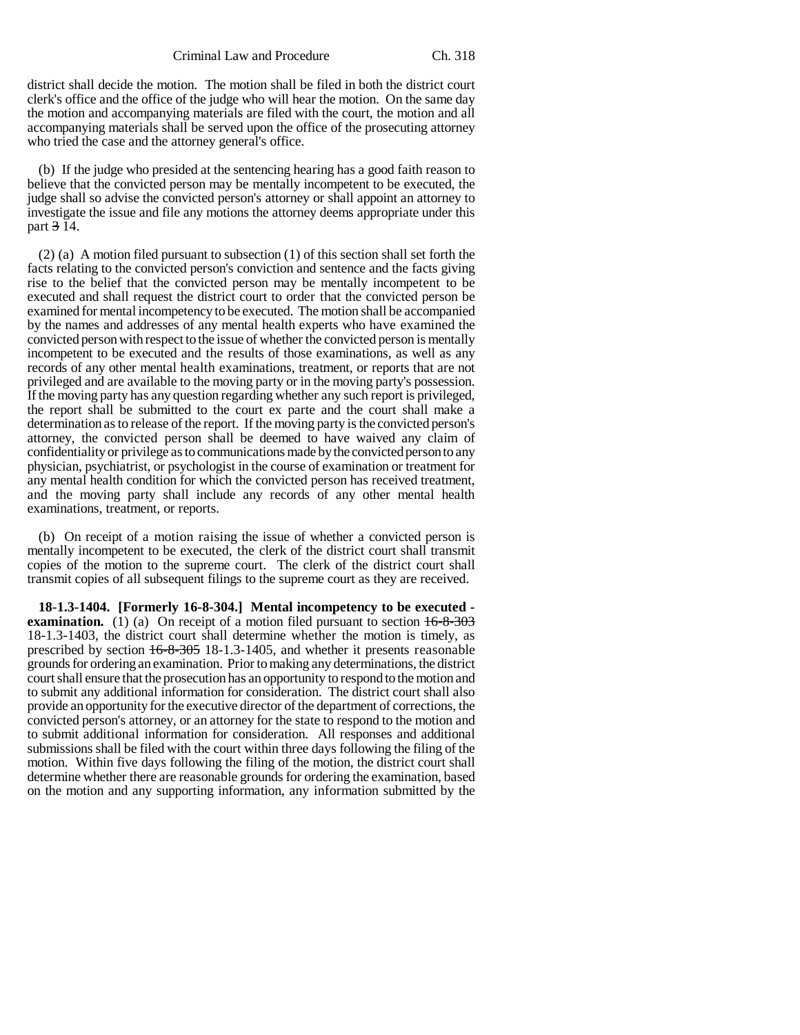district shall decide the motion. The motion shall be filed in both the district court clerk's office and the office of the judge who will hear the motion. On the same day the motion and accompanying materials are filed with the court, the motion and all accompanying materials shall be served upon the office of the prosecuting attorney who tried the case and the attorney general's office.

(b) If the judge who presided at the sentencing hearing has a good faith reason to believe that the convicted person may be mentally incompetent to be executed, the judge shall so advise the convicted person's attorney or shall appoint an attorney to investigate the issue and file any motions the attorney deems appropriate under this part 3 14.

(2) (a) A motion filed pursuant to subsection (1) of this section shall set forth the facts relating to the convicted person's conviction and sentence and the facts giving rise to the belief that the convicted person may be mentally incompetent to be executed and shall request the district court to order that the convicted person be examined for mental incompetency to be executed. The motion shall be accompanied by the names and addresses of any mental health experts who have examined the convicted person with respect to the issue of whether the convicted person is mentally incompetent to be executed and the results of those examinations, as well as any records of any other mental health examinations, treatment, or reports that are not privileged and are available to the moving party or in the moving party's possession. If the moving party has any question regarding whether any such report is privileged, the report shall be submitted to the court ex parte and the court shall make a determination as to release of the report. If the moving party is the convicted person's attorney, the convicted person shall be deemed to have waived any claim of confidentiality or privilege as to communications made by the convicted person to any physician, psychiatrist, or psychologist in the course of examination or treatment for any mental health condition for which the convicted person has received treatment, and the moving party shall include any records of any other mental health examinations, treatment, or reports.

(b) On receipt of a motion raising the issue of whether a convicted person is mentally incompetent to be executed, the clerk of the district court shall transmit copies of the motion to the supreme court. The clerk of the district court shall transmit copies of all subsequent filings to the supreme court as they are received.

**18-1.3-1404. [Formerly 16-8-304.] Mental incompetency to be executed examination.** (1) (a) On receipt of a motion filed pursuant to section  $16-8-303$ 18-1.3-1403, the district court shall determine whether the motion is timely, as prescribed by section 16-8-305 18-1.3-1405, and whether it presents reasonable grounds for ordering an examination. Prior to making any determinations, the district court shall ensure that the prosecution has an opportunity to respond to the motion and to submit any additional information for consideration. The district court shall also provide an opportunity for the executive director of the department of corrections, the convicted person's attorney, or an attorney for the state to respond to the motion and to submit additional information for consideration. All responses and additional submissions shall be filed with the court within three days following the filing of the motion. Within five days following the filing of the motion, the district court shall determine whether there are reasonable grounds for ordering the examination, based on the motion and any supporting information, any information submitted by the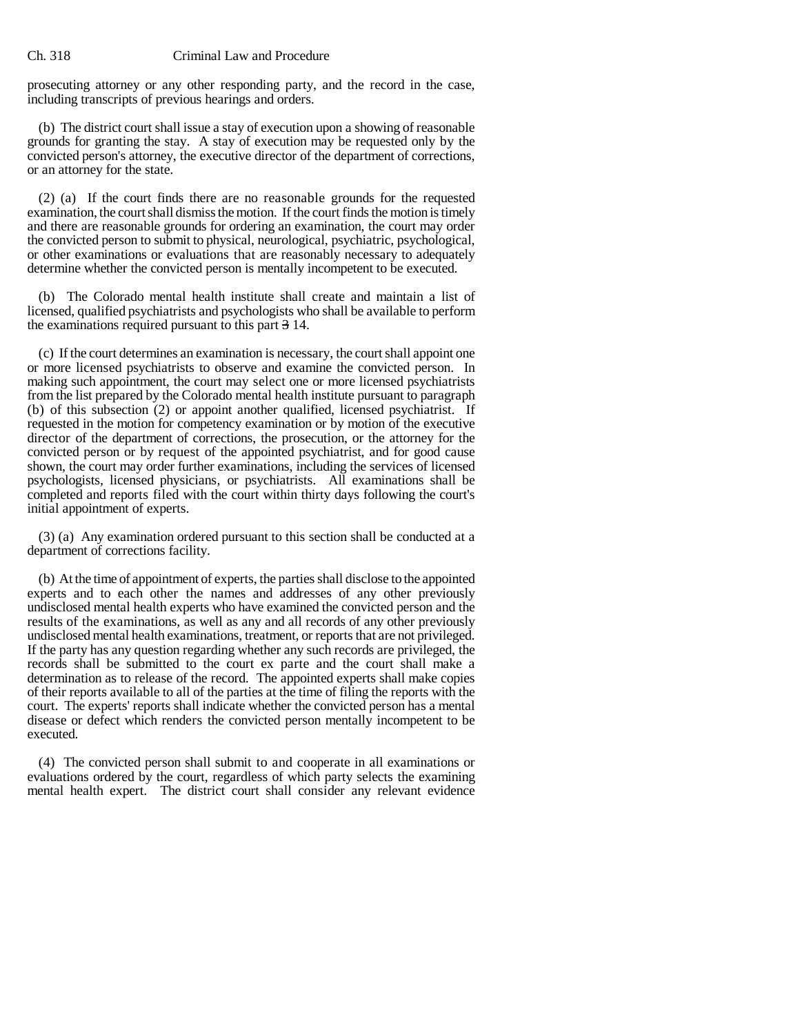prosecuting attorney or any other responding party, and the record in the case, including transcripts of previous hearings and orders.

(b) The district court shall issue a stay of execution upon a showing of reasonable grounds for granting the stay. A stay of execution may be requested only by the convicted person's attorney, the executive director of the department of corrections, or an attorney for the state.

(2) (a) If the court finds there are no reasonable grounds for the requested examination, the court shall dismiss the motion. If the court finds the motion is timely and there are reasonable grounds for ordering an examination, the court may order the convicted person to submit to physical, neurological, psychiatric, psychological, or other examinations or evaluations that are reasonably necessary to adequately determine whether the convicted person is mentally incompetent to be executed.

(b) The Colorado mental health institute shall create and maintain a list of licensed, qualified psychiatrists and psychologists who shall be available to perform the examinations required pursuant to this part 3 14.

(c) If the court determines an examination is necessary, the court shall appoint one or more licensed psychiatrists to observe and examine the convicted person. In making such appointment, the court may select one or more licensed psychiatrists from the list prepared by the Colorado mental health institute pursuant to paragraph (b) of this subsection (2) or appoint another qualified, licensed psychiatrist. If requested in the motion for competency examination or by motion of the executive director of the department of corrections, the prosecution, or the attorney for the convicted person or by request of the appointed psychiatrist, and for good cause shown, the court may order further examinations, including the services of licensed psychologists, licensed physicians, or psychiatrists. All examinations shall be completed and reports filed with the court within thirty days following the court's initial appointment of experts.

(3) (a) Any examination ordered pursuant to this section shall be conducted at a department of corrections facility.

(b) At the time of appointment of experts, the parties shall disclose to the appointed experts and to each other the names and addresses of any other previously undisclosed mental health experts who have examined the convicted person and the results of the examinations, as well as any and all records of any other previously undisclosed mental health examinations, treatment, or reports that are not privileged. If the party has any question regarding whether any such records are privileged, the records shall be submitted to the court ex parte and the court shall make a determination as to release of the record. The appointed experts shall make copies of their reports available to all of the parties at the time of filing the reports with the court. The experts' reports shall indicate whether the convicted person has a mental disease or defect which renders the convicted person mentally incompetent to be executed.

(4) The convicted person shall submit to and cooperate in all examinations or evaluations ordered by the court, regardless of which party selects the examining mental health expert. The district court shall consider any relevant evidence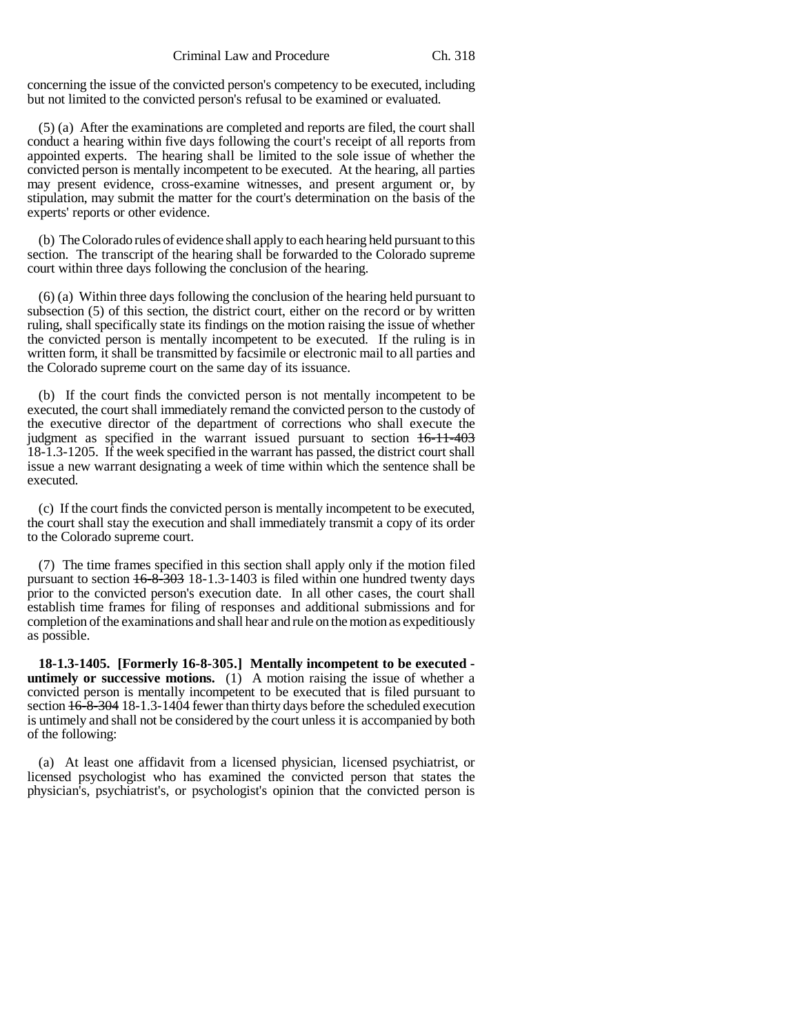concerning the issue of the convicted person's competency to be executed, including but not limited to the convicted person's refusal to be examined or evaluated.

(5) (a) After the examinations are completed and reports are filed, the court shall conduct a hearing within five days following the court's receipt of all reports from appointed experts. The hearing shall be limited to the sole issue of whether the convicted person is mentally incompetent to be executed. At the hearing, all parties may present evidence, cross-examine witnesses, and present argument or, by stipulation, may submit the matter for the court's determination on the basis of the experts' reports or other evidence.

(b) The Colorado rules of evidence shall apply to each hearing held pursuant to this section. The transcript of the hearing shall be forwarded to the Colorado supreme court within three days following the conclusion of the hearing.

(6) (a) Within three days following the conclusion of the hearing held pursuant to subsection (5) of this section, the district court, either on the record or by written ruling, shall specifically state its findings on the motion raising the issue of whether the convicted person is mentally incompetent to be executed. If the ruling is in written form, it shall be transmitted by facsimile or electronic mail to all parties and the Colorado supreme court on the same day of its issuance.

(b) If the court finds the convicted person is not mentally incompetent to be executed, the court shall immediately remand the convicted person to the custody of the executive director of the department of corrections who shall execute the judgment as specified in the warrant issued pursuant to section 16-11-403 18-1.3-1205. If the week specified in the warrant has passed, the district court shall issue a new warrant designating a week of time within which the sentence shall be executed.

(c) If the court finds the convicted person is mentally incompetent to be executed, the court shall stay the execution and shall immediately transmit a copy of its order to the Colorado supreme court.

(7) The time frames specified in this section shall apply only if the motion filed pursuant to section  $16-8-303$  18-1.3-1403 is filed within one hundred twenty days prior to the convicted person's execution date. In all other cases, the court shall establish time frames for filing of responses and additional submissions and for completion of the examinations and shall hear and rule on the motion as expeditiously as possible.

**18-1.3-1405. [Formerly 16-8-305.] Mentally incompetent to be executed untimely or successive motions.** (1) A motion raising the issue of whether a convicted person is mentally incompetent to be executed that is filed pursuant to section 16-8-304 18-1.3-1404 fewer than thirty days before the scheduled execution is untimely and shall not be considered by the court unless it is accompanied by both of the following:

(a) At least one affidavit from a licensed physician, licensed psychiatrist, or licensed psychologist who has examined the convicted person that states the physician's, psychiatrist's, or psychologist's opinion that the convicted person is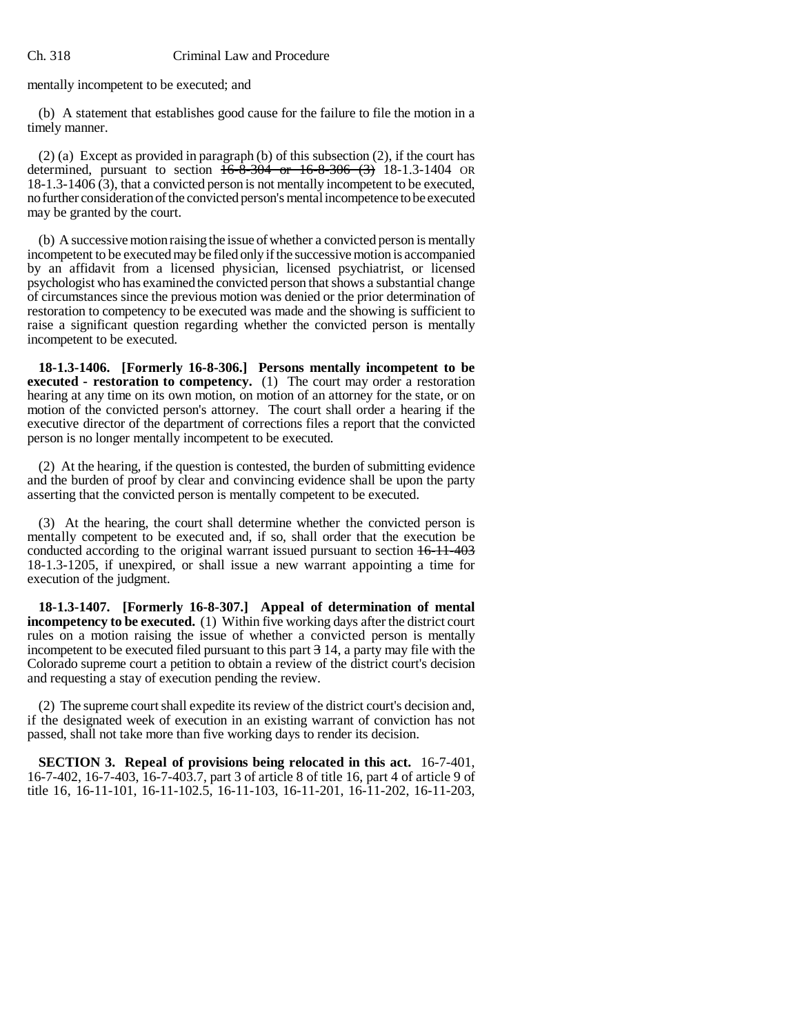mentally incompetent to be executed; and

(b) A statement that establishes good cause for the failure to file the motion in a timely manner.

(2) (a) Except as provided in paragraph (b) of this subsection (2), if the court has determined, pursuant to section  $\frac{16-8-304}{6}$  or  $16-8-306$  (3) 18-1.3-1404 OR 18-1.3-1406 (3), that a convicted person is not mentally incompetent to be executed, no further consideration of the convicted person's mental incompetence to be executed may be granted by the court.

(b) A successive motion raising the issue of whether a convicted person is mentally incompetent to be executed may be filed only if the successive motion is accompanied by an affidavit from a licensed physician, licensed psychiatrist, or licensed psychologist who has examined the convicted person that shows a substantial change of circumstances since the previous motion was denied or the prior determination of restoration to competency to be executed was made and the showing is sufficient to raise a significant question regarding whether the convicted person is mentally incompetent to be executed.

**18-1.3-1406. [Formerly 16-8-306.] Persons mentally incompetent to be executed - restoration to competency.** (1) The court may order a restoration hearing at any time on its own motion, on motion of an attorney for the state, or on motion of the convicted person's attorney. The court shall order a hearing if the executive director of the department of corrections files a report that the convicted person is no longer mentally incompetent to be executed.

(2) At the hearing, if the question is contested, the burden of submitting evidence and the burden of proof by clear and convincing evidence shall be upon the party asserting that the convicted person is mentally competent to be executed.

(3) At the hearing, the court shall determine whether the convicted person is mentally competent to be executed and, if so, shall order that the execution be conducted according to the original warrant issued pursuant to section 16-11-403 18-1.3-1205, if unexpired, or shall issue a new warrant appointing a time for execution of the judgment.

**18-1.3-1407. [Formerly 16-8-307.] Appeal of determination of mental incompetency to be executed.** (1) Within five working days after the district court rules on a motion raising the issue of whether a convicted person is mentally incompetent to be executed filed pursuant to this part  $3\,14$ , a party may file with the Colorado supreme court a petition to obtain a review of the district court's decision and requesting a stay of execution pending the review.

(2) The supreme court shall expedite its review of the district court's decision and, if the designated week of execution in an existing warrant of conviction has not passed, shall not take more than five working days to render its decision.

**SECTION 3. Repeal of provisions being relocated in this act.** 16-7-401, 16-7-402, 16-7-403, 16-7-403.7, part 3 of article 8 of title 16, part 4 of article 9 of title 16, 16-11-101, 16-11-102.5, 16-11-103, 16-11-201, 16-11-202, 16-11-203,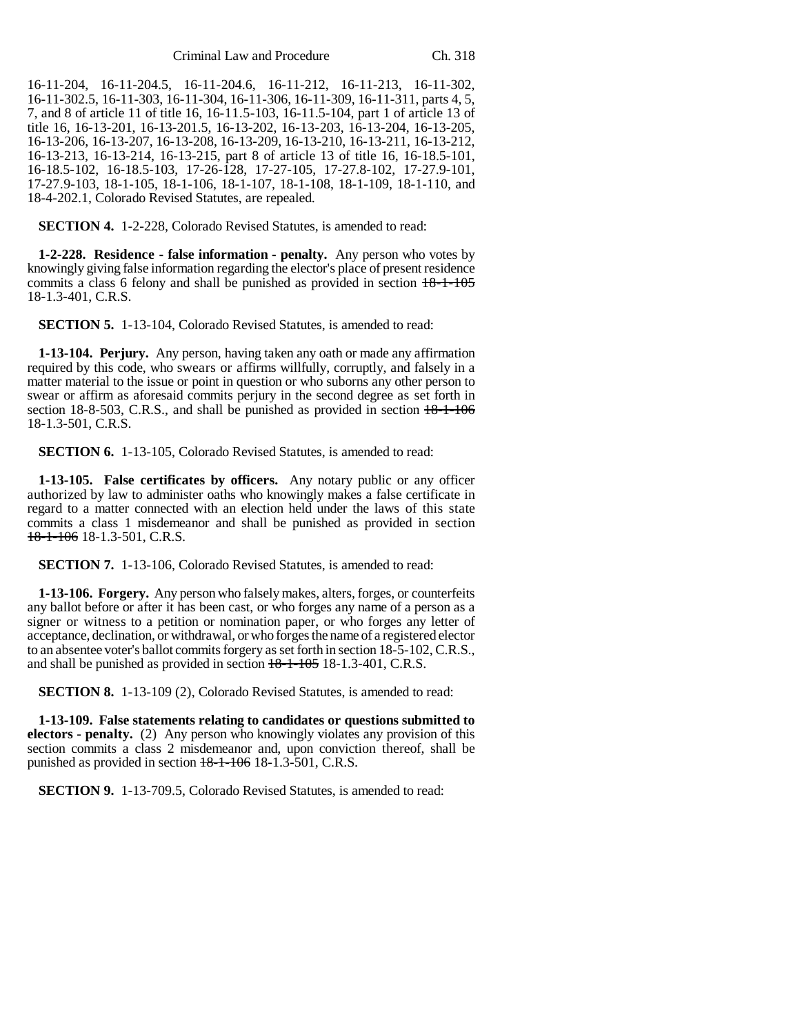16-11-204, 16-11-204.5, 16-11-204.6, 16-11-212, 16-11-213, 16-11-302, 16-11-302.5, 16-11-303, 16-11-304, 16-11-306, 16-11-309, 16-11-311, parts 4, 5, 7, and 8 of article 11 of title 16, 16-11.5-103, 16-11.5-104, part 1 of article 13 of title 16, 16-13-201, 16-13-201.5, 16-13-202, 16-13-203, 16-13-204, 16-13-205, 16-13-206, 16-13-207, 16-13-208, 16-13-209, 16-13-210, 16-13-211, 16-13-212, 16-13-213, 16-13-214, 16-13-215, part 8 of article 13 of title 16, 16-18.5-101, 16-18.5-102, 16-18.5-103, 17-26-128, 17-27-105, 17-27.8-102, 17-27.9-101, 17-27.9-103, 18-1-105, 18-1-106, 18-1-107, 18-1-108, 18-1-109, 18-1-110, and 18-4-202.1, Colorado Revised Statutes, are repealed.

**SECTION 4.** 1-2-228, Colorado Revised Statutes, is amended to read:

**1-2-228. Residence - false information - penalty.** Any person who votes by knowingly giving false information regarding the elector's place of present residence commits a class 6 felony and shall be punished as provided in section  $18-1-105$ 18-1.3-401, C.R.S.

**SECTION 5.** 1-13-104, Colorado Revised Statutes, is amended to read:

**1-13-104. Perjury.** Any person, having taken any oath or made any affirmation required by this code, who swears or affirms willfully, corruptly, and falsely in a matter material to the issue or point in question or who suborns any other person to swear or affirm as aforesaid commits perjury in the second degree as set forth in section 18-8-503, C.R.S., and shall be punished as provided in section  $18-1-106$ 18-1.3-501, C.R.S.

**SECTION 6.** 1-13-105, Colorado Revised Statutes, is amended to read:

**1-13-105. False certificates by officers.** Any notary public or any officer authorized by law to administer oaths who knowingly makes a false certificate in regard to a matter connected with an election held under the laws of this state commits a class 1 misdemeanor and shall be punished as provided in section 18-1-106 18-1.3-501, C.R.S.

**SECTION 7.** 1-13-106, Colorado Revised Statutes, is amended to read:

**1-13-106. Forgery.** Any person who falsely makes, alters, forges, or counterfeits any ballot before or after it has been cast, or who forges any name of a person as a signer or witness to a petition or nomination paper, or who forges any letter of acceptance, declination, or withdrawal, or who forges the name of a registered elector to an absentee voter's ballot commits forgery as set forth in section 18-5-102, C.R.S., and shall be punished as provided in section 18-1-105 18-1.3-401, C.R.S.

**SECTION 8.** 1-13-109 (2), Colorado Revised Statutes, is amended to read:

**1-13-109. False statements relating to candidates or questions submitted to electors - penalty.** (2) Any person who knowingly violates any provision of this section commits a class 2 misdemeanor and, upon conviction thereof, shall be punished as provided in section  $18-1-106$  18-1.3-501, C.R.S.

**SECTION 9.** 1-13-709.5, Colorado Revised Statutes, is amended to read: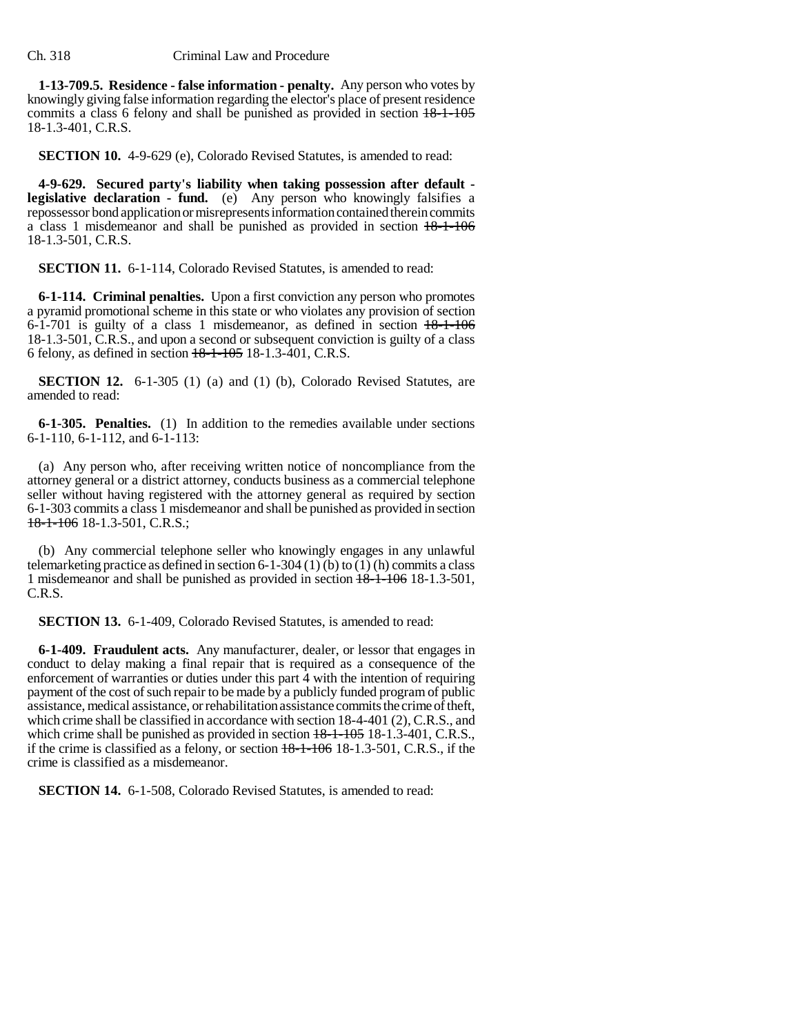**1-13-709.5. Residence - false information - penalty.** Any person who votes by knowingly giving false information regarding the elector's place of present residence commits a class 6 felony and shall be punished as provided in section  $18-1-105$ 18-1.3-401, C.R.S.

**SECTION 10.** 4-9-629 (e), Colorado Revised Statutes, is amended to read:

**4-9-629. Secured party's liability when taking possession after default legislative declaration - fund.** (e) Any person who knowingly falsifies a repossessor bond application or misrepresents information contained therein commits a class 1 misdemeanor and shall be punished as provided in section 18-1-106 18-1.3-501, C.R.S.

**SECTION 11.** 6-1-114, Colorado Revised Statutes, is amended to read:

**6-1-114. Criminal penalties.** Upon a first conviction any person who promotes a pyramid promotional scheme in this state or who violates any provision of section  $6-1-701$  is guilty of a class 1 misdemeanor, as defined in section  $18-1-106$ 18-1.3-501, C.R.S., and upon a second or subsequent conviction is guilty of a class 6 felony, as defined in section 18-1-105 18-1.3-401, C.R.S.

**SECTION 12.** 6-1-305 (1) (a) and (1) (b), Colorado Revised Statutes, are amended to read:

**6-1-305. Penalties.** (1) In addition to the remedies available under sections 6-1-110, 6-1-112, and 6-1-113:

(a) Any person who, after receiving written notice of noncompliance from the attorney general or a district attorney, conducts business as a commercial telephone seller without having registered with the attorney general as required by section 6-1-303 commits a class 1 misdemeanor and shall be punished as provided in section 18-1-106 18-1.3-501, C.R.S.;

(b) Any commercial telephone seller who knowingly engages in any unlawful telemarketing practice as defined in section 6-1-304 (1) (b) to (1) (h) commits a class 1 misdemeanor and shall be punished as provided in section 18-1-106 18-1.3-501, C.R.S.

**SECTION 13.** 6-1-409, Colorado Revised Statutes, is amended to read:

**6-1-409. Fraudulent acts.** Any manufacturer, dealer, or lessor that engages in conduct to delay making a final repair that is required as a consequence of the enforcement of warranties or duties under this part  $\overline{4}$  with the intention of requiring payment of the cost of such repair to be made by a publicly funded program of public assistance, medical assistance, or rehabilitation assistance commits the crime of theft, which crime shall be classified in accordance with section 18-4-401 (2), C.R.S., and which crime shall be punished as provided in section  $18-1-105$  18-1.3-401, C.R.S., if the crime is classified as a felony, or section  $18-1-106$  18-1.3-501, C.R.S., if the crime is classified as a misdemeanor.

**SECTION 14.** 6-1-508, Colorado Revised Statutes, is amended to read: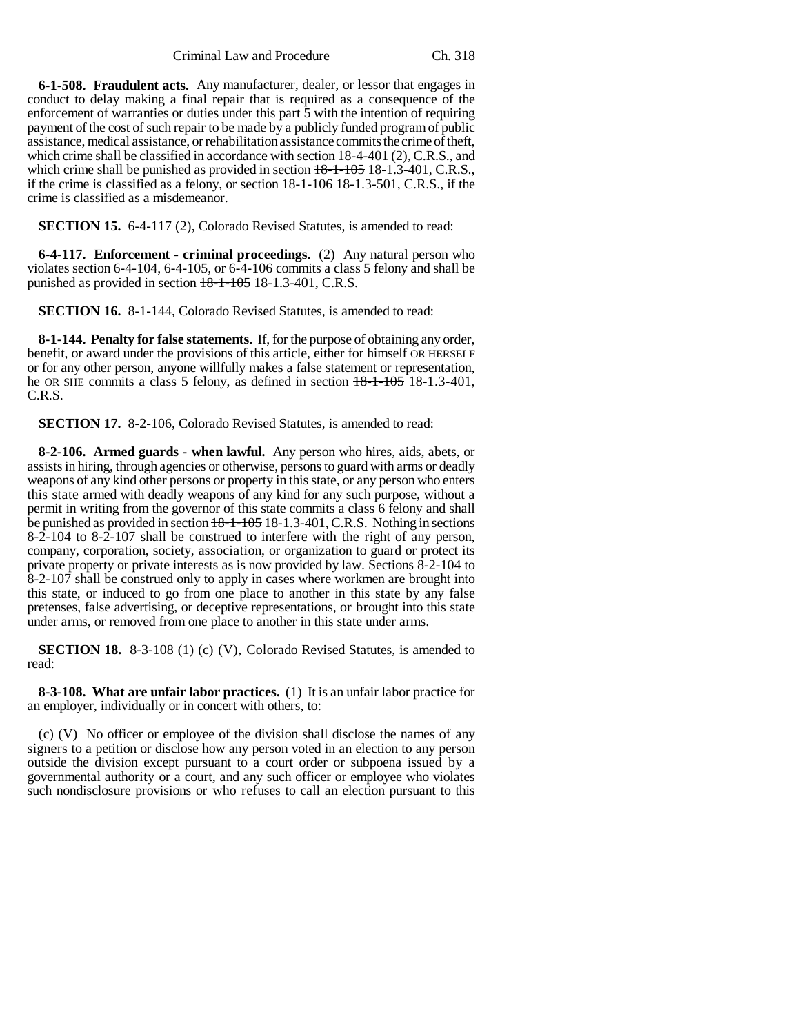### Criminal Law and Procedure Ch. 318

**6-1-508. Fraudulent acts.** Any manufacturer, dealer, or lessor that engages in conduct to delay making a final repair that is required as a consequence of the enforcement of warranties or duties under this part 5 with the intention of requiring payment of the cost of such repair to be made by a publicly funded program of public assistance, medical assistance, or rehabilitation assistance commits the crime of theft, which crime shall be classified in accordance with section 18-4-401 (2), C.R.S., and which crime shall be punished as provided in section  $18-1-105$  18-1.3-401, C.R.S., if the crime is classified as a felony, or section 18-1-106 18-1.3-501, C.R.S., if the crime is classified as a misdemeanor.

**SECTION 15.** 6-4-117 (2), Colorado Revised Statutes, is amended to read:

**6-4-117. Enforcement - criminal proceedings.** (2) Any natural person who violates section 6-4-104, 6-4-105, or 6-4-106 commits a class 5 felony and shall be punished as provided in section 18-1-105 18-1.3-401, C.R.S.

**SECTION 16.** 8-1-144, Colorado Revised Statutes, is amended to read:

**8-1-144. Penalty for false statements.** If, for the purpose of obtaining any order, benefit, or award under the provisions of this article, either for himself OR HERSELF or for any other person, anyone willfully makes a false statement or representation, he OR SHE commits a class 5 felony, as defined in section  $18-1-105$  18-1.3-401, C.R.S.

**SECTION 17.** 8-2-106, Colorado Revised Statutes, is amended to read:

**8-2-106. Armed guards - when lawful.** Any person who hires, aids, abets, or assists in hiring, through agencies or otherwise, persons to guard with arms or deadly weapons of any kind other persons or property in this state, or any person who enters this state armed with deadly weapons of any kind for any such purpose, without a permit in writing from the governor of this state commits a class 6 felony and shall be punished as provided in section  $18-1-105$  18-1.3-401, C.R.S. Nothing in sections 8-2-104 to 8-2-107 shall be construed to interfere with the right of any person, company, corporation, society, association, or organization to guard or protect its private property or private interests as is now provided by law. Sections 8-2-104 to 8-2-107 shall be construed only to apply in cases where workmen are brought into this state, or induced to go from one place to another in this state by any false pretenses, false advertising, or deceptive representations, or brought into this state under arms, or removed from one place to another in this state under arms.

**SECTION 18.** 8-3-108 (1) (c) (V), Colorado Revised Statutes, is amended to read:

**8-3-108. What are unfair labor practices.** (1) It is an unfair labor practice for an employer, individually or in concert with others, to:

(c) (V) No officer or employee of the division shall disclose the names of any signers to a petition or disclose how any person voted in an election to any person outside the division except pursuant to a court order or subpoena issued by a governmental authority or a court, and any such officer or employee who violates such nondisclosure provisions or who refuses to call an election pursuant to this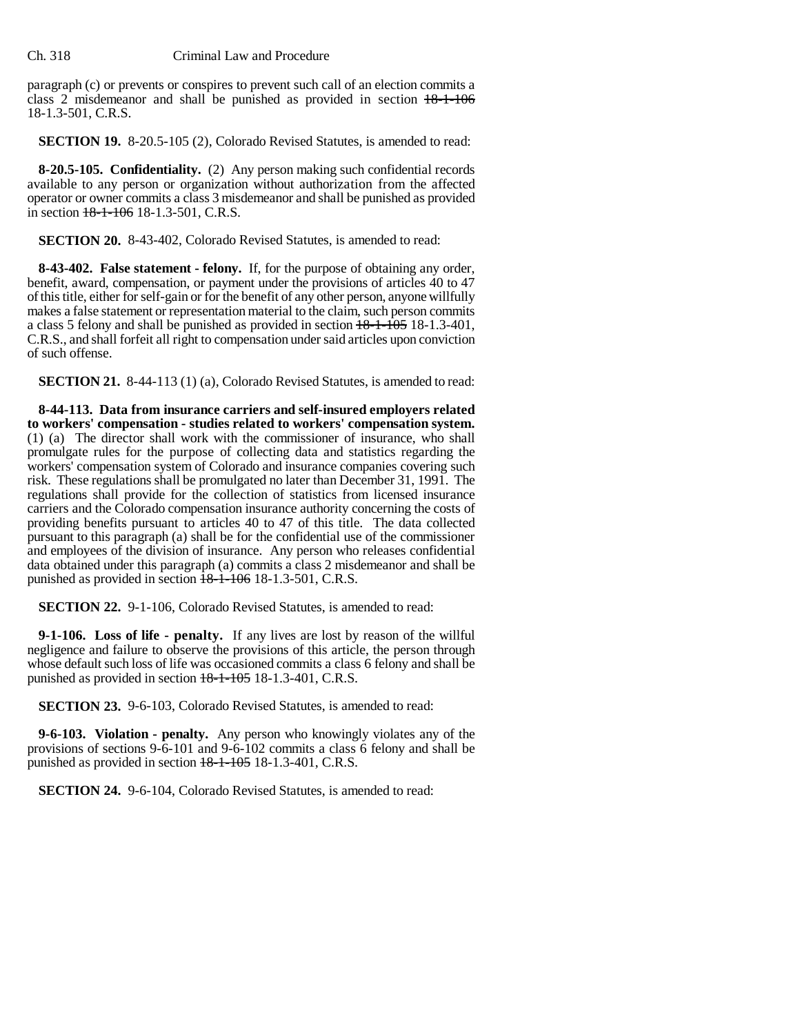paragraph (c) or prevents or conspires to prevent such call of an election commits a class 2 misdemeanor and shall be punished as provided in section  $18-1-106$ 18-1.3-501, C.R.S.

**SECTION 19.** 8-20.5-105 (2), Colorado Revised Statutes, is amended to read:

**8-20.5-105. Confidentiality.** (2) Any person making such confidential records available to any person or organization without authorization from the affected operator or owner commits a class 3 misdemeanor and shall be punished as provided in section 18-1-106 18-1.3-501, C.R.S.

**SECTION 20.** 8-43-402, Colorado Revised Statutes, is amended to read:

**8-43-402. False statement - felony.** If, for the purpose of obtaining any order, benefit, award, compensation, or payment under the provisions of articles 40 to 47 of this title, either for self-gain or for the benefit of any other person, anyone willfully makes a false statement or representation material to the claim, such person commits a class 5 felony and shall be punished as provided in section 18-1-105 18-1.3-401, C.R.S., and shall forfeit all right to compensation under said articles upon conviction of such offense.

**SECTION 21.** 8-44-113 (1) (a), Colorado Revised Statutes, is amended to read:

**8-44-113. Data from insurance carriers and self-insured employers related to workers' compensation - studies related to workers' compensation system.** (1) (a) The director shall work with the commissioner of insurance, who shall promulgate rules for the purpose of collecting data and statistics regarding the workers' compensation system of Colorado and insurance companies covering such risk. These regulations shall be promulgated no later than December 31, 1991. The regulations shall provide for the collection of statistics from licensed insurance carriers and the Colorado compensation insurance authority concerning the costs of providing benefits pursuant to articles 40 to 47 of this title. The data collected pursuant to this paragraph (a) shall be for the confidential use of the commissioner and employees of the division of insurance. Any person who releases confidential data obtained under this paragraph (a) commits a class 2 misdemeanor and shall be punished as provided in section  $18-1-106$  18-1.3-501, C.R.S.

**SECTION 22.** 9-1-106, Colorado Revised Statutes, is amended to read:

**9-1-106. Loss of life - penalty.** If any lives are lost by reason of the willful negligence and failure to observe the provisions of this article, the person through whose default such loss of life was occasioned commits a class 6 felony and shall be punished as provided in section  $18-1-105$  18-1.3-401, C.R.S.

**SECTION 23.** 9-6-103, Colorado Revised Statutes, is amended to read:

**9-6-103. Violation - penalty.** Any person who knowingly violates any of the provisions of sections 9-6-101 and 9-6-102 commits a class 6 felony and shall be punished as provided in section 18-1-105 18-1.3-401, C.R.S.

**SECTION 24.** 9-6-104, Colorado Revised Statutes, is amended to read: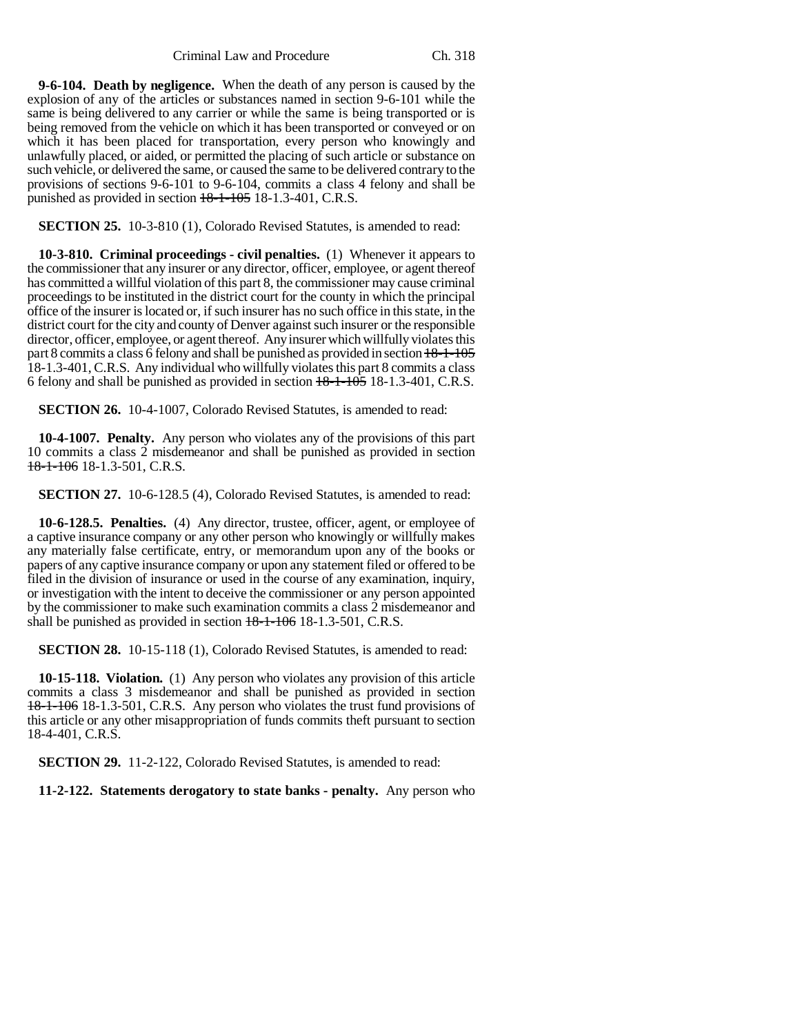Criminal Law and Procedure Ch. 318

**9-6-104. Death by negligence.** When the death of any person is caused by the explosion of any of the articles or substances named in section 9-6-101 while the same is being delivered to any carrier or while the same is being transported or is being removed from the vehicle on which it has been transported or conveyed or on which it has been placed for transportation, every person who knowingly and unlawfully placed, or aided, or permitted the placing of such article or substance on such vehicle, or delivered the same, or caused the same to be delivered contrary to the provisions of sections 9-6-101 to 9-6-104, commits a class 4 felony and shall be punished as provided in section 18-1-105 18-1.3-401, C.R.S.

**SECTION 25.** 10-3-810 (1), Colorado Revised Statutes, is amended to read:

**10-3-810. Criminal proceedings - civil penalties.** (1) Whenever it appears to the commissioner that any insurer or any director, officer, employee, or agent thereof has committed a willful violation of this part 8, the commissioner may cause criminal proceedings to be instituted in the district court for the county in which the principal office of the insurer is located or, if such insurer has no such office in this state, in the district court for the city and county of Denver against such insurer or the responsible director, officer, employee, or agent thereof. Any insurer which willfully violates this part 8 commits a class 6 felony and shall be punished as provided in section 18-1-105 18-1.3-401, C.R.S. Any individual who willfully violates this part 8 commits a class 6 felony and shall be punished as provided in section 18-1-105 18-1.3-401, C.R.S.

**SECTION 26.** 10-4-1007, Colorado Revised Statutes, is amended to read:

**10-4-1007. Penalty.** Any person who violates any of the provisions of this part 10 commits a class 2 misdemeanor and shall be punished as provided in section 18-1-106 18-1.3-501, C.R.S.

**SECTION 27.** 10-6-128.5 (4), Colorado Revised Statutes, is amended to read:

**10-6-128.5. Penalties.** (4) Any director, trustee, officer, agent, or employee of a captive insurance company or any other person who knowingly or willfully makes any materially false certificate, entry, or memorandum upon any of the books or papers of any captive insurance company or upon any statement filed or offered to be filed in the division of insurance or used in the course of any examination, inquiry, or investigation with the intent to deceive the commissioner or any person appointed by the commissioner to make such examination commits a class 2 misdemeanor and shall be punished as provided in section 18-1-106 18-1.3-501, C.R.S.

**SECTION 28.** 10-15-118 (1), Colorado Revised Statutes, is amended to read:

**10-15-118. Violation.** (1) Any person who violates any provision of this article commits a class 3 misdemeanor and shall be punished as provided in section 18-1-106 18-1.3-501, C.R.S. Any person who violates the trust fund provisions of this article or any other misappropriation of funds commits theft pursuant to section 18-4-401, C.R.S.

**SECTION 29.** 11-2-122, Colorado Revised Statutes, is amended to read:

**11-2-122. Statements derogatory to state banks - penalty.** Any person who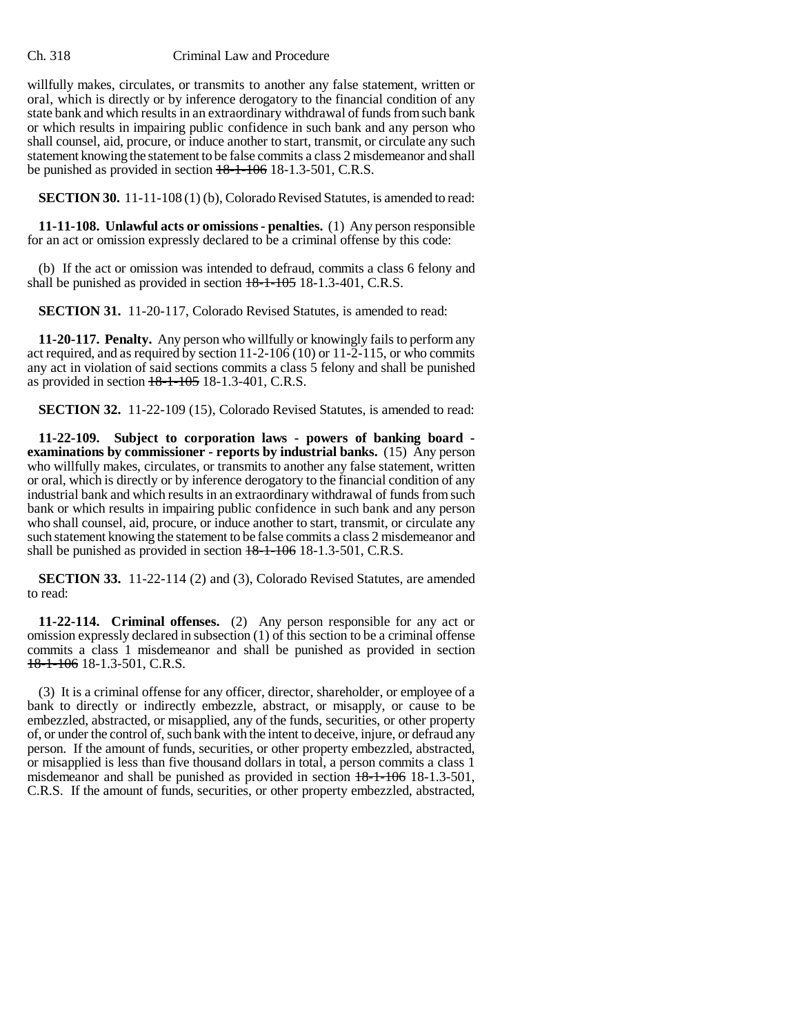willfully makes, circulates, or transmits to another any false statement, written or oral, which is directly or by inference derogatory to the financial condition of any state bank and which results in an extraordinary withdrawal of funds from such bank or which results in impairing public confidence in such bank and any person who shall counsel, aid, procure, or induce another to start, transmit, or circulate any such statement knowing the statement to be false commits a class 2 misdemeanor and shall be punished as provided in section  $18-1-106$  18-1.3-501, C.R.S.

**SECTION 30.** 11-11-108 (1) (b), Colorado Revised Statutes, is amended to read:

**11-11-108. Unlawful acts or omissions - penalties.** (1) Any person responsible for an act or omission expressly declared to be a criminal offense by this code:

(b) If the act or omission was intended to defraud, commits a class 6 felony and shall be punished as provided in section  $18-1-105$  18-1.3-401, C.R.S.

**SECTION 31.** 11-20-117, Colorado Revised Statutes, is amended to read:

**11-20-117. Penalty.** Any person who willfully or knowingly fails to perform any act required, and as required by section 11-2-106 (10) or 11-2-115, or who commits any act in violation of said sections commits a class 5 felony and shall be punished as provided in section 18-1-105 18-1.3-401, C.R.S.

**SECTION 32.** 11-22-109 (15), Colorado Revised Statutes, is amended to read:

**11-22-109. Subject to corporation laws - powers of banking board examinations by commissioner - reports by industrial banks.** (15) Any person who willfully makes, circulates, or transmits to another any false statement, written or oral, which is directly or by inference derogatory to the financial condition of any industrial bank and which results in an extraordinary withdrawal of funds from such bank or which results in impairing public confidence in such bank and any person who shall counsel, aid, procure, or induce another to start, transmit, or circulate any such statement knowing the statement to be false commits a class 2 misdemeanor and shall be punished as provided in section  $18-1-106$  18-1.3-501, C.R.S.

**SECTION 33.** 11-22-114 (2) and (3), Colorado Revised Statutes, are amended to read:

**11-22-114. Criminal offenses.** (2) Any person responsible for any act or omission expressly declared in subsection (1) of this section to be a criminal offense commits a class 1 misdemeanor and shall be punished as provided in section 18-1-106 18-1.3-501, C.R.S.

(3) It is a criminal offense for any officer, director, shareholder, or employee of a bank to directly or indirectly embezzle, abstract, or misapply, or cause to be embezzled, abstracted, or misapplied, any of the funds, securities, or other property of, or under the control of, such bank with the intent to deceive, injure, or defraud any person. If the amount of funds, securities, or other property embezzled, abstracted, or misapplied is less than five thousand dollars in total, a person commits a class 1 misdemeanor and shall be punished as provided in section 18-1-106 18-1.3-501, C.R.S. If the amount of funds, securities, or other property embezzled, abstracted,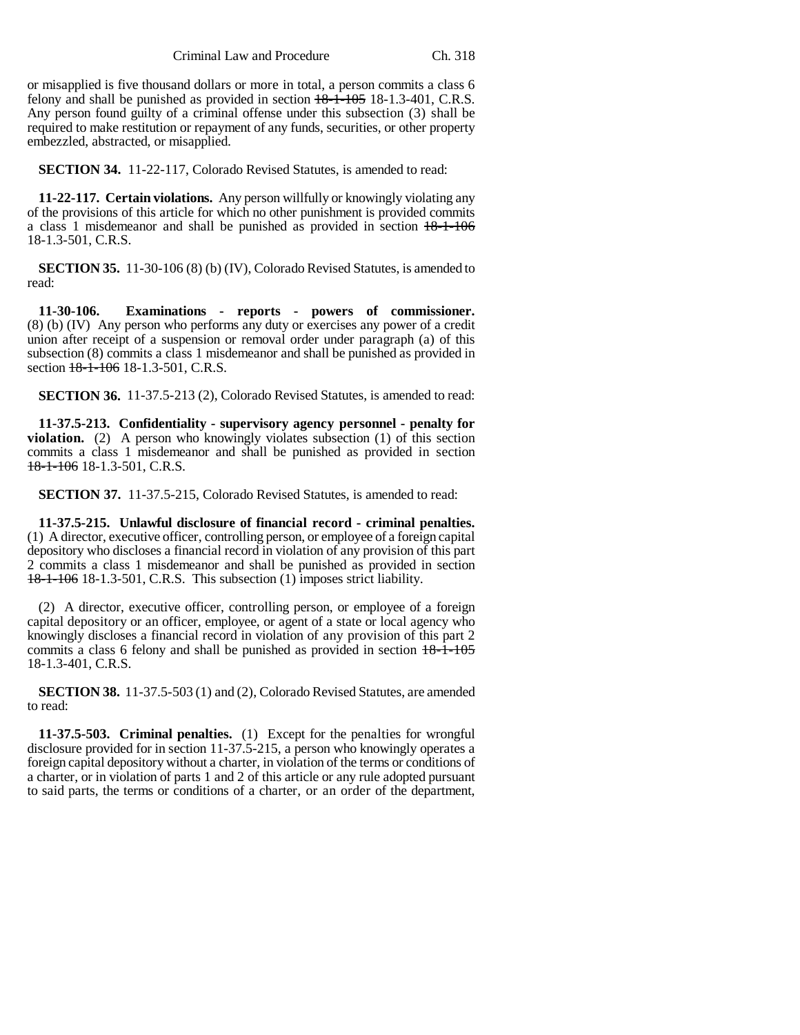or misapplied is five thousand dollars or more in total, a person commits a class 6 felony and shall be punished as provided in section  $18-1-105$  18-1.3-401, C.R.S. Any person found guilty of a criminal offense under this subsection (3) shall be required to make restitution or repayment of any funds, securities, or other property embezzled, abstracted, or misapplied.

**SECTION 34.** 11-22-117, Colorado Revised Statutes, is amended to read:

**11-22-117. Certain violations.** Any person willfully or knowingly violating any of the provisions of this article for which no other punishment is provided commits a class 1 misdemeanor and shall be punished as provided in section 18-1-106 18-1.3-501, C.R.S.

**SECTION 35.** 11-30-106 (8) (b) (IV), Colorado Revised Statutes, is amended to read:

**11-30-106. Examinations - reports - powers of commissioner.** (8) (b) (IV) Any person who performs any duty or exercises any power of a credit union after receipt of a suspension or removal order under paragraph (a) of this subsection (8) commits a class 1 misdemeanor and shall be punished as provided in section 18-1-106 18-1.3-501, C.R.S.

**SECTION 36.** 11-37.5-213 (2), Colorado Revised Statutes, is amended to read:

**11-37.5-213. Confidentiality - supervisory agency personnel - penalty for violation.** (2) A person who knowingly violates subsection (1) of this section commits a class 1 misdemeanor and shall be punished as provided in section 18-1-106 18-1.3-501, C.R.S.

**SECTION 37.** 11-37.5-215, Colorado Revised Statutes, is amended to read:

**11-37.5-215. Unlawful disclosure of financial record - criminal penalties.** (1) A director, executive officer, controlling person, or employee of a foreign capital depository who discloses a financial record in violation of any provision of this part 2 commits a class 1 misdemeanor and shall be punished as provided in section 18-1-106 18-1.3-501, C.R.S. This subsection (1) imposes strict liability.

(2) A director, executive officer, controlling person, or employee of a foreign capital depository or an officer, employee, or agent of a state or local agency who knowingly discloses a financial record in violation of any provision of this part 2 commits a class 6 felony and shall be punished as provided in section  $18-1-105$ 18-1.3-401, C.R.S.

**SECTION 38.** 11-37.5-503 (1) and (2), Colorado Revised Statutes, are amended to read:

**11-37.5-503. Criminal penalties.** (1) Except for the penalties for wrongful disclosure provided for in section 11-37.5-215, a person who knowingly operates a foreign capital depository without a charter, in violation of the terms or conditions of a charter, or in violation of parts 1 and 2 of this article or any rule adopted pursuant to said parts, the terms or conditions of a charter, or an order of the department,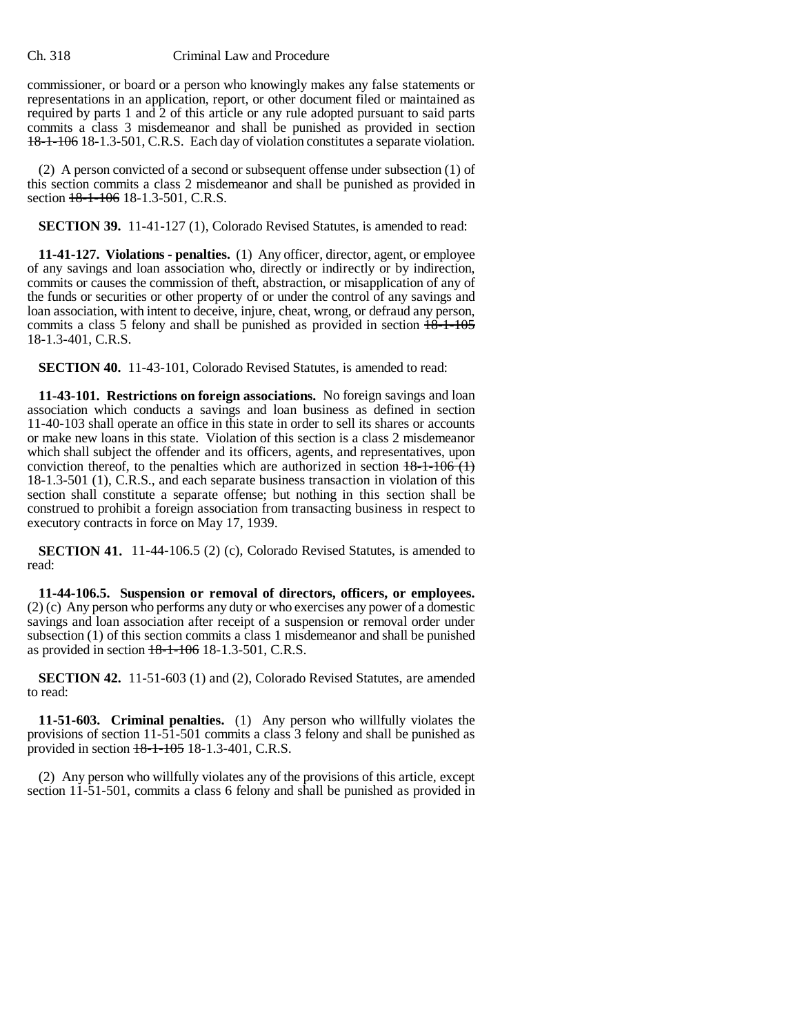commissioner, or board or a person who knowingly makes any false statements or representations in an application, report, or other document filed or maintained as required by parts 1 and 2 of this article or any rule adopted pursuant to said parts commits a class 3 misdemeanor and shall be punished as provided in section 18-1-106 18-1.3-501, C.R.S. Each day of violation constitutes a separate violation.

(2) A person convicted of a second or subsequent offense under subsection (1) of this section commits a class 2 misdemeanor and shall be punished as provided in section  $18-1-106$  18-1.3-501, C.R.S.

**SECTION 39.** 11-41-127 (1), Colorado Revised Statutes, is amended to read:

**11-41-127. Violations - penalties.** (1) Any officer, director, agent, or employee of any savings and loan association who, directly or indirectly or by indirection, commits or causes the commission of theft, abstraction, or misapplication of any of the funds or securities or other property of or under the control of any savings and loan association, with intent to deceive, injure, cheat, wrong, or defraud any person, commits a class 5 felony and shall be punished as provided in section  $\frac{18}{18}$ -1-105 18-1.3-401, C.R.S.

**SECTION 40.** 11-43-101, Colorado Revised Statutes, is amended to read:

**11-43-101. Restrictions on foreign associations.** No foreign savings and loan association which conducts a savings and loan business as defined in section 11-40-103 shall operate an office in this state in order to sell its shares or accounts or make new loans in this state. Violation of this section is a class 2 misdemeanor which shall subject the offender and its officers, agents, and representatives, upon conviction thereof, to the penalties which are authorized in section  $18-1-106(1)$ 18-1.3-501 (1), C.R.S., and each separate business transaction in violation of this section shall constitute a separate offense; but nothing in this section shall be construed to prohibit a foreign association from transacting business in respect to executory contracts in force on May 17, 1939.

**SECTION 41.** 11-44-106.5 (2) (c), Colorado Revised Statutes, is amended to read:

**11-44-106.5. Suspension or removal of directors, officers, or employees.** (2) (c) Any person who performs any duty or who exercises any power of a domestic savings and loan association after receipt of a suspension or removal order under subsection (1) of this section commits a class 1 misdemeanor and shall be punished as provided in section 18-1-106 18-1.3-501, C.R.S.

**SECTION 42.** 11-51-603 (1) and (2), Colorado Revised Statutes, are amended to read:

**11-51-603. Criminal penalties.** (1) Any person who willfully violates the provisions of section 11-51-501 commits a class 3 felony and shall be punished as provided in section 18-1-105 18-1.3-401, C.R.S.

(2) Any person who willfully violates any of the provisions of this article, except section 11-51-501, commits a class 6 felony and shall be punished as provided in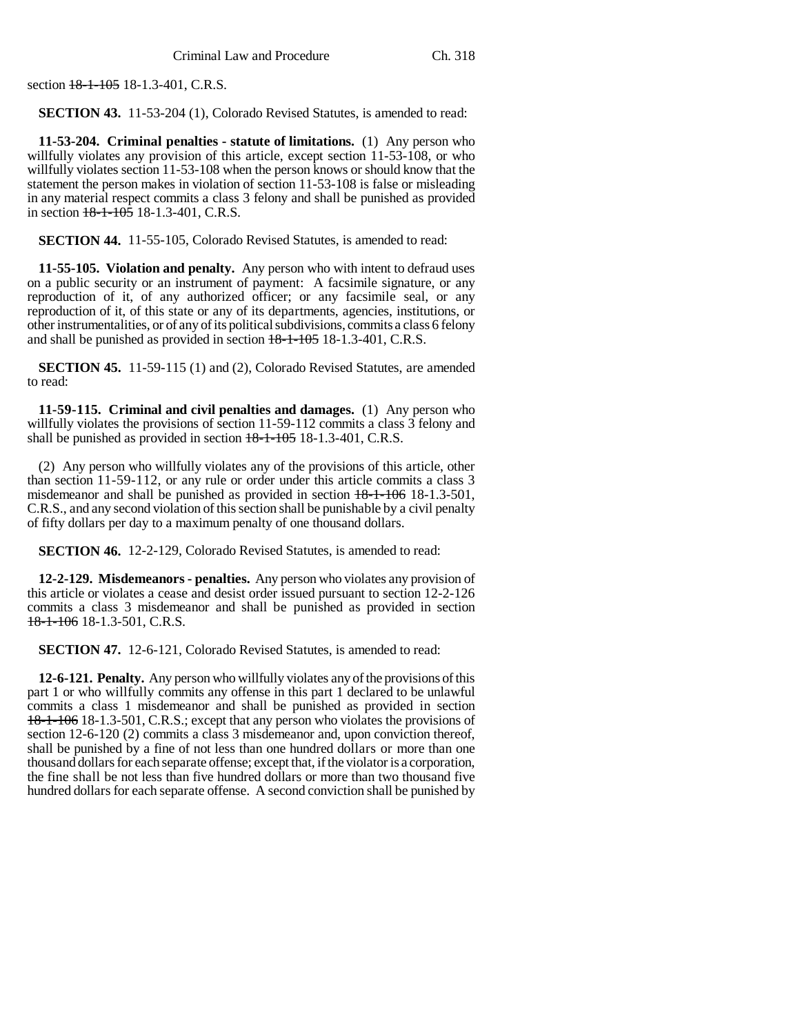section  $18-1-105$  18-1.3-401, C.R.S.

**SECTION 43.** 11-53-204 (1), Colorado Revised Statutes, is amended to read:

**11-53-204. Criminal penalties - statute of limitations.** (1) Any person who willfully violates any provision of this article, except section 11-53-108, or who willfully violates section 11-53-108 when the person knows or should know that the statement the person makes in violation of section 11-53-108 is false or misleading in any material respect commits a class 3 felony and shall be punished as provided in section  $18-1-105$  18-1.3-401, C.R.S.

**SECTION 44.** 11-55-105, Colorado Revised Statutes, is amended to read:

**11-55-105. Violation and penalty.** Any person who with intent to defraud uses on a public security or an instrument of payment: A facsimile signature, or any reproduction of it, of any authorized officer; or any facsimile seal, or any reproduction of it, of this state or any of its departments, agencies, institutions, or other instrumentalities, or of any of its political subdivisions, commits a class 6 felony and shall be punished as provided in section 18-1-105 18-1.3-401, C.R.S.

**SECTION 45.** 11-59-115 (1) and (2), Colorado Revised Statutes, are amended to read:

**11-59-115. Criminal and civil penalties and damages.** (1) Any person who willfully violates the provisions of section 11-59-112 commits a class 3 felony and shall be punished as provided in section  $18-1-105$  18-1.3-401, C.R.S.

(2) Any person who willfully violates any of the provisions of this article, other than section 11-59-112, or any rule or order under this article commits a class 3 misdemeanor and shall be punished as provided in section 18-1-106 18-1.3-501, C.R.S., and any second violation of this section shall be punishable by a civil penalty of fifty dollars per day to a maximum penalty of one thousand dollars.

**SECTION 46.** 12-2-129, Colorado Revised Statutes, is amended to read:

**12-2-129. Misdemeanors - penalties.** Any person who violates any provision of this article or violates a cease and desist order issued pursuant to section 12-2-126 commits a class 3 misdemeanor and shall be punished as provided in section 18-1-106 18-1.3-501, C.R.S.

**SECTION 47.** 12-6-121, Colorado Revised Statutes, is amended to read:

**12-6-121. Penalty.** Any person who willfully violates any of the provisions of this part 1 or who willfully commits any offense in this part 1 declared to be unlawful commits a class 1 misdemeanor and shall be punished as provided in section 18-1-106 18-1.3-501, C.R.S.; except that any person who violates the provisions of section 12-6-120 (2) commits a class 3 misdemeanor and, upon conviction thereof, shall be punished by a fine of not less than one hundred dollars or more than one thousand dollars for each separate offense; except that, if the violator is a corporation, the fine shall be not less than five hundred dollars or more than two thousand five hundred dollars for each separate offense. A second conviction shall be punished by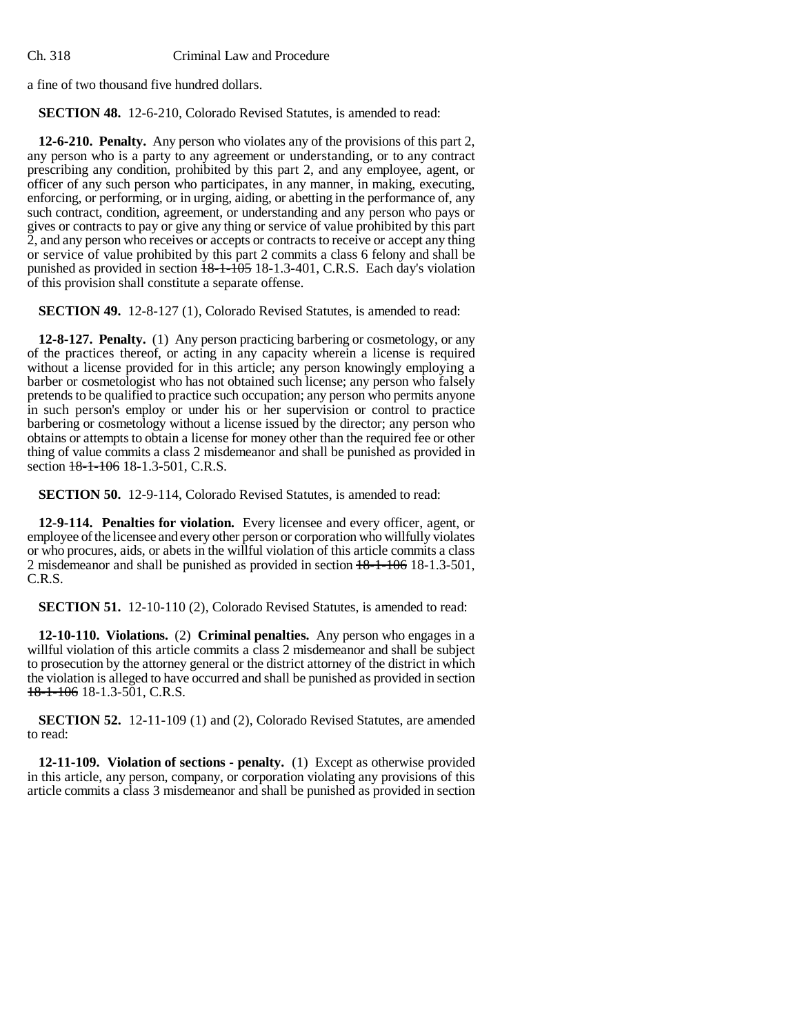a fine of two thousand five hundred dollars.

**SECTION 48.** 12-6-210, Colorado Revised Statutes, is amended to read:

**12-6-210. Penalty.** Any person who violates any of the provisions of this part 2, any person who is a party to any agreement or understanding, or to any contract prescribing any condition, prohibited by this part 2, and any employee, agent, or officer of any such person who participates, in any manner, in making, executing, enforcing, or performing, or in urging, aiding, or abetting in the performance of, any such contract, condition, agreement, or understanding and any person who pays or gives or contracts to pay or give any thing or service of value prohibited by this part 2, and any person who receives or accepts or contracts to receive or accept any thing or service of value prohibited by this part 2 commits a class 6 felony and shall be punished as provided in section  $18-1-105$  18-1.3-401, C.R.S. Each day's violation of this provision shall constitute a separate offense.

**SECTION 49.** 12-8-127 (1), Colorado Revised Statutes, is amended to read:

**12-8-127. Penalty.** (1) Any person practicing barbering or cosmetology, or any of the practices thereof, or acting in any capacity wherein a license is required without a license provided for in this article; any person knowingly employing a barber or cosmetologist who has not obtained such license; any person who falsely pretends to be qualified to practice such occupation; any person who permits anyone in such person's employ or under his or her supervision or control to practice barbering or cosmetology without a license issued by the director; any person who obtains or attempts to obtain a license for money other than the required fee or other thing of value commits a class 2 misdemeanor and shall be punished as provided in section 18-1-106 18-1.3-501, C.R.S.

**SECTION 50.** 12-9-114, Colorado Revised Statutes, is amended to read:

**12-9-114. Penalties for violation.** Every licensee and every officer, agent, or employee of the licensee and every other person or corporation who willfully violates or who procures, aids, or abets in the willful violation of this article commits a class 2 misdemeanor and shall be punished as provided in section 18-1-106 18-1.3-501, C.R.S.

**SECTION 51.** 12-10-110 (2), Colorado Revised Statutes, is amended to read:

**12-10-110. Violations.** (2) **Criminal penalties.** Any person who engages in a willful violation of this article commits a class 2 misdemeanor and shall be subject to prosecution by the attorney general or the district attorney of the district in which the violation is alleged to have occurred and shall be punished as provided in section  $18-1-106$  18-1.3-501, C.R.S.

**SECTION 52.** 12-11-109 (1) and (2), Colorado Revised Statutes, are amended to read:

**12-11-109. Violation of sections - penalty.** (1) Except as otherwise provided in this article, any person, company, or corporation violating any provisions of this article commits a class 3 misdemeanor and shall be punished as provided in section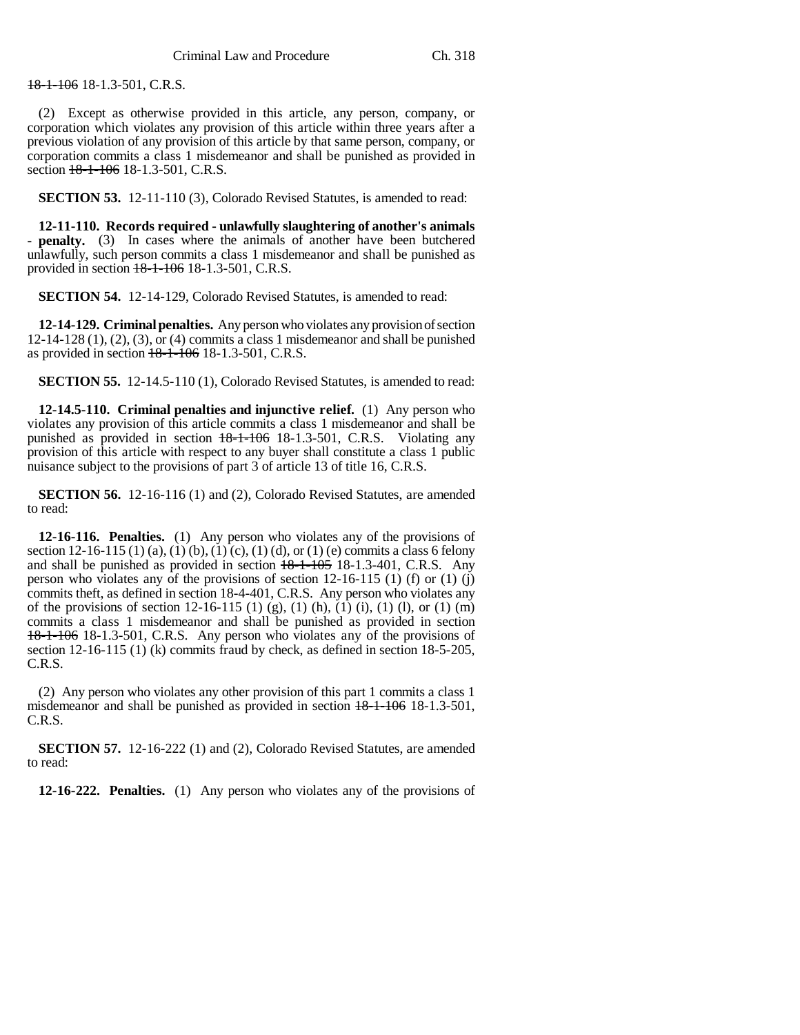18-1-106 18-1.3-501, C.R.S.

(2) Except as otherwise provided in this article, any person, company, or corporation which violates any provision of this article within three years after a previous violation of any provision of this article by that same person, company, or corporation commits a class 1 misdemeanor and shall be punished as provided in section  $18-1-106$  18-1.3-501, C.R.S.

**SECTION 53.** 12-11-110 (3), Colorado Revised Statutes, is amended to read:

**12-11-110. Records required - unlawfully slaughtering of another's animals - penalty.** (3) In cases where the animals of another have been butchered unlawfully, such person commits a class 1 misdemeanor and shall be punished as provided in section 18-1-106 18-1.3-501, C.R.S.

**SECTION 54.** 12-14-129, Colorado Revised Statutes, is amended to read:

**12-14-129. Criminal penalties.** Any person who violates any provision of section  $12-14-128(1)$ ,  $(2)$ ,  $(3)$ , or  $(4)$  commits a class 1 misdemeanor and shall be punished as provided in section 18-1-106 18-1.3-501, C.R.S.

**SECTION 55.** 12-14.5-110 (1), Colorado Revised Statutes, is amended to read:

**12-14.5-110. Criminal penalties and injunctive relief.** (1) Any person who violates any provision of this article commits a class 1 misdemeanor and shall be punished as provided in section 18-1-106 18-1.3-501, C.R.S. Violating any provision of this article with respect to any buyer shall constitute a class 1 public nuisance subject to the provisions of part 3 of article 13 of title 16, C.R.S.

**SECTION 56.** 12-16-116 (1) and (2), Colorado Revised Statutes, are amended to read:

**12-16-116. Penalties.** (1) Any person who violates any of the provisions of section 12-16-115 (1) (a), (1) (b), (1) (c), (1) (d), or (1) (e) commits a class 6 felony and shall be punished as provided in section 18-1-105 18-1.3-401, C.R.S. Any person who violates any of the provisions of section  $12-16-115$  (1) (f) or (1) (j) commits theft, as defined in section 18-4-401, C.R.S. Any person who violates any of the provisions of section 12-16-115 (1) (g), (1) (h), (1) (i), (1) (l), or (1) (m) commits a class 1 misdemeanor and shall be punished as provided in section 18-1-106 18-1.3-501, C.R.S. Any person who violates any of the provisions of section 12-16-115 (1) (k) commits fraud by check, as defined in section 18-5-205, C.R.S.

(2) Any person who violates any other provision of this part 1 commits a class 1 misdemeanor and shall be punished as provided in section 18-1-106 18-1.3-501, C.R.S.

**SECTION 57.** 12-16-222 (1) and (2), Colorado Revised Statutes, are amended to read:

**12-16-222. Penalties.** (1) Any person who violates any of the provisions of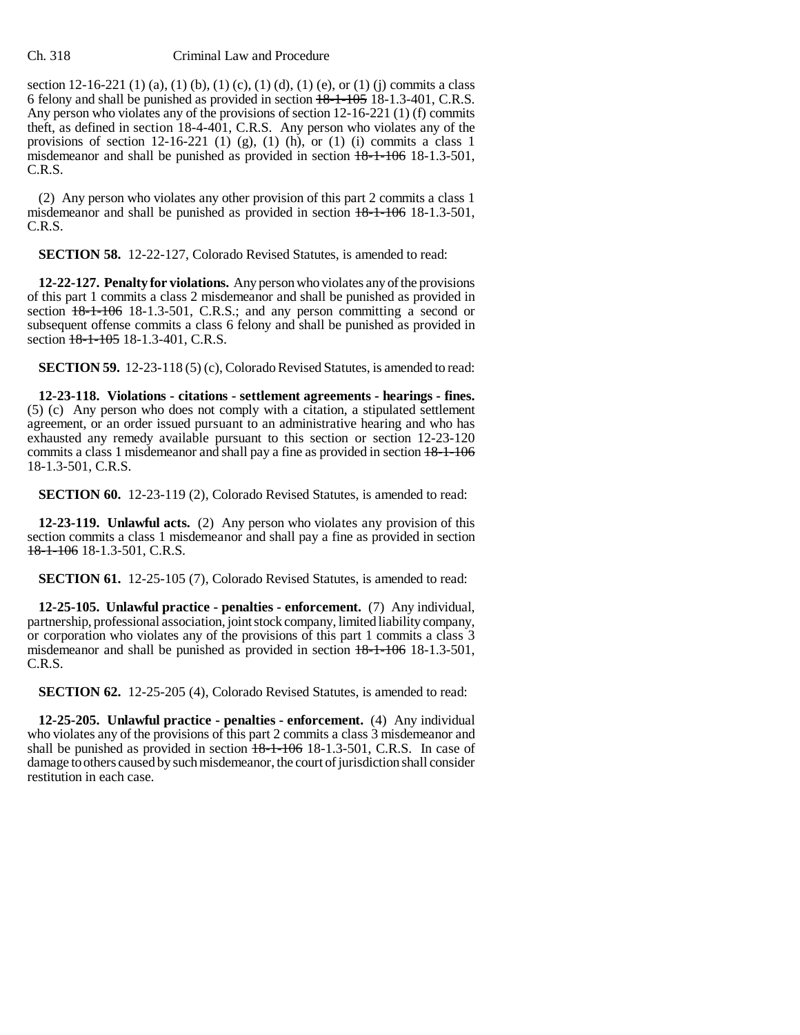section 12-16-221 (1) (a), (1) (b), (1) (c), (1) (d), (1) (e), or (1) (j) commits a class 6 felony and shall be punished as provided in section  $18-1-105$  18-1.3-401, C.R.S. Any person who violates any of the provisions of section 12-16-221 (1) (f) commits theft, as defined in section 18-4-401, C.R.S. Any person who violates any of the provisions of section 12-16-221 (1) (g), (1) (h), or (1) (i) commits a class 1 misdemeanor and shall be punished as provided in section  $18-1-106$  18-1.3-501, C.R.S.

(2) Any person who violates any other provision of this part 2 commits a class 1 misdemeanor and shall be punished as provided in section 18-1-106 18-1.3-501, C.R.S.

**SECTION 58.** 12-22-127, Colorado Revised Statutes, is amended to read:

**12-22-127. Penalty for violations.** Any person who violates any of the provisions of this part 1 commits a class 2 misdemeanor and shall be punished as provided in section  $18-1-106$  18-1.3-501, C.R.S.; and any person committing a second or subsequent offense commits a class 6 felony and shall be punished as provided in section  $18-1-105$  18-1.3-401, C.R.S.

**SECTION 59.** 12-23-118 (5) (c), Colorado Revised Statutes, is amended to read:

**12-23-118. Violations - citations - settlement agreements - hearings - fines.** (5) (c) Any person who does not comply with a citation, a stipulated settlement agreement, or an order issued pursuant to an administrative hearing and who has exhausted any remedy available pursuant to this section or section 12-23-120 commits a class 1 misdemeanor and shall pay a fine as provided in section 18-1-106 18-1.3-501, C.R.S.

**SECTION 60.** 12-23-119 (2), Colorado Revised Statutes, is amended to read:

**12-23-119. Unlawful acts.** (2) Any person who violates any provision of this section commits a class 1 misdemeanor and shall pay a fine as provided in section  $18-1-106$  18-1.3-501, C.R.S.

**SECTION 61.** 12-25-105 (7), Colorado Revised Statutes, is amended to read:

**12-25-105. Unlawful practice - penalties - enforcement.** (7) Any individual, partnership, professional association, joint stock company, limited liability company, or corporation who violates any of the provisions of this part 1 commits a class 3 misdemeanor and shall be punished as provided in section 18-1-106 18-1.3-501, C.R.S.

**SECTION 62.** 12-25-205 (4), Colorado Revised Statutes, is amended to read:

**12-25-205. Unlawful practice - penalties - enforcement.** (4) Any individual who violates any of the provisions of this part 2 commits a class 3 misdemeanor and shall be punished as provided in section  $18-1-106$  18-1.3-501, C.R.S. In case of damage to others caused by such misdemeanor, the court of jurisdiction shall consider restitution in each case.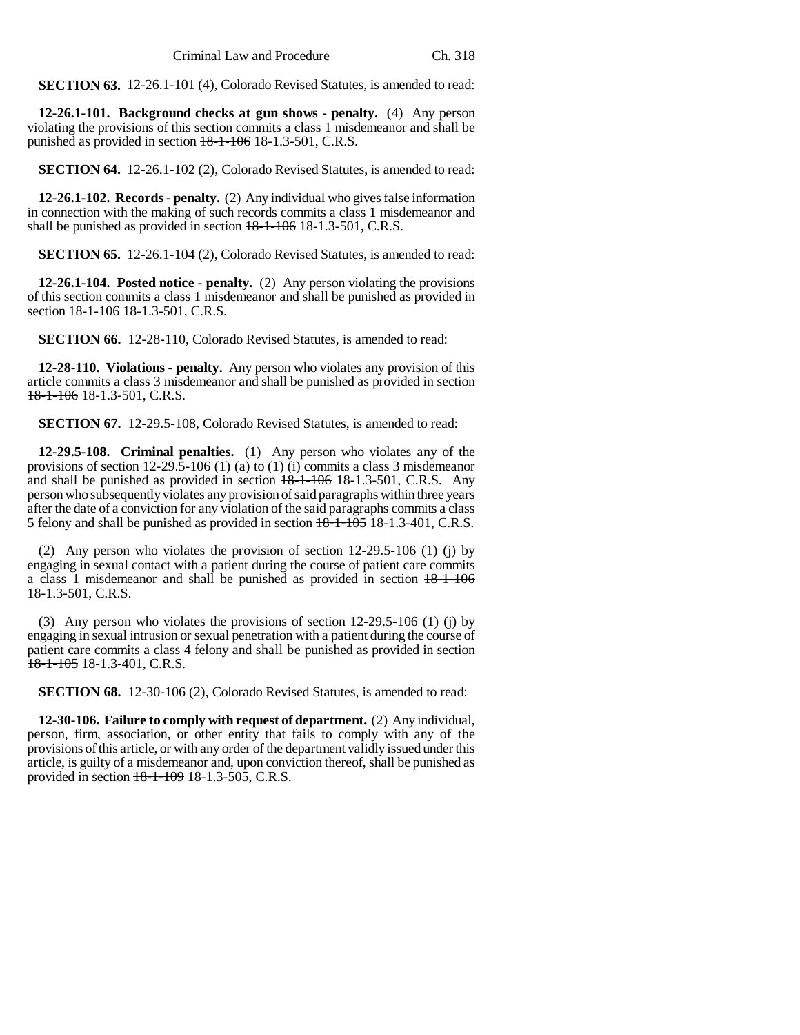**SECTION 63.** 12-26.1-101 (4), Colorado Revised Statutes, is amended to read:

**12-26.1-101. Background checks at gun shows - penalty.** (4) Any person violating the provisions of this section commits a class 1 misdemeanor and shall be punished as provided in section  $18-1-106$  18-1.3-501, C.R.S.

**SECTION 64.** 12-26.1-102 (2), Colorado Revised Statutes, is amended to read:

**12-26.1-102. Records - penalty.** (2) Any individual who gives false information in connection with the making of such records commits a class 1 misdemeanor and shall be punished as provided in section  $18-1-106$  18-1.3-501, C.R.S.

**SECTION 65.** 12-26.1-104 (2), Colorado Revised Statutes, is amended to read:

**12-26.1-104. Posted notice - penalty.** (2) Any person violating the provisions of this section commits a class 1 misdemeanor and shall be punished as provided in section  $18-1-106$  18-1.3-501, C.R.S.

**SECTION 66.** 12-28-110, Colorado Revised Statutes, is amended to read:

**12-28-110. Violations - penalty.** Any person who violates any provision of this article commits a class 3 misdemeanor and shall be punished as provided in section 18-1-106 18-1.3-501, C.R.S.

**SECTION 67.** 12-29.5-108, Colorado Revised Statutes, is amended to read:

**12-29.5-108. Criminal penalties.** (1) Any person who violates any of the provisions of section 12-29.5-106 (1) (a) to (1) (i) commits a class 3 misdemeanor and shall be punished as provided in section  $18-1-106$  18-1.3-501, C.R.S. Any person who subsequently violates any provision of said paragraphs within three years after the date of a conviction for any violation of the said paragraphs commits a class 5 felony and shall be punished as provided in section  $18\overline{-1}$  +  $105$  18-1.3-401, C.R.S.

(2) Any person who violates the provision of section 12-29.5-106 (1) (j) by engaging in sexual contact with a patient during the course of patient care commits a class 1 misdemeanor and shall be punished as provided in section 18-1-106 18-1.3-501, C.R.S.

(3) Any person who violates the provisions of section 12-29.5-106 (1) (j) by engaging in sexual intrusion or sexual penetration with a patient during the course of patient care commits a class 4 felony and shall be punished as provided in section  $18-1-105$  18-1.3-401, C.R.S.

**SECTION 68.** 12-30-106 (2), Colorado Revised Statutes, is amended to read:

**12-30-106. Failure to comply with request of department.** (2) Any individual, person, firm, association, or other entity that fails to comply with any of the provisions of this article, or with any order of the department validly issued under this article, is guilty of a misdemeanor and, upon conviction thereof, shall be punished as provided in section 18-1-109 18-1.3-505, C.R.S.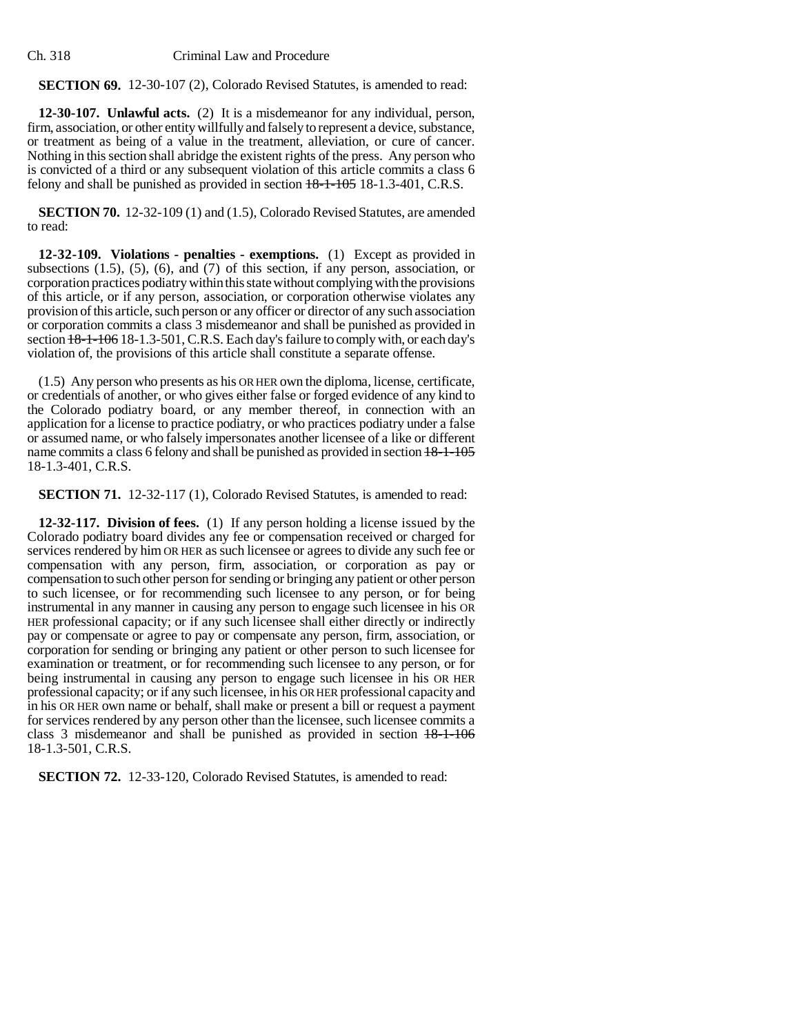**SECTION 69.** 12-30-107 (2), Colorado Revised Statutes, is amended to read:

**12-30-107. Unlawful acts.** (2) It is a misdemeanor for any individual, person, firm, association, or other entity willfully and falsely to represent a device, substance, or treatment as being of a value in the treatment, alleviation, or cure of cancer. Nothing in this section shall abridge the existent rights of the press. Any person who is convicted of a third or any subsequent violation of this article commits a class 6 felony and shall be punished as provided in section  $18-1-105$  18-1.3-401, C.R.S.

**SECTION 70.** 12-32-109 (1) and (1.5), Colorado Revised Statutes, are amended to read:

**12-32-109. Violations - penalties - exemptions.** (1) Except as provided in subsections (1.5), (5), (6), and (7) of this section, if any person, association, or corporation practices podiatry within this state without complying with the provisions of this article, or if any person, association, or corporation otherwise violates any provision of this article, such person or any officer or director of any such association or corporation commits a class 3 misdemeanor and shall be punished as provided in section 18-1-106 18-1.3-501, C.R.S. Each day's failure to comply with, or each day's violation of, the provisions of this article shall constitute a separate offense.

(1.5) Any person who presents as his OR HER own the diploma, license, certificate, or credentials of another, or who gives either false or forged evidence of any kind to the Colorado podiatry board, or any member thereof, in connection with an application for a license to practice podiatry, or who practices podiatry under a false or assumed name, or who falsely impersonates another licensee of a like or different name commits a class 6 felony and shall be punished as provided in section  $18-1-105$ 18-1.3-401, C.R.S.

**SECTION 71.** 12-32-117 (1), Colorado Revised Statutes, is amended to read:

**12-32-117. Division of fees.** (1) If any person holding a license issued by the Colorado podiatry board divides any fee or compensation received or charged for services rendered by him OR HER as such licensee or agrees to divide any such fee or compensation with any person, firm, association, or corporation as pay or compensation to such other person for sending or bringing any patient or other person to such licensee, or for recommending such licensee to any person, or for being instrumental in any manner in causing any person to engage such licensee in his OR HER professional capacity; or if any such licensee shall either directly or indirectly pay or compensate or agree to pay or compensate any person, firm, association, or corporation for sending or bringing any patient or other person to such licensee for examination or treatment, or for recommending such licensee to any person, or for being instrumental in causing any person to engage such licensee in his OR HER professional capacity; or if any such licensee, in his OR HER professional capacity and in his OR HER own name or behalf, shall make or present a bill or request a payment for services rendered by any person other than the licensee, such licensee commits a class 3 misdemeanor and shall be punished as provided in section 18-1-106 18-1.3-501, C.R.S.

**SECTION 72.** 12-33-120, Colorado Revised Statutes, is amended to read: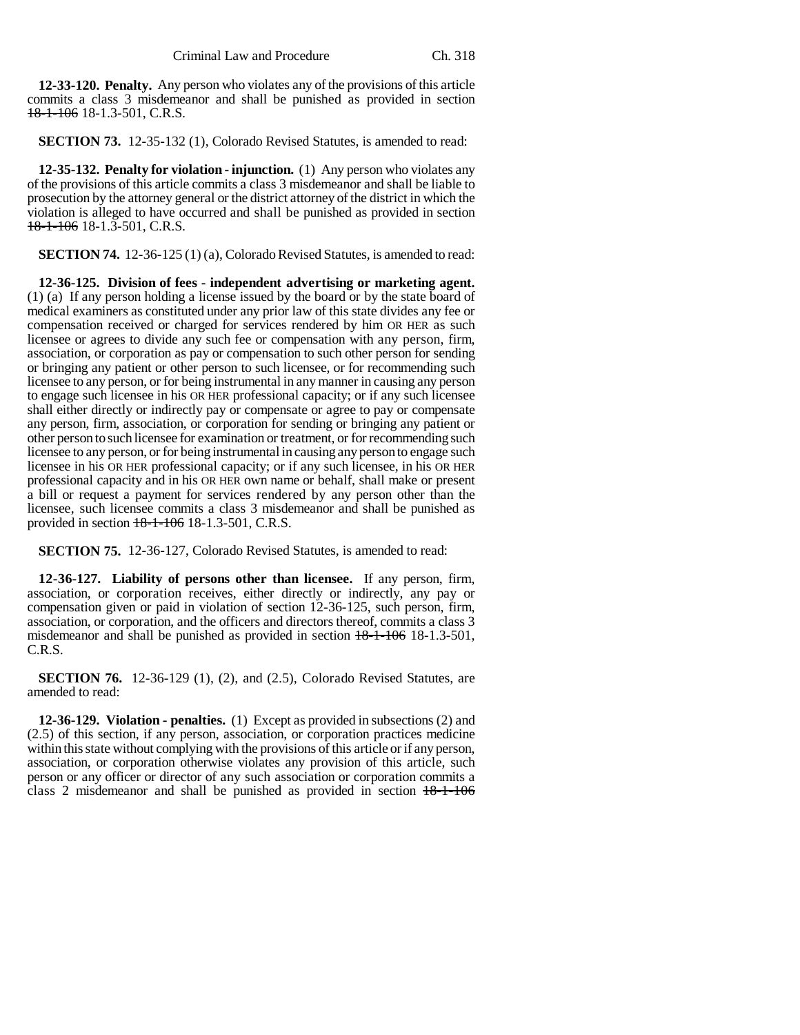**12-33-120. Penalty.** Any person who violates any of the provisions of this article commits a class 3 misdemeanor and shall be punished as provided in section 18-1-106 18-1.3-501, C.R.S.

**SECTION 73.** 12-35-132 (1), Colorado Revised Statutes, is amended to read:

**12-35-132. Penalty for violation - injunction.** (1) Any person who violates any of the provisions of this article commits a class 3 misdemeanor and shall be liable to prosecution by the attorney general or the district attorney of the district in which the violation is alleged to have occurred and shall be punished as provided in section 18-1-106 18-1.3-501, C.R.S.

**SECTION 74.** 12-36-125 (1) (a), Colorado Revised Statutes, is amended to read:

**12-36-125. Division of fees - independent advertising or marketing agent.** (1) (a) If any person holding a license issued by the board or by the state board of medical examiners as constituted under any prior law of this state divides any fee or compensation received or charged for services rendered by him OR HER as such licensee or agrees to divide any such fee or compensation with any person, firm, association, or corporation as pay or compensation to such other person for sending or bringing any patient or other person to such licensee, or for recommending such licensee to any person, or for being instrumental in any manner in causing any person to engage such licensee in his OR HER professional capacity; or if any such licensee shall either directly or indirectly pay or compensate or agree to pay or compensate any person, firm, association, or corporation for sending or bringing any patient or other person to such licensee for examination or treatment, or for recommending such licensee to any person, or for being instrumental in causing any person to engage such licensee in his OR HER professional capacity; or if any such licensee, in his OR HER professional capacity and in his OR HER own name or behalf, shall make or present a bill or request a payment for services rendered by any person other than the licensee, such licensee commits a class 3 misdemeanor and shall be punished as provided in section 18-1-106 18-1.3-501, C.R.S.

**SECTION 75.** 12-36-127, Colorado Revised Statutes, is amended to read:

**12-36-127. Liability of persons other than licensee.** If any person, firm, association, or corporation receives, either directly or indirectly, any pay or compensation given or paid in violation of section 12-36-125, such person, firm, association, or corporation, and the officers and directors thereof, commits a class 3 misdemeanor and shall be punished as provided in section  $18-1-106$  18-1.3-501, C.R.S.

**SECTION 76.** 12-36-129 (1), (2), and (2.5), Colorado Revised Statutes, are amended to read:

**12-36-129. Violation - penalties.** (1) Except as provided in subsections (2) and (2.5) of this section, if any person, association, or corporation practices medicine within this state without complying with the provisions of this article or if any person, association, or corporation otherwise violates any provision of this article, such person or any officer or director of any such association or corporation commits a class 2 misdemeanor and shall be punished as provided in section  $18-1-106$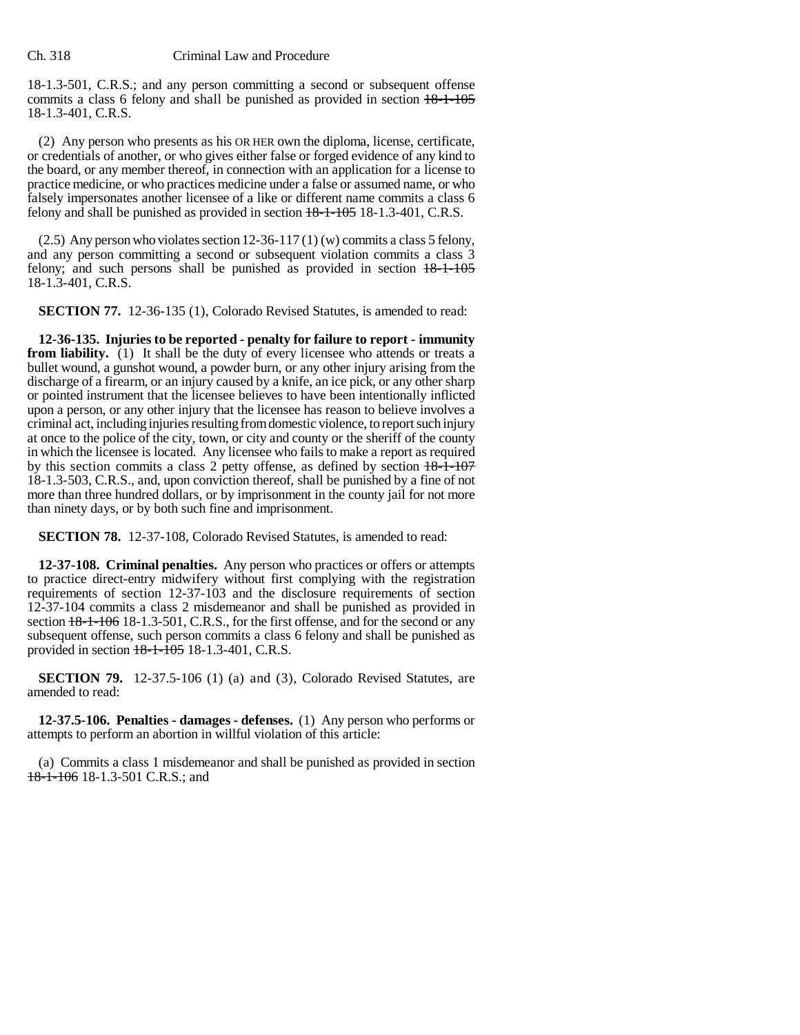18-1.3-501, C.R.S.; and any person committing a second or subsequent offense commits a class 6 felony and shall be punished as provided in section 18-1-105 18-1.3-401, C.R.S.

(2) Any person who presents as his OR HER own the diploma, license, certificate, or credentials of another, or who gives either false or forged evidence of any kind to the board, or any member thereof, in connection with an application for a license to practice medicine, or who practices medicine under a false or assumed name, or who falsely impersonates another licensee of a like or different name commits a class 6 felony and shall be punished as provided in section 18-1-105 18-1.3-401, C.R.S.

 $(2.5)$  Any person who violates section 12-36-117 (1) (w) commits a class 5 felony, and any person committing a second or subsequent violation commits a class 3 felony; and such persons shall be punished as provided in section 18-1-105 18-1.3-401, C.R.S.

**SECTION 77.** 12-36-135 (1), Colorado Revised Statutes, is amended to read:

**12-36-135. Injuries to be reported - penalty for failure to report - immunity from liability.** (1) It shall be the duty of every licensee who attends or treats a bullet wound, a gunshot wound, a powder burn, or any other injury arising from the discharge of a firearm, or an injury caused by a knife, an ice pick, or any other sharp or pointed instrument that the licensee believes to have been intentionally inflicted upon a person, or any other injury that the licensee has reason to believe involves a criminal act, including injuries resulting from domestic violence, to report such injury at once to the police of the city, town, or city and county or the sheriff of the county in which the licensee is located. Any licensee who fails to make a report as required by this section commits a class 2 petty offense, as defined by section 18-1-107 18-1.3-503, C.R.S., and, upon conviction thereof, shall be punished by a fine of not more than three hundred dollars, or by imprisonment in the county jail for not more than ninety days, or by both such fine and imprisonment.

**SECTION 78.** 12-37-108, Colorado Revised Statutes, is amended to read:

**12-37-108. Criminal penalties.** Any person who practices or offers or attempts to practice direct-entry midwifery without first complying with the registration requirements of section 12-37-103 and the disclosure requirements of section 12-37-104 commits a class 2 misdemeanor and shall be punished as provided in section  $18-1-106$  18-1.3-501, C.R.S., for the first offense, and for the second or any subsequent offense, such person commits a class 6 felony and shall be punished as provided in section 18-1-105 18-1.3-401, C.R.S.

**SECTION 79.** 12-37.5-106 (1) (a) and (3), Colorado Revised Statutes, are amended to read:

**12-37.5-106. Penalties - damages - defenses.** (1) Any person who performs or attempts to perform an abortion in willful violation of this article:

(a) Commits a class 1 misdemeanor and shall be punished as provided in section 18-1-106 18-1.3-501 C.R.S.; and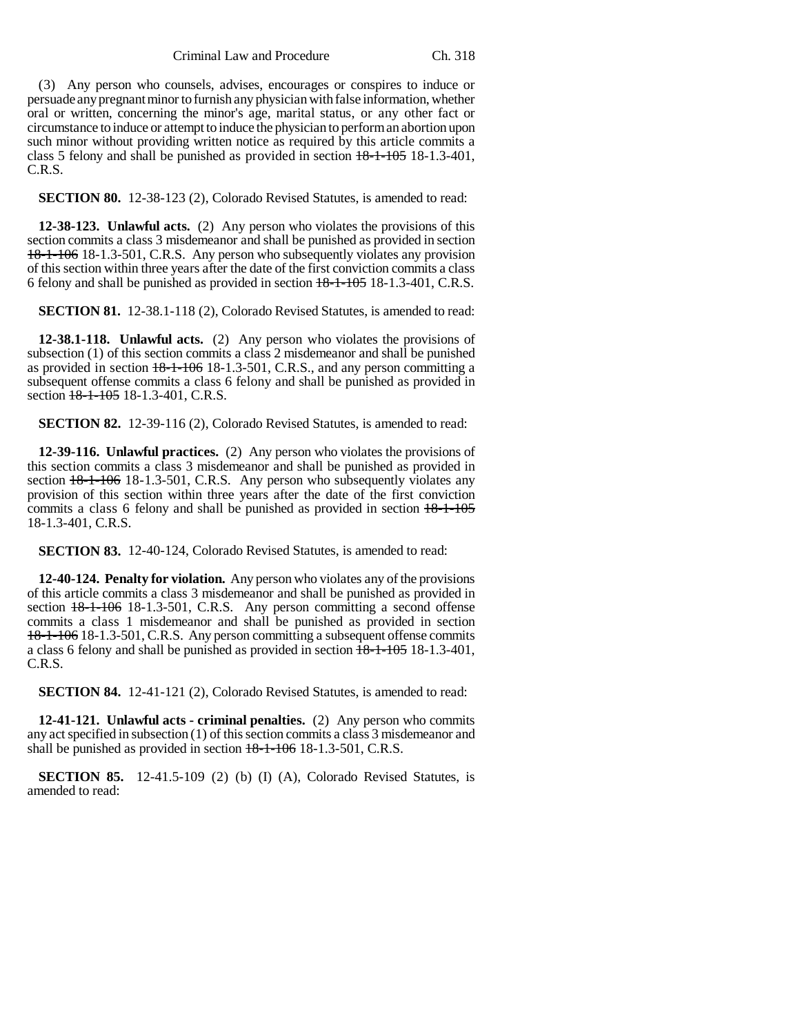Criminal Law and Procedure Ch. 318

(3) Any person who counsels, advises, encourages or conspires to induce or persuade any pregnant minor to furnish any physician with false information, whether oral or written, concerning the minor's age, marital status, or any other fact or circumstance to induce or attempt to induce the physician to perform an abortion upon such minor without providing written notice as required by this article commits a class 5 felony and shall be punished as provided in section  $18-1-105$  18-1.3-401, C.R.S.

**SECTION 80.** 12-38-123 (2), Colorado Revised Statutes, is amended to read:

**12-38-123. Unlawful acts.** (2) Any person who violates the provisions of this section commits a class 3 misdemeanor and shall be punished as provided in section 18-1-106 18-1.3-501, C.R.S. Any person who subsequently violates any provision of this section within three years after the date of the first conviction commits a class 6 felony and shall be punished as provided in section 18-1-105 18-1.3-401, C.R.S.

**SECTION 81.** 12-38.1-118 (2), Colorado Revised Statutes, is amended to read:

**12-38.1-118. Unlawful acts.** (2) Any person who violates the provisions of subsection (1) of this section commits a class 2 misdemeanor and shall be punished as provided in section 18-1-106 18-1.3-501, C.R.S., and any person committing a subsequent offense commits a class 6 felony and shall be punished as provided in section  $18-1-105$  18-1.3-401, C.R.S.

**SECTION 82.** 12-39-116 (2), Colorado Revised Statutes, is amended to read:

**12-39-116. Unlawful practices.** (2) Any person who violates the provisions of this section commits a class 3 misdemeanor and shall be punished as provided in section  $18-1-106$  18-1.3-501, C.R.S. Any person who subsequently violates any provision of this section within three years after the date of the first conviction commits a class 6 felony and shall be punished as provided in section  $18-1-105$ 18-1.3-401, C.R.S.

**SECTION 83.** 12-40-124, Colorado Revised Statutes, is amended to read:

**12-40-124. Penalty for violation.** Any person who violates any of the provisions of this article commits a class 3 misdemeanor and shall be punished as provided in section  $18-1-106$  18-1.3-501, C.R.S. Any person committing a second offense commits a class 1 misdemeanor and shall be punished as provided in section 18-1-106 18-1.3-501, C.R.S. Any person committing a subsequent offense commits a class 6 felony and shall be punished as provided in section 18-1-105 18-1.3-401, C.R.S.

**SECTION 84.** 12-41-121 (2), Colorado Revised Statutes, is amended to read:

**12-41-121. Unlawful acts - criminal penalties.** (2) Any person who commits any act specified in subsection (1) of this section commits a class 3 misdemeanor and shall be punished as provided in section  $18-1-106$  18-1.3-501, C.R.S.

**SECTION 85.** 12-41.5-109 (2) (b) (I) (A), Colorado Revised Statutes, is amended to read: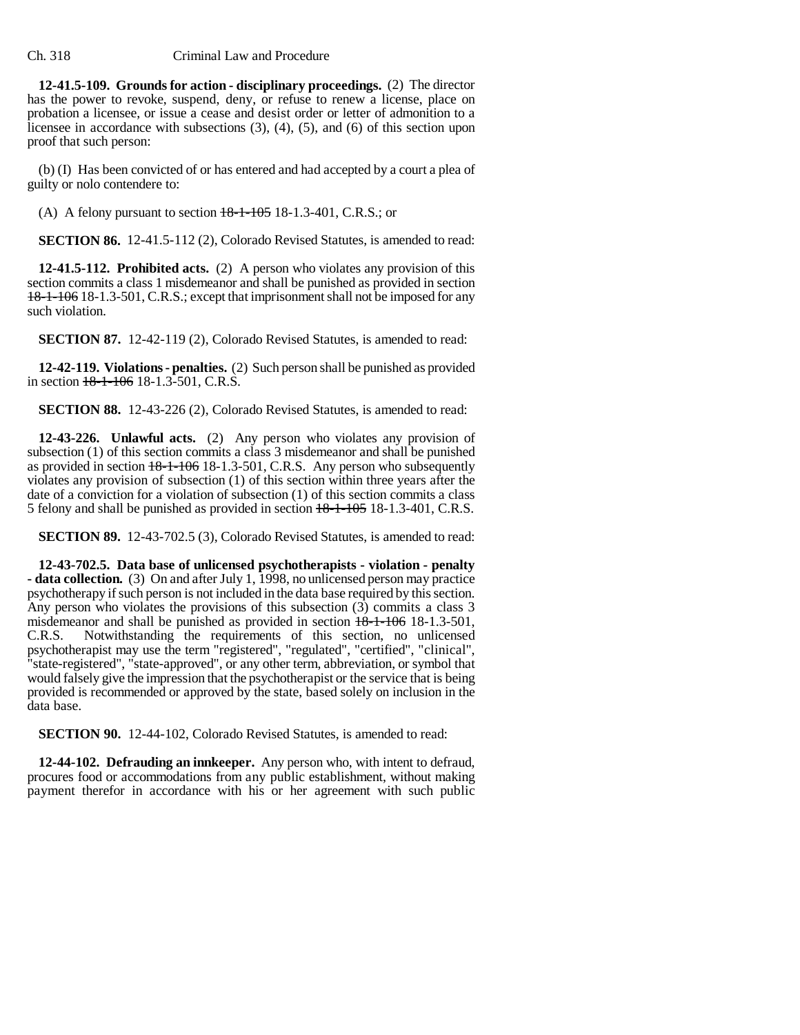**12-41.5-109. Grounds for action - disciplinary proceedings.** (2) The director has the power to revoke, suspend, deny, or refuse to renew a license, place on probation a licensee, or issue a cease and desist order or letter of admonition to a licensee in accordance with subsections (3), (4), (5), and (6) of this section upon proof that such person:

(b) (I) Has been convicted of or has entered and had accepted by a court a plea of guilty or nolo contendere to:

(A) A felony pursuant to section  $18-1-105$  18-1.3-401, C.R.S.; or

**SECTION 86.** 12-41.5-112 (2), Colorado Revised Statutes, is amended to read:

**12-41.5-112. Prohibited acts.** (2) A person who violates any provision of this section commits a class 1 misdemeanor and shall be punished as provided in section 18-1-106 18-1.3-501, C.R.S.; except that imprisonment shall not be imposed for any such violation.

**SECTION 87.** 12-42-119 (2), Colorado Revised Statutes, is amended to read:

**12-42-119. Violations - penalties.** (2) Such person shall be punished as provided in section  $18-1-106$  18-1.3-501, C.R.S.

**SECTION 88.** 12-43-226 (2), Colorado Revised Statutes, is amended to read:

**12-43-226. Unlawful acts.** (2) Any person who violates any provision of subsection (1) of this section commits a class 3 misdemeanor and shall be punished as provided in section 18-1-106 18-1.3-501, C.R.S. Any person who subsequently violates any provision of subsection (1) of this section within three years after the date of a conviction for a violation of subsection (1) of this section commits a class 5 felony and shall be punished as provided in section 18-1-105 18-1.3-401, C.R.S.

**SECTION 89.** 12-43-702.5 (3), Colorado Revised Statutes, is amended to read:

**12-43-702.5. Data base of unlicensed psychotherapists - violation - penalty - data collection.** (3) On and after July 1, 1998, no unlicensed person may practice psychotherapy if such person is not included in the data base required by this section. Any person who violates the provisions of this subsection (3) commits a class 3 misdemeanor and shall be punished as provided in section 18-1-106 18-1.3-501, C.R.S. Notwithstanding the requirements of this section, no unlicensed psychotherapist may use the term "registered", "regulated", "certified", "clinical", "state-registered", "state-approved", or any other term, abbreviation, or symbol that would falsely give the impression that the psychotherapist or the service that is being provided is recommended or approved by the state, based solely on inclusion in the data base.

**SECTION 90.** 12-44-102, Colorado Revised Statutes, is amended to read:

**12-44-102. Defrauding an innkeeper.** Any person who, with intent to defraud, procures food or accommodations from any public establishment, without making payment therefor in accordance with his or her agreement with such public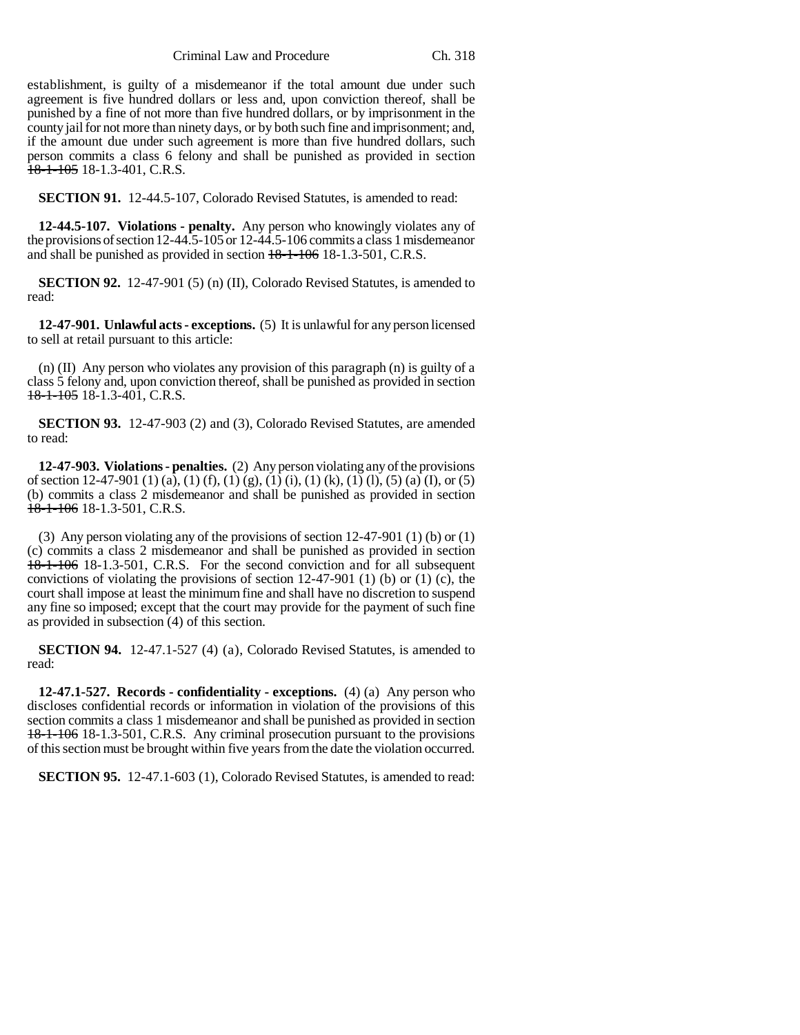Criminal Law and Procedure Ch. 318

establishment, is guilty of a misdemeanor if the total amount due under such agreement is five hundred dollars or less and, upon conviction thereof, shall be punished by a fine of not more than five hundred dollars, or by imprisonment in the county jail for not more than ninety days, or by both such fine and imprisonment; and, if the amount due under such agreement is more than five hundred dollars, such person commits a class 6 felony and shall be punished as provided in section 18-1-105 18-1.3-401, C.R.S.

**SECTION 91.** 12-44.5-107, Colorado Revised Statutes, is amended to read:

**12-44.5-107. Violations - penalty.** Any person who knowingly violates any of the provisions of section 12-44.5-105 or 12-44.5-106 commits a class 1 misdemeanor and shall be punished as provided in section 18-1-106 18-1.3-501, C.R.S.

**SECTION 92.** 12-47-901 (5) (n) (II), Colorado Revised Statutes, is amended to read:

**12-47-901. Unlawful acts - exceptions.** (5) It is unlawful for any person licensed to sell at retail pursuant to this article:

(n) (II) Any person who violates any provision of this paragraph (n) is guilty of a class 5 felony and, upon conviction thereof, shall be punished as provided in section 18-1-105 18-1.3-401, C.R.S.

**SECTION 93.** 12-47-903 (2) and (3), Colorado Revised Statutes, are amended to read:

**12-47-903. Violations - penalties.** (2) Any person violating any of the provisions of section 12-47-901 (1) (a), (1) (f), (1) (g), (1) (i), (1) (k), (1) (l), (5) (a) (I), or (5) (b) commits a class 2 misdemeanor and shall be punished as provided in section 18-1-106 18-1.3-501, C.R.S.

(3) Any person violating any of the provisions of section 12-47-901 (1) (b) or (1) (c) commits a class 2 misdemeanor and shall be punished as provided in section  $18-1-106$  18-1.3-501, C.R.S. For the second conviction and for all subsequent convictions of violating the provisions of section  $12-47-901$  (1) (b) or (1) (c), the court shall impose at least the minimum fine and shall have no discretion to suspend any fine so imposed; except that the court may provide for the payment of such fine as provided in subsection (4) of this section.

**SECTION 94.** 12-47.1-527 (4) (a), Colorado Revised Statutes, is amended to read:

**12-47.1-527. Records - confidentiality - exceptions.** (4) (a) Any person who discloses confidential records or information in violation of the provisions of this section commits a class 1 misdemeanor and shall be punished as provided in section 18-1-106 18-1.3-501, C.R.S. Any criminal prosecution pursuant to the provisions of this section must be brought within five years from the date the violation occurred.

**SECTION 95.** 12-47.1-603 (1), Colorado Revised Statutes, is amended to read: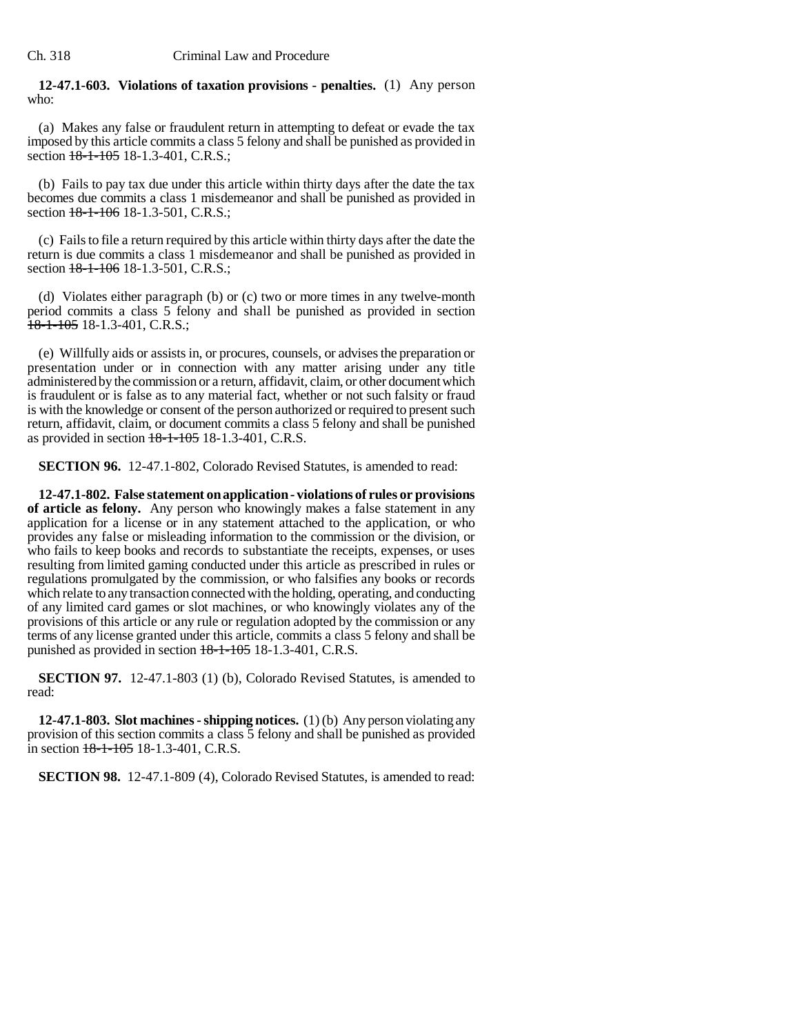# **12-47.1-603. Violations of taxation provisions - penalties.** (1) Any person who:

(a) Makes any false or fraudulent return in attempting to defeat or evade the tax imposed by this article commits a class 5 felony and shall be punished as provided in section 18-1-105 18-1.3-401, C.R.S.;

(b) Fails to pay tax due under this article within thirty days after the date the tax becomes due commits a class 1 misdemeanor and shall be punished as provided in section 18-1-106 18-1.3-501, C.R.S.;

(c) Fails to file a return required by this article within thirty days after the date the return is due commits a class 1 misdemeanor and shall be punished as provided in section  $18-1-106$  18-1.3-501, C.R.S.;

(d) Violates either paragraph (b) or (c) two or more times in any twelve-month period commits a class 5 felony and shall be punished as provided in section  $\frac{18-1-105}{18-1.3-401}$ , C.R.S.;

(e) Willfully aids or assists in, or procures, counsels, or advises the preparation or presentation under or in connection with any matter arising under any title administered by the commission or a return, affidavit, claim, or other document which is fraudulent or is false as to any material fact, whether or not such falsity or fraud is with the knowledge or consent of the person authorized or required to present such return, affidavit, claim, or document commits a class 5 felony and shall be punished as provided in section 18-1-105 18-1.3-401, C.R.S.

**SECTION 96.** 12-47.1-802, Colorado Revised Statutes, is amended to read:

**12-47.1-802. False statement on application - violations of rules or provisions of article as felony.** Any person who knowingly makes a false statement in any application for a license or in any statement attached to the application, or who provides any false or misleading information to the commission or the division, or who fails to keep books and records to substantiate the receipts, expenses, or uses resulting from limited gaming conducted under this article as prescribed in rules or regulations promulgated by the commission, or who falsifies any books or records which relate to any transaction connected with the holding, operating, and conducting of any limited card games or slot machines, or who knowingly violates any of the provisions of this article or any rule or regulation adopted by the commission or any terms of any license granted under this article, commits a class 5 felony and shall be punished as provided in section  $18-1-105$  18-1.3-401, C.R.S.

**SECTION 97.** 12-47.1-803 (1) (b), Colorado Revised Statutes, is amended to read:

**12-47.1-803. Slot machines - shipping notices.** (1) (b) Any person violating any provision of this section commits a class 5 felony and shall be punished as provided in section 18-1-105 18-1.3-401, C.R.S.

**SECTION 98.** 12-47.1-809 (4), Colorado Revised Statutes, is amended to read: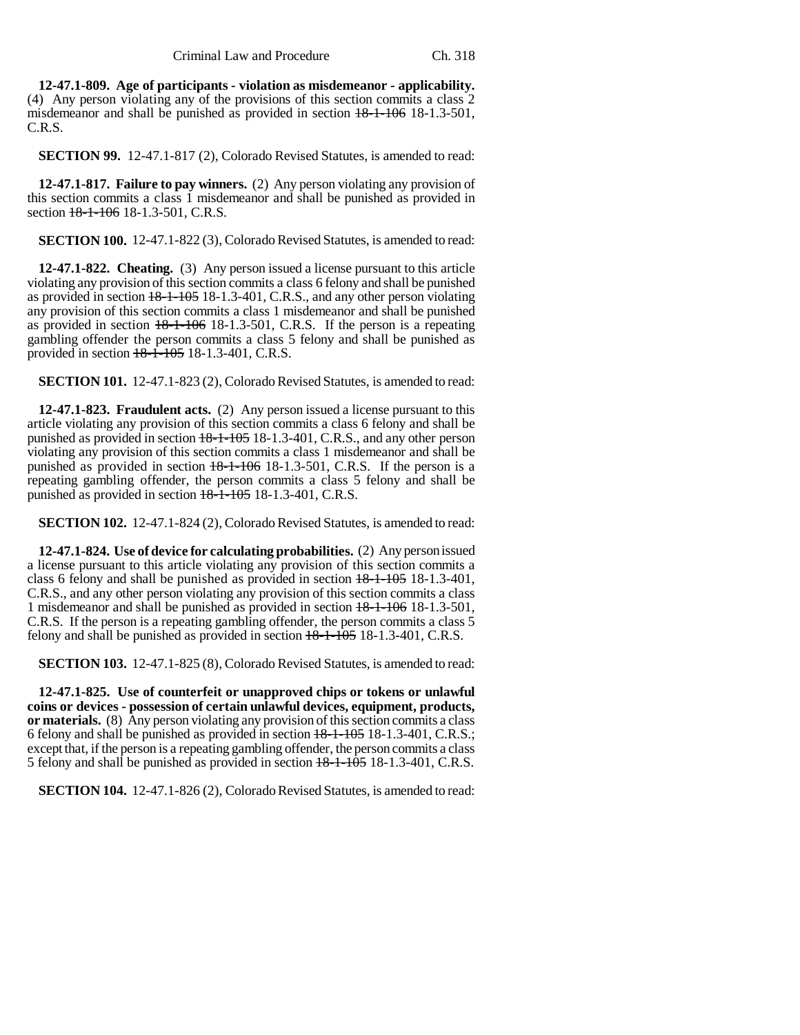**12-47.1-809. Age of participants - violation as misdemeanor - applicability.** (4) Any person violating any of the provisions of this section commits a class 2 misdemeanor and shall be punished as provided in section  $18-1-106$  18-1.3-501, C.R.S.

**SECTION 99.** 12-47.1-817 (2), Colorado Revised Statutes, is amended to read:

**12-47.1-817. Failure to pay winners.** (2) Any person violating any provision of this section commits a class 1 misdemeanor and shall be punished as provided in section  $18-1-106$  18-1.3-501, C.R.S.

**SECTION 100.** 12-47.1-822 (3), Colorado Revised Statutes, is amended to read:

**12-47.1-822. Cheating.** (3) Any person issued a license pursuant to this article violating any provision of this section commits a class 6 felony and shall be punished as provided in section 18-1-105 18-1.3-401, C.R.S., and any other person violating any provision of this section commits a class 1 misdemeanor and shall be punished as provided in section  $18-1-106$  18-1.3-501, C.R.S. If the person is a repeating gambling offender the person commits a class 5 felony and shall be punished as provided in section 18-1-105 18-1.3-401, C.R.S.

**SECTION 101.** 12-47.1-823 (2), Colorado Revised Statutes, is amended to read:

**12-47.1-823. Fraudulent acts.** (2) Any person issued a license pursuant to this article violating any provision of this section commits a class 6 felony and shall be punished as provided in section 18-1-105 18-1.3-401, C.R.S., and any other person violating any provision of this section commits a class 1 misdemeanor and shall be punished as provided in section 18-1-106 18-1.3-501, C.R.S. If the person is a repeating gambling offender, the person commits a class 5 felony and shall be punished as provided in section 18-1-105 18-1.3-401, C.R.S.

**SECTION 102.** 12-47.1-824 (2), Colorado Revised Statutes, is amended to read:

**12-47.1-824. Use of device for calculating probabilities.** (2) Any person issued a license pursuant to this article violating any provision of this section commits a class 6 felony and shall be punished as provided in section  $18-1-105$  18-1.3-401, C.R.S., and any other person violating any provision of this section commits a class 1 misdemeanor and shall be punished as provided in section 18-1-106 18-1.3-501, C.R.S. If the person is a repeating gambling offender, the person commits a class 5 felony and shall be punished as provided in section  $18-1-105$  18-1.3-401, C.R.S.

**SECTION 103.** 12-47.1-825 (8), Colorado Revised Statutes, is amended to read:

**12-47.1-825. Use of counterfeit or unapproved chips or tokens or unlawful coins or devices - possession of certain unlawful devices, equipment, products, or materials.** (8) Any person violating any provision of this section commits a class 6 felony and shall be punished as provided in section 18-1-105 18-1.3-401, C.R.S.; except that, if the person is a repeating gambling offender, the person commits a class 5 felony and shall be punished as provided in section  $18-1-105$  18-1.3-401, C.R.S.

**SECTION 104.** 12-47.1-826 (2), Colorado Revised Statutes, is amended to read: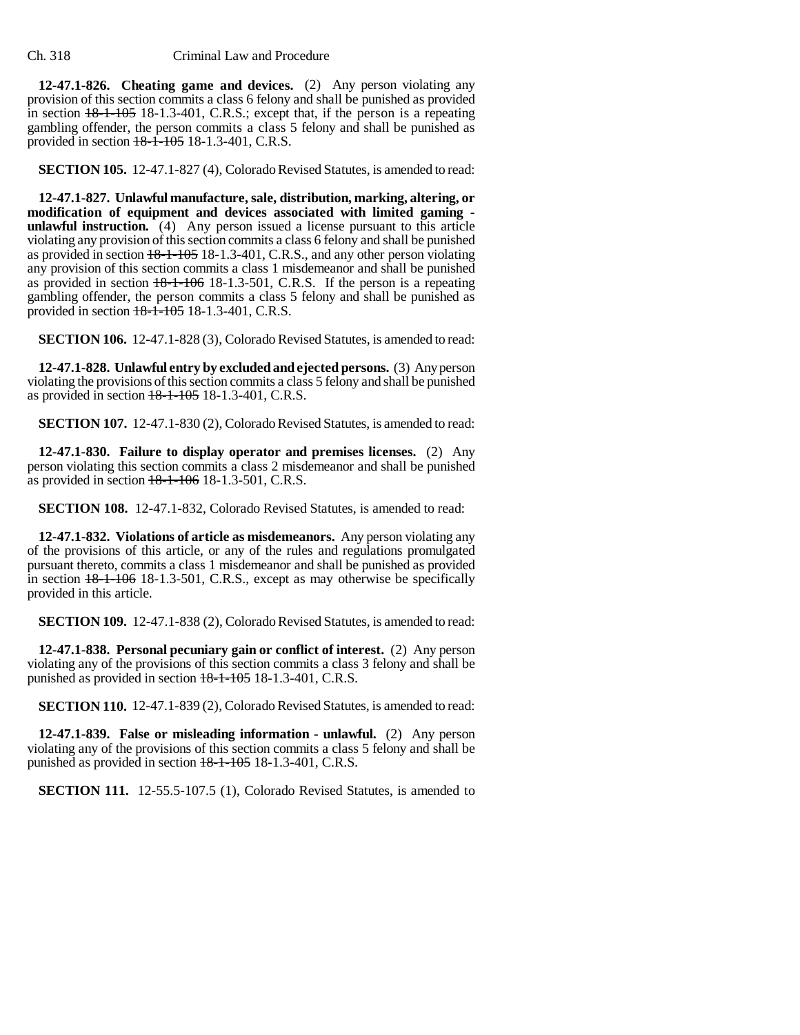**12-47.1-826. Cheating game and devices.** (2) Any person violating any provision of this section commits a class 6 felony and shall be punished as provided in section  $18-1-105$  18-1.3-401, C.R.S.; except that, if the person is a repeating gambling offender, the person commits a class 5 felony and shall be punished as provided in section 18-1-105 18-1.3-401, C.R.S.

**SECTION 105.** 12-47.1-827 (4), Colorado Revised Statutes, is amended to read:

**12-47.1-827. Unlawful manufacture, sale, distribution, marking, altering, or modification of equipment and devices associated with limited gaming unlawful instruction.** (4) Any person issued a license pursuant to this article violating any provision of this section commits a class 6 felony and shall be punished as provided in section  $18-1-105$  18-1.3-401, C.R.S., and any other person violating any provision of this section commits a class 1 misdemeanor and shall be punished as provided in section  $18-1-106$  18-1.3-501, C.R.S. If the person is a repeating gambling offender, the person commits a class 5 felony and shall be punished as provided in section 18-1-105 18-1.3-401, C.R.S.

**SECTION 106.** 12-47.1-828 (3), Colorado Revised Statutes, is amended to read:

**12-47.1-828. Unlawful entry by excluded and ejected persons.** (3) Any person violating the provisions of this section commits a class 5 felony and shall be punished as provided in section 18-1-105 18-1.3-401, C.R.S.

**SECTION 107.** 12-47.1-830 (2), Colorado Revised Statutes, is amended to read:

**12-47.1-830. Failure to display operator and premises licenses.** (2) Any person violating this section commits a class 2 misdemeanor and shall be punished as provided in section 18-1-106 18-1.3-501, C.R.S.

**SECTION 108.** 12-47.1-832, Colorado Revised Statutes, is amended to read:

**12-47.1-832. Violations of article as misdemeanors.** Any person violating any of the provisions of this article, or any of the rules and regulations promulgated pursuant thereto, commits a class 1 misdemeanor and shall be punished as provided in section  $18-1-106$  18-1.3-501, C.R.S., except as may otherwise be specifically provided in this article.

**SECTION 109.** 12-47.1-838 (2), Colorado Revised Statutes, is amended to read:

**12-47.1-838. Personal pecuniary gain or conflict of interest.** (2) Any person violating any of the provisions of this section commits a class 3 felony and shall be punished as provided in section 18-1-105 18-1.3-401, C.R.S.

**SECTION 110.** 12-47.1-839 (2), Colorado Revised Statutes, is amended to read:

**12-47.1-839. False or misleading information - unlawful.** (2) Any person violating any of the provisions of this section commits a class 5 felony and shall be punished as provided in section 18-1-105 18-1.3-401, C.R.S.

**SECTION 111.** 12-55.5-107.5 (1), Colorado Revised Statutes, is amended to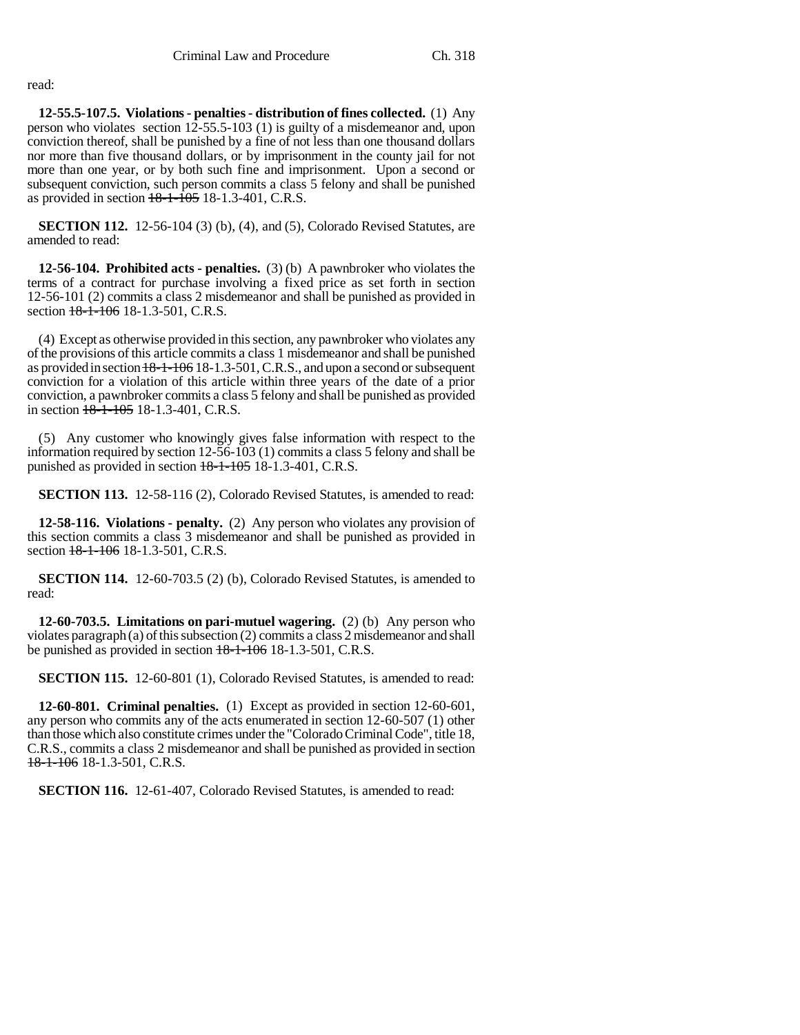read:

**12-55.5-107.5. Violations - penalties - distribution of fines collected.** (1) Any person who violates section  $12-55.5-103$  (1) is guilty of a misdemeanor and, upon conviction thereof, shall be punished by a fine of not less than one thousand dollars nor more than five thousand dollars, or by imprisonment in the county jail for not more than one year, or by both such fine and imprisonment. Upon a second or subsequent conviction, such person commits a class 5 felony and shall be punished as provided in section  $18-1-105$  18-1.3-401, C.R.S.

**SECTION 112.** 12-56-104 (3) (b), (4), and (5), Colorado Revised Statutes, are amended to read:

**12-56-104. Prohibited acts - penalties.** (3) (b) A pawnbroker who violates the terms of a contract for purchase involving a fixed price as set forth in section 12-56-101 (2) commits a class 2 misdemeanor and shall be punished as provided in section  $18-1-106$  18-1.3-501, C.R.S.

(4) Except as otherwise provided in this section, any pawnbroker who violates any of the provisions of this article commits a class 1 misdemeanor and shall be punished as provided in section 18-1-106 18-1.3-501, C.R.S., and upon a second or subsequent conviction for a violation of this article within three years of the date of a prior conviction, a pawnbroker commits a class 5 felony and shall be punished as provided in section  $18\overline{-1}$  -105 18-1.3-401, C.R.S.

(5) Any customer who knowingly gives false information with respect to the information required by section 12-56-103 (1) commits a class 5 felony and shall be punished as provided in section 18-1-105 18-1.3-401, C.R.S.

**SECTION 113.** 12-58-116 (2), Colorado Revised Statutes, is amended to read:

**12-58-116. Violations - penalty.** (2) Any person who violates any provision of this section commits a class 3 misdemeanor and shall be punished as provided in section  $18-1-106$  18-1.3-501, C.R.S.

**SECTION 114.** 12-60-703.5 (2) (b), Colorado Revised Statutes, is amended to read:

**12-60-703.5. Limitations on pari-mutuel wagering.** (2) (b) Any person who violates paragraph (a) of this subsection (2) commits a class 2 misdemeanor and shall be punished as provided in section 18-1-106 18-1.3-501, C.R.S.

**SECTION 115.** 12-60-801 (1), Colorado Revised Statutes, is amended to read:

**12-60-801. Criminal penalties.** (1) Except as provided in section 12-60-601, any person who commits any of the acts enumerated in section 12-60-507 (1) other than those which also constitute crimes under the "Colorado Criminal Code", title 18, C.R.S., commits a class 2 misdemeanor and shall be punished as provided in section  $18-1-106$  18-1.3-501, C.R.S.

**SECTION 116.** 12-61-407, Colorado Revised Statutes, is amended to read: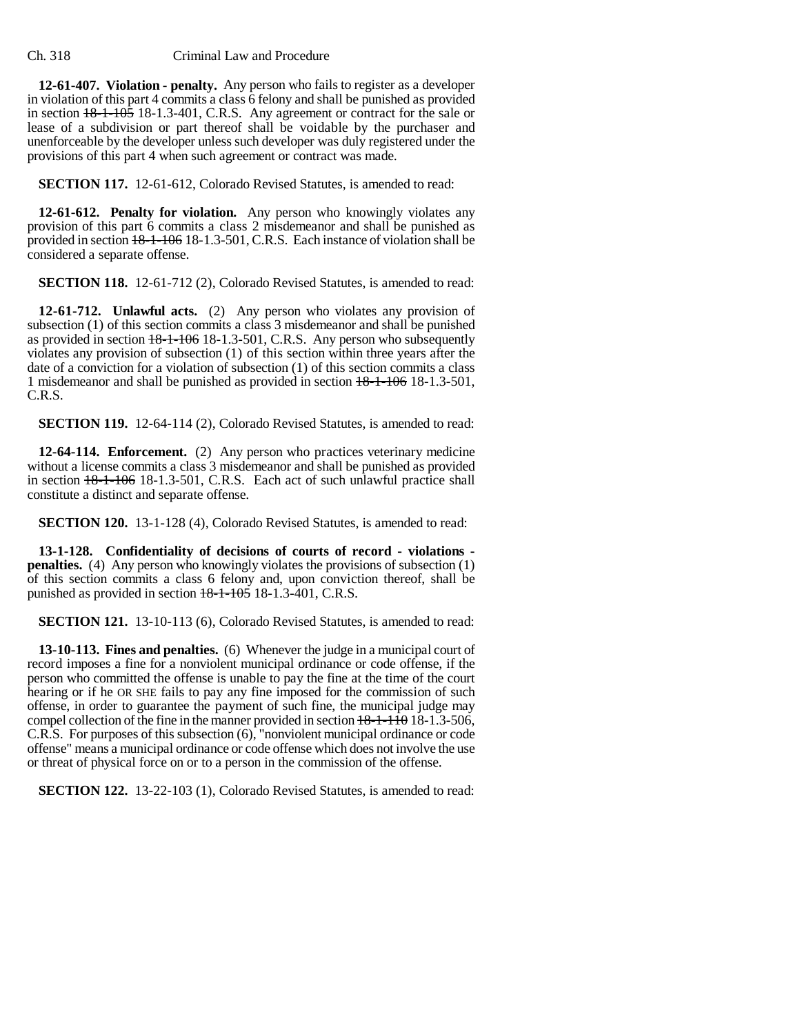**12-61-407. Violation - penalty.** Any person who fails to register as a developer in violation of this part 4 commits a class 6 felony and shall be punished as provided in section 18-1-105 18-1.3-401, C.R.S. Any agreement or contract for the sale or lease of a subdivision or part thereof shall be voidable by the purchaser and unenforceable by the developer unless such developer was duly registered under the provisions of this part 4 when such agreement or contract was made.

**SECTION 117.** 12-61-612, Colorado Revised Statutes, is amended to read:

**12-61-612. Penalty for violation.** Any person who knowingly violates any provision of this part 6 commits a class 2 misdemeanor and shall be punished as provided in section 18-1-106 18-1.3-501, C.R.S. Each instance of violation shall be considered a separate offense.

**SECTION 118.** 12-61-712 (2), Colorado Revised Statutes, is amended to read:

**12-61-712. Unlawful acts.** (2) Any person who violates any provision of subsection (1) of this section commits a class 3 misdemeanor and shall be punished as provided in section 18-1-106 18-1.3-501, C.R.S. Any person who subsequently violates any provision of subsection (1) of this section within three years after the date of a conviction for a violation of subsection (1) of this section commits a class 1 misdemeanor and shall be punished as provided in section 18-1-106 18-1.3-501, C.R.S.

**SECTION 119.** 12-64-114 (2), Colorado Revised Statutes, is amended to read:

**12-64-114. Enforcement.** (2) Any person who practices veterinary medicine without a license commits a class 3 misdemeanor and shall be punished as provided in section 18-1-106 18-1.3-501, C.R.S. Each act of such unlawful practice shall constitute a distinct and separate offense.

**SECTION 120.** 13-1-128 (4), Colorado Revised Statutes, is amended to read:

**13-1-128. Confidentiality of decisions of courts of record - violations penalties.** (4) Any person who knowingly violates the provisions of subsection (1) of this section commits a class 6 felony and, upon conviction thereof, shall be punished as provided in section  $18-1-105$  18-1.3-401, C.R.S.

**SECTION 121.** 13-10-113 (6), Colorado Revised Statutes, is amended to read:

**13-10-113. Fines and penalties.** (6) Whenever the judge in a municipal court of record imposes a fine for a nonviolent municipal ordinance or code offense, if the person who committed the offense is unable to pay the fine at the time of the court hearing or if he OR SHE fails to pay any fine imposed for the commission of such offense, in order to guarantee the payment of such fine, the municipal judge may compel collection of the fine in the manner provided in section  $18-1-110$  18-1.3-506, C.R.S. For purposes of this subsection (6), "nonviolent municipal ordinance or code offense" means a municipal ordinance or code offense which does not involve the use or threat of physical force on or to a person in the commission of the offense.

**SECTION 122.** 13-22-103 (1), Colorado Revised Statutes, is amended to read: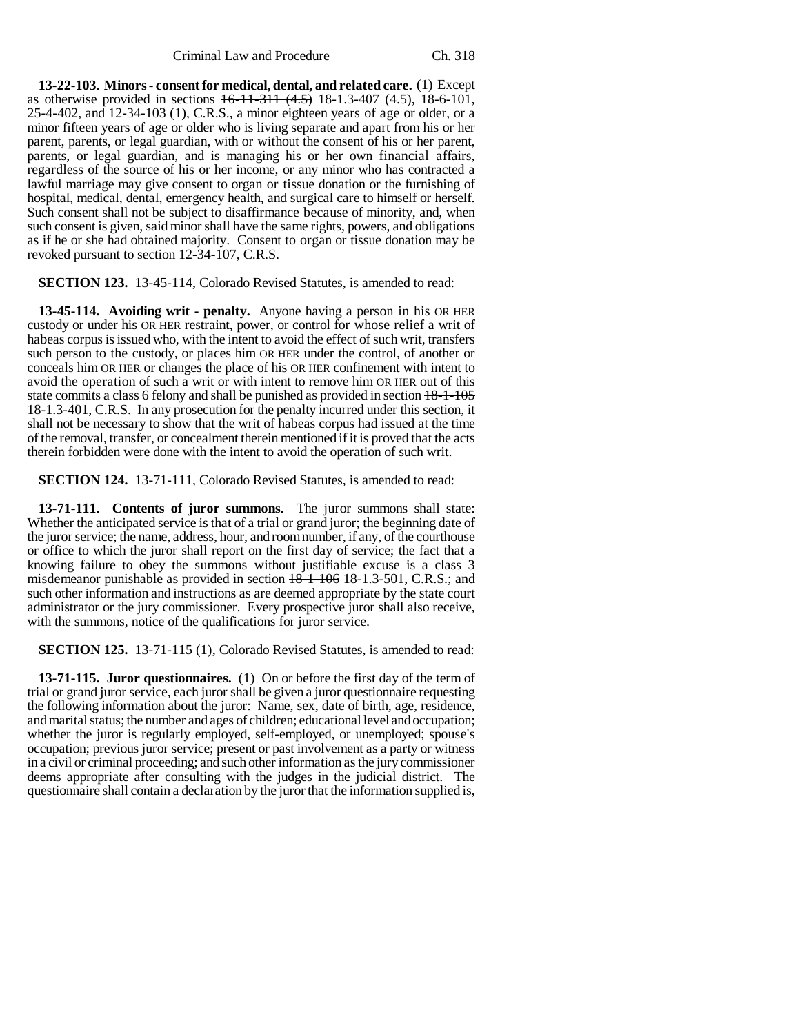**13-22-103. Minors - consent for medical, dental, and related care.** (1) Except as otherwise provided in sections  $16-11-311$   $(4.5)$  18-1.3-407 (4.5), 18-6-101, 25-4-402, and 12-34-103 (1), C.R.S., a minor eighteen years of age or older, or a minor fifteen years of age or older who is living separate and apart from his or her parent, parents, or legal guardian, with or without the consent of his or her parent, parents, or legal guardian, and is managing his or her own financial affairs, regardless of the source of his or her income, or any minor who has contracted a lawful marriage may give consent to organ or tissue donation or the furnishing of hospital, medical, dental, emergency health, and surgical care to himself or herself. Such consent shall not be subject to disaffirmance because of minority, and, when such consent is given, said minor shall have the same rights, powers, and obligations as if he or she had obtained majority. Consent to organ or tissue donation may be revoked pursuant to section 12-34-107, C.R.S.

**SECTION 123.** 13-45-114, Colorado Revised Statutes, is amended to read:

**13-45-114. Avoiding writ - penalty.** Anyone having a person in his OR HER custody or under his OR HER restraint, power, or control for whose relief a writ of habeas corpus is issued who, with the intent to avoid the effect of such writ, transfers such person to the custody, or places him OR HER under the control, of another or conceals him OR HER or changes the place of his OR HER confinement with intent to avoid the operation of such a writ or with intent to remove him OR HER out of this state commits a class 6 felony and shall be punished as provided in section  $18-1-105$ 18-1.3-401, C.R.S. In any prosecution for the penalty incurred under this section, it shall not be necessary to show that the writ of habeas corpus had issued at the time of the removal, transfer, or concealment therein mentioned if it is proved that the acts therein forbidden were done with the intent to avoid the operation of such writ.

**SECTION 124.** 13-71-111, Colorado Revised Statutes, is amended to read:

**13-71-111. Contents of juror summons.** The juror summons shall state: Whether the anticipated service is that of a trial or grand juror; the beginning date of the juror service; the name, address, hour, and room number, if any, of the courthouse or office to which the juror shall report on the first day of service; the fact that a knowing failure to obey the summons without justifiable excuse is a class 3 misdemeanor punishable as provided in section 18-1-106 18-1.3-501, C.R.S.; and such other information and instructions as are deemed appropriate by the state court administrator or the jury commissioner. Every prospective juror shall also receive, with the summons, notice of the qualifications for juror service.

**SECTION 125.** 13-71-115 (1), Colorado Revised Statutes, is amended to read:

**13-71-115. Juror questionnaires.** (1) On or before the first day of the term of trial or grand juror service, each juror shall be given a juror questionnaire requesting the following information about the juror: Name, sex, date of birth, age, residence, and marital status; the number and ages of children; educational level and occupation; whether the juror is regularly employed, self-employed, or unemployed; spouse's occupation; previous juror service; present or past involvement as a party or witness in a civil or criminal proceeding; and such other information as the jury commissioner deems appropriate after consulting with the judges in the judicial district. The questionnaire shall contain a declaration by the juror that the information supplied is,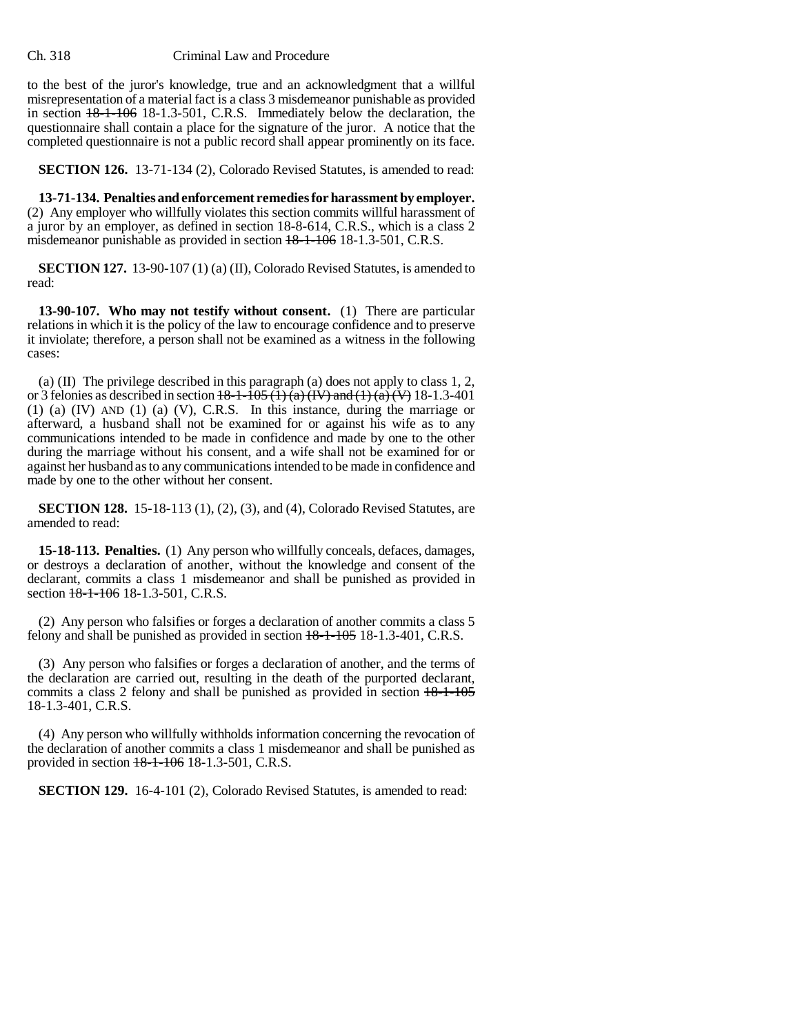to the best of the juror's knowledge, true and an acknowledgment that a willful misrepresentation of a material fact is a class 3 misdemeanor punishable as provided in section  $18-1-106$  18-1.3-501, C.R.S. Immediately below the declaration, the questionnaire shall contain a place for the signature of the juror. A notice that the completed questionnaire is not a public record shall appear prominently on its face.

**SECTION 126.** 13-71-134 (2), Colorado Revised Statutes, is amended to read:

**13-71-134. Penalties and enforcement remedies for harassment by employer.** (2) Any employer who willfully violates this section commits willful harassment of a juror by an employer, as defined in section 18-8-614, C.R.S., which is a class 2 misdemeanor punishable as provided in section 18-1-106 18-1.3-501, C.R.S.

**SECTION 127.** 13-90-107 (1) (a) (II), Colorado Revised Statutes, is amended to read:

**13-90-107. Who may not testify without consent.** (1) There are particular relations in which it is the policy of the law to encourage confidence and to preserve it inviolate; therefore, a person shall not be examined as a witness in the following cases:

(a) (II) The privilege described in this paragraph (a) does not apply to class 1, 2, or 3 felonies as described in section  $18-1-105$  (1) (a) (IV) and (1) (a) (V) 18-1.3-401 (1) (a) (IV) AND (1) (a) (V), C.R.S. In this instance, during the marriage or afterward, a husband shall not be examined for or against his wife as to any communications intended to be made in confidence and made by one to the other during the marriage without his consent, and a wife shall not be examined for or against her husband as to any communications intended to be made in confidence and made by one to the other without her consent.

**SECTION 128.** 15-18-113 (1), (2), (3), and (4), Colorado Revised Statutes, are amended to read:

**15-18-113. Penalties.** (1) Any person who willfully conceals, defaces, damages, or destroys a declaration of another, without the knowledge and consent of the declarant, commits a class 1 misdemeanor and shall be punished as provided in section  $18-1-106$  18-1.3-501, C.R.S.

(2) Any person who falsifies or forges a declaration of another commits a class 5 felony and shall be punished as provided in section 18-1-105 18-1.3-401, C.R.S.

(3) Any person who falsifies or forges a declaration of another, and the terms of the declaration are carried out, resulting in the death of the purported declarant, commits a class 2 felony and shall be punished as provided in section  $18-1-105$ 18-1.3-401, C.R.S.

(4) Any person who willfully withholds information concerning the revocation of the declaration of another commits a class 1 misdemeanor and shall be punished as provided in section 18-1-106 18-1.3-501, C.R.S.

**SECTION 129.** 16-4-101 (2), Colorado Revised Statutes, is amended to read: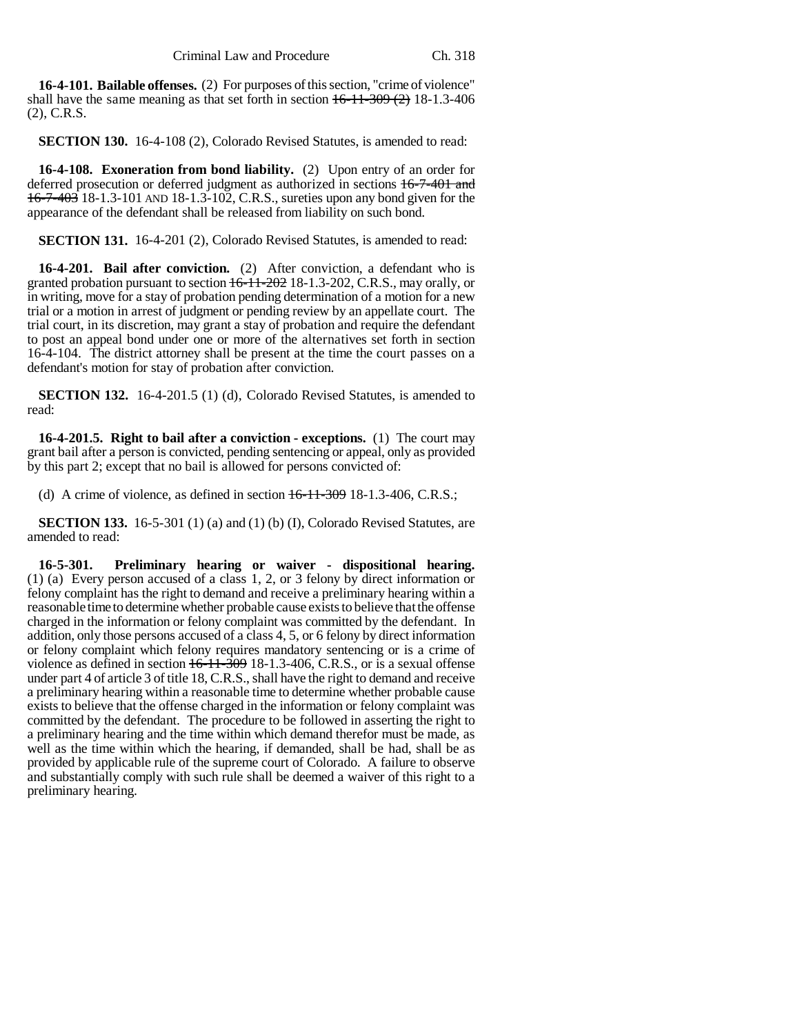**16-4-101. Bailable offenses.** (2) For purposes of this section, "crime of violence" shall have the same meaning as that set forth in section  $16-11-309(2)$  18-1.3-406 (2), C.R.S.

**SECTION 130.** 16-4-108 (2), Colorado Revised Statutes, is amended to read:

**16-4-108. Exoneration from bond liability.** (2) Upon entry of an order for deferred prosecution or deferred judgment as authorized in sections 16-7-401 and 16-7-403 18-1.3-101 AND 18-1.3-102, C.R.S., sureties upon any bond given for the appearance of the defendant shall be released from liability on such bond.

**SECTION 131.** 16-4-201 (2), Colorado Revised Statutes, is amended to read:

**16-4-201. Bail after conviction.** (2) After conviction, a defendant who is granted probation pursuant to section  $16-11-202$  18-1.3-202, C.R.S., may orally, or in writing, move for a stay of probation pending determination of a motion for a new trial or a motion in arrest of judgment or pending review by an appellate court. The trial court, in its discretion, may grant a stay of probation and require the defendant to post an appeal bond under one or more of the alternatives set forth in section 16-4-104. The district attorney shall be present at the time the court passes on a defendant's motion for stay of probation after conviction.

**SECTION 132.** 16-4-201.5 (1) (d), Colorado Revised Statutes, is amended to read:

**16-4-201.5. Right to bail after a conviction - exceptions.** (1) The court may grant bail after a person is convicted, pending sentencing or appeal, only as provided by this part 2; except that no bail is allowed for persons convicted of:

(d) A crime of violence, as defined in section  $16-11-309$  18-1.3-406, C.R.S.;

**SECTION 133.** 16-5-301 (1) (a) and (1) (b) (I), Colorado Revised Statutes, are amended to read:

**16-5-301. Preliminary hearing or waiver - dispositional hearing.** (1) (a) Every person accused of a class 1, 2, or 3 felony by direct information or felony complaint has the right to demand and receive a preliminary hearing within a reasonable time to determine whether probable cause exists to believe that the offense charged in the information or felony complaint was committed by the defendant. In addition, only those persons accused of a class 4, 5, or 6 felony by direct information or felony complaint which felony requires mandatory sentencing or is a crime of violence as defined in section  $16-11-309$  18-1.3-406, C.R.S., or is a sexual offense under part 4 of article 3 of title 18, C.R.S., shall have the right to demand and receive a preliminary hearing within a reasonable time to determine whether probable cause exists to believe that the offense charged in the information or felony complaint was committed by the defendant. The procedure to be followed in asserting the right to a preliminary hearing and the time within which demand therefor must be made, as well as the time within which the hearing, if demanded, shall be had, shall be as provided by applicable rule of the supreme court of Colorado. A failure to observe and substantially comply with such rule shall be deemed a waiver of this right to a preliminary hearing.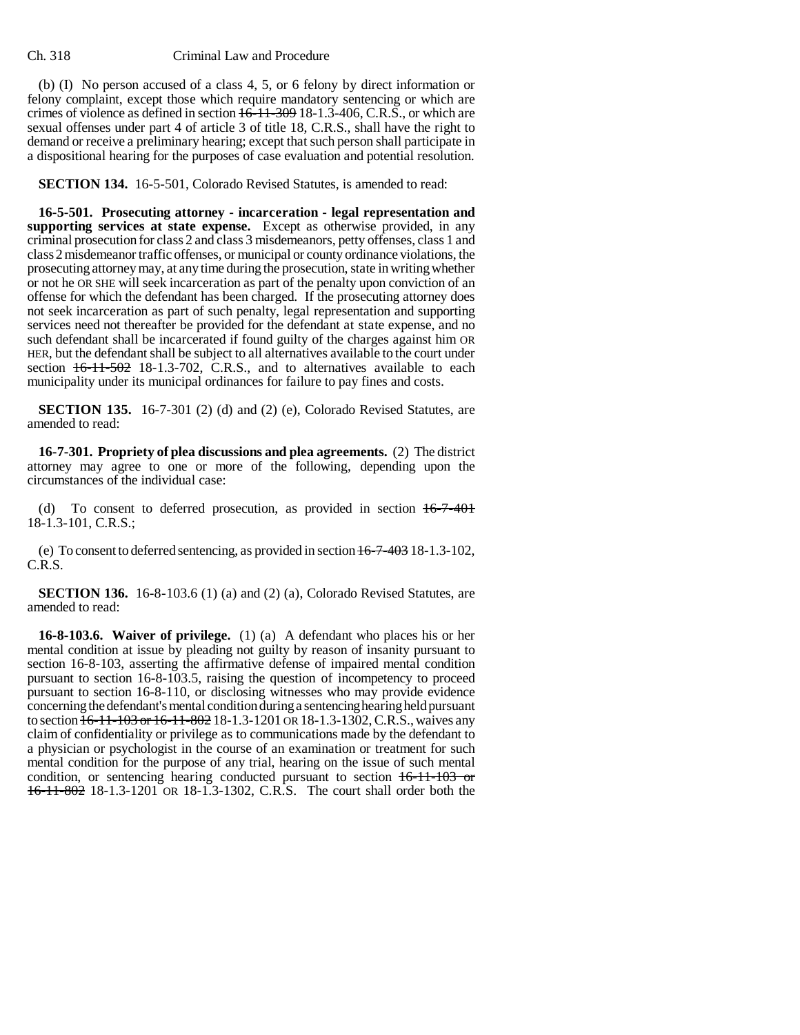(b) (I) No person accused of a class 4, 5, or 6 felony by direct information or felony complaint, except those which require mandatory sentencing or which are crimes of violence as defined in section  $16-11-309$  18-1.3-406, C.R.S., or which are sexual offenses under part 4 of article 3 of title 18, C.R.S., shall have the right to demand or receive a preliminary hearing; except that such person shall participate in a dispositional hearing for the purposes of case evaluation and potential resolution.

**SECTION 134.** 16-5-501, Colorado Revised Statutes, is amended to read:

**16-5-501. Prosecuting attorney - incarceration - legal representation and supporting services at state expense.** Except as otherwise provided, in any criminal prosecution for class 2 and class 3 misdemeanors, petty offenses, class 1 and class 2 misdemeanor traffic offenses, or municipal or county ordinance violations, the prosecuting attorney may, at any time during the prosecution, state in writing whether or not he OR SHE will seek incarceration as part of the penalty upon conviction of an offense for which the defendant has been charged. If the prosecuting attorney does not seek incarceration as part of such penalty, legal representation and supporting services need not thereafter be provided for the defendant at state expense, and no such defendant shall be incarcerated if found guilty of the charges against him OR HER, but the defendant shall be subject to all alternatives available to the court under section  $16-11-502$  18-1.3-702, C.R.S., and to alternatives available to each municipality under its municipal ordinances for failure to pay fines and costs.

**SECTION 135.** 16-7-301 (2) (d) and (2) (e), Colorado Revised Statutes, are amended to read:

**16-7-301. Propriety of plea discussions and plea agreements.** (2) The district attorney may agree to one or more of the following, depending upon the circumstances of the individual case:

(d) To consent to deferred prosecution, as provided in section 16-7-401 18-1.3-101, C.R.S.;

(e) To consent to deferred sentencing, as provided in section  $16-7-403$  18-1.3-102, C.R.S.

**SECTION 136.** 16-8-103.6 (1) (a) and (2) (a), Colorado Revised Statutes, are amended to read:

**16-8-103.6. Waiver of privilege.** (1) (a) A defendant who places his or her mental condition at issue by pleading not guilty by reason of insanity pursuant to section 16-8-103, asserting the affirmative defense of impaired mental condition pursuant to section 16-8-103.5, raising the question of incompetency to proceed pursuant to section 16-8-110, or disclosing witnesses who may provide evidence concerning the defendant's mental condition during a sentencing hearing held pursuant to section  $16-11-103$  or  $16-11-802$  18-1.3-1201 OR 18-1.3-1302, C.R.S., waives any claim of confidentiality or privilege as to communications made by the defendant to a physician or psychologist in the course of an examination or treatment for such mental condition for the purpose of any trial, hearing on the issue of such mental condition, or sentencing hearing conducted pursuant to section 16-11-103 or 16-11-802 18-1.3-1201 OR 18-1.3-1302, C.R.S. The court shall order both the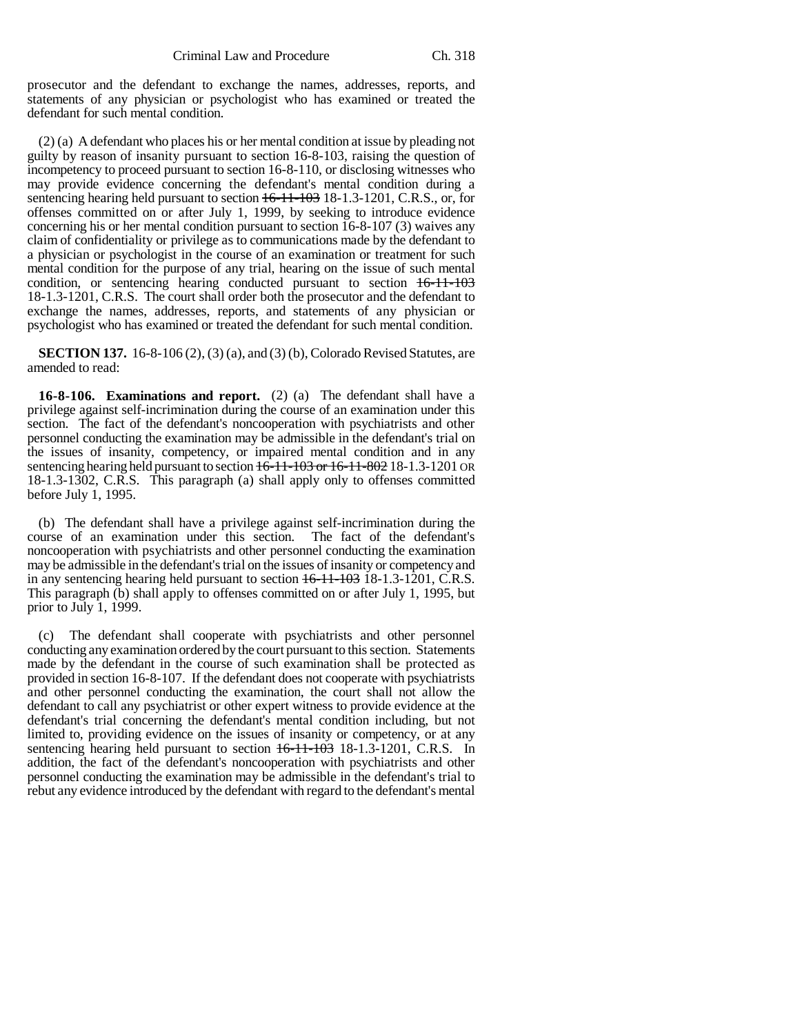prosecutor and the defendant to exchange the names, addresses, reports, and statements of any physician or psychologist who has examined or treated the defendant for such mental condition.

(2) (a) A defendant who places his or her mental condition at issue by pleading not guilty by reason of insanity pursuant to section 16-8-103, raising the question of incompetency to proceed pursuant to section 16-8-110, or disclosing witnesses who may provide evidence concerning the defendant's mental condition during a sentencing hearing held pursuant to section 16-11-103 18-1.3-1201, C.R.S., or, for offenses committed on or after July 1, 1999, by seeking to introduce evidence concerning his or her mental condition pursuant to section 16-8-107 (3) waives any claim of confidentiality or privilege as to communications made by the defendant to a physician or psychologist in the course of an examination or treatment for such mental condition for the purpose of any trial, hearing on the issue of such mental condition, or sentencing hearing conducted pursuant to section  $16-11-103$ 18-1.3-1201, C.R.S. The court shall order both the prosecutor and the defendant to exchange the names, addresses, reports, and statements of any physician or psychologist who has examined or treated the defendant for such mental condition.

**SECTION 137.** 16-8-106 (2), (3) (a), and (3) (b), Colorado Revised Statutes, are amended to read:

**16-8-106. Examinations and report.** (2) (a) The defendant shall have a privilege against self-incrimination during the course of an examination under this section. The fact of the defendant's noncooperation with psychiatrists and other personnel conducting the examination may be admissible in the defendant's trial on the issues of insanity, competency, or impaired mental condition and in any sentencing hearing held pursuant to section  $16-11-103$  or  $16-11-802$  18-1.3-1201 OR 18-1.3-1302, C.R.S. This paragraph (a) shall apply only to offenses committed before July 1, 1995.

(b) The defendant shall have a privilege against self-incrimination during the course of an examination under this section. The fact of the defendant's noncooperation with psychiatrists and other personnel conducting the examination may be admissible in the defendant's trial on the issues of insanity or competency and in any sentencing hearing held pursuant to section  $16-11-103$  18-1.3-1201, C.R.S. This paragraph (b) shall apply to offenses committed on or after July 1, 1995, but prior to July 1, 1999.

(c) The defendant shall cooperate with psychiatrists and other personnel conducting any examination ordered by the court pursuant to this section. Statements made by the defendant in the course of such examination shall be protected as provided in section 16-8-107. If the defendant does not cooperate with psychiatrists and other personnel conducting the examination, the court shall not allow the defendant to call any psychiatrist or other expert witness to provide evidence at the defendant's trial concerning the defendant's mental condition including, but not limited to, providing evidence on the issues of insanity or competency, or at any sentencing hearing held pursuant to section  $16-11-103$  18-1.3-1201, C.R.S. In addition, the fact of the defendant's noncooperation with psychiatrists and other personnel conducting the examination may be admissible in the defendant's trial to rebut any evidence introduced by the defendant with regard to the defendant's mental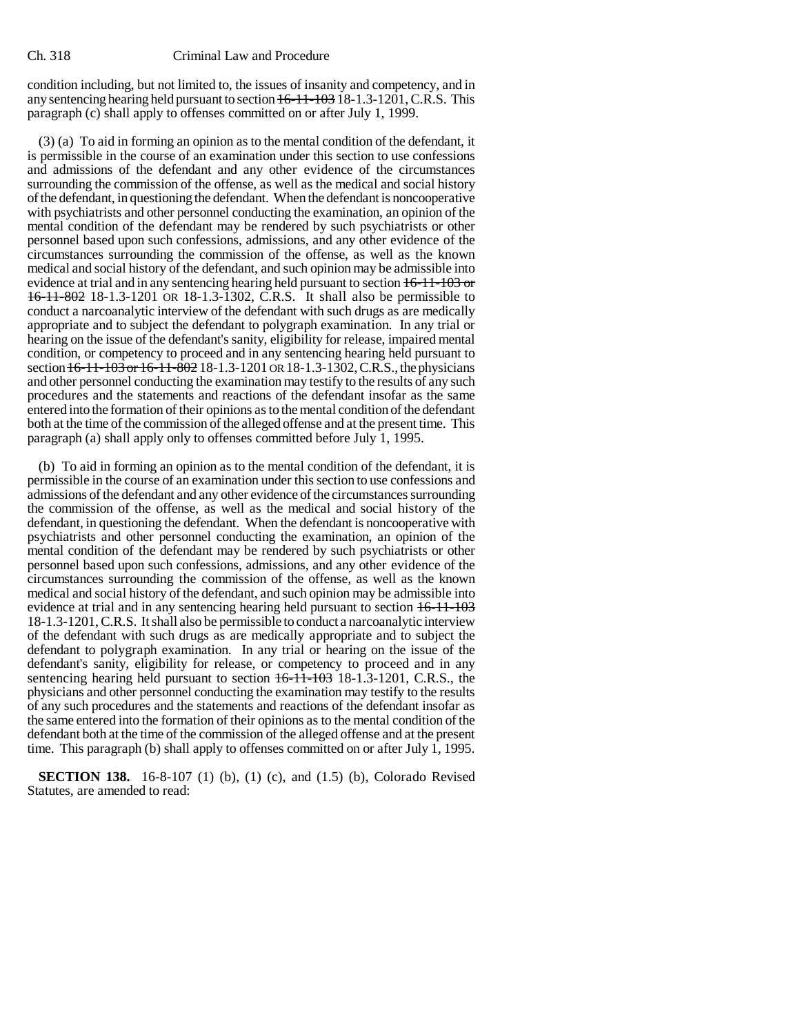condition including, but not limited to, the issues of insanity and competency, and in any sentencing hearing held pursuant to section  $16-11-103$  18-1.3-1201, C.R.S. This paragraph (c) shall apply to offenses committed on or after July 1, 1999.

(3) (a) To aid in forming an opinion as to the mental condition of the defendant, it is permissible in the course of an examination under this section to use confessions and admissions of the defendant and any other evidence of the circumstances surrounding the commission of the offense, as well as the medical and social history of the defendant, in questioning the defendant. When the defendant is noncooperative with psychiatrists and other personnel conducting the examination, an opinion of the mental condition of the defendant may be rendered by such psychiatrists or other personnel based upon such confessions, admissions, and any other evidence of the circumstances surrounding the commission of the offense, as well as the known medical and social history of the defendant, and such opinion may be admissible into evidence at trial and in any sentencing hearing held pursuant to section  $16-11-103$  or 16-11-802 18-1.3-1201 OR 18-1.3-1302, C.R.S. It shall also be permissible to conduct a narcoanalytic interview of the defendant with such drugs as are medically appropriate and to subject the defendant to polygraph examination. In any trial or hearing on the issue of the defendant's sanity, eligibility for release, impaired mental condition, or competency to proceed and in any sentencing hearing held pursuant to section 16-11-103 or 16-11-802 18-1.3-1201 OR 18-1.3-1302, C.R.S., the physicians and other personnel conducting the examination may testify to the results of any such procedures and the statements and reactions of the defendant insofar as the same entered into the formation of their opinions as to the mental condition of the defendant both at the time of the commission of the alleged offense and at the present time. This paragraph (a) shall apply only to offenses committed before July 1, 1995.

(b) To aid in forming an opinion as to the mental condition of the defendant, it is permissible in the course of an examination under this section to use confessions and admissions of the defendant and any other evidence of the circumstances surrounding the commission of the offense, as well as the medical and social history of the defendant, in questioning the defendant. When the defendant is noncooperative with psychiatrists and other personnel conducting the examination, an opinion of the mental condition of the defendant may be rendered by such psychiatrists or other personnel based upon such confessions, admissions, and any other evidence of the circumstances surrounding the commission of the offense, as well as the known medical and social history of the defendant, and such opinion may be admissible into evidence at trial and in any sentencing hearing held pursuant to section  $16-11-103$ 18-1.3-1201, C.R.S. It shall also be permissible to conduct a narcoanalytic interview of the defendant with such drugs as are medically appropriate and to subject the defendant to polygraph examination. In any trial or hearing on the issue of the defendant's sanity, eligibility for release, or competency to proceed and in any sentencing hearing held pursuant to section  $16-11-103$  18-1.3-1201, C.R.S., the physicians and other personnel conducting the examination may testify to the results of any such procedures and the statements and reactions of the defendant insofar as the same entered into the formation of their opinions as to the mental condition of the defendant both at the time of the commission of the alleged offense and at the present time. This paragraph (b) shall apply to offenses committed on or after July 1, 1995.

**SECTION 138.** 16-8-107 (1) (b), (1) (c), and (1.5) (b), Colorado Revised Statutes, are amended to read: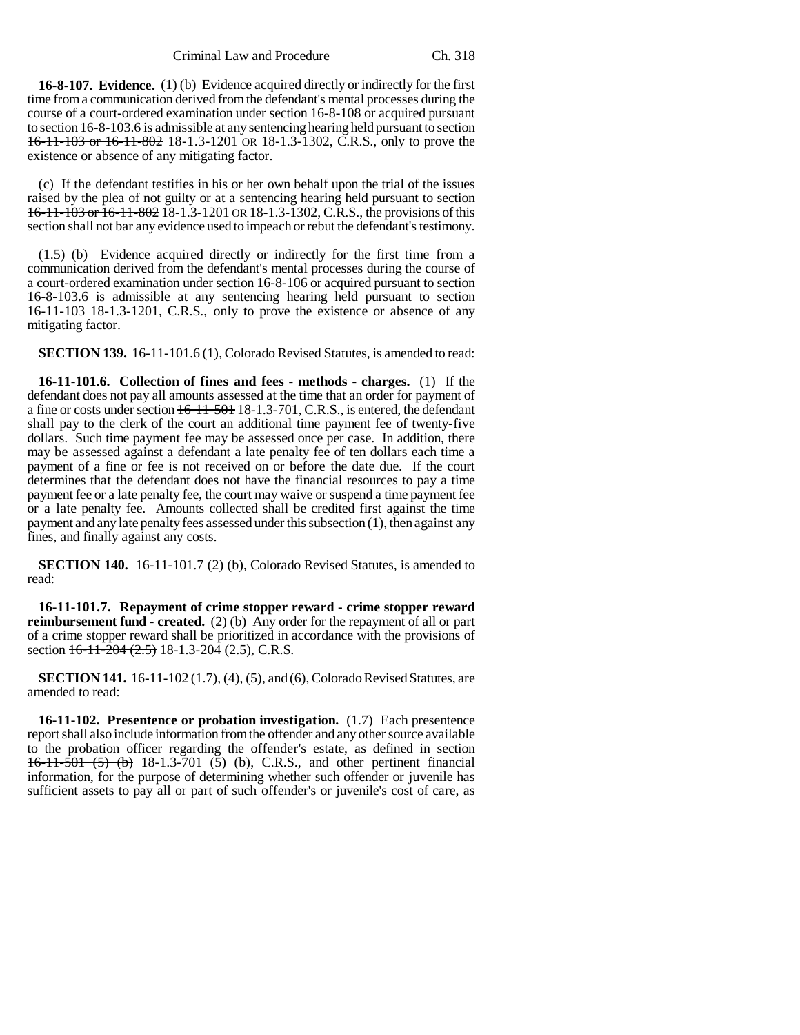**16-8-107. Evidence.** (1) (b) Evidence acquired directly or indirectly for the first time from a communication derived from the defendant's mental processes during the course of a court-ordered examination under section 16-8-108 or acquired pursuant to section 16-8-103.6 is admissible at any sentencing hearing held pursuant to section 16-11-103 or 16-11-802 18-1.3-1201 OR 18-1.3-1302, C.R.S., only to prove the existence or absence of any mitigating factor.

(c) If the defendant testifies in his or her own behalf upon the trial of the issues raised by the plea of not guilty or at a sentencing hearing held pursuant to section 16-11-103 or 16-11-802 18-1.3-1201 OR 18-1.3-1302, C.R.S., the provisions of this section shall not bar any evidence used to impeach or rebut the defendant's testimony.

(1.5) (b) Evidence acquired directly or indirectly for the first time from a communication derived from the defendant's mental processes during the course of a court-ordered examination under section 16-8-106 or acquired pursuant to section 16-8-103.6 is admissible at any sentencing hearing held pursuant to section 16-11-103 18-1.3-1201, C.R.S., only to prove the existence or absence of any mitigating factor.

**SECTION 139.** 16-11-101.6 (1), Colorado Revised Statutes, is amended to read:

**16-11-101.6. Collection of fines and fees - methods - charges.** (1) If the defendant does not pay all amounts assessed at the time that an order for payment of a fine or costs under section 16-11-501 18-1.3-701, C.R.S., is entered, the defendant shall pay to the clerk of the court an additional time payment fee of twenty-five dollars. Such time payment fee may be assessed once per case. In addition, there may be assessed against a defendant a late penalty fee of ten dollars each time a payment of a fine or fee is not received on or before the date due. If the court determines that the defendant does not have the financial resources to pay a time payment fee or a late penalty fee, the court may waive or suspend a time payment fee or a late penalty fee. Amounts collected shall be credited first against the time payment and any late penalty fees assessed under this subsection (1), then against any fines, and finally against any costs.

**SECTION 140.** 16-11-101.7 (2) (b), Colorado Revised Statutes, is amended to read:

**16-11-101.7. Repayment of crime stopper reward - crime stopper reward reimbursement fund - created.** (2) (b) Any order for the repayment of all or part of a crime stopper reward shall be prioritized in accordance with the provisions of section  $16-11-204$   $(2.5)$  18-1.3-204  $(2.5)$ , C.R.S.

**SECTION 141.** 16-11-102 (1.7), (4), (5), and (6), Colorado Revised Statutes, are amended to read:

**16-11-102. Presentence or probation investigation.** (1.7) Each presentence report shall also include information from the offender and any other source available to the probation officer regarding the offender's estate, as defined in section 16-11-501 (5) (b) 18-1.3-701 (5) (b), C.R.S., and other pertinent financial information, for the purpose of determining whether such offender or juvenile has sufficient assets to pay all or part of such offender's or juvenile's cost of care, as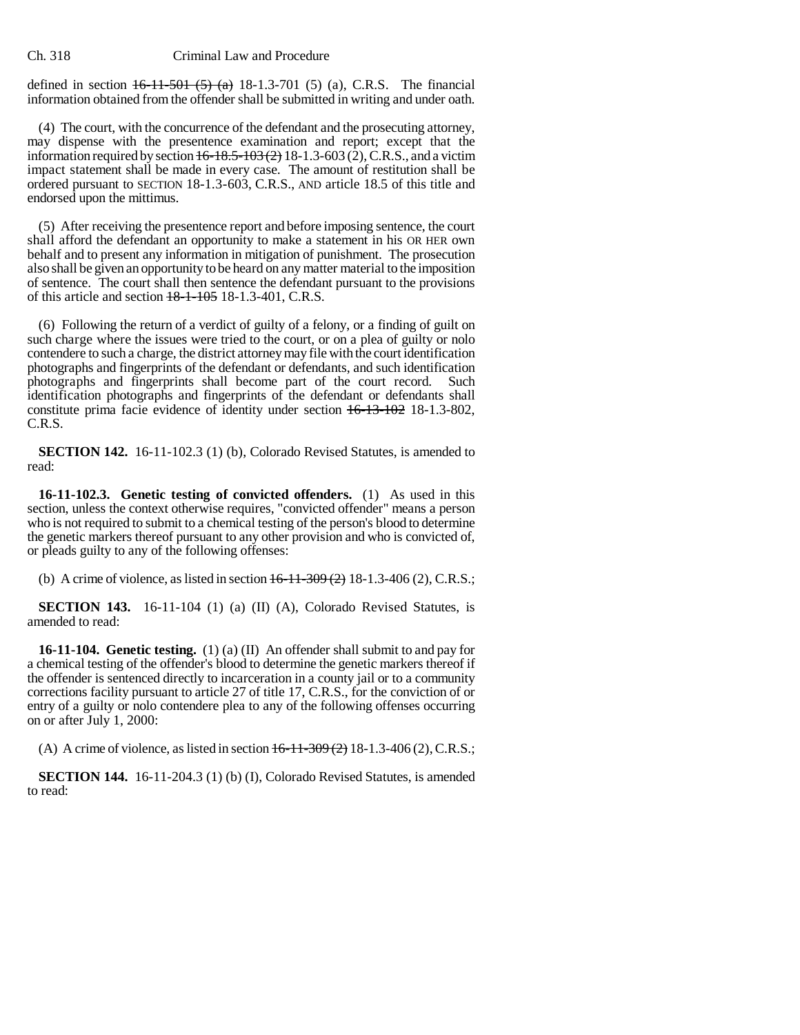defined in section  $16-11-501(5)$  (a) 18-1.3-701 (5) (a), C.R.S. The financial information obtained from the offender shall be submitted in writing and under oath.

(4) The court, with the concurrence of the defendant and the prosecuting attorney, may dispense with the presentence examination and report; except that the information required by section  $16-18.5-103(2)$  18-1.3-603 (2), C.R.S., and a victim impact statement shall be made in every case. The amount of restitution shall be ordered pursuant to SECTION 18-1.3-603, C.R.S., AND article 18.5 of this title and endorsed upon the mittimus.

(5) After receiving the presentence report and before imposing sentence, the court shall afford the defendant an opportunity to make a statement in his OR HER own behalf and to present any information in mitigation of punishment. The prosecution also shall be given an opportunity to be heard on any matter material to the imposition of sentence. The court shall then sentence the defendant pursuant to the provisions of this article and section  $18-1-105$  18-1.3-401, C.R.S.

(6) Following the return of a verdict of guilty of a felony, or a finding of guilt on such charge where the issues were tried to the court, or on a plea of guilty or nolo contendere to such a charge, the district attorney may file with the court identification photographs and fingerprints of the defendant or defendants, and such identification photographs and fingerprints shall become part of the court record. Such identification photographs and fingerprints of the defendant or defendants shall constitute prima facie evidence of identity under section 16-13-102 18-1.3-802, C.R.S.

**SECTION 142.** 16-11-102.3 (1) (b), Colorado Revised Statutes, is amended to read:

**16-11-102.3. Genetic testing of convicted offenders.** (1) As used in this section, unless the context otherwise requires, "convicted offender" means a person who is not required to submit to a chemical testing of the person's blood to determine the genetic markers thereof pursuant to any other provision and who is convicted of, or pleads guilty to any of the following offenses:

(b) A crime of violence, as listed in section  $16-11-309(2)$  18-1.3-406 (2), C.R.S.;

**SECTION 143.** 16-11-104 (1) (a) (II) (A), Colorado Revised Statutes, is amended to read:

**16-11-104. Genetic testing.** (1) (a) (II) An offender shall submit to and pay for a chemical testing of the offender's blood to determine the genetic markers thereof if the offender is sentenced directly to incarceration in a county jail or to a community corrections facility pursuant to article 27 of title 17, C.R.S., for the conviction of or entry of a guilty or nolo contendere plea to any of the following offenses occurring on or after July 1, 2000:

(A) A crime of violence, as listed in section  $16-11-309(2)$  18-1.3-406 (2), C.R.S.;

**SECTION 144.** 16-11-204.3 (1) (b) (I), Colorado Revised Statutes, is amended to read: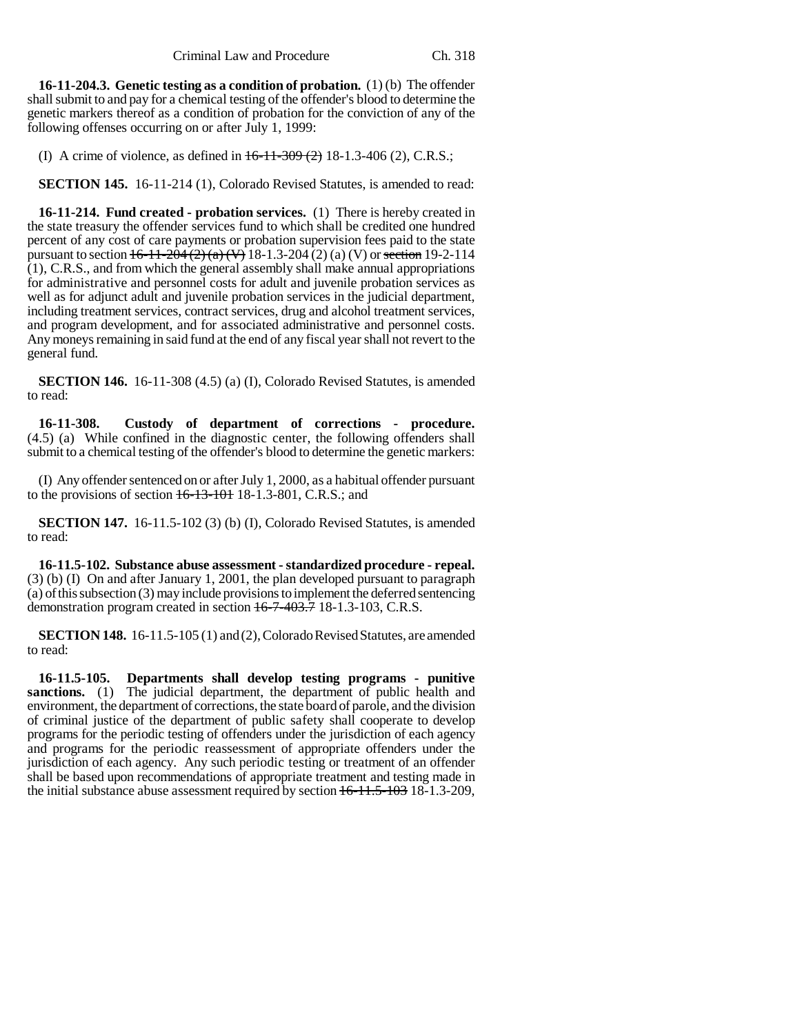**16-11-204.3. Genetic testing as a condition of probation.** (1) (b) The offender shall submit to and pay for a chemical testing of the offender's blood to determine the genetic markers thereof as a condition of probation for the conviction of any of the following offenses occurring on or after July 1, 1999:

(I) A crime of violence, as defined in  $16-11-309(2)$  18-1.3-406 (2), C.R.S.;

**SECTION 145.** 16-11-214 (1), Colorado Revised Statutes, is amended to read:

**16-11-214. Fund created - probation services.** (1) There is hereby created in the state treasury the offender services fund to which shall be credited one hundred percent of any cost of care payments or probation supervision fees paid to the state pursuant to section  $16-11-204 (2) (a) (V)$  18-1.3-204 (2) (a) (V) or section 19-2-114 (1), C.R.S., and from which the general assembly shall make annual appropriations for administrative and personnel costs for adult and juvenile probation services as well as for adjunct adult and juvenile probation services in the judicial department, including treatment services, contract services, drug and alcohol treatment services, and program development, and for associated administrative and personnel costs. Any moneys remaining in said fund at the end of any fiscal year shall not revert to the general fund.

**SECTION 146.** 16-11-308 (4.5) (a) (I), Colorado Revised Statutes, is amended to read:

**16-11-308. Custody of department of corrections - procedure.** (4.5) (a) While confined in the diagnostic center, the following offenders shall submit to a chemical testing of the offender's blood to determine the genetic markers:

(I) Any offender sentenced on or after July 1, 2000, as a habitual offender pursuant to the provisions of section  $16-13-101$  18-1.3-801, C.R.S.; and

**SECTION 147.** 16-11.5-102 (3) (b) (I), Colorado Revised Statutes, is amended to read:

**16-11.5-102. Substance abuse assessment - standardized procedure - repeal.** (3) (b) (I) On and after January 1, 2001, the plan developed pursuant to paragraph (a) of this subsection (3) may include provisions to implement the deferred sentencing demonstration program created in section  $16-7-403.7$  18-1.3-103, C.R.S.

**SECTION 148.** 16-11.5-105 (1) and (2), Colorado Revised Statutes, are amended to read:

**16-11.5-105. Departments shall develop testing programs - punitive sanctions.** (1) The judicial department, the department of public health and environment, the department of corrections, the state board of parole, and the division of criminal justice of the department of public safety shall cooperate to develop programs for the periodic testing of offenders under the jurisdiction of each agency and programs for the periodic reassessment of appropriate offenders under the jurisdiction of each agency. Any such periodic testing or treatment of an offender shall be based upon recommendations of appropriate treatment and testing made in the initial substance abuse assessment required by section 16-11.5-103 18-1.3-209,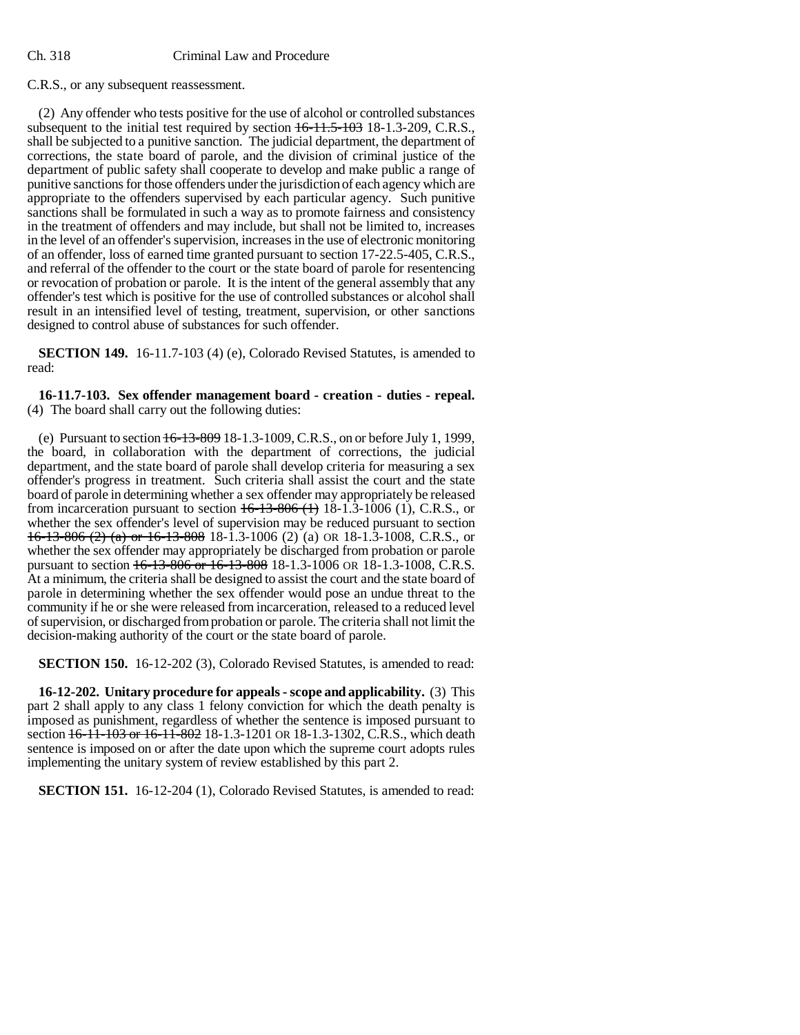# C.R.S., or any subsequent reassessment.

(2) Any offender who tests positive for the use of alcohol or controlled substances subsequent to the initial test required by section  $16-11.5-103$  18-1.3-209, C.R.S., shall be subjected to a punitive sanction. The judicial department, the department of corrections, the state board of parole, and the division of criminal justice of the department of public safety shall cooperate to develop and make public a range of punitive sanctions for those offenders under the jurisdiction of each agency which are appropriate to the offenders supervised by each particular agency. Such punitive sanctions shall be formulated in such a way as to promote fairness and consistency in the treatment of offenders and may include, but shall not be limited to, increases in the level of an offender's supervision, increases in the use of electronic monitoring of an offender, loss of earned time granted pursuant to section 17-22.5-405, C.R.S., and referral of the offender to the court or the state board of parole for resentencing or revocation of probation or parole. It is the intent of the general assembly that any offender's test which is positive for the use of controlled substances or alcohol shall result in an intensified level of testing, treatment, supervision, or other sanctions designed to control abuse of substances for such offender.

**SECTION 149.** 16-11.7-103 (4) (e), Colorado Revised Statutes, is amended to read:

**16-11.7-103. Sex offender management board - creation - duties - repeal.** (4) The board shall carry out the following duties:

(e) Pursuant to section 16-13-809 18-1.3-1009, C.R.S., on or before July 1, 1999, the board, in collaboration with the department of corrections, the judicial department, and the state board of parole shall develop criteria for measuring a sex offender's progress in treatment. Such criteria shall assist the court and the state board of parole in determining whether a sex offender may appropriately be released from incarceration pursuant to section  $16-13-806$  (1) 18-1.3-1006 (1), C.R.S., or whether the sex offender's level of supervision may be reduced pursuant to section 16-13-806 (2) (a) or 16-13-808 18-1.3-1006 (2) (a) OR 18-1.3-1008, C.R.S., or whether the sex offender may appropriately be discharged from probation or parole pursuant to section 16-13-806 or 16-13-808 18-1.3-1006 OR 18-1.3-1008, C.R.S. At a minimum, the criteria shall be designed to assist the court and the state board of parole in determining whether the sex offender would pose an undue threat to the community if he or she were released from incarceration, released to a reduced level of supervision, or discharged from probation or parole. The criteria shall not limit the decision-making authority of the court or the state board of parole.

**SECTION 150.** 16-12-202 (3), Colorado Revised Statutes, is amended to read:

**16-12-202. Unitary procedure for appeals - scope and applicability.** (3) This part 2 shall apply to any class 1 felony conviction for which the death penalty is imposed as punishment, regardless of whether the sentence is imposed pursuant to section 16-11-103 or 16-11-802 18-1.3-1201 OR 18-1.3-1302, C.R.S., which death sentence is imposed on or after the date upon which the supreme court adopts rules implementing the unitary system of review established by this part 2.

**SECTION 151.** 16-12-204 (1), Colorado Revised Statutes, is amended to read: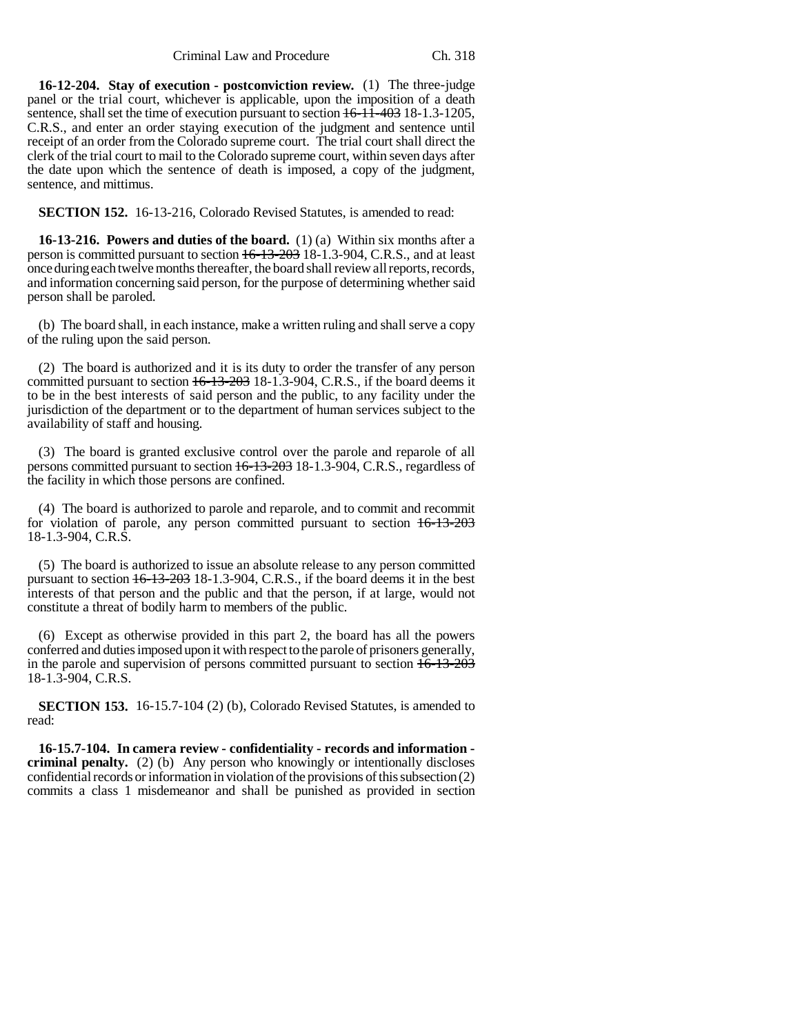Criminal Law and Procedure Ch. 318

**16-12-204. Stay of execution - postconviction review.** (1) The three-judge panel or the trial court, whichever is applicable, upon the imposition of a death sentence, shall set the time of execution pursuant to section  $16-11-403$  18-1.3-1205, C.R.S., and enter an order staying execution of the judgment and sentence until receipt of an order from the Colorado supreme court. The trial court shall direct the clerk of the trial court to mail to the Colorado supreme court, within seven days after the date upon which the sentence of death is imposed, a copy of the judgment, sentence, and mittimus.

**SECTION 152.** 16-13-216, Colorado Revised Statutes, is amended to read:

**16-13-216. Powers and duties of the board.** (1) (a) Within six months after a person is committed pursuant to section 16-13-203 18-1.3-904, C.R.S., and at least once during each twelve months thereafter, the board shall review all reports, records, and information concerning said person, for the purpose of determining whether said person shall be paroled.

(b) The board shall, in each instance, make a written ruling and shall serve a copy of the ruling upon the said person.

(2) The board is authorized and it is its duty to order the transfer of any person committed pursuant to section 16-13-203 18-1.3-904, C.R.S., if the board deems it to be in the best interests of said person and the public, to any facility under the jurisdiction of the department or to the department of human services subject to the availability of staff and housing.

(3) The board is granted exclusive control over the parole and reparole of all persons committed pursuant to section 16-13-203 18-1.3-904, C.R.S., regardless of the facility in which those persons are confined.

(4) The board is authorized to parole and reparole, and to commit and recommit for violation of parole, any person committed pursuant to section 16-13-203 18-1.3-904, C.R.S.

(5) The board is authorized to issue an absolute release to any person committed pursuant to section 16-13-203 18-1.3-904, C.R.S., if the board deems it in the best interests of that person and the public and that the person, if at large, would not constitute a threat of bodily harm to members of the public.

(6) Except as otherwise provided in this part 2, the board has all the powers conferred and duties imposed upon it with respect to the parole of prisoners generally, in the parole and supervision of persons committed pursuant to section  $16-13-203$ 18-1.3-904, C.R.S.

**SECTION 153.** 16-15.7-104 (2) (b), Colorado Revised Statutes, is amended to read:

**16-15.7-104. In camera review - confidentiality - records and information criminal penalty.** (2) (b) Any person who knowingly or intentionally discloses confidential records or information in violation of the provisions of this subsection (2) commits a class 1 misdemeanor and shall be punished as provided in section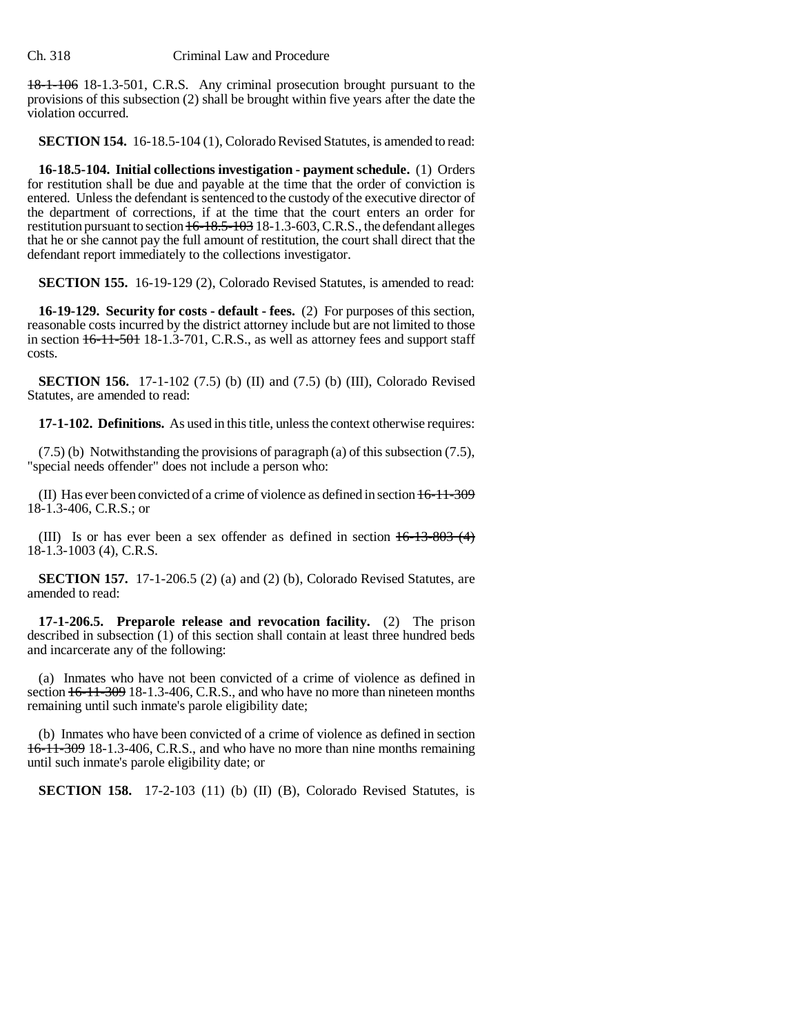18-1-106 18-1.3-501, C.R.S. Any criminal prosecution brought pursuant to the provisions of this subsection (2) shall be brought within five years after the date the violation occurred.

**SECTION 154.** 16-18.5-104 (1), Colorado Revised Statutes, is amended to read:

**16-18.5-104. Initial collections investigation - payment schedule.** (1) Orders for restitution shall be due and payable at the time that the order of conviction is entered. Unless the defendant is sentenced to the custody of the executive director of the department of corrections, if at the time that the court enters an order for restitution pursuant to section 16-18.5-103 18-1.3-603, C.R.S., the defendant alleges that he or she cannot pay the full amount of restitution, the court shall direct that the defendant report immediately to the collections investigator.

**SECTION 155.** 16-19-129 (2), Colorado Revised Statutes, is amended to read:

**16-19-129. Security for costs - default - fees.** (2) For purposes of this section, reasonable costs incurred by the district attorney include but are not limited to those in section  $16-11-501$  18-1.3-701, C.R.S., as well as attorney fees and support staff costs.

**SECTION 156.** 17-1-102 (7.5) (b) (II) and (7.5) (b) (III), Colorado Revised Statutes, are amended to read:

**17-1-102. Definitions.** As used in this title, unless the context otherwise requires:

(7.5) (b) Notwithstanding the provisions of paragraph (a) of this subsection (7.5), "special needs offender" does not include a person who:

(II) Has ever been convicted of a crime of violence as defined in section 16-11-309 18-1.3-406, C.R.S.; or

(III) Is or has ever been a sex offender as defined in section  $16-13-803$  (4) 18-1.3-1003 (4), C.R.S.

**SECTION 157.** 17-1-206.5 (2) (a) and (2) (b), Colorado Revised Statutes, are amended to read:

**17-1-206.5. Preparole release and revocation facility.** (2) The prison described in subsection (1) of this section shall contain at least three hundred beds and incarcerate any of the following:

(a) Inmates who have not been convicted of a crime of violence as defined in section 16-11-309 18-1.3-406, C.R.S., and who have no more than nineteen months remaining until such inmate's parole eligibility date;

(b) Inmates who have been convicted of a crime of violence as defined in section 16-11-309 18-1.3-406, C.R.S., and who have no more than nine months remaining until such inmate's parole eligibility date; or

**SECTION 158.** 17-2-103 (11) (b) (II) (B), Colorado Revised Statutes, is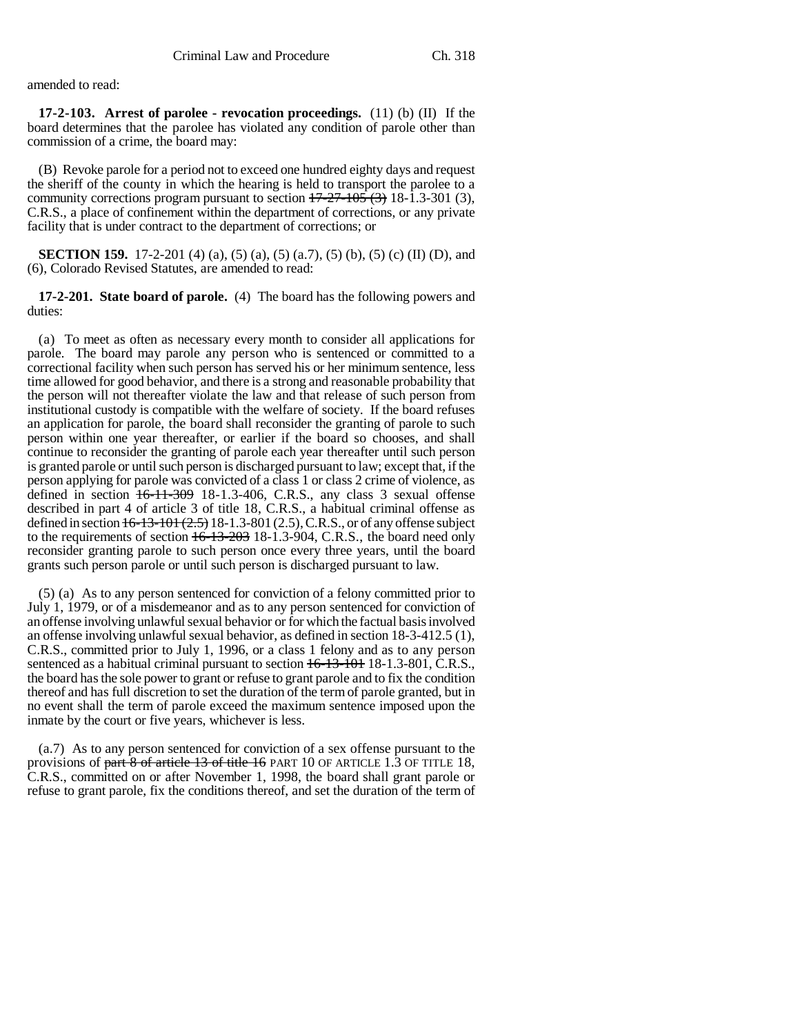amended to read:

**17-2-103. Arrest of parolee - revocation proceedings.** (11) (b) (II) If the board determines that the parolee has violated any condition of parole other than commission of a crime, the board may:

(B) Revoke parole for a period not to exceed one hundred eighty days and request the sheriff of the county in which the hearing is held to transport the parolee to a community corrections program pursuant to section  $17-27-105$  (3) 18-1.3-301 (3), C.R.S., a place of confinement within the department of corrections, or any private facility that is under contract to the department of corrections; or

**SECTION 159.** 17-2-201 (4) (a), (5) (a), (5) (a.7), (5) (b), (5) (c) (II) (D), and (6), Colorado Revised Statutes, are amended to read:

**17-2-201. State board of parole.** (4) The board has the following powers and duties:

(a) To meet as often as necessary every month to consider all applications for parole. The board may parole any person who is sentenced or committed to a correctional facility when such person has served his or her minimum sentence, less time allowed for good behavior, and there is a strong and reasonable probability that the person will not thereafter violate the law and that release of such person from institutional custody is compatible with the welfare of society. If the board refuses an application for parole, the board shall reconsider the granting of parole to such person within one year thereafter, or earlier if the board so chooses, and shall continue to reconsider the granting of parole each year thereafter until such person is granted parole or until such person is discharged pursuant to law; except that, if the person applying for parole was convicted of a class 1 or class 2 crime of violence, as defined in section  $16-11-309$  18-1.3-406, C.R.S., any class 3 sexual offense described in part 4 of article 3 of title 18, C.R.S., a habitual criminal offense as defined in section  $16-13-101(2.5)$  18-1.3-801 (2.5), C.R.S., or of any offense subject to the requirements of section  $16-13-203$  18-1.3-904, C.R.S., the board need only reconsider granting parole to such person once every three years, until the board grants such person parole or until such person is discharged pursuant to law.

(5) (a) As to any person sentenced for conviction of a felony committed prior to July 1, 1979, or of a misdemeanor and as to any person sentenced for conviction of an offense involving unlawful sexual behavior or for which the factual basis involved an offense involving unlawful sexual behavior, as defined in section 18-3-412.5 (1), C.R.S., committed prior to July 1, 1996, or a class 1 felony and as to any person sentenced as a habitual criminal pursuant to section  $16-13-101$  18-1.3-801, C.R.S., the board has the sole power to grant or refuse to grant parole and to fix the condition thereof and has full discretion to set the duration of the term of parole granted, but in no event shall the term of parole exceed the maximum sentence imposed upon the inmate by the court or five years, whichever is less.

(a.7) As to any person sentenced for conviction of a sex offense pursuant to the provisions of part 8 of article 13 of title 16 PART 10 OF ARTICLE 1.3 OF TITLE 18, C.R.S., committed on or after November 1, 1998, the board shall grant parole or refuse to grant parole, fix the conditions thereof, and set the duration of the term of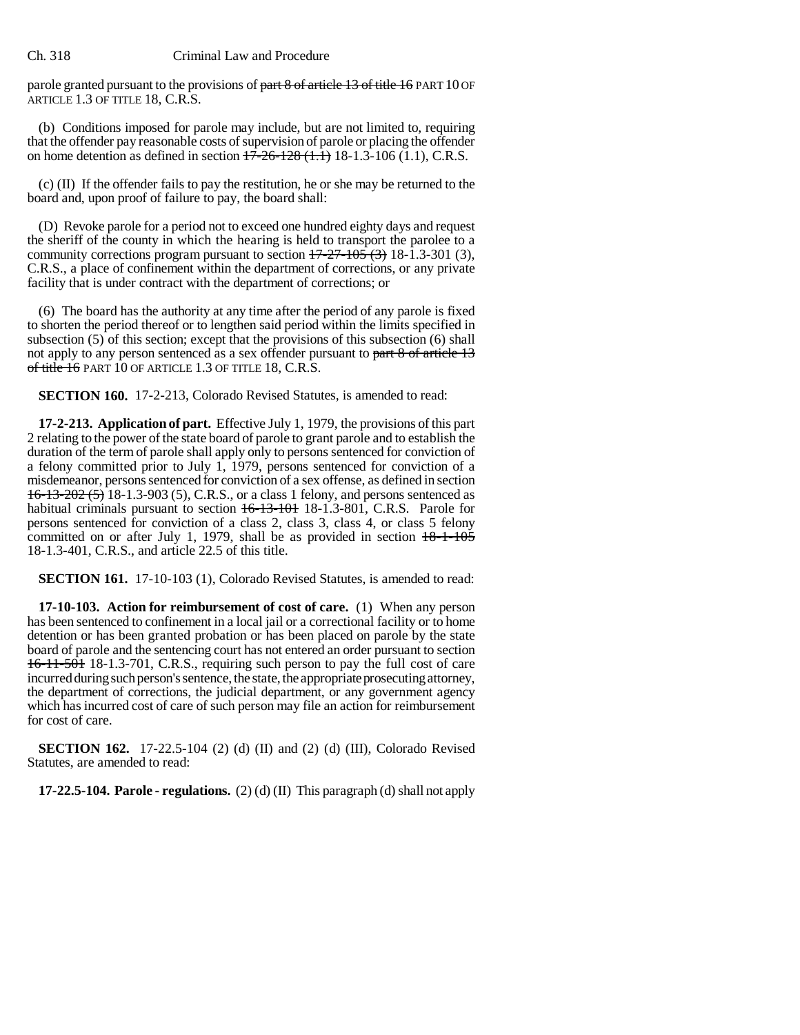parole granted pursuant to the provisions of part 8 of article 13 of title 16 PART 10 OF ARTICLE 1.3 OF TITLE 18, C.R.S.

(b) Conditions imposed for parole may include, but are not limited to, requiring that the offender pay reasonable costs of supervision of parole or placing the offender on home detention as defined in section  $17-26-128$   $(1.1)$  18-1.3-106 (1.1), C.R.S.

(c) (II) If the offender fails to pay the restitution, he or she may be returned to the board and, upon proof of failure to pay, the board shall:

(D) Revoke parole for a period not to exceed one hundred eighty days and request the sheriff of the county in which the hearing is held to transport the parolee to a community corrections program pursuant to section  $17-27-105$  (3) 18-1.3-301 (3), C.R.S., a place of confinement within the department of corrections, or any private facility that is under contract with the department of corrections; or

(6) The board has the authority at any time after the period of any parole is fixed to shorten the period thereof or to lengthen said period within the limits specified in subsection (5) of this section; except that the provisions of this subsection (6) shall not apply to any person sentenced as a sex offender pursuant to part 8 of article 13 of title 16 PART 10 OF ARTICLE 1.3 OF TITLE 18, C.R.S.

**SECTION 160.** 17-2-213, Colorado Revised Statutes, is amended to read:

**17-2-213. Application of part.** Effective July 1, 1979, the provisions of this part 2 relating to the power of the state board of parole to grant parole and to establish the duration of the term of parole shall apply only to persons sentenced for conviction of a felony committed prior to July 1, 1979, persons sentenced for conviction of a misdemeanor, persons sentenced for conviction of a sex offense, as defined in section 16-13-202 (5) 18-1.3-903 (5), C.R.S., or a class 1 felony, and persons sentenced as habitual criminals pursuant to section  $16-13-101$  18-1.3-801, C.R.S. Parole for persons sentenced for conviction of a class 2, class 3, class 4, or class 5 felony committed on or after July 1, 1979, shall be as provided in section  $18-1-105$ 18-1.3-401, C.R.S., and article 22.5 of this title.

**SECTION 161.** 17-10-103 (1), Colorado Revised Statutes, is amended to read:

**17-10-103. Action for reimbursement of cost of care.** (1) When any person has been sentenced to confinement in a local jail or a correctional facility or to home detention or has been granted probation or has been placed on parole by the state board of parole and the sentencing court has not entered an order pursuant to section 16-11-501 18-1.3-701, C.R.S., requiring such person to pay the full cost of care incurred during such person's sentence, the state, the appropriate prosecuting attorney, the department of corrections, the judicial department, or any government agency which has incurred cost of care of such person may file an action for reimbursement for cost of care.

**SECTION 162.** 17-22.5-104 (2) (d) (II) and (2) (d) (III), Colorado Revised Statutes, are amended to read:

**17-22.5-104. Parole - regulations.** (2) (d) (II) This paragraph (d) shall not apply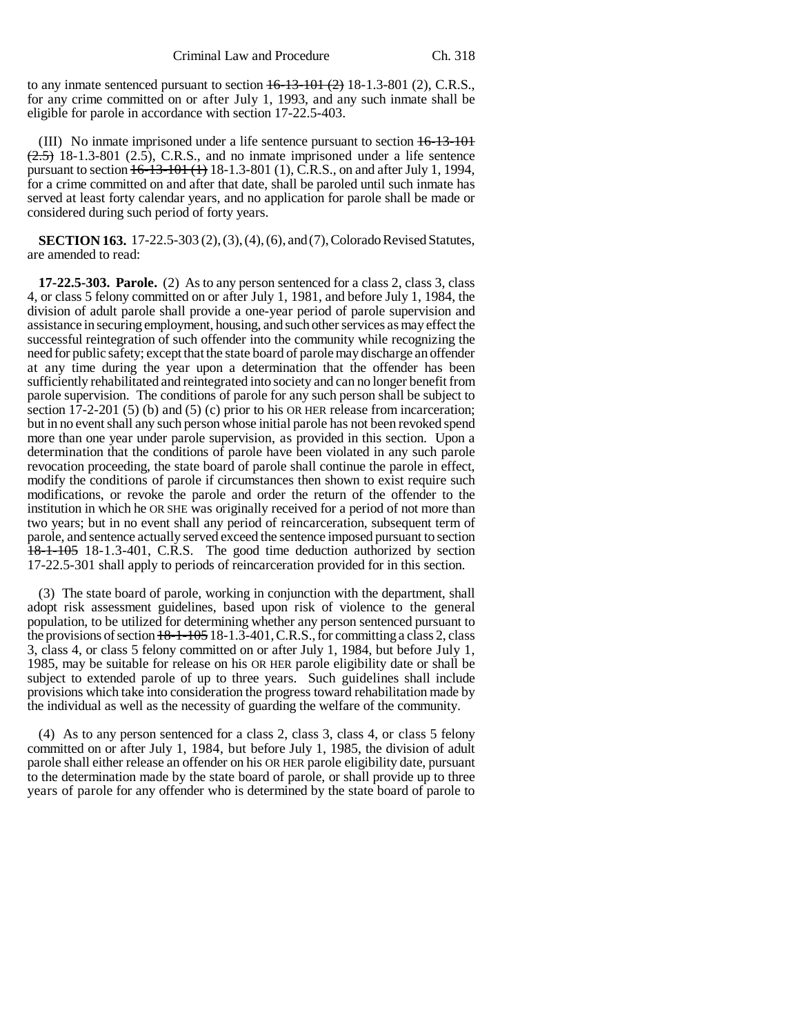to any inmate sentenced pursuant to section  $16-13-101$  (2) 18-1.3-801 (2), C.R.S., for any crime committed on or after July 1, 1993, and any such inmate shall be eligible for parole in accordance with section 17-22.5-403.

(III) No inmate imprisoned under a life sentence pursuant to section 16-13-101  $(2.5)$  18-1.3-801 (2.5), C.R.S., and no inmate imprisoned under a life sentence pursuant to section 16-13-101 (1) 18-1.3-801 (1), C.R.S., on and after July 1, 1994, for a crime committed on and after that date, shall be paroled until such inmate has served at least forty calendar years, and no application for parole shall be made or considered during such period of forty years.

**SECTION 163.** 17-22.5-303 (2), (3), (4), (6), and (7), Colorado Revised Statutes, are amended to read:

**17-22.5-303. Parole.** (2) As to any person sentenced for a class 2, class 3, class 4, or class 5 felony committed on or after July 1, 1981, and before July 1, 1984, the division of adult parole shall provide a one-year period of parole supervision and assistance in securing employment, housing, and such other services as may effect the successful reintegration of such offender into the community while recognizing the need for public safety; except that the state board of parole may discharge an offender at any time during the year upon a determination that the offender has been sufficiently rehabilitated and reintegrated into society and can no longer benefit from parole supervision. The conditions of parole for any such person shall be subject to section 17-2-201 (5) (b) and (5) (c) prior to his OR HER release from incarceration; but in no event shall any such person whose initial parole has not been revoked spend more than one year under parole supervision, as provided in this section. Upon a determination that the conditions of parole have been violated in any such parole revocation proceeding, the state board of parole shall continue the parole in effect, modify the conditions of parole if circumstances then shown to exist require such modifications, or revoke the parole and order the return of the offender to the institution in which he OR SHE was originally received for a period of not more than two years; but in no event shall any period of reincarceration, subsequent term of parole, and sentence actually served exceed the sentence imposed pursuant to section 18-1-105 18-1.3-401, C.R.S. The good time deduction authorized by section 17-22.5-301 shall apply to periods of reincarceration provided for in this section.

(3) The state board of parole, working in conjunction with the department, shall adopt risk assessment guidelines, based upon risk of violence to the general population, to be utilized for determining whether any person sentenced pursuant to the provisions of section  $18-1-105$  18-1.3-401, C.R.S., for committing a class 2, class 3, class 4, or class 5 felony committed on or after July 1, 1984, but before July 1, 1985, may be suitable for release on his OR HER parole eligibility date or shall be subject to extended parole of up to three years. Such guidelines shall include provisions which take into consideration the progress toward rehabilitation made by the individual as well as the necessity of guarding the welfare of the community.

(4) As to any person sentenced for a class 2, class 3, class 4, or class 5 felony committed on or after July 1, 1984, but before July 1, 1985, the division of adult parole shall either release an offender on his OR HER parole eligibility date, pursuant to the determination made by the state board of parole, or shall provide up to three years of parole for any offender who is determined by the state board of parole to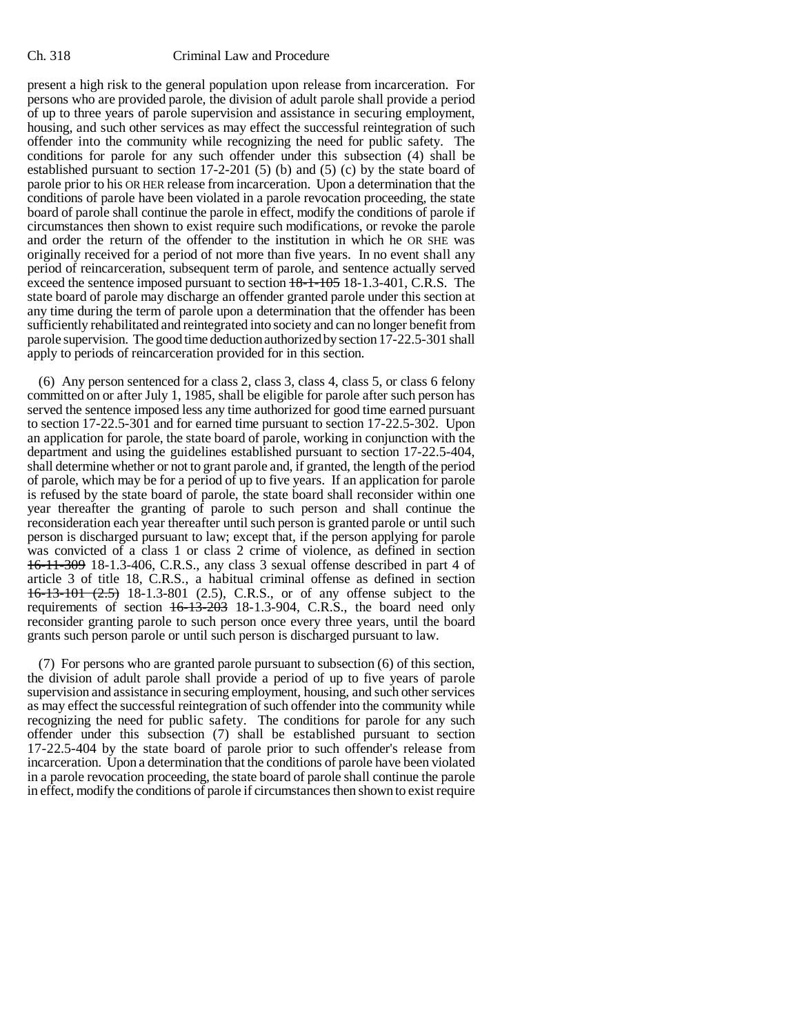present a high risk to the general population upon release from incarceration. For persons who are provided parole, the division of adult parole shall provide a period of up to three years of parole supervision and assistance in securing employment, housing, and such other services as may effect the successful reintegration of such offender into the community while recognizing the need for public safety. The conditions for parole for any such offender under this subsection (4) shall be established pursuant to section 17-2-201 (5) (b) and (5) (c) by the state board of parole prior to his OR HER release from incarceration. Upon a determination that the conditions of parole have been violated in a parole revocation proceeding, the state board of parole shall continue the parole in effect, modify the conditions of parole if circumstances then shown to exist require such modifications, or revoke the parole and order the return of the offender to the institution in which he OR SHE was originally received for a period of not more than five years. In no event shall any period of reincarceration, subsequent term of parole, and sentence actually served exceed the sentence imposed pursuant to section  $18-1-105$  18-1.3-401, C.R.S. The state board of parole may discharge an offender granted parole under this section at any time during the term of parole upon a determination that the offender has been sufficiently rehabilitated and reintegrated into society and can no longer benefit from parole supervision. The good time deduction authorized by section 17-22.5-301 shall apply to periods of reincarceration provided for in this section.

(6) Any person sentenced for a class 2, class 3, class 4, class 5, or class 6 felony committed on or after July 1, 1985, shall be eligible for parole after such person has served the sentence imposed less any time authorized for good time earned pursuant to section 17-22.5-301 and for earned time pursuant to section 17-22.5-302. Upon an application for parole, the state board of parole, working in conjunction with the department and using the guidelines established pursuant to section 17-22.5-404, shall determine whether or not to grant parole and, if granted, the length of the period of parole, which may be for a period of up to five years. If an application for parole is refused by the state board of parole, the state board shall reconsider within one year thereafter the granting of parole to such person and shall continue the reconsideration each year thereafter until such person is granted parole or until such person is discharged pursuant to law; except that, if the person applying for parole was convicted of a class 1 or class 2 crime of violence, as defined in section 16-11-309 18-1.3-406, C.R.S., any class 3 sexual offense described in part 4 of article 3 of title 18, C.R.S., a habitual criminal offense as defined in section 16-13-101 (2.5) 18-1.3-801 (2.5), C.R.S., or of any offense subject to the requirements of section  $16-13-203$  18-1.3-904, C.R.S., the board need only reconsider granting parole to such person once every three years, until the board grants such person parole or until such person is discharged pursuant to law.

(7) For persons who are granted parole pursuant to subsection (6) of this section, the division of adult parole shall provide a period of up to five years of parole supervision and assistance in securing employment, housing, and such other services as may effect the successful reintegration of such offender into the community while recognizing the need for public safety. The conditions for parole for any such offender under this subsection (7) shall be established pursuant to section 17-22.5-404 by the state board of parole prior to such offender's release from incarceration. Upon a determination that the conditions of parole have been violated in a parole revocation proceeding, the state board of parole shall continue the parole in effect, modify the conditions of parole if circumstances then shown to exist require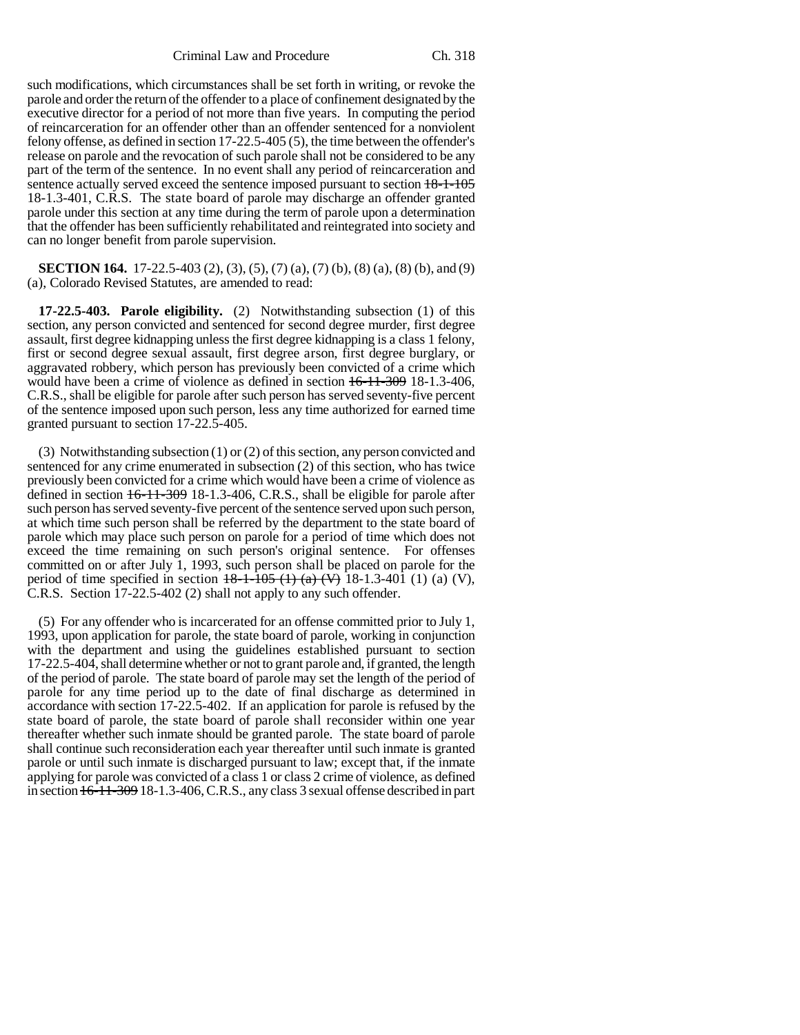Criminal Law and Procedure Ch. 318

such modifications, which circumstances shall be set forth in writing, or revoke the parole and order the return of the offender to a place of confinement designated by the executive director for a period of not more than five years. In computing the period of reincarceration for an offender other than an offender sentenced for a nonviolent felony offense, as defined in section 17-22.5-405 (5), the time between the offender's release on parole and the revocation of such parole shall not be considered to be any part of the term of the sentence. In no event shall any period of reincarceration and sentence actually served exceed the sentence imposed pursuant to section  $18-1-105$ 18-1.3-401, C.R.S. The state board of parole may discharge an offender granted parole under this section at any time during the term of parole upon a determination that the offender has been sufficiently rehabilitated and reintegrated into society and can no longer benefit from parole supervision.

**SECTION 164.** 17-22.5-403 (2), (3), (5), (7) (a), (7) (b), (8) (a), (8) (b), and (9) (a), Colorado Revised Statutes, are amended to read:

**17-22.5-403. Parole eligibility.** (2) Notwithstanding subsection (1) of this section, any person convicted and sentenced for second degree murder, first degree assault, first degree kidnapping unless the first degree kidnapping is a class 1 felony, first or second degree sexual assault, first degree arson, first degree burglary, or aggravated robbery, which person has previously been convicted of a crime which would have been a crime of violence as defined in section  $16-11-309$  18-1.3-406, C.R.S., shall be eligible for parole after such person has served seventy-five percent of the sentence imposed upon such person, less any time authorized for earned time granted pursuant to section 17-22.5-405.

(3) Notwithstanding subsection (1) or (2) of this section, any person convicted and sentenced for any crime enumerated in subsection (2) of this section, who has twice previously been convicted for a crime which would have been a crime of violence as defined in section 16-11-309 18-1.3-406, C.R.S., shall be eligible for parole after such person has served seventy-five percent of the sentence served upon such person, at which time such person shall be referred by the department to the state board of parole which may place such person on parole for a period of time which does not exceed the time remaining on such person's original sentence. For offenses committed on or after July 1, 1993, such person shall be placed on parole for the period of time specified in section  $18-1-105$  (1) (a) (V),  $(4)$  (V),  $(1)$  (a) (V), C.R.S. Section 17-22.5-402 (2) shall not apply to any such offender.

(5) For any offender who is incarcerated for an offense committed prior to July 1, 1993, upon application for parole, the state board of parole, working in conjunction with the department and using the guidelines established pursuant to section 17-22.5-404, shall determine whether or not to grant parole and, if granted, the length of the period of parole. The state board of parole may set the length of the period of parole for any time period up to the date of final discharge as determined in accordance with section 17-22.5-402. If an application for parole is refused by the state board of parole, the state board of parole shall reconsider within one year thereafter whether such inmate should be granted parole. The state board of parole shall continue such reconsideration each year thereafter until such inmate is granted parole or until such inmate is discharged pursuant to law; except that, if the inmate applying for parole was convicted of a class 1 or class 2 crime of violence, as defined in section 16-11-309 18-1.3-406, C.R.S., any class 3 sexual offense described in part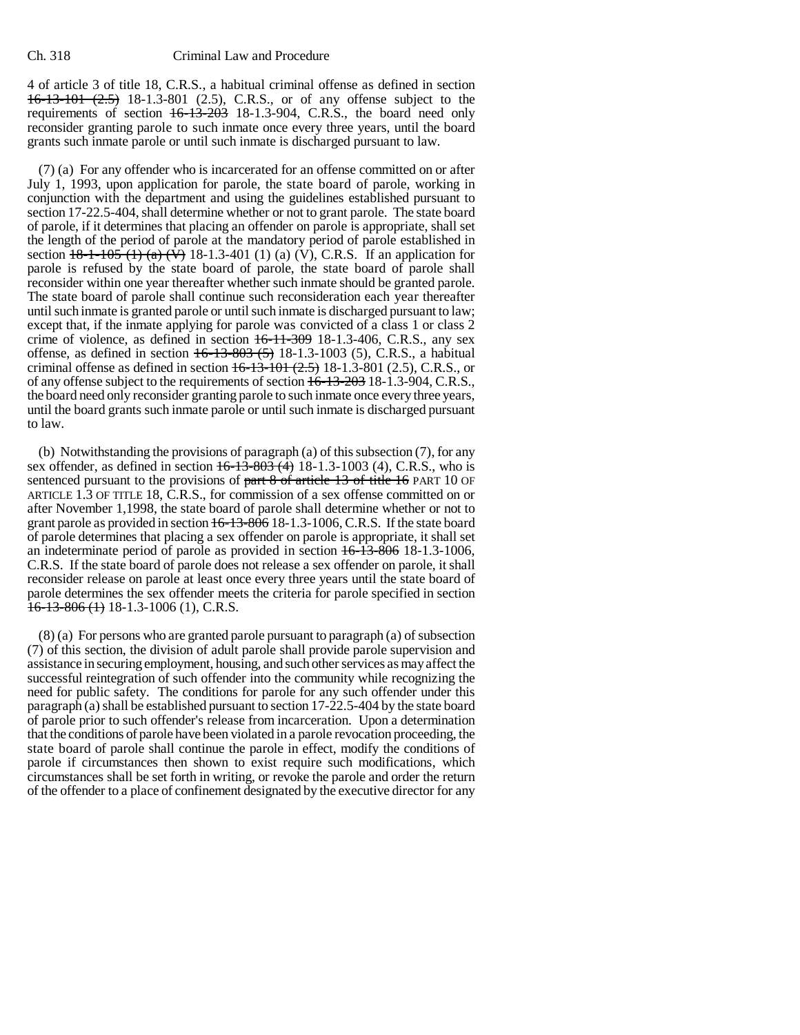4 of article 3 of title 18, C.R.S., a habitual criminal offense as defined in section 16-13-101 (2.5) 18-1.3-801 (2.5), C.R.S., or of any offense subject to the requirements of section 16-13-203 18-1.3-904, C.R.S., the board need only reconsider granting parole to such inmate once every three years, until the board grants such inmate parole or until such inmate is discharged pursuant to law.

(7) (a) For any offender who is incarcerated for an offense committed on or after July 1, 1993, upon application for parole, the state board of parole, working in conjunction with the department and using the guidelines established pursuant to section 17-22.5-404, shall determine whether or not to grant parole. The state board of parole, if it determines that placing an offender on parole is appropriate, shall set the length of the period of parole at the mandatory period of parole established in section  $18-1-105(1)(a)(\overline{V})$  18-1.3-401 (1) (a) (V), C.R.S. If an application for parole is refused by the state board of parole, the state board of parole shall reconsider within one year thereafter whether such inmate should be granted parole. The state board of parole shall continue such reconsideration each year thereafter until such inmate is granted parole or until such inmate is discharged pursuant to law; except that, if the inmate applying for parole was convicted of a class 1 or class 2 crime of violence, as defined in section  $16-11-309$  18-1.3-406, C.R.S., any sex offense, as defined in section  $16-13-803(5)$  18-1.3-1003 (5), C.R.S., a habitual criminal offense as defined in section  $16-13-101 (2.5) 18-1.3-801 (2.5)$ , C.R.S., or of any offense subject to the requirements of section 16-13-203 18-1.3-904, C.R.S., the board need only reconsider granting parole to such inmate once every three years, until the board grants such inmate parole or until such inmate is discharged pursuant to law.

(b) Notwithstanding the provisions of paragraph (a) of this subsection (7), for any sex offender, as defined in section  $16-13-803(4)$  18-1.3-1003 (4), C.R.S., who is sentenced pursuant to the provisions of part 8 of article 13 of title 16 PART 10 OF ARTICLE 1.3 OF TITLE 18, C.R.S., for commission of a sex offense committed on or after November 1,1998, the state board of parole shall determine whether or not to grant parole as provided in section  $16-13-806$  18-1.3-1006, C.R.S. If the state board of parole determines that placing a sex offender on parole is appropriate, it shall set an indeterminate period of parole as provided in section 16-13-806 18-1.3-1006, C.R.S. If the state board of parole does not release a sex offender on parole, it shall reconsider release on parole at least once every three years until the state board of parole determines the sex offender meets the criteria for parole specified in section  $16-13-806$  (1) 18-1.3-1006 (1), C.R.S.

(8) (a) For persons who are granted parole pursuant to paragraph (a) of subsection (7) of this section, the division of adult parole shall provide parole supervision and assistance in securing employment, housing, and such other services as may affect the successful reintegration of such offender into the community while recognizing the need for public safety. The conditions for parole for any such offender under this paragraph (a) shall be established pursuant to section 17-22.5-404 by the state board of parole prior to such offender's release from incarceration. Upon a determination that the conditions of parole have been violated in a parole revocation proceeding, the state board of parole shall continue the parole in effect, modify the conditions of parole if circumstances then shown to exist require such modifications, which circumstances shall be set forth in writing, or revoke the parole and order the return of the offender to a place of confinement designated by the executive director for any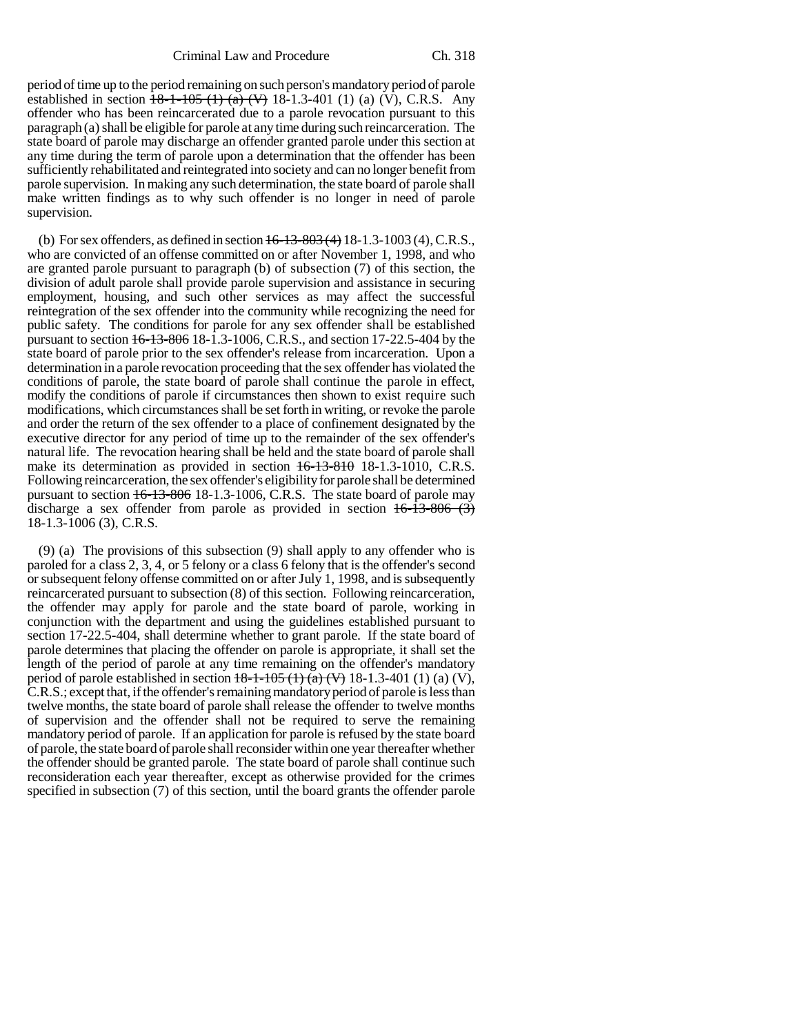period of time up to the period remaining on such person's mandatory period of parole established in section  $18-1-105$  (1) (a) (V) 18-1.3-401 (1) (a) (V), C.R.S. Any offender who has been reincarcerated due to a parole revocation pursuant to this paragraph (a) shall be eligible for parole at any time during such reincarceration. The state board of parole may discharge an offender granted parole under this section at any time during the term of parole upon a determination that the offender has been sufficiently rehabilitated and reintegrated into society and can no longer benefit from parole supervision. In making any such determination, the state board of parole shall make written findings as to why such offender is no longer in need of parole supervision.

(b) For sex offenders, as defined in section  $16-13-803(4)$  18-1.3-1003 (4), C.R.S., who are convicted of an offense committed on or after November 1, 1998, and who are granted parole pursuant to paragraph (b) of subsection (7) of this section, the division of adult parole shall provide parole supervision and assistance in securing employment, housing, and such other services as may affect the successful reintegration of the sex offender into the community while recognizing the need for public safety. The conditions for parole for any sex offender shall be established pursuant to section 16-13-806 18-1.3-1006, C.R.S., and section 17-22.5-404 by the state board of parole prior to the sex offender's release from incarceration. Upon a determination in a parole revocation proceeding that the sex offender has violated the conditions of parole, the state board of parole shall continue the parole in effect, modify the conditions of parole if circumstances then shown to exist require such modifications, which circumstances shall be set forth in writing, or revoke the parole and order the return of the sex offender to a place of confinement designated by the executive director for any period of time up to the remainder of the sex offender's natural life. The revocation hearing shall be held and the state board of parole shall make its determination as provided in section  $16-13-810$  18-1.3-1010, C.R.S. Following reincarceration, the sex offender's eligibility for parole shall be determined pursuant to section 16-13-806 18-1.3-1006, C.R.S. The state board of parole may discharge a sex offender from parole as provided in section  $16-13-806$  (3) 18-1.3-1006 (3), C.R.S.

(9) (a) The provisions of this subsection (9) shall apply to any offender who is paroled for a class 2, 3, 4, or 5 felony or a class 6 felony that is the offender's second or subsequent felony offense committed on or after July 1, 1998, and is subsequently reincarcerated pursuant to subsection (8) of this section. Following reincarceration, the offender may apply for parole and the state board of parole, working in conjunction with the department and using the guidelines established pursuant to section 17-22.5-404, shall determine whether to grant parole. If the state board of parole determines that placing the offender on parole is appropriate, it shall set the length of the period of parole at any time remaining on the offender's mandatory period of parole established in section  $18-1-105(1)(a)$  (V) 18-1.3-401 (1) (a) (V), C.R.S.; except that, if the offender's remaining mandatory period of parole is less than twelve months, the state board of parole shall release the offender to twelve months of supervision and the offender shall not be required to serve the remaining mandatory period of parole. If an application for parole is refused by the state board of parole, the state board of parole shall reconsider within one year thereafter whether the offender should be granted parole. The state board of parole shall continue such reconsideration each year thereafter, except as otherwise provided for the crimes specified in subsection (7) of this section, until the board grants the offender parole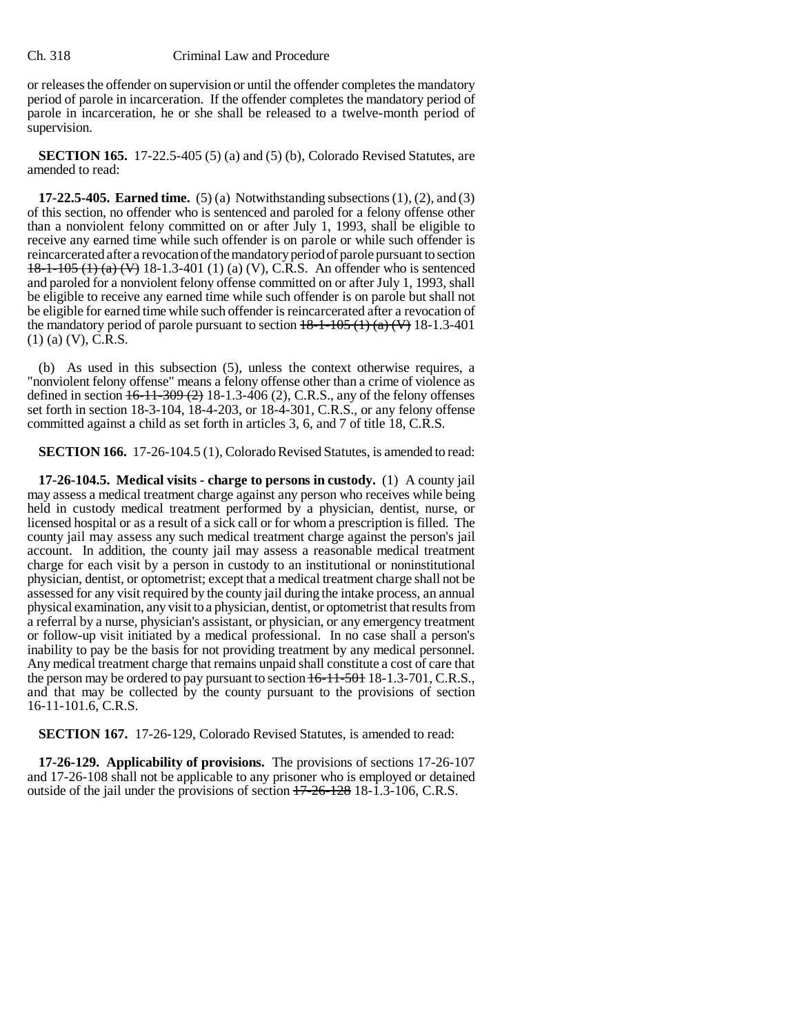or releases the offender on supervision or until the offender completes the mandatory period of parole in incarceration. If the offender completes the mandatory period of parole in incarceration, he or she shall be released to a twelve-month period of supervision.

**SECTION 165.** 17-22.5-405 (5) (a) and (5) (b), Colorado Revised Statutes, are amended to read:

**17-22.5-405. Earned time.** (5) (a) Notwithstanding subsections (1), (2), and (3) of this section, no offender who is sentenced and paroled for a felony offense other than a nonviolent felony committed on or after July 1, 1993, shall be eligible to receive any earned time while such offender is on parole or while such offender is reincarcerated after a revocation of the mandatory period of parole pursuant to section  $18-1-105$  (1) (a) (V) 18-1.3-401 (1) (a) (V), C.R.S. An offender who is sentenced and paroled for a nonviolent felony offense committed on or after July 1, 1993, shall be eligible to receive any earned time while such offender is on parole but shall not be eligible for earned time while such offender is reincarcerated after a revocation of the mandatory period of parole pursuant to section  $18-1-105(1)(a)(V)$  18-1.3-401  $(1)$  (a) (V), C.R.S.

(b) As used in this subsection (5), unless the context otherwise requires, a "nonviolent felony offense" means a felony offense other than a crime of violence as defined in section  $16-11-309(2)$  18-1.3-406 (2), C.R.S., any of the felony offenses set forth in section 18-3-104, 18-4-203, or 18-4-301, C.R.S., or any felony offense committed against a child as set forth in articles 3, 6, and 7 of title 18, C.R.S.

**SECTION 166.** 17-26-104.5 (1), Colorado Revised Statutes, is amended to read:

**17-26-104.5. Medical visits - charge to persons in custody.** (1) A county jail may assess a medical treatment charge against any person who receives while being held in custody medical treatment performed by a physician, dentist, nurse, or licensed hospital or as a result of a sick call or for whom a prescription is filled. The county jail may assess any such medical treatment charge against the person's jail account. In addition, the county jail may assess a reasonable medical treatment charge for each visit by a person in custody to an institutional or noninstitutional physician, dentist, or optometrist; except that a medical treatment charge shall not be assessed for any visit required by the county jail during the intake process, an annual physical examination, any visit to a physician, dentist, or optometrist that results from a referral by a nurse, physician's assistant, or physician, or any emergency treatment or follow-up visit initiated by a medical professional. In no case shall a person's inability to pay be the basis for not providing treatment by any medical personnel. Any medical treatment charge that remains unpaid shall constitute a cost of care that the person may be ordered to pay pursuant to section  $16-11-501$  18-1.3-701, C.R.S., and that may be collected by the county pursuant to the provisions of section 16-11-101.6, C.R.S.

**SECTION 167.** 17-26-129, Colorado Revised Statutes, is amended to read:

**17-26-129. Applicability of provisions.** The provisions of sections 17-26-107 and 17-26-108 shall not be applicable to any prisoner who is employed or detained outside of the jail under the provisions of section 17-26-128 18-1.3-106, C.R.S.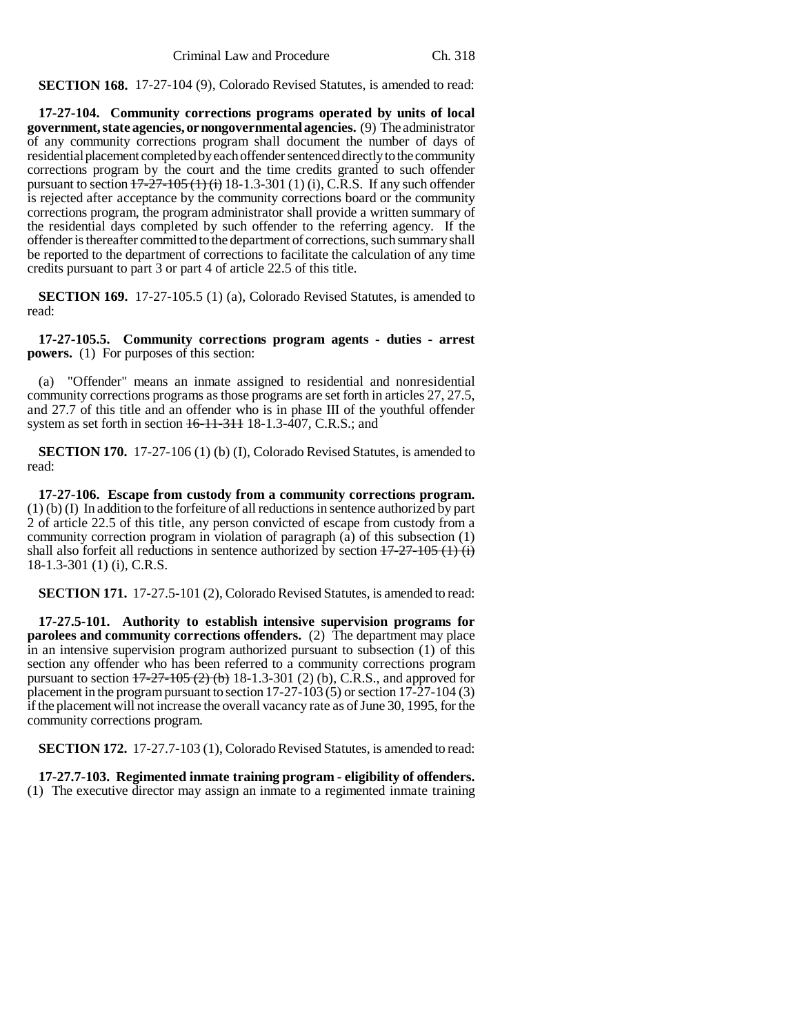**SECTION 168.** 17-27-104 (9), Colorado Revised Statutes, is amended to read:

**17-27-104. Community corrections programs operated by units of local government, state agencies, or nongovernmental agencies.** (9) The administrator of any community corrections program shall document the number of days of residential placement completed by each offender sentenced directly to the community corrections program by the court and the time credits granted to such offender pursuant to section  $17-27-105$  (1) (i) 18-1.3-301 (1) (i), C.R.S. If any such offender is rejected after acceptance by the community corrections board or the community corrections program, the program administrator shall provide a written summary of the residential days completed by such offender to the referring agency. If the offender is thereafter committed to the department of corrections, such summary shall be reported to the department of corrections to facilitate the calculation of any time credits pursuant to part 3 or part 4 of article 22.5 of this title.

**SECTION 169.** 17-27-105.5 (1) (a), Colorado Revised Statutes, is amended to read:

**17-27-105.5. Community corrections program agents - duties - arrest powers.** (1) For purposes of this section:

(a) "Offender" means an inmate assigned to residential and nonresidential community corrections programs as those programs are set forth in articles 27, 27.5, and 27.7 of this title and an offender who is in phase III of the youthful offender system as set forth in section  $16-11-311$  18-1.3-407, C.R.S.; and

**SECTION 170.** 17-27-106 (1) (b) (I), Colorado Revised Statutes, is amended to read:

**17-27-106. Escape from custody from a community corrections program.** (1) (b) (I) In addition to the forfeiture of all reductions in sentence authorized by part 2 of article 22.5 of this title, any person convicted of escape from custody from a community correction program in violation of paragraph (a) of this subsection (1) shall also forfeit all reductions in sentence authorized by section  $17-27-105$  (1) (i) 18-1.3-301 (1) (i), C.R.S.

**SECTION 171.** 17-27.5-101 (2), Colorado Revised Statutes, is amended to read:

**17-27.5-101. Authority to establish intensive supervision programs for parolees and community corrections offenders.** (2) The department may place in an intensive supervision program authorized pursuant to subsection (1) of this section any offender who has been referred to a community corrections program pursuant to section  $17-27-105$  (2) (b) 18-1.3-301 (2) (b), C.R.S., and approved for placement in the program pursuant to section 17-27-103 (5) or section 17-27-104 (3) if the placement will not increase the overall vacancy rate as of June 30, 1995, for the community corrections program.

**SECTION 172.** 17-27.7-103 (1), Colorado Revised Statutes, is amended to read:

**17-27.7-103. Regimented inmate training program - eligibility of offenders.** (1) The executive director may assign an inmate to a regimented inmate training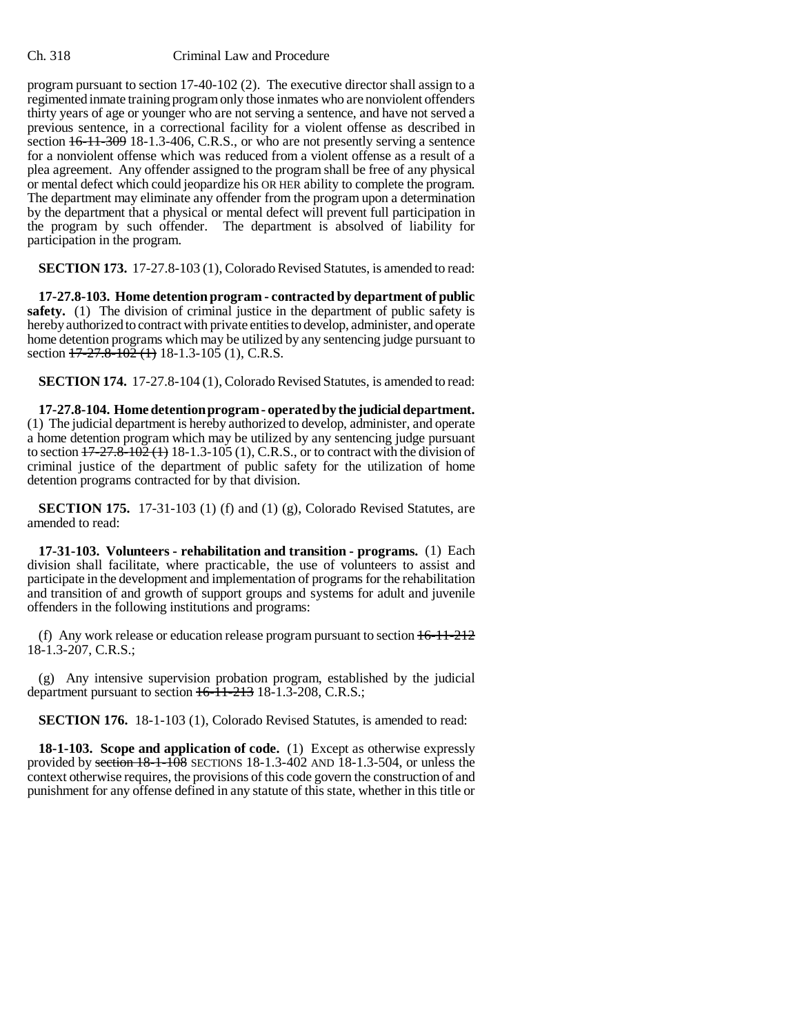program pursuant to section 17-40-102 (2). The executive director shall assign to a regimented inmate training program only those inmates who are nonviolent offenders thirty years of age or younger who are not serving a sentence, and have not served a previous sentence, in a correctional facility for a violent offense as described in section  $16-11-309$  18-1.3-406, C.R.S., or who are not presently serving a sentence for a nonviolent offense which was reduced from a violent offense as a result of a plea agreement. Any offender assigned to the program shall be free of any physical or mental defect which could jeopardize his OR HER ability to complete the program. The department may eliminate any offender from the program upon a determination by the department that a physical or mental defect will prevent full participation in the program by such offender. The department is absolved of liability for participation in the program.

**SECTION 173.** 17-27.8-103 (1), Colorado Revised Statutes, is amended to read:

**17-27.8-103. Home detention program - contracted by department of public** safety. (1) The division of criminal justice in the department of public safety is hereby authorized to contract with private entities to develop, administer, and operate home detention programs which may be utilized by any sentencing judge pursuant to section  $17-27.8-102$  (1) 18-1.3-105 (1), C.R.S.

**SECTION 174.** 17-27.8-104 (1), Colorado Revised Statutes, is amended to read:

**17-27.8-104. Home detention program - operated by the judicial department.** (1) The judicial department is hereby authorized to develop, administer, and operate a home detention program which may be utilized by any sentencing judge pursuant to section  $17-27.8-102$  (1) 18-1.3-105 (1), C.R.S., or to contract with the division of criminal justice of the department of public safety for the utilization of home detention programs contracted for by that division.

**SECTION 175.** 17-31-103 (1) (f) and (1) (g), Colorado Revised Statutes, are amended to read:

**17-31-103. Volunteers - rehabilitation and transition - programs.** (1) Each division shall facilitate, where practicable, the use of volunteers to assist and participate in the development and implementation of programs for the rehabilitation and transition of and growth of support groups and systems for adult and juvenile offenders in the following institutions and programs:

(f) Any work release or education release program pursuant to section  $16-11-212$ 18-1.3-207, C.R.S.;

(g) Any intensive supervision probation program, established by the judicial department pursuant to section  $16-\overline{11-213}$  18-1.3-208, C.R.S.;

**SECTION 176.** 18-1-103 (1), Colorado Revised Statutes, is amended to read:

**18-1-103. Scope and application of code.** (1) Except as otherwise expressly provided by section 18-1-108 SECTIONS 18-1.3-402 AND 18-1.3-504, or unless the context otherwise requires, the provisions of this code govern the construction of and punishment for any offense defined in any statute of this state, whether in this title or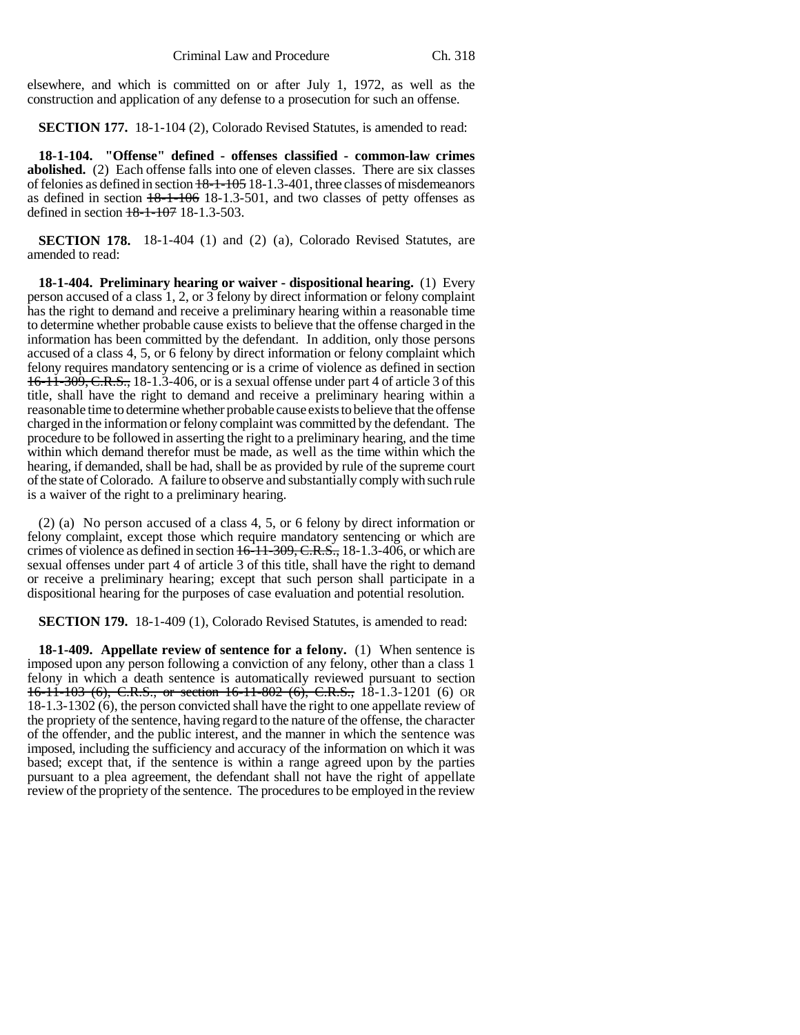elsewhere, and which is committed on or after July 1, 1972, as well as the construction and application of any defense to a prosecution for such an offense.

**SECTION 177.** 18-1-104 (2), Colorado Revised Statutes, is amended to read:

**18-1-104. "Offense" defined - offenses classified - common-law crimes abolished.** (2) Each offense falls into one of eleven classes. There are six classes of felonies as defined in section 18-1-105 18-1.3-401, three classes of misdemeanors as defined in section 18-1-106 18-1.3-501, and two classes of petty offenses as defined in section 18-1-107 18-1.3-503.

**SECTION 178.** 18-1-404 (1) and (2) (a), Colorado Revised Statutes, are amended to read:

**18-1-404. Preliminary hearing or waiver - dispositional hearing.** (1) Every person accused of a class 1, 2, or 3 felony by direct information or felony complaint has the right to demand and receive a preliminary hearing within a reasonable time to determine whether probable cause exists to believe that the offense charged in the information has been committed by the defendant. In addition, only those persons accused of a class 4, 5, or 6 felony by direct information or felony complaint which felony requires mandatory sentencing or is a crime of violence as defined in section 16-11-309, C.R.S., 18-1.3-406, or is a sexual offense under part 4 of article 3 of this title, shall have the right to demand and receive a preliminary hearing within a reasonable time to determine whether probable cause exists to believe that the offense charged in the information or felony complaint was committed by the defendant. The procedure to be followed in asserting the right to a preliminary hearing, and the time within which demand therefor must be made, as well as the time within which the hearing, if demanded, shall be had, shall be as provided by rule of the supreme court of the state of Colorado. A failure to observe and substantially comply with such rule is a waiver of the right to a preliminary hearing.

(2) (a) No person accused of a class 4, 5, or 6 felony by direct information or felony complaint, except those which require mandatory sentencing or which are crimes of violence as defined in section  $16-11-309$ , C.R.S., 18-1.3-406, or which are sexual offenses under part 4 of article 3 of this title, shall have the right to demand or receive a preliminary hearing; except that such person shall participate in a dispositional hearing for the purposes of case evaluation and potential resolution.

**SECTION 179.** 18-1-409 (1), Colorado Revised Statutes, is amended to read:

**18-1-409. Appellate review of sentence for a felony.** (1) When sentence is imposed upon any person following a conviction of any felony, other than a class 1 felony in which a death sentence is automatically reviewed pursuant to section 16-11-103 (6), C.R.S., or section 16-11-802 (6), C.R.S., 18-1.3-1201 (6) OR 18-1.3-1302 (6), the person convicted shall have the right to one appellate review of the propriety of the sentence, having regard to the nature of the offense, the character of the offender, and the public interest, and the manner in which the sentence was imposed, including the sufficiency and accuracy of the information on which it was based; except that, if the sentence is within a range agreed upon by the parties pursuant to a plea agreement, the defendant shall not have the right of appellate review of the propriety of the sentence. The procedures to be employed in the review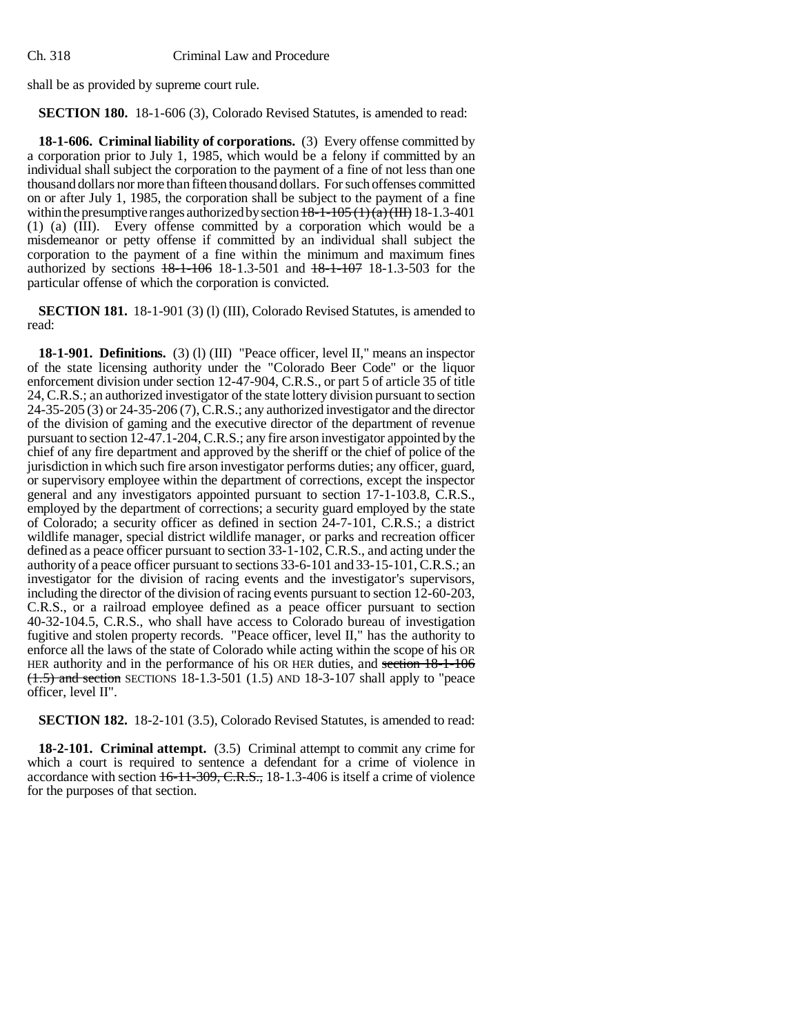shall be as provided by supreme court rule.

**SECTION 180.** 18-1-606 (3), Colorado Revised Statutes, is amended to read:

**18-1-606. Criminal liability of corporations.** (3) Every offense committed by a corporation prior to July 1, 1985, which would be a felony if committed by an individual shall subject the corporation to the payment of a fine of not less than one thousand dollars nor more than fifteen thousand dollars. For such offenses committed on or after July 1, 1985, the corporation shall be subject to the payment of a fine within the presumptive ranges authorized by section  $18\text{--}1\text{--}105\,(1)(a)(III)$  18-1.3-401 (1) (a) (III). Every offense committed by a corporation which would be a misdemeanor or petty offense if committed by an individual shall subject the corporation to the payment of a fine within the minimum and maximum fines authorized by sections 18-1-106 18-1.3-501 and 18-1-107 18-1.3-503 for the particular offense of which the corporation is convicted.

**SECTION 181.** 18-1-901 (3) (1) (III), Colorado Revised Statutes, is amended to read:

**18-1-901. Definitions.** (3) (l) (III) "Peace officer, level II," means an inspector of the state licensing authority under the "Colorado Beer Code" or the liquor enforcement division under section 12-47-904, C.R.S., or part 5 of article 35 of title 24, C.R.S.; an authorized investigator of the state lottery division pursuant to section 24-35-205 (3) or 24-35-206 (7), C.R.S.; any authorized investigator and the director of the division of gaming and the executive director of the department of revenue pursuant to section 12-47.1-204, C.R.S.; any fire arson investigator appointed by the chief of any fire department and approved by the sheriff or the chief of police of the jurisdiction in which such fire arson investigator performs duties; any officer, guard, or supervisory employee within the department of corrections, except the inspector general and any investigators appointed pursuant to section 17-1-103.8, C.R.S., employed by the department of corrections; a security guard employed by the state of Colorado; a security officer as defined in section 24-7-101, C.R.S.; a district wildlife manager, special district wildlife manager, or parks and recreation officer defined as a peace officer pursuant to section 33-1-102, C.R.S., and acting under the authority of a peace officer pursuant to sections 33-6-101 and 33-15-101, C.R.S.; an investigator for the division of racing events and the investigator's supervisors, including the director of the division of racing events pursuant to section 12-60-203, C.R.S., or a railroad employee defined as a peace officer pursuant to section 40-32-104.5, C.R.S., who shall have access to Colorado bureau of investigation fugitive and stolen property records. "Peace officer, level II," has the authority to enforce all the laws of the state of Colorado while acting within the scope of his OR HER authority and in the performance of his OR HER duties, and section 18-1-106  $(1.5)$  and section SECTIONS 18-1.3-501 (1.5) AND 18-3-107 shall apply to "peace officer, level II".

**SECTION 182.** 18-2-101 (3.5), Colorado Revised Statutes, is amended to read:

**18-2-101. Criminal attempt.** (3.5) Criminal attempt to commit any crime for which a court is required to sentence a defendant for a crime of violence in accordance with section 16-11-309, C.R.S., 18-1.3-406 is itself a crime of violence for the purposes of that section.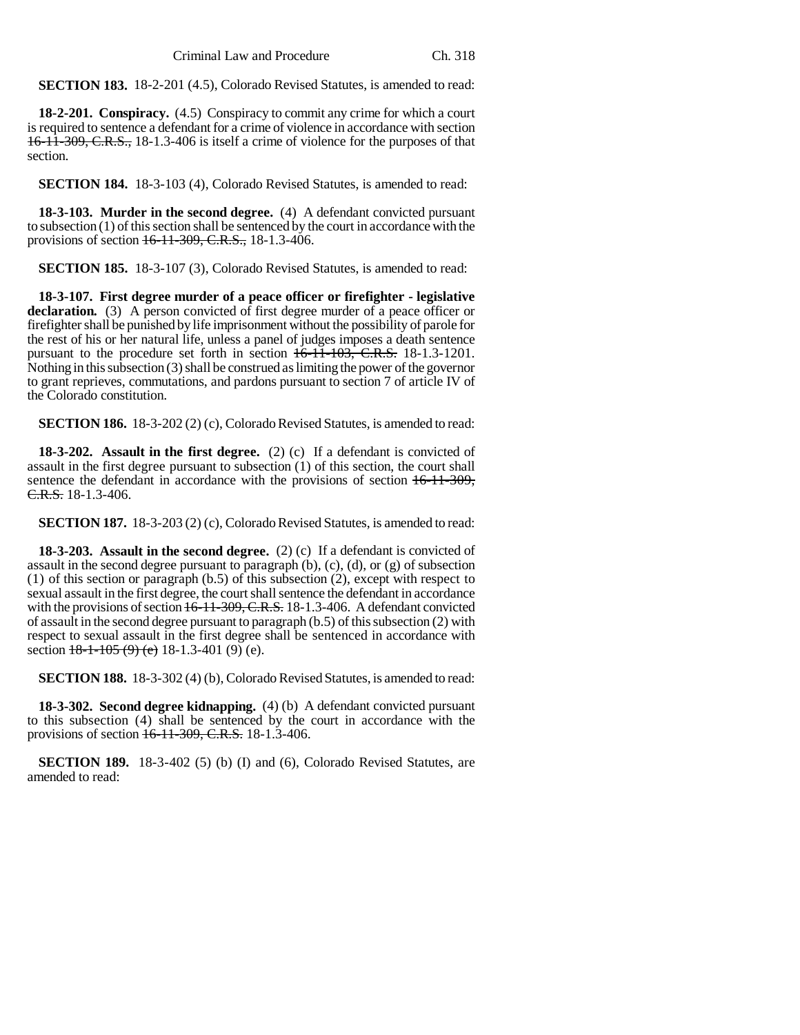**SECTION 183.** 18-2-201 (4.5), Colorado Revised Statutes, is amended to read:

**18-2-201. Conspiracy.** (4.5) Conspiracy to commit any crime for which a court is required to sentence a defendant for a crime of violence in accordance with section 16-11-309, C.R.S., 18-1.3-406 is itself a crime of violence for the purposes of that section.

**SECTION 184.** 18-3-103 (4), Colorado Revised Statutes, is amended to read:

**18-3-103. Murder in the second degree.** (4) A defendant convicted pursuant to subsection (1) of this section shall be sentenced by the court in accordance with the provisions of section 16-11-309, C.R.S., 18-1.3-406.

**SECTION 185.** 18-3-107 (3), Colorado Revised Statutes, is amended to read:

**18-3-107. First degree murder of a peace officer or firefighter - legislative declaration.** (3) A person convicted of first degree murder of a peace officer or firefighter shall be punished by life imprisonment without the possibility of parole for the rest of his or her natural life, unless a panel of judges imposes a death sentence pursuant to the procedure set forth in section  $16-11-103$ , C.R.S. 18-1.3-1201. Nothing in this subsection (3) shall be construed as limiting the power of the governor to grant reprieves, commutations, and pardons pursuant to section 7 of article IV of the Colorado constitution.

**SECTION 186.** 18-3-202 (2) (c), Colorado Revised Statutes, is amended to read:

**18-3-202. Assault in the first degree.** (2) (c) If a defendant is convicted of assault in the first degree pursuant to subsection (1) of this section, the court shall sentence the defendant in accordance with the provisions of section  $16-11-309$ , C.R.S. 18-1.3-406.

**SECTION 187.** 18-3-203 (2) (c), Colorado Revised Statutes, is amended to read:

**18-3-203. Assault in the second degree.** (2) (c) If a defendant is convicted of assault in the second degree pursuant to paragraph (b), (c), (d), or (g) of subsection (1) of this section or paragraph (b.5) of this subsection (2), except with respect to sexual assault in the first degree, the court shall sentence the defendant in accordance with the provisions of section 16-11-309, C.R.S. 18-1.3-406. A defendant convicted of assault in the second degree pursuant to paragraph (b.5) of this subsection (2) with respect to sexual assault in the first degree shall be sentenced in accordance with section  $18-1-105(9)$  (e) 18-1.3-401 (9) (e).

**SECTION 188.** 18-3-302 (4) (b), Colorado Revised Statutes, is amended to read:

**18-3-302. Second degree kidnapping.** (4) (b) A defendant convicted pursuant to this subsection (4) shall be sentenced by the court in accordance with the provisions of section 16-11-309, C.R.S. 18-1.3-406.

**SECTION 189.** 18-3-402 (5) (b) (I) and (6), Colorado Revised Statutes, are amended to read: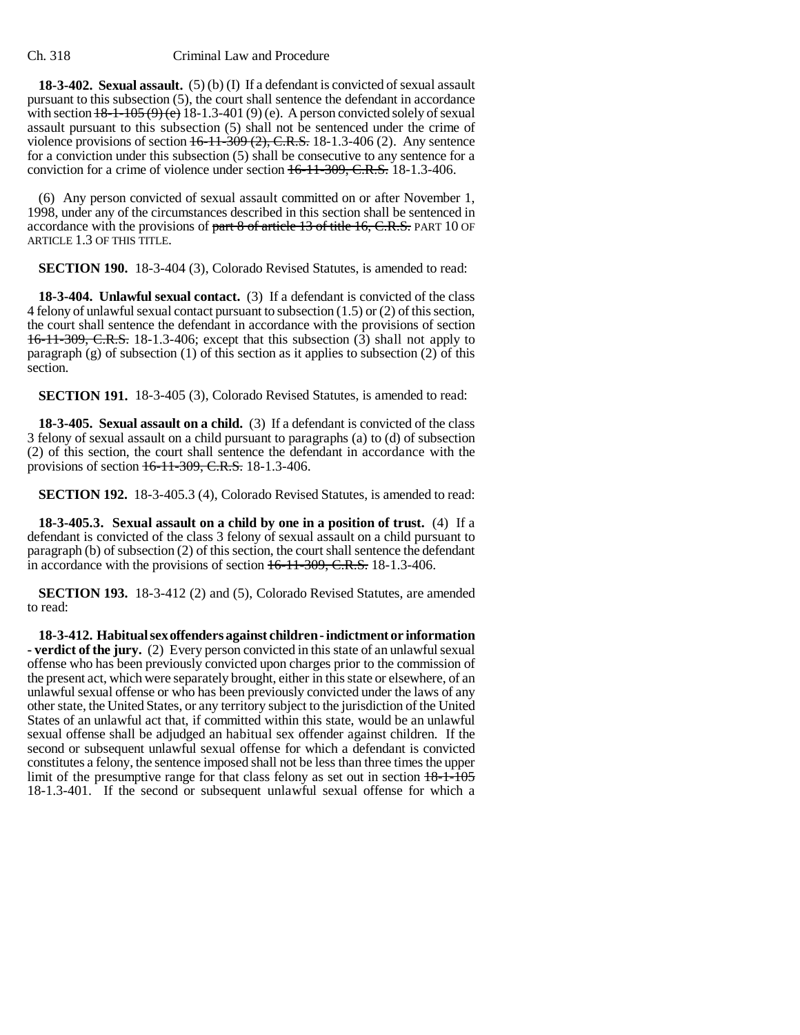**18-3-402. Sexual assault.** (5) (b) (I) If a defendant is convicted of sexual assault pursuant to this subsection (5), the court shall sentence the defendant in accordance with section  $18-1-105(9)$  (e) 18-1.3-401 (9) (e). A person convicted solely of sexual assault pursuant to this subsection (5) shall not be sentenced under the crime of violence provisions of section  $16-11-309(2)$ , C.R.S. 18-1.3-406 (2). Any sentence for a conviction under this subsection (5) shall be consecutive to any sentence for a conviction for a crime of violence under section 16-11-309, C.R.S. 18-1.3-406.

(6) Any person convicted of sexual assault committed on or after November 1, 1998, under any of the circumstances described in this section shall be sentenced in accordance with the provisions of part 8 of article 13 of title 16, C.R.S. PART 10 OF ARTICLE 1.3 OF THIS TITLE.

**SECTION 190.** 18-3-404 (3), Colorado Revised Statutes, is amended to read:

**18-3-404. Unlawful sexual contact.** (3) If a defendant is convicted of the class 4 felony of unlawful sexual contact pursuant to subsection (1.5) or (2) of this section, the court shall sentence the defendant in accordance with the provisions of section  $16-11-309$ , C.R.S. 18-1.3-406; except that this subsection  $(3)$  shall not apply to paragraph (g) of subsection (1) of this section as it applies to subsection (2) of this section.

**SECTION 191.** 18-3-405 (3), Colorado Revised Statutes, is amended to read:

**18-3-405. Sexual assault on a child.** (3) If a defendant is convicted of the class 3 felony of sexual assault on a child pursuant to paragraphs (a) to (d) of subsection (2) of this section, the court shall sentence the defendant in accordance with the provisions of section 16-11-309, C.R.S. 18-1.3-406.

**SECTION 192.** 18-3-405.3 (4), Colorado Revised Statutes, is amended to read:

**18-3-405.3. Sexual assault on a child by one in a position of trust.** (4) If a defendant is convicted of the class 3 felony of sexual assault on a child pursuant to paragraph (b) of subsection (2) of this section, the court shall sentence the defendant in accordance with the provisions of section  $16-11-309$ , C.R.S. 18-1.3-406.

**SECTION 193.** 18-3-412 (2) and (5), Colorado Revised Statutes, are amended to read:

**18-3-412. Habitual sex offenders against children - indictment or information - verdict of the jury.** (2) Every person convicted in this state of an unlawful sexual offense who has been previously convicted upon charges prior to the commission of the present act, which were separately brought, either in this state or elsewhere, of an unlawful sexual offense or who has been previously convicted under the laws of any other state, the United States, or any territory subject to the jurisdiction of the United States of an unlawful act that, if committed within this state, would be an unlawful sexual offense shall be adjudged an habitual sex offender against children. If the second or subsequent unlawful sexual offense for which a defendant is convicted constitutes a felony, the sentence imposed shall not be less than three times the upper limit of the presumptive range for that class felony as set out in section  $18-1-105$ 18-1.3-401. If the second or subsequent unlawful sexual offense for which a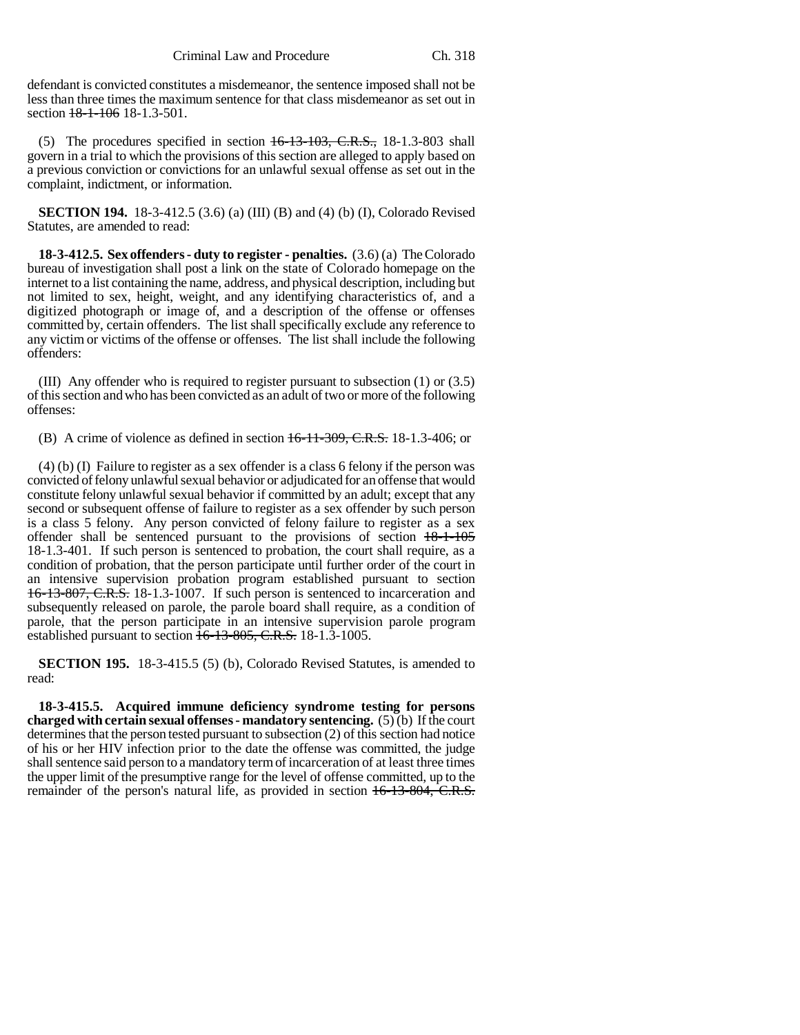defendant is convicted constitutes a misdemeanor, the sentence imposed shall not be less than three times the maximum sentence for that class misdemeanor as set out in section 18-1-106 18-1.3-501.

(5) The procedures specified in section  $16-13-103$ , C.R.S., 18-1.3-803 shall govern in a trial to which the provisions of this section are alleged to apply based on a previous conviction or convictions for an unlawful sexual offense as set out in the complaint, indictment, or information.

**SECTION 194.** 18-3-412.5 (3.6) (a) (III) (B) and (4) (b) (I), Colorado Revised Statutes, are amended to read:

**18-3-412.5. Sex offenders - duty to register - penalties.** (3.6) (a) The Colorado bureau of investigation shall post a link on the state of Colorado homepage on the internet to a list containing the name, address, and physical description, including but not limited to sex, height, weight, and any identifying characteristics of, and a digitized photograph or image of, and a description of the offense or offenses committed by, certain offenders. The list shall specifically exclude any reference to any victim or victims of the offense or offenses. The list shall include the following offenders:

(III) Any offender who is required to register pursuant to subsection (1) or (3.5) of this section and who has been convicted as an adult of two or more of the following offenses:

(B) A crime of violence as defined in section 16-11-309, C.R.S. 18-1.3-406; or

(4) (b) (I) Failure to register as a sex offender is a class 6 felony if the person was convicted of felony unlawful sexual behavior or adjudicated for an offense that would constitute felony unlawful sexual behavior if committed by an adult; except that any second or subsequent offense of failure to register as a sex offender by such person is a class 5 felony. Any person convicted of felony failure to register as a sex offender shall be sentenced pursuant to the provisions of section  $18-1-105$ 18-1.3-401. If such person is sentenced to probation, the court shall require, as a condition of probation, that the person participate until further order of the court in an intensive supervision probation program established pursuant to section 16-13-807, C.R.S. 18-1.3-1007. If such person is sentenced to incarceration and subsequently released on parole, the parole board shall require, as a condition of parole, that the person participate in an intensive supervision parole program established pursuant to section  $\overline{16-13-805}$ , C.R.S. 18-1.3-1005.

**SECTION 195.** 18-3-415.5 (5) (b), Colorado Revised Statutes, is amended to read:

**18-3-415.5. Acquired immune deficiency syndrome testing for persons charged with certain sexual offenses - mandatory sentencing.** (5) (b) If the court determines that the person tested pursuant to subsection (2) of this section had notice of his or her HIV infection prior to the date the offense was committed, the judge shall sentence said person to a mandatory term of incarceration of at least three times the upper limit of the presumptive range for the level of offense committed, up to the remainder of the person's natural life, as provided in section 16-13-804, C.R.S.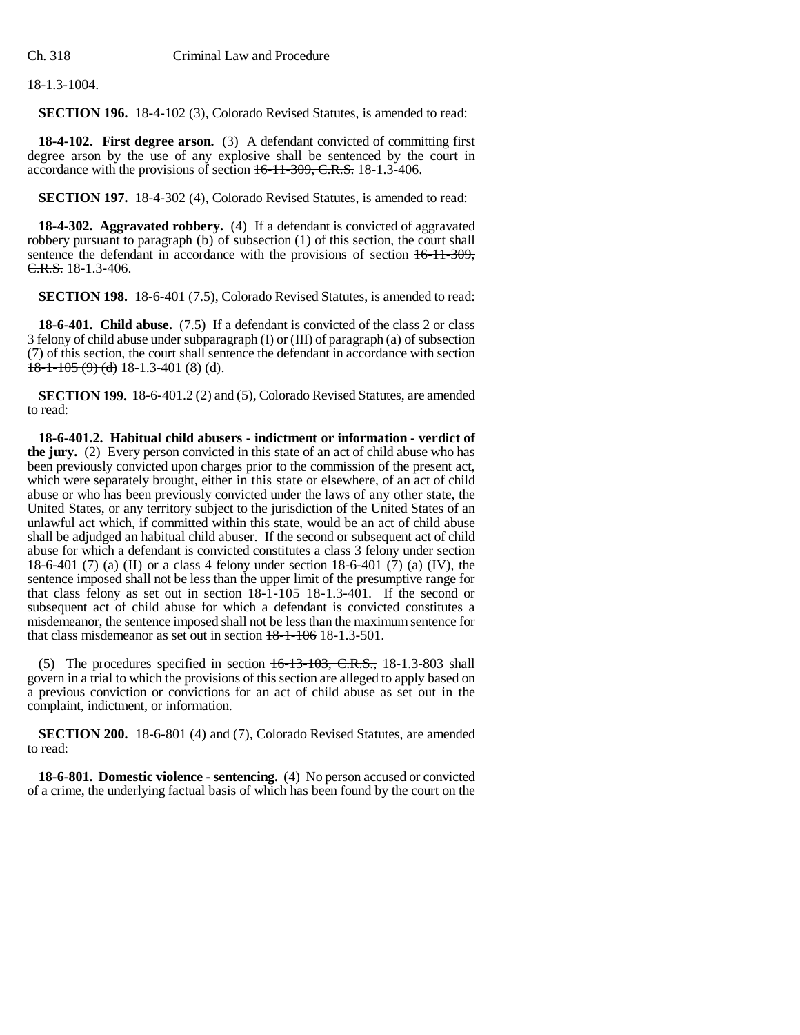18-1.3-1004.

**SECTION 196.** 18-4-102 (3), Colorado Revised Statutes, is amended to read:

**18-4-102. First degree arson.** (3) A defendant convicted of committing first degree arson by the use of any explosive shall be sentenced by the court in accordance with the provisions of section 16-11-309, C.R.S. 18-1.3-406.

**SECTION 197.** 18-4-302 (4), Colorado Revised Statutes, is amended to read:

**18-4-302. Aggravated robbery.** (4) If a defendant is convicted of aggravated robbery pursuant to paragraph (b) of subsection (1) of this section, the court shall sentence the defendant in accordance with the provisions of section  $16-11-309$ , C.R.S. 18-1.3-406.

**SECTION 198.** 18-6-401 (7.5), Colorado Revised Statutes, is amended to read:

**18-6-401. Child abuse.** (7.5) If a defendant is convicted of the class 2 or class 3 felony of child abuse under subparagraph (I) or (III) of paragraph (a) of subsection (7) of this section, the court shall sentence the defendant in accordance with section  $18-1-105(9)$  (d) 18-1.3-401 (8) (d).

**SECTION 199.** 18-6-401.2 (2) and (5), Colorado Revised Statutes, are amended to read:

**18-6-401.2. Habitual child abusers - indictment or information - verdict of the jury.** (2) Every person convicted in this state of an act of child abuse who has been previously convicted upon charges prior to the commission of the present act, which were separately brought, either in this state or elsewhere, of an act of child abuse or who has been previously convicted under the laws of any other state, the United States, or any territory subject to the jurisdiction of the United States of an unlawful act which, if committed within this state, would be an act of child abuse shall be adjudged an habitual child abuser. If the second or subsequent act of child abuse for which a defendant is convicted constitutes a class 3 felony under section 18-6-401 (7) (a) (II) or a class 4 felony under section 18-6-401 (7) (a) (IV), the sentence imposed shall not be less than the upper limit of the presumptive range for that class felony as set out in section  $18-\overline{1}$ -105 18-1.3-401. If the second or subsequent act of child abuse for which a defendant is convicted constitutes a misdemeanor, the sentence imposed shall not be less than the maximum sentence for that class misdemeanor as set out in section  $18-1-106$  18-1.3-501.

(5) The procedures specified in section  $16-13-103$ , C.R.S., 18-1.3-803 shall govern in a trial to which the provisions of this section are alleged to apply based on a previous conviction or convictions for an act of child abuse as set out in the complaint, indictment, or information.

**SECTION 200.** 18-6-801 (4) and (7), Colorado Revised Statutes, are amended to read:

**18-6-801. Domestic violence - sentencing.** (4) No person accused or convicted of a crime, the underlying factual basis of which has been found by the court on the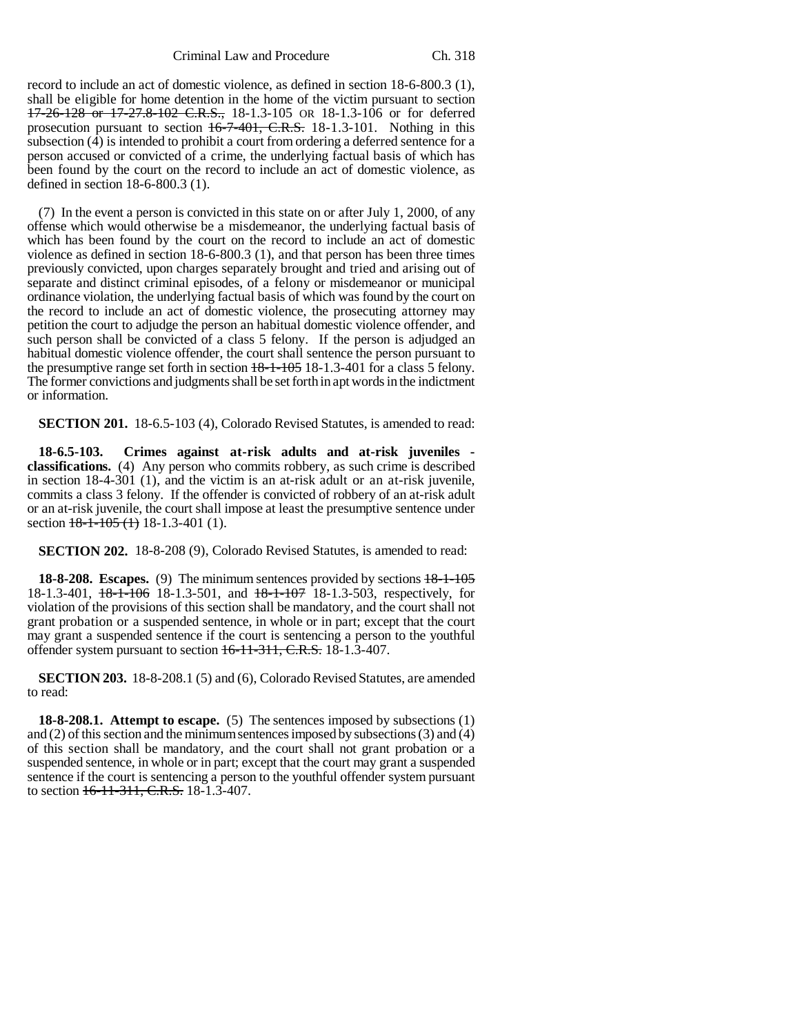Criminal Law and Procedure Ch. 318

record to include an act of domestic violence, as defined in section 18-6-800.3 (1), shall be eligible for home detention in the home of the victim pursuant to section 17-26-128 or 17-27.8-102 C.R.S., 18-1.3-105 OR 18-1.3-106 or for deferred prosecution pursuant to section  $16-7-401$ , C.R.S. 18-1.3-101. Nothing in this subsection (4) is intended to prohibit a court from ordering a deferred sentence for a person accused or convicted of a crime, the underlying factual basis of which has been found by the court on the record to include an act of domestic violence, as defined in section 18-6-800.3 (1).

(7) In the event a person is convicted in this state on or after July 1, 2000, of any offense which would otherwise be a misdemeanor, the underlying factual basis of which has been found by the court on the record to include an act of domestic violence as defined in section 18-6-800.3 (1), and that person has been three times previously convicted, upon charges separately brought and tried and arising out of separate and distinct criminal episodes, of a felony or misdemeanor or municipal ordinance violation, the underlying factual basis of which was found by the court on the record to include an act of domestic violence, the prosecuting attorney may petition the court to adjudge the person an habitual domestic violence offender, and such person shall be convicted of a class 5 felony. If the person is adjudged an habitual domestic violence offender, the court shall sentence the person pursuant to the presumptive range set forth in section  $18-1-105$  18-1.3-401 for a class 5 felony. The former convictions and judgments shall be set forth in apt words in the indictment or information.

**SECTION 201.** 18-6.5-103 (4), Colorado Revised Statutes, is amended to read:

**18-6.5-103. Crimes against at-risk adults and at-risk juveniles classifications.** (4) Any person who commits robbery, as such crime is described in section 18-4-301 (1), and the victim is an at-risk adult or an at-risk juvenile, commits a class 3 felony. If the offender is convicted of robbery of an at-risk adult or an at-risk juvenile, the court shall impose at least the presumptive sentence under section  $18-1-105$  (1) 18-1.3-401 (1).

**SECTION 202.** 18-8-208 (9), Colorado Revised Statutes, is amended to read:

**18-8-208. Escapes.** (9) The minimum sentences provided by sections  $18-1-105$ 18-1.3-401, <del>18-1-106</del> 18-1.3-501, and <del>18-1-107</del> 18-1.3-503, respectively, for violation of the provisions of this section shall be mandatory, and the court shall not grant probation or a suspended sentence, in whole or in part; except that the court may grant a suspended sentence if the court is sentencing a person to the youthful offender system pursuant to section 16-11-311, C.R.S. 18-1.3-407.

**SECTION 203.** 18-8-208.1 (5) and (6), Colorado Revised Statutes, are amended to read:

**18-8-208.1. Attempt to escape.** (5) The sentences imposed by subsections (1) and (2) of this section and the minimum sentences imposed by subsections (3) and (4) of this section shall be mandatory, and the court shall not grant probation or a suspended sentence, in whole or in part; except that the court may grant a suspended sentence if the court is sentencing a person to the youthful offender system pursuant to section 16-11-311, C.R.S. 18-1.3-407.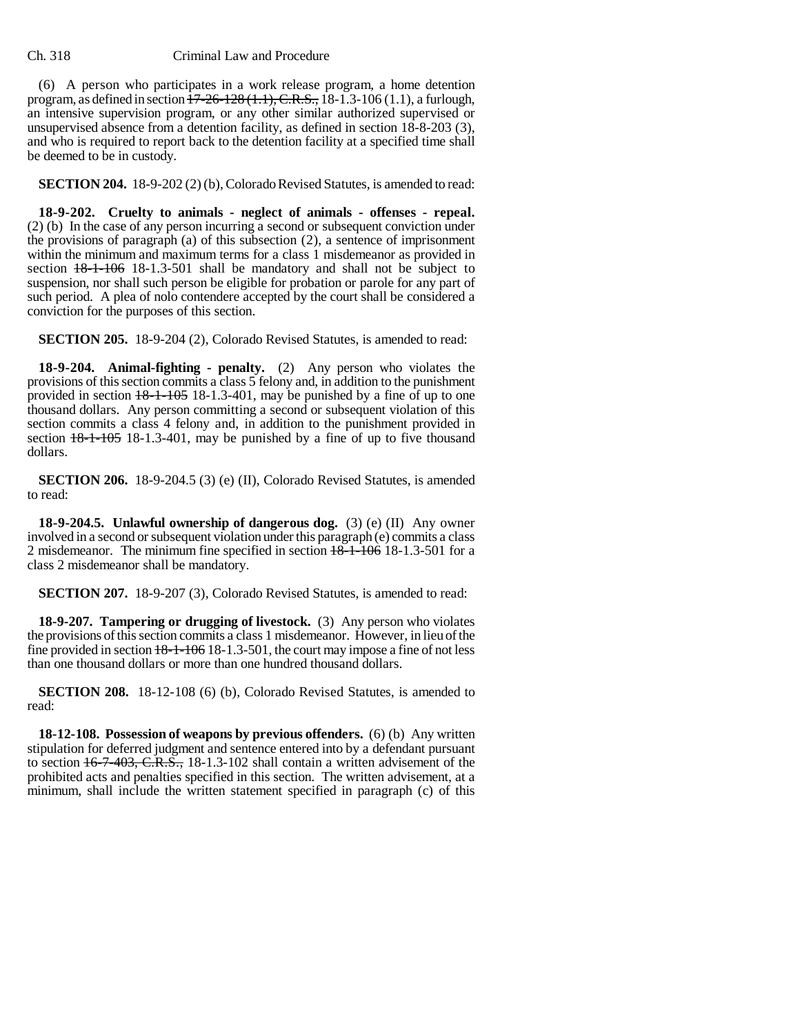(6) A person who participates in a work release program, a home detention program, as defined in section  $\frac{17-26-128(1.1)}{17-26-128(1.1)}$ ,  $\frac{1}{8}$ . 1.3-106 (1.1), a furlough, an intensive supervision program, or any other similar authorized supervised or unsupervised absence from a detention facility, as defined in section 18-8-203 (3), and who is required to report back to the detention facility at a specified time shall be deemed to be in custody.

**SECTION 204.** 18-9-202 (2) (b), Colorado Revised Statutes, is amended to read:

**18-9-202. Cruelty to animals - neglect of animals - offenses - repeal.** (2) (b) In the case of any person incurring a second or subsequent conviction under the provisions of paragraph (a) of this subsection (2), a sentence of imprisonment within the minimum and maximum terms for a class 1 misdemeanor as provided in section  $18-1-106$  18-1.3-501 shall be mandatory and shall not be subject to suspension, nor shall such person be eligible for probation or parole for any part of such period. A plea of nolo contendere accepted by the court shall be considered a conviction for the purposes of this section.

**SECTION 205.** 18-9-204 (2), Colorado Revised Statutes, is amended to read:

**18-9-204. Animal-fighting - penalty.** (2) Any person who violates the provisions of this section commits a class 5 felony and, in addition to the punishment provided in section  $18-1-105$  18-1.3-401, may be punished by a fine of up to one thousand dollars. Any person committing a second or subsequent violation of this section commits a class 4 felony and, in addition to the punishment provided in section  $18-1-105$  18-1.3-401, may be punished by a fine of up to five thousand dollars.

**SECTION 206.** 18-9-204.5 (3) (e) (II), Colorado Revised Statutes, is amended to read:

**18-9-204.5. Unlawful ownership of dangerous dog.** (3) (e) (II) Any owner involved in a second or subsequent violation under this paragraph (e) commits a class 2 misdemeanor. The minimum fine specified in section 18-1-106 18-1.3-501 for a class 2 misdemeanor shall be mandatory.

**SECTION 207.** 18-9-207 (3), Colorado Revised Statutes, is amended to read:

**18-9-207. Tampering or drugging of livestock.** (3) Any person who violates the provisions of this section commits a class 1 misdemeanor. However, in lieu of the fine provided in section  $18-1-106$  18-1.3-501, the court may impose a fine of not less than one thousand dollars or more than one hundred thousand dollars.

**SECTION 208.** 18-12-108 (6) (b), Colorado Revised Statutes, is amended to read:

**18-12-108. Possession of weapons by previous offenders.** (6) (b) Any written stipulation for deferred judgment and sentence entered into by a defendant pursuant to section  $16-7-403$ , C.R.S., 18-1.3-102 shall contain a written advisement of the prohibited acts and penalties specified in this section. The written advisement, at a minimum, shall include the written statement specified in paragraph (c) of this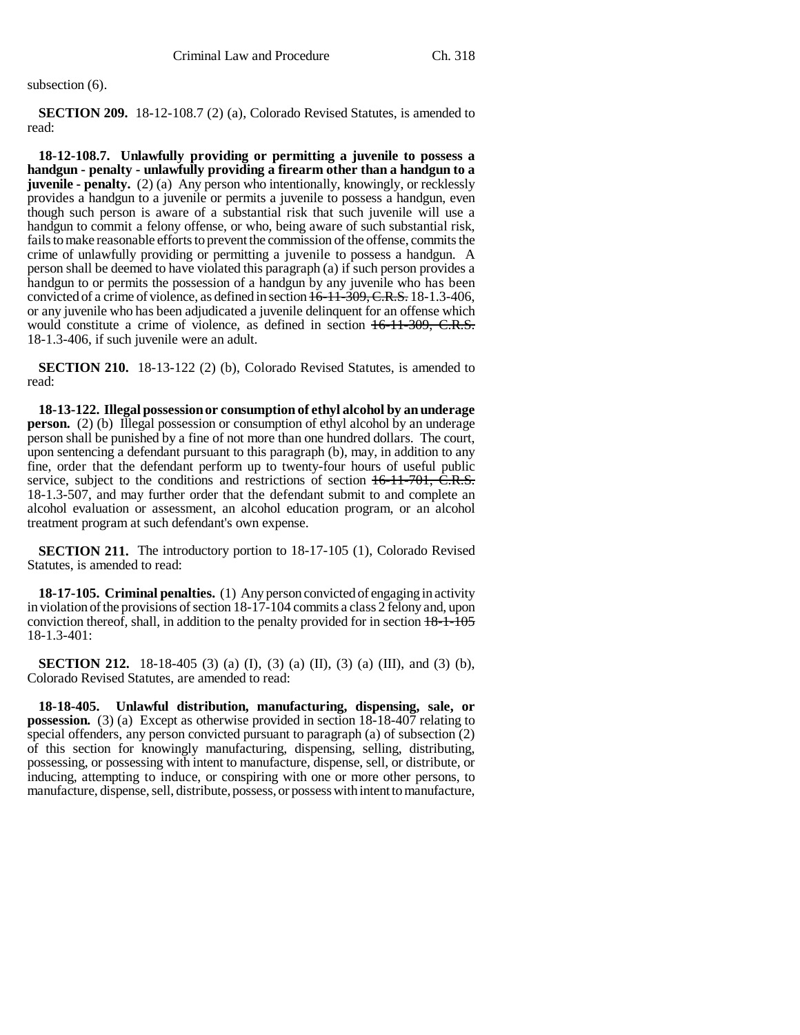subsection (6).

**SECTION 209.** 18-12-108.7 (2) (a), Colorado Revised Statutes, is amended to read:

**18-12-108.7. Unlawfully providing or permitting a juvenile to possess a handgun - penalty - unlawfully providing a firearm other than a handgun to a juvenile - penalty.** (2) (a) Any person who intentionally, knowingly, or recklessly provides a handgun to a juvenile or permits a juvenile to possess a handgun, even though such person is aware of a substantial risk that such juvenile will use a handgun to commit a felony offense, or who, being aware of such substantial risk, fails to make reasonable efforts to prevent the commission of the offense, commits the crime of unlawfully providing or permitting a juvenile to possess a handgun. A person shall be deemed to have violated this paragraph (a) if such person provides a handgun to or permits the possession of a handgun by any juvenile who has been convicted of a crime of violence, as defined in section  $16-11-309$ , C.R.S. 18-1.3-406, or any juvenile who has been adjudicated a juvenile delinquent for an offense which would constitute a crime of violence, as defined in section  $16-11-309$ , C.R.S. 18-1.3-406, if such juvenile were an adult.

**SECTION 210.** 18-13-122 (2) (b), Colorado Revised Statutes, is amended to read:

**18-13-122. Illegal possession or consumption of ethyl alcohol by an underage person.** (2) (b) Illegal possession or consumption of ethyl alcohol by an underage person shall be punished by a fine of not more than one hundred dollars. The court, upon sentencing a defendant pursuant to this paragraph (b), may, in addition to any fine, order that the defendant perform up to twenty-four hours of useful public service, subject to the conditions and restrictions of section  $16-11-701$ ,  $\overline{C.R.S.}$ 18-1.3-507, and may further order that the defendant submit to and complete an alcohol evaluation or assessment, an alcohol education program, or an alcohol treatment program at such defendant's own expense.

**SECTION 211.** The introductory portion to 18-17-105 (1), Colorado Revised Statutes, is amended to read:

**18-17-105. Criminal penalties.** (1) Any person convicted of engaging in activity in violation of the provisions of section 18-17-104 commits a class 2 felony and, upon conviction thereof, shall, in addition to the penalty provided for in section 18-1-105 18-1.3-401:

**SECTION 212.** 18-18-405 (3) (a) (I), (3) (a) (II), (3) (a) (III), and (3) (b), Colorado Revised Statutes, are amended to read:

**18-18-405. Unlawful distribution, manufacturing, dispensing, sale, or possession.** (3) (a) Except as otherwise provided in section 18-18-407 relating to special offenders, any person convicted pursuant to paragraph (a) of subsection (2) of this section for knowingly manufacturing, dispensing, selling, distributing, possessing, or possessing with intent to manufacture, dispense, sell, or distribute, or inducing, attempting to induce, or conspiring with one or more other persons, to manufacture, dispense, sell, distribute, possess, or possess with intent to manufacture,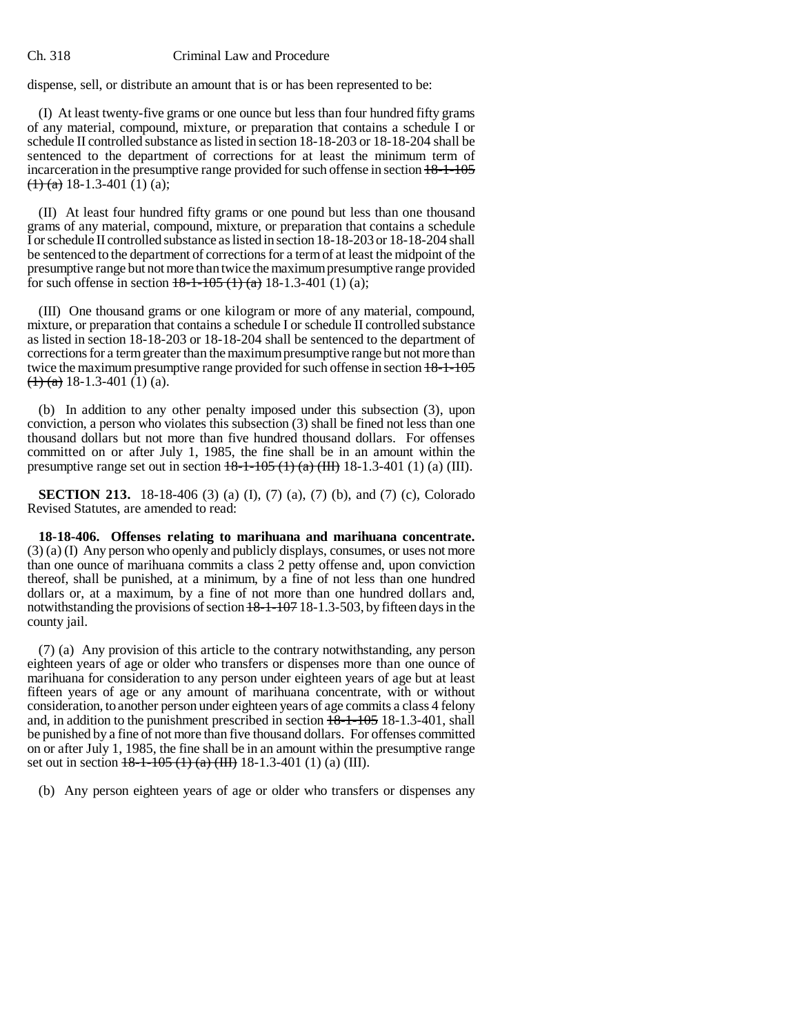dispense, sell, or distribute an amount that is or has been represented to be:

(I) At least twenty-five grams or one ounce but less than four hundred fifty grams of any material, compound, mixture, or preparation that contains a schedule I or schedule II controlled substance as listed in section 18-18-203 or 18-18-204 shall be sentenced to the department of corrections for at least the minimum term of incarceration in the presumptive range provided for such offense in section 18-1-105  $(1)$  (a) 18-1.3-401 (1) (a);

(II) At least four hundred fifty grams or one pound but less than one thousand grams of any material, compound, mixture, or preparation that contains a schedule I or schedule II controlled substance as listed in section 18-18-203 or 18-18-204 shall be sentenced to the department of corrections for a term of at least the midpoint of the presumptive range but not more than twice the maximum presumptive range provided for such offense in section  $18-1-105(1)(a)$  18-1.3-401 (1) (a);

(III) One thousand grams or one kilogram or more of any material, compound, mixture, or preparation that contains a schedule I or schedule II controlled substance as listed in section 18-18-203 or 18-18-204 shall be sentenced to the department of corrections for a term greater than the maximum presumptive range but not more than twice the maximum presumptive range provided for such offense in section  $18-1-105$  $(1)$  (a) 18-1.3-401 (1) (a).

(b) In addition to any other penalty imposed under this subsection (3), upon conviction, a person who violates this subsection (3) shall be fined not less than one thousand dollars but not more than five hundred thousand dollars. For offenses committed on or after July 1, 1985, the fine shall be in an amount within the presumptive range set out in section  $18-1-105$  (1) (a) (HI) 18-1.3-401 (1) (a) (III).

**SECTION 213.** 18-18-406 (3) (a) (I), (7) (a), (7) (b), and (7) (c), Colorado Revised Statutes, are amended to read:

**18-18-406. Offenses relating to marihuana and marihuana concentrate.** (3) (a) (I) Any person who openly and publicly displays, consumes, or uses not more than one ounce of marihuana commits a class 2 petty offense and, upon conviction thereof, shall be punished, at a minimum, by a fine of not less than one hundred dollars or, at a maximum, by a fine of not more than one hundred dollars and, notwithstanding the provisions of section  $18-1-107$  18-1.3-503, by fifteen days in the county jail.

(7) (a) Any provision of this article to the contrary notwithstanding, any person eighteen years of age or older who transfers or dispenses more than one ounce of marihuana for consideration to any person under eighteen years of age but at least fifteen years of age or any amount of marihuana concentrate, with or without consideration, to another person under eighteen years of age commits a class 4 felony and, in addition to the punishment prescribed in section 18-1-105 18-1.3-401, shall be punished by a fine of not more than five thousand dollars. For offenses committed on or after July 1, 1985, the fine shall be in an amount within the presumptive range set out in section  $18-1-105$  (1) (a) (HII) 18-1.3-401 (1) (a) (III).

(b) Any person eighteen years of age or older who transfers or dispenses any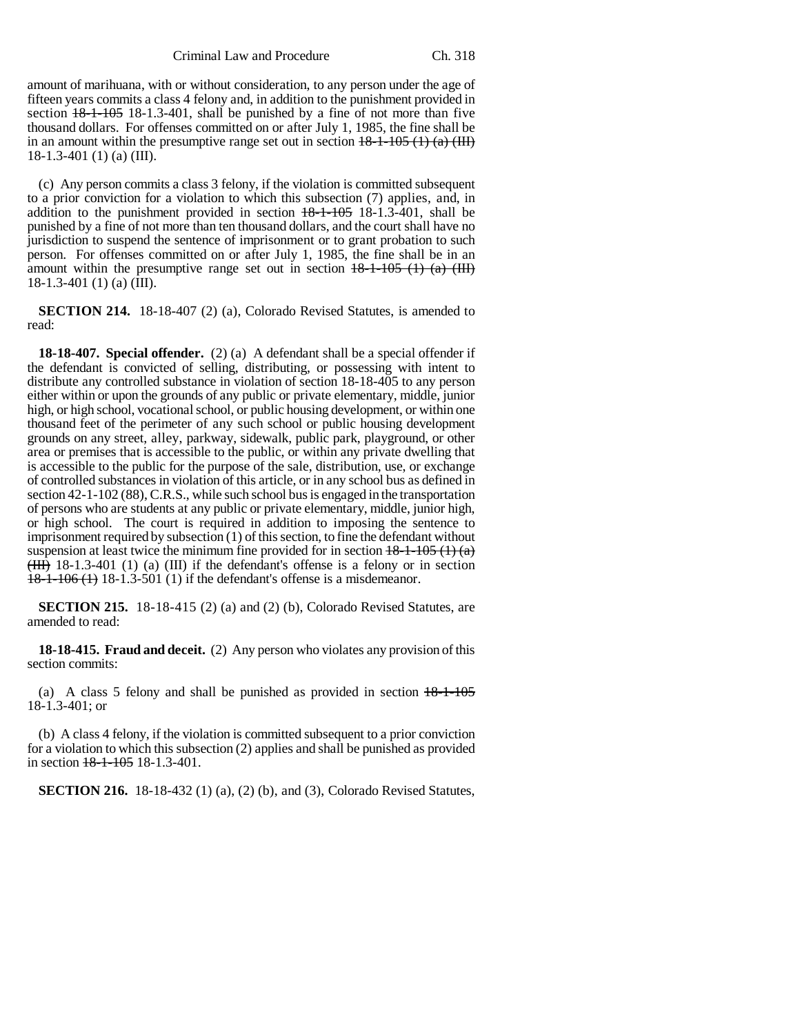amount of marihuana, with or without consideration, to any person under the age of fifteen years commits a class 4 felony and, in addition to the punishment provided in section  $18-1-105$  18-1.3-401, shall be punished by a fine of not more than five thousand dollars. For offenses committed on or after July 1, 1985, the fine shall be in an amount within the presumptive range set out in section  $18-1-105$  (1) (a) (III) 18-1.3-401 (1) (a) (III).

(c) Any person commits a class 3 felony, if the violation is committed subsequent to a prior conviction for a violation to which this subsection (7) applies, and, in addition to the punishment provided in section  $18-1-105$  18-1.3-401, shall be punished by a fine of not more than ten thousand dollars, and the court shall have no jurisdiction to suspend the sentence of imprisonment or to grant probation to such person. For offenses committed on or after July 1, 1985, the fine shall be in an amount within the presumptive range set out in section  $18-1-105$  (1) (a) (III) 18-1.3-401 (1) (a) (III).

**SECTION 214.** 18-18-407 (2) (a), Colorado Revised Statutes, is amended to read:

**18-18-407. Special offender.** (2) (a) A defendant shall be a special offender if the defendant is convicted of selling, distributing, or possessing with intent to distribute any controlled substance in violation of section 18-18-405 to any person either within or upon the grounds of any public or private elementary, middle, junior high, or high school, vocational school, or public housing development, or within one thousand feet of the perimeter of any such school or public housing development grounds on any street, alley, parkway, sidewalk, public park, playground, or other area or premises that is accessible to the public, or within any private dwelling that is accessible to the public for the purpose of the sale, distribution, use, or exchange of controlled substances in violation of this article, or in any school bus as defined in section 42-1-102 (88), C.R.S., while such school bus is engaged in the transportation of persons who are students at any public or private elementary, middle, junior high, or high school. The court is required in addition to imposing the sentence to imprisonment required by subsection (1) of this section, to fine the defendant without suspension at least twice the minimum fine provided for in section  $18-1-105$  (1) (a)  $(HH)$  18-1.3-401 (1) (a) (III) if the defendant's offense is a felony or in section  $18-1-106$  (1) 18-1.3-501 (1) if the defendant's offense is a misdemeanor.

**SECTION 215.** 18-18-415 (2) (a) and (2) (b), Colorado Revised Statutes, are amended to read:

**18-18-415. Fraud and deceit.** (2) Any person who violates any provision of this section commits:

(a) A class 5 felony and shall be punished as provided in section  $18-1-105$ 18-1.3-401; or

(b) A class 4 felony, if the violation is committed subsequent to a prior conviction for a violation to which this subsection (2) applies and shall be punished as provided in section 18-1-105 18-1.3-401.

**SECTION 216.** 18-18-432 (1) (a), (2) (b), and (3), Colorado Revised Statutes,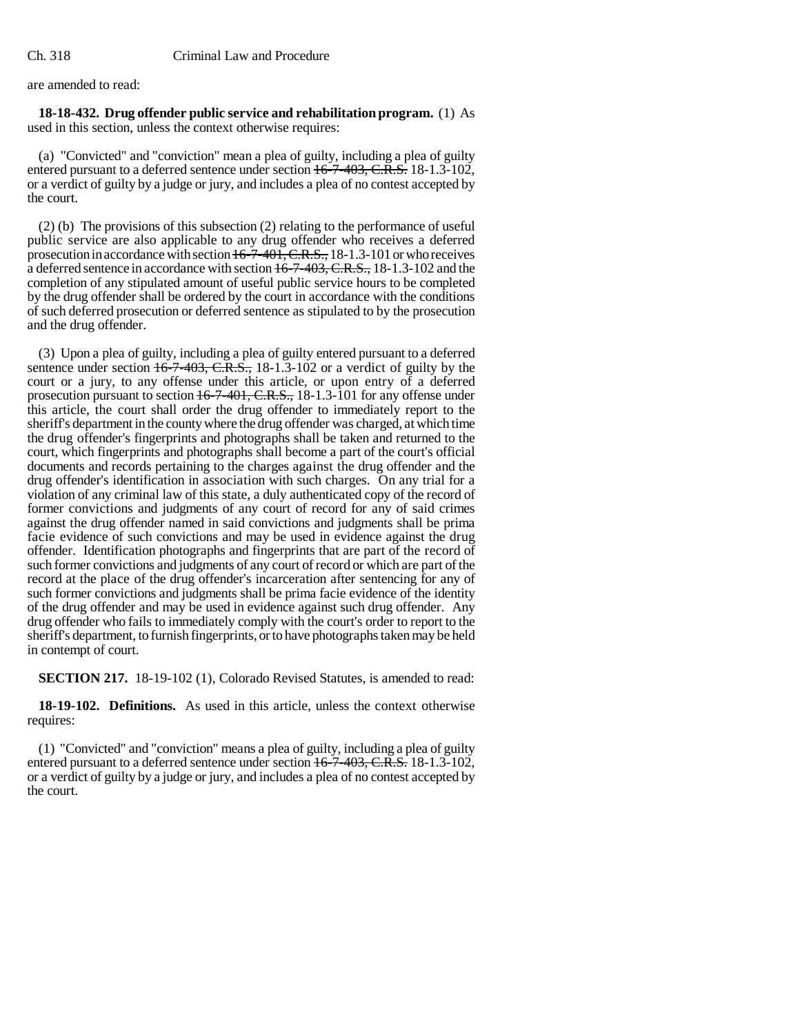are amended to read:

**18-18-432. Drug offender public service and rehabilitation program.** (1) As used in this section, unless the context otherwise requires:

(a) "Convicted" and "conviction" mean a plea of guilty, including a plea of guilty entered pursuant to a deferred sentence under section 16-7-403, C.R.S. 18-1.3-102, or a verdict of guilty by a judge or jury, and includes a plea of no contest accepted by the court.

(2) (b) The provisions of this subsection (2) relating to the performance of useful public service are also applicable to any drug offender who receives a deferred prosecution in accordance with section  $16\overline{-7}$ -401, C.R.S., 18-1.3-101 or who receives a deferred sentence in accordance with section 16-7-403, C.R.S., 18-1.3-102 and the completion of any stipulated amount of useful public service hours to be completed by the drug offender shall be ordered by the court in accordance with the conditions of such deferred prosecution or deferred sentence as stipulated to by the prosecution and the drug offender.

(3) Upon a plea of guilty, including a plea of guilty entered pursuant to a deferred sentence under section  $16-7-403$ , C.R.S., 18-1.3-102 or a verdict of guilty by the court or a jury, to any offense under this article, or upon entry of a deferred prosecution pursuant to section 16-7-401, C.R.S., 18-1.3-101 for any offense under this article, the court shall order the drug offender to immediately report to the sheriff's department in the county where the drug offender was charged, at which time the drug offender's fingerprints and photographs shall be taken and returned to the court, which fingerprints and photographs shall become a part of the court's official documents and records pertaining to the charges against the drug offender and the drug offender's identification in association with such charges. On any trial for a violation of any criminal law of this state, a duly authenticated copy of the record of former convictions and judgments of any court of record for any of said crimes against the drug offender named in said convictions and judgments shall be prima facie evidence of such convictions and may be used in evidence against the drug offender. Identification photographs and fingerprints that are part of the record of such former convictions and judgments of any court of record or which are part of the record at the place of the drug offender's incarceration after sentencing for any of such former convictions and judgments shall be prima facie evidence of the identity of the drug offender and may be used in evidence against such drug offender. Any drug offender who fails to immediately comply with the court's order to report to the sheriff's department, to furnish fingerprints, or to have photographs taken may be held in contempt of court.

**SECTION 217.** 18-19-102 (1), Colorado Revised Statutes, is amended to read:

**18-19-102. Definitions.** As used in this article, unless the context otherwise requires:

(1) "Convicted" and "conviction" means a plea of guilty, including a plea of guilty entered pursuant to a deferred sentence under section 16-7-403, C.R.S. 18-1.3-102, or a verdict of guilty by a judge or jury, and includes a plea of no contest accepted by the court.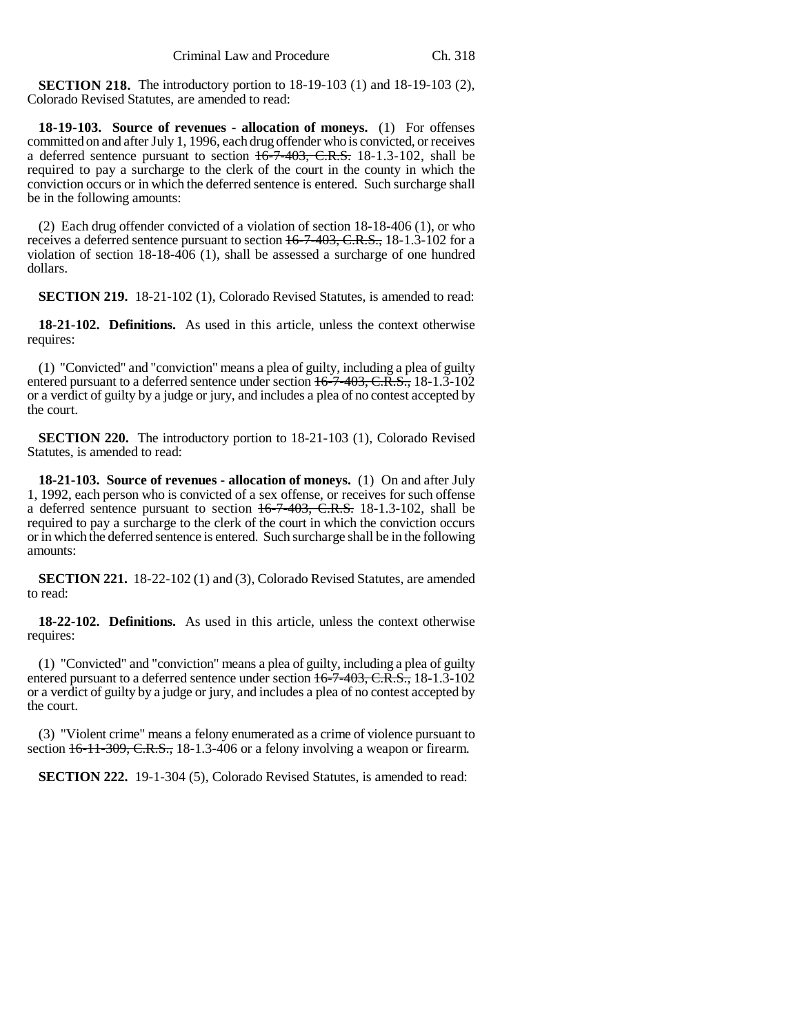**SECTION 218.** The introductory portion to 18-19-103 (1) and 18-19-103 (2), Colorado Revised Statutes, are amended to read:

**18-19-103. Source of revenues - allocation of moneys.** (1) For offenses committed on and after July 1, 1996, each drug offender who is convicted, or receives a deferred sentence pursuant to section 16-7-403, C.R.S. 18-1.3-102, shall be required to pay a surcharge to the clerk of the court in the county in which the conviction occurs or in which the deferred sentence is entered. Such surcharge shall be in the following amounts:

(2) Each drug offender convicted of a violation of section 18-18-406 (1), or who receives a deferred sentence pursuant to section 16-7-403, C.R.S., 18-1.3-102 for a violation of section 18-18-406 (1), shall be assessed a surcharge of one hundred dollars.

**SECTION 219.** 18-21-102 (1), Colorado Revised Statutes, is amended to read:

**18-21-102. Definitions.** As used in this article, unless the context otherwise requires:

(1) "Convicted" and "conviction" means a plea of guilty, including a plea of guilty entered pursuant to a deferred sentence under section 16-7-403, C.R.S., 18-1.3-102 or a verdict of guilty by a judge or jury, and includes a plea of no contest accepted by the court.

**SECTION 220.** The introductory portion to 18-21-103 (1), Colorado Revised Statutes, is amended to read:

**18-21-103. Source of revenues - allocation of moneys.** (1) On and after July 1, 1992, each person who is convicted of a sex offense, or receives for such offense a deferred sentence pursuant to section 16-7-403, C.R.S. 18-1.3-102, shall be required to pay a surcharge to the clerk of the court in which the conviction occurs or in which the deferred sentence is entered. Such surcharge shall be in the following amounts:

**SECTION 221.** 18-22-102 (1) and (3), Colorado Revised Statutes, are amended to read:

**18-22-102. Definitions.** As used in this article, unless the context otherwise requires:

(1) "Convicted" and "conviction" means a plea of guilty, including a plea of guilty entered pursuant to a deferred sentence under section  $16\overline{-7}$  -403, C.R.S., 18-1.3-102 or a verdict of guilty by a judge or jury, and includes a plea of no contest accepted by the court.

(3) "Violent crime" means a felony enumerated as a crime of violence pursuant to section  $16-11-309$ , C.R.S., 18-1.3-406 or a felony involving a weapon or firearm.

**SECTION 222.** 19-1-304 (5), Colorado Revised Statutes, is amended to read: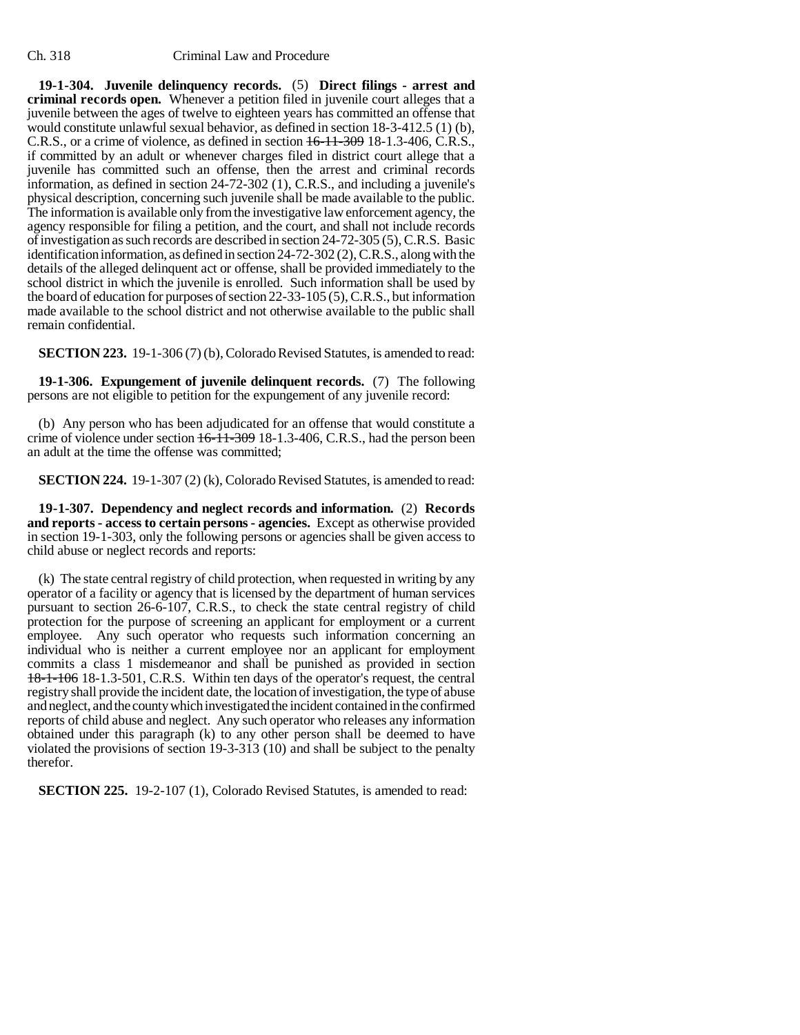**19-1-304. Juvenile delinquency records.** (5) **Direct filings - arrest and criminal records open.** Whenever a petition filed in juvenile court alleges that a juvenile between the ages of twelve to eighteen years has committed an offense that would constitute unlawful sexual behavior, as defined in section 18-3-412.5 (1) (b), C.R.S., or a crime of violence, as defined in section 16-11-309 18-1.3-406, C.R.S., if committed by an adult or whenever charges filed in district court allege that a juvenile has committed such an offense, then the arrest and criminal records information, as defined in section 24-72-302 (1), C.R.S., and including a juvenile's physical description, concerning such juvenile shall be made available to the public. The information is available only from the investigative law enforcement agency, the agency responsible for filing a petition, and the court, and shall not include records of investigation as such records are described in section 24-72-305 (5), C.R.S. Basic identification information, as defined in section 24-72-302 (2), C.R.S., along with the details of the alleged delinquent act or offense, shall be provided immediately to the school district in which the juvenile is enrolled. Such information shall be used by the board of education for purposes of section 22-33-105 (5), C.R.S., but information made available to the school district and not otherwise available to the public shall remain confidential.

**SECTION 223.** 19-1-306 (7) (b), Colorado Revised Statutes, is amended to read:

**19-1-306. Expungement of juvenile delinquent records.** (7) The following persons are not eligible to petition for the expungement of any juvenile record:

(b) Any person who has been adjudicated for an offense that would constitute a crime of violence under section  $16-11-309$  18-1.3-406, C.R.S., had the person been an adult at the time the offense was committed;

**SECTION 224.** 19-1-307 (2) (k), Colorado Revised Statutes, is amended to read:

**19-1-307. Dependency and neglect records and information.** (2) **Records and reports - access to certain persons - agencies.** Except as otherwise provided in section 19-1-303, only the following persons or agencies shall be given access to child abuse or neglect records and reports:

(k) The state central registry of child protection, when requested in writing by any operator of a facility or agency that is licensed by the department of human services pursuant to section 26-6-107, C.R.S., to check the state central registry of child protection for the purpose of screening an applicant for employment or a current employee. Any such operator who requests such information concerning an individual who is neither a current employee nor an applicant for employment commits a class 1 misdemeanor and shall be punished as provided in section 18-1-106 18-1.3-501, C.R.S. Within ten days of the operator's request, the central registry shall provide the incident date, the location of investigation, the type of abuse and neglect, and the county which investigated the incident contained in the confirmed reports of child abuse and neglect. Any such operator who releases any information obtained under this paragraph (k) to any other person shall be deemed to have violated the provisions of section 19-3-313 (10) and shall be subject to the penalty therefor.

**SECTION 225.** 19-2-107 (1), Colorado Revised Statutes, is amended to read: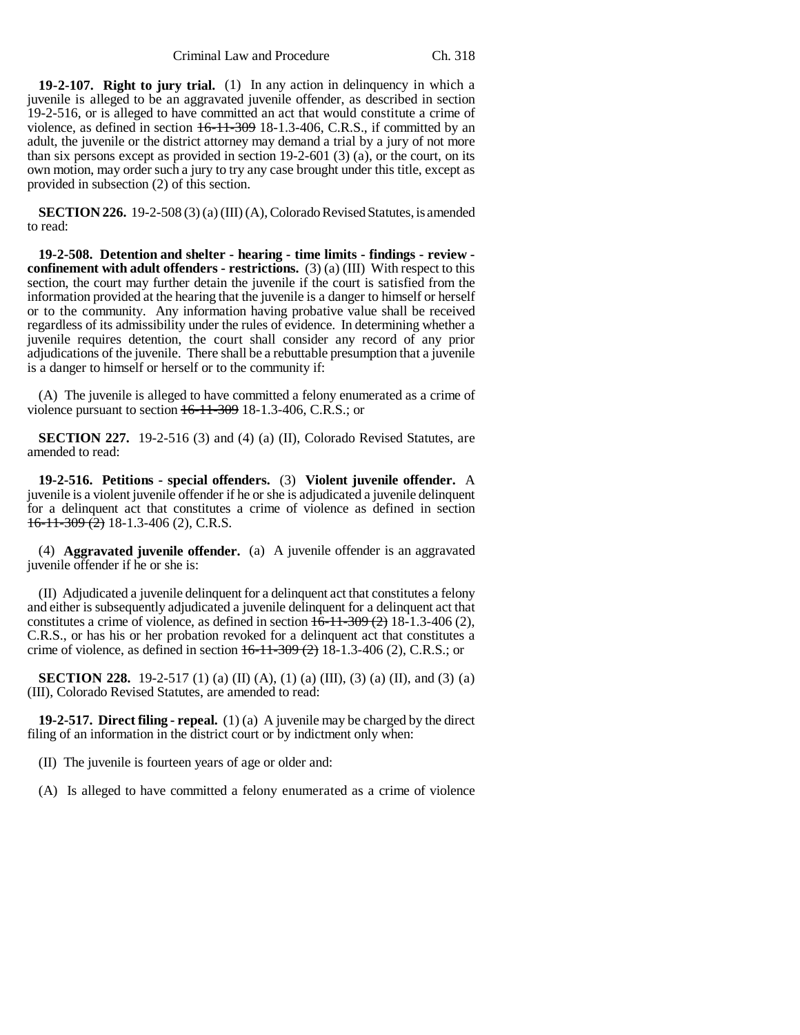Criminal Law and Procedure Ch. 318

**19-2-107. Right to jury trial.** (1) In any action in delinquency in which a juvenile is alleged to be an aggravated juvenile offender, as described in section 19-2-516, or is alleged to have committed an act that would constitute a crime of violence, as defined in section  $16-11-309$  18-1.3-406, C.R.S., if committed by an adult, the juvenile or the district attorney may demand a trial by a jury of not more than six persons except as provided in section 19-2-601 (3) (a), or the court, on its own motion, may order such a jury to try any case brought under this title, except as provided in subsection (2) of this section.

**SECTION 226.** 19-2-508 (3) (a) (III) (A), Colorado Revised Statutes, is amended to read:

**19-2-508. Detention and shelter - hearing - time limits - findings - review confinement with adult offenders - restrictions.** (3) (a) (III) With respect to this section, the court may further detain the juvenile if the court is satisfied from the information provided at the hearing that the juvenile is a danger to himself or herself or to the community. Any information having probative value shall be received regardless of its admissibility under the rules of evidence. In determining whether a juvenile requires detention, the court shall consider any record of any prior adjudications of the juvenile. There shall be a rebuttable presumption that a juvenile is a danger to himself or herself or to the community if:

(A) The juvenile is alleged to have committed a felony enumerated as a crime of violence pursuant to section  $16-11-309$  18-1.3-406, C.R.S.; or

**SECTION 227.** 19-2-516 (3) and (4) (a) (II), Colorado Revised Statutes, are amended to read:

**19-2-516. Petitions - special offenders.** (3) **Violent juvenile offender.** A juvenile is a violent juvenile offender if he or she is adjudicated a juvenile delinquent for a delinquent act that constitutes a crime of violence as defined in section  $16-11-309(2)$  18-1.3-406 (2), C.R.S.

(4) **Aggravated juvenile offender.** (a) A juvenile offender is an aggravated juvenile offender if he or she is:

(II) Adjudicated a juvenile delinquent for a delinquent act that constitutes a felony and either is subsequently adjudicated a juvenile delinquent for a delinquent act that constitutes a crime of violence, as defined in section  $16-11-309(2)$  18-1.3-406 (2), C.R.S., or has his or her probation revoked for a delinquent act that constitutes a crime of violence, as defined in section  $16-11-309(2)$  18-1.3-406 (2), C.R.S.; or

**SECTION 228.** 19-2-517 (1) (a) (II) (A), (1) (a) (III), (3) (a) (II), and (3) (a) (III), Colorado Revised Statutes, are amended to read:

**19-2-517. Direct filing - repeal.** (1) (a) A juvenile may be charged by the direct filing of an information in the district court or by indictment only when:

(II) The juvenile is fourteen years of age or older and:

(A) Is alleged to have committed a felony enumerated as a crime of violence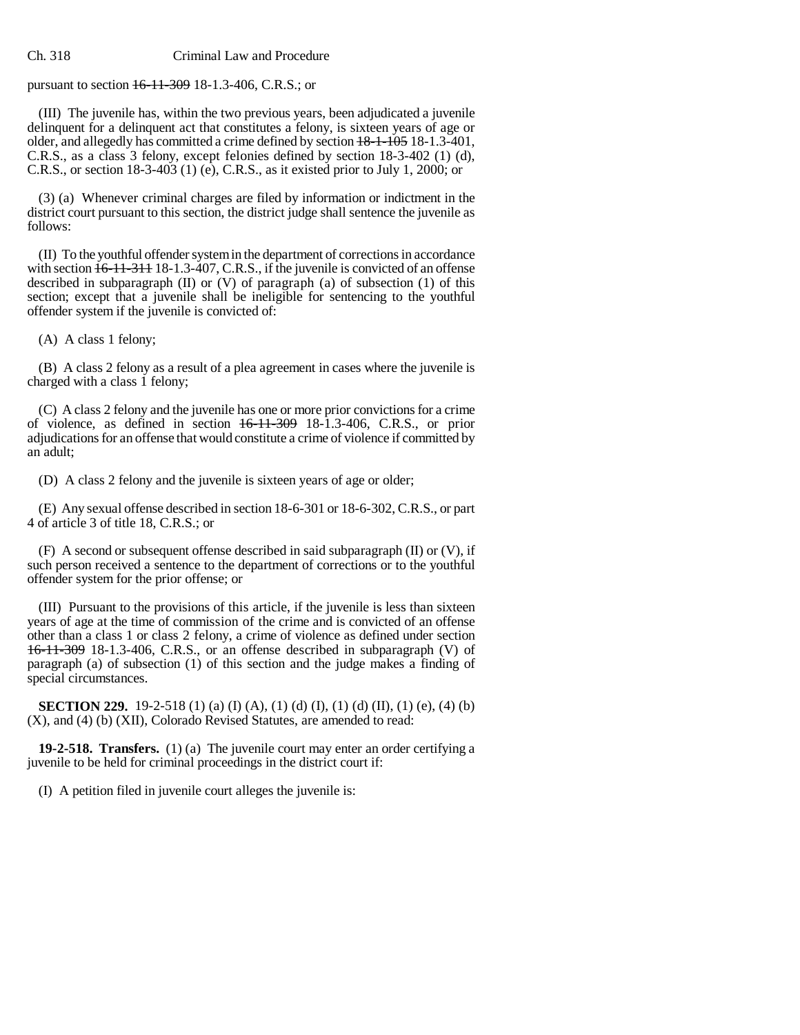pursuant to section 16-11-309 18-1.3-406, C.R.S.; or

(III) The juvenile has, within the two previous years, been adjudicated a juvenile delinquent for a delinquent act that constitutes a felony, is sixteen years of age or older, and allegedly has committed a crime defined by section 18-1-105 18-1.3-401, C.R.S., as a class 3 felony, except felonies defined by section 18-3-402 (1) (d), C.R.S., or section 18-3-403 (1) (e), C.R.S., as it existed prior to July 1, 2000; or

(3) (a) Whenever criminal charges are filed by information or indictment in the district court pursuant to this section, the district judge shall sentence the juvenile as follows:

(II) To the youthful offender system in the department of corrections in accordance with section  $16-11-311$  18-1.3-407, C.R.S., if the juvenile is convicted of an offense described in subparagraph (II) or (V) of paragraph (a) of subsection (1) of this section; except that a juvenile shall be ineligible for sentencing to the youthful offender system if the juvenile is convicted of:

(A) A class 1 felony;

(B) A class 2 felony as a result of a plea agreement in cases where the juvenile is charged with a class 1 felony;

(C) A class 2 felony and the juvenile has one or more prior convictions for a crime of violence, as defined in section  $16-11-309$  18-1.3-406, C.R.S., or prior adjudications for an offense that would constitute a crime of violence if committed by an adult;

(D) A class 2 felony and the juvenile is sixteen years of age or older;

(E) Any sexual offense described in section 18-6-301 or 18-6-302, C.R.S., or part 4 of article 3 of title 18, C.R.S.; or

 $(F)$  A second or subsequent offense described in said subparagraph  $(II)$  or  $(V)$ , if such person received a sentence to the department of corrections or to the youthful offender system for the prior offense; or

(III) Pursuant to the provisions of this article, if the juvenile is less than sixteen years of age at the time of commission of the crime and is convicted of an offense other than a class 1 or class 2 felony, a crime of violence as defined under section 16-11-309 18-1.3-406, C.R.S., or an offense described in subparagraph (V) of paragraph (a) of subsection (1) of this section and the judge makes a finding of special circumstances.

**SECTION 229.** 19-2-518 (1) (a) (I) (A), (1) (d) (I), (1) (d) (II), (1) (e), (4) (b) (X), and (4) (b) (XII), Colorado Revised Statutes, are amended to read:

**19-2-518. Transfers.** (1) (a) The juvenile court may enter an order certifying a juvenile to be held for criminal proceedings in the district court if:

(I) A petition filed in juvenile court alleges the juvenile is: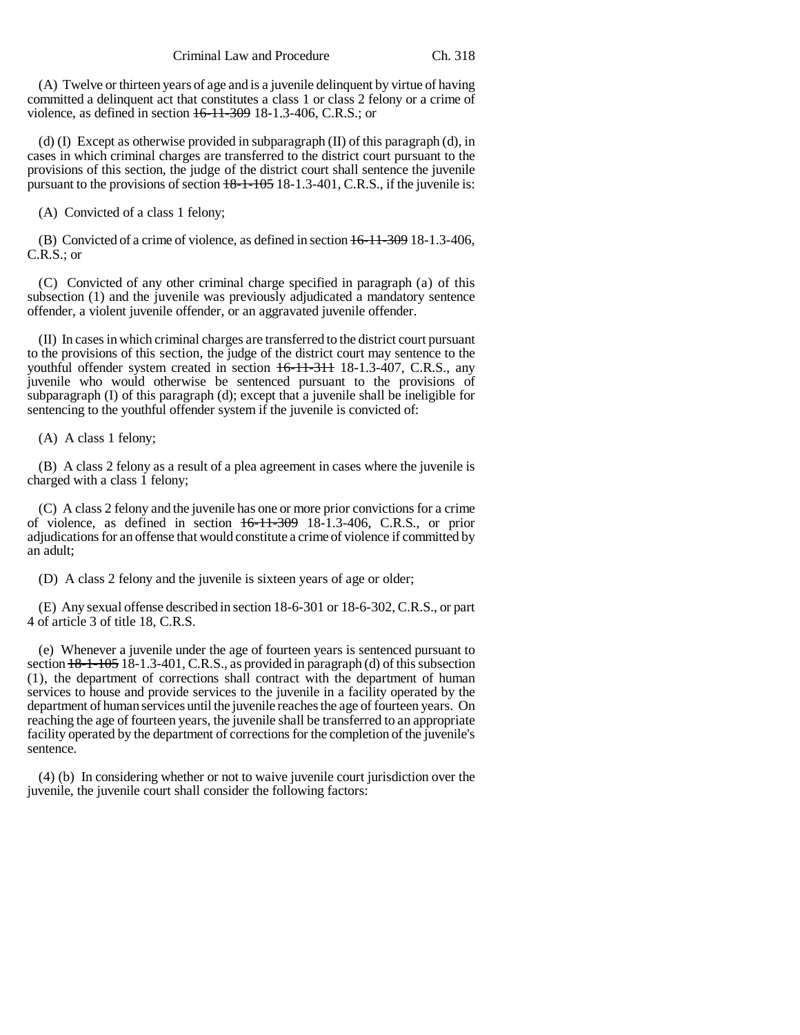(A) Twelve or thirteen years of age and is a juvenile delinquent by virtue of having committed a delinquent act that constitutes a class 1 or class 2 felony or a crime of violence, as defined in section 16-11-309 18-1.3-406, C.R.S.; or

(d) (I) Except as otherwise provided in subparagraph (II) of this paragraph (d), in cases in which criminal charges are transferred to the district court pursuant to the provisions of this section, the judge of the district court shall sentence the juvenile pursuant to the provisions of section  $18-1-105$  18-1.3-401, C.R.S., if the juvenile is:

(A) Convicted of a class 1 felony;

(B) Convicted of a crime of violence, as defined in section 16-11-309 18-1.3-406, C.R.S.; or

(C) Convicted of any other criminal charge specified in paragraph (a) of this subsection (1) and the juvenile was previously adjudicated a mandatory sentence offender, a violent juvenile offender, or an aggravated juvenile offender.

(II) In cases in which criminal charges are transferred to the district court pursuant to the provisions of this section, the judge of the district court may sentence to the youthful offender system created in section  $16-11-311$  18-1.3-407, C.R.S., any juvenile who would otherwise be sentenced pursuant to the provisions of subparagraph (I) of this paragraph (d); except that a juvenile shall be ineligible for sentencing to the youthful offender system if the juvenile is convicted of:

(A) A class 1 felony;

(B) A class 2 felony as a result of a plea agreement in cases where the juvenile is charged with a class 1 felony;

(C) A class 2 felony and the juvenile has one or more prior convictions for a crime of violence, as defined in section  $16-11-309$  18-1.3-406, C.R.S., or prior adjudications for an offense that would constitute a crime of violence if committed by an adult;

(D) A class 2 felony and the juvenile is sixteen years of age or older;

(E) Any sexual offense described in section 18-6-301 or 18-6-302, C.R.S., or part 4 of article 3 of title 18, C.R.S.

(e) Whenever a juvenile under the age of fourteen years is sentenced pursuant to section 18-1-105 18-1.3-401, C.R.S., as provided in paragraph (d) of this subsection (1), the department of corrections shall contract with the department of human services to house and provide services to the juvenile in a facility operated by the department of human services until the juvenile reaches the age of fourteen years. On reaching the age of fourteen years, the juvenile shall be transferred to an appropriate facility operated by the department of corrections for the completion of the juvenile's sentence.

(4) (b) In considering whether or not to waive juvenile court jurisdiction over the juvenile, the juvenile court shall consider the following factors: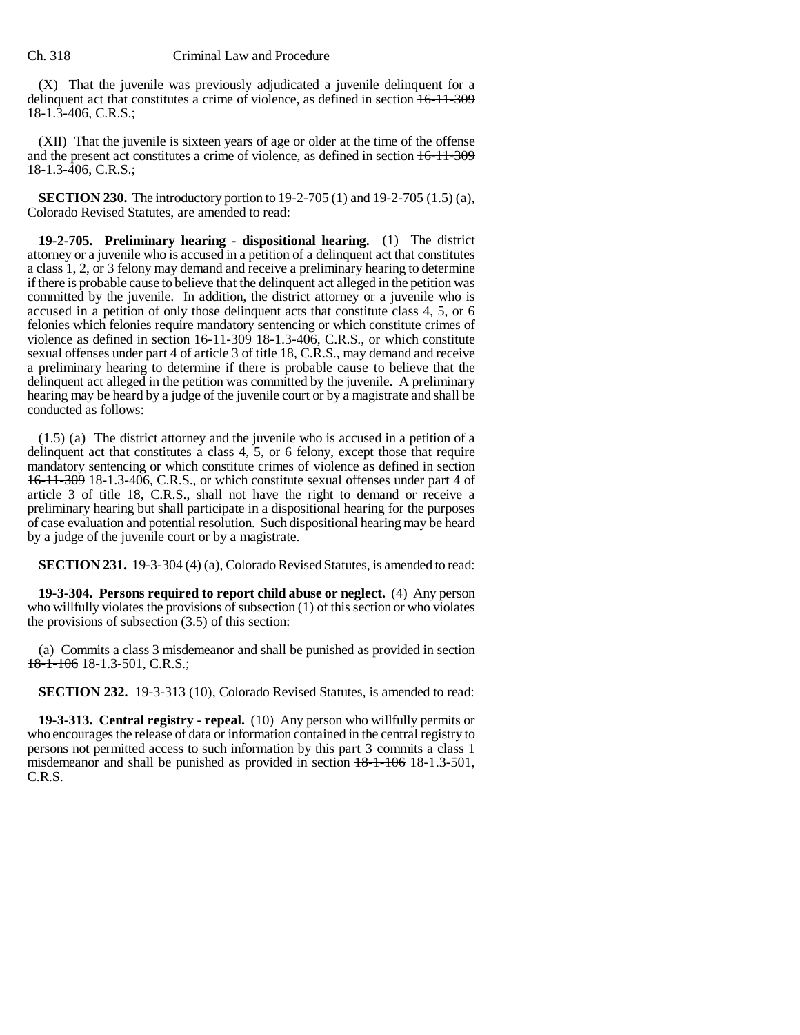(X) That the juvenile was previously adjudicated a juvenile delinquent for a delinquent act that constitutes a crime of violence, as defined in section 16-11-309 18-1.3-406, C.R.S.;

(XII) That the juvenile is sixteen years of age or older at the time of the offense and the present act constitutes a crime of violence, as defined in section 16-11-309 18-1.3-406, C.R.S.;

**SECTION 230.** The introductory portion to 19-2-705 (1) and 19-2-705 (1.5) (a), Colorado Revised Statutes, are amended to read:

**19-2-705. Preliminary hearing - dispositional hearing.** (1) The district attorney or a juvenile who is accused in a petition of a delinquent act that constitutes a class 1, 2, or 3 felony may demand and receive a preliminary hearing to determine if there is probable cause to believe that the delinquent act alleged in the petition was committed by the juvenile. In addition, the district attorney or a juvenile who is accused in a petition of only those delinquent acts that constitute class 4, 5, or 6 felonies which felonies require mandatory sentencing or which constitute crimes of violence as defined in section  $16-11-309$  18-1.3-406, C.R.S., or which constitute sexual offenses under part 4 of article 3 of title 18, C.R.S., may demand and receive a preliminary hearing to determine if there is probable cause to believe that the delinquent act alleged in the petition was committed by the juvenile. A preliminary hearing may be heard by a judge of the juvenile court or by a magistrate and shall be conducted as follows:

(1.5) (a) The district attorney and the juvenile who is accused in a petition of a delinquent act that constitutes a class 4, 5, or 6 felony, except those that require mandatory sentencing or which constitute crimes of violence as defined in section 16-11-309 18-1.3-406, C.R.S., or which constitute sexual offenses under part 4 of article 3 of title 18, C.R.S., shall not have the right to demand or receive a preliminary hearing but shall participate in a dispositional hearing for the purposes of case evaluation and potential resolution. Such dispositional hearing may be heard by a judge of the juvenile court or by a magistrate.

**SECTION 231.** 19-3-304 (4) (a), Colorado Revised Statutes, is amended to read:

**19-3-304. Persons required to report child abuse or neglect.** (4) Any person who willfully violates the provisions of subsection (1) of this section or who violates the provisions of subsection (3.5) of this section:

(a) Commits a class 3 misdemeanor and shall be punished as provided in section 18-1-106 18-1.3-501, C.R.S.;

**SECTION 232.** 19-3-313 (10), Colorado Revised Statutes, is amended to read:

**19-3-313. Central registry - repeal.** (10) Any person who willfully permits or who encourages the release of data or information contained in the central registry to persons not permitted access to such information by this part 3 commits a class 1 misdemeanor and shall be punished as provided in section  $18-1-106$  18-1.3-501, C.R.S.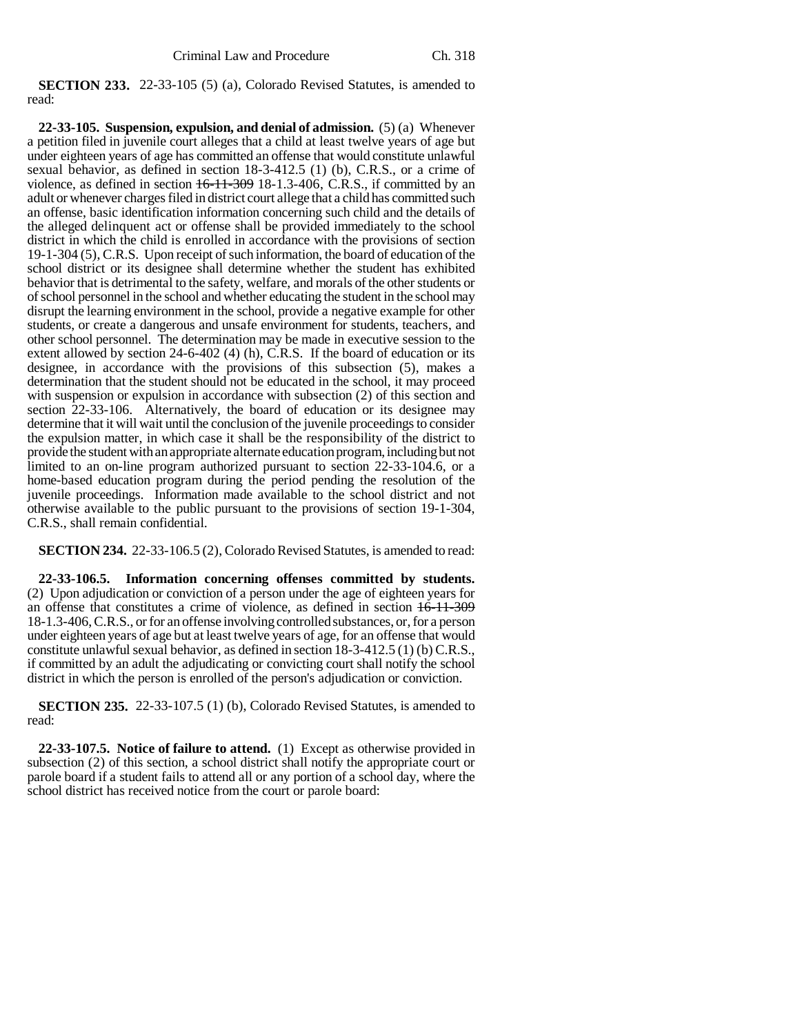**SECTION 233.** 22-33-105 (5) (a), Colorado Revised Statutes, is amended to read:

**22-33-105. Suspension, expulsion, and denial of admission.** (5) (a) Whenever a petition filed in juvenile court alleges that a child at least twelve years of age but under eighteen years of age has committed an offense that would constitute unlawful sexual behavior, as defined in section 18-3-412.5 (1) (b), C.R.S., or a crime of violence, as defined in section  $16-11-309$  18-1.3-406, C.R.S., if committed by an adult or whenever charges filed in district court allege that a child has committed such an offense, basic identification information concerning such child and the details of the alleged delinquent act or offense shall be provided immediately to the school district in which the child is enrolled in accordance with the provisions of section 19-1-304 (5), C.R.S. Upon receipt of such information, the board of education of the school district or its designee shall determine whether the student has exhibited behavior that is detrimental to the safety, welfare, and morals of the other students or of school personnel in the school and whether educating the student in the school may disrupt the learning environment in the school, provide a negative example for other students, or create a dangerous and unsafe environment for students, teachers, and other school personnel. The determination may be made in executive session to the extent allowed by section 24-6-402 (4) (h), C.R.S. If the board of education or its designee, in accordance with the provisions of this subsection (5), makes a determination that the student should not be educated in the school, it may proceed with suspension or expulsion in accordance with subsection (2) of this section and section 22-33-106. Alternatively, the board of education or its designee may determine that it will wait until the conclusion of the juvenile proceedings to consider the expulsion matter, in which case it shall be the responsibility of the district to provide the student with an appropriate alternate education program, including but not limited to an on-line program authorized pursuant to section 22-33-104.6, or a home-based education program during the period pending the resolution of the juvenile proceedings. Information made available to the school district and not otherwise available to the public pursuant to the provisions of section 19-1-304, C.R.S., shall remain confidential.

**SECTION 234.** 22-33-106.5 (2), Colorado Revised Statutes, is amended to read:

**22-33-106.5. Information concerning offenses committed by students.** (2) Upon adjudication or conviction of a person under the age of eighteen years for an offense that constitutes a crime of violence, as defined in section 16-11-309 18-1.3-406, C.R.S., or for an offense involving controlled substances, or, for a person under eighteen years of age but at least twelve years of age, for an offense that would constitute unlawful sexual behavior, as defined in section 18-3-412.5 (1) (b) C.R.S., if committed by an adult the adjudicating or convicting court shall notify the school district in which the person is enrolled of the person's adjudication or conviction.

**SECTION 235.** 22-33-107.5 (1) (b), Colorado Revised Statutes, is amended to read:

**22-33-107.5. Notice of failure to attend.** (1) Except as otherwise provided in subsection (2) of this section, a school district shall notify the appropriate court or parole board if a student fails to attend all or any portion of a school day, where the school district has received notice from the court or parole board: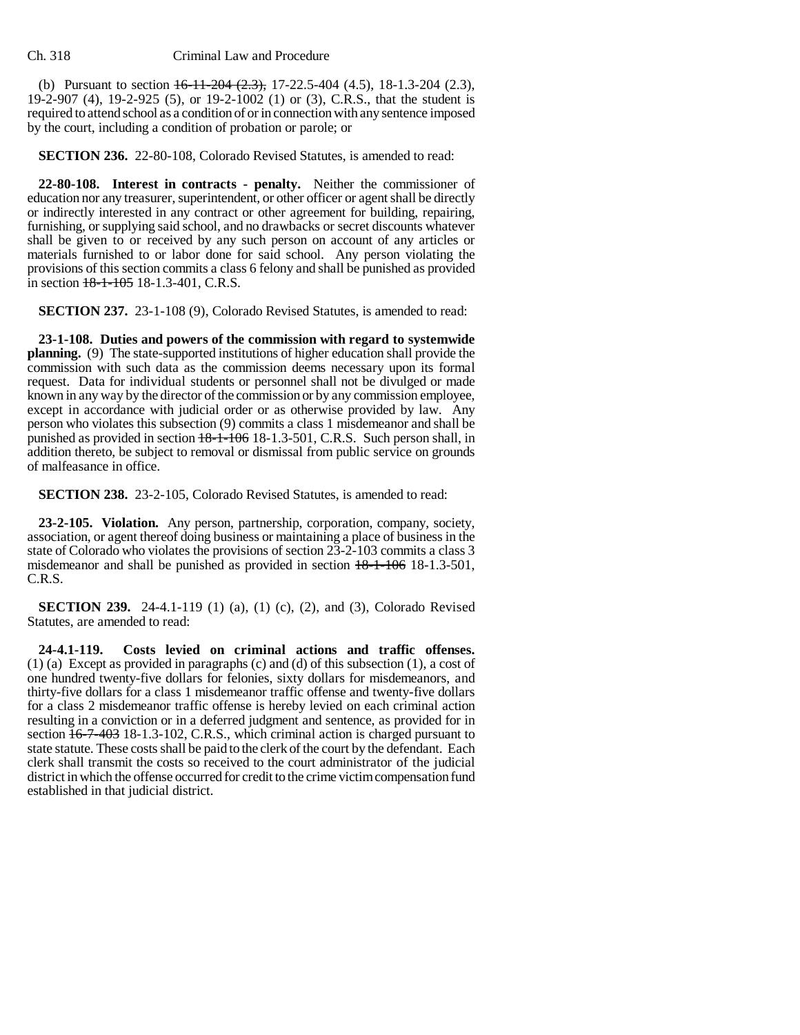(b) Pursuant to section  $16-11-204$   $(2.3)$ , 17-22.5-404  $(4.5)$ , 18-1.3-204  $(2.3)$ , 19-2-907 (4), 19-2-925 (5), or 19-2-1002 (1) or (3), C.R.S., that the student is required to attend school as a condition of or in connection with any sentence imposed by the court, including a condition of probation or parole; or

**SECTION 236.** 22-80-108, Colorado Revised Statutes, is amended to read:

**22-80-108. Interest in contracts - penalty.** Neither the commissioner of education nor any treasurer, superintendent, or other officer or agent shall be directly or indirectly interested in any contract or other agreement for building, repairing, furnishing, or supplying said school, and no drawbacks or secret discounts whatever shall be given to or received by any such person on account of any articles or materials furnished to or labor done for said school. Any person violating the provisions of this section commits a class 6 felony and shall be punished as provided in section 18-1-105 18-1.3-401, C.R.S.

**SECTION 237.** 23-1-108 (9), Colorado Revised Statutes, is amended to read:

**23-1-108. Duties and powers of the commission with regard to systemwide planning.** (9) The state-supported institutions of higher education shall provide the commission with such data as the commission deems necessary upon its formal request. Data for individual students or personnel shall not be divulged or made known in any way by the director of the commission or by any commission employee, except in accordance with judicial order or as otherwise provided by law. Any person who violates this subsection (9) commits a class 1 misdemeanor and shall be punished as provided in section 18-1-106 18-1.3-501, C.R.S. Such person shall, in addition thereto, be subject to removal or dismissal from public service on grounds of malfeasance in office.

**SECTION 238.** 23-2-105, Colorado Revised Statutes, is amended to read:

**23-2-105. Violation.** Any person, partnership, corporation, company, society, association, or agent thereof doing business or maintaining a place of business in the state of Colorado who violates the provisions of section 23-2-103 commits a class 3 misdemeanor and shall be punished as provided in section 18-1-106 18-1.3-501, C.R.S.

**SECTION 239.** 24-4.1-119 (1) (a), (1) (c), (2), and (3), Colorado Revised Statutes, are amended to read:

**24-4.1-119. Costs levied on criminal actions and traffic offenses.** (1) (a) Except as provided in paragraphs (c) and (d) of this subsection (1), a cost of one hundred twenty-five dollars for felonies, sixty dollars for misdemeanors, and thirty-five dollars for a class 1 misdemeanor traffic offense and twenty-five dollars for a class 2 misdemeanor traffic offense is hereby levied on each criminal action resulting in a conviction or in a deferred judgment and sentence, as provided for in section  $16-7-403$  18-1.3-102, C.R.S., which criminal action is charged pursuant to state statute. These costs shall be paid to the clerk of the court by the defendant. Each clerk shall transmit the costs so received to the court administrator of the judicial district in which the offense occurred for credit to the crime victim compensation fund established in that judicial district.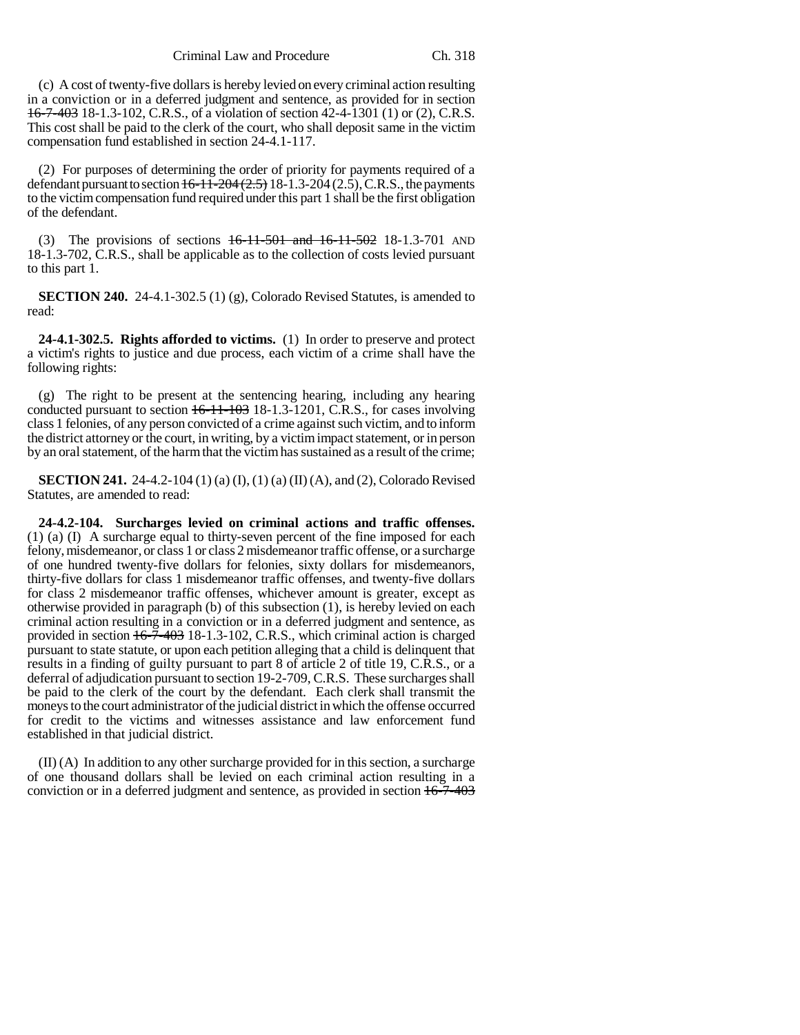(c) A cost of twenty-five dollars is hereby levied on every criminal action resulting in a conviction or in a deferred judgment and sentence, as provided for in section 16-7-403 18-1.3-102, C.R.S., of a violation of section 42-4-1301 (1) or (2), C.R.S. This cost shall be paid to the clerk of the court, who shall deposit same in the victim compensation fund established in section 24-4.1-117.

(2) For purposes of determining the order of priority for payments required of a defendant pursuant to section  $16-11-204(2.5)18-1.3-204(2.5)$ , C.R.S., the payments to the victim compensation fund required under this part 1 shall be the first obligation of the defendant.

(3) The provisions of sections  $16-11-501$  and  $16-11-502$  18-1.3-701 AND 18-1.3-702, C.R.S., shall be applicable as to the collection of costs levied pursuant to this part 1.

**SECTION 240.** 24-4.1-302.5 (1) (g), Colorado Revised Statutes, is amended to read:

**24-4.1-302.5. Rights afforded to victims.** (1) In order to preserve and protect a victim's rights to justice and due process, each victim of a crime shall have the following rights:

(g) The right to be present at the sentencing hearing, including any hearing conducted pursuant to section 16-11-103 18-1.3-1201, C.R.S., for cases involving class 1 felonies, of any person convicted of a crime against such victim, and to inform the district attorney or the court, in writing, by a victim impact statement, or in person by an oral statement, of the harm that the victim has sustained as a result of the crime;

**SECTION 241.** 24-4.2-104 (1) (a) (I), (1) (a) (II) (A), and (2), Colorado Revised Statutes, are amended to read:

**24-4.2-104. Surcharges levied on criminal actions and traffic offenses.** (1) (a) (I) A surcharge equal to thirty-seven percent of the fine imposed for each felony, misdemeanor, or class 1 or class 2 misdemeanor traffic offense, or a surcharge of one hundred twenty-five dollars for felonies, sixty dollars for misdemeanors, thirty-five dollars for class 1 misdemeanor traffic offenses, and twenty-five dollars for class 2 misdemeanor traffic offenses, whichever amount is greater, except as otherwise provided in paragraph (b) of this subsection (1), is hereby levied on each criminal action resulting in a conviction or in a deferred judgment and sentence, as provided in section  $16-\overline{7}-403$  18-1.3-102, C.R.S., which criminal action is charged pursuant to state statute, or upon each petition alleging that a child is delinquent that results in a finding of guilty pursuant to part 8 of article 2 of title 19, C.R.S., or a deferral of adjudication pursuant to section 19-2-709, C.R.S. These surcharges shall be paid to the clerk of the court by the defendant. Each clerk shall transmit the moneys to the court administrator of the judicial district in which the offense occurred for credit to the victims and witnesses assistance and law enforcement fund established in that judicial district.

(II) (A) In addition to any other surcharge provided for in this section, a surcharge of one thousand dollars shall be levied on each criminal action resulting in a conviction or in a deferred judgment and sentence, as provided in section 16-7-403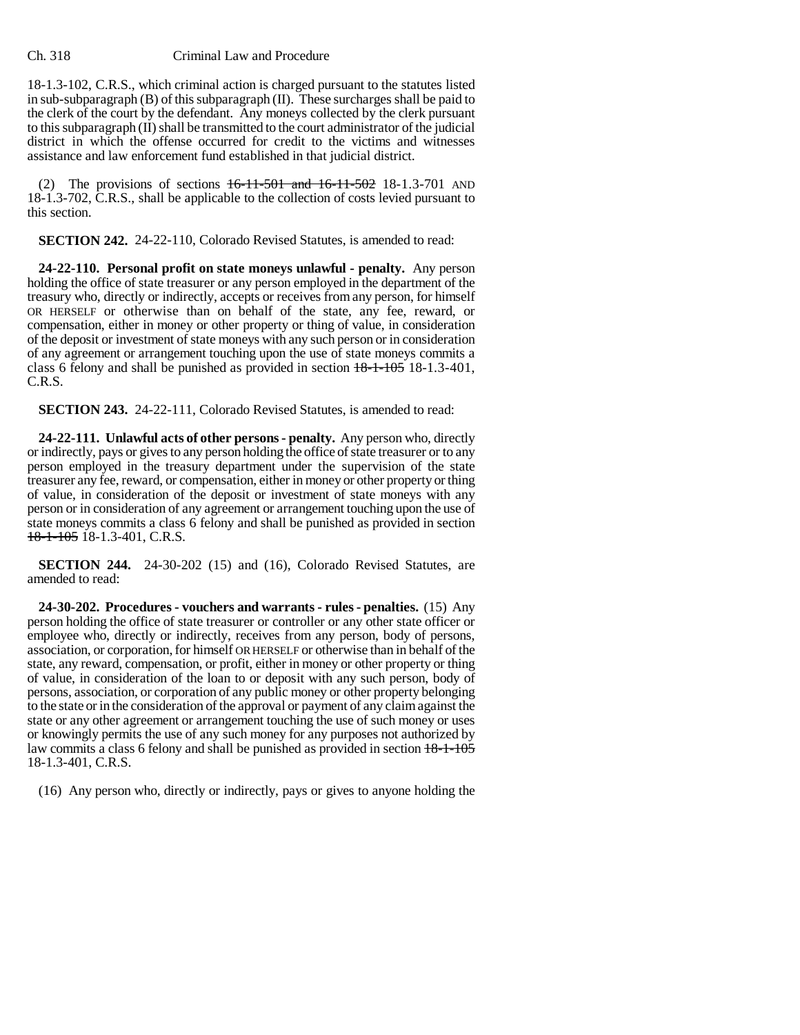18-1.3-102, C.R.S., which criminal action is charged pursuant to the statutes listed in sub-subparagraph (B) of this subparagraph (II). These surcharges shall be paid to the clerk of the court by the defendant. Any moneys collected by the clerk pursuant to this subparagraph (II) shall be transmitted to the court administrator of the judicial district in which the offense occurred for credit to the victims and witnesses assistance and law enforcement fund established in that judicial district.

(2) The provisions of sections  $16-11-501$  and  $16-11-502$  18-1.3-701 AND 18-1.3-702, C.R.S., shall be applicable to the collection of costs levied pursuant to this section.

**SECTION 242.** 24-22-110, Colorado Revised Statutes, is amended to read:

**24-22-110. Personal profit on state moneys unlawful - penalty.** Any person holding the office of state treasurer or any person employed in the department of the treasury who, directly or indirectly, accepts or receives from any person, for himself OR HERSELF or otherwise than on behalf of the state, any fee, reward, or compensation, either in money or other property or thing of value, in consideration of the deposit or investment of state moneys with any such person or in consideration of any agreement or arrangement touching upon the use of state moneys commits a class 6 felony and shall be punished as provided in section  $18-1-105$  18-1.3-401, C.R.S.

**SECTION 243.** 24-22-111, Colorado Revised Statutes, is amended to read:

**24-22-111. Unlawful acts of other persons - penalty.** Any person who, directly or indirectly, pays or gives to any person holding the office of state treasurer or to any person employed in the treasury department under the supervision of the state treasurer any fee, reward, or compensation, either in money or other property or thing of value, in consideration of the deposit or investment of state moneys with any person or in consideration of any agreement or arrangement touching upon the use of state moneys commits a class 6 felony and shall be punished as provided in section 18-1-105 18-1.3-401, C.R.S.

**SECTION 244.** 24-30-202 (15) and (16), Colorado Revised Statutes, are amended to read:

**24-30-202. Procedures - vouchers and warrants - rules - penalties.** (15) Any person holding the office of state treasurer or controller or any other state officer or employee who, directly or indirectly, receives from any person, body of persons, association, or corporation, for himself OR HERSELF or otherwise than in behalf of the state, any reward, compensation, or profit, either in money or other property or thing of value, in consideration of the loan to or deposit with any such person, body of persons, association, or corporation of any public money or other property belonging to the state or in the consideration of the approval or payment of any claim against the state or any other agreement or arrangement touching the use of such money or uses or knowingly permits the use of any such money for any purposes not authorized by law commits a class 6 felony and shall be punished as provided in section  $18-1-105$ 18-1.3-401, C.R.S.

(16) Any person who, directly or indirectly, pays or gives to anyone holding the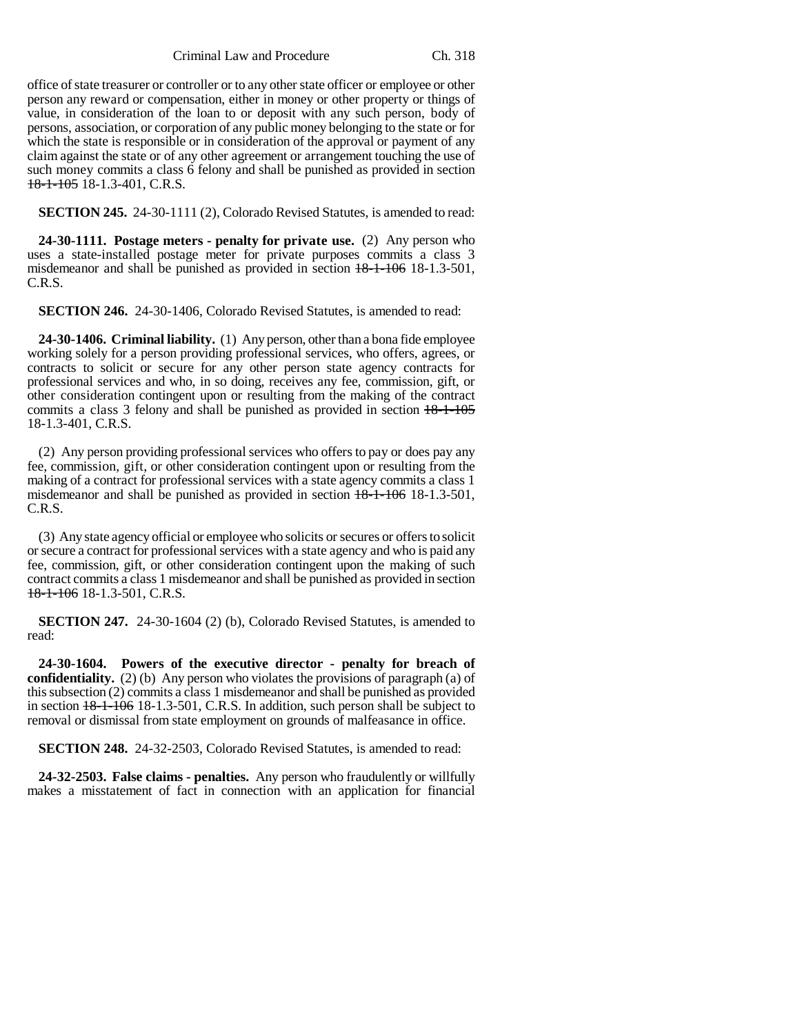Criminal Law and Procedure Ch. 318

office of state treasurer or controller or to any other state officer or employee or other person any reward or compensation, either in money or other property or things of value, in consideration of the loan to or deposit with any such person, body of persons, association, or corporation of any public money belonging to the state or for which the state is responsible or in consideration of the approval or payment of any claim against the state or of any other agreement or arrangement touching the use of such money commits a class 6 felony and shall be punished as provided in section 18-1-105 18-1.3-401, C.R.S.

**SECTION 245.** 24-30-1111 (2), Colorado Revised Statutes, is amended to read:

**24-30-1111. Postage meters - penalty for private use.** (2) Any person who uses a state-installed postage meter for private purposes commits a class 3 misdemeanor and shall be punished as provided in section  $18-1-106$  18-1.3-501, C.R.S.

**SECTION 246.** 24-30-1406, Colorado Revised Statutes, is amended to read:

**24-30-1406. Criminal liability.** (1) Any person, other than a bona fide employee working solely for a person providing professional services, who offers, agrees, or contracts to solicit or secure for any other person state agency contracts for professional services and who, in so doing, receives any fee, commission, gift, or other consideration contingent upon or resulting from the making of the contract commits a class 3 felony and shall be punished as provided in section  $18-1-105$ 18-1.3-401, C.R.S.

(2) Any person providing professional services who offers to pay or does pay any fee, commission, gift, or other consideration contingent upon or resulting from the making of a contract for professional services with a state agency commits a class 1 misdemeanor and shall be punished as provided in section  $18-1-106$  18-1.3-501, C.R.S.

(3) Any state agency official or employee who solicits or secures or offers to solicit or secure a contract for professional services with a state agency and who is paid any fee, commission, gift, or other consideration contingent upon the making of such contract commits a class 1 misdemeanor and shall be punished as provided in section 18-1-106 18-1.3-501, C.R.S.

**SECTION 247.** 24-30-1604 (2) (b), Colorado Revised Statutes, is amended to read:

**24-30-1604. Powers of the executive director - penalty for breach of confidentiality.** (2) (b) Any person who violates the provisions of paragraph (a) of this subsection (2) commits a class 1 misdemeanor and shall be punished as provided in section  $18-1-106$  18-1.3-501, C.R.S. In addition, such person shall be subject to removal or dismissal from state employment on grounds of malfeasance in office.

**SECTION 248.** 24-32-2503, Colorado Revised Statutes, is amended to read:

**24-32-2503. False claims - penalties.** Any person who fraudulently or willfully makes a misstatement of fact in connection with an application for financial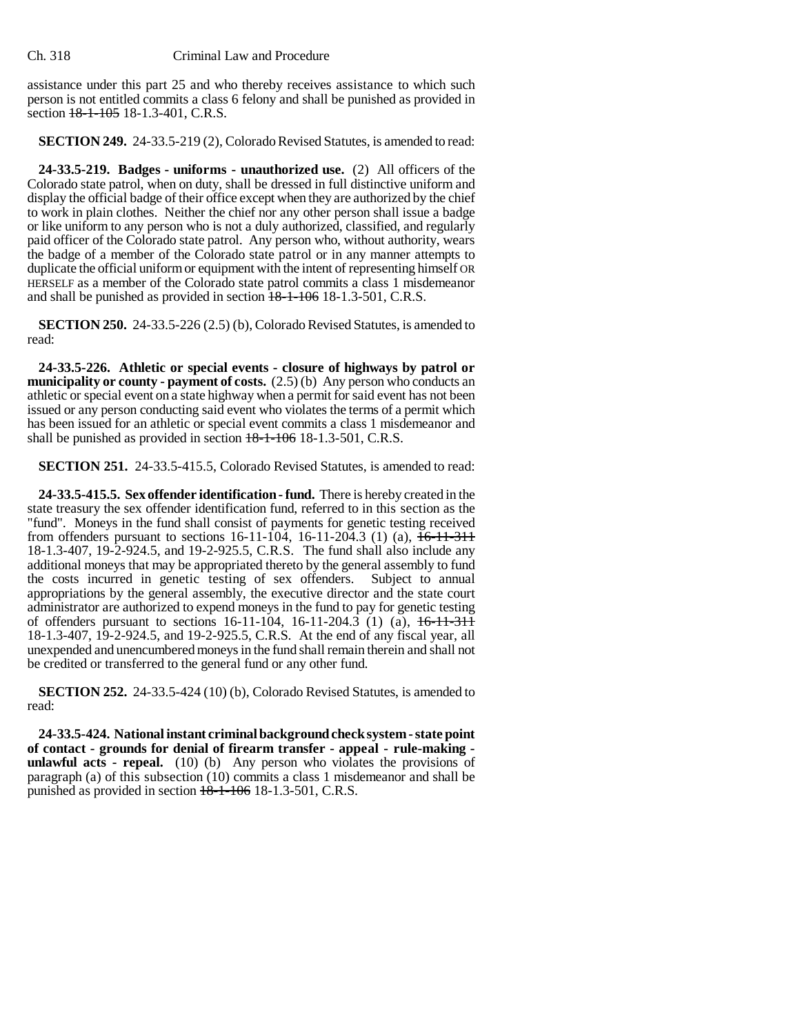assistance under this part 25 and who thereby receives assistance to which such person is not entitled commits a class 6 felony and shall be punished as provided in section  $18-1-105$  18-1.3-401, C.R.S.

**SECTION 249.** 24-33.5-219 (2), Colorado Revised Statutes, is amended to read:

**24-33.5-219. Badges - uniforms - unauthorized use.** (2) All officers of the Colorado state patrol, when on duty, shall be dressed in full distinctive uniform and display the official badge of their office except when they are authorized by the chief to work in plain clothes. Neither the chief nor any other person shall issue a badge or like uniform to any person who is not a duly authorized, classified, and regularly paid officer of the Colorado state patrol. Any person who, without authority, wears the badge of a member of the Colorado state patrol or in any manner attempts to duplicate the official uniform or equipment with the intent of representing himself OR HERSELF as a member of the Colorado state patrol commits a class 1 misdemeanor and shall be punished as provided in section 18-1-106 18-1.3-501, C.R.S.

**SECTION 250.** 24-33.5-226 (2.5) (b), Colorado Revised Statutes, is amended to read:

**24-33.5-226. Athletic or special events - closure of highways by patrol or municipality or county - payment of costs.** (2.5) (b) Any person who conducts an athletic or special event on a state highway when a permit for said event has not been issued or any person conducting said event who violates the terms of a permit which has been issued for an athletic or special event commits a class 1 misdemeanor and shall be punished as provided in section  $18-1-106$  18-1.3-501, C.R.S.

**SECTION 251.** 24-33.5-415.5, Colorado Revised Statutes, is amended to read:

**24-33.5-415.5. Sex offender identification - fund.** There is hereby created in the state treasury the sex offender identification fund, referred to in this section as the "fund". Moneys in the fund shall consist of payments for genetic testing received from offenders pursuant to sections  $16-11-104$ ,  $16-11-204.3$  (1) (a),  $16-11-311$ 18-1.3-407, 19-2-924.5, and 19-2-925.5, C.R.S. The fund shall also include any additional moneys that may be appropriated thereto by the general assembly to fund the costs incurred in genetic testing of sex offenders. Subject to annual appropriations by the general assembly, the executive director and the state court administrator are authorized to expend moneys in the fund to pay for genetic testing of offenders pursuant to sections 16-11-104, 16-11-204.3 (1) (a),  $16-11-31$ 18-1.3-407, 19-2-924.5, and 19-2-925.5, C.R.S. At the end of any fiscal year, all unexpended and unencumbered moneys in the fund shall remain therein and shall not be credited or transferred to the general fund or any other fund.

**SECTION 252.** 24-33.5-424 (10) (b), Colorado Revised Statutes, is amended to read:

**24-33.5-424. National instant criminal background check system - state point of contact - grounds for denial of firearm transfer - appeal - rule-making unlawful acts - repeal.** (10) (b) Any person who violates the provisions of paragraph (a) of this subsection (10) commits a class 1 misdemeanor and shall be punished as provided in section  $18-1-106$  18-1.3-501, C.R.S.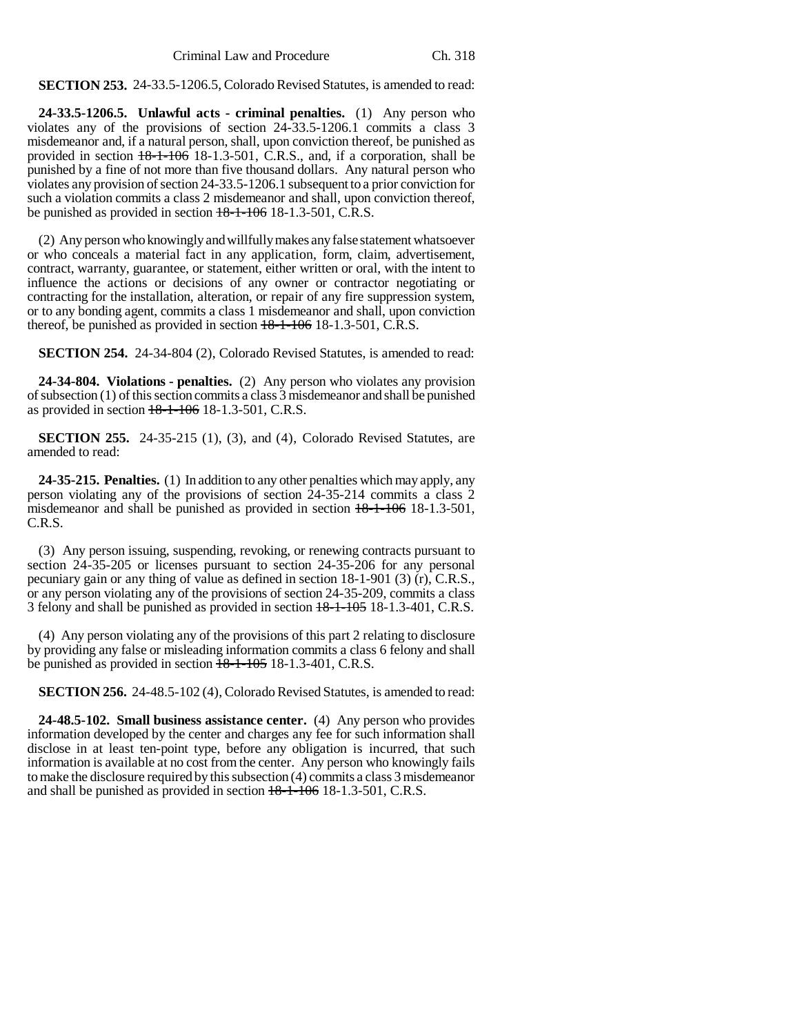**SECTION 253.** 24-33.5-1206.5, Colorado Revised Statutes, is amended to read:

**24-33.5-1206.5. Unlawful acts - criminal penalties.** (1) Any person who violates any of the provisions of section 24-33.5-1206.1 commits a class 3 misdemeanor and, if a natural person, shall, upon conviction thereof, be punished as provided in section  $18-1-106$  18-1.3-501, C.R.S., and, if a corporation, shall be punished by a fine of not more than five thousand dollars. Any natural person who violates any provision of section 24-33.5-1206.1 subsequent to a prior conviction for such a violation commits a class 2 misdemeanor and shall, upon conviction thereof, be punished as provided in section  $18-1-106$  18-1.3-501, C.R.S.

(2) Any person who knowingly and willfully makes any false statement whatsoever or who conceals a material fact in any application, form, claim, advertisement, contract, warranty, guarantee, or statement, either written or oral, with the intent to influence the actions or decisions of any owner or contractor negotiating or contracting for the installation, alteration, or repair of any fire suppression system, or to any bonding agent, commits a class 1 misdemeanor and shall, upon conviction thereof, be punished as provided in section  $18-1-106$  18-1.3-501, C.R.S.

**SECTION 254.** 24-34-804 (2), Colorado Revised Statutes, is amended to read:

**24-34-804. Violations - penalties.** (2) Any person who violates any provision of subsection (1) of this section commits a class 3 misdemeanor and shall be punished as provided in section 18-1-106 18-1.3-501, C.R.S.

**SECTION 255.** 24-35-215 (1), (3), and (4), Colorado Revised Statutes, are amended to read:

**24-35-215. Penalties.** (1) In addition to any other penalties which may apply, any person violating any of the provisions of section 24-35-214 commits a class 2 misdemeanor and shall be punished as provided in section 18-1-106 18-1.3-501, C.R.S.

(3) Any person issuing, suspending, revoking, or renewing contracts pursuant to section 24-35-205 or licenses pursuant to section 24-35-206 for any personal pecuniary gain or any thing of value as defined in section 18-1-901 (3) (r), C.R.S., or any person violating any of the provisions of section 24-35-209, commits a class 3 felony and shall be punished as provided in section 18-1-105 18-1.3-401, C.R.S.

(4) Any person violating any of the provisions of this part 2 relating to disclosure by providing any false or misleading information commits a class 6 felony and shall be punished as provided in section  $\overline{18-1-105}$  18-1.3-401, C.R.S.

**SECTION 256.** 24-48.5-102 (4), Colorado Revised Statutes, is amended to read:

**24-48.5-102. Small business assistance center.** (4) Any person who provides information developed by the center and charges any fee for such information shall disclose in at least ten-point type, before any obligation is incurred, that such information is available at no cost from the center. Any person who knowingly fails to make the disclosure required by this subsection (4) commits a class 3 misdemeanor and shall be punished as provided in section 18-1-106 18-1.3-501, C.R.S.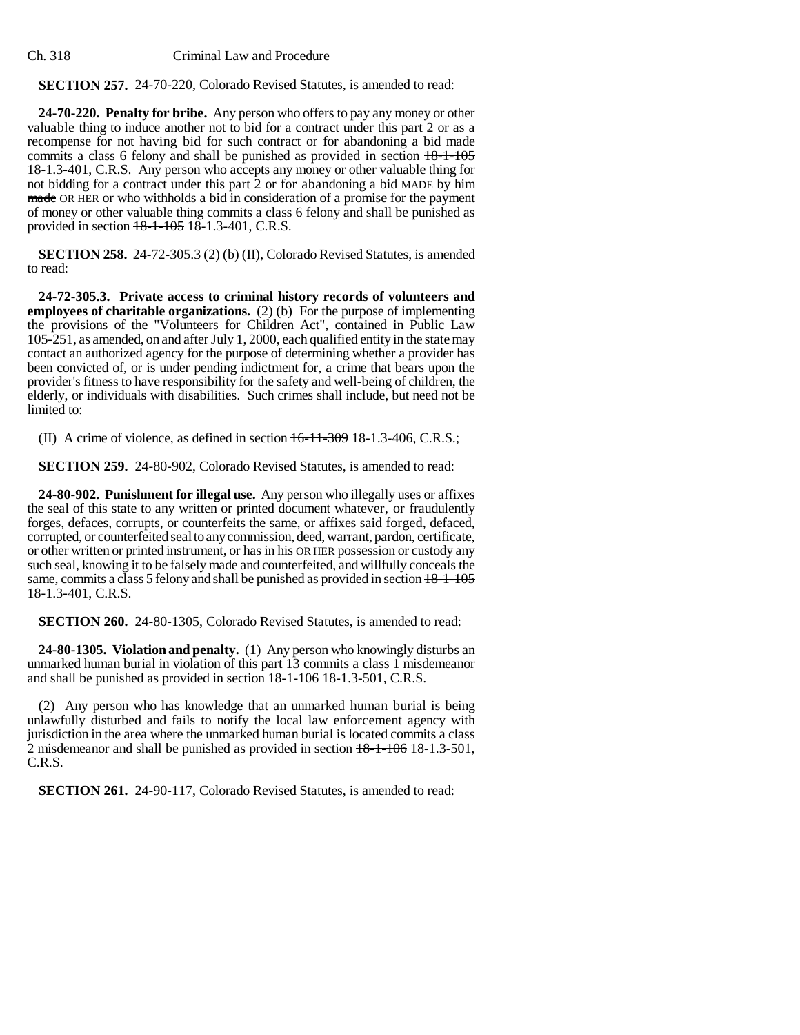**SECTION 257.** 24-70-220, Colorado Revised Statutes, is amended to read:

**24-70-220. Penalty for bribe.** Any person who offers to pay any money or other valuable thing to induce another not to bid for a contract under this part 2 or as a recompense for not having bid for such contract or for abandoning a bid made commits a class 6 felony and shall be punished as provided in section  $18-1-105$ 18-1.3-401, C.R.S. Any person who accepts any money or other valuable thing for not bidding for a contract under this part 2 or for abandoning a bid MADE by him made OR HER or who withholds a bid in consideration of a promise for the payment of money or other valuable thing commits a class 6 felony and shall be punished as provided in section 18-1-105 18-1.3-401, C.R.S.

**SECTION 258.** 24-72-305.3 (2) (b) (II), Colorado Revised Statutes, is amended to read:

**24-72-305.3. Private access to criminal history records of volunteers and employees of charitable organizations.** (2) (b) For the purpose of implementing the provisions of the "Volunteers for Children Act", contained in Public Law 105-251, as amended, on and after July 1, 2000, each qualified entity in the state may contact an authorized agency for the purpose of determining whether a provider has been convicted of, or is under pending indictment for, a crime that bears upon the provider's fitness to have responsibility for the safety and well-being of children, the elderly, or individuals with disabilities. Such crimes shall include, but need not be limited to:

(II) A crime of violence, as defined in section 16-11-309 18-1.3-406, C.R.S.;

**SECTION 259.** 24-80-902, Colorado Revised Statutes, is amended to read:

**24-80-902. Punishment for illegal use.** Any person who illegally uses or affixes the seal of this state to any written or printed document whatever, or fraudulently forges, defaces, corrupts, or counterfeits the same, or affixes said forged, defaced, corrupted, or counterfeited seal to any commission, deed, warrant, pardon, certificate, or other written or printed instrument, or has in his OR HER possession or custody any such seal, knowing it to be falsely made and counterfeited, and willfully conceals the same, commits a class 5 felony and shall be punished as provided in section  $18-1-105$ 18-1.3-401, C.R.S.

**SECTION 260.** 24-80-1305, Colorado Revised Statutes, is amended to read:

**24-80-1305. Violation and penalty.** (1) Any person who knowingly disturbs an unmarked human burial in violation of this part 13 commits a class 1 misdemeanor and shall be punished as provided in section  $18-1-106$  18-1.3-501, C.R.S.

(2) Any person who has knowledge that an unmarked human burial is being unlawfully disturbed and fails to notify the local law enforcement agency with jurisdiction in the area where the unmarked human burial is located commits a class 2 misdemeanor and shall be punished as provided in section  $18-1-106$  18-1.3-501, C.R.S.

**SECTION 261.** 24-90-117, Colorado Revised Statutes, is amended to read: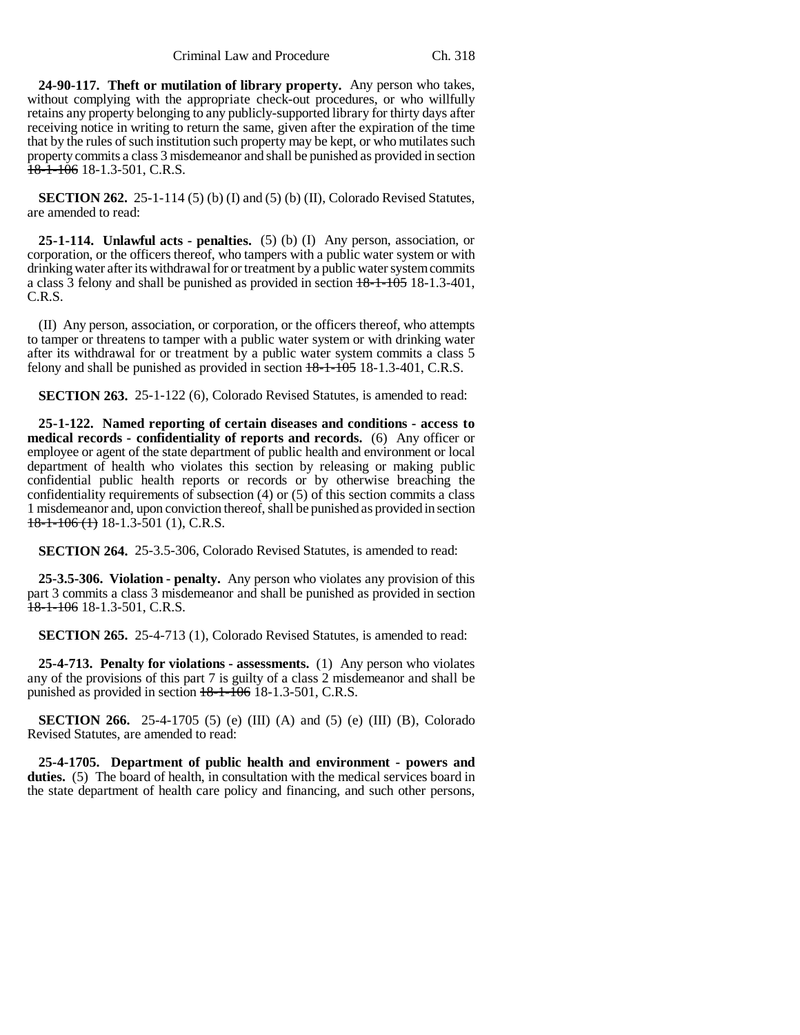**24-90-117. Theft or mutilation of library property.** Any person who takes, without complying with the appropriate check-out procedures, or who willfully retains any property belonging to any publicly-supported library for thirty days after receiving notice in writing to return the same, given after the expiration of the time that by the rules of such institution such property may be kept, or who mutilates such property commits a class 3 misdemeanor and shall be punished as provided in section 18-1-106 18-1.3-501, C.R.S.

**SECTION 262.** 25-1-114 (5) (b) (I) and (5) (b) (II), Colorado Revised Statutes, are amended to read:

**25-1-114. Unlawful acts - penalties.** (5) (b) (I) Any person, association, or corporation, or the officers thereof, who tampers with a public water system or with drinking water after its withdrawal for or treatment by a public water system commits a class 3 felony and shall be punished as provided in section 18-1-105 18-1.3-401, C.R.S.

(II) Any person, association, or corporation, or the officers thereof, who attempts to tamper or threatens to tamper with a public water system or with drinking water after its withdrawal for or treatment by a public water system commits a class 5 felony and shall be punished as provided in section 18-1-105 18-1.3-401, C.R.S.

**SECTION 263.** 25-1-122 (6), Colorado Revised Statutes, is amended to read:

**25-1-122. Named reporting of certain diseases and conditions - access to medical records - confidentiality of reports and records.** (6) Any officer or employee or agent of the state department of public health and environment or local department of health who violates this section by releasing or making public confidential public health reports or records or by otherwise breaching the confidentiality requirements of subsection (4) or (5) of this section commits a class 1 misdemeanor and, upon conviction thereof, shall be punished as provided in section  $18-1-106$  (1) 18-1.3-501 (1), C.R.S.

**SECTION 264.** 25-3.5-306, Colorado Revised Statutes, is amended to read:

**25-3.5-306. Violation - penalty.** Any person who violates any provision of this part 3 commits a class 3 misdemeanor and shall be punished as provided in section  $18-1-106$  18-1.3-501, C.R.S.

**SECTION 265.** 25-4-713 (1), Colorado Revised Statutes, is amended to read:

**25-4-713. Penalty for violations - assessments.** (1) Any person who violates any of the provisions of this part 7 is guilty of a class 2 misdemeanor and shall be punished as provided in section  $18-1-106$  18-1.3-501, C.R.S.

**SECTION 266.** 25-4-1705 (5) (e) (III) (A) and (5) (e) (III) (B), Colorado Revised Statutes, are amended to read:

**25-4-1705. Department of public health and environment - powers and duties.** (5) The board of health, in consultation with the medical services board in the state department of health care policy and financing, and such other persons,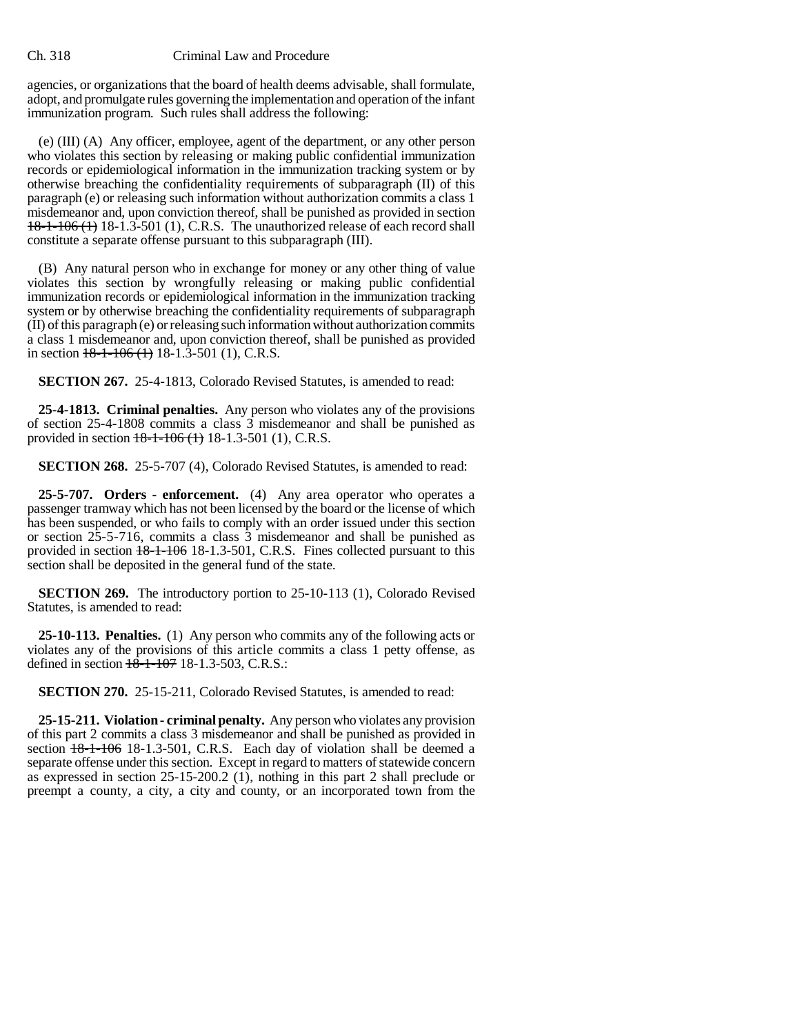agencies, or organizations that the board of health deems advisable, shall formulate, adopt, and promulgate rules governing the implementation and operation of the infant immunization program. Such rules shall address the following:

(e) (III) (A) Any officer, employee, agent of the department, or any other person who violates this section by releasing or making public confidential immunization records or epidemiological information in the immunization tracking system or by otherwise breaching the confidentiality requirements of subparagraph (II) of this paragraph (e) or releasing such information without authorization commits a class 1 misdemeanor and, upon conviction thereof, shall be punished as provided in section  $18-1-106(1)$  18-1.3-501 (1), C.R.S. The unauthorized release of each record shall constitute a separate offense pursuant to this subparagraph (III).

(B) Any natural person who in exchange for money or any other thing of value violates this section by wrongfully releasing or making public confidential immunization records or epidemiological information in the immunization tracking system or by otherwise breaching the confidentiality requirements of subparagraph (II) of this paragraph (e) or releasing such information without authorization commits a class 1 misdemeanor and, upon conviction thereof, shall be punished as provided in section  $18-1-106$  (1) 18-1.3-501 (1), C.R.S.

**SECTION 267.** 25-4-1813, Colorado Revised Statutes, is amended to read:

**25-4-1813. Criminal penalties.** Any person who violates any of the provisions of section 25-4-1808 commits a class 3 misdemeanor and shall be punished as provided in section  $18-1-106$  (1) 18-1.3-501 (1), C.R.S.

**SECTION 268.** 25-5-707 (4), Colorado Revised Statutes, is amended to read:

**25-5-707. Orders - enforcement.** (4) Any area operator who operates a passenger tramway which has not been licensed by the board or the license of which has been suspended, or who fails to comply with an order issued under this section or section 25-5-716, commits a class 3 misdemeanor and shall be punished as provided in section 18-1-106 18-1.3-501, C.R.S. Fines collected pursuant to this section shall be deposited in the general fund of the state.

**SECTION 269.** The introductory portion to 25-10-113 (1), Colorado Revised Statutes, is amended to read:

**25-10-113. Penalties.** (1) Any person who commits any of the following acts or violates any of the provisions of this article commits a class 1 petty offense, as defined in section  $18-1-107$  18-1.3-503, C.R.S.:

**SECTION 270.** 25-15-211, Colorado Revised Statutes, is amended to read:

**25-15-211. Violation - criminal penalty.** Any person who violates any provision of this part 2 commits a class 3 misdemeanor and shall be punished as provided in section  $18-1-106$  18-1.3-501, C.R.S. Each day of violation shall be deemed a separate offense under this section. Except in regard to matters of statewide concern as expressed in section 25-15-200.2 (1), nothing in this part 2 shall preclude or preempt a county, a city, a city and county, or an incorporated town from the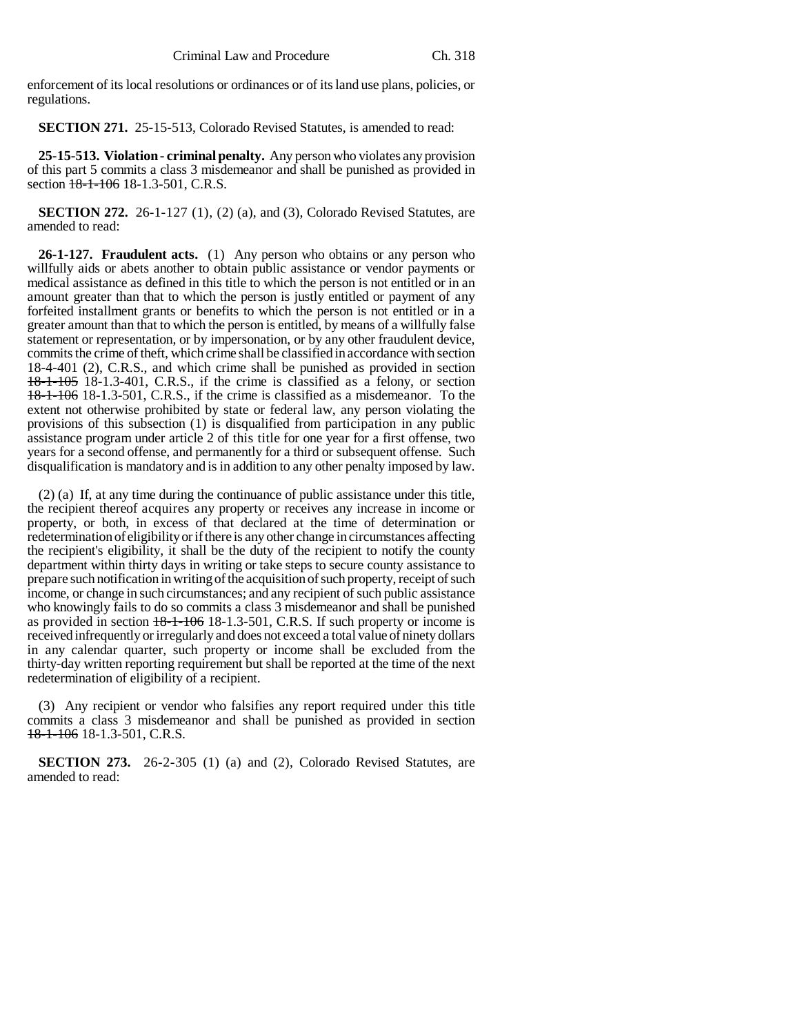enforcement of its local resolutions or ordinances or of its land use plans, policies, or regulations.

**SECTION 271.** 25-15-513, Colorado Revised Statutes, is amended to read:

**25-15-513. Violation - criminal penalty.** Any person who violates any provision of this part 5 commits a class 3 misdemeanor and shall be punished as provided in section  $18-1-106$  18-1.3-501, C.R.S.

**SECTION 272.** 26-1-127 (1), (2) (a), and (3), Colorado Revised Statutes, are amended to read:

**26-1-127. Fraudulent acts.** (1) Any person who obtains or any person who willfully aids or abets another to obtain public assistance or vendor payments or medical assistance as defined in this title to which the person is not entitled or in an amount greater than that to which the person is justly entitled or payment of any forfeited installment grants or benefits to which the person is not entitled or in a greater amount than that to which the person is entitled, by means of a willfully false statement or representation, or by impersonation, or by any other fraudulent device, commits the crime of theft, which crime shall be classified in accordance with section 18-4-401 (2), C.R.S., and which crime shall be punished as provided in section 18-1-105 18-1.3-401, C.R.S., if the crime is classified as a felony, or section 18-1-106 18-1.3-501, C.R.S., if the crime is classified as a misdemeanor. To the extent not otherwise prohibited by state or federal law, any person violating the provisions of this subsection (1) is disqualified from participation in any public assistance program under article 2 of this title for one year for a first offense, two years for a second offense, and permanently for a third or subsequent offense. Such disqualification is mandatory and is in addition to any other penalty imposed by law.

(2) (a) If, at any time during the continuance of public assistance under this title, the recipient thereof acquires any property or receives any increase in income or property, or both, in excess of that declared at the time of determination or redetermination of eligibility or if there is any other change in circumstances affecting the recipient's eligibility, it shall be the duty of the recipient to notify the county department within thirty days in writing or take steps to secure county assistance to prepare such notification in writing of the acquisition of such property, receipt of such income, or change in such circumstances; and any recipient of such public assistance who knowingly fails to do so commits a class 3 misdemeanor and shall be punished as provided in section  $18-1-106$  18-1.3-501, C.R.S. If such property or income is received infrequently or irregularly and does not exceed a total value of ninety dollars in any calendar quarter, such property or income shall be excluded from the thirty-day written reporting requirement but shall be reported at the time of the next redetermination of eligibility of a recipient.

(3) Any recipient or vendor who falsifies any report required under this title commits a class 3 misdemeanor and shall be punished as provided in section 18-1-106 18-1.3-501, C.R.S.

**SECTION 273.** 26-2-305 (1) (a) and (2), Colorado Revised Statutes, are amended to read: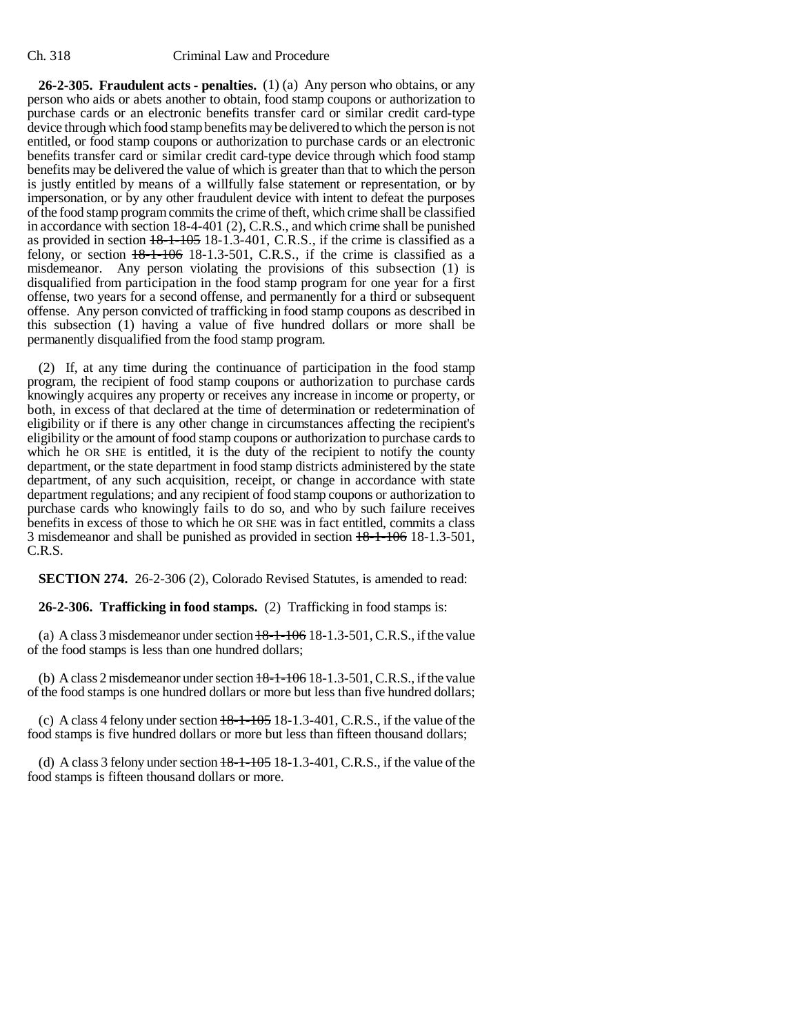**26-2-305. Fraudulent acts - penalties.** (1) (a) Any person who obtains, or any person who aids or abets another to obtain, food stamp coupons or authorization to purchase cards or an electronic benefits transfer card or similar credit card-type device through which food stamp benefits may be delivered to which the person is not entitled, or food stamp coupons or authorization to purchase cards or an electronic benefits transfer card or similar credit card-type device through which food stamp benefits may be delivered the value of which is greater than that to which the person is justly entitled by means of a willfully false statement or representation, or by impersonation, or by any other fraudulent device with intent to defeat the purposes of the food stamp program commits the crime of theft, which crime shall be classified in accordance with section 18-4-401 (2), C.R.S., and which crime shall be punished as provided in section  $18-1-105$  18-1.3-401, C.R.S., if the crime is classified as a felony, or section  $18-1-106$  18-1.3-501, C.R.S., if the crime is classified as a misdemeanor. Any person violating the provisions of this subsection (1) is disqualified from participation in the food stamp program for one year for a first offense, two years for a second offense, and permanently for a third or subsequent offense. Any person convicted of trafficking in food stamp coupons as described in this subsection (1) having a value of five hundred dollars or more shall be permanently disqualified from the food stamp program.

(2) If, at any time during the continuance of participation in the food stamp program, the recipient of food stamp coupons or authorization to purchase cards knowingly acquires any property or receives any increase in income or property, or both, in excess of that declared at the time of determination or redetermination of eligibility or if there is any other change in circumstances affecting the recipient's eligibility or the amount of food stamp coupons or authorization to purchase cards to which he OR SHE is entitled, it is the duty of the recipient to notify the county department, or the state department in food stamp districts administered by the state department, of any such acquisition, receipt, or change in accordance with state department regulations; and any recipient of food stamp coupons or authorization to purchase cards who knowingly fails to do so, and who by such failure receives benefits in excess of those to which he OR SHE was in fact entitled, commits a class 3 misdemeanor and shall be punished as provided in section 18-1-106 18-1.3-501, C.R.S.

**SECTION 274.** 26-2-306 (2), Colorado Revised Statutes, is amended to read:

**26-2-306. Trafficking in food stamps.** (2) Trafficking in food stamps is:

(a) A class 3 misdemeanor under section  $18-1-106$  18-1.3-501, C.R.S., if the value of the food stamps is less than one hundred dollars;

(b) A class 2 misdemeanor under section  $18-1-106$  18-1.3-501, C.R.S., if the value of the food stamps is one hundred dollars or more but less than five hundred dollars;

(c) A class 4 felony under section  $18-1-105$  18-1.3-401, C.R.S., if the value of the food stamps is five hundred dollars or more but less than fifteen thousand dollars;

(d) A class 3 felony under section  $18-1-105$  18-1.3-401, C.R.S., if the value of the food stamps is fifteen thousand dollars or more.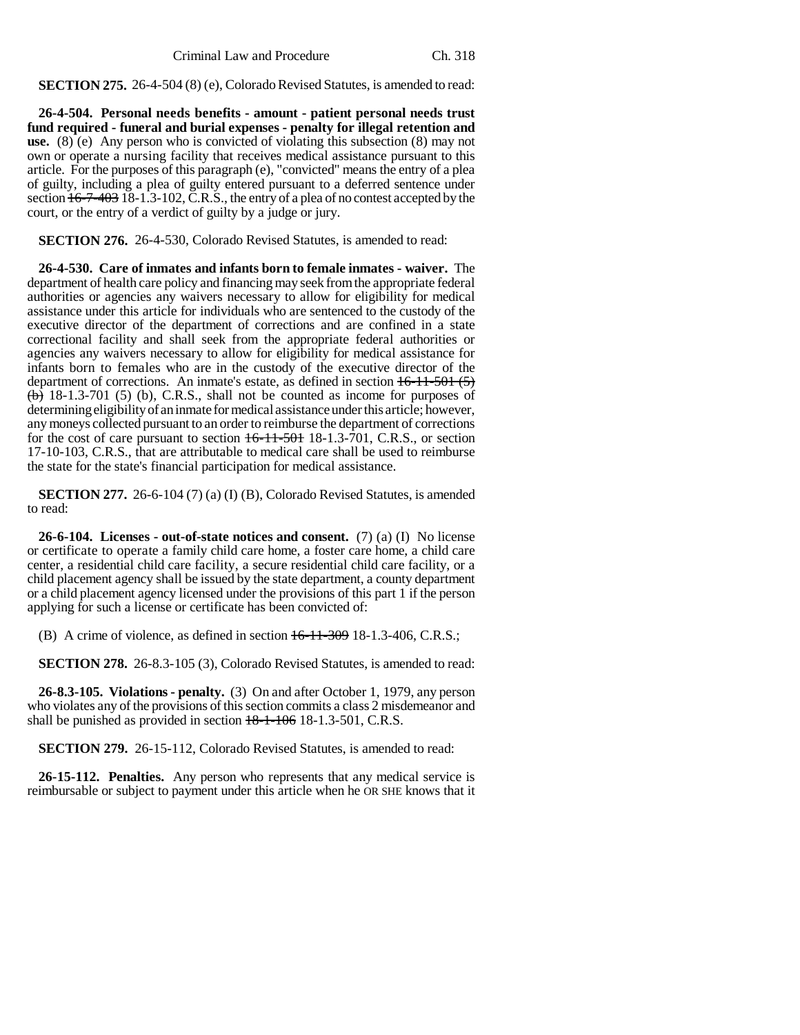**SECTION 275.** 26-4-504 (8) (e), Colorado Revised Statutes, is amended to read:

**26-4-504. Personal needs benefits - amount - patient personal needs trust fund required - funeral and burial expenses - penalty for illegal retention and use.** (8) (e) Any person who is convicted of violating this subsection (8) may not own or operate a nursing facility that receives medical assistance pursuant to this article. For the purposes of this paragraph (e), "convicted" means the entry of a plea of guilty, including a plea of guilty entered pursuant to a deferred sentence under section  $16-7-403$  18-1.3-102, C.R.S., the entry of a plea of no contest accepted by the court, or the entry of a verdict of guilty by a judge or jury.

**SECTION 276.** 26-4-530, Colorado Revised Statutes, is amended to read:

**26-4-530. Care of inmates and infants born to female inmates - waiver.** The department of health care policy and financing may seek from the appropriate federal authorities or agencies any waivers necessary to allow for eligibility for medical assistance under this article for individuals who are sentenced to the custody of the executive director of the department of corrections and are confined in a state correctional facility and shall seek from the appropriate federal authorities or agencies any waivers necessary to allow for eligibility for medical assistance for infants born to females who are in the custody of the executive director of the department of corrections. An inmate's estate, as defined in section 16-11-501 (5)  $(b)$  18-1.3-701 (5) (b), C.R.S., shall not be counted as income for purposes of determining eligibility of an inmate for medical assistance under this article; however, any moneys collected pursuant to an order to reimburse the department of corrections for the cost of care pursuant to section  $16-11-501$  18-1.3-701, C.R.S., or section 17-10-103, C.R.S., that are attributable to medical care shall be used to reimburse the state for the state's financial participation for medical assistance.

**SECTION 277.** 26-6-104 (7) (a) (I) (B), Colorado Revised Statutes, is amended to read:

**26-6-104. Licenses - out-of-state notices and consent.** (7) (a) (I) No license or certificate to operate a family child care home, a foster care home, a child care center, a residential child care facility, a secure residential child care facility, or a child placement agency shall be issued by the state department, a county department or a child placement agency licensed under the provisions of this part 1 if the person applying for such a license or certificate has been convicted of:

(B) A crime of violence, as defined in section 16-11-309 18-1.3-406, C.R.S.;

**SECTION 278.** 26-8.3-105 (3), Colorado Revised Statutes, is amended to read:

**26-8.3-105. Violations - penalty.** (3) On and after October 1, 1979, any person who violates any of the provisions of this section commits a class 2 misdemeanor and shall be punished as provided in section  $18-1-106$  18-1.3-501, C.R.S.

**SECTION 279.** 26-15-112, Colorado Revised Statutes, is amended to read:

**26-15-112. Penalties.** Any person who represents that any medical service is reimbursable or subject to payment under this article when he OR SHE knows that it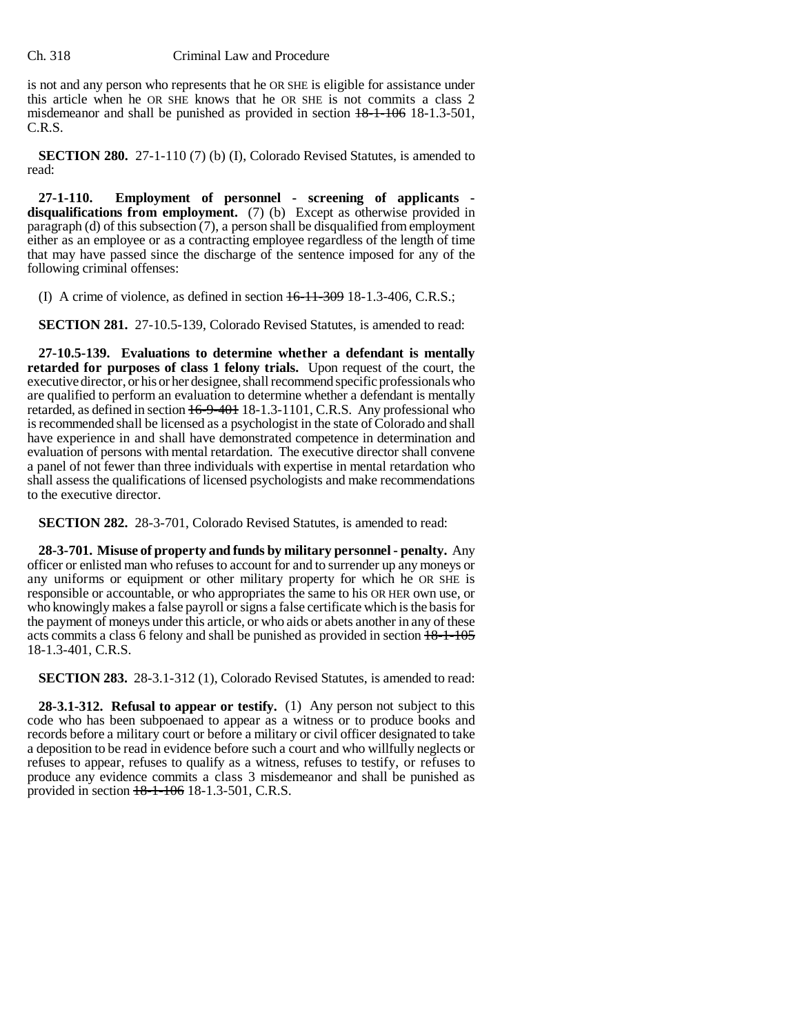is not and any person who represents that he OR SHE is eligible for assistance under this article when he OR SHE knows that he OR SHE is not commits a class 2 misdemeanor and shall be punished as provided in section  $18-1-106$  18-1.3-501, C.R.S.

**SECTION 280.** 27-1-110 (7) (b) (I), Colorado Revised Statutes, is amended to read:

**27-1-110. Employment of personnel - screening of applicants**  disqualifications from employment. (7) (b) Except as otherwise provided in paragraph (d) of this subsection (7), a person shall be disqualified from employment either as an employee or as a contracting employee regardless of the length of time that may have passed since the discharge of the sentence imposed for any of the following criminal offenses:

(I) A crime of violence, as defined in section 16-11-309 18-1.3-406, C.R.S.;

**SECTION 281.** 27-10.5-139, Colorado Revised Statutes, is amended to read:

**27-10.5-139. Evaluations to determine whether a defendant is mentally retarded for purposes of class 1 felony trials.** Upon request of the court, the executive director, or his or her designee, shall recommend specific professionals who are qualified to perform an evaluation to determine whether a defendant is mentally retarded, as defined in section 16-9-401 18-1.3-1101, C.R.S. Any professional who is recommended shall be licensed as a psychologist in the state of Colorado and shall have experience in and shall have demonstrated competence in determination and evaluation of persons with mental retardation. The executive director shall convene a panel of not fewer than three individuals with expertise in mental retardation who shall assess the qualifications of licensed psychologists and make recommendations to the executive director.

**SECTION 282.** 28-3-701, Colorado Revised Statutes, is amended to read:

**28-3-701. Misuse of property and funds by military personnel - penalty.** Any officer or enlisted man who refuses to account for and to surrender up any moneys or any uniforms or equipment or other military property for which he OR SHE is responsible or accountable, or who appropriates the same to his OR HER own use, or who knowingly makes a false payroll or signs a false certificate which is the basis for the payment of moneys under this article, or who aids or abets another in any of these acts commits a class 6 felony and shall be punished as provided in section 18-1-105 18-1.3-401, C.R.S.

**SECTION 283.** 28-3.1-312 (1), Colorado Revised Statutes, is amended to read:

**28-3.1-312. Refusal to appear or testify.** (1) Any person not subject to this code who has been subpoenaed to appear as a witness or to produce books and records before a military court or before a military or civil officer designated to take a deposition to be read in evidence before such a court and who willfully neglects or refuses to appear, refuses to qualify as a witness, refuses to testify, or refuses to produce any evidence commits a class 3 misdemeanor and shall be punished as provided in section 18-1-106 18-1.3-501, C.R.S.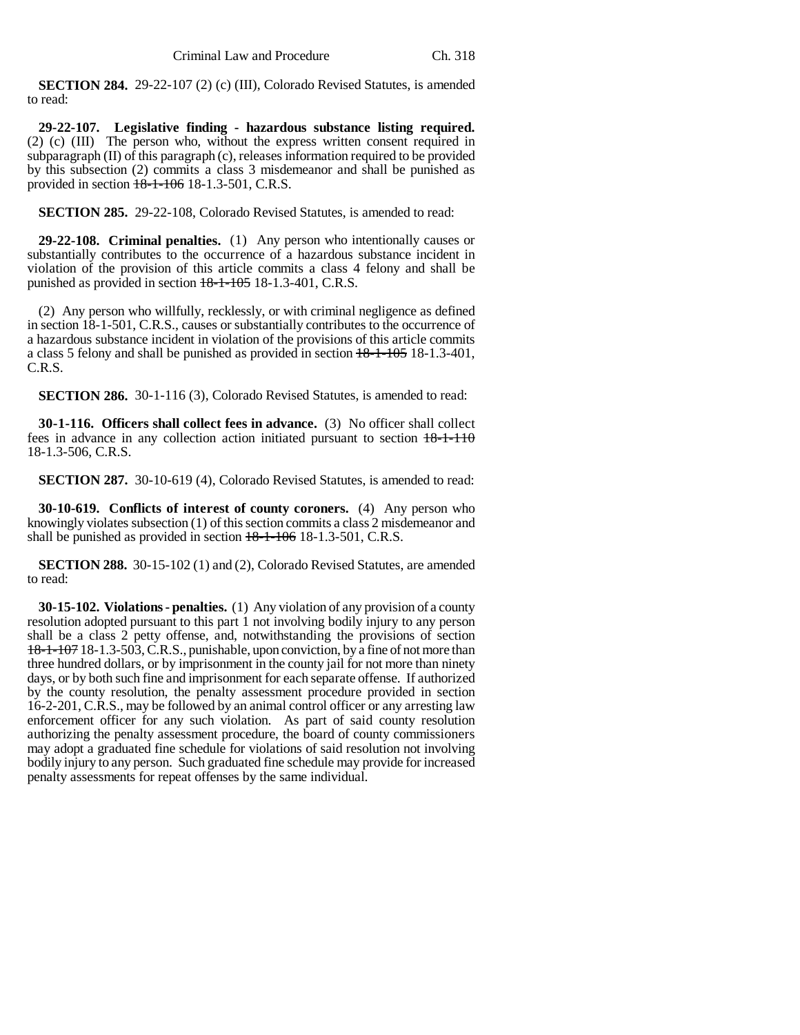**SECTION 284.** 29-22-107 (2) (c) (III), Colorado Revised Statutes, is amended to read:

**29-22-107. Legislative finding - hazardous substance listing required.** (2) (c) (III) The person who, without the express written consent required in subparagraph (II) of this paragraph (c), releases information required to be provided by this subsection (2) commits a class 3 misdemeanor and shall be punished as provided in section 18-1-106 18-1.3-501, C.R.S.

**SECTION 285.** 29-22-108, Colorado Revised Statutes, is amended to read:

**29-22-108. Criminal penalties.** (1) Any person who intentionally causes or substantially contributes to the occurrence of a hazardous substance incident in violation of the provision of this article commits a class 4 felony and shall be punished as provided in section 18-1-105 18-1.3-401, C.R.S.

(2) Any person who willfully, recklessly, or with criminal negligence as defined in section 18-1-501, C.R.S., causes or substantially contributes to the occurrence of a hazardous substance incident in violation of the provisions of this article commits a class 5 felony and shall be punished as provided in section  $18-1-105$  18-1.3-401, C.R.S.

**SECTION 286.** 30-1-116 (3), Colorado Revised Statutes, is amended to read:

**30-1-116. Officers shall collect fees in advance.** (3) No officer shall collect fees in advance in any collection action initiated pursuant to section  $18-1-110$ 18-1.3-506, C.R.S.

**SECTION 287.** 30-10-619 (4), Colorado Revised Statutes, is amended to read:

**30-10-619. Conflicts of interest of county coroners.** (4) Any person who knowingly violates subsection (1) of this section commits a class 2 misdemeanor and shall be punished as provided in section 18-1-106 18-1.3-501, C.R.S.

**SECTION 288.** 30-15-102 (1) and (2), Colorado Revised Statutes, are amended to read:

**30-15-102. Violations - penalties.** (1) Any violation of any provision of a county resolution adopted pursuant to this part 1 not involving bodily injury to any person shall be a class 2 petty offense, and, notwithstanding the provisions of section 18-1-107 18-1.3-503, C.R.S., punishable, upon conviction, by a fine of not more than three hundred dollars, or by imprisonment in the county jail for not more than ninety days, or by both such fine and imprisonment for each separate offense. If authorized by the county resolution, the penalty assessment procedure provided in section 16-2-201, C.R.S., may be followed by an animal control officer or any arresting law enforcement officer for any such violation. As part of said county resolution authorizing the penalty assessment procedure, the board of county commissioners may adopt a graduated fine schedule for violations of said resolution not involving bodily injury to any person. Such graduated fine schedule may provide for increased penalty assessments for repeat offenses by the same individual.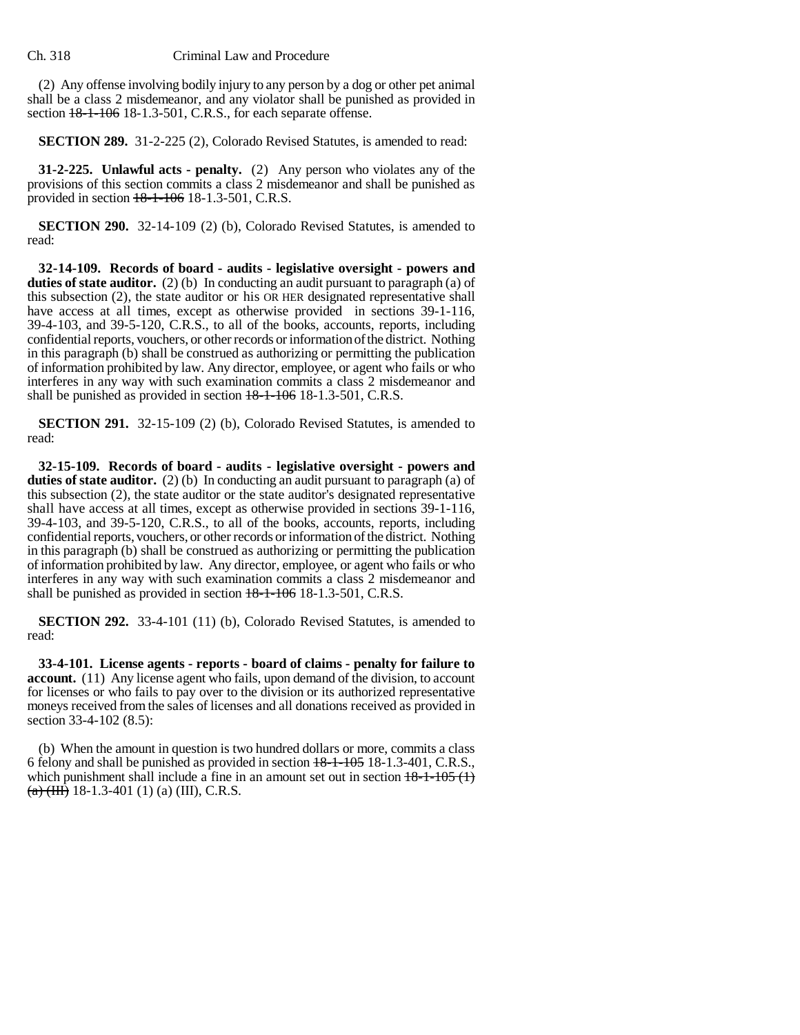(2) Any offense involving bodily injury to any person by a dog or other pet animal shall be a class 2 misdemeanor, and any violator shall be punished as provided in section  $18-1-106$  18-1.3-501, C.R.S., for each separate offense.

**SECTION 289.** 31-2-225 (2), Colorado Revised Statutes, is amended to read:

**31-2-225. Unlawful acts - penalty.** (2) Any person who violates any of the provisions of this section commits a class 2 misdemeanor and shall be punished as provided in section 18-1-106 18-1.3-501, C.R.S.

**SECTION 290.** 32-14-109 (2) (b), Colorado Revised Statutes, is amended to read:

**32-14-109. Records of board - audits - legislative oversight - powers and duties of state auditor.** (2) (b) In conducting an audit pursuant to paragraph (a) of this subsection (2), the state auditor or his OR HER designated representative shall have access at all times, except as otherwise provided in sections 39-1-116, 39-4-103, and 39-5-120, C.R.S., to all of the books, accounts, reports, including confidential reports, vouchers, or other records or information of the district. Nothing in this paragraph (b) shall be construed as authorizing or permitting the publication of information prohibited by law. Any director, employee, or agent who fails or who interferes in any way with such examination commits a class 2 misdemeanor and shall be punished as provided in section  $18-1-106$  18-1.3-501, C.R.S.

**SECTION 291.** 32-15-109 (2) (b), Colorado Revised Statutes, is amended to read:

**32-15-109. Records of board - audits - legislative oversight - powers and** duties of state auditor. (2) (b) In conducting an audit pursuant to paragraph (a) of this subsection (2), the state auditor or the state auditor's designated representative shall have access at all times, except as otherwise provided in sections 39-1-116, 39-4-103, and 39-5-120, C.R.S., to all of the books, accounts, reports, including confidential reports, vouchers, or other records or information of the district. Nothing in this paragraph (b) shall be construed as authorizing or permitting the publication of information prohibited by law. Any director, employee, or agent who fails or who interferes in any way with such examination commits a class 2 misdemeanor and shall be punished as provided in section 18-1-106 18-1.3-501, C.R.S.

**SECTION 292.** 33-4-101 (11) (b), Colorado Revised Statutes, is amended to read:

**33-4-101. License agents - reports - board of claims - penalty for failure to account.** (11) Any license agent who fails, upon demand of the division, to account for licenses or who fails to pay over to the division or its authorized representative moneys received from the sales of licenses and all donations received as provided in section 33-4-102 (8.5):

(b) When the amount in question is two hundred dollars or more, commits a class 6 felony and shall be punished as provided in section 18-1-105 18-1.3-401, C.R.S., which punishment shall include a fine in an amount set out in section  $18-1-105$  (1)  $(a)$  (HI) 18-1.3-401 (1) (a) (III), C.R.S.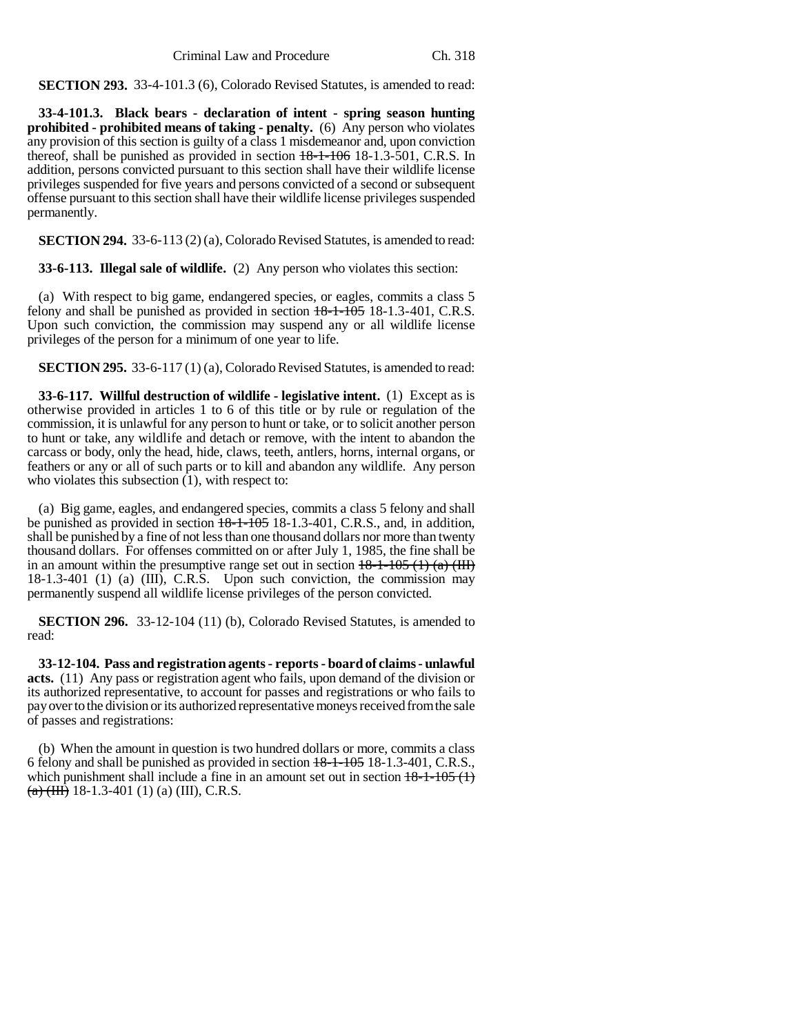**SECTION 293.** 33-4-101.3 (6), Colorado Revised Statutes, is amended to read:

**33-4-101.3. Black bears - declaration of intent - spring season hunting prohibited - prohibited means of taking - penalty.** (6) Any person who violates any provision of this section is guilty of a class 1 misdemeanor and, upon conviction thereof, shall be punished as provided in section 18-1-106 18-1.3-501, C.R.S. In addition, persons convicted pursuant to this section shall have their wildlife license privileges suspended for five years and persons convicted of a second or subsequent offense pursuant to this section shall have their wildlife license privileges suspended permanently.

**SECTION 294.** 33-6-113 (2) (a), Colorado Revised Statutes, is amended to read:

**33-6-113. Illegal sale of wildlife.** (2) Any person who violates this section:

(a) With respect to big game, endangered species, or eagles, commits a class 5 felony and shall be punished as provided in section  $18-1-105$  18-1.3-401, C.R.S. Upon such conviction, the commission may suspend any or all wildlife license privileges of the person for a minimum of one year to life.

**SECTION 295.** 33-6-117 (1) (a), Colorado Revised Statutes, is amended to read:

**33-6-117. Willful destruction of wildlife - legislative intent.** (1) Except as is otherwise provided in articles 1 to 6 of this title or by rule or regulation of the commission, it is unlawful for any person to hunt or take, or to solicit another person to hunt or take, any wildlife and detach or remove, with the intent to abandon the carcass or body, only the head, hide, claws, teeth, antlers, horns, internal organs, or feathers or any or all of such parts or to kill and abandon any wildlife. Any person who violates this subsection  $(1)$ , with respect to:

(a) Big game, eagles, and endangered species, commits a class 5 felony and shall be punished as provided in section 18-1-105 18-1.3-401, C.R.S., and, in addition, shall be punished by a fine of not less than one thousand dollars nor more than twenty thousand dollars. For offenses committed on or after July 1, 1985, the fine shall be in an amount within the presumptive range set out in section  $18-1-105$  (1) (a) (HI) 18-1.3-401 (1) (a) (III), C.R.S. Upon such conviction, the commission may permanently suspend all wildlife license privileges of the person convicted.

**SECTION 296.** 33-12-104 (11) (b), Colorado Revised Statutes, is amended to read:

**33-12-104. Pass and registration agents - reports - board of claims - unlawful acts.** (11) Any pass or registration agent who fails, upon demand of the division or its authorized representative, to account for passes and registrations or who fails to pay over to the division or its authorized representative moneys received from the sale of passes and registrations:

(b) When the amount in question is two hundred dollars or more, commits a class 6 felony and shall be punished as provided in section 18-1-105 18-1.3-401, C.R.S., which punishment shall include a fine in an amount set out in section  $18-1-105$  (1)  $(a)$  (HI) 18-1.3-401 (1) (a) (III), C.R.S.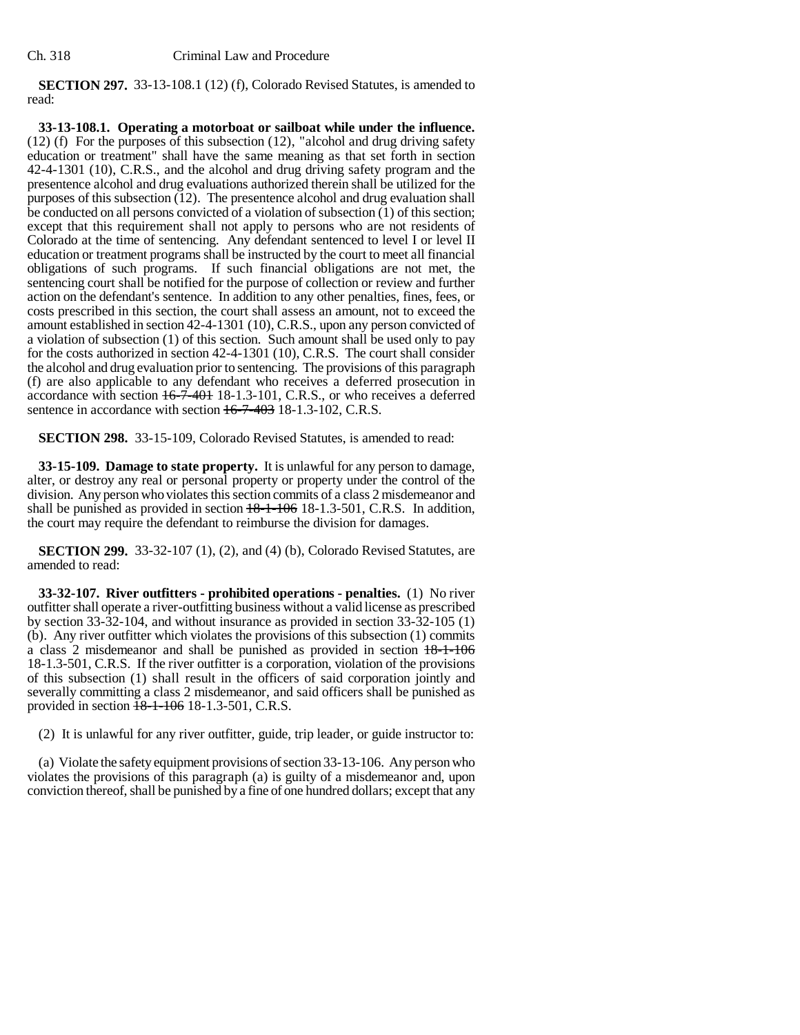**SECTION 297.** 33-13-108.1 (12) (f), Colorado Revised Statutes, is amended to read:

**33-13-108.1. Operating a motorboat or sailboat while under the influence.**  $(12)$  (f) For the purposes of this subsection  $(12)$ , "alcohol and drug driving safety education or treatment" shall have the same meaning as that set forth in section 42-4-1301 (10), C.R.S., and the alcohol and drug driving safety program and the presentence alcohol and drug evaluations authorized therein shall be utilized for the purposes of this subsection  $(12)$ . The presentence alcohol and drug evaluation shall be conducted on all persons convicted of a violation of subsection (1) of this section; except that this requirement shall not apply to persons who are not residents of Colorado at the time of sentencing. Any defendant sentenced to level I or level II education or treatment programs shall be instructed by the court to meet all financial obligations of such programs. If such financial obligations are not met, the sentencing court shall be notified for the purpose of collection or review and further action on the defendant's sentence. In addition to any other penalties, fines, fees, or costs prescribed in this section, the court shall assess an amount, not to exceed the amount established in section 42-4-1301 (10), C.R.S., upon any person convicted of a violation of subsection (1) of this section. Such amount shall be used only to pay for the costs authorized in section 42-4-1301 (10), C.R.S. The court shall consider the alcohol and drug evaluation prior to sentencing. The provisions of this paragraph (f) are also applicable to any defendant who receives a deferred prosecution in accordance with section  $16-7-401$  18-1.3-101, C.R.S., or who receives a deferred sentence in accordance with section  $16-7-403$  18-1.3-102, C.R.S.

**SECTION 298.** 33-15-109, Colorado Revised Statutes, is amended to read:

**33-15-109. Damage to state property.** It is unlawful for any person to damage, alter, or destroy any real or personal property or property under the control of the division. Any person who violates this section commits of a class 2 misdemeanor and shall be punished as provided in section 18-1-106 18-1.3-501, C.R.S. In addition, the court may require the defendant to reimburse the division for damages.

**SECTION 299.** 33-32-107 (1), (2), and (4) (b), Colorado Revised Statutes, are amended to read:

**33-32-107. River outfitters - prohibited operations - penalties.** (1) No river outfitter shall operate a river-outfitting business without a valid license as prescribed by section 33-32-104, and without insurance as provided in section 33-32-105 (1) (b). Any river outfitter which violates the provisions of this subsection (1) commits a class 2 misdemeanor and shall be punished as provided in section 18-1-106 18-1.3-501, C.R.S. If the river outfitter is a corporation, violation of the provisions of this subsection (1) shall result in the officers of said corporation jointly and severally committing a class 2 misdemeanor, and said officers shall be punished as provided in section 18-1-106 18-1.3-501, C.R.S.

(2) It is unlawful for any river outfitter, guide, trip leader, or guide instructor to:

(a) Violate the safety equipment provisions of section 33-13-106. Any person who violates the provisions of this paragraph (a) is guilty of a misdemeanor and, upon conviction thereof, shall be punished by a fine of one hundred dollars; except that any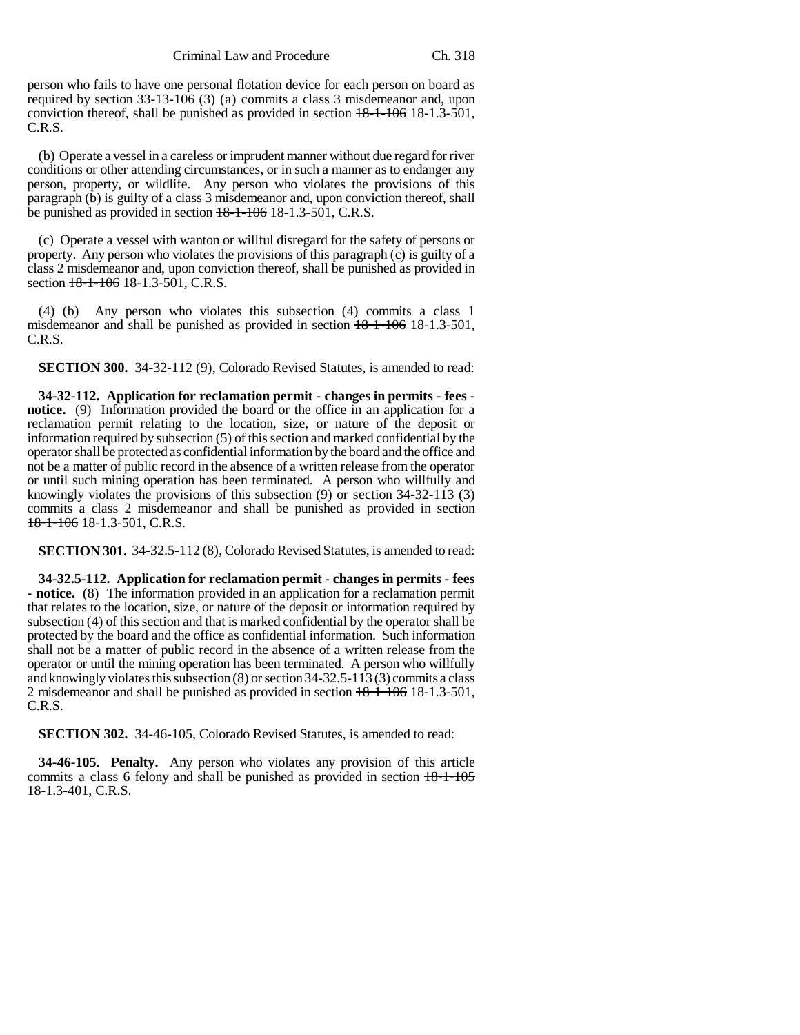person who fails to have one personal flotation device for each person on board as required by section 33-13-106 (3) (a) commits a class 3 misdemeanor and, upon conviction thereof, shall be punished as provided in section  $18-1-106$  18-1.3-501, C.R.S.

(b) Operate a vessel in a careless or imprudent manner without due regard for river conditions or other attending circumstances, or in such a manner as to endanger any person, property, or wildlife. Any person who violates the provisions of this paragraph (b) is guilty of a class 3 misdemeanor and, upon conviction thereof, shall be punished as provided in section  $18-1-106$  18-1.3-501, C.R.S.

(c) Operate a vessel with wanton or willful disregard for the safety of persons or property. Any person who violates the provisions of this paragraph (c) is guilty of a class 2 misdemeanor and, upon conviction thereof, shall be punished as provided in section  $18-1-106$  18-1.3-501, C.R.S.

(4) (b) Any person who violates this subsection (4) commits a class 1 misdemeanor and shall be punished as provided in section 18-1-106 18-1.3-501, C.R.S.

**SECTION 300.** 34-32-112 (9), Colorado Revised Statutes, is amended to read:

**34-32-112. Application for reclamation permit - changes in permits - fees notice.** (9) Information provided the board or the office in an application for a reclamation permit relating to the location, size, or nature of the deposit or information required by subsection (5) of this section and marked confidential by the operator shall be protected as confidential information by the board and the office and not be a matter of public record in the absence of a written release from the operator or until such mining operation has been terminated. A person who willfully and knowingly violates the provisions of this subsection (9) or section 34-32-113 (3) commits a class 2 misdemeanor and shall be punished as provided in section 18-1-106 18-1.3-501, C.R.S.

**SECTION 301.** 34-32.5-112 (8), Colorado Revised Statutes, is amended to read:

**34-32.5-112. Application for reclamation permit - changes in permits - fees - notice.** (8) The information provided in an application for a reclamation permit that relates to the location, size, or nature of the deposit or information required by subsection (4) of this section and that is marked confidential by the operator shall be protected by the board and the office as confidential information. Such information shall not be a matter of public record in the absence of a written release from the operator or until the mining operation has been terminated. A person who willfully and knowingly violates this subsection (8) or section 34-32.5-113 (3) commits a class 2 misdemeanor and shall be punished as provided in section 18-1-106 18-1.3-501, C.R.S.

**SECTION 302.** 34-46-105, Colorado Revised Statutes, is amended to read:

**34-46-105. Penalty.** Any person who violates any provision of this article commits a class 6 felony and shall be punished as provided in section 18-1-105 18-1.3-401, C.R.S.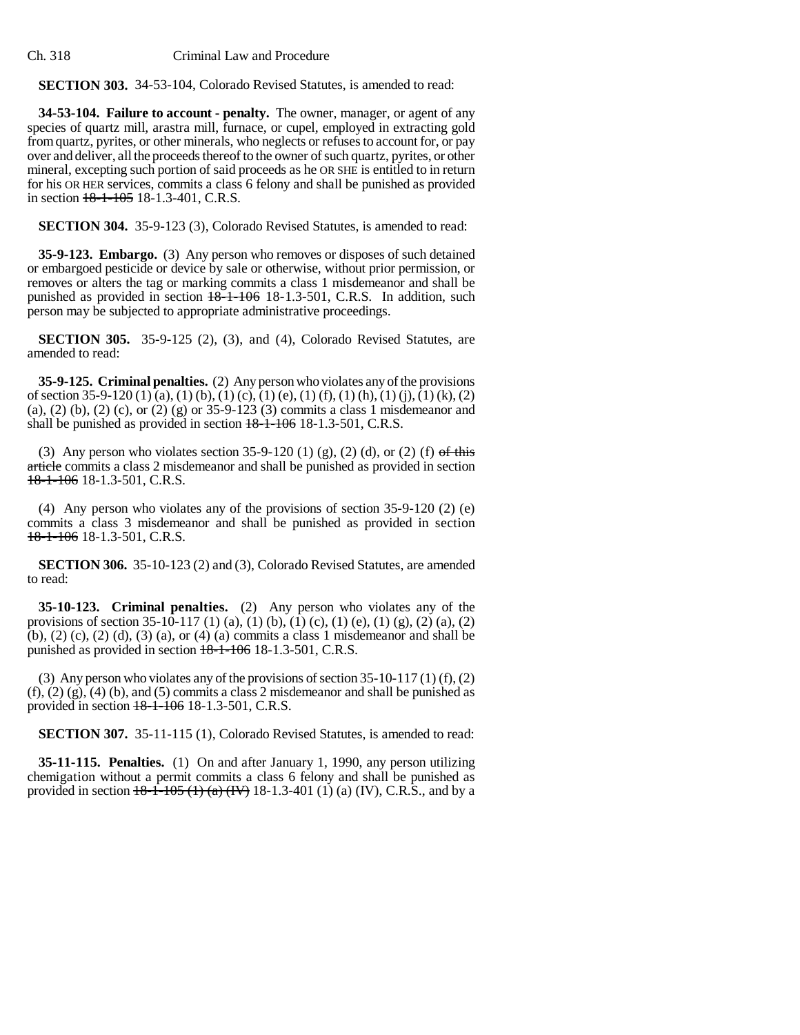**SECTION 303.** 34-53-104, Colorado Revised Statutes, is amended to read:

**34-53-104. Failure to account - penalty.** The owner, manager, or agent of any species of quartz mill, arastra mill, furnace, or cupel, employed in extracting gold from quartz, pyrites, or other minerals, who neglects or refuses to account for, or pay over and deliver, all the proceeds thereof to the owner of such quartz, pyrites, or other mineral, excepting such portion of said proceeds as he OR SHE is entitled to in return for his OR HER services, commits a class 6 felony and shall be punished as provided in section 18-1-105 18-1.3-401, C.R.S.

**SECTION 304.** 35-9-123 (3), Colorado Revised Statutes, is amended to read:

**35-9-123. Embargo.** (3) Any person who removes or disposes of such detained or embargoed pesticide or device by sale or otherwise, without prior permission, or removes or alters the tag or marking commits a class 1 misdemeanor and shall be punished as provided in section 18-1-106 18-1.3-501, C.R.S. In addition, such person may be subjected to appropriate administrative proceedings.

**SECTION 305.** 35-9-125 (2), (3), and (4), Colorado Revised Statutes, are amended to read:

**35-9-125. Criminal penalties.** (2) Any person who violates any of the provisions of section 35-9-120 (1) (a), (1) (b), (1) (c), (1) (e), (1) (f), (1) (h), (1) (j), (1) (k), (2) (a), (2) (b), (2) (c), or (2) (g) or 35-9-123 (3) commits a class 1 misdemeanor and shall be punished as provided in section  $18-1-106$  18-1.3-501, C.R.S.

(3) Any person who violates section 35-9-120 (1) (g), (2) (d), or (2) (f) of this article commits a class 2 misdemeanor and shall be punished as provided in section 18-1-106 18-1.3-501, C.R.S.

(4) Any person who violates any of the provisions of section 35-9-120 (2) (e) commits a class 3 misdemeanor and shall be punished as provided in section 18-1-106 18-1.3-501, C.R.S.

**SECTION 306.** 35-10-123 (2) and (3), Colorado Revised Statutes, are amended to read:

**35-10-123. Criminal penalties.** (2) Any person who violates any of the provisions of section 35-10-117 (1) (a), (1) (b), (1) (c), (1) (e), (1) (g), (2) (a), (2)  $(b)$ ,  $(2)$   $(c)$ ,  $(2)$   $(d)$ ,  $(3)$   $(a)$ , or  $(4)$   $(a)$  commits a class 1 misdemeanor and shall be punished as provided in section  $18-1-106$  18-1.3-501, C.R.S.

(3) Any person who violates any of the provisions of section  $35-10-117(1)$  (f), (2)  $(f)$ ,  $(2)$   $(g)$ ,  $(4)$   $(b)$ , and  $(5)$  commits a class 2 misdemeanor and shall be punished as provided in section 18-1-106 18-1.3-501, C.R.S.

**SECTION 307.** 35-11-115 (1), Colorado Revised Statutes, is amended to read:

**35-11-115. Penalties.** (1) On and after January 1, 1990, any person utilizing chemigation without a permit commits a class 6 felony and shall be punished as provided in section  $18-1-105$  (1) (a) (IV) 18-1.3-401 (1) (a) (IV), C.R.S., and by a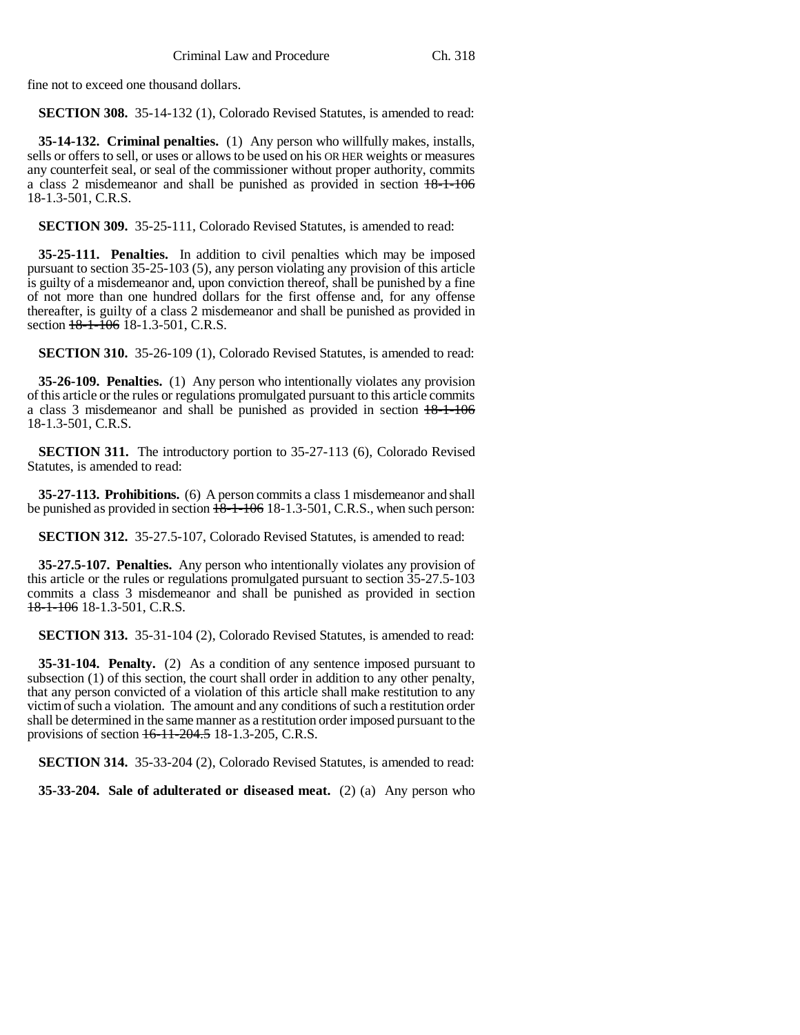fine not to exceed one thousand dollars.

**SECTION 308.** 35-14-132 (1), Colorado Revised Statutes, is amended to read:

**35-14-132. Criminal penalties.** (1) Any person who willfully makes, installs, sells or offers to sell, or uses or allows to be used on his OR HER weights or measures any counterfeit seal, or seal of the commissioner without proper authority, commits a class 2 misdemeanor and shall be punished as provided in section 18-1-106 18-1.3-501, C.R.S.

**SECTION 309.** 35-25-111, Colorado Revised Statutes, is amended to read:

**35-25-111. Penalties.** In addition to civil penalties which may be imposed pursuant to section 35-25-103 (5), any person violating any provision of this article is guilty of a misdemeanor and, upon conviction thereof, shall be punished by a fine of not more than one hundred dollars for the first offense and, for any offense thereafter, is guilty of a class 2 misdemeanor and shall be punished as provided in section  $18-1-106$  18-1.3-501, C.R.S.

**SECTION 310.** 35-26-109 (1), Colorado Revised Statutes, is amended to read:

**35-26-109. Penalties.** (1) Any person who intentionally violates any provision of this article or the rules or regulations promulgated pursuant to this article commits a class 3 misdemeanor and shall be punished as provided in section 18-1-106 18-1.3-501, C.R.S.

**SECTION 311.** The introductory portion to 35-27-113 (6), Colorado Revised Statutes, is amended to read:

**35-27-113. Prohibitions.** (6) A person commits a class 1 misdemeanor and shall be punished as provided in section  $18-1-106$  18-1.3-501, C.R.S., when such person:

**SECTION 312.** 35-27.5-107, Colorado Revised Statutes, is amended to read:

**35-27.5-107. Penalties.** Any person who intentionally violates any provision of this article or the rules or regulations promulgated pursuant to section 35-27.5-103 commits a class 3 misdemeanor and shall be punished as provided in section 18-1-106 18-1.3-501, C.R.S.

**SECTION 313.** 35-31-104 (2), Colorado Revised Statutes, is amended to read:

**35-31-104. Penalty.** (2) As a condition of any sentence imposed pursuant to subsection (1) of this section, the court shall order in addition to any other penalty, that any person convicted of a violation of this article shall make restitution to any victim of such a violation. The amount and any conditions of such a restitution order shall be determined in the same manner as a restitution order imposed pursuant to the provisions of section 16-11-204.5 18-1.3-205, C.R.S.

**SECTION 314.** 35-33-204 (2), Colorado Revised Statutes, is amended to read:

**35-33-204. Sale of adulterated or diseased meat.** (2) (a) Any person who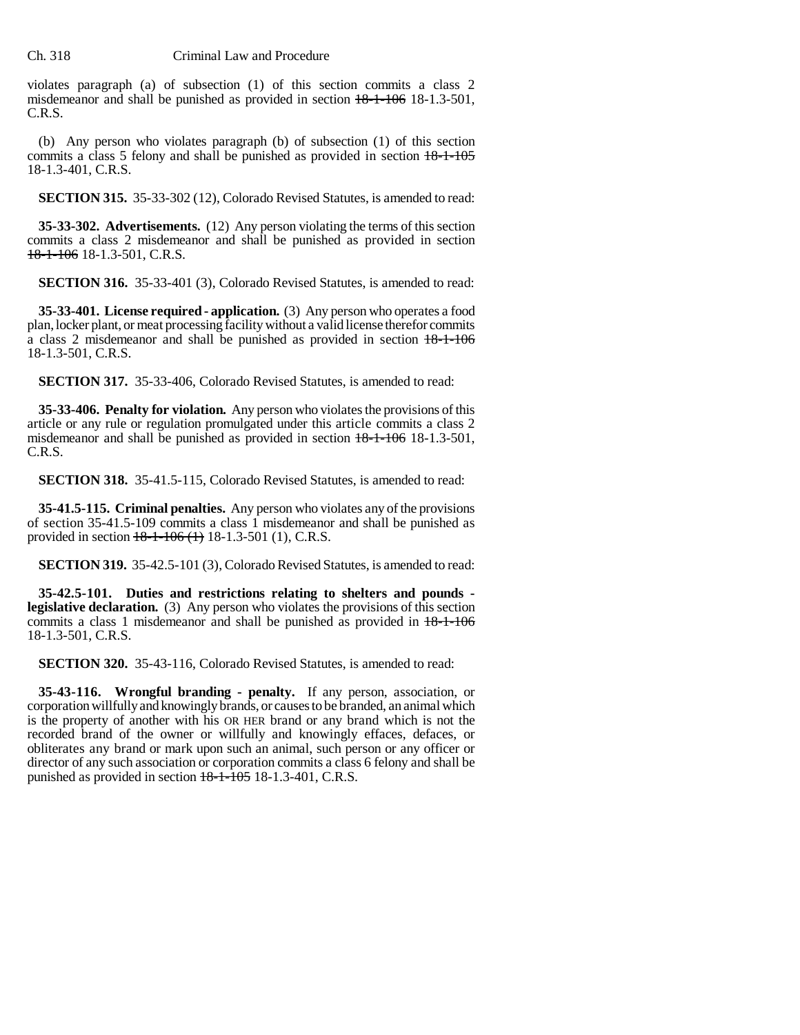violates paragraph (a) of subsection (1) of this section commits a class 2 misdemeanor and shall be punished as provided in section 18-1-106 18-1.3-501, C.R.S.

(b) Any person who violates paragraph (b) of subsection (1) of this section commits a class 5 felony and shall be punished as provided in section  $18-1-105$ 18-1.3-401, C.R.S.

**SECTION 315.** 35-33-302 (12), Colorado Revised Statutes, is amended to read:

**35-33-302. Advertisements.** (12) Any person violating the terms of this section commits a class 2 misdemeanor and shall be punished as provided in section 18-1-106 18-1.3-501, C.R.S.

**SECTION 316.** 35-33-401 (3), Colorado Revised Statutes, is amended to read:

**35-33-401. License required - application.** (3) Any person who operates a food plan, locker plant, or meat processing facility without a valid license therefor commits a class 2 misdemeanor and shall be punished as provided in section 18-1-106 18-1.3-501, C.R.S.

**SECTION 317.** 35-33-406, Colorado Revised Statutes, is amended to read:

**35-33-406. Penalty for violation.** Any person who violates the provisions of this article or any rule or regulation promulgated under this article commits a class 2 misdemeanor and shall be punished as provided in section  $18-1-106$  18-1.3-501, C.R.S.

**SECTION 318.** 35-41.5-115, Colorado Revised Statutes, is amended to read:

**35-41.5-115. Criminal penalties.** Any person who violates any of the provisions of section 35-41.5-109 commits a class 1 misdemeanor and shall be punished as provided in section 18-1-106 (1) 18-1.3-501 (1), C.R.S.

**SECTION 319.** 35-42.5-101 (3), Colorado Revised Statutes, is amended to read:

**35-42.5-101. Duties and restrictions relating to shelters and pounds legislative declaration.** (3) Any person who violates the provisions of this section commits a class 1 misdemeanor and shall be punished as provided in 18-1-106 18-1.3-501, C.R.S.

**SECTION 320.** 35-43-116, Colorado Revised Statutes, is amended to read:

**35-43-116. Wrongful branding - penalty.** If any person, association, or corporation willfully and knowingly brands, or causes to be branded, an animal which is the property of another with his OR HER brand or any brand which is not the recorded brand of the owner or willfully and knowingly effaces, defaces, or obliterates any brand or mark upon such an animal, such person or any officer or director of any such association or corporation commits a class 6 felony and shall be punished as provided in section  $18-1-105$  18-1.3-401, C.R.S.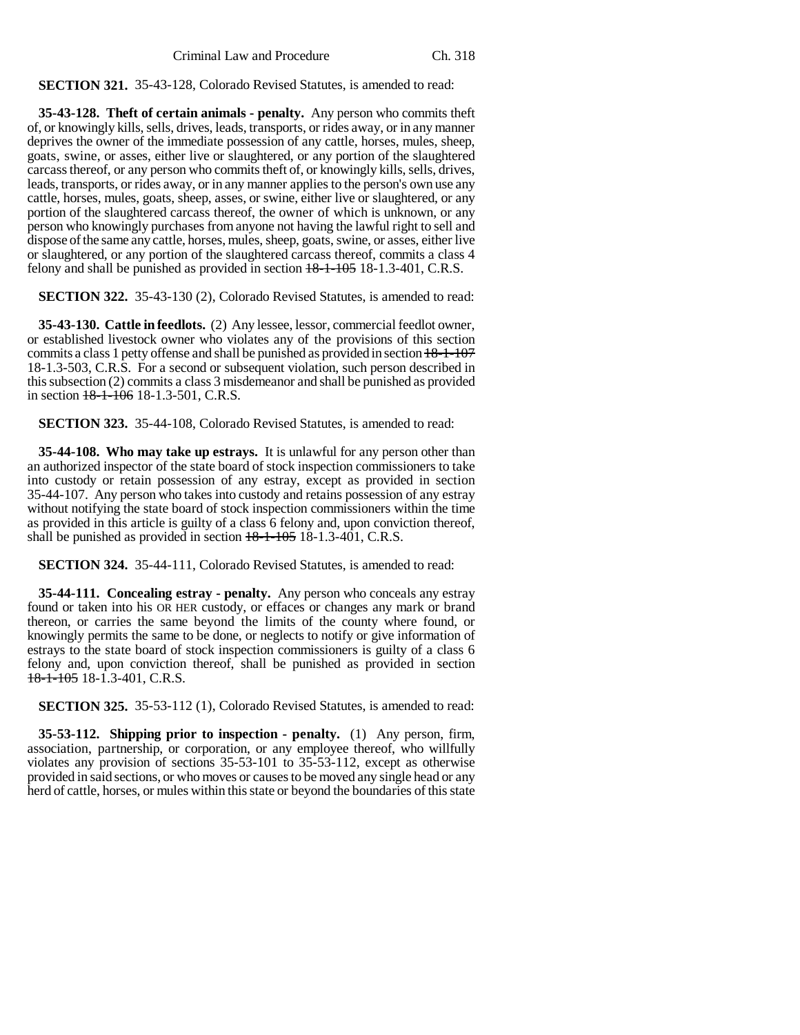**SECTION 321.** 35-43-128, Colorado Revised Statutes, is amended to read:

**35-43-128. Theft of certain animals - penalty.** Any person who commits theft of, or knowingly kills, sells, drives, leads, transports, or rides away, or in any manner deprives the owner of the immediate possession of any cattle, horses, mules, sheep, goats, swine, or asses, either live or slaughtered, or any portion of the slaughtered carcass thereof, or any person who commits theft of, or knowingly kills, sells, drives, leads, transports, or rides away, or in any manner applies to the person's own use any cattle, horses, mules, goats, sheep, asses, or swine, either live or slaughtered, or any portion of the slaughtered carcass thereof, the owner of which is unknown, or any person who knowingly purchases from anyone not having the lawful right to sell and dispose of the same any cattle, horses, mules, sheep, goats, swine, or asses, either live or slaughtered, or any portion of the slaughtered carcass thereof, commits a class 4 felony and shall be punished as provided in section 18-1-105 18-1.3-401, C.R.S.

**SECTION 322.** 35-43-130 (2), Colorado Revised Statutes, is amended to read:

**35-43-130. Cattle in feedlots.** (2) Any lessee, lessor, commercial feedlot owner, or established livestock owner who violates any of the provisions of this section commits a class 1 petty offense and shall be punished as provided in section 18-1-107 18-1.3-503, C.R.S. For a second or subsequent violation, such person described in this subsection (2) commits a class 3 misdemeanor and shall be punished as provided in section 18-1-106 18-1.3-501, C.R.S.

**SECTION 323.** 35-44-108, Colorado Revised Statutes, is amended to read:

**35-44-108. Who may take up estrays.** It is unlawful for any person other than an authorized inspector of the state board of stock inspection commissioners to take into custody or retain possession of any estray, except as provided in section 35-44-107. Any person who takes into custody and retains possession of any estray without notifying the state board of stock inspection commissioners within the time as provided in this article is guilty of a class 6 felony and, upon conviction thereof, shall be punished as provided in section  $18-1-105$  18-1.3-401, C.R.S.

**SECTION 324.** 35-44-111, Colorado Revised Statutes, is amended to read:

**35-44-111. Concealing estray - penalty.** Any person who conceals any estray found or taken into his OR HER custody, or effaces or changes any mark or brand thereon, or carries the same beyond the limits of the county where found, or knowingly permits the same to be done, or neglects to notify or give information of estrays to the state board of stock inspection commissioners is guilty of a class 6 felony and, upon conviction thereof, shall be punished as provided in section  $18-1-105$  18-1.3-401, C.R.S.

**SECTION 325.** 35-53-112 (1), Colorado Revised Statutes, is amended to read:

**35-53-112. Shipping prior to inspection - penalty.** (1) Any person, firm, association, partnership, or corporation, or any employee thereof, who willfully violates any provision of sections 35-53-101 to 35-53-112, except as otherwise provided in said sections, or who moves or causes to be moved any single head or any herd of cattle, horses, or mules within this state or beyond the boundaries of this state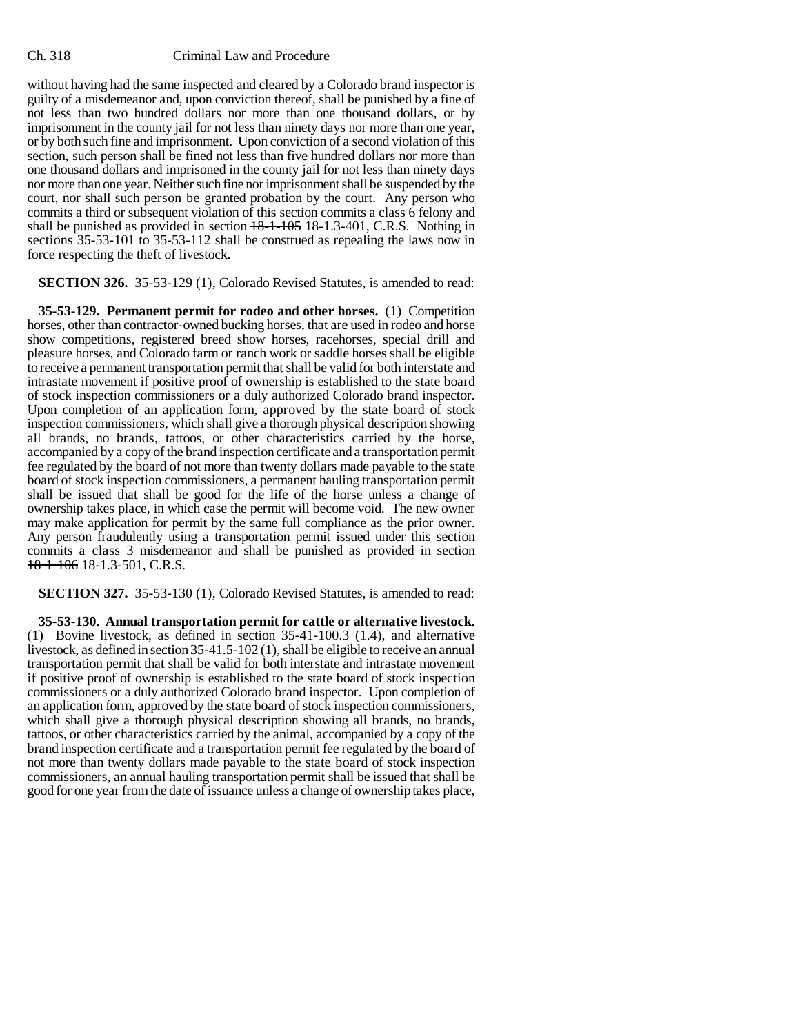without having had the same inspected and cleared by a Colorado brand inspector is guilty of a misdemeanor and, upon conviction thereof, shall be punished by a fine of not less than two hundred dollars nor more than one thousand dollars, or by imprisonment in the county jail for not less than ninety days nor more than one year, or by both such fine and imprisonment. Upon conviction of a second violation of this section, such person shall be fined not less than five hundred dollars nor more than one thousand dollars and imprisoned in the county jail for not less than ninety days nor more than one year. Neither such fine nor imprisonment shall be suspended by the court, nor shall such person be granted probation by the court. Any person who commits a third or subsequent violation of this section commits a class 6 felony and shall be punished as provided in section  $18-1-105$  18-1.3-401, C.R.S. Nothing in sections 35-53-101 to 35-53-112 shall be construed as repealing the laws now in force respecting the theft of livestock.

**SECTION 326.** 35-53-129 (1), Colorado Revised Statutes, is amended to read:

**35-53-129. Permanent permit for rodeo and other horses.** (1) Competition horses, other than contractor-owned bucking horses, that are used in rodeo and horse show competitions, registered breed show horses, racehorses, special drill and pleasure horses, and Colorado farm or ranch work or saddle horses shall be eligible to receive a permanent transportation permit that shall be valid for both interstate and intrastate movement if positive proof of ownership is established to the state board of stock inspection commissioners or a duly authorized Colorado brand inspector. Upon completion of an application form, approved by the state board of stock inspection commissioners, which shall give a thorough physical description showing all brands, no brands, tattoos, or other characteristics carried by the horse, accompanied by a copy of the brand inspection certificate and a transportation permit fee regulated by the board of not more than twenty dollars made payable to the state board of stock inspection commissioners, a permanent hauling transportation permit shall be issued that shall be good for the life of the horse unless a change of ownership takes place, in which case the permit will become void. The new owner may make application for permit by the same full compliance as the prior owner. Any person fraudulently using a transportation permit issued under this section commits a class 3 misdemeanor and shall be punished as provided in section 18-1-106 18-1.3-501, C.R.S.

**SECTION 327.** 35-53-130 (1), Colorado Revised Statutes, is amended to read:

**35-53-130. Annual transportation permit for cattle or alternative livestock.** (1) Bovine livestock, as defined in section 35-41-100.3 (1.4), and alternative livestock, as defined in section 35-41.5-102 (1), shall be eligible to receive an annual transportation permit that shall be valid for both interstate and intrastate movement if positive proof of ownership is established to the state board of stock inspection commissioners or a duly authorized Colorado brand inspector. Upon completion of an application form, approved by the state board of stock inspection commissioners, which shall give a thorough physical description showing all brands, no brands, tattoos, or other characteristics carried by the animal, accompanied by a copy of the brand inspection certificate and a transportation permit fee regulated by the board of not more than twenty dollars made payable to the state board of stock inspection commissioners, an annual hauling transportation permit shall be issued that shall be good for one year from the date of issuance unless a change of ownership takes place,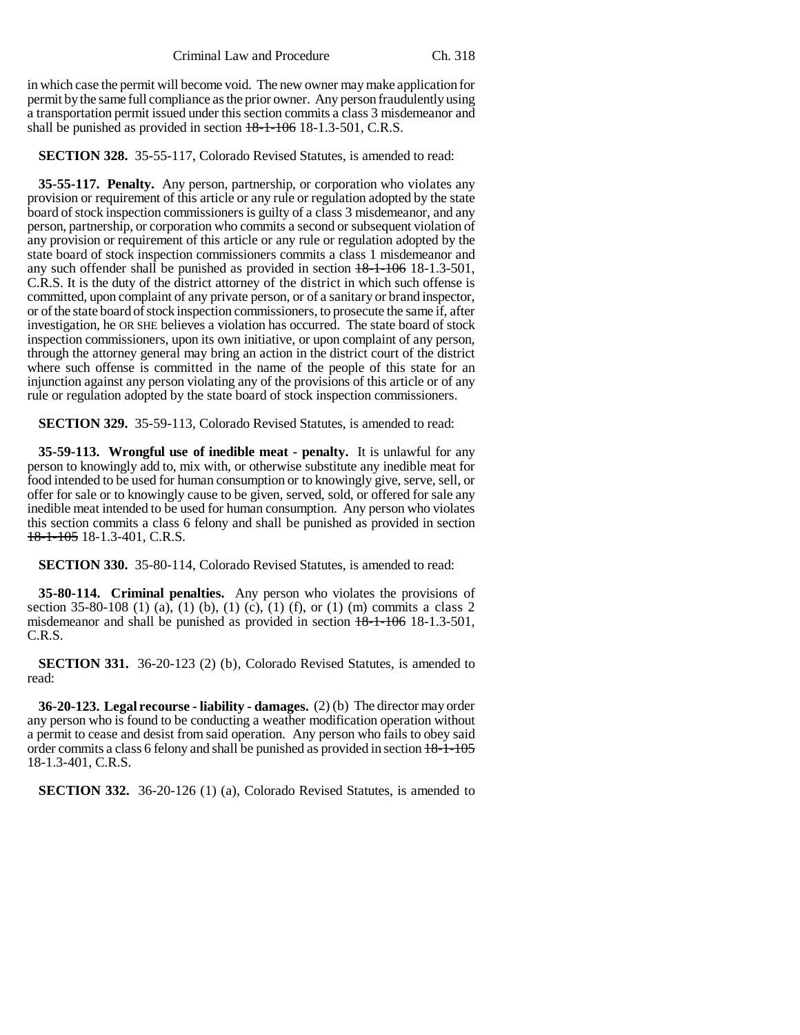in which case the permit will become void. The new owner may make application for permit by the same full compliance as the prior owner. Any person fraudulently using a transportation permit issued under this section commits a class 3 misdemeanor and shall be punished as provided in section  $18-1-106$  18-1.3-501, C.R.S.

**SECTION 328.** 35-55-117, Colorado Revised Statutes, is amended to read:

**35-55-117. Penalty.** Any person, partnership, or corporation who violates any provision or requirement of this article or any rule or regulation adopted by the state board of stock inspection commissioners is guilty of a class 3 misdemeanor, and any person, partnership, or corporation who commits a second or subsequent violation of any provision or requirement of this article or any rule or regulation adopted by the state board of stock inspection commissioners commits a class 1 misdemeanor and any such offender shall be punished as provided in section  $18-1-106$  18-1.3-501, C.R.S. It is the duty of the district attorney of the district in which such offense is committed, upon complaint of any private person, or of a sanitary or brand inspector, or of the state board of stock inspection commissioners, to prosecute the same if, after investigation, he OR SHE believes a violation has occurred. The state board of stock inspection commissioners, upon its own initiative, or upon complaint of any person, through the attorney general may bring an action in the district court of the district where such offense is committed in the name of the people of this state for an injunction against any person violating any of the provisions of this article or of any rule or regulation adopted by the state board of stock inspection commissioners.

**SECTION 329.** 35-59-113, Colorado Revised Statutes, is amended to read:

**35-59-113. Wrongful use of inedible meat - penalty.** It is unlawful for any person to knowingly add to, mix with, or otherwise substitute any inedible meat for food intended to be used for human consumption or to knowingly give, serve, sell, or offer for sale or to knowingly cause to be given, served, sold, or offered for sale any inedible meat intended to be used for human consumption. Any person who violates this section commits a class 6 felony and shall be punished as provided in section 18-1-105 18-1.3-401, C.R.S.

**SECTION 330.** 35-80-114, Colorado Revised Statutes, is amended to read:

**35-80-114. Criminal penalties.** Any person who violates the provisions of section 35-80-108 (1) (a), (1) (b), (1) (c), (1) (f), or (1) (m) commits a class 2 misdemeanor and shall be punished as provided in section 18-1-106 18-1.3-501, C.R.S.

**SECTION 331.** 36-20-123 (2) (b), Colorado Revised Statutes, is amended to read:

**36-20-123. Legal recourse - liability - damages.** (2) (b) The director may order any person who is found to be conducting a weather modification operation without a permit to cease and desist from said operation. Any person who fails to obey said order commits a class 6 felony and shall be punished as provided in section 18-1-105 18-1.3-401, C.R.S.

**SECTION 332.** 36-20-126 (1) (a), Colorado Revised Statutes, is amended to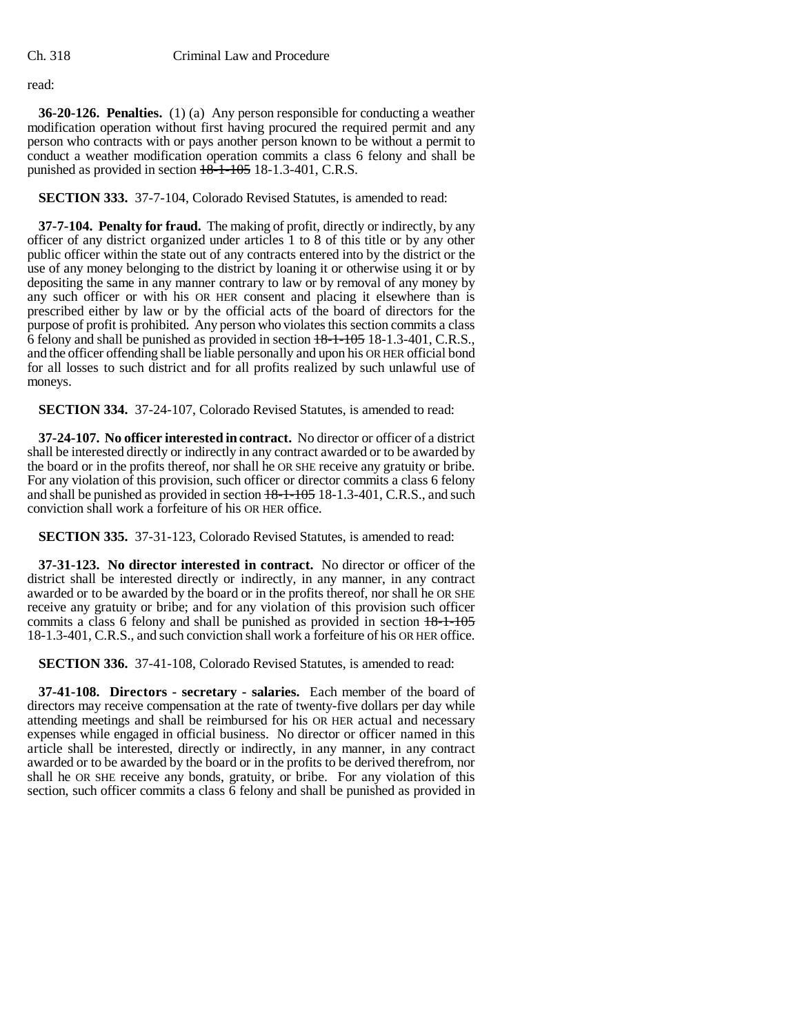read:

**36-20-126. Penalties.** (1) (a) Any person responsible for conducting a weather modification operation without first having procured the required permit and any person who contracts with or pays another person known to be without a permit to conduct a weather modification operation commits a class 6 felony and shall be punished as provided in section  $18-1-105$  18-1.3-401, C.R.S.

**SECTION 333.** 37-7-104, Colorado Revised Statutes, is amended to read:

**37-7-104. Penalty for fraud.** The making of profit, directly or indirectly, by any officer of any district organized under articles 1 to 8 of this title or by any other public officer within the state out of any contracts entered into by the district or the use of any money belonging to the district by loaning it or otherwise using it or by depositing the same in any manner contrary to law or by removal of any money by any such officer or with his OR HER consent and placing it elsewhere than is prescribed either by law or by the official acts of the board of directors for the purpose of profit is prohibited. Any person who violates this section commits a class 6 felony and shall be punished as provided in section 18-1-105 18-1.3-401, C.R.S., and the officer offending shall be liable personally and upon his OR HER official bond for all losses to such district and for all profits realized by such unlawful use of moneys.

**SECTION 334.** 37-24-107, Colorado Revised Statutes, is amended to read:

**37-24-107. No officer interested in contract.** No director or officer of a district shall be interested directly or indirectly in any contract awarded or to be awarded by the board or in the profits thereof, nor shall he OR SHE receive any gratuity or bribe. For any violation of this provision, such officer or director commits a class 6 felony and shall be punished as provided in section 18-1-105 18-1.3-401, C.R.S., and such conviction shall work a forfeiture of his OR HER office.

**SECTION 335.** 37-31-123, Colorado Revised Statutes, is amended to read:

**37-31-123. No director interested in contract.** No director or officer of the district shall be interested directly or indirectly, in any manner, in any contract awarded or to be awarded by the board or in the profits thereof, nor shall he OR SHE receive any gratuity or bribe; and for any violation of this provision such officer commits a class 6 felony and shall be punished as provided in section  $18-1-105$ 18-1.3-401, C.R.S., and such conviction shall work a forfeiture of his OR HER office.

**SECTION 336.** 37-41-108, Colorado Revised Statutes, is amended to read:

**37-41-108. Directors - secretary - salaries.** Each member of the board of directors may receive compensation at the rate of twenty-five dollars per day while attending meetings and shall be reimbursed for his OR HER actual and necessary expenses while engaged in official business. No director or officer named in this article shall be interested, directly or indirectly, in any manner, in any contract awarded or to be awarded by the board or in the profits to be derived therefrom, nor shall he OR SHE receive any bonds, gratuity, or bribe. For any violation of this section, such officer commits a class 6 felony and shall be punished as provided in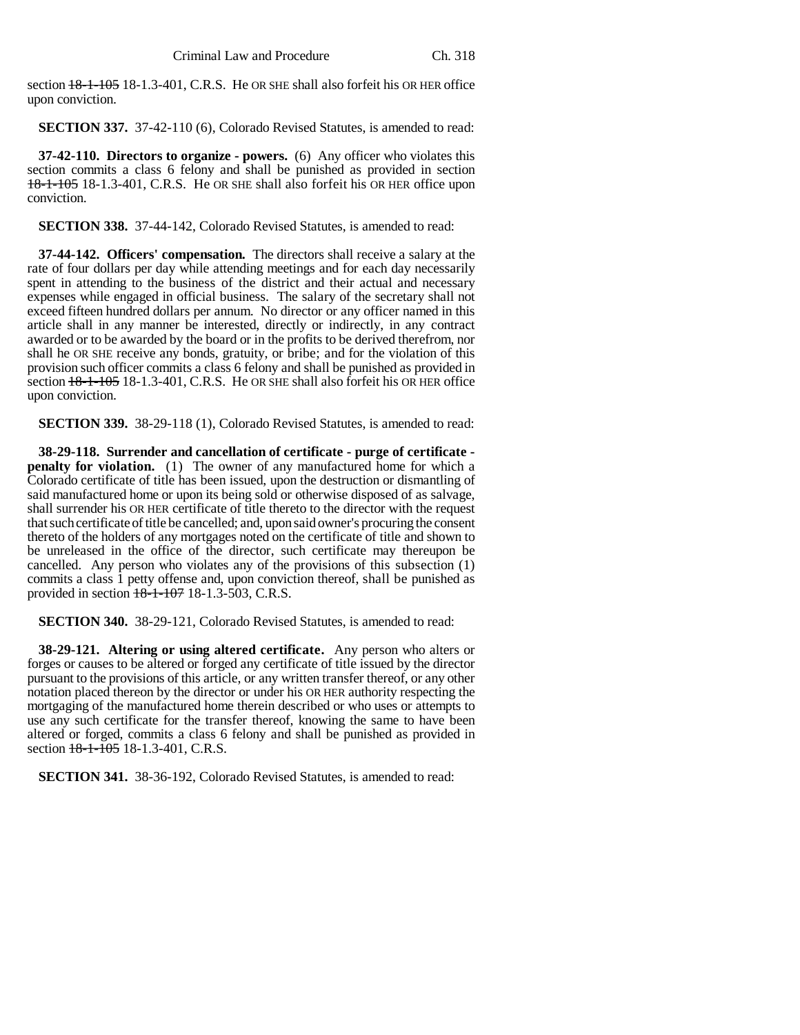section  $18-1-105$  18-1.3-401, C.R.S. He OR SHE shall also forfeit his OR HER office upon conviction.

**SECTION 337.** 37-42-110 (6), Colorado Revised Statutes, is amended to read:

**37-42-110. Directors to organize - powers.** (6) Any officer who violates this section commits a class 6 felony and shall be punished as provided in section 18-1-105 18-1.3-401, C.R.S. He OR SHE shall also forfeit his OR HER office upon conviction.

**SECTION 338.** 37-44-142, Colorado Revised Statutes, is amended to read:

**37-44-142. Officers' compensation.** The directors shall receive a salary at the rate of four dollars per day while attending meetings and for each day necessarily spent in attending to the business of the district and their actual and necessary expenses while engaged in official business. The salary of the secretary shall not exceed fifteen hundred dollars per annum. No director or any officer named in this article shall in any manner be interested, directly or indirectly, in any contract awarded or to be awarded by the board or in the profits to be derived therefrom, nor shall he OR SHE receive any bonds, gratuity, or bribe; and for the violation of this provision such officer commits a class 6 felony and shall be punished as provided in section  $18-1-105$  18-1.3-401, C.R.S. He OR SHE shall also forfeit his OR HER office upon conviction.

**SECTION 339.** 38-29-118 (1), Colorado Revised Statutes, is amended to read:

**38-29-118. Surrender and cancellation of certificate - purge of certificate penalty for violation.** (1) The owner of any manufactured home for which a Colorado certificate of title has been issued, upon the destruction or dismantling of said manufactured home or upon its being sold or otherwise disposed of as salvage, shall surrender his OR HER certificate of title thereto to the director with the request that such certificate of title be cancelled; and, upon said owner's procuring the consent thereto of the holders of any mortgages noted on the certificate of title and shown to be unreleased in the office of the director, such certificate may thereupon be cancelled. Any person who violates any of the provisions of this subsection (1) commits a class 1 petty offense and, upon conviction thereof, shall be punished as provided in section 18-1-107 18-1.3-503, C.R.S.

**SECTION 340.** 38-29-121, Colorado Revised Statutes, is amended to read:

**38-29-121. Altering or using altered certificate.** Any person who alters or forges or causes to be altered or forged any certificate of title issued by the director pursuant to the provisions of this article, or any written transfer thereof, or any other notation placed thereon by the director or under his OR HER authority respecting the mortgaging of the manufactured home therein described or who uses or attempts to use any such certificate for the transfer thereof, knowing the same to have been altered or forged, commits a class 6 felony and shall be punished as provided in section  $18-1-105$  18-1.3-401, C.R.S.

**SECTION 341.** 38-36-192, Colorado Revised Statutes, is amended to read: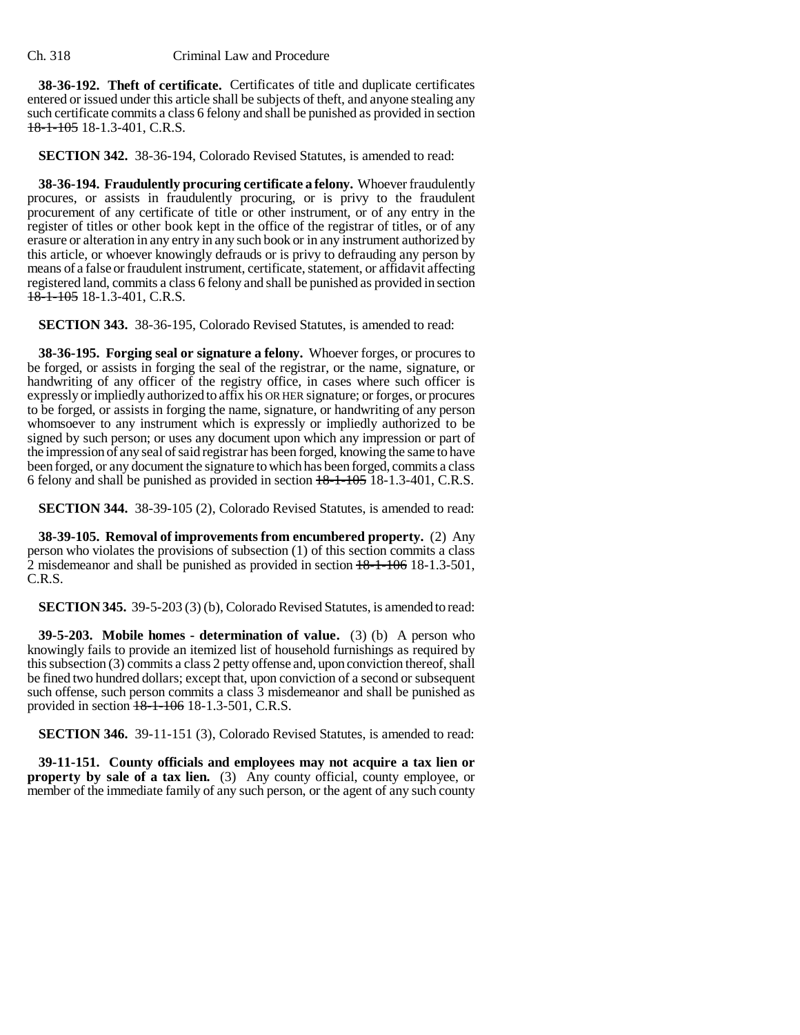**38-36-192. Theft of certificate.** Certificates of title and duplicate certificates entered or issued under this article shall be subjects of theft, and anyone stealing any such certificate commits a class 6 felony and shall be punished as provided in section 18-1-105 18-1.3-401, C.R.S.

**SECTION 342.** 38-36-194, Colorado Revised Statutes, is amended to read:

**38-36-194. Fraudulently procuring certificate a felony.** Whoever fraudulently procures, or assists in fraudulently procuring, or is privy to the fraudulent procurement of any certificate of title or other instrument, or of any entry in the register of titles or other book kept in the office of the registrar of titles, or of any erasure or alteration in any entry in any such book or in any instrument authorized by this article, or whoever knowingly defrauds or is privy to defrauding any person by means of a false or fraudulent instrument, certificate, statement, or affidavit affecting registered land, commits a class 6 felony and shall be punished as provided in section 18-1-105 18-1.3-401, C.R.S.

**SECTION 343.** 38-36-195, Colorado Revised Statutes, is amended to read:

**38-36-195. Forging seal or signature a felony.** Whoever forges, or procures to be forged, or assists in forging the seal of the registrar, or the name, signature, or handwriting of any officer of the registry office, in cases where such officer is expressly or impliedly authorized to affix his OR HER signature; or forges, or procures to be forged, or assists in forging the name, signature, or handwriting of any person whomsoever to any instrument which is expressly or impliedly authorized to be signed by such person; or uses any document upon which any impression or part of the impression of any seal of said registrar has been forged, knowing the same to have been forged, or any document the signature to which has been forged, commits a class 6 felony and shall be punished as provided in section 18-1-105 18-1.3-401, C.R.S.

**SECTION 344.** 38-39-105 (2), Colorado Revised Statutes, is amended to read:

**38-39-105. Removal of improvements from encumbered property.** (2) Any person who violates the provisions of subsection (1) of this section commits a class 2 misdemeanor and shall be punished as provided in section  $18-1-106$  18-1.3-501, C.R.S.

**SECTION 345.** 39-5-203 (3) (b), Colorado Revised Statutes, is amended to read:

**39-5-203. Mobile homes - determination of value.** (3) (b) A person who knowingly fails to provide an itemized list of household furnishings as required by this subsection (3) commits a class 2 petty offense and, upon conviction thereof, shall be fined two hundred dollars; except that, upon conviction of a second or subsequent such offense, such person commits a class 3 misdemeanor and shall be punished as provided in section 18-1-106 18-1.3-501, C.R.S.

**SECTION 346.** 39-11-151 (3), Colorado Revised Statutes, is amended to read:

**39-11-151. County officials and employees may not acquire a tax lien or property by sale of a tax lien.** (3) Any county official, county employee, or member of the immediate family of any such person, or the agent of any such county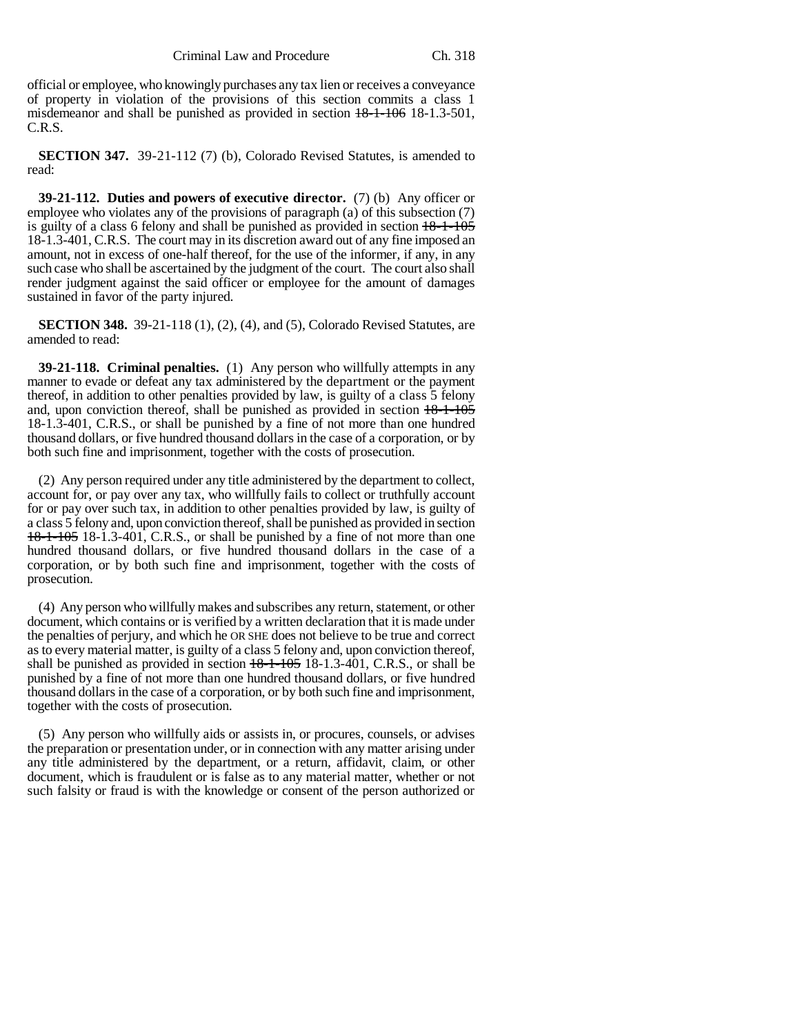official or employee, who knowingly purchases any tax lien or receives a conveyance of property in violation of the provisions of this section commits a class 1 misdemeanor and shall be punished as provided in section 18-1-106 18-1.3-501, C.R.S.

**SECTION 347.** 39-21-112 (7) (b), Colorado Revised Statutes, is amended to read:

**39-21-112. Duties and powers of executive director.** (7) (b) Any officer or employee who violates any of the provisions of paragraph (a) of this subsection (7) is guilty of a class 6 felony and shall be punished as provided in section 18-1-105 18-1.3-401, C.R.S. The court may in its discretion award out of any fine imposed an amount, not in excess of one-half thereof, for the use of the informer, if any, in any such case who shall be ascertained by the judgment of the court. The court also shall render judgment against the said officer or employee for the amount of damages sustained in favor of the party injured.

**SECTION 348.** 39-21-118 (1), (2), (4), and (5), Colorado Revised Statutes, are amended to read:

**39-21-118. Criminal penalties.** (1) Any person who willfully attempts in any manner to evade or defeat any tax administered by the department or the payment thereof, in addition to other penalties provided by law, is guilty of a class 5 felony and, upon conviction thereof, shall be punished as provided in section 18-1-105 18-1.3-401, C.R.S., or shall be punished by a fine of not more than one hundred thousand dollars, or five hundred thousand dollars in the case of a corporation, or by both such fine and imprisonment, together with the costs of prosecution.

(2) Any person required under any title administered by the department to collect, account for, or pay over any tax, who willfully fails to collect or truthfully account for or pay over such tax, in addition to other penalties provided by law, is guilty of a class 5 felony and, upon conviction thereof, shall be punished as provided in section 18-1-105 18-1.3-401, C.R.S., or shall be punished by a fine of not more than one hundred thousand dollars, or five hundred thousand dollars in the case of a corporation, or by both such fine and imprisonment, together with the costs of prosecution.

(4) Any person who willfully makes and subscribes any return, statement, or other document, which contains or is verified by a written declaration that it is made under the penalties of perjury, and which he OR SHE does not believe to be true and correct as to every material matter, is guilty of a class 5 felony and, upon conviction thereof, shall be punished as provided in section  $18-1-105$  18-1.3-401, C.R.S., or shall be punished by a fine of not more than one hundred thousand dollars, or five hundred thousand dollars in the case of a corporation, or by both such fine and imprisonment, together with the costs of prosecution.

(5) Any person who willfully aids or assists in, or procures, counsels, or advises the preparation or presentation under, or in connection with any matter arising under any title administered by the department, or a return, affidavit, claim, or other document, which is fraudulent or is false as to any material matter, whether or not such falsity or fraud is with the knowledge or consent of the person authorized or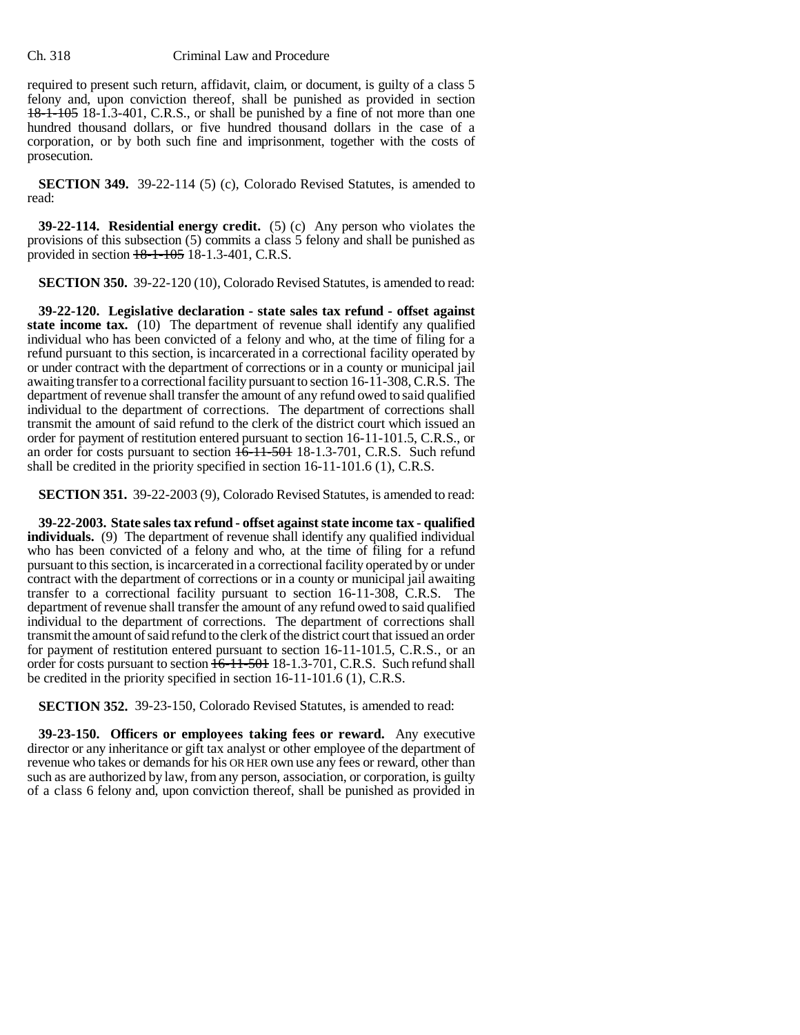required to present such return, affidavit, claim, or document, is guilty of a class 5 felony and, upon conviction thereof, shall be punished as provided in section 18-1-105 18-1.3-401, C.R.S., or shall be punished by a fine of not more than one hundred thousand dollars, or five hundred thousand dollars in the case of a corporation, or by both such fine and imprisonment, together with the costs of prosecution.

**SECTION 349.** 39-22-114 (5) (c), Colorado Revised Statutes, is amended to read:

**39-22-114. Residential energy credit.** (5) (c) Any person who violates the provisions of this subsection (5) commits a class 5 felony and shall be punished as provided in section 18-1-105 18-1.3-401, C.R.S.

**SECTION 350.** 39-22-120 (10), Colorado Revised Statutes, is amended to read:

**39-22-120. Legislative declaration - state sales tax refund - offset against state income tax.** (10) The department of revenue shall identify any qualified individual who has been convicted of a felony and who, at the time of filing for a refund pursuant to this section, is incarcerated in a correctional facility operated by or under contract with the department of corrections or in a county or municipal jail awaiting transfer to a correctional facility pursuant to section 16-11-308, C.R.S. The department of revenue shall transfer the amount of any refund owed to said qualified individual to the department of corrections. The department of corrections shall transmit the amount of said refund to the clerk of the district court which issued an order for payment of restitution entered pursuant to section 16-11-101.5, C.R.S., or an order for costs pursuant to section  $16-11-501$  18-1.3-701, C.R.S. Such refund shall be credited in the priority specified in section 16-11-101.6 (1), C.R.S.

**SECTION 351.** 39-22-2003 (9), Colorado Revised Statutes, is amended to read:

**39-22-2003. State sales tax refund - offset against state income tax - qualified individuals.** (9) The department of revenue shall identify any qualified individual who has been convicted of a felony and who, at the time of filing for a refund pursuant to this section, is incarcerated in a correctional facility operated by or under contract with the department of corrections or in a county or municipal jail awaiting transfer to a correctional facility pursuant to section 16-11-308, C.R.S. The department of revenue shall transfer the amount of any refund owed to said qualified individual to the department of corrections. The department of corrections shall transmit the amount of said refund to the clerk of the district court that issued an order for payment of restitution entered pursuant to section 16-11-101.5, C.R.S., or an order for costs pursuant to section  $\frac{16-11-501}{18-13-701}$ , C.R.S. Such refund shall be credited in the priority specified in section 16-11-101.6 (1), C.R.S.

**SECTION 352.** 39-23-150, Colorado Revised Statutes, is amended to read:

**39-23-150. Officers or employees taking fees or reward.** Any executive director or any inheritance or gift tax analyst or other employee of the department of revenue who takes or demands for his OR HER own use any fees or reward, other than such as are authorized by law, from any person, association, or corporation, is guilty of a class 6 felony and, upon conviction thereof, shall be punished as provided in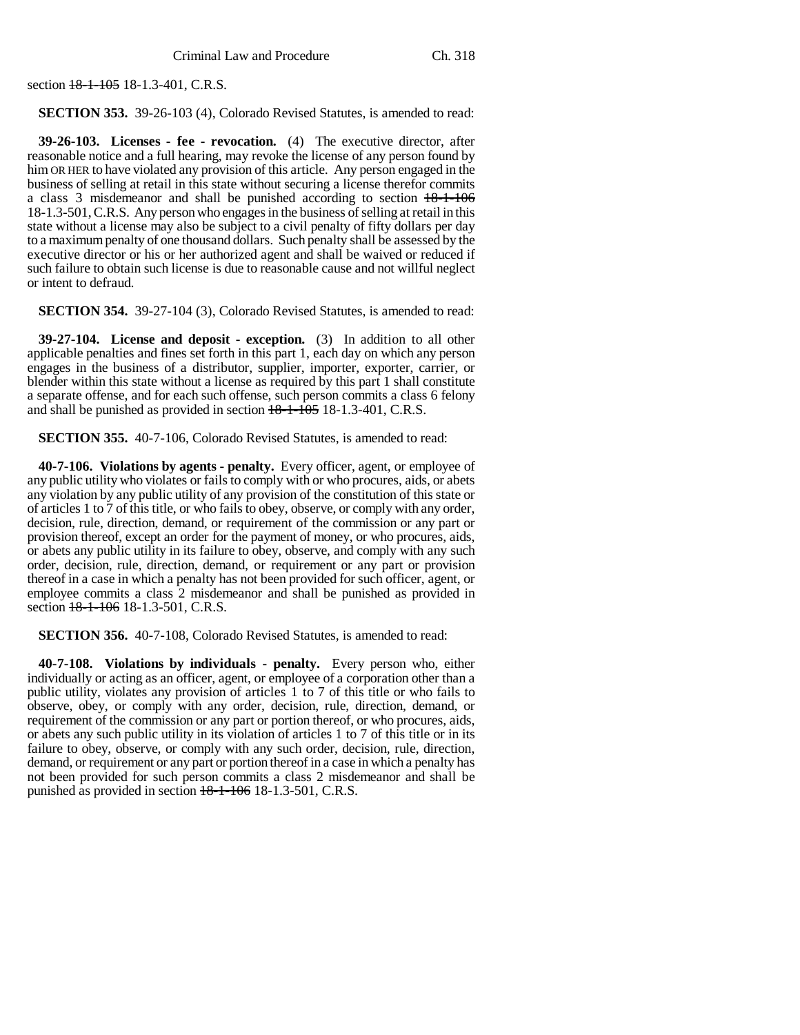section  $18-1-105$  18-1.3-401, C.R.S.

**SECTION 353.** 39-26-103 (4), Colorado Revised Statutes, is amended to read:

**39-26-103. Licenses - fee - revocation.** (4) The executive director, after reasonable notice and a full hearing, may revoke the license of any person found by him OR HER to have violated any provision of this article. Any person engaged in the business of selling at retail in this state without securing a license therefor commits a class 3 misdemeanor and shall be punished according to section 18-1-106 18-1.3-501, C.R.S. Any person who engages in the business of selling at retail in this state without a license may also be subject to a civil penalty of fifty dollars per day to a maximum penalty of one thousand dollars. Such penalty shall be assessed by the executive director or his or her authorized agent and shall be waived or reduced if such failure to obtain such license is due to reasonable cause and not willful neglect or intent to defraud.

**SECTION 354.** 39-27-104 (3), Colorado Revised Statutes, is amended to read:

**39-27-104. License and deposit - exception.** (3) In addition to all other applicable penalties and fines set forth in this part 1, each day on which any person engages in the business of a distributor, supplier, importer, exporter, carrier, or blender within this state without a license as required by this part 1 shall constitute a separate offense, and for each such offense, such person commits a class 6 felony and shall be punished as provided in section  $18-1-105$  18-1.3-401, C.R.S.

**SECTION 355.** 40-7-106, Colorado Revised Statutes, is amended to read:

**40-7-106. Violations by agents - penalty.** Every officer, agent, or employee of any public utility who violates or fails to comply with or who procures, aids, or abets any violation by any public utility of any provision of the constitution of this state or of articles 1 to 7 of this title, or who fails to obey, observe, or comply with any order, decision, rule, direction, demand, or requirement of the commission or any part or provision thereof, except an order for the payment of money, or who procures, aids, or abets any public utility in its failure to obey, observe, and comply with any such order, decision, rule, direction, demand, or requirement or any part or provision thereof in a case in which a penalty has not been provided for such officer, agent, or employee commits a class 2 misdemeanor and shall be punished as provided in section  $18-1-106$  18-1.3-501, C.R.S.

**SECTION 356.** 40-7-108, Colorado Revised Statutes, is amended to read:

**40-7-108. Violations by individuals - penalty.** Every person who, either individually or acting as an officer, agent, or employee of a corporation other than a public utility, violates any provision of articles 1 to 7 of this title or who fails to observe, obey, or comply with any order, decision, rule, direction, demand, or requirement of the commission or any part or portion thereof, or who procures, aids, or abets any such public utility in its violation of articles 1 to 7 of this title or in its failure to obey, observe, or comply with any such order, decision, rule, direction, demand, or requirement or any part or portion thereof in a case in which a penalty has not been provided for such person commits a class 2 misdemeanor and shall be punished as provided in section 18-1-106 18-1.3-501, C.R.S.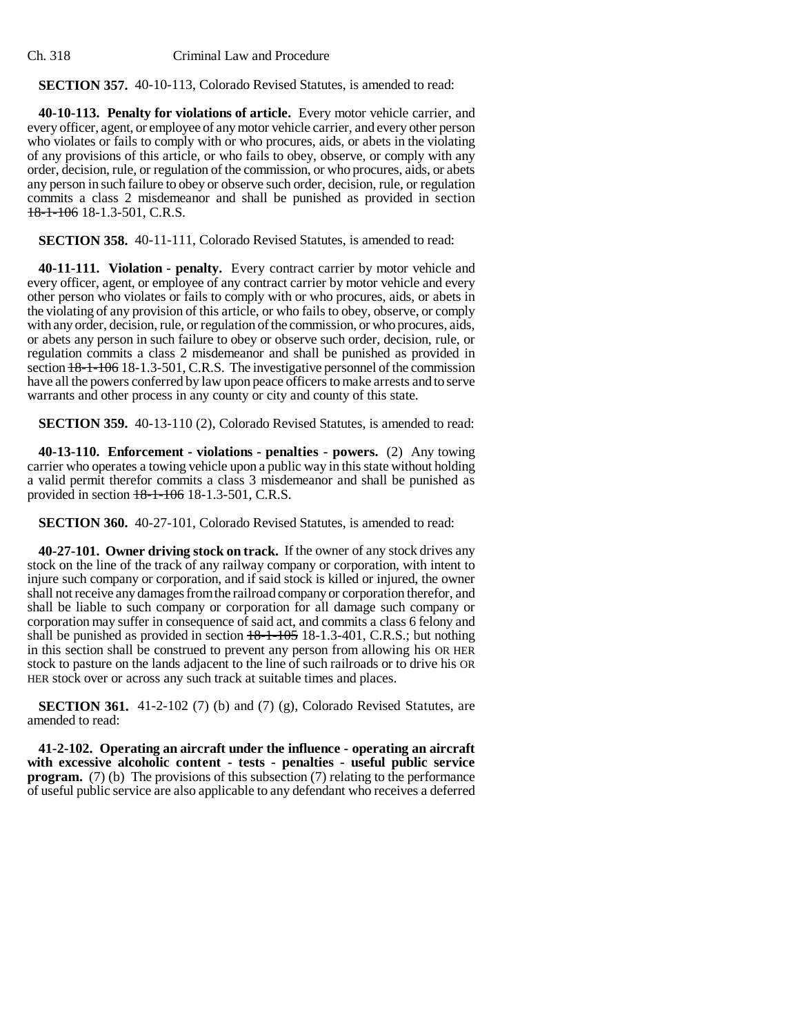**SECTION 357.** 40-10-113, Colorado Revised Statutes, is amended to read:

**40-10-113. Penalty for violations of article.** Every motor vehicle carrier, and every officer, agent, or employee of any motor vehicle carrier, and every other person who violates or fails to comply with or who procures, aids, or abets in the violating of any provisions of this article, or who fails to obey, observe, or comply with any order, decision, rule, or regulation of the commission, or who procures, aids, or abets any person in such failure to obey or observe such order, decision, rule, or regulation commits a class 2 misdemeanor and shall be punished as provided in section 18-1-106 18-1.3-501, C.R.S.

**SECTION 358.** 40-11-111, Colorado Revised Statutes, is amended to read:

**40-11-111. Violation - penalty.** Every contract carrier by motor vehicle and every officer, agent, or employee of any contract carrier by motor vehicle and every other person who violates or fails to comply with or who procures, aids, or abets in the violating of any provision of this article, or who fails to obey, observe, or comply with any order, decision, rule, or regulation of the commission, or who procures, aids, or abets any person in such failure to obey or observe such order, decision, rule, or regulation commits a class 2 misdemeanor and shall be punished as provided in section 18-1-106 18-1.3-501, C.R.S. The investigative personnel of the commission have all the powers conferred by law upon peace officers to make arrests and to serve warrants and other process in any county or city and county of this state.

**SECTION 359.** 40-13-110 (2), Colorado Revised Statutes, is amended to read:

**40-13-110. Enforcement - violations - penalties - powers.** (2) Any towing carrier who operates a towing vehicle upon a public way in this state without holding a valid permit therefor commits a class 3 misdemeanor and shall be punished as provided in section 18-1-106 18-1.3-501, C.R.S.

**SECTION 360.** 40-27-101, Colorado Revised Statutes, is amended to read:

**40-27-101. Owner driving stock on track.** If the owner of any stock drives any stock on the line of the track of any railway company or corporation, with intent to injure such company or corporation, and if said stock is killed or injured, the owner shall not receive any damages from the railroad company or corporation therefor, and shall be liable to such company or corporation for all damage such company or corporation may suffer in consequence of said act, and commits a class 6 felony and shall be punished as provided in section  $18-1-105$  18-1.3-401, C.R.S.; but nothing in this section shall be construed to prevent any person from allowing his OR HER stock to pasture on the lands adjacent to the line of such railroads or to drive his OR HER stock over or across any such track at suitable times and places.

**SECTION 361.** 41-2-102 (7) (b) and (7) (g), Colorado Revised Statutes, are amended to read:

**41-2-102. Operating an aircraft under the influence - operating an aircraft with excessive alcoholic content - tests - penalties - useful public service program.** (7) (b) The provisions of this subsection (7) relating to the performance of useful public service are also applicable to any defendant who receives a deferred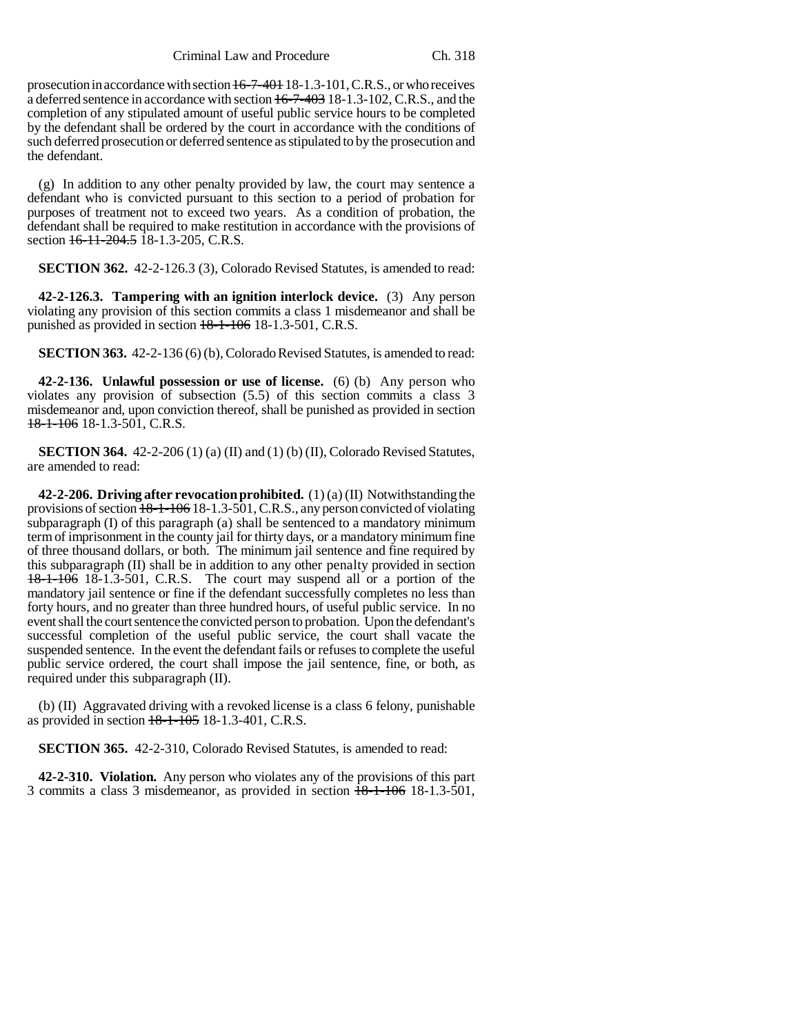prosecution in accordance with section 16-7-401 18-1.3-101, C.R.S., or who receives a deferred sentence in accordance with section 16-7-403 18-1.3-102, C.R.S., and the completion of any stipulated amount of useful public service hours to be completed by the defendant shall be ordered by the court in accordance with the conditions of such deferred prosecution or deferred sentence as stipulated to by the prosecution and the defendant.

(g) In addition to any other penalty provided by law, the court may sentence a defendant who is convicted pursuant to this section to a period of probation for purposes of treatment not to exceed two years. As a condition of probation, the defendant shall be required to make restitution in accordance with the provisions of section 16-11-204.5 18-1.3-205, C.R.S.

**SECTION 362.** 42-2-126.3 (3), Colorado Revised Statutes, is amended to read:

**42-2-126.3. Tampering with an ignition interlock device.** (3) Any person violating any provision of this section commits a class 1 misdemeanor and shall be punished as provided in section 18-1-106 18-1.3-501, C.R.S.

**SECTION 363.** 42-2-136 (6) (b), Colorado Revised Statutes, is amended to read:

**42-2-136. Unlawful possession or use of license.** (6) (b) Any person who violates any provision of subsection (5.5) of this section commits a class 3 misdemeanor and, upon conviction thereof, shall be punished as provided in section 18-1-106 18-1.3-501, C.R.S.

**SECTION 364.** 42-2-206 (1) (a) (II) and (1) (b) (II), Colorado Revised Statutes, are amended to read:

**42-2-206. Driving after revocation prohibited.** (1) (a) (II) Notwithstanding the provisions of section 18-1-106 18-1.3-501, C.R.S., any person convicted of violating subparagraph (I) of this paragraph (a) shall be sentenced to a mandatory minimum term of imprisonment in the county jail for thirty days, or a mandatory minimum fine of three thousand dollars, or both. The minimum jail sentence and fine required by this subparagraph (II) shall be in addition to any other penalty provided in section 18-1-106 18-1.3-501, C.R.S. The court may suspend all or a portion of the mandatory jail sentence or fine if the defendant successfully completes no less than forty hours, and no greater than three hundred hours, of useful public service. In no event shall the court sentence the convicted person to probation. Upon the defendant's successful completion of the useful public service, the court shall vacate the suspended sentence. In the event the defendant fails or refuses to complete the useful public service ordered, the court shall impose the jail sentence, fine, or both, as required under this subparagraph (II).

(b) (II) Aggravated driving with a revoked license is a class 6 felony, punishable as provided in section  $18-1-105$  18-1.3-401, C.R.S.

**SECTION 365.** 42-2-310, Colorado Revised Statutes, is amended to read:

**42-2-310. Violation.** Any person who violates any of the provisions of this part 3 commits a class 3 misdemeanor, as provided in section 18-1-106 18-1.3-501,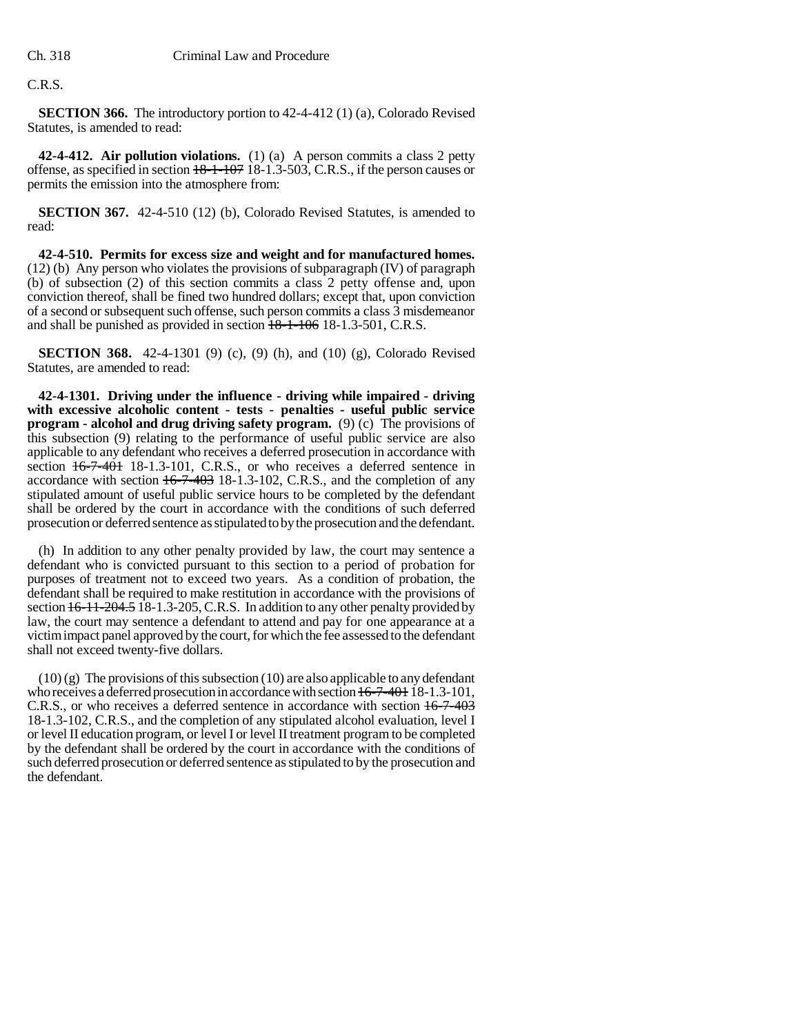## C.R.S.

**SECTION 366.** The introductory portion to 42-4-412 (1) (a), Colorado Revised Statutes, is amended to read:

**42-4-412. Air pollution violations.** (1) (a) A person commits a class 2 petty offense, as specified in section 18-1-107 18-1.3-503, C.R.S., if the person causes or permits the emission into the atmosphere from:

**SECTION 367.** 42-4-510 (12) (b), Colorado Revised Statutes, is amended to read:

**42-4-510. Permits for excess size and weight and for manufactured homes.** (12) (b) Any person who violates the provisions of subparagraph (IV) of paragraph (b) of subsection (2) of this section commits a class 2 petty offense and, upon conviction thereof, shall be fined two hundred dollars; except that, upon conviction of a second or subsequent such offense, such person commits a class 3 misdemeanor and shall be punished as provided in section  $18-1-106$  18-1.3-501, C.R.S.

**SECTION 368.** 42-4-1301 (9) (c), (9) (h), and (10) (g), Colorado Revised Statutes, are amended to read:

**42-4-1301. Driving under the influence - driving while impaired - driving with excessive alcoholic content - tests - penalties - useful public service program - alcohol and drug driving safety program.** (9) (c) The provisions of this subsection (9) relating to the performance of useful public service are also applicable to any defendant who receives a deferred prosecution in accordance with section  $16-7-401$  18-1.3-101, C.R.S., or who receives a deferred sentence in accordance with section  $16-7-403$  18-1.3-102, C.R.S., and the completion of any stipulated amount of useful public service hours to be completed by the defendant shall be ordered by the court in accordance with the conditions of such deferred prosecution or deferred sentence as stipulated to by the prosecution and the defendant.

(h) In addition to any other penalty provided by law, the court may sentence a defendant who is convicted pursuant to this section to a period of probation for purposes of treatment not to exceed two years. As a condition of probation, the defendant shall be required to make restitution in accordance with the provisions of section  $16-11-204.5$  18-1.3-205, C.R.S. In addition to any other penalty provided by law, the court may sentence a defendant to attend and pay for one appearance at a victim impact panel approved by the court, for which the fee assessed to the defendant shall not exceed twenty-five dollars.

(10) (g) The provisions of this subsection (10) are also applicable to any defendant who receives a deferred prosecution in accordance with section  $16-7-401$  18-1.3-101, C.R.S., or who receives a deferred sentence in accordance with section 16-7-403 18-1.3-102, C.R.S., and the completion of any stipulated alcohol evaluation, level I or level II education program, or level I or level II treatment program to be completed by the defendant shall be ordered by the court in accordance with the conditions of such deferred prosecution or deferred sentence as stipulated to by the prosecution and the defendant.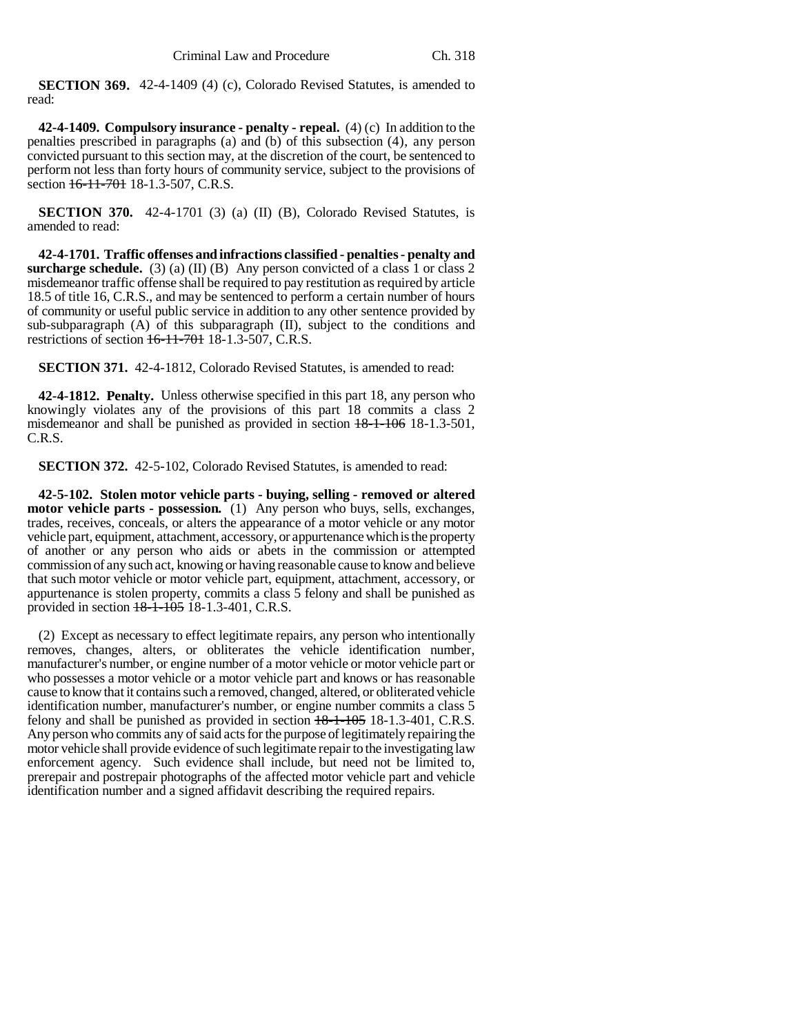**SECTION 369.** 42-4-1409 (4) (c), Colorado Revised Statutes, is amended to read:

**42-4-1409. Compulsory insurance - penalty - repeal.** (4) (c) In addition to the penalties prescribed in paragraphs (a) and (b) of this subsection (4), any person convicted pursuant to this section may, at the discretion of the court, be sentenced to perform not less than forty hours of community service, subject to the provisions of section 16-11-701 18-1.3-507, C.R.S.

**SECTION 370.** 42-4-1701 (3) (a) (II) (B), Colorado Revised Statutes, is amended to read:

**42-4-1701. Traffic offenses and infractions classified - penalties - penalty and surcharge schedule.** (3) (a) (II) (B) Any person convicted of a class 1 or class 2 misdemeanor traffic offense shall be required to pay restitution as required by article 18.5 of title 16, C.R.S., and may be sentenced to perform a certain number of hours of community or useful public service in addition to any other sentence provided by sub-subparagraph (A) of this subparagraph (II), subject to the conditions and restrictions of section 16-11-701 18-1.3-507, C.R.S.

**SECTION 371.** 42-4-1812, Colorado Revised Statutes, is amended to read:

**42-4-1812. Penalty.** Unless otherwise specified in this part 18, any person who knowingly violates any of the provisions of this part 18 commits a class 2 misdemeanor and shall be punished as provided in section 18-1-106 18-1.3-501, C.R.S.

**SECTION 372.** 42-5-102, Colorado Revised Statutes, is amended to read:

**42-5-102. Stolen motor vehicle parts - buying, selling - removed or altered motor vehicle parts - possession.** (1) Any person who buys, sells, exchanges, trades, receives, conceals, or alters the appearance of a motor vehicle or any motor vehicle part, equipment, attachment, accessory, or appurtenance which is the property of another or any person who aids or abets in the commission or attempted commission of any such act, knowing or having reasonable cause to know and believe that such motor vehicle or motor vehicle part, equipment, attachment, accessory, or appurtenance is stolen property, commits a class 5 felony and shall be punished as provided in section 18-1-105 18-1.3-401, C.R.S.

(2) Except as necessary to effect legitimate repairs, any person who intentionally removes, changes, alters, or obliterates the vehicle identification number, manufacturer's number, or engine number of a motor vehicle or motor vehicle part or who possesses a motor vehicle or a motor vehicle part and knows or has reasonable cause to know that it contains such a removed, changed, altered, or obliterated vehicle identification number, manufacturer's number, or engine number commits a class 5 felony and shall be punished as provided in section 18-1-105 18-1.3-401, C.R.S. Any person who commits any of said acts for the purpose of legitimately repairing the motor vehicle shall provide evidence of such legitimate repair to the investigating law enforcement agency. Such evidence shall include, but need not be limited to, prerepair and postrepair photographs of the affected motor vehicle part and vehicle identification number and a signed affidavit describing the required repairs.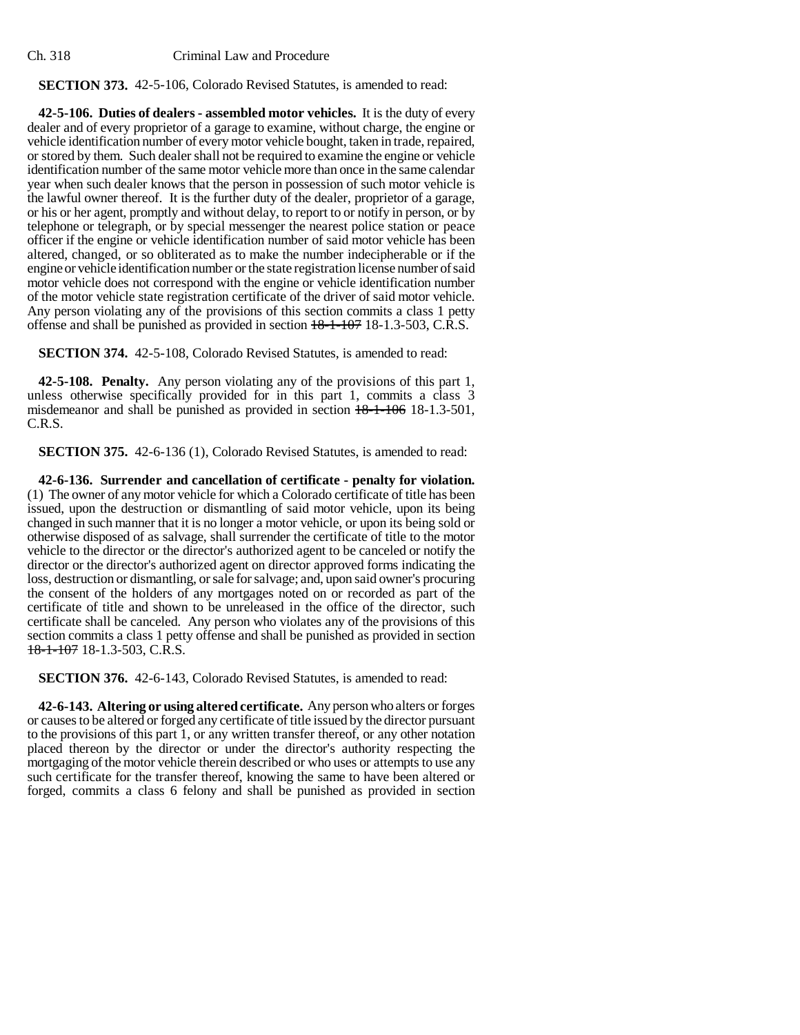# **SECTION 373.** 42-5-106, Colorado Revised Statutes, is amended to read:

**42-5-106. Duties of dealers - assembled motor vehicles.** It is the duty of every dealer and of every proprietor of a garage to examine, without charge, the engine or vehicle identification number of every motor vehicle bought, taken in trade, repaired, or stored by them. Such dealer shall not be required to examine the engine or vehicle identification number of the same motor vehicle more than once in the same calendar year when such dealer knows that the person in possession of such motor vehicle is the lawful owner thereof. It is the further duty of the dealer, proprietor of a garage, or his or her agent, promptly and without delay, to report to or notify in person, or by telephone or telegraph, or by special messenger the nearest police station or peace officer if the engine or vehicle identification number of said motor vehicle has been altered, changed, or so obliterated as to make the number indecipherable or if the engine or vehicle identification number or the state registration license number of said motor vehicle does not correspond with the engine or vehicle identification number of the motor vehicle state registration certificate of the driver of said motor vehicle. Any person violating any of the provisions of this section commits a class 1 petty offense and shall be punished as provided in section  $18-1-107$  18-1.3-503, C.R.S.

**SECTION 374.** 42-5-108, Colorado Revised Statutes, is amended to read:

**42-5-108. Penalty.** Any person violating any of the provisions of this part 1, unless otherwise specifically provided for in this part 1, commits a class 3 misdemeanor and shall be punished as provided in section  $18-1-106$  18-1.3-501, C.R.S.

**SECTION 375.** 42-6-136 (1), Colorado Revised Statutes, is amended to read:

**42-6-136. Surrender and cancellation of certificate - penalty for violation.** (1) The owner of any motor vehicle for which a Colorado certificate of title has been issued, upon the destruction or dismantling of said motor vehicle, upon its being changed in such manner that it is no longer a motor vehicle, or upon its being sold or otherwise disposed of as salvage, shall surrender the certificate of title to the motor vehicle to the director or the director's authorized agent to be canceled or notify the director or the director's authorized agent on director approved forms indicating the loss, destruction or dismantling, or sale for salvage; and, upon said owner's procuring the consent of the holders of any mortgages noted on or recorded as part of the certificate of title and shown to be unreleased in the office of the director, such certificate shall be canceled. Any person who violates any of the provisions of this section commits a class 1 petty offense and shall be punished as provided in section 18-1-107 18-1.3-503, C.R.S.

**SECTION 376.** 42-6-143, Colorado Revised Statutes, is amended to read:

**42-6-143. Altering or using altered certificate.** Any person who alters or forges or causes to be altered or forged any certificate of title issued by the director pursuant to the provisions of this part 1, or any written transfer thereof, or any other notation placed thereon by the director or under the director's authority respecting the mortgaging of the motor vehicle therein described or who uses or attempts to use any such certificate for the transfer thereof, knowing the same to have been altered or forged, commits a class 6 felony and shall be punished as provided in section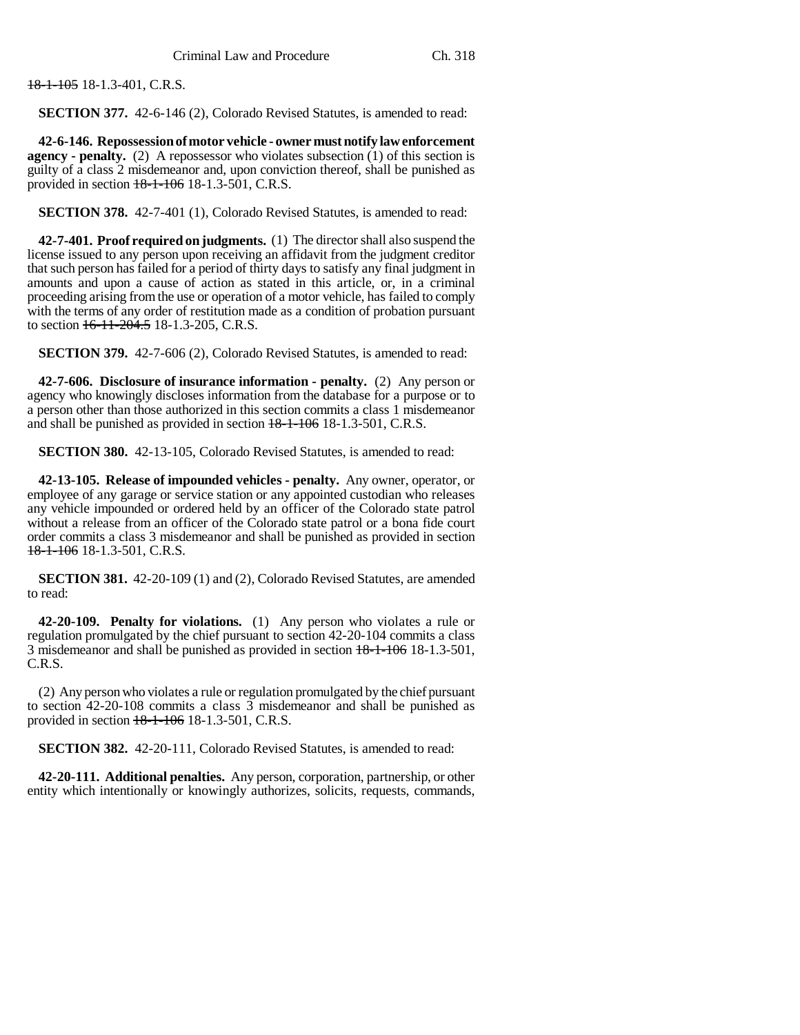18-1-105 18-1.3-401, C.R.S.

**SECTION 377.** 42-6-146 (2), Colorado Revised Statutes, is amended to read:

**42-6-146. Repossession of motor vehicle - owner must notify law enforcement agency - penalty.** (2) A repossessor who violates subsection (1) of this section is guilty of a class 2 misdemeanor and, upon conviction thereof, shall be punished as provided in section  $18-1-106$  18-1.3-501, C.R.S.

**SECTION 378.** 42-7-401 (1), Colorado Revised Statutes, is amended to read:

**42-7-401. Proof required on judgments.** (1) The director shall also suspend the license issued to any person upon receiving an affidavit from the judgment creditor that such person has failed for a period of thirty days to satisfy any final judgment in amounts and upon a cause of action as stated in this article, or, in a criminal proceeding arising from the use or operation of a motor vehicle, has failed to comply with the terms of any order of restitution made as a condition of probation pursuant to section  $16-11-204.5$  18-1.3-205, C.R.S.

**SECTION 379.** 42-7-606 (2), Colorado Revised Statutes, is amended to read:

**42-7-606. Disclosure of insurance information - penalty.** (2) Any person or agency who knowingly discloses information from the database for a purpose or to a person other than those authorized in this section commits a class 1 misdemeanor and shall be punished as provided in section 18-1-106 18-1.3-501, C.R.S.

**SECTION 380.** 42-13-105, Colorado Revised Statutes, is amended to read:

**42-13-105. Release of impounded vehicles - penalty.** Any owner, operator, or employee of any garage or service station or any appointed custodian who releases any vehicle impounded or ordered held by an officer of the Colorado state patrol without a release from an officer of the Colorado state patrol or a bona fide court order commits a class 3 misdemeanor and shall be punished as provided in section  $18-1-106$  18-1.3-501, C.R.S.

**SECTION 381.** 42-20-109 (1) and (2), Colorado Revised Statutes, are amended to read:

**42-20-109. Penalty for violations.** (1) Any person who violates a rule or regulation promulgated by the chief pursuant to section 42-20-104 commits a class 3 misdemeanor and shall be punished as provided in section 18-1-106 18-1.3-501, C.R.S.

(2) Any person who violates a rule or regulation promulgated by the chief pursuant to section 42-20-108 commits a class 3 misdemeanor and shall be punished as provided in section 18-1-106 18-1.3-501, C.R.S.

**SECTION 382.** 42-20-111, Colorado Revised Statutes, is amended to read:

**42-20-111. Additional penalties.** Any person, corporation, partnership, or other entity which intentionally or knowingly authorizes, solicits, requests, commands,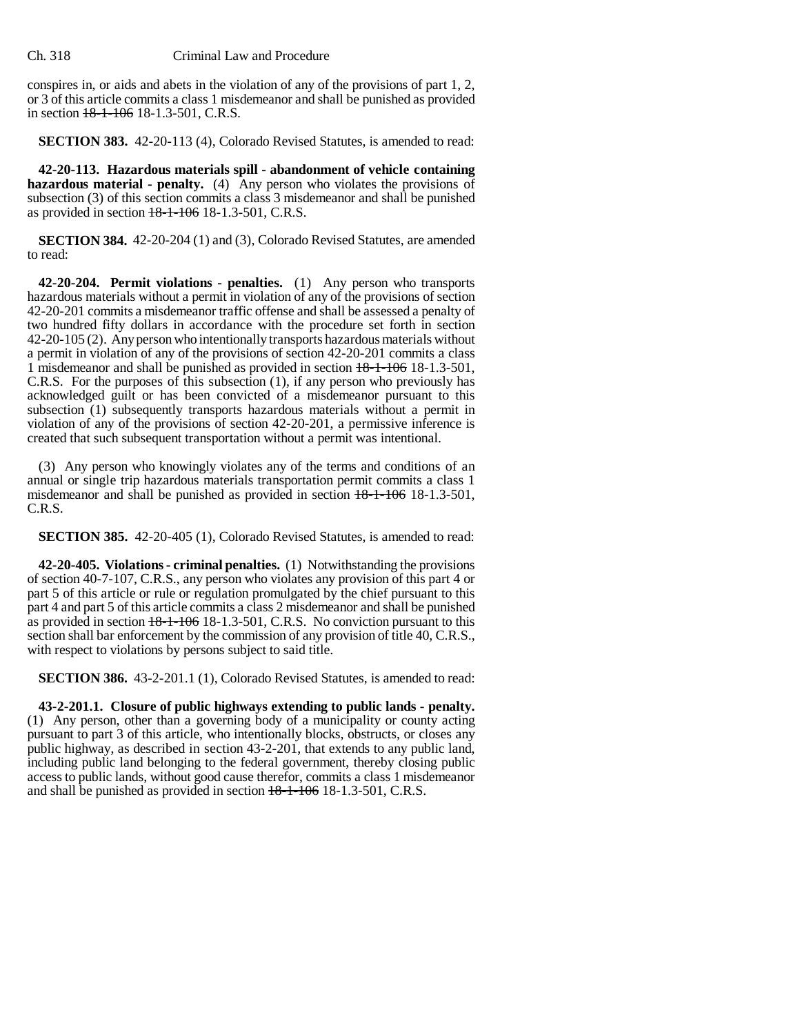conspires in, or aids and abets in the violation of any of the provisions of part 1, 2, or 3 of this article commits a class 1 misdemeanor and shall be punished as provided in section  $18-1-106$  18-1.3-501, C.R.S.

**SECTION 383.** 42-20-113 (4), Colorado Revised Statutes, is amended to read:

**42-20-113. Hazardous materials spill - abandonment of vehicle containing hazardous material - penalty.** (4) Any person who violates the provisions of subsection (3) of this section commits a class 3 misdemeanor and shall be punished as provided in section 18-1-106 18-1.3-501, C.R.S.

**SECTION 384.** 42-20-204 (1) and (3), Colorado Revised Statutes, are amended to read:

**42-20-204. Permit violations - penalties.** (1) Any person who transports hazardous materials without a permit in violation of any of the provisions of section 42-20-201 commits a misdemeanor traffic offense and shall be assessed a penalty of two hundred fifty dollars in accordance with the procedure set forth in section 42-20-105 (2). Any person who intentionally transports hazardous materials without a permit in violation of any of the provisions of section 42-20-201 commits a class 1 misdemeanor and shall be punished as provided in section 18-1-106 18-1.3-501, C.R.S. For the purposes of this subsection (1), if any person who previously has acknowledged guilt or has been convicted of a misdemeanor pursuant to this subsection (1) subsequently transports hazardous materials without a permit in violation of any of the provisions of section 42-20-201, a permissive inference is created that such subsequent transportation without a permit was intentional.

(3) Any person who knowingly violates any of the terms and conditions of an annual or single trip hazardous materials transportation permit commits a class 1 misdemeanor and shall be punished as provided in section  $18-1-106$  18-1.3-501, C.R.S.

**SECTION 385.** 42-20-405 (1), Colorado Revised Statutes, is amended to read:

**42-20-405. Violations - criminal penalties.** (1) Notwithstanding the provisions of section 40-7-107, C.R.S., any person who violates any provision of this part 4 or part 5 of this article or rule or regulation promulgated by the chief pursuant to this part 4 and part 5 of this article commits a class 2 misdemeanor and shall be punished as provided in section 18-1-106 18-1.3-501, C.R.S. No conviction pursuant to this section shall bar enforcement by the commission of any provision of title 40, C.R.S., with respect to violations by persons subject to said title.

**SECTION 386.** 43-2-201.1 (1), Colorado Revised Statutes, is amended to read:

**43-2-201.1. Closure of public highways extending to public lands - penalty.** (1) Any person, other than a governing body of a municipality or county acting pursuant to part 3 of this article, who intentionally blocks, obstructs, or closes any public highway, as described in section 43-2-201, that extends to any public land, including public land belonging to the federal government, thereby closing public access to public lands, without good cause therefor, commits a class 1 misdemeanor and shall be punished as provided in section 18-1-106 18-1.3-501, C.R.S.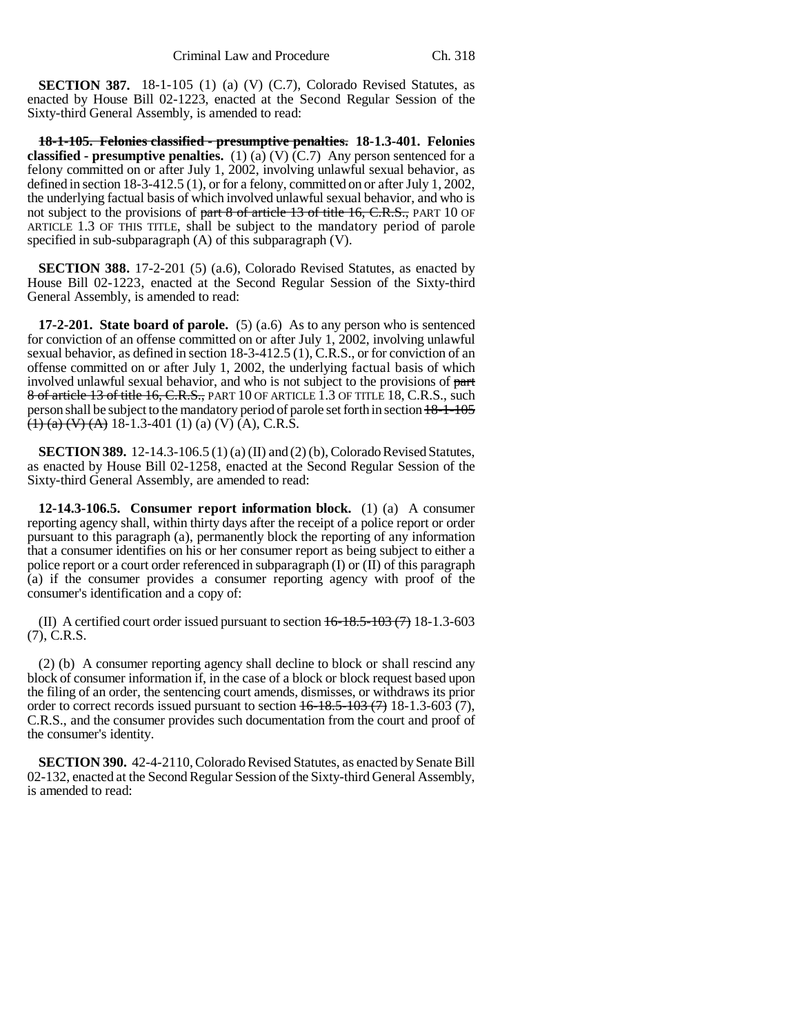**SECTION 387.** 18-1-105 (1) (a) (V) (C.7), Colorado Revised Statutes, as enacted by House Bill 02-1223, enacted at the Second Regular Session of the Sixty-third General Assembly, is amended to read:

**18-1-105. Felonies classified - presumptive penalties. 18-1.3-401. Felonies classified - presumptive penalties.** (1) (a) (V) (C.7) Any person sentenced for a felony committed on or after July 1, 2002, involving unlawful sexual behavior, as defined in section 18-3-412.5 (1), or for a felony, committed on or after July 1, 2002, the underlying factual basis of which involved unlawful sexual behavior, and who is not subject to the provisions of part 8 of article 13 of title 16, C.R.S., PART 10 OF ARTICLE 1.3 OF THIS TITLE, shall be subject to the mandatory period of parole specified in sub-subparagraph (A) of this subparagraph (V).

**SECTION 388.** 17-2-201 (5) (a.6), Colorado Revised Statutes, as enacted by House Bill 02-1223, enacted at the Second Regular Session of the Sixty-third General Assembly, is amended to read:

**17-2-201. State board of parole.** (5) (a.6) As to any person who is sentenced for conviction of an offense committed on or after July 1, 2002, involving unlawful sexual behavior, as defined in section 18-3-412.5 (1), C.R.S., or for conviction of an offense committed on or after July 1, 2002, the underlying factual basis of which involved unlawful sexual behavior, and who is not subject to the provisions of part 8 of article 13 of title 16, C.R.S., PART 10 OF ARTICLE 1.3 OF TITLE 18, C.R.S., such person shall be subject to the mandatory period of parole set forth in section 18-1-105  $(1)$  (a) (V) (A) 18-1.3-401 (1) (a) (V) (A), C.R.S.

**SECTION 389.** 12-14.3-106.5 (1) (a) (II) and (2) (b), Colorado Revised Statutes, as enacted by House Bill 02-1258, enacted at the Second Regular Session of the Sixty-third General Assembly, are amended to read:

**12-14.3-106.5. Consumer report information block.** (1) (a) A consumer reporting agency shall, within thirty days after the receipt of a police report or order pursuant to this paragraph (a), permanently block the reporting of any information that a consumer identifies on his or her consumer report as being subject to either a police report or a court order referenced in subparagraph (I) or (II) of this paragraph (a) if the consumer provides a consumer reporting agency with proof of the consumer's identification and a copy of:

(II) A certified court order issued pursuant to section  $16-18.5-103$  (7) 18-1.3-603 (7), C.R.S.

(2) (b) A consumer reporting agency shall decline to block or shall rescind any block of consumer information if, in the case of a block or block request based upon the filing of an order, the sentencing court amends, dismisses, or withdraws its prior order to correct records issued pursuant to section  $16-18.5-103$  (7),  $(7)$ ,  $(7)$ ,  $(7)$ ,  $(7)$ ,  $(7)$ ,  $(7)$ ,  $(7)$ ,  $(7)$ ,  $(7)$ ,  $(7)$ ,  $(7)$ ,  $(7)$ ,  $(7)$ ,  $(7)$ ,  $(7)$ ,  $(7)$ ,  $(7)$ ,  $(7)$ ,  $(7)$ ,  $(7)$ ,  $(7)$ ,  $(7$ C.R.S., and the consumer provides such documentation from the court and proof of the consumer's identity.

**SECTION 390.** 42-4-2110, Colorado Revised Statutes, as enacted by Senate Bill 02-132, enacted at the Second Regular Session of the Sixty-third General Assembly, is amended to read: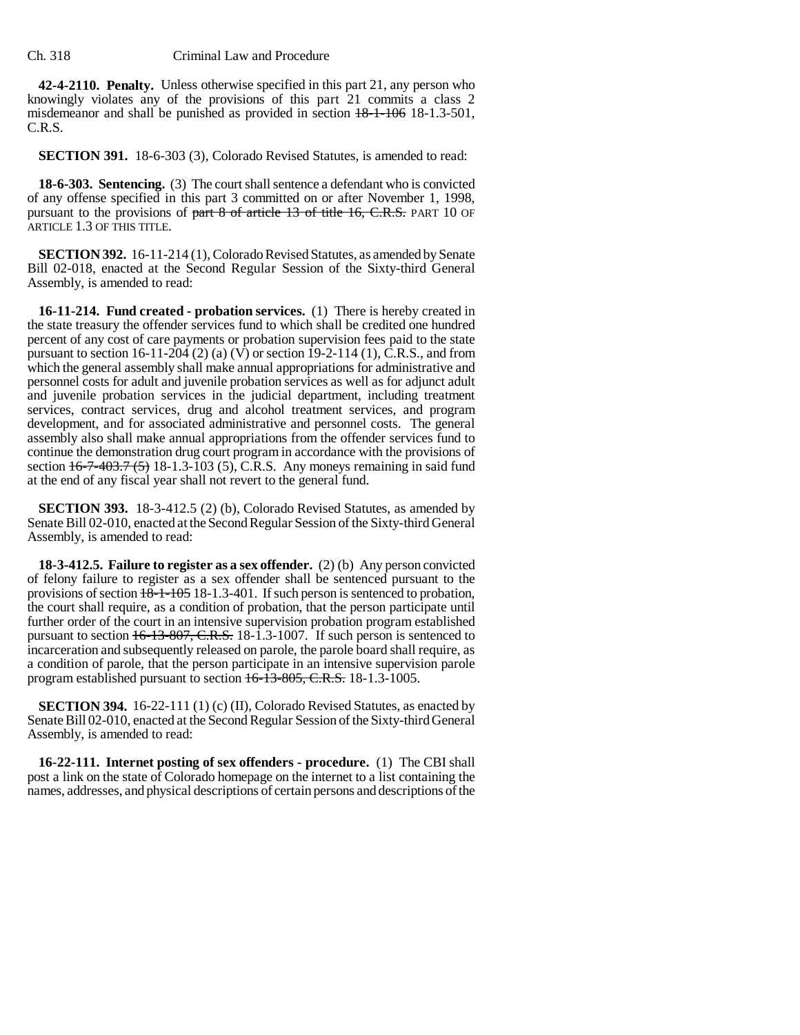**42-4-2110. Penalty.** Unless otherwise specified in this part 21, any person who knowingly violates any of the provisions of this part 21 commits a class 2 misdemeanor and shall be punished as provided in section  $18-1-106$  18-1.3-501, C.R.S.

**SECTION 391.** 18-6-303 (3), Colorado Revised Statutes, is amended to read:

**18-6-303. Sentencing.** (3) The court shall sentence a defendant who is convicted of any offense specified in this part 3 committed on or after November 1, 1998, pursuant to the provisions of part 8 of article 13 of title 16, C.R.S. PART 10 OF ARTICLE 1.3 OF THIS TITLE.

**SECTION 392.** 16-11-214 (1), Colorado Revised Statutes, as amended by Senate Bill 02-018, enacted at the Second Regular Session of the Sixty-third General Assembly, is amended to read:

**16-11-214. Fund created - probation services.** (1) There is hereby created in the state treasury the offender services fund to which shall be credited one hundred percent of any cost of care payments or probation supervision fees paid to the state pursuant to section 16-11-204 (2) (a) (V) or section 19-2-114 (1), C.R.S., and from which the general assembly shall make annual appropriations for administrative and personnel costs for adult and juvenile probation services as well as for adjunct adult and juvenile probation services in the judicial department, including treatment services, contract services, drug and alcohol treatment services, and program development, and for associated administrative and personnel costs. The general assembly also shall make annual appropriations from the offender services fund to continue the demonstration drug court program in accordance with the provisions of section  $16-7-403.7(5)$  18-1.3-103 (5), C.R.S. Any moneys remaining in said fund at the end of any fiscal year shall not revert to the general fund.

**SECTION 393.** 18-3-412.5 (2) (b), Colorado Revised Statutes, as amended by Senate Bill 02-010, enacted at the Second Regular Session of the Sixty-third General Assembly, is amended to read:

**18-3-412.5. Failure to register as a sex offender.** (2) (b) Any person convicted of felony failure to register as a sex offender shall be sentenced pursuant to the provisions of section 18-1-105 18-1.3-401. If such person is sentenced to probation, the court shall require, as a condition of probation, that the person participate until further order of the court in an intensive supervision probation program established pursuant to section  $16-13-807$ , C.R.S. 18-1.3-1007. If such person is sentenced to incarceration and subsequently released on parole, the parole board shall require, as a condition of parole, that the person participate in an intensive supervision parole program established pursuant to section 16-13-805, C.R.S. 18-1.3-1005.

**SECTION 394.** 16-22-111 (1) (c) (II), Colorado Revised Statutes, as enacted by Senate Bill 02-010, enacted at the Second Regular Session of the Sixty-third General Assembly, is amended to read:

**16-22-111. Internet posting of sex offenders - procedure.** (1) The CBI shall post a link on the state of Colorado homepage on the internet to a list containing the names, addresses, and physical descriptions of certain persons and descriptions of the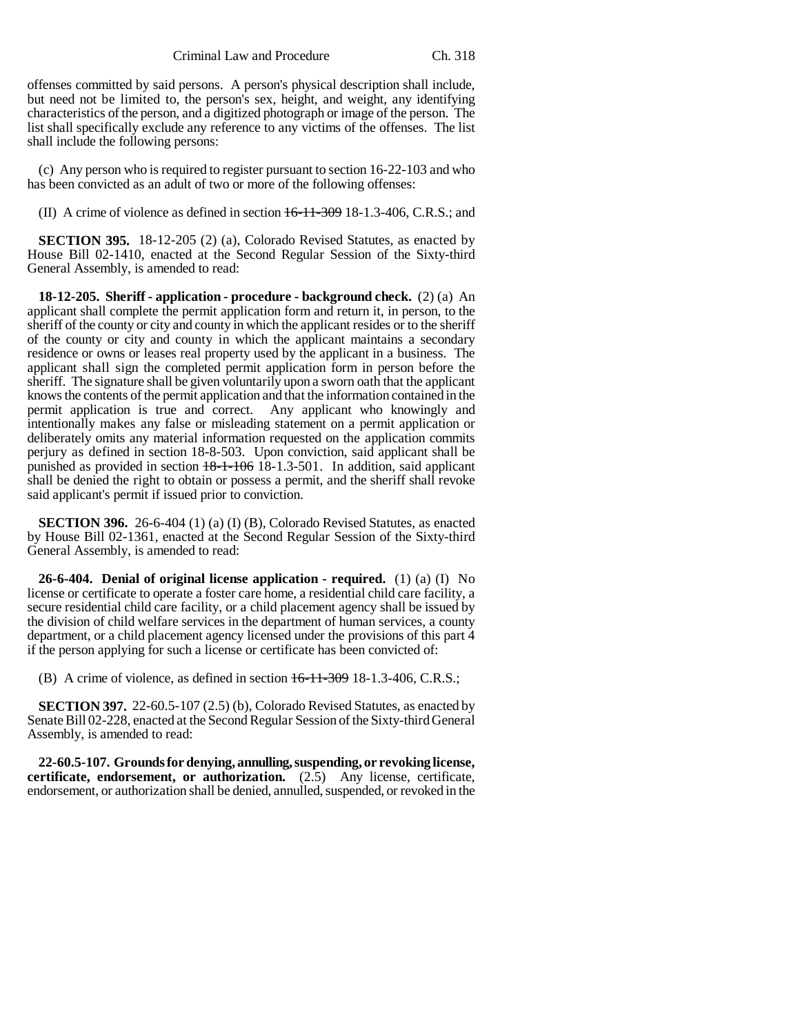offenses committed by said persons. A person's physical description shall include, but need not be limited to, the person's sex, height, and weight, any identifying characteristics of the person, and a digitized photograph or image of the person. The list shall specifically exclude any reference to any victims of the offenses. The list shall include the following persons:

(c) Any person who is required to register pursuant to section 16-22-103 and who has been convicted as an adult of two or more of the following offenses:

(II) A crime of violence as defined in section 16-11-309 18-1.3-406, C.R.S.; and

**SECTION 395.** 18-12-205 (2) (a), Colorado Revised Statutes, as enacted by House Bill 02-1410, enacted at the Second Regular Session of the Sixty-third General Assembly, is amended to read:

**18-12-205. Sheriff - application - procedure - background check.** (2) (a) An applicant shall complete the permit application form and return it, in person, to the sheriff of the county or city and county in which the applicant resides or to the sheriff of the county or city and county in which the applicant maintains a secondary residence or owns or leases real property used by the applicant in a business. The applicant shall sign the completed permit application form in person before the sheriff. The signature shall be given voluntarily upon a sworn oath that the applicant knows the contents of the permit application and that the information contained in the permit application is true and correct. Any applicant who knowingly and intentionally makes any false or misleading statement on a permit application or deliberately omits any material information requested on the application commits perjury as defined in section 18-8-503. Upon conviction, said applicant shall be punished as provided in section 18-1-106 18-1.3-501. In addition, said applicant shall be denied the right to obtain or possess a permit, and the sheriff shall revoke said applicant's permit if issued prior to conviction.

**SECTION 396.** 26-6-404 (1) (a) (I) (B), Colorado Revised Statutes, as enacted by House Bill 02-1361, enacted at the Second Regular Session of the Sixty-third General Assembly, is amended to read:

**26-6-404. Denial of original license application - required.** (1) (a) (I) No license or certificate to operate a foster care home, a residential child care facility, a secure residential child care facility, or a child placement agency shall be issued by the division of child welfare services in the department of human services, a county department, or a child placement agency licensed under the provisions of this part 4 if the person applying for such a license or certificate has been convicted of:

(B) A crime of violence, as defined in section 16-11-309 18-1.3-406, C.R.S.;

**SECTION 397.** 22-60.5-107 (2.5) (b), Colorado Revised Statutes, as enacted by Senate Bill 02-228, enacted at the Second Regular Session of the Sixty-third General Assembly, is amended to read:

**22-60.5-107. Grounds for denying, annulling, suspending, or revoking license, certificate, endorsement, or authorization.** (2.5) Any license, certificate, endorsement, or authorization shall be denied, annulled, suspended, or revoked in the